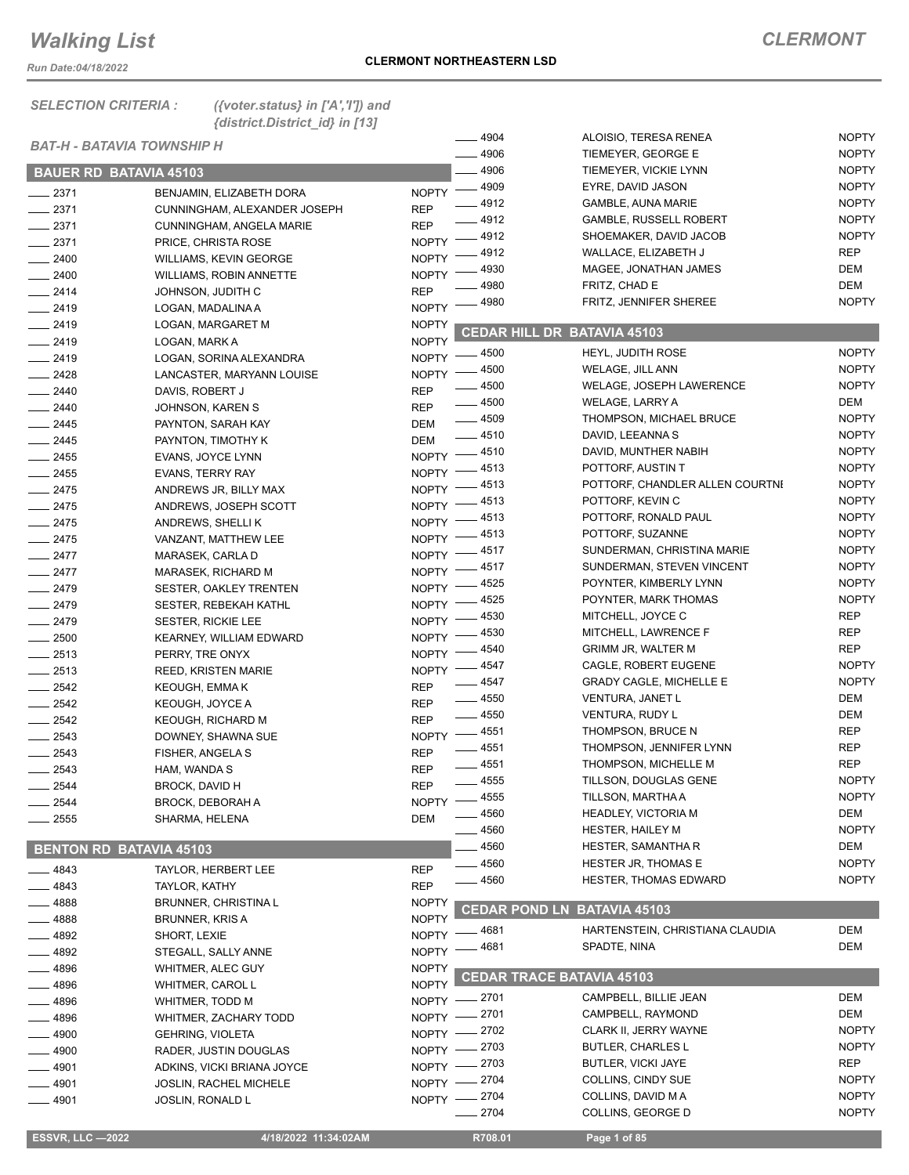*Run Date:04/18/2022*

*SELECTION CRITERIA : ({voter.status} in ['A','I']) and {district.District\_id} in [13]*

|                                   |                                |              | $-4904$              | ALOISIO, TERESA RENEA              | <b>NOPTY</b> |
|-----------------------------------|--------------------------------|--------------|----------------------|------------------------------------|--------------|
| <b>BAT-H - BATAVIA TOWNSHIP H</b> |                                |              | $- 4906$             | TIEMEYER, GEORGE E                 | <b>NOPTY</b> |
| <b>BAUER RD BATAVIA 45103</b>     |                                |              | 4906                 | TIEMEYER, VICKIE LYNN              | <b>NOPTY</b> |
| $-2371$                           | BENJAMIN, ELIZABETH DORA       | <b>NOPTY</b> | $-4909$              | EYRE, DAVID JASON                  | <b>NOPTY</b> |
| $-2371$                           | CUNNINGHAM, ALEXANDER JOSEPH   | <b>REP</b>   | 4912                 | <b>GAMBLE, AUNA MARIE</b>          | <b>NOPTY</b> |
| $-2371$                           | CUNNINGHAM, ANGELA MARIE       | <b>REP</b>   | $-4912$              | <b>GAMBLE, RUSSELL ROBERT</b>      | <b>NOPTY</b> |
| $\frac{1}{2}$ 2371                | PRICE, CHRISTA ROSE            | NOPTY -      | $-4912$              | SHOEMAKER, DAVID JACOB             | <b>NOPTY</b> |
| $-2400$                           | WILLIAMS, KEVIN GEORGE         | <b>NOPTY</b> | 4912                 | WALLACE, ELIZABETH J               | <b>REP</b>   |
| $- 2400$                          | <b>WILLIAMS, ROBIN ANNETTE</b> | <b>NOPTY</b> | 4930                 | MAGEE, JONATHAN JAMES              | DEM          |
| $-2414$                           | JOHNSON, JUDITH C              | <b>REP</b>   | 4980                 | FRITZ, CHAD E                      | DEM          |
| $-2419$                           | LOGAN, MADALINA A              | <b>NOPTY</b> | 4980                 | FRITZ, JENNIFER SHEREE             | <b>NOPTY</b> |
| $-2419$                           | LOGAN, MARGARET M              | <b>NOPTY</b> |                      |                                    |              |
| $-2419$                           | LOGAN, MARK A                  | <b>NOPTY</b> |                      | <b>CEDAR HILL DR BATAVIA 45103</b> |              |
| $-2419$                           | LOGAN, SORINA ALEXANDRA        | $N$ OPTY -   | $=$ 4500             | HEYL, JUDITH ROSE                  | <b>NOPTY</b> |
| $\frac{2428}{5}$                  | LANCASTER, MARYANN LOUISE      |              | NOPTY - 4500         | WELAGE, JILL ANN                   | <b>NOPTY</b> |
| $-2440$                           | DAVIS, ROBERT J                | <b>REP</b>   | $-4500$              | WELAGE, JOSEPH LAWERENCE           | <b>NOPTY</b> |
| $-2440$                           | JOHNSON, KAREN S               | <b>REP</b>   | $\frac{1}{2}$ 4500   | WELAGE, LARRY A                    | DEM          |
| $-2445$                           | PAYNTON, SARAH KAY             | DEM          | $- 4509$             | THOMPSON, MICHAEL BRUCE            | <b>NOPTY</b> |
| $-2445$                           | PAYNTON, TIMOTHY K             | DEM          | $-4510$              | DAVID, LEEANNA S                   | <b>NOPTY</b> |
| $\frac{1}{2455}$                  | EVANS, JOYCE LYNN              |              | NOPTY -4510          | DAVID, MUNTHER NABIH               | <b>NOPTY</b> |
| $-2455$                           | <b>EVANS, TERRY RAY</b>        | $NOPTY =$    | __ 4513              | POTTORF, AUSTIN T                  | <b>NOPTY</b> |
| $-2475$                           | ANDREWS JR, BILLY MAX          | NOPTY -      | 4513                 | POTTORF, CHANDLER ALLEN COURTNI    | <b>NOPTY</b> |
| $-2475$                           | ANDREWS, JOSEPH SCOTT          | <b>NOPTY</b> | 4513                 | POTTORF, KEVIN C                   | <b>NOPTY</b> |
| $-2475$                           | ANDREWS, SHELLIK               | <b>NOPTY</b> | 4513                 | POTTORF, RONALD PAUL               | <b>NOPTY</b> |
| $-2475$                           | VANZANT, MATTHEW LEE           |              | NOPTY -4513          | POTTORF, SUZANNE                   | <b>NOPTY</b> |
| $-2477$                           | MARASEK, CARLA D               |              | NOPTY -4517          | SUNDERMAN, CHRISTINA MARIE         | <b>NOPTY</b> |
| $-2477$                           | MARASEK, RICHARD M             |              | NOPTY -4517          | SUNDERMAN, STEVEN VINCENT          | <b>NOPTY</b> |
| $-2479$                           | SESTER, OAKLEY TRENTEN         |              | NOPTY -4525          | POYNTER, KIMBERLY LYNN             | <b>NOPTY</b> |
| $-2479$                           | SESTER, REBEKAH KATHL          | NOPTY -      | 4525                 | POYNTER, MARK THOMAS               | <b>NOPTY</b> |
| $-2479$                           | SESTER, RICKIE LEE             | <b>NOPTY</b> | 4530                 | MITCHELL, JOYCE C                  | <b>REP</b>   |
| $\frac{1}{2500}$                  | <b>KEARNEY, WILLIAM EDWARD</b> | <b>NOPTY</b> | 4530                 | MITCHELL, LAWRENCE F               | <b>REP</b>   |
| $\frac{2513}{255}$                | PERRY, TRE ONYX                | <b>NOPTY</b> | 4540                 | <b>GRIMM JR, WALTER M</b>          | REP          |
| $-2513$                           | <b>REED, KRISTEN MARIE</b>     | $NOPTY =$    | 4547                 | CAGLE, ROBERT EUGENE               | <b>NOPTY</b> |
| $\frac{1}{2542}$                  | <b>KEOUGH, EMMAK</b>           | <b>REP</b>   | $-4547$              | <b>GRADY CAGLE, MICHELLE E</b>     | <b>NOPTY</b> |
| $\frac{2542}{255}$                | KEOUGH, JOYCE A                | <b>REP</b>   | $\frac{1}{2}$ 4550   | <b>VENTURA, JANET L</b>            | DEM          |
| $\frac{1}{2542}$                  | KEOUGH, RICHARD M              | <b>REP</b>   | $-4550$              | VENTURA, RUDY L                    | DEM          |
| $\frac{1}{2543}$                  | DOWNEY, SHAWNA SUE             |              | NOPTY -4551          | THOMPSON, BRUCE N                  | REP          |
| $\frac{1}{2543}$                  | FISHER, ANGELA S               | <b>REP</b>   | $-4551$              | THOMPSON, JENNIFER LYNN            | REP          |
| $-2543$                           | HAM, WANDA S                   | <b>REP</b>   | $-4551$              | THOMPSON, MICHELLE M               | <b>REP</b>   |
| 2544                              | BROCK, DAVID H                 | <b>REP</b>   | $- 4555$             | TILLSON, DOUGLAS GENE              | <b>NOPTY</b> |
| 2544                              | BROCK, DEBORAH A               |              | NOPTY -4555          | TILLSON, MARTHA A                  | <b>NOPTY</b> |
| 2555                              | SHARMA, HELENA                 | <b>DEM</b>   | 4560                 | <b>HEADLEY, VICTORIA M</b>         | DEM          |
|                                   |                                |              | 4560                 | <b>HESTER, HAILEY M</b>            | <b>NOPTY</b> |
| <b>BENTON RD BATAVIA 45103</b>    |                                |              | 4560                 | <b>HESTER, SAMANTHA R</b>          | DEM          |
| 4843                              | <b>TAYLOR, HERBERT LEE</b>     | <b>REP</b>   | $-4560$              | <b>HESTER JR, THOMAS E</b>         | <b>NOPTY</b> |
| 4843                              | TAYLOR, KATHY                  | <b>REP</b>   | 4560                 | <b>HESTER, THOMAS EDWARD</b>       | <b>NOPTY</b> |
| 4888                              | <b>BRUNNER, CHRISTINA L</b>    | <b>NOPTY</b> | <b>CEDAR POND LN</b> | <b>BATAVIA 45103</b>               |              |
| _ 4888                            | <b>BRUNNER, KRIS A</b>         | <b>NOPTY</b> |                      |                                    |              |
| _ 4892                            | SHORT, LEXIE                   | <b>NOPTY</b> | _ 4681               | HARTENSTEIN, CHRISTIANA CLAUDIA    | DEM          |
| _ 4892                            | STEGALL, SALLY ANNE            | <b>NOPTY</b> | 4681                 | SPADTE, NINA                       | DEM          |
| _ 4896                            | WHITMER, ALEC GUY              | <b>NOPTY</b> |                      | <b>CEDAR TRACE BATAVIA 45103</b>   |              |
| 4896                              | WHITMER, CAROL L               | <b>NOPTY</b> |                      |                                    |              |
| 4896                              | WHITMER, TODD M                | NOPTY =      | $=$ 2701             | CAMPBELL, BILLIE JEAN              | DEM          |
| 4896                              | WHITMER, ZACHARY TODD          | NOPTY -      | 2701                 | CAMPBELL, RAYMOND                  | DEM          |
| 4900                              | <b>GEHRING, VIOLETA</b>        | NOPTY -      | 2702                 | CLARK II, JERRY WAYNE              | <b>NOPTY</b> |
| 4900                              | RADER, JUSTIN DOUGLAS          | NOPTY -      | 2703                 | <b>BUTLER, CHARLES L</b>           | <b>NOPTY</b> |
| 4901                              | ADKINS, VICKI BRIANA JOYCE     | $NOPTY -$    | 2703                 | <b>BUTLER, VICKI JAYE</b>          | REP          |
| 4901                              | JOSLIN, RACHEL MICHELE         |              | NOPTY -2704          | COLLINS, CINDY SUE                 | <b>NOPTY</b> |
| $-4901$                           | <b>JOSLIN, RONALD L</b>        | NOPTY -      | $-2704$              | COLLINS, DAVID M A                 | <b>NOPTY</b> |
|                                   |                                |              | $-2704$              | COLLINS, GEORGE D                  | <b>NOPTY</b> |
| <b>ESSVR, LLC -2022</b>           | 4/18/2022 11:34:02AM           |              | R708.01              | Page 1 of 85                       |              |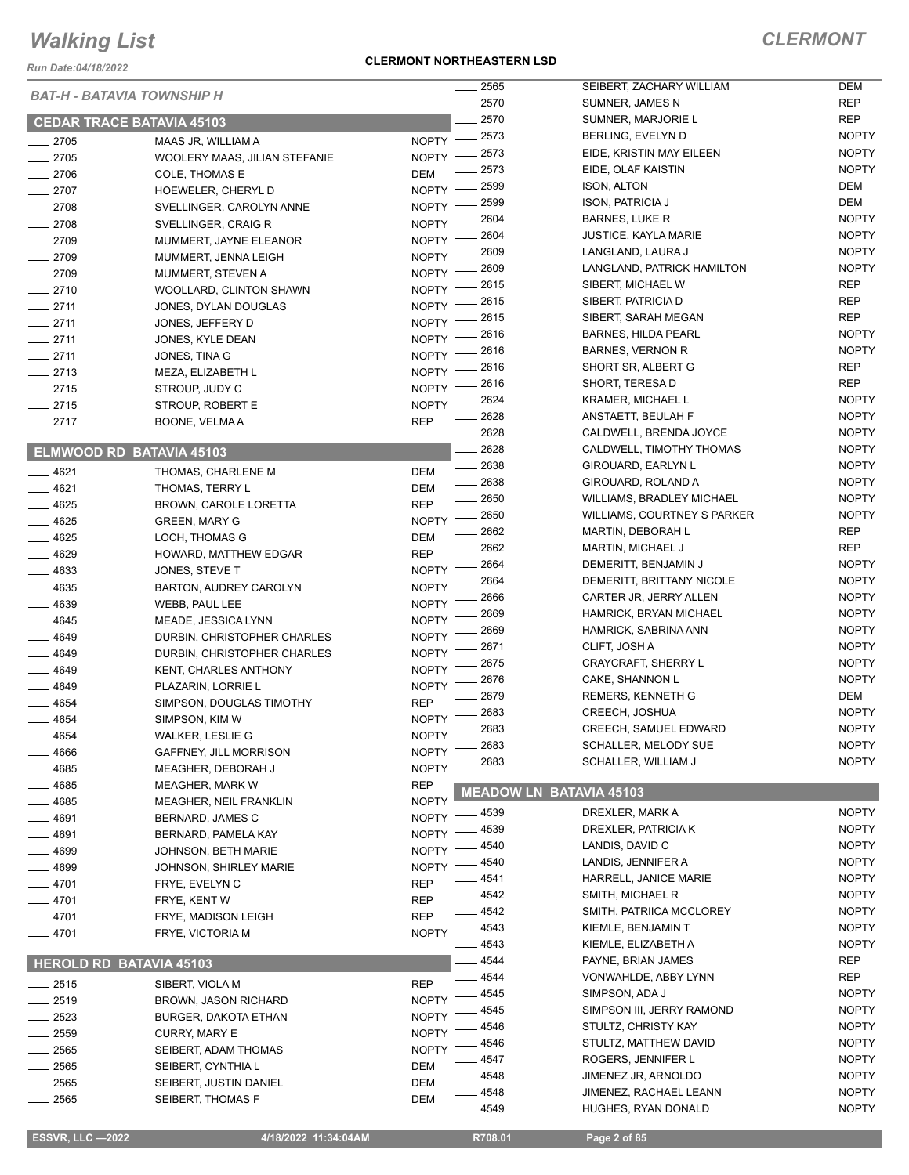*Run Date:04/18/2022*

# **CLERMONT NORTHEASTERN LSD**

|          |                                             | 2565                    | SEIBERT, ZACHARY WILLIAM         | DEM          |
|----------|---------------------------------------------|-------------------------|----------------------------------|--------------|
|          | <b>BAT-H - BATAVIA TOWNSHIP H</b>           | 2570                    | SUMNER, JAMES N                  | <b>REP</b>   |
|          | <b>CEDAR TRACE BATAVIA 45103</b>            | 2570                    | SUMNER, MARJORIE L               | <b>REP</b>   |
| $-2705$  | MAAS JR, WILLIAM A                          | 2573<br>NOPTY -         | BERLING, EVELYN D                | <b>NOPTY</b> |
| 2705     | WOOLERY MAAS, JILIAN STEFANIE               | 2573<br>NOPTY -         | EIDE, KRISTIN MAY EILEEN         | <b>NOPTY</b> |
|          |                                             | 2573                    | EIDE, OLAF KAISTIN               | <b>NOPTY</b> |
| $-2706$  | COLE, THOMAS E                              | DEM<br>2599             | <b>ISON, ALTON</b>               | <b>DEM</b>   |
| $-2707$  | HOEWELER, CHERYL D                          | <b>NOPTY</b><br>2599    | <b>ISON, PATRICIA J</b>          | <b>DEM</b>   |
| $-2708$  | SVELLINGER, CAROLYN ANNE                    | <b>NOPTY</b><br>2604    | <b>BARNES, LUKE R</b>            | <b>NOPTY</b> |
| $-2708$  | SVELLINGER, CRAIG R                         | <b>NOPTY</b><br>2604    | JUSTICE, KAYLA MARIE             | <b>NOPTY</b> |
| 2709     | MUMMERT, JAYNE ELEANOR                      | <b>NOPTY</b><br>2609    | LANGLAND, LAURA J                | <b>NOPTY</b> |
| $-2709$  | MUMMERT, JENNA LEIGH                        | <b>NOPTY</b><br>2609    | LANGLAND, PATRICK HAMILTON       | <b>NOPTY</b> |
| $-2709$  | MUMMERT, STEVEN A                           | <b>NOPTY</b><br>2615    |                                  | <b>REP</b>   |
| $-2710$  | WOOLLARD, CLINTON SHAWN                     | NOPTY -                 | SIBERT, MICHAEL W                |              |
| $-2711$  | JONES, DYLAN DOUGLAS                        | 2615<br><b>NOPTY</b>    | SIBERT, PATRICIA D               | <b>REP</b>   |
| $-2711$  | JONES, JEFFERY D                            | 2615<br><b>NOPTY</b>    | SIBERT, SARAH MEGAN              | <b>REP</b>   |
| $-2711$  | JONES, KYLE DEAN                            | 2616<br><b>NOPTY</b>    | <b>BARNES, HILDA PEARL</b>       | <b>NOPTY</b> |
| $-2711$  | JONES, TINA G                               | 2616<br><b>NOPTY</b>    | <b>BARNES, VERNON R</b>          | <b>NOPTY</b> |
| $-2713$  | MEZA, ELIZABETH L                           | 2616<br><b>NOPTY</b>    | SHORT SR, ALBERT G               | <b>REP</b>   |
| $-2715$  | STROUP, JUDY C                              | 2616<br><b>NOPTY</b>    | SHORT, TERESA D                  | <b>REP</b>   |
| 2715     | STROUP, ROBERT E                            | 2624<br><b>NOPTY</b>    | <b>KRAMER, MICHAEL L</b>         | <b>NOPTY</b> |
| $-2717$  | BOONE, VELMA A                              | 2628<br><b>REP</b>      | ANSTAETT, BEULAH F               | <b>NOPTY</b> |
|          |                                             | 2628                    | CALDWELL, BRENDA JOYCE           | <b>NOPTY</b> |
|          | ELMWOOD RD BATAVIA 45103                    | 2628                    | CALDWELL, TIMOTHY THOMAS         | <b>NOPTY</b> |
|          |                                             | $-2638$                 | GIROUARD, EARLYN L               | <b>NOPTY</b> |
| 4621     | THOMAS, CHARLENE M                          | DEM<br>$\frac{1}{2638}$ | GIROUARD, ROLAND A               | <b>NOPTY</b> |
| $-4621$  | THOMAS, TERRY L                             | DEM<br>2650             | <b>WILLIAMS, BRADLEY MICHAEL</b> | <b>NOPTY</b> |
| $= 4625$ | BROWN, CAROLE LORETTA                       | <b>REP</b><br>2650      | WILLIAMS, COURTNEY S PARKER      | <b>NOPTY</b> |
| $-4625$  | <b>GREEN, MARY G</b>                        | <b>NOPTY</b><br>2662    | MARTIN, DEBORAH L                | <b>REP</b>   |
| $-4625$  | LOCH, THOMAS G                              | DEM<br>2662             | <b>MARTIN, MICHAEL J</b>         | <b>REP</b>   |
| $-4629$  | HOWARD, MATTHEW EDGAR                       | <b>REP</b><br>2664      | DEMERITT, BENJAMIN J             | <b>NOPTY</b> |
| $-4633$  | JONES, STEVE T                              | <b>NOPTY</b><br>2664    | DEMERITT, BRITTANY NICOLE        | <b>NOPTY</b> |
| 4635     | BARTON, AUDREY CAROLYN                      | <b>NOPTY</b><br>2666    |                                  | <b>NOPTY</b> |
| $-4639$  | WEBB, PAUL LEE                              | <b>NOPTY</b>            | CARTER JR, JERRY ALLEN           |              |
| 4645     | MEADE, JESSICA LYNN                         | 2669<br><b>NOPTY</b>    | HAMRICK, BRYAN MICHAEL           | <b>NOPTY</b> |
| 4649     | DURBIN, CHRISTOPHER CHARLES                 | 2669<br><b>NOPTY</b>    | HAMRICK, SABRINA ANN             | <b>NOPTY</b> |
| 4649     | DURBIN, CHRISTOPHER CHARLES                 | 2671<br><b>NOPTY</b>    | CLIFT, JOSH A                    | <b>NOPTY</b> |
| 4649     | KENT, CHARLES ANTHONY                       | 2675<br><b>NOPTY</b>    | <b>CRAYCRAFT, SHERRY L</b>       | <b>NOPTY</b> |
| $-4649$  | PLAZARIN, LORRIE L                          | 2676<br><b>NOPTY</b>    | CAKE, SHANNON L                  | <b>NOPTY</b> |
| 4654     | SIMPSON, DOUGLAS TIMOTHY                    | 2679<br><b>REP</b>      | REMERS, KENNETH G                | <b>DEM</b>   |
| 4654     | SIMPSON, KIM W                              | 2683<br><b>NOPTY</b>    | CREECH, JOSHUA                   | <b>NOPTY</b> |
| 4654     | WALKER, LESLIE G                            | 2683<br><b>NOPTY</b>    | <b>CREECH, SAMUEL EDWARD</b>     | <b>NOPTY</b> |
| 4666     | <b>GAFFNEY, JILL MORRISON</b>               | 2683<br><b>NOPTY</b>    | SCHALLER, MELODY SUE             | <b>NOPTY</b> |
| 4685     | MEAGHER, DEBORAH J                          | 2683<br><b>NOPTY</b>    | SCHALLER, WILLIAM J              | <b>NOPTY</b> |
| 4685     | <b>MEAGHER, MARK W</b>                      | <b>REP</b>              |                                  |              |
|          |                                             | <b>NOPTY</b>            | <b>MEADOW LN BATAVIA 45103</b>   |              |
| 4685     | <b>MEAGHER, NEIL FRANKLIN</b>               | - 4539<br><b>NOPTY</b>  | DREXLER, MARK A                  | <b>NOPTY</b> |
| 4691     | BERNARD, JAMES C                            | 4539                    | DREXLER, PATRICIA K              | <b>NOPTY</b> |
| 4691     | BERNARD, PAMELA KAY                         | <b>NOPTY</b><br>4540    | LANDIS, DAVID C                  | <b>NOPTY</b> |
| 4699     | JOHNSON, BETH MARIE                         | NOPTY -<br>4540         | LANDIS, JENNIFER A               | <b>NOPTY</b> |
| $-4699$  | JOHNSON, SHIRLEY MARIE                      | $N$ OPTY $-$<br>4541    | HARRELL, JANICE MARIE            | <b>NOPTY</b> |
| _ 4701   | FRYE, EVELYN C                              | <b>REP</b>              |                                  |              |
| $-4701$  | FRYE, KENT W                                | _ 4542<br><b>REP</b>    | SMITH, MICHAEL R                 | <b>NOPTY</b> |
| $-4701$  | FRYE, MADISON LEIGH                         | $-4542$<br><b>REP</b>   | SMITH, PATRIICA MCCLOREY         | <b>NOPTY</b> |
| —— 4701  | FRYE, VICTORIA M                            | $-4543$<br>NOPTY -      | KIEMLE, BENJAMIN T               | <b>NOPTY</b> |
|          |                                             | - 4543                  | KIEMLE, ELIZABETH A              | <b>NOPTY</b> |
|          | <b>HEROLD RD BATAVIA 45103</b>              | 4544                    | PAYNE, BRIAN JAMES               | <b>REP</b>   |
| $=2515$  | SIBERT, VIOLA M                             | 4544<br><b>REP</b>      | VONWAHLDE, ABBY LYNN             | REP          |
| $-2519$  | <b>BROWN, JASON RICHARD</b>                 | 4545<br><b>NOPTY</b>    | SIMPSON, ADA J                   | <b>NOPTY</b> |
| 2523     | <b>BURGER, DAKOTA ETHAN</b>                 | 4545<br><b>NOPTY</b>    | SIMPSON III, JERRY RAMOND        | <b>NOPTY</b> |
| 2559     | CURRY, MARY E                               | 4546<br><b>NOPTY</b>    | STULTZ, CHRISTY KAY              | <b>NOPTY</b> |
| 2565     | SEIBERT, ADAM THOMAS                        | 4546<br><b>NOPTY</b>    | STULTZ, MATTHEW DAVID            | <b>NOPTY</b> |
| 2565     | SEIBERT, CYNTHIA L                          | 4547<br>DEM             | ROGERS, JENNIFER L               | <b>NOPTY</b> |
| 2565     |                                             | _ 4548<br>DEM           | JIMENEZ JR, ARNOLDO              | NOPTY        |
| 2565     | SEIBERT, JUSTIN DANIEL<br>SEIBERT, THOMAS F | 4548                    | JIMENEZ, RACHAEL LEANN           | <b>NOPTY</b> |
|          |                                             | DEM<br>4549             | HUGHES, RYAN DONALD              | <b>NOPTY</b> |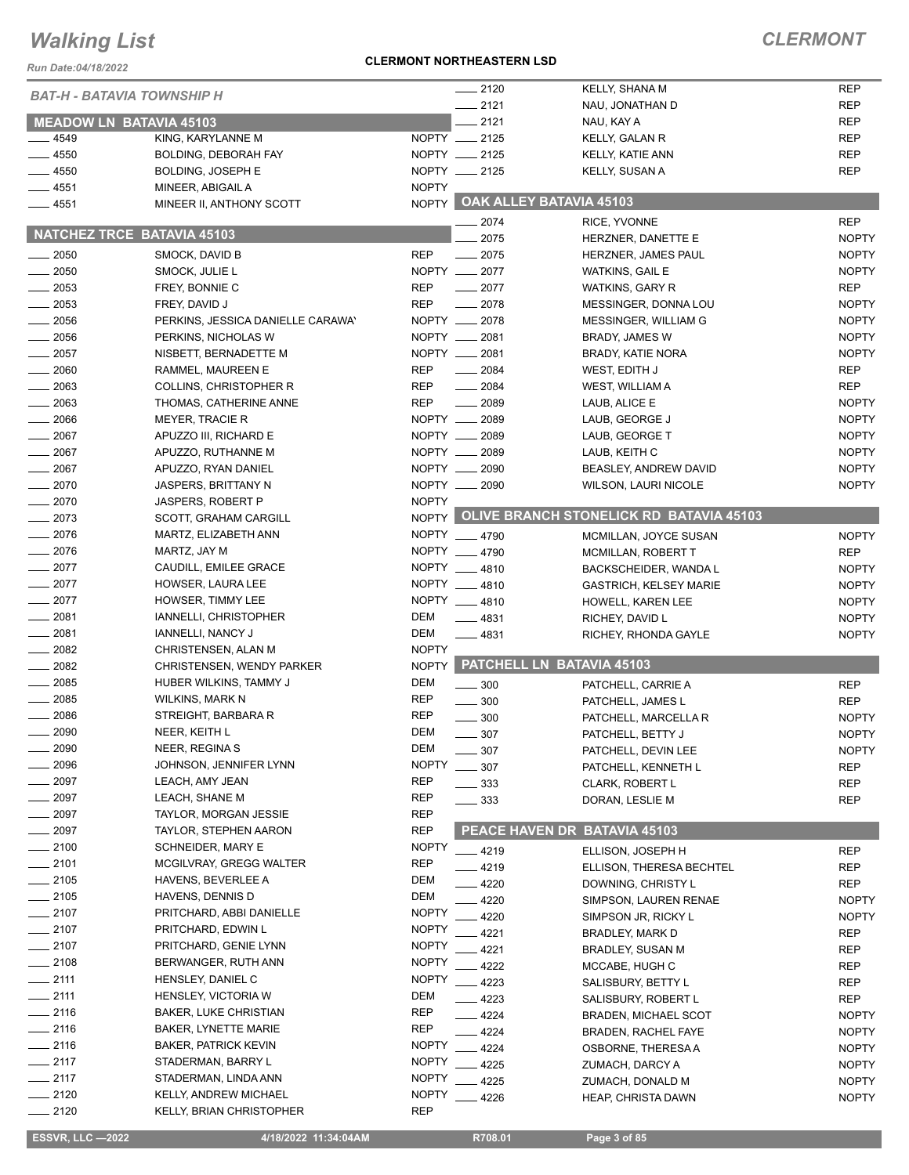*BAT-H - BATAVIA TOWNSHIP H*  **MEADOW LN BATAVIA 45103**

\_\_ 4549 KING, KARYLANNE M NOPTY \_ 4550 BOLDING, DEBORAH FAY NOPTY 2125 Lacktriangle and the BOLDING, JOSEPH E And the MOPTY 2125

Access 4551 MINEER, ABIGAIL A NOPTY **4551** MINEER II, ANTHONY SCOTT NOPTY

*Run Date:04/18/2022*

| <b>NATCHEZ TRCE BATAVIA 45103</b> |                                                            |                              | – 2017<br>2075    | <b>;;;∪∟,;;;∨∪;;;;∟</b><br>HERZNER, DANETTE E | <b>NOPTY</b> |
|-----------------------------------|------------------------------------------------------------|------------------------------|-------------------|-----------------------------------------------|--------------|
| 2050                              | SMOCK, DAVID B                                             | <b>REP</b>                   | $-2075$           | HERZNER, JAMES PAUL                           | <b>NOPTY</b> |
| 2050                              | SMOCK, JULIE L                                             |                              | NOPTY __ 2077     | WATKINS, GAIL E                               | <b>NOPTY</b> |
| $-2053$                           | FREY, BONNIE C                                             | <b>REP</b>                   | $-2077$           | <b>WATKINS, GARY R</b>                        | REP          |
| 2053                              | FREY, DAVID J                                              | <b>REP</b>                   | $-2078$           | MESSINGER, DONNA LOU                          | <b>NOPTY</b> |
| $= 2056$                          | PERKINS, JESSICA DANIELLE CARAWAY                          |                              | NOPTY __ 2078     | MESSINGER, WILLIAM G                          | <b>NOPTY</b> |
| $-2056$                           | PERKINS, NICHOLAS W                                        |                              | NOPTY __ 2081     | BRADY, JAMES W                                | <b>NOPTY</b> |
| $\sim$ 2057                       | NISBETT, BERNADETTE M                                      |                              | NOPTY __ 2081     | BRADY, KATIE NORA                             | <b>NOPTY</b> |
| $- 2060$                          | RAMMEL, MAUREEN E                                          | <b>REP</b>                   | $-2084$           | WEST, EDITH J                                 | REP          |
| 2063                              | COLLINS, CHRISTOPHER R                                     | <b>REP</b>                   | $- 2084$          | WEST, WILLIAM A                               | <b>REP</b>   |
| $-2063$                           | THOMAS, CATHERINE ANNE                                     | <b>REP</b>                   | $-2089$           | LAUB, ALICE E                                 | <b>NOPTY</b> |
| $-2066$                           | <b>MEYER, TRACIE R</b>                                     |                              | NOPTY __ 2089     | LAUB, GEORGE J                                | <b>NOPTY</b> |
| $-2067$                           | APUZZO III, RICHARD E                                      |                              | NOPTY __ 2089     | LAUB, GEORGE T                                | <b>NOPTY</b> |
| $-2067$                           | APUZZO, RUTHANNE M                                         |                              | NOPTY __ 2089     | LAUB, KEITH C                                 | <b>NOPTY</b> |
| $-2067$                           | APUZZO, RYAN DANIEL                                        |                              | NOPTY __ 2090     | BEASLEY, ANDREW DAVID                         | <b>NOPTY</b> |
| $-2070$                           | JASPERS, BRITTANY N                                        |                              | NOPTY __ 2090     | <b>WILSON, LAURI NICOLE</b>                   | <b>NOPTY</b> |
| . 2070                            | <b>JASPERS, ROBERT P</b>                                   | <b>NOPTY</b>                 |                   |                                               |              |
| . 2073                            | <b>SCOTT, GRAHAM CARGILL</b>                               |                              |                   | NOPTY OLIVE BRANCH STONELICK RD BATAVIA 45103 |              |
| $-2076$                           | MARTZ, ELIZABETH ANN                                       |                              | NOPTY 4790        | MCMILLAN, JOYCE SUSAN                         | <b>NOPTY</b> |
| $-2076$                           | MARTZ, JAY M                                               |                              | NOPTY __ 4790     | MCMILLAN, ROBERT T                            | REP          |
| $-2077$                           | CAUDILL, EMILEE GRACE                                      |                              | NOPTY __ 4810     | BACKSCHEIDER, WANDA L                         | <b>NOPTY</b> |
| $-2077$                           | HOWSER, LAURA LEE                                          |                              | NOPTY __ 4810     | <b>GASTRICH, KELSEY MARIE</b>                 | <b>NOPTY</b> |
| $-2077$                           | HOWSER, TIMMY LEE                                          |                              | NOPTY 4810        | HOWELL, KAREN LEE                             | <b>NOPTY</b> |
| $- 2081$                          | IANNELLI, CHRISTOPHER                                      | <b>DEM</b>                   | $-4831$           | RICHEY, DAVID L                               | <b>NOPTY</b> |
| $-2081$                           | IANNELLI, NANCY J                                          | <b>DEM</b>                   | $-4831$           | RICHEY, RHONDA GAYLE                          | <b>NOPTY</b> |
| $\frac{1}{2082}$                  | CHRISTENSEN, ALAN M                                        | <b>NOPTY</b>                 |                   |                                               |              |
| $-2082$                           | <b>CHRISTENSEN, WENDY PARKER</b>                           |                              |                   | NOPTY PATCHELL LN BATAVIA 45103               |              |
| $-2085$                           | HUBER WILKINS, TAMMY J                                     | DEM                          | $\frac{1}{2}$ 300 | PATCHELL, CARRIE A                            | <b>REP</b>   |
| $-2085$                           | WILKINS, MARK N                                            | <b>REP</b>                   | $\frac{1}{2}$ 300 | PATCHELL, JAMES L                             | <b>REP</b>   |
| 2086                              | STREIGHT, BARBARA R                                        | <b>REP</b>                   | $\frac{1}{2}$ 300 | PATCHELL, MARCELLA R                          | <b>NOPTY</b> |
| 2090                              | NEER, KEITH L                                              | DEM                          | $\frac{1}{2}$ 307 | PATCHELL, BETTY J                             | <b>NOPTY</b> |
| $-2090$                           | NEER, REGINA S                                             | <b>DEM</b>                   | $\sim$ 307        | PATCHELL, DEVIN LEE                           | <b>NOPTY</b> |
| $- 2096$                          | JOHNSON, JENNIFER LYNN                                     | <b>NOPTY</b>                 | $-307$            | PATCHELL, KENNETH L                           | <b>REP</b>   |
| $-2097$                           | LEACH, AMY JEAN                                            | <b>REP</b>                   | $\frac{1}{2}$ 333 | CLARK, ROBERT L                               | <b>REP</b>   |
| $-2097$                           | LEACH, SHANE M                                             | <b>REP</b>                   | $\frac{1}{2}$ 333 | DORAN, LESLIE M                               | <b>REP</b>   |
| $\frac{1}{2097}$                  | <b>TAYLOR, MORGAN JESSIE</b>                               | <b>REP</b>                   |                   |                                               |              |
| $-2097$                           | <b>TAYLOR, STEPHEN AARON</b>                               | <b>REP</b>                   |                   | PEACE HAVEN DR BATAVIA 45103                  |              |
| $-2100$                           | SCHNEIDER, MARY E                                          | <b>NOPTY</b>                 | $-4219$           | ELLISON, JOSEPH H                             | <b>REP</b>   |
| $-2101$                           | MCGILVRAY, GREGG WALTER                                    | <b>REP</b>                   | $-4219$           | ELLISON, THERESA BECHTEL                      | <b>REP</b>   |
| $-2105$                           | <b>HAVENS, BEVERLEE A</b>                                  | <b>DEM</b>                   | $-4220$           | DOWNING, CHRISTY L                            | <b>REP</b>   |
| $-2105$                           | HAVENS, DENNIS D                                           | <b>DEM</b>                   | 4220              | SIMPSON, LAUREN RENAE                         | <b>NOPTY</b> |
| 2107                              | PRITCHARD, ABBI DANIELLE                                   | <b>NOPTY</b>                 | 4220              | SIMPSON JR, RICKY L                           | <b>NOPTY</b> |
| $-2107$                           | PRITCHARD, EDWIN L                                         | <b>NOPTY</b>                 | 4221              | BRADLEY, MARK D                               | <b>REP</b>   |
| $-2107$                           | PRITCHARD, GENIE LYNN                                      | <b>NOPTY</b><br><b>NOPTY</b> | 4221              | BRADLEY, SUSAN M                              | <b>REP</b>   |
| $-2108$<br>$-2111$                | BERWANGER, RUTH ANN                                        | <b>NOPTY</b>                 | 4222              | MCCABE, HUGH C                                | REP          |
| $-2111$                           | HENSLEY, DANIEL C                                          | <b>DEM</b>                   | 4223              | SALISBURY, BETTY L                            | REP          |
| $-2116$                           | <b>HENSLEY, VICTORIA W</b><br><b>BAKER, LUKE CHRISTIAN</b> | <b>REP</b>                   | 4223              | SALISBURY, ROBERT L                           | <b>REP</b>   |
| $-2116$                           | <b>BAKER, LYNETTE MARIE</b>                                | <b>REP</b>                   | - 4224            | <b>BRADEN, MICHAEL SCOT</b>                   | <b>NOPTY</b> |
| 2116                              | <b>BAKER, PATRICK KEVIN</b>                                | <b>NOPTY</b>                 | 4224              | BRADEN, RACHEL FAYE                           | <b>NOPTY</b> |
| $-2117$                           |                                                            | <b>NOPTY</b>                 | 4224              | OSBORNE, THERESA A                            | <b>NOPTY</b> |
| $-2117$                           | STADERMAN, BARRY L<br>STADERMAN, LINDA ANN                 | <b>NOPTY</b>                 | 4225              | ZUMACH, DARCY A                               | <b>NOPTY</b> |
| ___ 2120                          | KELLY, ANDREW MICHAEL                                      | <b>NOPTY</b>                 | 4225              | ZUMACH, DONALD M                              | <b>NOPTY</b> |
| $- 2120$                          | KELLY, BRIAN CHRISTOPHER                                   | <b>REP</b>                   | 4226              | <b>HEAP, CHRISTA DAWN</b>                     | <b>NOPTY</b> |
|                                   |                                                            |                              |                   |                                               |              |
| <b>ESSVR, LLC -2022</b>           | 4/18/2022 11:34:04AM                                       |                              | R708.01           | Page 3 of 85                                  |              |
|                                   |                                                            |                              |                   |                                               |              |

#### **CLERMONT NORTHEASTERN LSD**

 **OAK ALLEY BATAVIA 45103**

KELLY, KATIE ANN REP KELLY, SUSAN A REP

2120 KELLY, SHANA M REP 2121 NAU, JONATHAN D REP 2121 NAU, KAY A REP 2125 KELLY, GALAN R REP

2074 RICE, YVONNE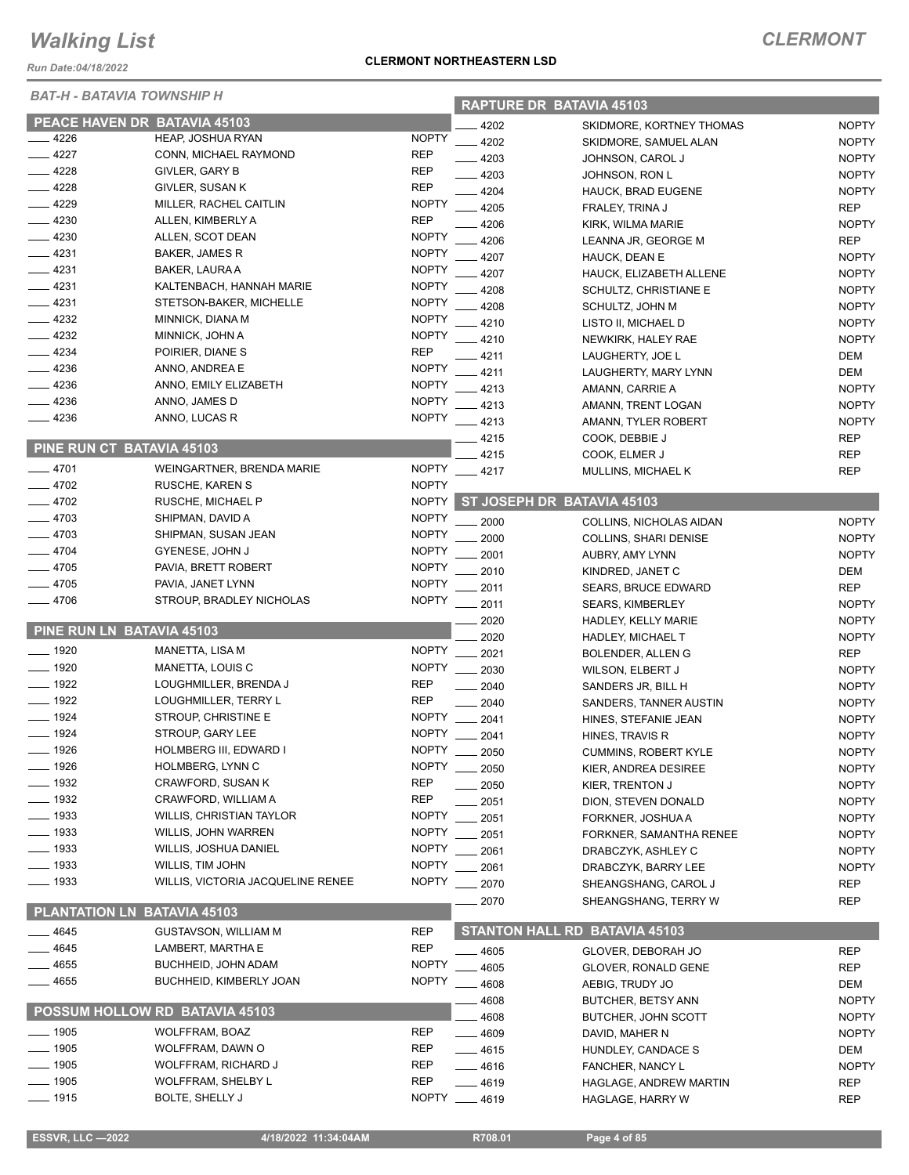*Run Date:04/18/2022*

#### *BAT-H - BATAVIA TOWNSHIP H*

| BAT-H - BATAVIA TOWNSHIP H |                                   |              | <b>RAPTURE DR BATAVIA 45103</b> |                                      |              |  |
|----------------------------|-----------------------------------|--------------|---------------------------------|--------------------------------------|--------------|--|
|                            | PEACE HAVEN DR BATAVIA 45103      |              | 4202                            | SKIDMORE, KORTNEY THOMAS             | <b>NOPTY</b> |  |
| $-4226$                    | HEAP, JOSHUA RYAN                 | <b>NOPTY</b> | 4202                            | SKIDMORE, SAMUEL ALAN                | <b>NOPTY</b> |  |
| 4227                       | CONN, MICHAEL RAYMOND             | <b>REP</b>   | 4203                            | JOHNSON, CAROL J                     | <b>NOPTY</b> |  |
| 4228                       | GIVLER, GARY B                    | <b>REP</b>   | $-4203$                         | JOHNSON, RON L                       | <b>NOPTY</b> |  |
| 4228                       | GIVLER, SUSAN K                   | <b>REP</b>   | 4204                            | HAUCK, BRAD EUGENE                   | <b>NOPTY</b> |  |
| 4229                       | MILLER, RACHEL CAITLIN            | <b>NOPTY</b> | 4205                            | FRALEY, TRINA J                      | <b>REP</b>   |  |
| 4230                       | ALLEN, KIMBERLY A                 | <b>REP</b>   | 4206                            | KIRK, WILMA MARIE                    | <b>NOPTY</b> |  |
| 4230                       | ALLEN, SCOT DEAN                  | <b>NOPTY</b> | 4206                            | LEANNA JR, GEORGE M                  | <b>REP</b>   |  |
| 4231                       | BAKER, JAMES R                    | <b>NOPTY</b> | 4207                            | HAUCK, DEAN E                        | <b>NOPTY</b> |  |
| 4231                       | BAKER, LAURA A                    | <b>NOPTY</b> | 4207                            | HAUCK, ELIZABETH ALLENE              | <b>NOPTY</b> |  |
| $-4231$                    | KALTENBACH, HANNAH MARIE          | <b>NOPTY</b> | 4208                            | SCHULTZ, CHRISTIANE E                | <b>NOPTY</b> |  |
| $-4231$                    | STETSON-BAKER, MICHELLE           | <b>NOPTY</b> | 4208                            | SCHULTZ, JOHN M                      | <b>NOPTY</b> |  |
| 4232                       | MINNICK, DIANA M                  | <b>NOPTY</b> | 4210                            | LISTO II, MICHAEL D                  | <b>NOPTY</b> |  |
| 4232                       | MINNICK, JOHN A                   | <b>NOPTY</b> | 4210                            | NEWKIRK, HALEY RAE                   | <b>NOPTY</b> |  |
| 4234                       | POIRIER, DIANE S                  | <b>REP</b>   | 4211                            | LAUGHERTY, JOE L                     | DEM          |  |
| 4236                       | ANNO, ANDREA E                    | <b>NOPTY</b> | 4211                            | LAUGHERTY, MARY LYNN                 | DEM          |  |
| 4236                       | ANNO, EMILY ELIZABETH             | <b>NOPTY</b> | 4213                            | AMANN, CARRIE A                      | <b>NOPTY</b> |  |
| 4236                       | ANNO, JAMES D                     | <b>NOPTY</b> | 4213                            | AMANN, TRENT LOGAN                   | <b>NOPTY</b> |  |
| 4236                       | ANNO, LUCAS R                     | <b>NOPTY</b> | 4213                            | AMANN, TYLER ROBERT                  | <b>NOPTY</b> |  |
|                            |                                   |              | 4215                            | COOK, DEBBIE J                       | <b>REP</b>   |  |
|                            | PINE RUN CT BATAVIA 45103         |              | 4215                            | COOK, ELMER J                        | <b>REP</b>   |  |
| __ 4701                    | WEINGARTNER, BRENDA MARIE         | <b>NOPTY</b> | $-4217$                         | MULLINS, MICHAEL K                   | <b>REP</b>   |  |
| 4702                       | <b>RUSCHE, KAREN S</b>            | <b>NOPTY</b> |                                 |                                      |              |  |
| 4702                       | RUSCHE, MICHAEL P                 | <b>NOPTY</b> |                                 | ST JOSEPH DR BATAVIA 45103           |              |  |
| $-4703$                    | SHIPMAN, DAVID A                  | <b>NOPTY</b> | 2000                            | COLLINS, NICHOLAS AIDAN              | <b>NOPTY</b> |  |
| $-4703$                    | SHIPMAN, SUSAN JEAN               | <b>NOPTY</b> | 2000                            | <b>COLLINS, SHARI DENISE</b>         | <b>NOPTY</b> |  |
| $-4704$                    | GYENESE, JOHN J                   | <b>NOPTY</b> | 2001                            | AUBRY, AMY LYNN                      | <b>NOPTY</b> |  |
| 4705                       | PAVIA, BRETT ROBERT               | <b>NOPTY</b> | 2010                            | KINDRED, JANET C                     | DEM          |  |
| 4705                       | PAVIA, JANET LYNN                 | <b>NOPTY</b> | 2011                            | <b>SEARS, BRUCE EDWARD</b>           | <b>REP</b>   |  |
| 4706                       | STROUP, BRADLEY NICHOLAS          | <b>NOPTY</b> | 2011                            | <b>SEARS, KIMBERLEY</b>              | <b>NOPTY</b> |  |
|                            |                                   |              | 2020                            | HADLEY, KELLY MARIE                  | <b>NOPTY</b> |  |
|                            | PINE RUN LN BATAVIA 45103         |              | 2020                            | <b>HADLEY, MICHAEL T</b>             | <b>NOPTY</b> |  |
| $-1920$                    | MANETTA, LISA M                   | <b>NOPTY</b> | 2021                            | BOLENDER, ALLEN G                    | <b>REP</b>   |  |
| $-1920$                    | MANETTA, LOUIS C                  | <b>NOPTY</b> | 2030                            | <b>WILSON, ELBERT J</b>              | <b>NOPTY</b> |  |
| $-1922$                    | LOUGHMILLER, BRENDA J             | <b>REP</b>   | 2040                            | SANDERS JR, BILL H                   | <b>NOPTY</b> |  |
| $- 1922$                   | LOUGHMILLER, TERRY L              | <b>REP</b>   | 2040                            | SANDERS, TANNER AUSTIN               | <b>NOPTY</b> |  |
| $-1924$                    | STROUP, CHRISTINE E               | <b>NOPTY</b> | 2041                            | HINES, STEFANIE JEAN                 | <b>NOPTY</b> |  |
| $-1924$                    | STROUP, GARY LEE                  | <b>NOPTY</b> | 2041                            | HINES, TRAVIS R                      | <b>NOPTY</b> |  |
| $-1926$                    | HOLMBERG III, EDWARD I            | <b>NOPTY</b> | 2050                            | <b>CUMMINS, ROBERT KYLE</b>          | <b>NOPTY</b> |  |
| _ 1926                     | HOLMBERG, LYNN C                  | <b>NOPTY</b> | 2050                            | KIER, ANDREA DESIREE                 | <b>NOPTY</b> |  |
| $-1932$                    | CRAWFORD, SUSAN K                 | <b>REP</b>   | 2050                            | KIER, TRENTON J                      | <b>NOPTY</b> |  |
| __ 1932                    | CRAWFORD, WILLIAM A               | <b>REP</b>   | 2051                            | DION, STEVEN DONALD                  | <b>NOPTY</b> |  |
| __ 1933                    | <b>WILLIS, CHRISTIAN TAYLOR</b>   | <b>NOPTY</b> | 2051                            | FORKNER, JOSHUA A                    | <b>NOPTY</b> |  |
| $-1933$                    | <b>WILLIS, JOHN WARREN</b>        | <b>NOPTY</b> | 2051                            | FORKNER, SAMANTHA RENEE              | <b>NOPTY</b> |  |
| $-1933$                    | <b>WILLIS, JOSHUA DANIEL</b>      | <b>NOPTY</b> | 2061                            | DRABCZYK, ASHLEY C                   | <b>NOPTY</b> |  |
| $-1933$                    | WILLIS, TIM JOHN                  | <b>NOPTY</b> | 2061                            | DRABCZYK, BARRY LEE                  | <b>NOPTY</b> |  |
| ___ 1933                   | WILLIS, VICTORIA JACQUELINE RENEE | <b>NOPTY</b> | 2070                            | SHEANGSHANG, CAROL J                 | REP          |  |
|                            |                                   |              | 2070                            | SHEANGSHANG, TERRY W                 | <b>REP</b>   |  |
|                            | PLANTATION LN BATAVIA 45103       |              |                                 |                                      |              |  |
| 4645                       | <b>GUSTAVSON, WILLIAM M</b>       | <b>REP</b>   |                                 | <b>STANTON HALL RD BATAVIA 45103</b> |              |  |
| 4645                       | LAMBERT, MARTHA E                 | <b>REP</b>   | 4605                            | GLOVER, DEBORAH JO                   | REP          |  |
| 4655                       | <b>BUCHHEID, JOHN ADAM</b>        | <b>NOPTY</b> | 4605                            | GLOVER, RONALD GENE                  | <b>REP</b>   |  |
| 4655                       | BUCHHEID, KIMBERLY JOAN           | <b>NOPTY</b> | 4608                            | AEBIG, TRUDY JO                      | DEM          |  |
|                            | POSSUM HOLLOW RD BATAVIA 45103    |              | 4608                            | <b>BUTCHER, BETSY ANN</b>            | <b>NOPTY</b> |  |
|                            |                                   |              | 4608                            | <b>BUTCHER, JOHN SCOTT</b>           | <b>NOPTY</b> |  |
| $-1905$                    | <b>WOLFFRAM, BOAZ</b>             | <b>REP</b>   | $-4609$                         | DAVID, MAHER N                       | <b>NOPTY</b> |  |
| $-1905$                    | WOLFFRAM, DAWN O                  | <b>REP</b>   | $-4615$                         | HUNDLEY, CANDACE S                   | DEM          |  |
| $=$ 1905                   | WOLFFRAM, RICHARD J               | REP          | —— 4616                         | <b>FANCHER, NANCY L</b>              | <b>NOPTY</b> |  |
| $-1905$                    | <b>WOLFFRAM, SHELBY L</b>         | <b>REP</b>   | —— 4619                         | HAGLAGE, ANDREW MARTIN               | REP          |  |
| 1915                       | <b>BOLTE, SHELLY J</b>            | <b>NOPTY</b> | 4619                            | <b>HAGLAGE, HARRY W</b>              | <b>REP</b>   |  |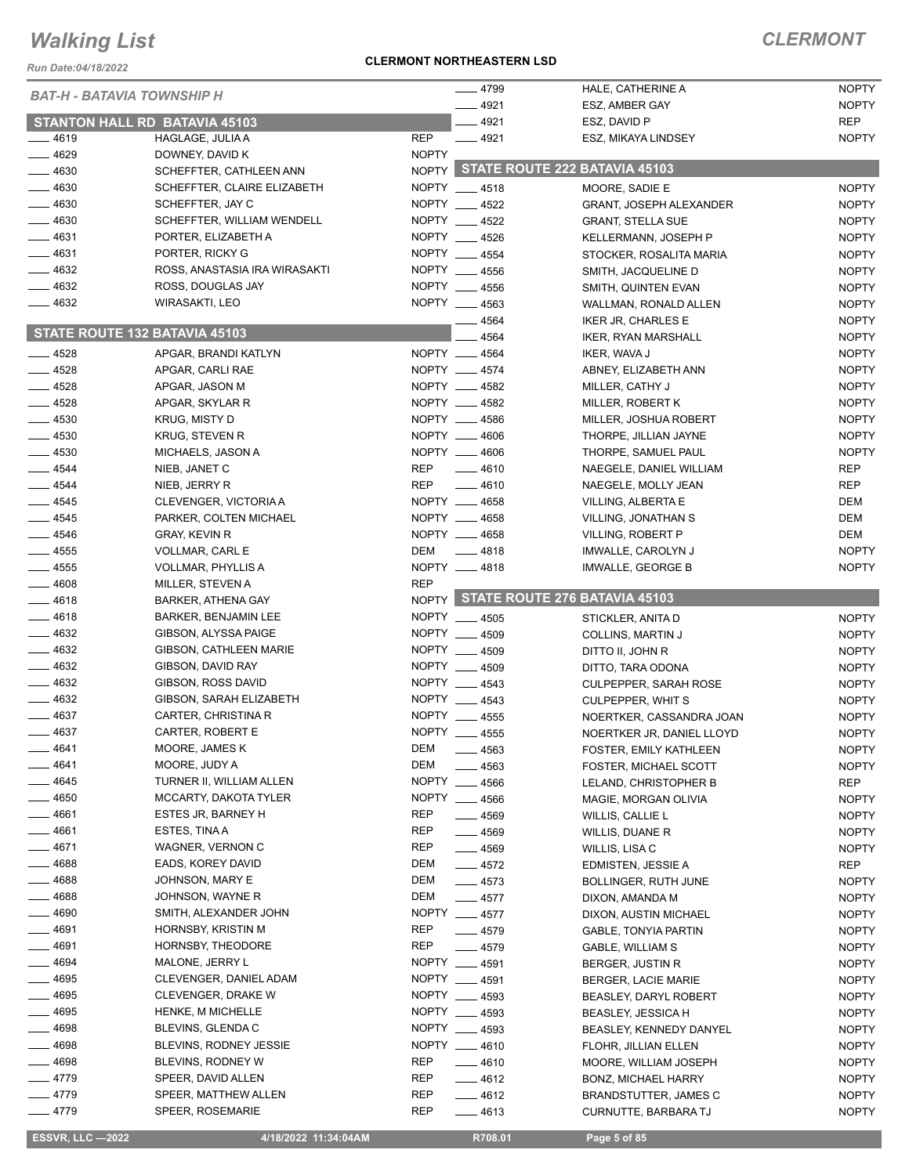*Run Date:04/18/2022*

#### **CLERMONT NORTHEASTERN LSD**

### *CLERMONT*

| <b>BAT-H - BATAVIA TOWNSHIP H</b> |                                                     |                   | $-4799$                        | HALE, CATHERINE A                                    | <b>NOPTY</b>                 |
|-----------------------------------|-----------------------------------------------------|-------------------|--------------------------------|------------------------------------------------------|------------------------------|
|                                   |                                                     |                   | $-4921$                        | ESZ, AMBER GAY                                       | <b>NOPTY</b>                 |
|                                   | <b>STANTON HALL RD BATAVIA 45103</b>                |                   | $-4921$                        | ESZ, DAVID P                                         | <b>REP</b>                   |
| $-4619$                           | HAGLAGE, JULIA A                                    | <b>REP</b>        | $-4921$                        | ESZ, MIKAYA LINDSEY                                  | <b>NOPTY</b>                 |
| - 4629                            | DOWNEY, DAVID K                                     | <b>NOPTY</b>      |                                | NOPTY STATE ROUTE 222 BATAVIA 45103                  |                              |
| - 4630                            | SCHEFFTER, CATHLEEN ANN                             |                   |                                |                                                      |                              |
| $-4630$                           | SCHEFFTER, CLAIRE ELIZABETH                         |                   | NOPTY 4518                     | MOORE, SADIE E                                       | <b>NOPTY</b>                 |
| 4630                              | SCHEFFTER, JAY C                                    |                   | NOPTY __ 4522                  | <b>GRANT, JOSEPH ALEXANDER</b>                       | <b>NOPTY</b>                 |
| $-4630$                           | SCHEFFTER, WILLIAM WENDELL                          |                   | NOPTY 4522                     | <b>GRANT, STELLA SUE</b>                             | <b>NOPTY</b>                 |
| 4631                              | PORTER, ELIZABETH A                                 |                   | NOPTY __ 4526                  | <b>KELLERMANN, JOSEPH P</b>                          | <b>NOPTY</b>                 |
| 4631                              | PORTER, RICKY G                                     |                   | NOPTY __ 4554                  | STOCKER, ROSALITA MARIA                              | <b>NOPTY</b>                 |
| $-4632$<br>$-4632$                | ROSS, ANASTASIA IRA WIRASAKTI                       |                   | NOPTY 4556<br>NOPTY __ 4556    | SMITH, JACQUELINE D                                  | <b>NOPTY</b>                 |
| $-4632$                           | ROSS, DOUGLAS JAY<br>WIRASAKTI, LEO                 |                   | NOPTY __ 4563                  | SMITH, QUINTEN EVAN                                  | <b>NOPTY</b>                 |
|                                   |                                                     |                   |                                | WALLMAN, RONALD ALLEN                                | <b>NOPTY</b>                 |
| STATE ROUTE 132 BATAVIA 45103     |                                                     |                   | $-4564$<br>4564                | <b>IKER JR, CHARLES E</b>                            | <b>NOPTY</b><br><b>NOPTY</b> |
| $-4528$                           |                                                     |                   | NOPTY __ 4564                  | IKER, RYAN MARSHALL                                  | <b>NOPTY</b>                 |
| $-4528$                           | APGAR, BRANDI KATLYN                                |                   | NOPTY __ 4574                  | IKER, WAVA J                                         | <b>NOPTY</b>                 |
| 4528                              | APGAR, CARLI RAE<br>APGAR, JASON M                  |                   | NOPTY __ 4582                  | ABNEY, ELIZABETH ANN<br>MILLER, CATHY J              | <b>NOPTY</b>                 |
| - 4528                            | APGAR, SKYLAR R                                     |                   | NOPTY __ 4582                  | MILLER, ROBERT K                                     | <b>NOPTY</b>                 |
| $-4530$                           | <b>KRUG, MISTY D</b>                                |                   | NOPTY __ 4586                  | MILLER, JOSHUA ROBERT                                | <b>NOPTY</b>                 |
| $-4530$                           | KRUG, STEVEN R                                      |                   | NOPTY __ 4606                  | THORPE, JILLIAN JAYNE                                | <b>NOPTY</b>                 |
| $-4530$                           | MICHAELS, JASON A                                   |                   | NOPTY __ 4606                  | THORPE, SAMUEL PAUL                                  | <b>NOPTY</b>                 |
| $-4544$                           | NIEB, JANET C                                       | REP               | $-4610$                        | NAEGELE, DANIEL WILLIAM                              | <b>REP</b>                   |
| $-4544$                           | NIEB, JERRY R                                       | REP               | $-4610$                        | NAEGELE, MOLLY JEAN                                  | <b>REP</b>                   |
| $-4545$                           | CLEVENGER, VICTORIA A                               |                   | NOPTY __ 4658                  | VILLING, ALBERTA E                                   | DEM                          |
| $-4545$                           | PARKER, COLTEN MICHAEL                              |                   | NOPTY __ 4658                  | VILLING, JONATHAN S                                  | <b>DEM</b>                   |
| $- 4546$                          | <b>GRAY, KEVIN R</b>                                |                   | NOPTY __ 4658                  | VILLING, ROBERT P                                    | DEM                          |
| $-4555$                           | VOLLMAR, CARL E                                     | DEM               | $\frac{1}{2}$ 4818             | IMWALLE, CAROLYN J                                   | <b>NOPTY</b>                 |
| $-4555$                           | VOLLMAR, PHYLLIS A                                  |                   | NOPTY __ 4818                  | IMWALLE, GEORGE B                                    | <b>NOPTY</b>                 |
| $-4608$                           | MILLER, STEVEN A                                    | <b>REP</b>        |                                |                                                      |                              |
| 4618                              | <b>BARKER, ATHENA GAY</b>                           |                   |                                | NOPTY STATE ROUTE 276 BATAVIA 45103                  |                              |
|                                   |                                                     |                   |                                |                                                      |                              |
|                                   |                                                     |                   |                                |                                                      |                              |
| - 4618<br>- 4632                  | <b>BARKER, BENJAMIN LEE</b><br>GIBSON, ALYSSA PAIGE |                   | NOPTY __ 4505                  | STICKLER, ANITA D                                    | <b>NOPTY</b>                 |
| $-4632$                           | <b>GIBSON, CATHLEEN MARIE</b>                       |                   | NOPTY 4509                     | COLLINS, MARTIN J                                    | <b>NOPTY</b>                 |
| $\frac{1}{2}$ 4632                | GIBSON, DAVID RAY                                   |                   | NOPTY __ 4509                  | DITTO II, JOHN R                                     | <b>NOPTY</b><br><b>NOPTY</b> |
| $-4632$                           | GIBSON, ROSS DAVID                                  |                   | NOPTY __ 4509<br>NOPTY 4543    | DITTO, TARA ODONA<br><b>CULPEPPER, SARAH ROSE</b>    | <b>NOPTY</b>                 |
| $\frac{1}{2}$ 4632                | GIBSON, SARAH ELIZABETH                             |                   |                                | <b>CULPEPPER, WHIT S</b>                             | <b>NOPTY</b>                 |
| 4637                              | CARTER, CHRISTINA R                                 |                   | NOPTY __ 4543<br>NOPTY __ 4555 | NOERTKER, CASSANDRA JOAN                             | <b>NOPTY</b>                 |
| $-4637$                           | CARTER, ROBERT E                                    |                   | NOPTY __ 4555                  | NOERTKER JR, DANIEL LLOYD                            | <b>NOPTY</b>                 |
| 4641                              | MOORE, JAMES K                                      | DEM               | _ 4563                         | FOSTER, EMILY KATHLEEN                               | <b>NOPTY</b>                 |
| 4641                              | MOORE, JUDY A                                       | DEM               | 4563                           | FOSTER, MICHAEL SCOTT                                | <b>NOPTY</b>                 |
| 4645                              | TURNER II, WILLIAM ALLEN                            |                   | NOPTY __ 4566                  | LELAND, CHRISTOPHER B                                | <b>REP</b>                   |
| 4650                              | MCCARTY, DAKOTA TYLER                               |                   | NOPTY __ 4566                  | MAGIE, MORGAN OLIVIA                                 | <b>NOPTY</b>                 |
| 4661                              | <b>ESTES JR, BARNEY H</b>                           | REP               | $-4569$                        | WILLIS, CALLIE L                                     | <b>NOPTY</b>                 |
| 4661                              | ESTES, TINA A                                       | <b>REP</b>        | $- 4569$                       | WILLIS, DUANE R                                      | <b>NOPTY</b>                 |
| 4671                              | WAGNER, VERNON C                                    | REP               | $- 4569$                       | WILLIS, LISA C                                       | <b>NOPTY</b>                 |
| _ 4688                            | EADS, KOREY DAVID                                   | DEM               | $-4572$                        | EDMISTEN, JESSIE A                                   | <b>REP</b>                   |
| 4688                              | JOHNSON, MARY E                                     | DEM               | $-4573$                        | BOLLINGER, RUTH JUNE                                 | <b>NOPTY</b>                 |
| 4688                              | JOHNSON, WAYNE R                                    | DEM               | $-4577$                        | DIXON, AMANDA M                                      | <b>NOPTY</b>                 |
| 4690                              | SMITH, ALEXANDER JOHN                               |                   | NOPTY __ 4577                  | DIXON, AUSTIN MICHAEL                                | <b>NOPTY</b>                 |
| 4691                              | HORNSBY, KRISTIN M                                  | <b>REP</b>        | $-4579$                        | <b>GABLE, TONYIA PARTIN</b>                          | <b>NOPTY</b>                 |
| 4691                              | HORNSBY, THEODORE                                   | <b>REP</b>        | $-4579$                        | GABLE, WILLIAM S                                     | <b>NOPTY</b>                 |
| 4694                              | MALONE, JERRY L                                     |                   | NOPTY __ 4591                  | BERGER, JUSTIN R                                     | <b>NOPTY</b>                 |
| 4695                              | CLEVENGER, DANIEL ADAM                              |                   | NOPTY __ 4591                  | <b>BERGER, LACIE MARIE</b>                           | <b>NOPTY</b>                 |
| 4695                              | CLEVENGER, DRAKE W                                  |                   | NOPTY __ 4593                  | <b>BEASLEY, DARYL ROBERT</b>                         | <b>NOPTY</b>                 |
| 4695                              | HENKE, M MICHELLE                                   |                   | NOPTY __ 4593                  | <b>BEASLEY, JESSICA H</b>                            | <b>NOPTY</b>                 |
| 4698                              | BLEVINS, GLENDA C                                   |                   | NOPTY __ 4593                  | BEASLEY, KENNEDY DANYEL                              | <b>NOPTY</b>                 |
| 4698                              | BLEVINS, RODNEY JESSIE                              |                   | NOPTY __ 4610                  | FLOHR, JILLIAN ELLEN                                 | <b>NOPTY</b>                 |
| - 4698                            | BLEVINS, RODNEY W                                   | REP               | $-4610$                        | MOORE, WILLIAM JOSEPH                                | <b>NOPTY</b>                 |
| __ 4779                           | SPEER, DAVID ALLEN                                  | REP               | —— 4612                        | <b>BONZ, MICHAEL HARRY</b>                           | <b>NOPTY</b>                 |
| $-4779$<br>$-4779$                | SPEER, MATTHEW ALLEN<br>SPEER, ROSEMARIE            | <b>REP</b><br>REP | $-4612$<br>—— 4613             | <b>BRANDSTUTTER, JAMES C</b><br>CURNUTTE, BARBARA TJ | <b>NOPTY</b><br><b>NOPTY</b> |

 **ESSVR, LLC —2022 4/18/2022 11:34:04AM R708.01 Page 5 of 85**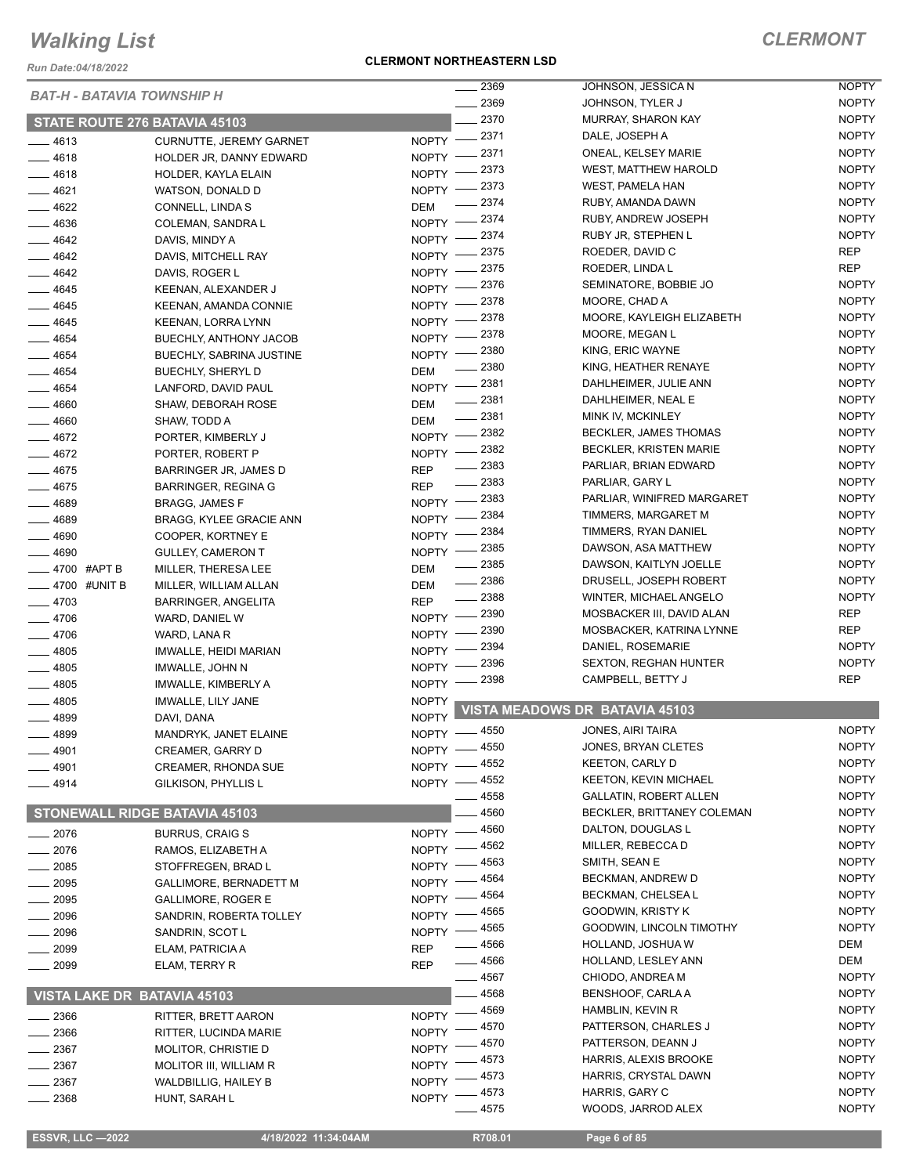*Run Date:04/18/2022*

#### **CLERMONT NORTHEASTERN LSD**

|                  |              | <b>BAT-H - BATAVIA TOWNSHIP H</b>    |              | 2369         | JOHNSON, JESSICA N                    | <b>NOPTY</b> |
|------------------|--------------|--------------------------------------|--------------|--------------|---------------------------------------|--------------|
|                  |              |                                      |              | 2369         | JOHNSON, TYLER J                      | <b>NOPTY</b> |
|                  |              | STATE ROUTE 276 BATAVIA 45103        |              | 2370         | <b>MURRAY, SHARON KAY</b>             | <b>NOPTY</b> |
| $- 4613$         |              | CURNUTTE, JEREMY GARNET              | $NOPTY$ -    | 2371         | DALE, JOSEPH A                        | <b>NOPTY</b> |
| 4618             |              | HOLDER JR, DANNY EDWARD              | NOPTY -      | 2371         | ONEAL, KELSEY MARIE                   | <b>NOPTY</b> |
| - 4618           |              | HOLDER, KAYLA ELAIN                  | <b>NOPTY</b> | 2373         | <b>WEST, MATTHEW HAROLD</b>           | <b>NOPTY</b> |
| $-4621$          |              | WATSON, DONALD D                     | <b>NOPTY</b> | 2373         | <b>WEST, PAMELA HAN</b>               | <b>NOPTY</b> |
| $-4622$          |              | CONNELL, LINDA S                     | <b>DEM</b>   | 2374         | RUBY, AMANDA DAWN                     | <b>NOPTY</b> |
|                  |              |                                      | <b>NOPTY</b> | 2374         | RUBY, ANDREW JOSEPH                   | <b>NOPTY</b> |
| $-4636$          |              | COLEMAN, SANDRA L                    |              | 2374         | RUBY JR, STEPHEN L                    | <b>NOPTY</b> |
| $-4642$          |              | DAVIS, MINDY A                       | NOPTY -      | 2375         | ROEDER, DAVID C                       | <b>REP</b>   |
| $-4642$          |              | DAVIS, MITCHELL RAY                  | NOPTY -      | 2375         | ROEDER, LINDA L                       | <b>REP</b>   |
| $-4642$          |              | DAVIS, ROGER L                       | NOPTY -      | 2376         | SEMINATORE, BOBBIE JO                 | <b>NOPTY</b> |
| _ 4645           |              | KEENAN, ALEXANDER J                  | NOPTY -      |              |                                       |              |
| $- 4645$         |              | KEENAN, AMANDA CONNIE                | NOPTY -      | 2378         | MOORE, CHAD A                         | <b>NOPTY</b> |
| $-4645$          |              | KEENAN, LORRA LYNN                   | NOPTY -      | 2378         | MOORE, KAYLEIGH ELIZABETH             | <b>NOPTY</b> |
| $-4654$          |              | <b>BUECHLY, ANTHONY JACOB</b>        | <b>NOPTY</b> | 2378         | MOORE, MEGAN L                        | <b>NOPTY</b> |
| $- 4654$         |              | BUECHLY, SABRINA JUSTINE             | <b>NOPTY</b> | 2380         | KING, ERIC WAYNE                      | <b>NOPTY</b> |
| 4654             |              | BUECHLY, SHERYL D                    | DEM          | 2380         | KING, HEATHER RENAYE                  | <b>NOPTY</b> |
| - 4654           |              | LANFORD, DAVID PAUL                  | <b>NOPTY</b> | 2381         | DAHLHEIMER, JULIE ANN                 | <b>NOPTY</b> |
| $-4660$          |              | SHAW, DEBORAH ROSE                   | DEM          | 2381         | DAHLHEIMER, NEAL E                    | <b>NOPTY</b> |
| $- 4660$         |              | SHAW, TODD A                         | DEM          | 2381         | MINK IV, MCKINLEY                     | <b>NOPTY</b> |
| $-4672$          |              | PORTER, KIMBERLY J                   | <b>NOPTY</b> | 2382         | <b>BECKLER, JAMES THOMAS</b>          | <b>NOPTY</b> |
| 4672             |              | PORTER, ROBERT P                     | <b>NOPTY</b> | 2382         | BECKLER, KRISTEN MARIE                | <b>NOPTY</b> |
|                  |              |                                      |              | 2383         | PARLIAR, BRIAN EDWARD                 | <b>NOPTY</b> |
| $-4675$          |              | BARRINGER JR, JAMES D                | <b>REP</b>   | $-2383$      | PARLIAR, GARY L                       | <b>NOPTY</b> |
| 4675             |              | <b>BARRINGER, REGINA G</b>           | <b>REP</b>   | 2383         | PARLIAR, WINIFRED MARGARET            | <b>NOPTY</b> |
| - 4689           |              | <b>BRAGG, JAMES F</b>                | $N$ OPTY $-$ |              |                                       | <b>NOPTY</b> |
| $- 4689$         |              | BRAGG, KYLEE GRACIE ANN              | NOPTY -      | 2384         | TIMMERS, MARGARET M                   |              |
| $-4690$          |              | COOPER, KORTNEY E                    | NOPTY -      | 2384         | TIMMERS, RYAN DANIEL                  | <b>NOPTY</b> |
| $-4690$          |              | <b>GULLEY, CAMERON T</b>             | <b>NOPTY</b> | 2385         | DAWSON, ASA MATTHEW                   | <b>NOPTY</b> |
|                  | 4700 #APT B  | MILLER, THERESA LEE                  | DEM          | 2385         | DAWSON, KAITLYN JOELLE                | <b>NOPTY</b> |
|                  | 4700 #UNIT B | MILLER, WILLIAM ALLAN                | DEM          | 2386         | DRUSELL, JOSEPH ROBERT                | <b>NOPTY</b> |
| - 4703           |              | <b>BARRINGER, ANGELITA</b>           | <b>REP</b>   | $-2388$      | WINTER, MICHAEL ANGELO                | <b>NOPTY</b> |
| 4706             |              | WARD, DANIEL W                       | $N$ OPTY $-$ | 2390         | MOSBACKER III, DAVID ALAN             | <b>REP</b>   |
| $-4706$          |              | WARD, LANA R                         | <b>NOPTY</b> | 2390         | MOSBACKER, KATRINA LYNNE              | <b>REP</b>   |
| $-4805$          |              | IMWALLE, HEIDI MARIAN                | <b>NOPTY</b> | 2394         | DANIEL, ROSEMARIE                     | <b>NOPTY</b> |
| $-4805$          |              | IMWALLE, JOHN N                      | <b>NOPTY</b> | 2396         | <b>SEXTON, REGHAN HUNTER</b>          | <b>NOPTY</b> |
|                  |              |                                      | <b>NOPTY</b> | 2398         | CAMPBELL, BETTY J                     | <b>REP</b>   |
| $-4805$          |              | IMWALLE, KIMBERLY A                  |              |              |                                       |              |
| 4805             |              | IMWALLE, LILY JANE                   | <b>NOPTY</b> |              | <b>VISTA MEADOWS DR BATAVIA 45103</b> |              |
| 4899             |              | DAVI, DANA                           | <b>NOPTY</b> |              |                                       | <b>NOPTY</b> |
| 4899             |              | MANDRYK, JANET ELAINE                |              | NOPTY - 4550 | <b>JONES, AIRI TAIRA</b>              |              |
| _ 4901           |              | CREAMER, GARRY D                     |              | NOPTY -4550  | JONES, BRYAN CLETES                   | <b>NOPTY</b> |
| $-4901$          |              | <b>CREAMER, RHONDA SUE</b>           | $N$ OPTY $-$ | 4552         | <b>KEETON, CARLY D</b>                | <b>NOPTY</b> |
| $-4914$          |              | GILKISON, PHYLLIS L                  |              | NOPTY -4552  | <b>KEETON, KEVIN MICHAEL</b>          | <b>NOPTY</b> |
|                  |              |                                      |              | 4558         | <b>GALLATIN, ROBERT ALLEN</b>         | <b>NOPTY</b> |
|                  |              | <b>STONEWALL RIDGE BATAVIA 45103</b> |              | 4560         | BECKLER, BRITTANEY COLEMAN            | <b>NOPTY</b> |
| $=2076$          |              | <b>BURRUS, CRAIG S</b>               | $N$ OPTY $-$ | 4560         | DALTON, DOUGLAS L                     | <b>NOPTY</b> |
| $-2076$          |              | RAMOS, ELIZABETH A                   | $NOPTY$ -    | 4562         | MILLER, REBECCA D                     | <b>NOPTY</b> |
| $\frac{1}{2085}$ |              | STOFFREGEN, BRAD L                   | $NOPTY -$    | 4563         | SMITH, SEAN E                         | <b>NOPTY</b> |
| $\frac{1}{2095}$ |              | <b>GALLIMORE, BERNADETT M</b>        | NOPTY -      | 4564         | BECKMAN, ANDREW D                     | <b>NOPTY</b> |
|                  |              |                                      |              | 4564         | BECKMAN, CHELSEA L                    | <b>NOPTY</b> |
| $- 2095$         |              | <b>GALLIMORE, ROGER E</b>            | <b>NOPTY</b> | 4565         | <b>GOODWIN, KRISTY K</b>              | <b>NOPTY</b> |
| 2096             |              | SANDRIN, ROBERTA TOLLEY              | <b>NOPTY</b> | 4565         | GOODWIN, LINCOLN TIMOTHY              | <b>NOPTY</b> |
| 2096             |              | SANDRIN, SCOT L                      | <b>NOPTY</b> |              |                                       |              |
| 2099             |              | ELAM, PATRICIA A                     | <b>REP</b>   | 4566         | HOLLAND, JOSHUA W                     | DEM          |
| 2099             |              | ELAM, TERRY R                        | <b>REP</b>   | 4566         | HOLLAND, LESLEY ANN                   | DEM          |
|                  |              |                                      |              | 4567         | CHIODO, ANDREA M                      | <b>NOPTY</b> |
|                  |              | <b>VISTA LAKE DR BATAVIA 45103</b>   |              | 4568         | BENSHOOF, CARLA A                     | <b>NOPTY</b> |
| $-2366$          |              | RITTER, BRETT AARON                  | <b>NOPTY</b> | 4569         | HAMBLIN, KEVIN R                      | <b>NOPTY</b> |
| $-2366$          |              | RITTER, LUCINDA MARIE                | <b>NOPTY</b> | 4570         | PATTERSON, CHARLES J                  | <b>NOPTY</b> |
| $= 2367$         |              | <b>MOLITOR, CHRISTIE D</b>           | <b>NOPTY</b> | 4570         | PATTERSON, DEANN J                    | <b>NOPTY</b> |
| $-2367$          |              |                                      | <b>NOPTY</b> | 4573         | HARRIS, ALEXIS BROOKE                 | <b>NOPTY</b> |
|                  |              | <b>MOLITOR III, WILLIAM R</b>        | NOPTY -      | 4573         | HARRIS, CRYSTAL DAWN                  | <b>NOPTY</b> |
| . 2367           |              | WALDBILLIG, HAILEY B                 |              | 4573         | HARRIS, GARY C                        | <b>NOPTY</b> |
| - 2368           |              | HUNT, SARAH L                        | <b>NOPTY</b> | 4575         | WOODS, JARROD ALEX                    | <b>NOPTY</b> |
|                  |              |                                      |              |              |                                       |              |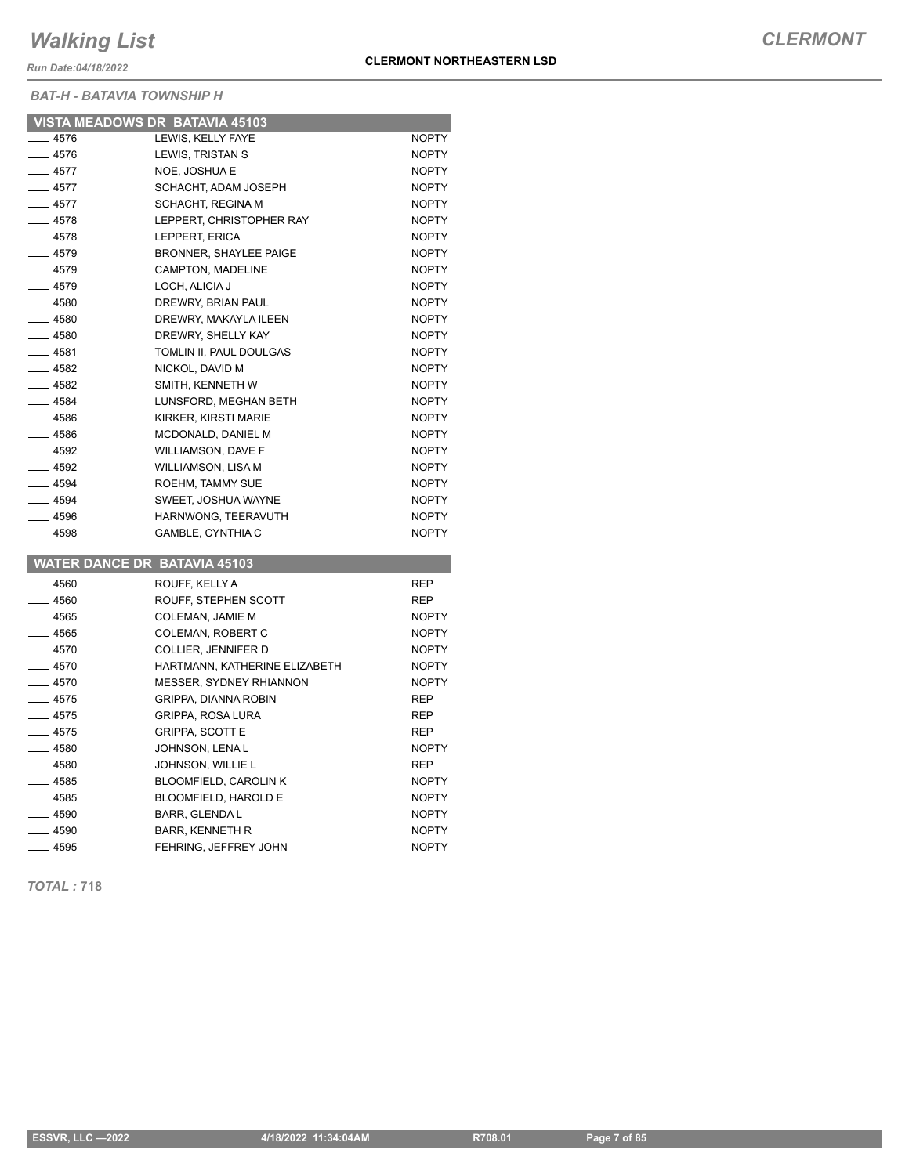*Run Date:04/18/2022*

*BAT-H - BATAVIA TOWNSHIP H*

|           | VISTA MEADOWS DR BATAVIA 45103      |              |
|-----------|-------------------------------------|--------------|
| $-4576$   | LEWIS, KELLY FAYE                   | <b>NOPTY</b> |
| ____ 4576 | LEWIS, TRISTAN S                    | NOPTY        |
| $-4577$   | NOE, JOSHUA E                       | <b>NOPTY</b> |
| $-4577$   | SCHACHT, ADAM JOSEPH                | <b>NOPTY</b> |
| $-4577$   | <b>SCHACHT, REGINA M</b>            | <b>NOPTY</b> |
| $-4578$   | LEPPERT, CHRISTOPHER RAY            | <b>NOPTY</b> |
| $-4578$   | LEPPERT, ERICA                      | <b>NOPTY</b> |
| —— 4579   | <b>BRONNER, SHAYLEE PAIGE</b>       | <b>NOPTY</b> |
| $-4579$   | <b>CAMPTON, MADELINE</b>            | <b>NOPTY</b> |
| $-4579$   | LOCH, ALICIA J                      | <b>NOPTY</b> |
| $-4580$   | DREWRY, BRIAN PAUL                  | <b>NOPTY</b> |
| $-4580$   | DREWRY, MAKAYLA ILEEN               | <b>NOPTY</b> |
| $- 4580$  | DREWRY, SHELLY KAY                  | <b>NOPTY</b> |
| $-4581$   | TOMLIN II, PAUL DOULGAS             | <b>NOPTY</b> |
| $-4582$   | NICKOL, DAVID M                     | <b>NOPTY</b> |
| ___ 4582  | SMITH, KENNETH W                    | <b>NOPTY</b> |
| $-4584$   | LUNSFORD, MEGHAN BETH               | <b>NOPTY</b> |
| —— 4586   | KIRKER, KIRSTI MARIE                | <b>NOPTY</b> |
| $-4586$   | MCDONALD, DANIEL M                  | <b>NOPTY</b> |
| $-4592$   | <b>WILLIAMSON, DAVE F</b>           | <b>NOPTY</b> |
| ___ 4592  | WILLIAMSON, LISA M                  | <b>NOPTY</b> |
| $-4594$   | ROEHM, TAMMY SUE                    | <b>NOPTY</b> |
| $-4594$   | SWEET, JOSHUA WAYNE                 | <b>NOPTY</b> |
| $-4596$   | HARNWONG, TEERAVUTH                 | NOPTY        |
| ___ 4598  | <b>GAMBLE, CYNTHIA C</b>            | <b>NOPTY</b> |
|           |                                     |              |
|           | <b>WATER DANCE DR BATAVIA 45103</b> |              |
| $-4560$   | ROUFF, KELLY A                      | <b>REP</b>   |
| $-4560$   | ROUFF, STEPHEN SCOTT                | REP          |
| $-4565$   | COLEMAN, JAMIE M                    | <b>NOPTY</b> |
| $-4565$   | <b>COLEMAN, ROBERT C</b>            | <b>NOPTY</b> |
| —— 4570   | COLLIER, JENNIFER D                 | <b>NOPTY</b> |
| ____ 4570 | HARTMANN, KATHERINE ELIZABETH       | <b>NOPTY</b> |
| $-4570$   | <b>MESSER, SYDNEY RHIANNON</b>      | <b>NOPTY</b> |
| $-4575$   | GRIPPA, DIANNA ROBIN                | REP          |

After the GRIPPA, ROSA LURA REP REP 4575 GRIPPA, SCOTT E REP Lacktrian 4580 JOHNSON, LENA L 4580 JOHNSON, WILLIE L REP All 4585 BLOOMFIELD, CAROLIN K AND THE NOPTY 4585 BLOOMFIELD, HAROLD E NOPTY Access 1590 BARR, GLENDA L And The MOPTY \_\_\_\_\_ 4590 BARR, KENNETH R<br>\_\_\_\_\_ 4595 FEHRING, JEFFREY JOHN NOPTY

*TOTAL :* **718**

FEHRING, JEFFREY JOHN NOPTY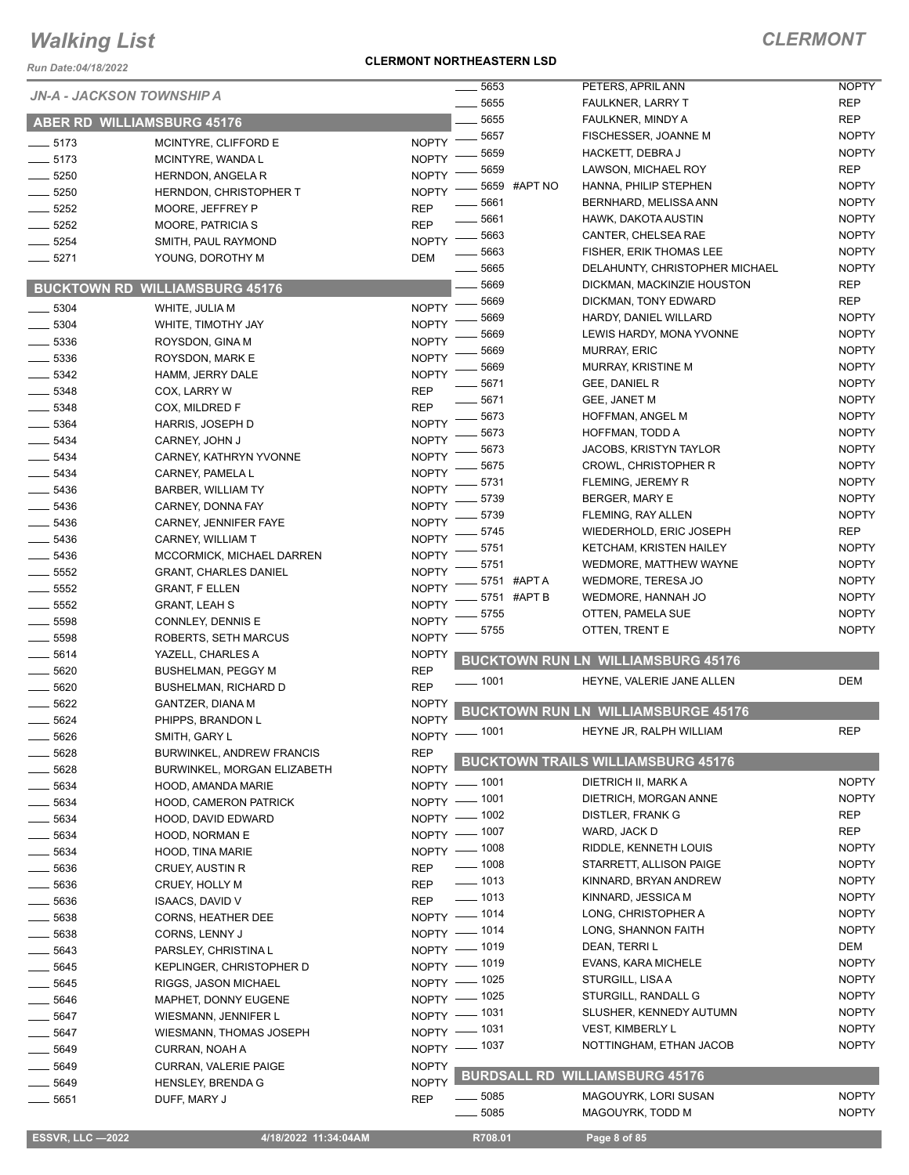*Run Date:04/18/2022*

#### **CLERMONT NORTHEASTERN LSD**

### *CLERMONT*

|                           |                                       |              | 5653                               |              | PETERS, APRIL ANN                          | <b>NOPTY</b> |
|---------------------------|---------------------------------------|--------------|------------------------------------|--------------|--------------------------------------------|--------------|
| JN-A - JACKSON TOWNSHIP A |                                       |              | 5655                               |              | <b>FAULKNER, LARRY T</b>                   | <b>REP</b>   |
|                           | <b>ABER RD WILLIAMSBURG 45176</b>     |              | 5655                               |              | FAULKNER, MINDY A                          | <b>REP</b>   |
| $-5173$                   | MCINTYRE, CLIFFORD E                  | <b>NOPTY</b> | 5657                               |              | FISCHESSER, JOANNE M                       | <b>NOPTY</b> |
| $-5173$                   | MCINTYRE, WANDA L                     | <b>NOPTY</b> | 5659                               |              | HACKETT, DEBRA J                           | <b>NOPTY</b> |
|                           |                                       |              | 5659                               |              | LAWSON, MICHAEL ROY                        | <b>REP</b>   |
| 5250                      | HERNDON, ANGELA R                     | <b>NOPTY</b> |                                    | 5659 #APT NO | HANNA, PHILIP STEPHEN                      | <b>NOPTY</b> |
| 5250                      | HERNDON, CHRISTOPHER T                | <b>NOPTY</b> | 5661                               |              | BERNHARD, MELISSA ANN                      | <b>NOPTY</b> |
| 5252                      | MOORE, JEFFREY P                      | <b>REP</b>   | 5661                               |              | HAWK, DAKOTA AUSTIN                        | <b>NOPTY</b> |
| 5252                      | <b>MOORE, PATRICIA S</b>              | <b>REP</b>   | 5663                               |              | CANTER, CHELSEA RAE                        | <b>NOPTY</b> |
| 5254                      | SMITH, PAUL RAYMOND                   | <b>NOPTY</b> | 5663                               |              | FISHER, ERIK THOMAS LEE                    | <b>NOPTY</b> |
| $-5271$                   | YOUNG, DOROTHY M                      | DEM          | 5665                               |              | DELAHUNTY, CHRISTOPHER MICHAEL             | <b>NOPTY</b> |
|                           |                                       |              | 5669                               |              | DICKMAN, MACKINZIE HOUSTON                 | <b>REP</b>   |
|                           | <b>BUCKTOWN RD WILLIAMSBURG 45176</b> |              | 5669                               |              | DICKMAN, TONY EDWARD                       | <b>REP</b>   |
| 5304                      | WHITE, JULIA M                        | <b>NOPTY</b> | 5669                               |              | HARDY, DANIEL WILLARD                      | <b>NOPTY</b> |
| $-5304$                   | WHITE, TIMOTHY JAY                    | <b>NOPTY</b> | 5669                               |              | LEWIS HARDY, MONA YVONNE                   | <b>NOPTY</b> |
| 5336                      | ROYSDON, GINA M                       | <b>NOPTY</b> | 5669                               |              | <b>MURRAY, ERIC</b>                        | <b>NOPTY</b> |
| 5336                      | ROYSDON, MARK E                       | <b>NOPTY</b> | 5669                               |              | MURRAY, KRISTINE M                         | <b>NOPTY</b> |
| 5342                      | HAMM, JERRY DALE                      | <b>NOPTY</b> | 5671                               |              | <b>GEE, DANIEL R</b>                       | <b>NOPTY</b> |
| 5348                      | COX, LARRY W                          | <b>REP</b>   |                                    |              |                                            |              |
| 5348                      | COX, MILDRED F                        | <b>REP</b>   | 5671                               |              | GEE, JANET M                               | <b>NOPTY</b> |
| 5364                      | HARRIS, JOSEPH D                      | <b>NOPTY</b> | 5673                               |              | HOFFMAN, ANGEL M                           | <b>NOPTY</b> |
| 5434                      | CARNEY, JOHN J                        | <b>NOPTY</b> | 5673                               |              | HOFFMAN, TODD A                            | <b>NOPTY</b> |
| $\frac{1}{2}$ 5434        | CARNEY, KATHRYN YVONNE                | <b>NOPTY</b> | 5673                               |              | <b>JACOBS, KRISTYN TAYLOR</b>              | <b>NOPTY</b> |
| $-5434$                   | CARNEY, PAMELA L                      | <b>NOPTY</b> | 5675                               |              | <b>CROWL, CHRISTOPHER R</b>                | <b>NOPTY</b> |
| $-5436$                   | BARBER, WILLIAM TY                    | <b>NOPTY</b> | 5731                               |              | FLEMING, JEREMY R                          | <b>NOPTY</b> |
| $\frac{1}{2}$ 5436        | CARNEY, DONNA FAY                     | <b>NOPTY</b> | 5739                               |              | <b>BERGER, MARY E</b>                      | <b>NOPTY</b> |
| 5436                      | CARNEY, JENNIFER FAYE                 | <b>NOPTY</b> | 5739                               |              | FLEMING, RAY ALLEN                         | <b>NOPTY</b> |
| 5436                      | CARNEY, WILLIAM T                     | <b>NOPTY</b> | 5745                               |              | WIEDERHOLD, ERIC JOSEPH                    | <b>REP</b>   |
| $-5436$                   | MCCORMICK, MICHAEL DARREN             | <b>NOPTY</b> | 5751                               |              | KETCHAM, KRISTEN HAILEY                    | <b>NOPTY</b> |
| 5552                      | GRANT, CHARLES DANIEL                 | <b>NOPTY</b> | 5751                               |              | WEDMORE, MATTHEW WAYNE                     | <b>NOPTY</b> |
| 5552                      | <b>GRANT, F ELLEN</b>                 | <b>NOPTY</b> |                                    | 5751 #APT A  | WEDMORE, TERESA JO                         | <b>NOPTY</b> |
| 5552                      | <b>GRANT, LEAH S</b>                  | <b>NOPTY</b> | 5751                               | #APT B       | WEDMORE, HANNAH JO                         | <b>NOPTY</b> |
| 5598                      | CONNLEY, DENNIS E                     | <b>NOPTY</b> | 5755                               |              | OTTEN, PAMELA SUE                          | <b>NOPTY</b> |
| 5598                      | ROBERTS, SETH MARCUS                  | <b>NOPTY</b> | 5755                               |              | OTTEN, TRENT E                             | <b>NOPTY</b> |
| 5614                      | YAZELL, CHARLES A                     | <b>NOPTY</b> |                                    |              |                                            |              |
| 5620                      | <b>BUSHELMAN, PEGGY M</b>             | <b>REP</b>   |                                    |              | <b>BUCKTOWN RUN LN WILLIAMSBURG 45176</b>  |              |
| 5620                      |                                       | <b>REP</b>   | _ 1001                             |              | HEYNE, VALERIE JANE ALLEN                  | DEM          |
| 5622                      | <b>BUSHELMAN, RICHARD D</b>           | <b>NOPTY</b> |                                    |              |                                            |              |
| 5624                      | GANTZER, DIANA M                      | <b>NOPTY</b> |                                    |              | <b>BUCKTOWN RUN LN WILLIAMSBURGE 45176</b> |              |
|                           | PHIPPS, BRANDON L                     |              | NOPTY - 1001                       |              | HEYNE JR, RALPH WILLIAM                    | <b>REP</b>   |
| 5626                      | SMITH, GARY L                         |              |                                    |              |                                            |              |
| 5628                      | <b>BURWINKEL, ANDREW FRANCIS</b>      | <b>REP</b>   |                                    |              | <b>BUCKTOWN TRAILS WILLIAMSBURG 45176</b>  |              |
| 5628                      | BURWINKEL, MORGAN ELIZABETH           | <b>NOPTY</b> | NOPTY - 1001                       |              | DIETRICH II, MARK A                        | <b>NOPTY</b> |
| $-5634$                   | HOOD, AMANDA MARIE                    |              |                                    |              | DIETRICH, MORGAN ANNE                      | <b>NOPTY</b> |
| 5634                      | <b>HOOD, CAMERON PATRICK</b>          |              | NOPTY - 1001<br>NOPTY - 1002       |              | DISTLER, FRANK G                           | <b>REP</b>   |
| __ 5634                   | HOOD, DAVID EDWARD                    |              |                                    |              | WARD, JACK D                               | <b>REP</b>   |
| 5634                      | HOOD, NORMAN E                        |              | NOPTY - 1007                       |              | RIDDLE, KENNETH LOUIS                      | <b>NOPTY</b> |
| 5634                      | HOOD, TINA MARIE                      |              | NOPTY - 1008<br>$\frac{1}{2}$ 1008 |              |                                            | <b>NOPTY</b> |
| $\frac{1}{2}$ 5636        | <b>CRUEY, AUSTIN R</b>                | REP          | $\frac{1}{2}$ 1013                 |              | STARRETT, ALLISON PAIGE                    |              |
| $\frac{1}{2}$ 5636        | CRUEY, HOLLY M                        | <b>REP</b>   |                                    |              | KINNARD, BRYAN ANDREW                      | <b>NOPTY</b> |
| $\frac{1}{2}$ 5636        | <b>ISAACS, DAVID V</b>                | <b>REP</b>   | $\frac{1}{2}$ 1013                 |              | KINNARD, JESSICA M                         | <b>NOPTY</b> |
| $\frac{1}{2}$ 5638        | <b>CORNS, HEATHER DEE</b>             |              | NOPTY - 1014                       |              | LONG, CHRISTOPHER A                        | <b>NOPTY</b> |
| 5638                      | CORNS, LENNY J                        |              | NOPTY - 1014                       |              | LONG, SHANNON FAITH                        | <b>NOPTY</b> |
| $- 5643$                  | PARSLEY, CHRISTINA L                  |              | NOPTY - 1019                       |              | DEAN, TERRI L                              | DEM          |
| 5645                      | <b>KEPLINGER, CHRISTOPHER D</b>       |              | NOPTY - 1019                       |              | EVANS, KARA MICHELE                        | <b>NOPTY</b> |
| $-5645$                   | RIGGS, JASON MICHAEL                  |              | NOPTY - 1025                       |              | STURGILL, LISAA                            | <b>NOPTY</b> |
| $- 5646$                  | MAPHET, DONNY EUGENE                  |              | NOPTY - 1025                       |              | STURGILL, RANDALL G                        | <b>NOPTY</b> |
| _ 5647                    | WIESMANN, JENNIFER L                  |              | NOPTY - 1031                       |              | SLUSHER, KENNEDY AUTUMN                    | <b>NOPTY</b> |
| $- 5647$                  | WIESMANN, THOMAS JOSEPH               |              | NOPTY - 1031                       |              | <b>VEST, KIMBERLY L</b>                    | <b>NOPTY</b> |
| __ 5649                   | CURRAN, NOAH A                        |              | NOPTY - 1037                       |              | NOTTINGHAM, ETHAN JACOB                    | <b>NOPTY</b> |
| $- 5649$                  | CURRAN, VALERIE PAIGE                 | <b>NOPTY</b> |                                    |              |                                            |              |
| $-5649$                   | <b>HENSLEY, BRENDA G</b>              | <b>NOPTY</b> |                                    |              | <b>BURDSALL RD WILLIAMSBURG 45176</b>      |              |
| 5651                      | DUFF, MARY J                          | <b>REP</b>   | $\frac{1}{2}$ 5085                 |              | MAGOUYRK, LORI SUSAN                       | <b>NOPTY</b> |
|                           |                                       |              | 5085                               |              | MAGOUYRK, TODD M                           | <b>NOPTY</b> |

 **ESSVR, LLC —2022 4/18/2022 11:34:04AM R708.01 Page 8 of 85**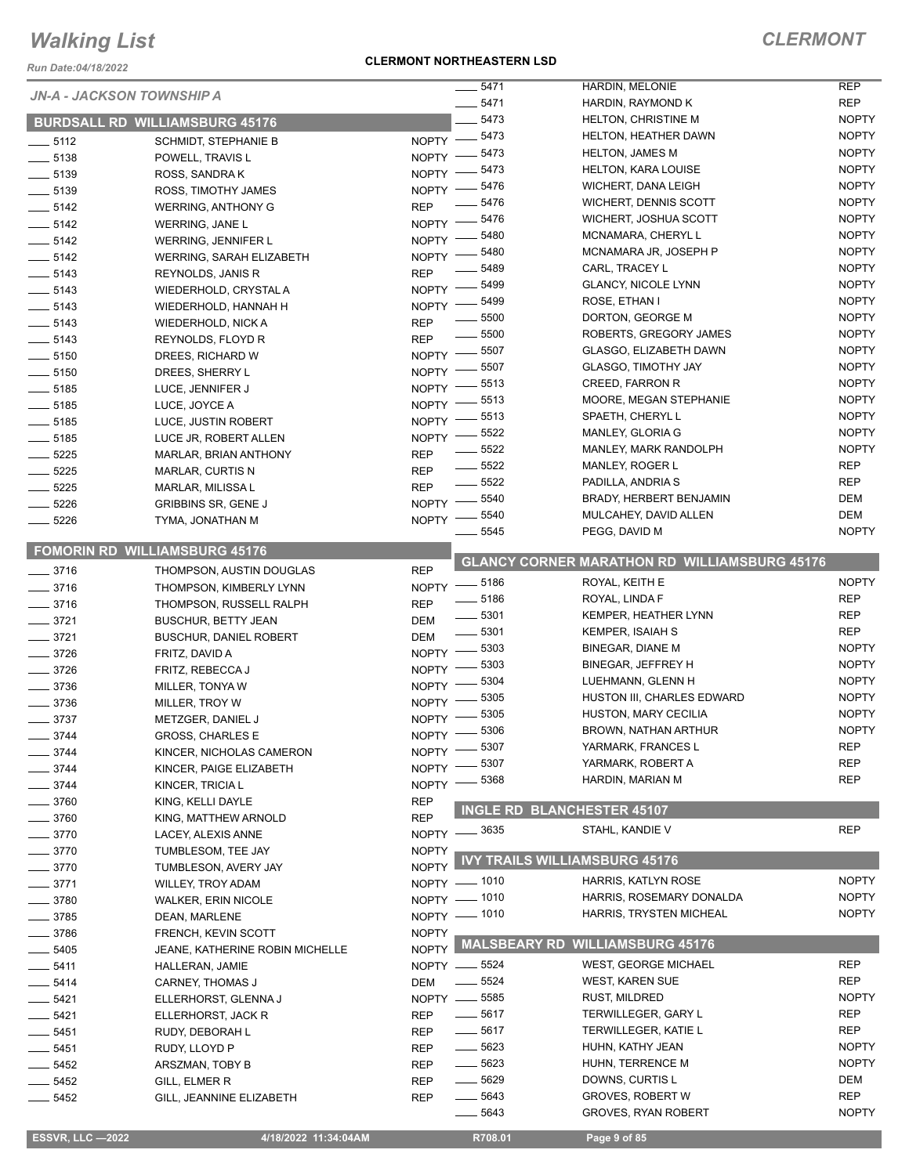*Run Date:04/18/2022*

#### **CLERMONT NORTHEASTERN LSD**

| 22022/10/2022 Run Date: |                                        |              |                                   |                                                     |              |
|-------------------------|----------------------------------------|--------------|-----------------------------------|-----------------------------------------------------|--------------|
|                         | <b>JN-A - JACKSON TOWNSHIP A</b>       |              | ____ 5471                         | HARDIN, MELONIE                                     | <b>REP</b>   |
|                         |                                        |              | 5471                              | HARDIN, RAYMOND K                                   | <b>REP</b>   |
|                         | <b>BURDSALL RD WILLIAMSBURG 45176</b>  |              | $-5473$                           | <b>HELTON, CHRISTINE M</b>                          | <b>NOPTY</b> |
| $-5112$                 | <b>SCHMIDT, STEPHANIE B</b>            |              | NOPTY -8473                       | HELTON, HEATHER DAWN                                | <b>NOPTY</b> |
| $\frac{1}{2}$ 5138      | POWELL, TRAVIS L                       | $N$ OPTY $-$ | $-5473$                           | <b>HELTON, JAMES M</b>                              | <b>NOPTY</b> |
| $\frac{1}{2}$ 5139      | ROSS, SANDRAK                          | $NOPTY$ –    | 5473                              | <b>HELTON, KARA LOUISE</b>                          | <b>NOPTY</b> |
| $\frac{1}{2}$ 5139      | ROSS, TIMOTHY JAMES                    | $NOPTY =$    | 5476                              | WICHERT, DANA LEIGH                                 | <b>NOPTY</b> |
| $\frac{1}{2}$ 5142      | <b>WERRING, ANTHONY G</b>              | <b>REP</b>   | 5476                              | WICHERT, DENNIS SCOTT                               | <b>NOPTY</b> |
| $- 5142$                | WERRING, JANE L                        | <b>NOPTY</b> | 5476                              | WICHERT, JOSHUA SCOTT                               | <b>NOPTY</b> |
| $\frac{1}{2}$ 5142      | WERRING, JENNIFER L                    | <b>NOPTY</b> | 5480                              | MCNAMARA, CHERYL L                                  | <b>NOPTY</b> |
| $\frac{1}{2}$ 5142      | <b>WERRING, SARAH ELIZABETH</b>        | <b>NOPTY</b> | 5480                              | MCNAMARA JR, JOSEPH P                               | <b>NOPTY</b> |
| $- 5143$                | REYNOLDS, JANIS R                      | <b>REP</b>   | 5489                              | CARL, TRACEY L                                      | <b>NOPTY</b> |
| $-5143$                 | WIEDERHOLD, CRYSTAL A                  | <b>NOPTY</b> | 5499                              | <b>GLANCY, NICOLE LYNN</b>                          | <b>NOPTY</b> |
| $\frac{1}{2}$ 5143      | WIEDERHOLD, HANNAH H                   | <b>NOPTY</b> | 5499                              | ROSE, ETHAN I                                       | <b>NOPTY</b> |
| $\frac{1}{2}$ 5143      | WIEDERHOLD, NICK A                     | <b>REP</b>   | - 5500                            | DORTON, GEORGE M                                    | <b>NOPTY</b> |
| $\frac{1}{2}$ 5143      | REYNOLDS, FLOYD R                      | <b>REP</b>   | $-5500$                           | ROBERTS, GREGORY JAMES                              | <b>NOPTY</b> |
| $- 5150$                | DREES, RICHARD W                       | $NOPTY =$    | $-5507$                           | <b>GLASGO, ELIZABETH DAWN</b>                       | <b>NOPTY</b> |
| $- 5150$                | DREES, SHERRY L                        | $N$ OPTY $-$ | _ 5507                            | <b>GLASGO, TIMOTHY JAY</b>                          | <b>NOPTY</b> |
| $\frac{1}{2}$ 5185      | LUCE, JENNIFER J                       | $NOPTY =$    | 5513                              | CREED, FARRON R                                     | <b>NOPTY</b> |
| $\frac{1}{2}$ 5185      | LUCE, JOYCE A                          | $N$ OPTY $-$ | _ 5513                            | MOORE, MEGAN STEPHANIE                              | <b>NOPTY</b> |
| $\frac{1}{2}$ 5185      | LUCE, JUSTIN ROBERT                    | NOPTY -      | 5513                              | SPAETH, CHERYL L                                    | <b>NOPTY</b> |
| $- 5185$                | LUCE JR, ROBERT ALLEN                  | <b>NOPTY</b> | _ 5522                            | MANLEY, GLORIA G                                    | <b>NOPTY</b> |
| $- 5225$                | <b>MARLAR, BRIAN ANTHONY</b>           | <b>REP</b>   | 5522                              | MANLEY, MARK RANDOLPH                               | <b>NOPTY</b> |
| $- 5225$                | <b>MARLAR, CURTIS N</b>                | <b>REP</b>   | $- 5522$                          | MANLEY, ROGER L                                     | <b>REP</b>   |
| $- 5225$                | MARLAR, MILISSA L                      | <b>REP</b>   | $- 5522$                          | PADILLA, ANDRIA S                                   | <b>REP</b>   |
| 5226                    | <b>GRIBBINS SR, GENE J</b>             | NOPTY -      | 5540                              | BRADY, HERBERT BENJAMIN                             | DEM          |
| $-5226$                 | TYMA, JONATHAN M                       | <b>NOPTY</b> | 5540                              | MULCAHEY, DAVID ALLEN                               | DEM          |
|                         |                                        |              | 5545                              | PEGG, DAVID M                                       | <b>NOPTY</b> |
|                         | <b>FOMORIN RD WILLIAMSBURG 45176</b>   |              |                                   | <b>GLANCY CORNER MARATHON RD WILLIAMSBURG 45176</b> |              |
| $\frac{1}{2}$ 3716      | THOMPSON, AUSTIN DOUGLAS               | <b>REP</b>   |                                   | ROYAL, KEITH E                                      | <b>NOPTY</b> |
| $- 3716$                | THOMPSON, KIMBERLY LYNN                |              | NOPTY -8186<br>$\frac{1}{2}$ 5186 | ROYAL, LINDA F                                      | <b>REP</b>   |
| $-3716$                 | THOMPSON, RUSSELL RALPH                | <b>REP</b>   | $\frac{1}{2}$ 5301                | KEMPER, HEATHER LYNN                                | <b>REP</b>   |
| $-3721$                 | <b>BUSCHUR, BETTY JEAN</b>             | DEM          | $\frac{1}{2}$ 5301                | <b>KEMPER, ISAIAH S</b>                             | <b>REP</b>   |
| $-3721$                 | <b>BUSCHUR, DANIEL ROBERT</b>          | DEM          | $-5303$                           | BINEGAR, DIANE M                                    | <b>NOPTY</b> |
| $- 3726$                | FRITZ, DAVID A                         | NOPTY -      | 5303                              | BINEGAR, JEFFREY H                                  | <b>NOPTY</b> |
| $- 3726$                | FRITZ, REBECCA J                       | NOPTY -      | 5304                              | LUEHMANN, GLENN H                                   | <b>NOPTY</b> |
| $-3736$                 | MILLER, TONYA W                        | <b>NOPTY</b> | 5305                              | HUSTON III, CHARLES EDWARD                          | <b>NOPTY</b> |
| $\frac{1}{2}$ 3736      | MILLER, TROY W                         | NOPTY -      | 5305                              | HUSTON, MARY CECILIA                                | <b>NOPTY</b> |
| $= 3737$                | METZGER, DANIEL J                      | NOPTY $-$    | 5306                              | BROWN, NATHAN ARTHUR                                | <b>NOPTY</b> |
| $-3744$                 | GROSS, CHARLES E                       | NOPTY -      |                                   |                                                     | <b>REP</b>   |
| __ 3744                 | KINCER, NICHOLAS CAMERON               |              | NOPTY -8307                       | YARMARK, FRANCES L                                  | <b>REP</b>   |
| _ 3744                  | KINCER, PAIGE ELIZABETH                | <b>NOPTY</b> | 5307                              | YARMARK, ROBERT A                                   |              |
| $-3744$                 | KINCER, TRICIA L                       | <b>NOPTY</b> | 5368                              | HARDIN, MARIAN M                                    | <b>REP</b>   |
| $-3760$                 | KING, KELLI DAYLE                      | REP          |                                   | INGLE RD BLANCHESTER 45107                          |              |
| 3760                    | KING, MATTHEW ARNOLD                   | <b>REP</b>   |                                   |                                                     |              |
| 3770                    | LACEY, ALEXIS ANNE                     | <b>NOPTY</b> | _ 3635                            | STAHL, KANDIE V                                     | <b>REP</b>   |
| 3770                    | TUMBLESOM, TEE JAY                     | <b>NOPTY</b> |                                   | <b>IVY TRAILS WILLIAMSBURG 45176</b>                |              |
| 3770                    | TUMBLESON, AVERY JAY                   | <b>NOPTY</b> |                                   |                                                     |              |
| 3771                    | WILLEY, TROY ADAM                      |              | NOPTY - 1010                      | HARRIS, KATLYN ROSE                                 | <b>NOPTY</b> |
| 3780                    | <b>WALKER, ERIN NICOLE</b>             |              | NOPTY - 1010                      | HARRIS, ROSEMARY DONALDA                            | <b>NOPTY</b> |
| 3785                    | DEAN, MARLENE                          |              | NOPTY - 1010                      | HARRIS, TRYSTEN MICHEAL                             | <b>NOPTY</b> |
| 3786                    | FRENCH, KEVIN SCOTT                    | <b>NOPTY</b> |                                   |                                                     |              |
| 5405                    | <b>JEANE, KATHERINE ROBIN MICHELLE</b> |              | NOPTY MALSBEARY RD                | <b>WILLIAMSBURG 45176</b>                           |              |
| $-5411$                 | HALLERAN, JAMIE                        |              | NOPTY -6524                       | <b>WEST, GEORGE MICHAEL</b>                         | <b>REP</b>   |
| $-5414$                 | CARNEY, THOMAS J                       | DEM          | $\frac{1}{2}$ 5524                | <b>WEST, KAREN SUE</b>                              | <b>REP</b>   |
| __ 5421                 | ELLERHORST, GLENNA J                   |              | NOPTY -6585                       | <b>RUST, MILDRED</b>                                | <b>NOPTY</b> |
| __ 5421                 | ELLERHORST, JACK R                     | <b>REP</b>   | $\frac{1}{2}$ 5617                | TERWILLEGER, GARY L                                 | REP          |
| __ 5451                 | RUDY, DEBORAH L                        | REP          | $- 5617$                          | TERWILLEGER, KATIE L                                | <b>REP</b>   |
| _ 5451                  | RUDY, LLOYD P                          | <b>REP</b>   | —— 5623                           | HUHN, KATHY JEAN                                    | <b>NOPTY</b> |
| _ 5452                  | ARSZMAN, TOBY B                        | REP          | $\frac{1}{2}$ 5623                | HUHN, TERRENCE M                                    | <b>NOPTY</b> |
| $-5452$                 | GILL, ELMER R                          | <b>REP</b>   | —— 5629                           | DOWNS, CURTIS L                                     | DEM          |
| - 5452                  | GILL, JEANNINE ELIZABETH               | <b>REP</b>   | $\frac{1}{2}$ 5643                | <b>GROVES, ROBERT W</b>                             | <b>REP</b>   |
|                         |                                        |              | 5643<br>$\overline{\phantom{a}}$  | GROVES, RYAN ROBERT                                 | <b>NOPTY</b> |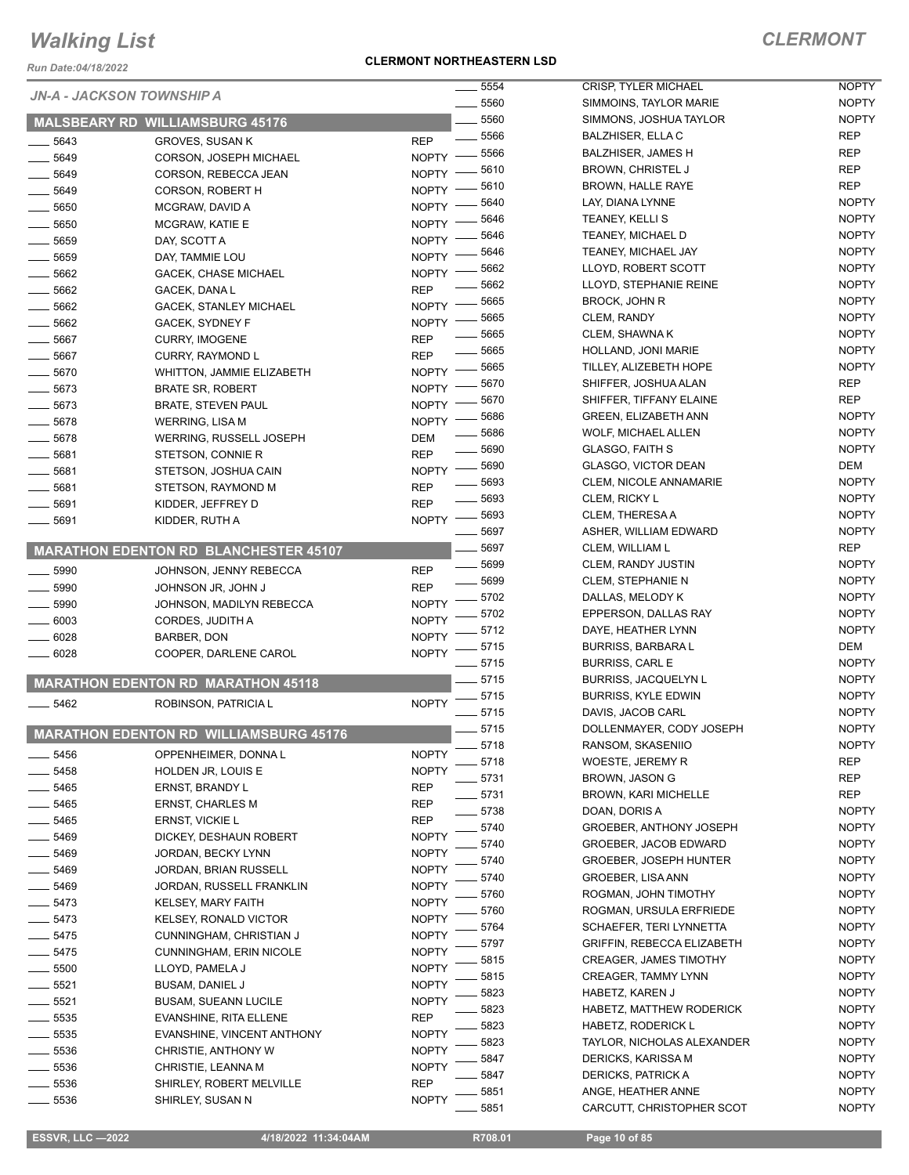*Run Date:04/18/2022*

#### **CLERMONT NORTHEASTERN LSD**

| JN-A - JACKSON TOWNSHIP A |                                               | $\rule{1em}{0.15mm}$ 5554 | 5560     |
|---------------------------|-----------------------------------------------|---------------------------|----------|
|                           | <b>MALSBEARY RD WILLIAMSBURG 45176</b>        |                           | $=$ 5560 |
|                           |                                               |                           | $=$ 5566 |
| $-5643$                   | <b>GROVES, SUSAN K</b>                        | REP                       | $-5566$  |
| $-5649$                   | <b>CORSON, JOSEPH MICHAEL</b>                 | <b>NOPTY</b>              | $-5610$  |
| __ 5649                   | CORSON, REBECCA JEAN                          | <b>NOPTY</b>              | $-5610$  |
| ___ 5649                  | <b>CORSON, ROBERT H</b>                       | <b>NOPTY</b>              | $-5640$  |
| ___ 5650                  | MCGRAW, DAVID A                               | <b>NOPTY</b>              | __ 5646  |
| $-5650$                   | MCGRAW, KATIE E                               | <b>NOPTY</b>              | $-5646$  |
| $-5659$                   | DAY, SCOTT A                                  | <b>NOPTY</b>              | $-5646$  |
| $-5659$                   | DAY, TAMMIE LOU                               | <b>NOPTY</b>              | $-5662$  |
| $-5662$                   | <b>GACEK, CHASE MICHAEL</b>                   | <b>NOPTY</b>              | _ 5662   |
| ___ 5662                  | GACEK, DANA L                                 | REP                       | $-5665$  |
| $-5662$                   | <b>GACEK, STANLEY MICHAEL</b>                 | <b>NOPTY</b>              |          |
| __ 5662                   | <b>GACEK, SYDNEY F</b>                        | <b>NOPTY</b>              | $-5665$  |
| $=$ 5667                  | <b>CURRY, IMOGENE</b>                         | REP                       | __ 5665  |
| ___ 5667                  | <b>CURRY, RAYMOND L</b>                       | REP                       | __ 5665  |
| $-5670$                   | <b>WHITTON, JAMMIE ELIZABETH</b>              | <b>NOPTY</b>              | $-5665$  |
| $-5673$                   | <b>BRATE SR, ROBERT</b>                       | <b>NOPTY</b>              | $-5670$  |
| ___ 5673                  | <b>BRATE, STEVEN PAUL</b>                     | <b>NOPTY</b>              | $-5670$  |
| $=$ 5678                  | <b>WERRING, LISA M</b>                        | <b>NOPTY</b>              | $-5686$  |
| $=$ 5678                  | WERRING, RUSSELL JOSEPH                       | DEM                       | - 5686   |
| $=$ 5681 $\,$             | STETSON, CONNIE R                             | REP                       | $-5690$  |
| $-5681$                   | STETSON, JOSHUA CAIN                          | <b>NOPTY</b>              | $-5690$  |
| $-5681$                   | STETSON, RAYMOND M                            | REP                       | $-5693$  |
| __ 5691                   | KIDDER, JEFFREY D                             | REP                       | $-5693$  |
| $-5691$                   | KIDDER, RUTH A                                | <b>NOPTY</b>              | _ 5693   |
|                           |                                               |                           | . 5697   |
|                           | <b>MARATHON EDENTON RD BLANCHESTER 45107</b>  |                           | $-5697$  |
| $-5990$                   | JOHNSON, JENNY REBECCA                        | REP                       | __ 5699  |
| __ 5990                   | JOHNSON JR, JOHN J                            | REP                       | $-5699$  |
| $-5990$                   | JOHNSON, MADILYN REBECCA                      | <b>NOPTY</b>              | $-5702$  |
| $-6003$                   | CORDES, JUDITH A                              | <b>NOPTY</b>              | $-5702$  |
| $=6028$                   | <b>BARBER, DON</b>                            | <b>NOPTY</b>              | $-5712$  |
| $=6028$                   | COOPER, DARLENE CAROL                         | <b>NOPTY</b>              | $-5715$  |
|                           |                                               | $-5715$                   |          |
|                           | <b>MARATHON EDENTON RD MARATHON 45118</b>     |                           | $=$ 5715 |
| $-5462$                   | ROBINSON, PATRICIA L                          | <b>NOPTY</b>              | $-5715$  |
|                           |                                               |                           | _ 5715   |
|                           | <b>MARATHON EDENTON RD WILLIAMSBURG 45176</b> |                           | $-5715$  |
| _ 5456                    | OPPENHEIMER, DONNA L                          | <b>NOPTY</b>              | 5718     |
| - 5458                    | HOLDEN JR, LOUIS E                            | <b>NOPTY</b>              | 5718     |
| $-5465$                   | <b>ERNST, BRANDY L</b>                        | REP                       | 5731     |
| __ 5465                   | <b>ERNST, CHARLES M</b>                       | REP                       | 5731     |
| __ 5465                   | ERNST, VICKIE L                               | REP                       | 5738     |
| __ 5469                   | DICKEY, DESHAUN ROBERT                        | <b>NOPTY</b>              | 5740     |
| $-5469$                   | JORDAN, BECKY LYNN                            | <b>NOPTY</b>              | 5740     |
| $-5469$                   | JORDAN, BRIAN RUSSELL                         | <b>NOPTY</b>              | 5740     |
| __ 5469                   | JORDAN, RUSSELL FRANKLIN                      | <b>NOPTY</b>              | 5740     |
|                           |                                               |                           | 5760     |
| $-5473$                   | KELSEY, MARY FAITH<br>KELSEY, RONALD VICTOR   | <b>NOPTY</b>              | 5760     |
| $-5473$                   |                                               | <b>NOPTY</b>              | 5764     |
| $=$ 5475                  | CUNNINGHAM, CHRISTIAN J                       | <b>NOPTY</b>              | 5797     |
| $-5475$                   | <b>CUNNINGHAM, ERIN NICOLE</b>                | <b>NOPTY</b>              | 5815     |
| $-5500$                   | LLOYD, PAMELA J                               | <b>NOPTY</b>              | 5815     |
| - 5521                    | <b>BUSAM, DANIEL J</b>                        | <b>NOPTY</b>              | 5823     |
| __ 5521                   | <b>BUSAM, SUEANN LUCILE</b>                   | <b>NOPTY</b>              | 5823     |
| $=$ 5535                  | <b>EVANSHINE, RITA ELLENE</b>                 | REP                       | 5823     |
| $-5535$                   | EVANSHINE, VINCENT ANTHONY                    | <b>NOPTY</b>              | 5823     |
| _ 5536                    | CHRISTIE, ANTHONY W                           | <b>NOPTY</b>              | 5847     |
| - 5536                    | CHRISTIE, LEANNA M                            | <b>NOPTY</b>              | 5847     |
| _ 5536                    | SHIRLEY, ROBERT MELVILLE                      | REP                       | 5851     |
| 5536                      | SHIRLEY, SUSAN N                              | <b>NOPTY</b>              | 5851     |
|                           |                                               |                           |          |

| 5554 | <b>CRISP, TYLER MICHAEL</b>    | NOPTY        |
|------|--------------------------------|--------------|
| 5560 | SIMMOINS, TAYLOR MARIE         | <b>NOPTY</b> |
| 5560 | SIMMONS, JOSHUA TAYLOR         | <b>NOPTY</b> |
| 5566 | BALZHISER, ELLA C              | REP          |
| 5566 | <b>BALZHISER, JAMES H</b>      | REP          |
| 5610 | <b>BROWN, CHRISTEL J</b>       | <b>REP</b>   |
| 5610 | <b>BROWN, HALLE RAYE</b>       | REP          |
|      |                                |              |
| 5640 | LAY, DIANA LYNNE               | <b>NOPTY</b> |
| 5646 | <b>TEANEY, KELLI S</b>         | <b>NOPTY</b> |
| 5646 | TEANEY, MICHAEL D              | <b>NOPTY</b> |
| 5646 | TEANEY, MICHAEL JAY            | <b>NOPTY</b> |
| 5662 | LLOYD, ROBERT SCOTT            | <b>NOPTY</b> |
| 5662 | LLOYD, STEPHANIE REINE         | <b>NOPTY</b> |
| 5665 | BROCK, JOHN R                  | <b>NOPTY</b> |
| 5665 | CLEM, RANDY                    | <b>NOPTY</b> |
| 5665 | <b>CLEM, SHAWNA K</b>          | <b>NOPTY</b> |
| 5665 | HOLLAND, JONI MARIE            | <b>NOPTY</b> |
| 5665 | TILLEY, ALIZEBETH HOPE         | <b>NOPTY</b> |
| 5670 | SHIFFER, JOSHUA ALAN           | REP          |
| 5670 | SHIFFER, TIFFANY ELAINE        | REP          |
| 5686 | <b>GREEN, ELIZABETH ANN</b>    | <b>NOPTY</b> |
| 5686 | WOLF, MICHAEL ALLEN            | <b>NOPTY</b> |
| 5690 | <b>GLASGO, FAITH S</b>         | <b>NOPTY</b> |
| 5690 | <b>GLASGO, VICTOR DEAN</b>     | DEM          |
| 5693 | <b>CLEM, NICOLE ANNAMARIE</b>  | <b>NOPTY</b> |
| 5693 | CLEM, RICKY L                  | <b>NOPTY</b> |
| 5693 | CLEM, THERESA A                | <b>NOPTY</b> |
| 5697 | ASHER, WILLIAM EDWARD          | <b>NOPTY</b> |
| 5697 | CLEM, WILLIAM L                | <b>REP</b>   |
| 5699 | <b>CLEM, RANDY JUSTIN</b>      | <b>NOPTY</b> |
| 5699 | <b>CLEM, STEPHANIE N</b>       | <b>NOPTY</b> |
| 5702 | DALLAS, MELODY K               | <b>NOPTY</b> |
| 5702 | EPPERSON, DALLAS RAY           | <b>NOPTY</b> |
| 5712 | DAYE, HEATHER LYNN             | <b>NOPTY</b> |
| 5715 | <b>BURRISS, BARBARA L</b>      | DEM          |
| 5715 | <b>BURRISS, CARL E</b>         | <b>NOPTY</b> |
| 5715 | <b>BURRISS, JACQUELYN L</b>    | <b>NOPTY</b> |
| 5715 | BURRISS, KYLE EDWIN            | <b>NOPTY</b> |
| 5715 | DAVIS, JACOB CARL              | <b>NOPTY</b> |
| 5715 | DOLLENMAYER, CODY JOSEPH       | <b>NOPTY</b> |
| 5718 | RANSOM, SKASENIIO              | <b>NOPTY</b> |
| 5718 | WOESTE, JEREMY R               | REP          |
| 5731 | BROWN, JASON G                 | <b>REP</b>   |
|      | <b>BROWN. KARI MICHELLE</b>    | REP          |
| 5731 | DOAN, DORIS A                  |              |
| 5738 | <b>GROEBER, ANTHONY JOSEPH</b> | <b>NOPTY</b> |
| 5740 |                                | <b>NOPTY</b> |
| 5740 | GROEBER, JACOB EDWARD          | <b>NOPTY</b> |
| 5740 | <b>GROEBER, JOSEPH HUNTER</b>  | <b>NOPTY</b> |
| 5740 | GROEBER, LISA ANN              | <b>NOPTY</b> |
| 5760 | ROGMAN, JOHN TIMOTHY           | <b>NOPTY</b> |
| 5760 | ROGMAN, URSULA ERFRIEDE        | <b>NOPTY</b> |
| 5764 | SCHAEFER, TERI LYNNETTA        | <b>NOPTY</b> |
| 5797 | GRIFFIN, REBECCA ELIZABETH     | <b>NOPTY</b> |
| 5815 | <b>CREAGER, JAMES TIMOTHY</b>  | <b>NOPTY</b> |
| 5815 | <b>CREAGER, TAMMY LYNN</b>     | <b>NOPTY</b> |
| 5823 | HABETZ, KAREN J                | <b>NOPTY</b> |
| 5823 | HABETZ, MATTHEW RODERICK       | <b>NOPTY</b> |
| 5823 | <b>HABETZ, RODERICK L</b>      | <b>NOPTY</b> |
| 5823 | TAYLOR, NICHOLAS ALEXANDER     | <b>NOPTY</b> |
| 5847 | DERICKS, KARISSA M             | <b>NOPTY</b> |
| 5847 | <b>DERICKS, PATRICK A</b>      | <b>NOPTY</b> |
| 5851 | ANGE, HEATHER ANNE             | <b>NOPTY</b> |
| 5851 | CARCUTT, CHRISTOPHER SCOT      | <b>NOPTY</b> |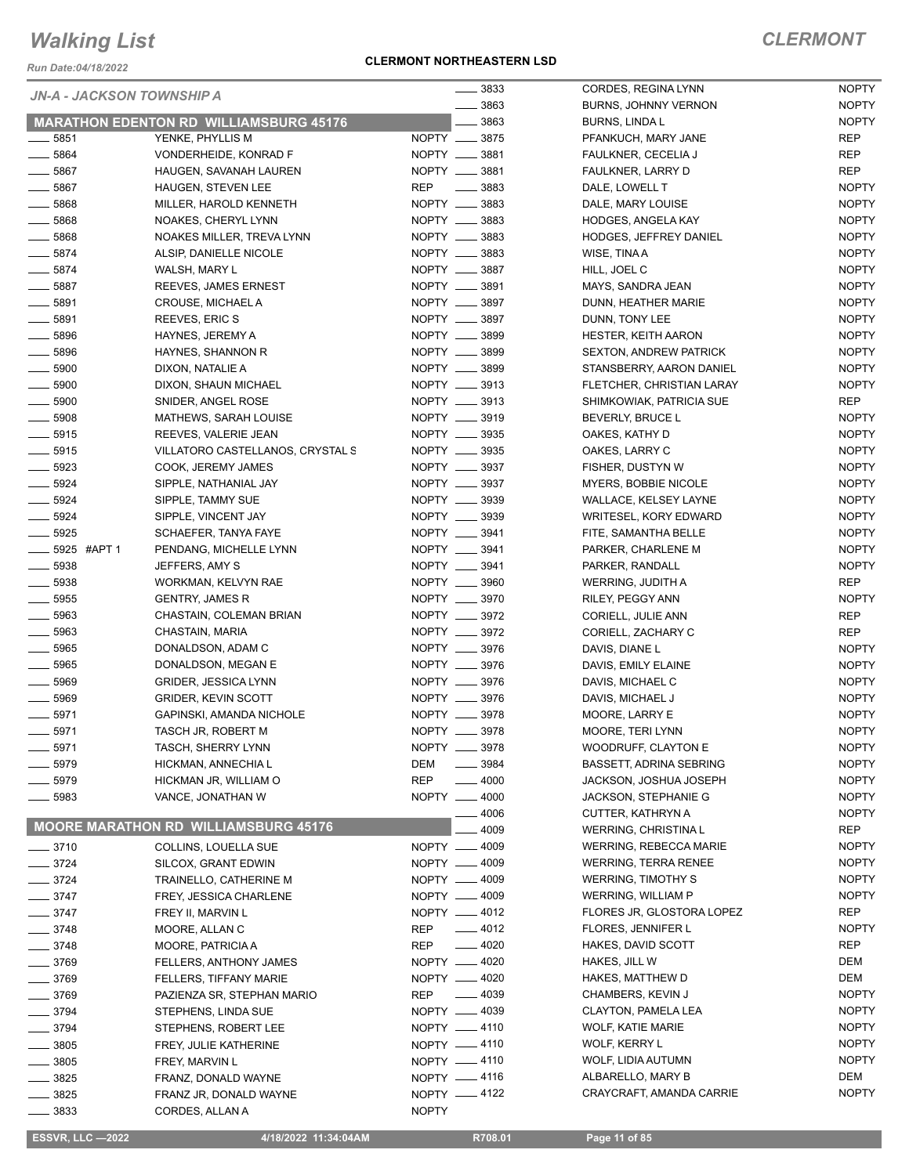*Run Date:04/18/2022*

#### **CLERMONT NORTHEASTERN LSD**

### *CLERMONT*

| <b>JN-A - JACKSON TOWNSHIP A</b> |                                               | $\frac{1}{2}$ 3833          | CORDES, REGINA LYNN           | <b>NOPTY</b> |
|----------------------------------|-----------------------------------------------|-----------------------------|-------------------------------|--------------|
|                                  |                                               | $\frac{1}{2}$ 3863          | <b>BURNS, JOHNNY VERNON</b>   | <b>NOPTY</b> |
|                                  | <b>MARATHON EDENTON RD WILLIAMSBURG 45176</b> | 3863                        | <b>BURNS, LINDAL</b>          | <b>NOPTY</b> |
| ____ 5851                        | YENKE, PHYLLIS M                              | NOPTY __ 3875               | PFANKUCH, MARY JANE           | <b>REP</b>   |
| $- 5864$                         | VONDERHEIDE, KONRAD F                         | NOPTY __ 3881               | FAULKNER, CECELIA J           | <b>REP</b>   |
| $\_\_$ 5867                      | HAUGEN, SAVANAH LAUREN                        | NOPTY __ 3881               | FAULKNER, LARRY D             | <b>REP</b>   |
| $-5867$                          | <b>HAUGEN, STEVEN LEE</b>                     | <b>REP</b><br>$\equiv$ 3883 | DALE, LOWELL T                | <b>NOPTY</b> |
| $- 5868$                         | MILLER, HAROLD KENNETH                        | NOPTY __ 3883               | DALE, MARY LOUISE             | <b>NOPTY</b> |
| $\frac{1}{2}$ 5868               | NOAKES, CHERYL LYNN                           | NOPTY __ 3883               | HODGES, ANGELA KAY            | <b>NOPTY</b> |
| $- 5868$                         | NOAKES MILLER, TREVA LYNN                     | NOPTY __ 3883               | <b>HODGES, JEFFREY DANIEL</b> | <b>NOPTY</b> |
| $- 5874$                         | ALSIP, DANIELLE NICOLE                        | NOPTY __ 3883               | WISE, TINA A                  | <b>NOPTY</b> |
| $- 5874$                         | WALSH, MARY L                                 | NOPTY __ 3887               | HILL, JOEL C                  | <b>NOPTY</b> |
| $\frac{1}{2}$ 5887               | REEVES, JAMES ERNEST                          | NOPTY __ 3891               | MAYS, SANDRA JEAN             | <b>NOPTY</b> |
| ____ 5891                        | CROUSE, MICHAEL A                             | NOPTY __ 3897               | DUNN, HEATHER MARIE           | <b>NOPTY</b> |
| $- 5891$                         | REEVES, ERIC S                                | NOPTY __ 3897               | DUNN, TONY LEE                | <b>NOPTY</b> |
| $\frac{1}{2}$ 5896               | HAYNES, JEREMY A                              | NOPTY __ 3899               | <b>HESTER, KEITH AARON</b>    | <b>NOPTY</b> |
| $- 5896$                         | HAYNES, SHANNON R                             | NOPTY __ 3899               | <b>SEXTON, ANDREW PATRICK</b> | <b>NOPTY</b> |
| $\frac{1}{2}$ 5900               | DIXON, NATALIE A                              | NOPTY __ 3899               | STANSBERRY, AARON DANIEL      | <b>NOPTY</b> |
| $\frac{1}{2}$ 5900               | DIXON, SHAUN MICHAEL                          | NOPTY __ 3913               | FLETCHER, CHRISTIAN LARAY     | <b>NOPTY</b> |
| $- 5900$                         | SNIDER, ANGEL ROSE                            | NOPTY __ 3913               | SHIMKOWIAK, PATRICIA SUE      | REP          |
| $-5908$                          | MATHEWS, SARAH LOUISE                         | NOPTY __ 3919               | BEVERLY, BRUCE L              | <b>NOPTY</b> |
| $\frac{1}{2}$ 5915               | REEVES, VALERIE JEAN                          | NOPTY __ 3935               | OAKES, KATHY D                | <b>NOPTY</b> |
| $\frac{1}{2}$ 5915               | VILLATORO CASTELLANOS, CRYSTAL S              | NOPTY __ 3935               | OAKES, LARRY C                | <b>NOPTY</b> |
| $- 5923$                         | COOK, JEREMY JAMES                            | NOPTY __ 3937               | FISHER, DUSTYN W              | <b>NOPTY</b> |
| $- 5924$                         | SIPPLE, NATHANIAL JAY                         | NOPTY __ 3937               | MYERS, BOBBIE NICOLE          | <b>NOPTY</b> |
| $- 5924$                         | SIPPLE, TAMMY SUE                             | NOPTY __ 3939               | WALLACE, KELSEY LAYNE         | <b>NOPTY</b> |
| $-5924$                          | SIPPLE, VINCENT JAY                           | NOPTY __ 3939               | WRITESEL, KORY EDWARD         | <b>NOPTY</b> |
| $- 5925$                         | SCHAEFER, TANYA FAYE                          | NOPTY __ 3941               | FITE, SAMANTHA BELLE          | <b>NOPTY</b> |
| ____ 5925 #APT 1                 | PENDANG, MICHELLE LYNN                        | NOPTY __ 3941               | PARKER, CHARLENE M            | <b>NOPTY</b> |
| $\frac{1}{2}$ 5938               | JEFFERS, AMY S                                | NOPTY __ 3941               | PARKER, RANDALL               | <b>NOPTY</b> |
| $\frac{1}{2}$ 5938               | WORKMAN, KELVYN RAE                           | NOPTY __ 3960               | WERRING, JUDITH A             | <b>REP</b>   |
| $\frac{1}{2}$ 5955               | <b>GENTRY, JAMES R</b>                        | NOPTY __ 3970               | RILEY, PEGGY ANN              | <b>NOPTY</b> |
| $- 5963$                         | CHASTAIN, COLEMAN BRIAN                       | NOPTY __ 3972               | CORIELL, JULIE ANN            | <b>REP</b>   |
| ____ 5963                        | CHASTAIN, MARIA                               | NOPTY __ 3972               | CORIELL, ZACHARY C            | <b>REP</b>   |
| $\frac{1}{2}$ 5965               | DONALDSON, ADAM C                             | NOPTY __ 3976               | DAVIS, DIANE L                | <b>NOPTY</b> |
| $\frac{1}{2}$ 5965               | DONALDSON, MEGAN E                            | NOPTY __ 3976               | DAVIS, EMILY ELAINE           | <b>NOPTY</b> |
| $\frac{1}{2}$ 5969               | <b>GRIDER, JESSICA LYNN</b>                   | NOPTY __ 3976               | DAVIS, MICHAEL C              | <b>NOPTY</b> |
| $\frac{1}{2}$ 5969               | <b>GRIDER, KEVIN SCOTT</b>                    | NOPTY __ 3976               | DAVIS, MICHAEL J              | <b>NOPTY</b> |
| $- 5971$                         | GAPINSKI, AMANDA NICHOLE                      | NOPTY __ 3978               | MOORE, LARRY E                | <b>NOPTY</b> |
| $- 5971$                         | TASCH JR, ROBERT M                            | NOPTY __ 3978               | MOORE, TERI LYNN              | <b>NOPTY</b> |
| $-5971$                          | TASCH, SHERRY LYNN                            | NOPTY __ 3978               | <b>WOODRUFF, CLAYTON E</b>    | <b>NOPTY</b> |
| $-5979$                          | HICKMAN, ANNECHIA L                           | DEM<br>3984                 | BASSETT, ADRINA SEBRING       | <b>NOPTY</b> |
| $-5979$                          | HICKMAN JR, WILLIAM O                         | <b>REP</b><br>$- 4000$      | JACKSON, JOSHUA JOSEPH        | <b>NOPTY</b> |
| $\equiv$ 5983                    | VANCE, JONATHAN W                             | NOPTY __ 4000               | JACKSON, STEPHANIE G          | <b>NOPTY</b> |
|                                  |                                               | 4006                        | CUTTER, KATHRYN A             | <b>NOPTY</b> |
|                                  | <b>MOORE MARATHON RD WILLIAMSBURG 45176</b>   | 4009                        | <b>WERRING, CHRISTINAL</b>    | REP          |
| $- 3710$                         | COLLINS, LOUELLA SUE                          | NOPTY - 4009                | <b>WERRING, REBECCA MARIE</b> | <b>NOPTY</b> |
| $- 3724$                         | SILCOX, GRANT EDWIN                           | NOPTY - 4009                | <b>WERRING, TERRA RENEE</b>   | <b>NOPTY</b> |
| $\frac{3724}{ }$                 | TRAINELLO, CATHERINE M                        | NOPTY __ 4009               | <b>WERRING, TIMOTHY S</b>     | <b>NOPTY</b> |
| $\frac{1}{2}$ 3747               | FREY, JESSICA CHARLENE                        | NOPTY -4009                 | <b>WERRING, WILLIAM P</b>     | <b>NOPTY</b> |
| $\frac{1}{2}$ 3747               | FREY II, MARVIN L                             | NOPTY -4012                 | FLORES JR, GLOSTORA LOPEZ     | REP          |
| $\frac{1}{2}$ 3748               | MOORE, ALLAN C                                | $-4012$<br>REP              | FLORES, JENNIFER L            | <b>NOPTY</b> |
| $- 3748$                         | MOORE, PATRICIA A                             | $-4020$<br>REP              | HAKES, DAVID SCOTT            | <b>REP</b>   |
| $- 3769$                         | FELLERS, ANTHONY JAMES                        | NOPTY __ 4020               | HAKES, JILL W                 | DEM          |
| _ 3769                           | FELLERS, TIFFANY MARIE                        | NOPTY -4020                 | HAKES, MATTHEW D              | DEM          |
| $- 3769$                         | PAZIENZA SR, STEPHAN MARIO                    | $- 4039$<br>REP             | CHAMBERS, KEVIN J             | <b>NOPTY</b> |
| $- 3794$                         | STEPHENS, LINDA SUE                           | NOPTY - 4039                | CLAYTON, PAMELA LEA           | <b>NOPTY</b> |
| $- 3794$                         | STEPHENS, ROBERT LEE                          | NOPTY -4110                 | <b>WOLF, KATIE MARIE</b>      | <b>NOPTY</b> |
| $\frac{1}{2}$ 3805               | FREY, JULIE KATHERINE                         | NOPTY -4110                 | WOLF, KERRY L                 | <b>NOPTY</b> |
| $\frac{1}{2}$ 3805               | FREY, MARVIN L                                | NOPTY -4110                 | WOLF, LIDIA AUTUMN            | <b>NOPTY</b> |
| $- 3825$                         | FRANZ, DONALD WAYNE                           | NOPTY -4116                 | ALBARELLO, MARY B             | DEM          |
| $-3825$                          | FRANZ JR, DONALD WAYNE                        | NOPTY -4122                 | CRAYCRAFT, AMANDA CARRIE      | <b>NOPTY</b> |
| $-3833$                          | CORDES, ALLAN A                               | <b>NOPTY</b>                |                               |              |
|                                  |                                               |                             |                               |              |

 **ESSVR, LLC —2022 4/18/2022 11:34:04AM R708.01 Page 11 of 85**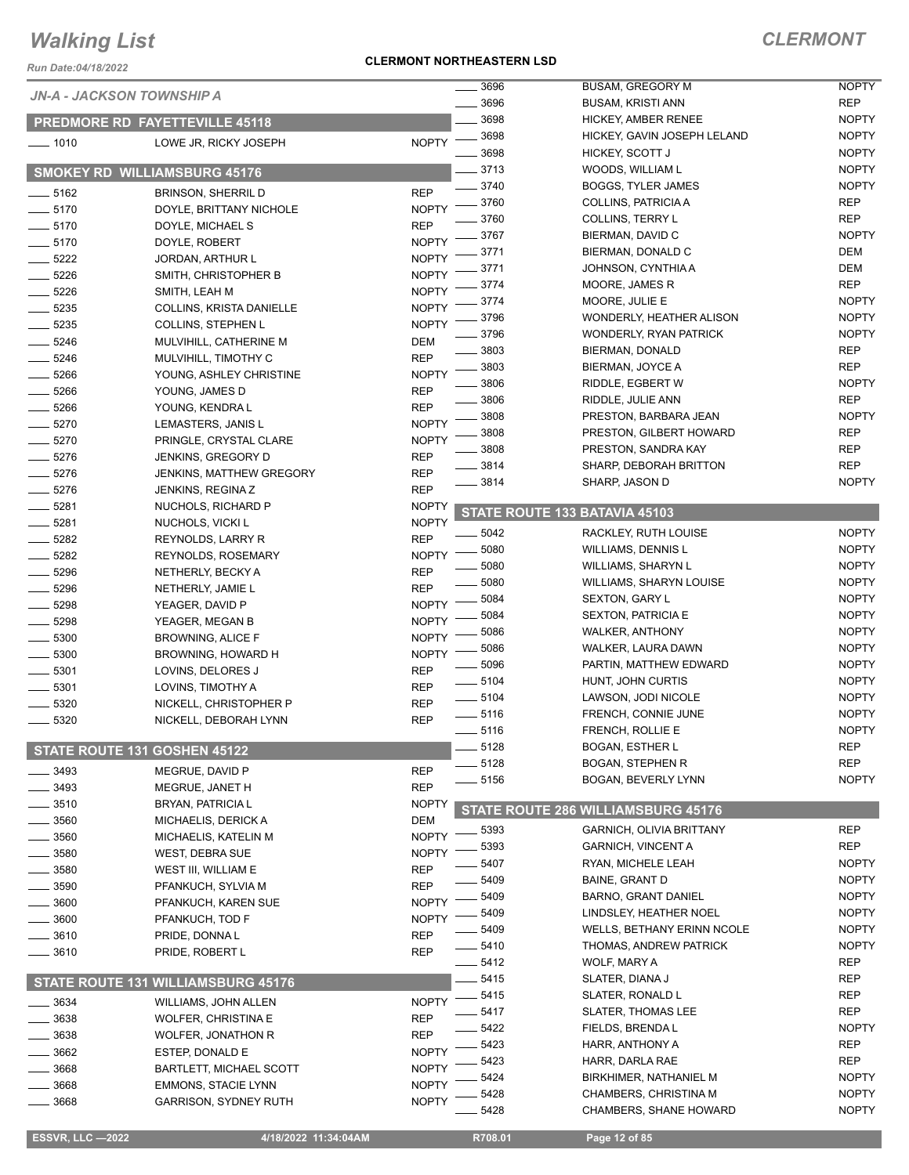*Run Date:04/18/2022*

#### **CLERMONT NORTHEASTERN LSD**

### *CLERMONT*

| 7 <i>uil Date. 04/10/4044</i> |                                              |                            | 3696     | <b>BUSAM, GREGORY M</b>            | <b>NOPTY</b> |
|-------------------------------|----------------------------------------------|----------------------------|----------|------------------------------------|--------------|
|                               | JN-A - JACKSON TOWNSHIP A                    |                            | 3696     | <b>BUSAM, KRISTI ANN</b>           | <b>REP</b>   |
|                               | <b>PREDMORE RD FAYETTEVILLE 45118</b>        |                            | 3698     | <b>HICKEY, AMBER RENEE</b>         | <b>NOPTY</b> |
| $- 1010$                      | LOWE JR, RICKY JOSEPH                        | <b>NOPTY</b>               | 3698     | HICKEY, GAVIN JOSEPH LELAND        | <b>NOPTY</b> |
|                               |                                              |                            | 3698     | HICKEY, SCOTT J                    | <b>NOPTY</b> |
|                               | <b>SMOKEY RD WILLIAMSBURG 45176</b>          |                            | 3713     | WOODS, WILLIAM L                   | <b>NOPTY</b> |
| $-5162$                       | <b>BRINSON, SHERRIL D</b>                    | <b>REP</b>                 | 3740     | <b>BOGGS, TYLER JAMES</b>          | <b>NOPTY</b> |
| $- 5170$                      | DOYLE, BRITTANY NICHOLE                      | <b>NOPTY</b>               | 3760     | COLLINS, PATRICIA A                | <b>REP</b>   |
| $- 5170$                      | DOYLE, MICHAEL S                             | <b>REP</b>                 | 3760     | <b>COLLINS, TERRY L</b>            | <b>REP</b>   |
| $- 5170$                      | DOYLE, ROBERT                                | <b>NOPTY</b>               | 3767     | BIERMAN, DAVID C                   | <b>NOPTY</b> |
| 5222<br>$\frac{1}{1}$         | <b>JORDAN, ARTHUR L</b>                      | <b>NOPTY</b>               | 3771     | BIERMAN, DONALD C                  | <b>DEM</b>   |
| 5226                          | SMITH, CHRISTOPHER B                         | <b>NOPTY</b>               | 3771     | JOHNSON, CYNTHIA A                 | <b>DEM</b>   |
| 5226                          | SMITH, LEAH M                                | <b>NOPTY</b>               | 3774     | MOORE, JAMES R                     | <b>REP</b>   |
| 5235                          | COLLINS, KRISTA DANIELLE                     | <b>NOPTY</b>               | 3774     | MOORE, JULIE E                     | <b>NOPTY</b> |
| 5235                          | <b>COLLINS, STEPHEN L</b>                    | <b>NOPTY</b>               | 3796     | WONDERLY, HEATHER ALISON           | <b>NOPTY</b> |
| 5246                          | MULVIHILL, CATHERINE M                       | <b>DEM</b>                 | 3796     | <b>WONDERLY, RYAN PATRICK</b>      | <b>NOPTY</b> |
| 5246                          | MULVIHILL, TIMOTHY C                         | <b>REP</b>                 | 3803     | BIERMAN, DONALD                    | <b>REP</b>   |
| 5266                          | YOUNG, ASHLEY CHRISTINE                      | <b>NOPTY</b>               | 3803     | BIERMAN, JOYCE A                   | <b>REP</b>   |
| 5266                          | YOUNG, JAMES D                               | <b>REP</b>                 | 3806     | RIDDLE, EGBERT W                   | <b>NOPTY</b> |
| 5266                          | YOUNG, KENDRA L                              | <b>REP</b>                 | 3806     | RIDDLE, JULIE ANN                  | <b>REP</b>   |
| 5270                          |                                              | <b>NOPTY</b>               | 3808     | PRESTON, BARBARA JEAN              | <b>NOPTY</b> |
|                               | LEMASTERS, JANIS L                           |                            | 3808     | PRESTON, GILBERT HOWARD            | <b>REP</b>   |
| 5270<br>5276                  | PRINGLE, CRYSTAL CLARE<br>JENKINS, GREGORY D | <b>NOPTY</b><br><b>REP</b> | 3808     | PRESTON, SANDRA KAY                | <b>REP</b>   |
| 5276                          |                                              |                            | 3814     | SHARP, DEBORAH BRITTON             | <b>REP</b>   |
|                               | <b>JENKINS, MATTHEW GREGORY</b>              | <b>REP</b><br><b>REP</b>   | 3814     | SHARP, JASON D                     | <b>NOPTY</b> |
| 5276<br>5281                  | <b>JENKINS, REGINA Z</b>                     |                            |          |                                    |              |
|                               | NUCHOLS, RICHARD P                           | <b>NOPTY</b>               |          | STATE ROUTE 133 BATAVIA 45103      |              |
| 5281                          | NUCHOLS, VICKI L                             | <b>NOPTY</b><br><b>REP</b> | 5042     | RACKLEY, RUTH LOUISE               | <b>NOPTY</b> |
| 5282                          | REYNOLDS, LARRY R                            | <b>NOPTY</b>               | 5080     | <b>WILLIAMS, DENNIS L</b>          | <b>NOPTY</b> |
| 5282                          | <b>REYNOLDS, ROSEMARY</b>                    |                            | 5080     | <b>WILLIAMS, SHARYN L</b>          | <b>NOPTY</b> |
| 5296                          | NETHERLY, BECKY A                            | <b>REP</b>                 | 5080     | <b>WILLIAMS, SHARYN LOUISE</b>     | <b>NOPTY</b> |
| 5296                          | NETHERLY, JAMIE L                            | <b>REP</b>                 | 5084     | <b>SEXTON, GARY L</b>              | <b>NOPTY</b> |
| 5298                          | YEAGER, DAVID P                              | <b>NOPTY</b>               | 5084     | <b>SEXTON, PATRICIA E</b>          | <b>NOPTY</b> |
| 5298                          | YEAGER, MEGAN B                              | <b>NOPTY</b>               | 5086     | <b>WALKER, ANTHONY</b>             | <b>NOPTY</b> |
| 5300                          | <b>BROWNING, ALICE F</b>                     | <b>NOPTY</b>               | 5086     | WALKER, LAURA DAWN                 | <b>NOPTY</b> |
| 5300                          | BROWNING, HOWARD H                           | <b>NOPTY</b>               | 5096     | PARTIN, MATTHEW EDWARD             | <b>NOPTY</b> |
| 5301                          | LOVINS, DELORES J                            | <b>REP</b>                 | $-5104$  | HUNT, JOHN CURTIS                  | <b>NOPTY</b> |
| 5301                          | LOVINS, TIMOTHY A                            | <b>REP</b>                 | $- 5104$ | LAWSON, JODI NICOLE                | <b>NOPTY</b> |
| 5320                          | NICKELL, CHRISTOPHER P                       | <b>REP</b>                 | $-5116$  | FRENCH, CONNIE JUNE                | <b>NOPTY</b> |
| 5320                          | NICKELL, DEBORAH LYNN                        | <b>REP</b>                 | 5116     | FRENCH, ROLLIE E                   | <b>NOPTY</b> |
|                               | STATE ROUTE 131 GOSHEN 45122                 |                            | 5128     | <b>BOGAN, ESTHER L</b>             | <b>REP</b>   |
|                               |                                              |                            | 5128     | <b>BOGAN, STEPHEN R</b>            | <b>REP</b>   |
| 3493                          | MEGRUE, DAVID P                              | <b>REP</b>                 | 5156     | BOGAN, BEVERLY LYNN                | <b>NOPTY</b> |
| 3493                          | MEGRUE, JANET H                              | <b>REP</b>                 |          |                                    |              |
| 3510                          | <b>BRYAN, PATRICIA L</b>                     | <b>NOPTY</b>               |          | STATE ROUTE 286 WILLIAMSBURG 45176 |              |
| 3560                          | MICHAELIS, DERICK A                          | DEM                        | 5393     | <b>GARNICH, OLIVIA BRITTANY</b>    | <b>REP</b>   |
| 3560                          | MICHAELIS, KATELIN M                         | <b>NOPTY</b>               | 5393     | <b>GARNICH, VINCENT A</b>          | <b>REP</b>   |
| 3580                          | <b>WEST, DEBRA SUE</b>                       | <b>NOPTY</b>               | 5407     | RYAN, MICHELE LEAH                 | <b>NOPTY</b> |
| 3580                          | WEST III, WILLIAM E                          | <b>REP</b>                 | 5409     | <b>BAINE, GRANT D</b>              | <b>NOPTY</b> |
| 3590                          | PFANKUCH, SYLVIA M                           | <b>REP</b>                 | 5409     | <b>BARNO, GRANT DANIEL</b>         | <b>NOPTY</b> |
| 3600                          | PFANKUCH, KAREN SUE                          | <b>NOPTY</b>               | 5409     | LINDSLEY, HEATHER NOEL             | <b>NOPTY</b> |
| 3600                          | PFANKUCH, TOD F                              | <b>NOPTY</b>               | 5409     | WELLS, BETHANY ERINN NCOLE         | <b>NOPTY</b> |
| 3610                          | PRIDE, DONNA L                               | <b>REP</b>                 |          |                                    | <b>NOPTY</b> |
| 3610                          | PRIDE, ROBERT L                              | <b>REP</b>                 | 5410     | THOMAS, ANDREW PATRICK             | <b>REP</b>   |
|                               |                                              |                            | 5412     | WOLF, MARY A                       |              |
|                               | STATE ROUTE 131 WILLIAMSBURG 45176           |                            | 5415     | SLATER, DIANA J                    | REP          |
| 3634                          | WILLIAMS, JOHN ALLEN                         | <b>NOPTY</b>               | 5415     | SLATER, RONALD L                   | <b>REP</b>   |
| 3638                          | <b>WOLFER, CHRISTINA E</b>                   | <b>REP</b>                 | 5417     | SLATER, THOMAS LEE                 | <b>REP</b>   |
| 3638                          | WOLFER, JONATHON R                           | <b>REP</b>                 | 5422     | FIELDS, BRENDA L                   | <b>NOPTY</b> |
| 3662                          | ESTEP, DONALD E                              | <b>NOPTY</b>               | 5423     | HARR, ANTHONY A                    | REP          |
| 3668                          | BARTLETT, MICHAEL SCOTT                      | <b>NOPTY</b>               | 5423     | HARR, DARLA RAE                    | <b>REP</b>   |
| 3668                          | <b>EMMONS, STACIE LYNN</b>                   | <b>NOPTY</b>               | 5424     | BIRKHIMER, NATHANIEL M             | <b>NOPTY</b> |
| 3668                          | <b>GARRISON, SYDNEY RUTH</b>                 | <b>NOPTY</b>               | 5428     | CHAMBERS, CHRISTINA M              | <b>NOPTY</b> |
|                               |                                              |                            | 5428     | <b>CHAMBERS, SHANE HOWARD</b>      | <b>NOPTY</b> |

**ESSVR, LLC —2022 4/18/2022 11:34:04AM** R708.01 **Page 12 of 85**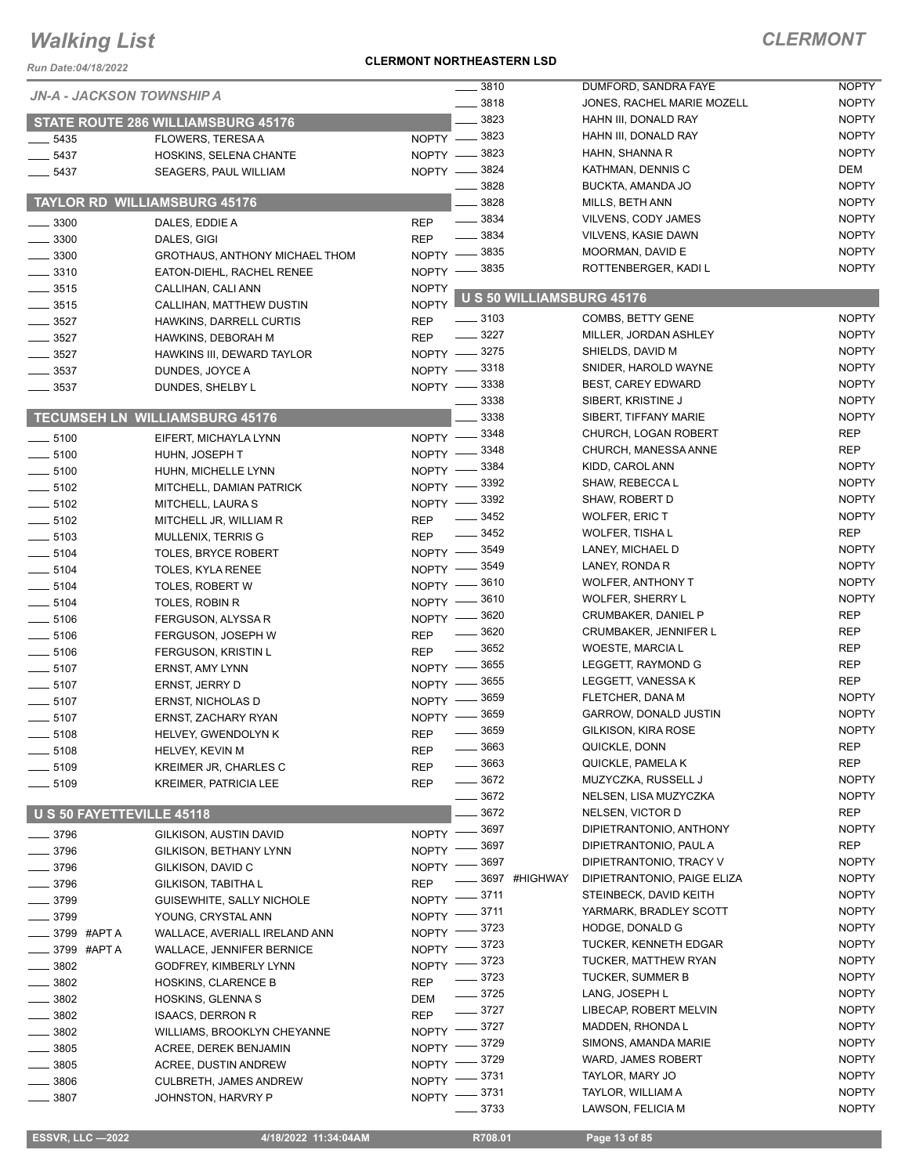*Run Date:04/18/2022*

#### **CLERMONT NORTHEASTERN LSD**

| KUII DAIC.04/10/ZUZZ      |                                       |                    |                           |                              |              |
|---------------------------|---------------------------------------|--------------------|---------------------------|------------------------------|--------------|
| JN-A - JACKSON TOWNSHIP A |                                       |                    | $\frac{1}{2}$ 3810        | DUMFORD, SANDRA FAYE         | <b>NOPTY</b> |
|                           |                                       |                    | 3818                      | JONES, RACHEL MARIE MOZELL   | <b>NOPTY</b> |
|                           | STATE ROUTE 286 WILLIAMSBURG 45176    |                    | 3823                      | HAHN III, DONALD RAY         | <b>NOPTY</b> |
| 5435                      | FLOWERS, TERESA A                     |                    | NOPTY - 3823              | HAHN III, DONALD RAY         | <b>NOPTY</b> |
| $-5437$                   | HOSKINS, SELENA CHANTE                |                    | NOPTY -8823               | HAHN, SHANNA R               | <b>NOPTY</b> |
| $-5437$                   | SEAGERS, PAUL WILLIAM                 |                    | NOPTY -8824               | KATHMAN, DENNIS C            | DEM          |
|                           |                                       |                    | 3828                      | BUCKTA, AMANDA JO            | <b>NOPTY</b> |
|                           | <b>TAYLOR RD WILLIAMSBURG 45176</b>   |                    | 3828                      | MILLS, BETH ANN              | <b>NOPTY</b> |
| 3300                      | DALES, EDDIE A                        | <b>REP</b>         | 3834                      | VILVENS, CODY JAMES          | <b>NOPTY</b> |
|                           |                                       | <b>REP</b>         | 3834                      | <b>VILVENS, KASIE DAWN</b>   | <b>NOPTY</b> |
| 3300                      | DALES, GIGI                           |                    | 3835                      | MOORMAN, DAVID E             | <b>NOPTY</b> |
| 3300                      | GROTHAUS, ANTHONY MICHAEL THOM        | $NOPTY -$          | _ 3835                    | ROTTENBERGER, KADI L         | <b>NOPTY</b> |
| 3310                      | EATON-DIEHL, RACHEL RENEE             | NOPTY -            |                           |                              |              |
| $-3515$                   | CALLIHAN, CALI ANN                    | <b>NOPTY</b>       | U S 50 WILLIAMSBURG 45176 |                              |              |
| $\frac{1}{2}$ 3515        | CALLIHAN, MATTHEW DUSTIN              | <b>NOPTY</b>       |                           |                              |              |
| 3527                      | HAWKINS, DARRELL CURTIS               | <b>REP</b>         | $\frac{1}{2}$ 3103        | COMBS, BETTY GENE            | <b>NOPTY</b> |
| 3527                      | HAWKINS, DEBORAH M                    | <b>REP</b>         | 3227                      | MILLER, JORDAN ASHLEY        | <b>NOPTY</b> |
| 3527                      | HAWKINS III, DEWARD TAYLOR            |                    | NOPTY -8275               | SHIELDS, DAVID M             | <b>NOPTY</b> |
| $-3537$                   | DUNDES, JOYCE A                       |                    | NOPTY -8318               | SNIDER, HAROLD WAYNE         | <b>NOPTY</b> |
| 3537                      | DUNDES, SHELBY L                      |                    | NOPTY -8338               | <b>BEST, CAREY EDWARD</b>    | <b>NOPTY</b> |
|                           |                                       |                    | 3338                      | SIBERT, KRISTINE J           | <b>NOPTY</b> |
|                           | <b>TECUMSEH LN WILLIAMSBURG 45176</b> |                    | 3338                      | SIBERT, TIFFANY MARIE        | <b>NOPTY</b> |
| $- 5100$                  | EIFERT, MICHAYLA LYNN                 | $NOPTY -$          | 3348                      | CHURCH, LOGAN ROBERT         | <b>REP</b>   |
| $- 5100$                  | HUHN, JOSEPH T                        | NOPTY -            | 3348                      | CHURCH, MANESSA ANNE         | <b>REP</b>   |
|                           |                                       |                    | 3384                      | KIDD, CAROL ANN              | <b>NOPTY</b> |
| $-5100$                   | HUHN, MICHELLE LYNN                   | NOPTY -            | 3392                      | SHAW, REBECCA L              | <b>NOPTY</b> |
| $-5102$                   | MITCHELL, DAMIAN PATRICK              | <b>NOPTY</b>       | 3392                      | SHAW, ROBERT D               | <b>NOPTY</b> |
| $-5102$                   | MITCHELL, LAURA S                     | NOPTY -            | 3452                      | <b>WOLFER, ERIC T</b>        | <b>NOPTY</b> |
| $\frac{1}{2}$ 5102        | MITCHELL JR, WILLIAM R                | <b>REP</b>         |                           |                              |              |
| $\frac{1}{2}$ 5103        | <b>MULLENIX, TERRIS G</b>             | <b>REP</b>         | 3452                      | <b>WOLFER, TISHA L</b>       | <b>REP</b>   |
| $-5104$                   | <b>TOLES, BRYCE ROBERT</b>            | $N$ OPTY $-$       | _ 3549                    | LANEY, MICHAEL D             | <b>NOPTY</b> |
| $\frac{1}{2}$ 5104        | <b>TOLES, KYLA RENEE</b>              | NOPTY -            | _ 3549                    | LANEY, RONDA R               | <b>NOPTY</b> |
| $\frac{1}{2}$ 5104        | <b>TOLES, ROBERT W</b>                | NOPTY -            | 3610                      | <b>WOLFER, ANTHONY T</b>     | <b>NOPTY</b> |
| $-5104$                   | TOLES, ROBIN R                        | NOPTY -            | 3610                      | <b>WOLFER, SHERRY L</b>      | <b>NOPTY</b> |
| $\frac{1}{2}$ 5106        | FERGUSON, ALYSSA R                    | NOPTY -            | 3620                      | <b>CRUMBAKER, DANIEL P</b>   | <b>REP</b>   |
| $-5106$                   | FERGUSON, JOSEPH W                    | <b>REP</b>         | 3620                      | <b>CRUMBAKER, JENNIFER L</b> | <b>REP</b>   |
| $\frac{1}{2}$ 5106        | FERGUSON, KRISTIN L                   | <b>REP</b>         | 3652                      | WOESTE, MARCIA L             | <b>REP</b>   |
| $-5107$                   | ERNST, AMY LYNN                       | NOPTY -            | 3655                      | LEGGETT, RAYMOND G           | <b>REP</b>   |
| $-5107$                   | ERNST, JERRY D                        | NOPTY -            | 3655                      | LEGGETT, VANESSA K           | <b>REP</b>   |
| $-5107$                   |                                       | <b>NOPTY</b>       | 3659                      | FLETCHER, DANA M             | <b>NOPTY</b> |
|                           | ERNST, NICHOLAS D                     |                    | 3659                      | <b>GARROW, DONALD JUSTIN</b> | <b>NOPTY</b> |
| $-5107$                   | ERNST, ZACHARY RYAN                   | NOPTY -            | 3659                      | GILKISON, KIRA ROSE          | <b>NOPTY</b> |
| $-5108$                   | HELVEY, GWENDOLYN K                   | <b>REP</b>         | 3663                      | QUICKLE, DONN                | <b>REP</b>   |
| $\frac{1}{2}$ 5108        | HELVEY, KEVIN M                       | <b>REP</b>         | $-3663$                   |                              | <b>REP</b>   |
| $-5109$                   | KREIMER JR, CHARLES C                 | <b>REP</b>         |                           | QUICKLE, PAMELA K            |              |
| $-5109$                   | KREIMER, PATRICIA LEE                 | <b>REP</b>         | $- 3672$                  | MUZYCZKA, RUSSELL J          | <b>NOPTY</b> |
|                           |                                       |                    | $- 3672$                  | NELSEN, LISA MUZYCZKA        | <b>NOPTY</b> |
| U S 50 FAYETTEVILLE 45118 |                                       |                    | 3672                      | NELSEN, VICTOR D             | <b>REP</b>   |
| _ 3796                    | GILKISON, AUSTIN DAVID                | NOPTY -            | 3697                      | DIPIETRANTONIO, ANTHONY      | <b>NOPTY</b> |
| 3796                      | GILKISON, BETHANY LYNN                | <b>NOPTY</b>       | 3697                      | DIPIETRANTONIO, PAUL A       | <b>REP</b>   |
| 3796                      | GILKISON, DAVID C                     | <b>NOPTY</b>       | 3697                      | DIPIETRANTONIO, TRACY V      | <b>NOPTY</b> |
| _ 3796                    | GILKISON, TABITHA L                   | <b>REP</b>         | 3697 #HIGHWAY             | DIPIETRANTONIO, PAIGE ELIZA  | <b>NOPTY</b> |
| 3799                      | GUISEWHITE, SALLY NICHOLE             | <b>NOPTY</b>       | 3711                      | STEINBECK, DAVID KEITH       | <b>NOPTY</b> |
| $-3799$                   | YOUNG, CRYSTAL ANN                    | NOPTY -            | 3711                      | YARMARK, BRADLEY SCOTT       | <b>NOPTY</b> |
|                           |                                       | NOPTY <sup>-</sup> | 3723                      | HODGE, DONALD G              | <b>NOPTY</b> |
| 3799 #APT A               | WALLACE, AVERIALL IRELAND ANN         | NOPTY -            | 3723                      | <b>TUCKER, KENNETH EDGAR</b> | <b>NOPTY</b> |
| _3799 #APTA               | <b>WALLACE, JENNIFER BERNICE</b>      |                    | NOPTY -8723               | TUCKER, MATTHEW RYAN         | <b>NOPTY</b> |
| $-3802$                   | GODFREY, KIMBERLY LYNN                |                    | $=$ 3723                  | <b>TUCKER, SUMMER B</b>      | <b>NOPTY</b> |
| 3802                      | <b>HOSKINS, CLARENCE B</b>            | <b>REP</b>         | $-3725$                   | LANG, JOSEPH L               | <b>NOPTY</b> |
| $-3802$                   | <b>HOSKINS, GLENNAS</b>               | DEM                |                           |                              |              |
| 3802                      | <b>ISAACS, DERRON R</b>               | <b>REP</b>         | $-3727$                   | LIBECAP, ROBERT MELVIN       | <b>NOPTY</b> |
| 3802                      | WILLIAMS, BROOKLYN CHEYANNE           | <b>NOPTY</b>       | 3727                      | MADDEN, RHONDA L             | <b>NOPTY</b> |
| 3805                      | ACREE, DEREK BENJAMIN                 | <b>NOPTY</b>       | 3729                      | SIMONS, AMANDA MARIE         | <b>NOPTY</b> |
| 3805                      | ACREE, DUSTIN ANDREW                  | <b>NOPTY</b>       | 3729                      | WARD, JAMES ROBERT           | <b>NOPTY</b> |
| 3806                      | CULBRETH, JAMES ANDREW                | <b>NOPTY</b>       | 3731                      | TAYLOR, MARY JO              | <b>NOPTY</b> |
| 3807                      | JOHNSTON, HARVRY P                    | <b>NOPTY</b>       | 3731                      | TAYLOR, WILLIAM A            | <b>NOPTY</b> |
|                           |                                       |                    | 3733                      | LAWSON, FELICIA M            | <b>NOPTY</b> |
|                           |                                       |                    |                           |                              |              |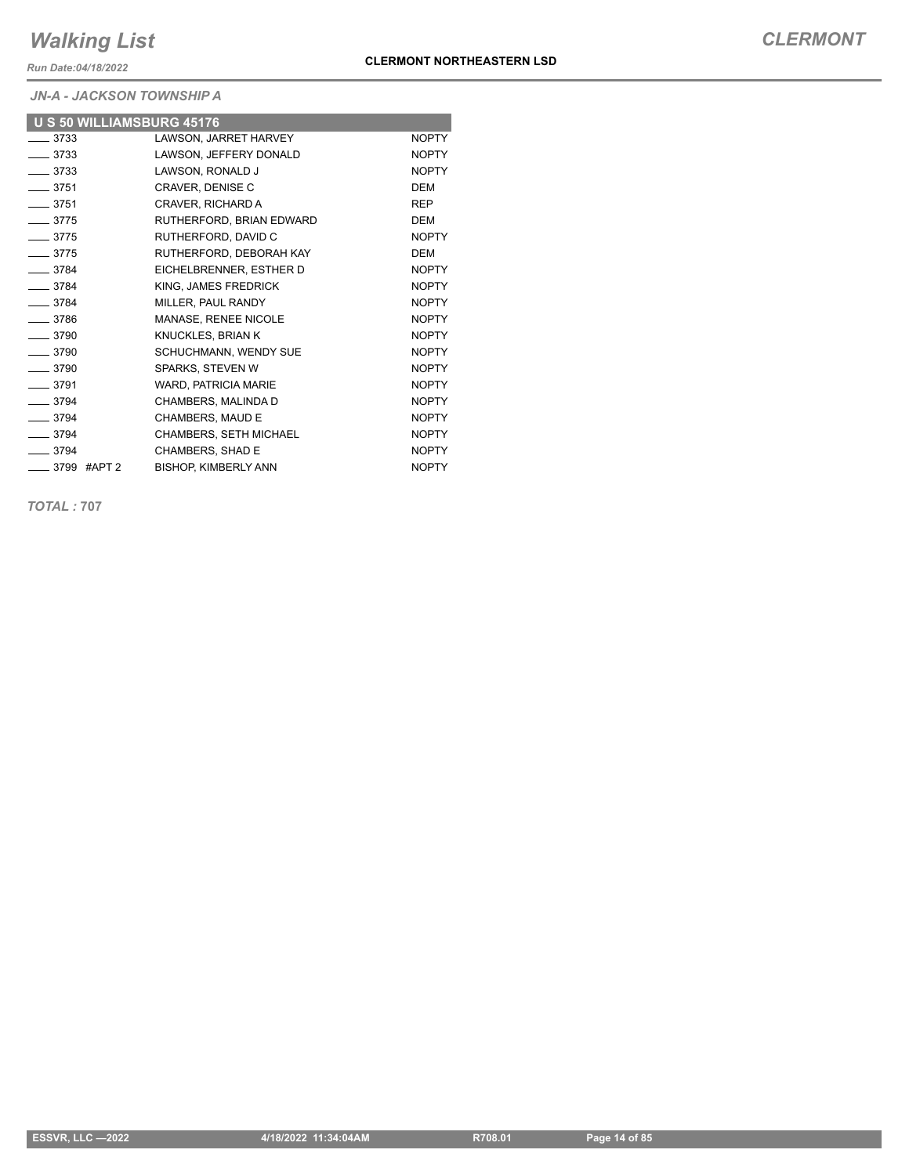*Run Date:04/18/2022*

*JN-A - JACKSON TOWNSHIP A*

| U S 50 WILLIAMSBURG 45176 |                             |              |
|---------------------------|-----------------------------|--------------|
| $-3733$                   | LAWSON, JARRET HARVEY       | <b>NOPTY</b> |
| $-3733$                   | LAWSON, JEFFERY DONALD      | <b>NOPTY</b> |
| $-3733$                   | LAWSON, RONALD J            | <b>NOPTY</b> |
| $-3751$                   | CRAVER, DENISE C            | <b>DEM</b>   |
| $-3751$                   | CRAVER, RICHARD A           | <b>REP</b>   |
| $-3775$                   | RUTHERFORD, BRIAN EDWARD    | <b>DEM</b>   |
| $-3775$                   | RUTHERFORD, DAVID C         | <b>NOPTY</b> |
| $-3775$                   | RUTHERFORD, DEBORAH KAY     | <b>DEM</b>   |
| $-3784$                   | EICHELBRENNER, ESTHER D     | <b>NOPTY</b> |
| $-3784$                   | KING, JAMES FREDRICK        | <b>NOPTY</b> |
| $-3784$                   | MILLER, PAUL RANDY          | <b>NOPTY</b> |
| $-3786$                   | MANASE, RENEE NICOLE        | <b>NOPTY</b> |
| $-3790$                   | KNUCKLES, BRIAN K           | <b>NOPTY</b> |
| $-3790$                   | SCHUCHMANN, WENDY SUE       | <b>NOPTY</b> |
| $-3790$                   | SPARKS, STEVEN W            | <b>NOPTY</b> |
| $-3791$                   | WARD, PATRICIA MARIE        | <b>NOPTY</b> |
| $-3794$                   | CHAMBERS, MALINDA D         | <b>NOPTY</b> |
| $-3794$                   | CHAMBERS, MAUD E            | <b>NOPTY</b> |
| $-3794$                   | CHAMBERS, SETH MICHAEL      | <b>NOPTY</b> |
| $-3794$                   | CHAMBERS, SHAD E            | <b>NOPTY</b> |
| ____ 3799 #APT 2          | <b>BISHOP, KIMBERLY ANN</b> | <b>NOPTY</b> |

*TOTAL :* **707**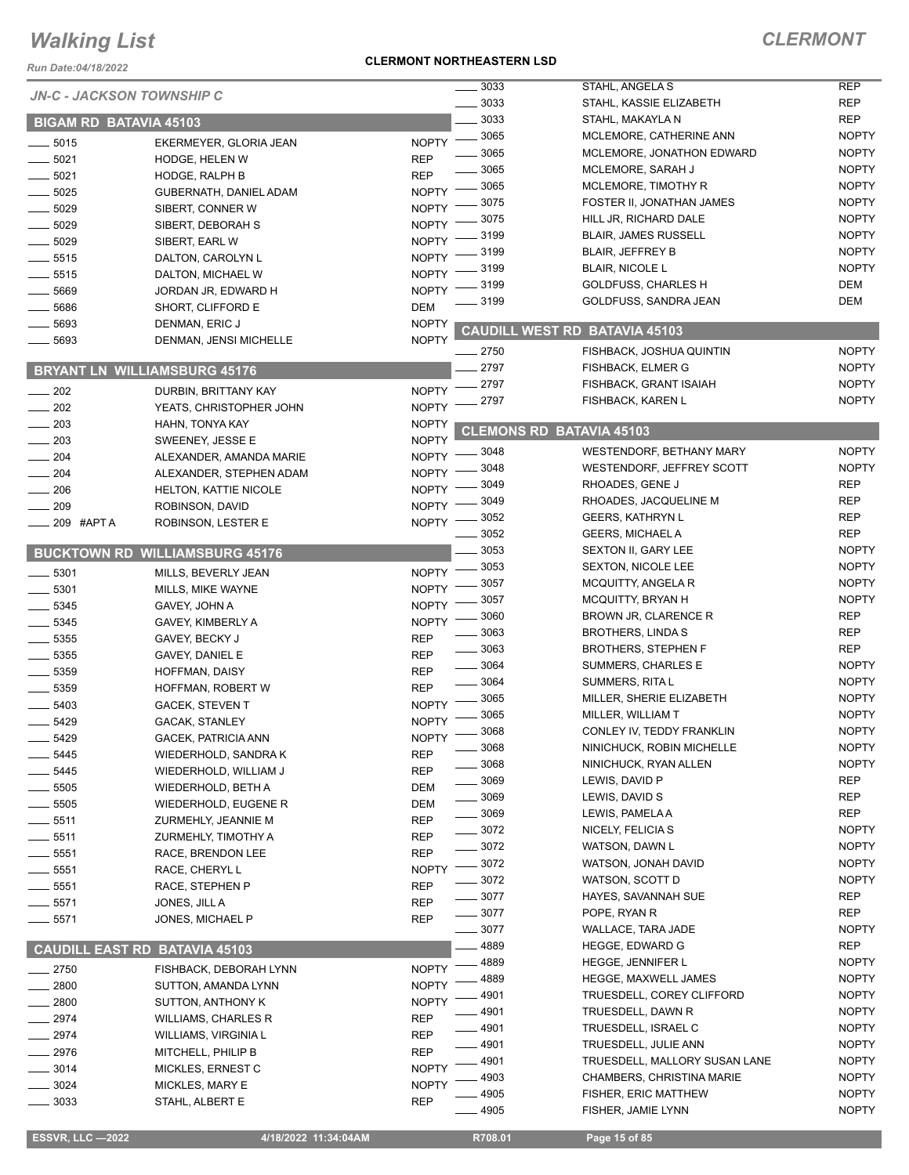*Run Date:04/18/2022*

#### **CLERMONT NORTHEASTERN LSD**

### *CLERMONT*

| <i>NUIT Date.v+/T0/L024</i>      |                                       |              |          |                                      |              |
|----------------------------------|---------------------------------------|--------------|----------|--------------------------------------|--------------|
| <b>JN-C - JACKSON TOWNSHIP C</b> |                                       |              | 3033     | STAHL, ANGELA S                      | <b>REP</b>   |
|                                  |                                       |              | 3033     | STAHL, KASSIE ELIZABETH              | <b>REP</b>   |
| <b>BIGAM RD BATAVIA 45103</b>    |                                       |              | 3033     | STAHL, MAKAYLA N                     | <b>REP</b>   |
| 5015                             | EKERMEYER, GLORIA JEAN                | <b>NOPTY</b> | 3065     | MCLEMORE, CATHERINE ANN              | <b>NOPTY</b> |
| 5021                             | HODGE, HELEN W                        | <b>REP</b>   | 3065     | MCLEMORE, JONATHON EDWARD            | <b>NOPTY</b> |
| 5021                             | HODGE, RALPH B                        | <b>REP</b>   | 3065     | MCLEMORE, SARAH J                    | <b>NOPTY</b> |
| 5025                             | GUBERNATH, DANIEL ADAM                | <b>NOPTY</b> | 3065     | MCLEMORE, TIMOTHY R                  | <b>NOPTY</b> |
| 5029                             | SIBERT, CONNER W                      | <b>NOPTY</b> | 3075     | FOSTER II, JONATHAN JAMES            | <b>NOPTY</b> |
| 5029                             | SIBERT, DEBORAH S                     | <b>NOPTY</b> | 3075     | HILL JR, RICHARD DALE                | <b>NOPTY</b> |
| 5029                             | SIBERT, EARL W                        | <b>NOPTY</b> | 3199     | <b>BLAIR, JAMES RUSSELL</b>          | <b>NOPTY</b> |
| 5515                             | DALTON, CAROLYN L                     | <b>NOPTY</b> | 3199     | <b>BLAIR, JEFFREY B</b>              | <b>NOPTY</b> |
| 5515                             | DALTON, MICHAEL W                     | <b>NOPTY</b> | 3199     | <b>BLAIR, NICOLE L</b>               | <b>NOPTY</b> |
| 5669                             |                                       | <b>NOPTY</b> | 3199     | <b>GOLDFUSS, CHARLES H</b>           | DEM          |
|                                  | JORDAN JR, EDWARD H                   |              | 3199     | GOLDFUSS, SANDRA JEAN                | DEM          |
| 5686                             | SHORT, CLIFFORD E                     | <b>DEM</b>   |          |                                      |              |
| 5693                             | DENMAN, ERIC J                        | <b>NOPTY</b> |          | <b>CAUDILL WEST RD BATAVIA 45103</b> |              |
| 5693                             | DENMAN, JENSI MICHELLE                | <b>NOPTY</b> | $= 2750$ | FISHBACK, JOSHUA QUINTIN             | <b>NOPTY</b> |
|                                  | <b>BRYANT LN WILLIAMSBURG 45176</b>   |              | 2797     | <b>FISHBACK, ELMER G</b>             | <b>NOPTY</b> |
|                                  |                                       |              | 2797     | FISHBACK, GRANT ISAIAH               | <b>NOPTY</b> |
| $-202$                           | DURBIN, BRITTANY KAY                  | <b>NOPTY</b> | 2797     | <b>FISHBACK, KAREN L</b>             | <b>NOPTY</b> |
| 202                              | YEATS, CHRISTOPHER JOHN               | <b>NOPTY</b> |          |                                      |              |
| 203                              | HAHN, TONYA KAY                       | <b>NOPTY</b> |          | <b>CLEMONS RD BATAVIA 45103</b>      |              |
| 203                              | SWEENEY, JESSE E                      | <b>NOPTY</b> | 3048     |                                      | <b>NOPTY</b> |
| 204                              | ALEXANDER, AMANDA MARIE               | <b>NOPTY</b> |          | WESTENDORF, BETHANY MARY             |              |
| 204                              | ALEXANDER, STEPHEN ADAM               | <b>NOPTY</b> | 3048     | WESTENDORF, JEFFREY SCOTT            | <b>NOPTY</b> |
| 206                              | <b>HELTON, KATTIE NICOLE</b>          | <b>NOPTY</b> | 3049     | RHOADES, GENE J                      | <b>REP</b>   |
| 209                              | ROBINSON, DAVID                       | <b>NOPTY</b> | 3049     | RHOADES, JACQUELINE M                | <b>REP</b>   |
| 209 #APT A                       | ROBINSON, LESTER E                    | <b>NOPTY</b> | 3052     | <b>GEERS, KATHRYN L</b>              | <b>REP</b>   |
|                                  |                                       |              | 3052     | <b>GEERS, MICHAEL A</b>              | <b>REP</b>   |
|                                  | <b>BUCKTOWN RD WILLIAMSBURG 45176</b> |              | 3053     | SEXTON II, GARY LEE                  | <b>NOPTY</b> |
| 5301                             | MILLS, BEVERLY JEAN                   | <b>NOPTY</b> | 3053     | <b>SEXTON, NICOLE LEE</b>            | <b>NOPTY</b> |
| 5301                             | MILLS, MIKE WAYNE                     | <b>NOPTY</b> | 3057     | MCQUITTY, ANGELA R                   | <b>NOPTY</b> |
| 5345                             | GAVEY, JOHN A                         | <b>NOPTY</b> | 3057     | <b>MCQUITTY, BRYAN H</b>             | <b>NOPTY</b> |
| 5345                             | GAVEY, KIMBERLY A                     | <b>NOPTY</b> | 3060     | BROWN JR, CLARENCE R                 | <b>REP</b>   |
| 5355                             | GAVEY, BECKY J                        | <b>REP</b>   | 3063     | <b>BROTHERS, LINDA S</b>             | <b>REP</b>   |
| 5355                             | GAVEY, DANIEL E                       | <b>REP</b>   | 3063     | <b>BROTHERS, STEPHEN F</b>           | <b>REP</b>   |
| 5359                             | <b>HOFFMAN, DAISY</b>                 | <b>REP</b>   | 3064     | SUMMERS, CHARLES E                   | <b>NOPTY</b> |
| 5359                             | HOFFMAN, ROBERT W                     | <b>REP</b>   | 3064     | SUMMERS, RITA L                      | <b>NOPTY</b> |
| 5403                             | <b>GACEK, STEVEN T</b>                | <b>NOPTY</b> | 3065     | MILLER, SHERIE ELIZABETH             | <b>NOPTY</b> |
| 5429                             | <b>GACAK, STANLEY</b>                 | <b>NOPTY</b> | 3065     | MILLER, WILLIAM T                    | <b>NOPTY</b> |
|                                  | GACEK, PATRICIA ANN                   | <b>NOPTY</b> | 3068     | CONLEY IV, TEDDY FRANKLIN            | <b>NOPTY</b> |
| __ 5429<br>5445                  | WIEDERHOLD, SANDRA K                  | <b>REP</b>   | 3068     | NINICHUCK, ROBIN MICHELLE            | <b>NOPTY</b> |
|                                  |                                       |              | 3068     | NINICHUCK, RYAN ALLEN                | <b>NOPTY</b> |
| $-5445$                          | WIEDERHOLD, WILLIAM J                 | <b>REP</b>   | _3069    | LEWIS, DAVID P                       | <b>REP</b>   |
| 5505                             | WIEDERHOLD, BETH A                    | DEM          | $-3069$  | LEWIS, DAVID S                       | <b>REP</b>   |
| 5505                             | WIEDERHOLD, EUGENE R                  | DEM          | $-3069$  | LEWIS, PAMELA A                      | <b>REP</b>   |
| 5511                             | ZURMEHLY, JEANNIE M                   | <b>REP</b>   | $-3072$  | NICELY, FELICIA S                    | <b>NOPTY</b> |
| 5511                             | ZURMEHLY, TIMOTHY A                   | <b>REP</b>   | $- 3072$ | WATSON, DAWN L                       | <b>NOPTY</b> |
| 5551                             | RACE, BRENDON LEE                     | <b>REP</b>   | 3072     | WATSON, JONAH DAVID                  | <b>NOPTY</b> |
| 5551                             | RACE, CHERYL L                        | <b>NOPTY</b> | 3072     | WATSON, SCOTT D                      | <b>NOPTY</b> |
| 5551                             | RACE, STEPHEN P                       | <b>REP</b>   | 3077     | HAYES, SAVANNAH SUE                  | <b>REP</b>   |
| 5571                             | JONES, JILL A                         | <b>REP</b>   | 3077     | POPE, RYAN R                         | <b>REP</b>   |
| __ 5571                          | JONES, MICHAEL P                      | <b>REP</b>   | 3077     | WALLACE, TARA JADE                   | <b>NOPTY</b> |
|                                  |                                       |              | 4889     |                                      | <b>REP</b>   |
|                                  | <b>CAUDILL EAST RD BATAVIA 45103</b>  |              |          | <b>HEGGE, EDWARD G</b>               |              |
| $-2750$                          | FISHBACK, DEBORAH LYNN                | <b>NOPTY</b> | 4889     | HEGGE, JENNIFER L                    | <b>NOPTY</b> |
| 2800                             | SUTTON, AMANDA LYNN                   | <b>NOPTY</b> | 4889     | <b>HEGGE, MAXWELL JAMES</b>          | <b>NOPTY</b> |
| 2800                             | SUTTON, ANTHONY K                     | <b>NOPTY</b> | 4901     | TRUESDELL, COREY CLIFFORD            | <b>NOPTY</b> |
| 2974                             | <b>WILLIAMS, CHARLES R</b>            | <b>REP</b>   | 4901     | TRUESDELL, DAWN R                    | <b>NOPTY</b> |
| 2974                             | WILLIAMS, VIRGINIA L                  | <b>REP</b>   | 4901     | TRUESDELL, ISRAEL C                  | <b>NOPTY</b> |
| 2976                             | MITCHELL, PHILIP B                    | <b>REP</b>   | 4901     | TRUESDELL, JULIE ANN                 | <b>NOPTY</b> |
| 3014                             | MICKLES, ERNEST C                     | <b>NOPTY</b> | 4901     | TRUESDELL, MALLORY SUSAN LANE        | <b>NOPTY</b> |
| 3024                             | MICKLES, MARY E                       | <b>NOPTY</b> | 4903     | CHAMBERS, CHRISTINA MARIE            | <b>NOPTY</b> |
| 3033                             | STAHL, ALBERT E                       | <b>REP</b>   | 4905     | FISHER, ERIC MATTHEW                 | <b>NOPTY</b> |
|                                  |                                       |              | 4905     | FISHER, JAMIE LYNN                   | <b>NOPTY</b> |

 **ESSVR, LLC —2022 4/18/2022 11:34:04AM R708.01 Page 15 of 85**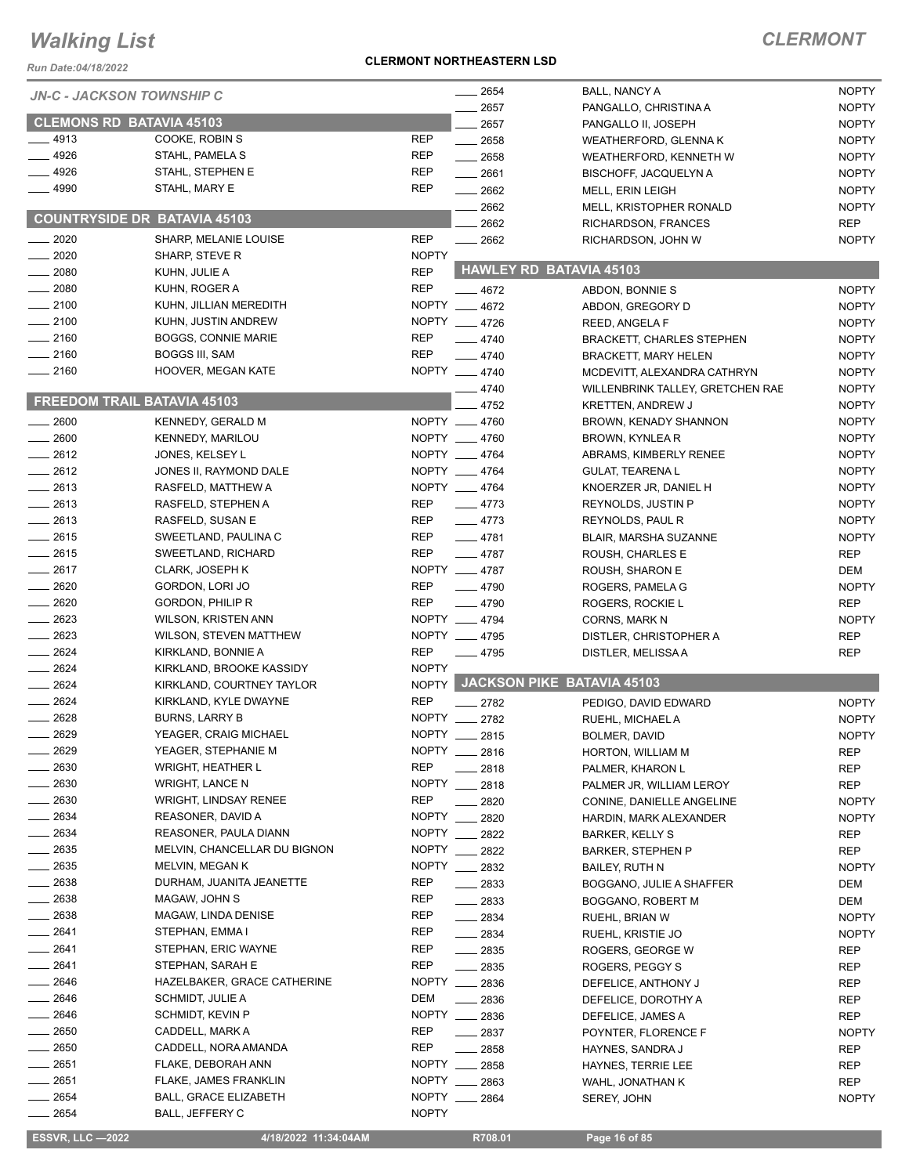*Run Date:04/18/2022*

#### **CLERMONT NORTHEASTERN LSD**

| <b>JN-C - JACKSON TOWNSHIP C</b>    |                               |                | $- 2654$           | BALL, NANCY A                    | <b>NOPTY</b> |
|-------------------------------------|-------------------------------|----------------|--------------------|----------------------------------|--------------|
|                                     |                               |                | 2657               | PANGALLO, CHRISTINA A            | <b>NOPTY</b> |
| <b>CLEMONS RD BATAVIA 45103</b>     |                               |                | 2657               | PANGALLO II, JOSEPH              | <b>NOPTY</b> |
| __ 4913                             | COOKE, ROBIN S                | <b>REP</b>     | 2658               | WEATHERFORD, GLENNA K            | <b>NOPTY</b> |
| 4926                                | STAHL, PAMELA S               | <b>REP</b>     | $-2658$            | WEATHERFORD, KENNETH W           | <b>NOPTY</b> |
| - 4926                              | STAHL, STEPHEN E              | <b>REP</b>     | $-2661$            | <b>BISCHOFF, JACQUELYN A</b>     | <b>NOPTY</b> |
| $-4990$                             | STAHL, MARY E                 | <b>REP</b>     | $\equiv$ 2662      | MELL, ERIN LEIGH                 | <b>NOPTY</b> |
|                                     |                               |                | $-2662$            | MELL, KRISTOPHER RONALD          | <b>NOPTY</b> |
| <b>COUNTRYSIDE DR BATAVIA 45103</b> |                               |                | 2662               | RICHARDSON, FRANCES              | <b>REP</b>   |
| $-2020$                             | SHARP, MELANIE LOUISE         | <b>REP</b>     | $\sim$ 2662        | RICHARDSON, JOHN W               | <b>NOPTY</b> |
| $\sim$ 2020                         | SHARP, STEVE R                | <b>NOPTY</b>   |                    |                                  |              |
| 2080                                | KUHN, JULIE A                 | <b>REP</b>     |                    | <b>HAWLEY RD BATAVIA 45103</b>   |              |
| $-2080$                             | KUHN, ROGER A                 | <b>REP</b>     | $-4672$            | ABDON, BONNIE S                  | <b>NOPTY</b> |
| $-2100$                             | KUHN, JILLIAN MEREDITH        |                | NOPTY __ 4672      | ABDON, GREGORY D                 | <b>NOPTY</b> |
| $-2100$                             | KUHN, JUSTIN ANDREW           |                | NOPTY __ 4726      | REED, ANGELA F                   | <b>NOPTY</b> |
| $-2160$                             | <b>BOGGS, CONNIE MARIE</b>    | REP            |                    |                                  |              |
|                                     |                               |                | $-4740$            | <b>BRACKETT, CHARLES STEPHEN</b> | <b>NOPTY</b> |
| $-2160$                             | BOGGS III, SAM                | <b>REP</b>     | $-4740$            | <b>BRACKETT, MARY HELEN</b>      | <b>NOPTY</b> |
| $-2160$                             | HOOVER, MEGAN KATE            |                | NOPTY __ 4740      | MCDEVITT. ALEXANDRA CATHRYN      | <b>NOPTY</b> |
|                                     |                               |                | $-4740$            | WILLENBRINK TALLEY, GRETCHEN RAE | <b>NOPTY</b> |
| FREEDOM TRAIL BATAVIA 45103         |                               |                | 4752               | <b>KRETTEN, ANDREW J</b>         | <b>NOPTY</b> |
| $-2600$                             | KENNEDY, GERALD M             |                | NOPTY __ 4760      | BROWN, KENADY SHANNON            | <b>NOPTY</b> |
| $-2600$                             | <b>KENNEDY, MARILOU</b>       |                | NOPTY __ 4760      | BROWN, KYNLEA R                  | <b>NOPTY</b> |
| $-2612$                             | JONES, KELSEY L               |                | NOPTY __ 4764      | ABRAMS, KIMBERLY RENEE           | <b>NOPTY</b> |
| $-2612$                             | JONES II, RAYMOND DALE        |                | NOPTY __ 4764      | <b>GULAT, TEARENA L</b>          | <b>NOPTY</b> |
| $-2613$                             | RASFELD, MATTHEW A            |                | NOPTY __ 4764      | KNOERZER JR, DANIEL H            | <b>NOPTY</b> |
| $-2613$                             | RASFELD, STEPHEN A            | REP            | $-4773$            | REYNOLDS, JUSTIN P               | <b>NOPTY</b> |
|                                     |                               |                |                    |                                  |              |
| $-2613$                             | RASFELD, SUSAN E              | REP            | $-4773$            | REYNOLDS, PAUL R                 | <b>NOPTY</b> |
| $-2615$                             | SWEETLAND, PAULINA C          | REP            | $-4781$            | BLAIR, MARSHA SUZANNE            | <b>NOPTY</b> |
| $-2615$                             | SWEETLAND, RICHARD            | REP            | $-4787$            | ROUSH, CHARLES E                 | <b>REP</b>   |
| $-2617$                             | CLARK, JOSEPH K               |                | NOPTY __ 4787      | ROUSH, SHARON E                  | DEM          |
| $-2620$                             | GORDON, LORI JO               | REP            | $-4790$            | ROGERS, PAMELA G                 | <b>NOPTY</b> |
| $-2620$                             | <b>GORDON, PHILIP R</b>       | <b>REP</b>     | $-4790$            | ROGERS, ROCKIE L                 | <b>REP</b>   |
| 2623                                | WILSON, KRISTEN ANN           |                | NOPTY __ 4794      | <b>CORNS, MARK N</b>             | <b>NOPTY</b> |
| $-2623$                             | <b>WILSON, STEVEN MATTHEW</b> |                | NOPTY __ 4795      | DISTLER, CHRISTOPHER A           | <b>REP</b>   |
| $-2624$                             | KIRKLAND, BONNIE A            | <b>REP</b>     | $-4795$            | DISTLER, MELISSA A               | <b>REP</b>   |
| $-2624$                             | KIRKLAND, BROOKE KASSIDY      | <b>NOPTY</b>   |                    |                                  |              |
| $-2624$                             | KIRKLAND, COURTNEY TAYLOR     |                |                    | NOPTY JACKSON PIKE BATAVIA 45103 |              |
| $-2624$                             | KIRKLAND, KYLE DWAYNE         | <b>REP</b>     | $-2782$            | PEDIGO, DAVID EDWARD             | <b>NOPTY</b> |
| 2628                                | <b>BURNS, LARRY B</b>         |                | NOPTY __ 2782      |                                  |              |
| 2629                                | YEAGER, CRAIG MICHAEL         | <b>NOPTY</b>   |                    | RUEHL, MICHAEL A                 | <b>NOPTY</b> |
|                                     |                               |                | 2815               | BOLMER, DAVID                    | <b>NOPTY</b> |
| 2629                                | YEAGER, STEPHANIE M           |                | NOPTY __ 2816      | HORTON, WILLIAM M                | <b>REP</b>   |
| 2630                                | <b>WRIGHT, HEATHER L</b>      | <b>REP</b>     | 2818               | PALMER, KHARON L                 | <b>REP</b>   |
| 2630                                | <b>WRIGHT, LANCE N</b>        | <b>NOPTY</b>   | 2818               | PALMER JR, WILLIAM LEROY         | <b>REP</b>   |
| 2630                                | WRIGHT, LINDSAY RENEE         | <b>REP</b>     | 2820               | CONINE, DANIELLE ANGELINE        | <b>NOPTY</b> |
| 2634                                | REASONER, DAVID A             | <b>NOPTY</b>   | 2820               | HARDIN, MARK ALEXANDER           | <b>NOPTY</b> |
| _ 2634                              | REASONER, PAULA DIANN         | NOPTY ___      | 2822               | <b>BARKER, KELLY S</b>           | <b>REP</b>   |
| $-2635$                             | MELVIN, CHANCELLAR DU BIGNON  |                | NOPTY __ 2822      | <b>BARKER, STEPHEN P</b>         | REP          |
| $= 2635$                            | MELVIN, MEGAN K               |                | NOPTY __ 2832      | <b>BAILEY, RUTH N</b>            | <b>NOPTY</b> |
| $-2638$                             | DURHAM, JUANITA JEANETTE      | REP            | $-2833$            | BOGGANO, JULIE A SHAFFER         | DEM          |
| $-2638$                             | MAGAW, JOHN S                 | <b>REP</b>     | $\frac{2833}{200}$ | BOGGANO, ROBERT M                | DEM          |
| __ 2638                             | MAGAW, LINDA DENISE           | REP            | $-2834$            | RUEHL, BRIAN W                   | <b>NOPTY</b> |
| $-2641$                             | STEPHAN, EMMA I               | REP            | $-2834$            | RUEHL, KRISTIE JO                | <b>NOPTY</b> |
| 2641                                |                               | <b>REP</b>     |                    |                                  |              |
|                                     | STEPHAN, ERIC WAYNE           |                | $\frac{1}{2835}$   | ROGERS, GEORGE W                 | <b>REP</b>   |
| 2641                                | STEPHAN, SARAH E              | <b>REP</b>     | $-2835$            | ROGERS, PEGGY S                  | REP          |
| 2646                                | HAZELBAKER, GRACE CATHERINE   | <b>NOPTY</b>   | $\frac{2836}{5}$   | DEFELICE, ANTHONY J              | REP          |
| _ 2646                              | SCHMIDT, JULIE A              | DEM            | $-2836$            | DEFELICE, DOROTHY A              | REP          |
| - 2646                              | SCHMIDT, KEVIN P              |                | NOPTY __ 2836      | DEFELICE, JAMES A                | REP          |
| 2650                                | CADDELL, MARK A               | REP            | $\frac{2837}{200}$ | POYNTER, FLORENCE F              | <b>NOPTY</b> |
| $-2650$                             | CADDELL, NORA AMANDA          | REP            | 2858               | HAYNES, SANDRA J                 | REP          |
| 2651                                | FLAKE, DEBORAH ANN            |                | NOPTY 2858         | HAYNES, TERRIE LEE               | REP          |
| _ 2651                              | FLAKE, JAMES FRANKLIN         | $N$ OPTY $\_\$ | 2863               | WAHL, JONATHAN K                 | <b>REP</b>   |
| $-2654$                             | <b>BALL, GRACE ELIZABETH</b>  | <b>NOPTY</b>   | 2864               | SEREY, JOHN                      | <b>NOPTY</b> |
| 2654                                | BALL, JEFFERY C               | <b>NOPTY</b>   |                    |                                  |              |
|                                     |                               |                |                    |                                  |              |
| <b>ESSVR, LLC -2022</b>             | 4/18/2022 11:34:04AM          |                | R708.01            | Page 16 of 85                    |              |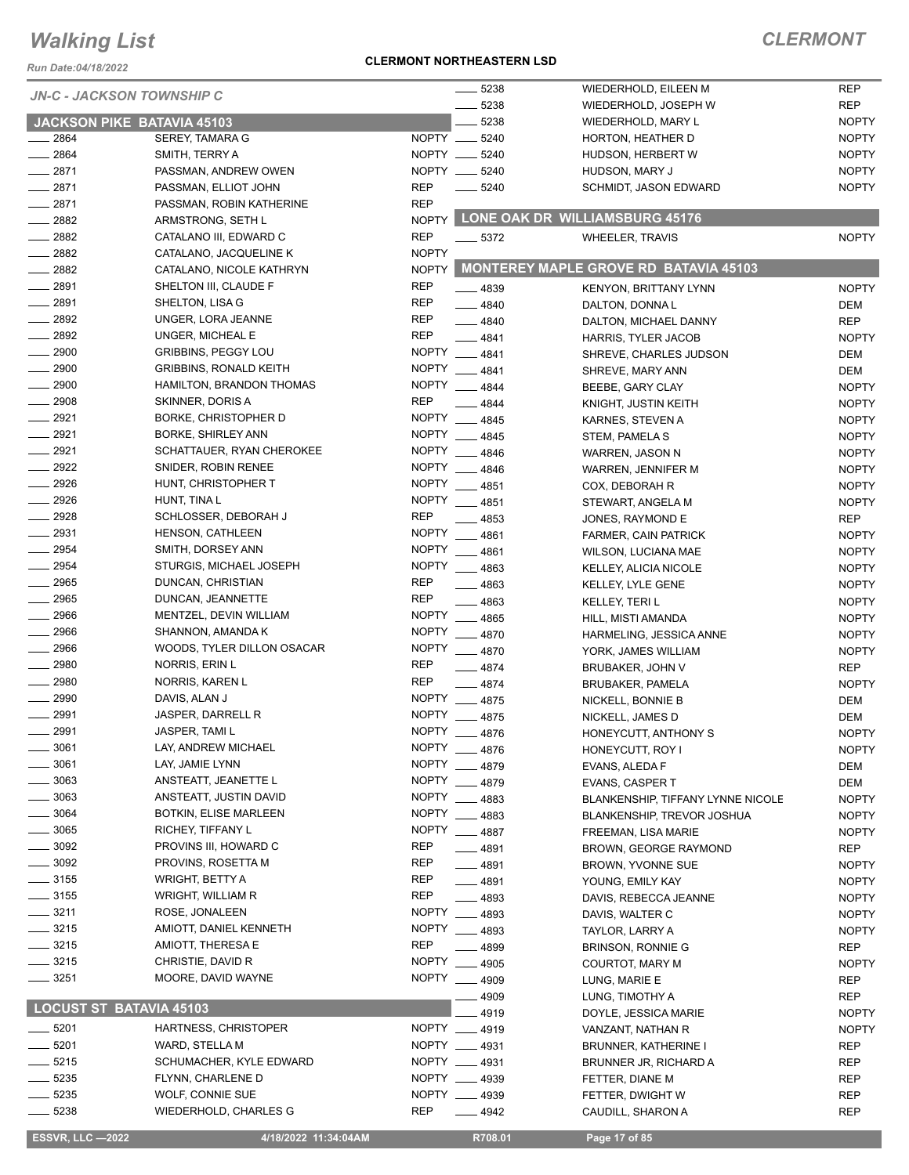*Run Date:04/18/2022*

#### **CLERMONT NORTHEASTERN LSD**

| <b>JN-C - JACKSON TOWNSHIP C</b> |                               |                            | 5238          | WIEDERHOLD, EILEEN M                  | <b>REP</b>   |
|----------------------------------|-------------------------------|----------------------------|---------------|---------------------------------------|--------------|
|                                  |                               |                            | 5238          | WIEDERHOLD, JOSEPH W                  | <b>REP</b>   |
| JACKSON PIKE BATAVIA 45103       |                               |                            | 5238          | WIEDERHOLD, MARY L                    | <b>NOPTY</b> |
| 2864                             | SEREY, TAMARA G               | NOPTY __                   | 5240          | HORTON, HEATHER D                     | <b>NOPTY</b> |
| 2864                             | SMITH, TERRY A                | NOPTY __                   | 5240          | HUDSON, HERBERT W                     | <b>NOPTY</b> |
| 2871                             | PASSMAN, ANDREW OWEN          | NOPTY __                   | 5240          | HUDSON, MARY J                        | <b>NOPTY</b> |
| 2871                             | PASSMAN, ELLIOT JOHN          | <b>REP</b>                 | 5240          | SCHMIDT, JASON EDWARD                 | <b>NOPTY</b> |
| 2871                             | PASSMAN, ROBIN KATHERINE      | <b>REP</b>                 |               |                                       |              |
| 2882                             | ARMSTRONG, SETH L             |                            |               | NOPTY LONE OAK DR WILLIAMSBURG 45176  |              |
| 2882                             | CATALANO III, EDWARD C        | <b>REP</b>                 | $-5372$       | <b>WHEELER, TRAVIS</b>                | <b>NOPTY</b> |
| 2882                             | CATALANO, JACQUELINE K        | <b>NOPTY</b>               |               |                                       |              |
| 2882                             | CATALANO, NICOLE KATHRYN      | <b>NOPTY</b>               |               | MONTEREY MAPLE GROVE RD BATAVIA 45103 |              |
| 2891                             | SHELTON III, CLAUDE F         | <b>REP</b>                 | $-4839$       | KENYON, BRITTANY LYNN                 | <b>NOPTY</b> |
| 2891                             | SHELTON, LISA G               | <b>REP</b>                 | $-4840$       | DALTON, DONNAL                        | <b>DEM</b>   |
| $= 2892$                         | UNGER, LORA JEANNE            | <b>REP</b>                 | $-4840$       | DALTON, MICHAEL DANNY                 | <b>REP</b>   |
| 2892                             | UNGER, MICHEAL E              | <b>REP</b>                 | 4841          | HARRIS, TYLER JACOB                   | <b>NOPTY</b> |
| 2900                             | GRIBBINS, PEGGY LOU           | <b>NOPTY</b>               | 4841          | SHREVE, CHARLES JUDSON                | DEM          |
| 2900                             | <b>GRIBBINS, RONALD KEITH</b> | <b>NOPTY</b>               | $-4841$       | SHREVE, MARY ANN                      | <b>DEM</b>   |
| 2900                             | HAMILTON, BRANDON THOMAS      | <b>NOPTY</b>               | 4844          | BEEBE, GARY CLAY                      | <b>NOPTY</b> |
| 2908                             | SKINNER, DORIS A              | <b>REP</b>                 | 4844          | KNIGHT, JUSTIN KEITH                  | <b>NOPTY</b> |
| 2921                             | <b>BORKE, CHRISTOPHER D</b>   | <b>NOPTY</b>               | 4845          | KARNES, STEVEN A                      | <b>NOPTY</b> |
| 2921                             | <b>BORKE, SHIRLEY ANN</b>     | <b>NOPTY</b>               | 4845          | STEM, PAMELA S                        | <b>NOPTY</b> |
| 2921                             | SCHATTAUER, RYAN CHEROKEE     | <b>NOPTY</b>               | 4846          | WARREN, JASON N                       | <b>NOPTY</b> |
| 2922                             | SNIDER, ROBIN RENEE           | <b>NOPTY</b>               | 4846          |                                       | <b>NOPTY</b> |
| 2926                             | HUNT, CHRISTOPHER T           | <b>NOPTY</b>               | $-4851$       | WARREN, JENNIFER M                    |              |
| 2926                             | HUNT, TINA L                  | <b>NOPTY</b>               |               | COX, DEBORAH R                        | <b>NOPTY</b> |
| 2928                             | SCHLOSSER, DEBORAH J          | <b>REP</b>                 | $-4851$       | STEWART, ANGELA M                     | <b>NOPTY</b> |
| 2931                             | HENSON, CATHLEEN              | <b>NOPTY</b>               | 4853          | JONES, RAYMOND E                      | <b>REP</b>   |
| 2954                             | SMITH, DORSEY ANN             | <b>NOPTY</b>               | 4861          | FARMER, CAIN PATRICK                  | <b>NOPTY</b> |
| 2954                             |                               |                            | 4861          | WILSON, LUCIANA MAE                   | <b>NOPTY</b> |
| 2965                             | STURGIS, MICHAEL JOSEPH       | <b>NOPTY</b><br><b>REP</b> | 4863          | <b>KELLEY, ALICIA NICOLE</b>          | <b>NOPTY</b> |
|                                  | DUNCAN, CHRISTIAN             |                            | 4863          | KELLEY, LYLE GENE                     | <b>NOPTY</b> |
| 2965                             | DUNCAN, JEANNETTE             | <b>REP</b>                 | 4863          | <b>KELLEY, TERIL</b>                  | <b>NOPTY</b> |
| 2966                             | MENTZEL, DEVIN WILLIAM        | <b>NOPTY</b>               | 4865          | HILL, MISTI AMANDA                    | <b>NOPTY</b> |
| 2966                             | SHANNON, AMANDA K             | <b>NOPTY</b>               | 4870          | HARMELING, JESSICA ANNE               | <b>NOPTY</b> |
| 2966                             | WOODS, TYLER DILLON OSACAR    | <b>NOPTY</b>               | $-4870$       | YORK, JAMES WILLIAM                   | <b>NOPTY</b> |
| 2980                             | NORRIS, ERIN L                | <b>REP</b>                 | $-4874$       | BRUBAKER, JOHN V                      | <b>REP</b>   |
| 2980                             | NORRIS, KAREN L               | <b>REP</b>                 | 4874          | BRUBAKER, PAMELA                      | <b>NOPTY</b> |
| 2990                             | DAVIS, ALAN J                 |                            | NOPTY __ 4875 | NICKELL, BONNIE B                     | DEM          |
| 2991                             | JASPER, DARRELL R             | <b>NOPTY</b>               | 4875          | NICKELL, JAMES D                      | <b>DEM</b>   |
| 2991                             | JASPER, TAMI L                | <b>NOPTY</b>               | 4876          | HONEYCUTT, ANTHONY S                  | <b>NOPTY</b> |
| 3061                             | LAY, ANDREW MICHAEL           |                            | NOPTY __ 4876 | HONEYCUTT, ROY I                      | <b>NOPTY</b> |
| 3061                             | LAY, JAMIE LYNN               | <b>NOPTY</b>               | 4879          | EVANS, ALEDA F                        | DEM          |
| 3063                             | ANSTEATT, JEANETTE L          | <b>NOPTY</b>               | 4879          | <b>EVANS, CASPER T</b>                | DEM          |
| 3063                             | ANSTEATT, JUSTIN DAVID        | <b>NOPTY</b>               | 4883          | BLANKENSHIP, TIFFANY LYNNE NICOLE     | <b>NOPTY</b> |
| 3064                             | <b>BOTKIN, ELISE MARLEEN</b>  | <b>NOPTY</b>               | $-4883$       | <b>BLANKENSHIP, TREVOR JOSHUA</b>     | <b>NOPTY</b> |
| 3065                             | RICHEY, TIFFANY L             | <b>NOPTY</b>               | $-4887$       | FREEMAN, LISA MARIE                   | <b>NOPTY</b> |
| 3092                             | PROVINS III, HOWARD C         | <b>REP</b>                 | 4891          | <b>BROWN, GEORGE RAYMOND</b>          | REP          |
| - 3092                           | PROVINS, ROSETTA M            | <b>REP</b>                 | $-4891$       | BROWN, YVONNE SUE                     | <b>NOPTY</b> |
| $-3155$                          | <b>WRIGHT, BETTY A</b>        | REP                        | 4891          | YOUNG, EMILY KAY                      | <b>NOPTY</b> |
| $=$ 3155                         | WRIGHT, WILLIAM R             | <b>REP</b>                 | 4893          | DAVIS, REBECCA JEANNE                 | <b>NOPTY</b> |
| $\frac{1}{2}$ 3211               | ROSE, JONALEEN                | <b>NOPTY</b>               | 4893          | DAVIS, WALTER C                       | <b>NOPTY</b> |
| $-3215$                          | AMIOTT, DANIEL KENNETH        | <b>NOPTY</b>               | 4893          | TAYLOR, LARRY A                       | <b>NOPTY</b> |
| $-3215$                          | AMIOTT, THERESA E             | <b>REP</b>                 | 4899          | <b>BRINSON, RONNIE G</b>              | <b>REP</b>   |
| 3215                             | CHRISTIE, DAVID R             | <b>NOPTY</b>               | 4905          | COURTOT, MARY M                       | <b>NOPTY</b> |
| 3251                             | MOORE, DAVID WAYNE            | <b>NOPTY</b>               | $-4909$       | LUNG, MARIE E                         | <b>REP</b>   |
|                                  |                               |                            | 4909          | LUNG, TIMOTHY A                       | <b>REP</b>   |
| <b>LOCUST ST BATAVIA 45103</b>   |                               |                            | 4919          | DOYLE, JESSICA MARIE                  | <b>NOPTY</b> |
| 5201                             | HARTNESS, CHRISTOPER          |                            | NOPTY __ 4919 | VANZANT, NATHAN R                     | <b>NOPTY</b> |
| 5201                             | WARD, STELLA M                |                            | NOPTY __ 4931 | <b>BRUNNER, KATHERINE I</b>           | <b>REP</b>   |
| 5215                             | SCHUMACHER, KYLE EDWARD       |                            | NOPTY __ 4931 | BRUNNER JR, RICHARD A                 | <b>REP</b>   |
| 5235                             | FLYNN, CHARLENE D             |                            | NOPTY __ 4939 | FETTER, DIANE M                       | REP          |
| 5235                             | WOLF, CONNIE SUE              |                            | NOPTY __ 4939 | FETTER, DWIGHT W                      | <b>REP</b>   |
| 5238                             | WIEDERHOLD, CHARLES G         | <b>REP</b>                 | $-4942$       | CAUDILL, SHARON A                     | <b>REP</b>   |
|                                  |                               |                            |               |                                       |              |
| <b>ESSVR, LLC -2022</b>          | 4/18/2022 11:34:04AM          |                            | R708.01       | Page 17 of 85                         |              |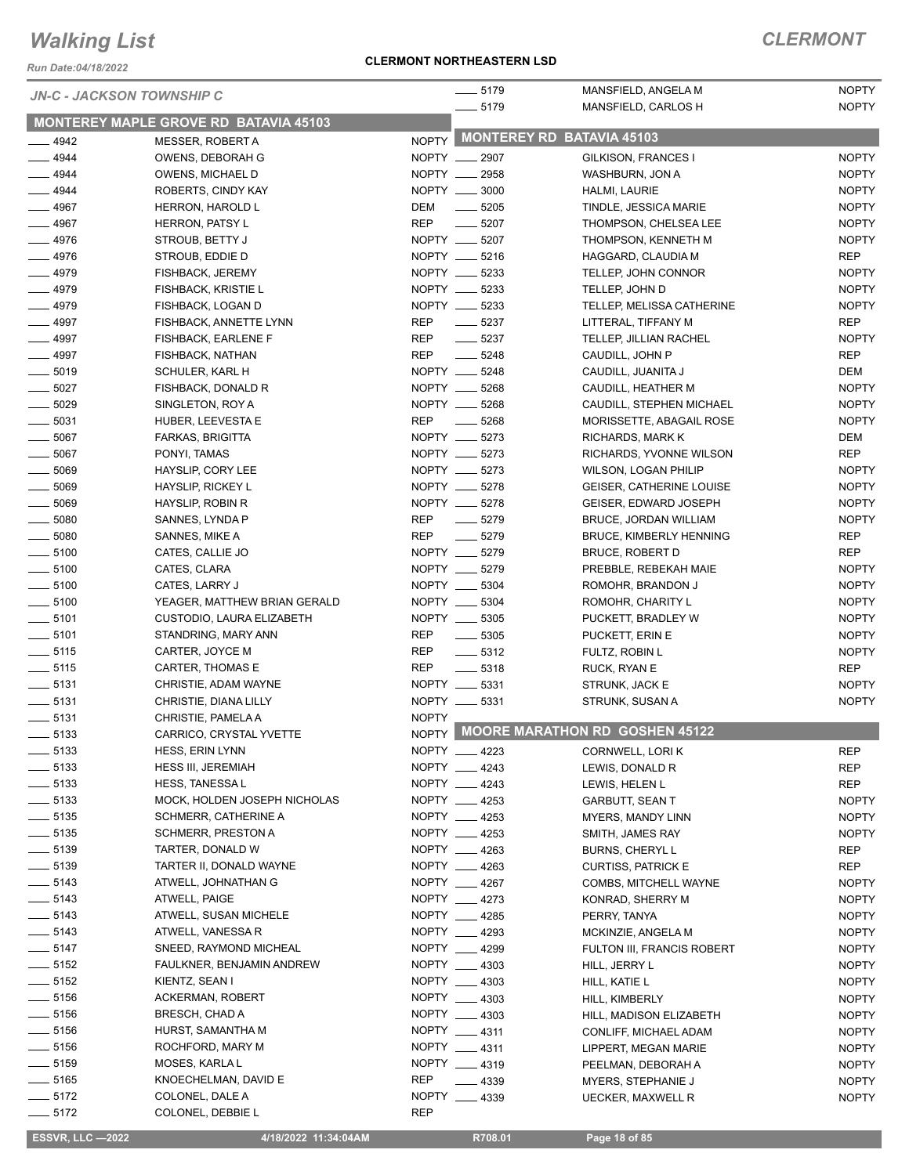*Run Date:04/18/2022*

#### **CLERMONT NORTHEASTERN LSD**

### *CLERMONT*

|                                | <b>JN-C - JACKSON TOWNSHIP C</b>       |                    | $- 5179$                      | MANSFIELD, ANGELA M                  | <b>NOPTY</b>        |
|--------------------------------|----------------------------------------|--------------------|-------------------------------|--------------------------------------|---------------------|
|                                | MONTEREY MAPLE GROVE RD BATAVIA 45103  |                    | $- 5179$                      | MANSFIELD, CARLOS H                  | <b>NOPTY</b>        |
| $-4942$                        | <b>MESSER, ROBERT A</b>                |                    |                               | NOPTY MONTEREY RD BATAVIA 45103      |                     |
| $-4944$                        | OWENS, DEBORAH G                       | NOPTY __ 2907      |                               | GILKISON, FRANCES I                  | <b>NOPTY</b>        |
| $-4944$                        | OWENS, MICHAEL D                       | NOPTY __ 2958      |                               | WASHBURN, JON A                      | <b>NOPTY</b>        |
| $- 4944$                       | ROBERTS, CINDY KAY                     | NOPTY __ 3000      |                               | HALMI, LAURIE                        | <b>NOPTY</b>        |
| $-4967$                        | HERRON, HAROLD L                       | DEM                | $\frac{1}{2}$ 5205            | TINDLE, JESSICA MARIE                | <b>NOPTY</b>        |
| $- 4967$                       | HERRON, PATSY L                        | <b>REP</b>         | $\frac{1}{2}$ 5207            | THOMPSON, CHELSEA LEE                | <b>NOPTY</b>        |
| $-4976$                        | STROUB, BETTY J                        | NOPTY __ 5207      |                               | THOMPSON, KENNETH M                  | <b>NOPTY</b>        |
| $-4976$                        | STROUB, EDDIE D                        | NOPTY __ 5216      |                               | HAGGARD, CLAUDIA M                   | <b>REP</b>          |
| $-4979$                        | FISHBACK, JEREMY                       | NOPTY __ 5233      |                               | TELLEP, JOHN CONNOR                  | <b>NOPTY</b>        |
| $-4979$                        | <b>FISHBACK, KRISTIE L</b>             | NOPTY __ 5233      |                               | TELLEP, JOHN D                       | <b>NOPTY</b>        |
| $- 4979$                       | FISHBACK, LOGAN D                      | NOPTY __ 5233      |                               | TELLEP, MELISSA CATHERINE            | <b>NOPTY</b>        |
| $-4997$                        | FISHBACK, ANNETTE LYNN                 | REP                | $\frac{1}{2}$ 5237            | LITTERAL, TIFFANY M                  | <b>REP</b>          |
| $-4997$                        | FISHBACK, EARLENE F                    | REP                | $\frac{1}{2}$ 5237            | TELLEP, JILLIAN RACHEL               | <b>NOPTY</b>        |
| $- 4997$                       | FISHBACK, NATHAN                       | <b>REP</b>         | $- 5248$                      | CAUDILL, JOHN P                      | <b>REP</b>          |
| $\frac{1}{2}$ 5019             | SCHULER, KARL H                        | NOPTY __ 5248      |                               | CAUDILL, JUANITA J                   | DEM                 |
| $\frac{1}{2}$ 5027             | FISHBACK, DONALD R                     | NOPTY __ 5268      |                               | CAUDILL, HEATHER M                   | <b>NOPTY</b>        |
| $\frac{1}{2}$ 5029             | SINGLETON, ROY A                       | NOPTY __ 5268      |                               | CAUDILL, STEPHEN MICHAEL             | <b>NOPTY</b>        |
| $\frac{1}{2}$ 5031             | HUBER, LEEVESTA E                      | REP<br>$\sim$ 5268 |                               | MORISSETTE, ABAGAIL ROSE             | <b>NOPTY</b>        |
| $\frac{1}{2}$ 5067             | FARKAS, BRIGITTA                       | NOPTY __ 5273      |                               | RICHARDS, MARK K                     | DEM                 |
| $\frac{1}{2}$ 5067             | PONYI, TAMAS                           | NOPTY __ 5273      |                               | RICHARDS, YVONNE WILSON              | <b>REP</b>          |
| $\frac{1}{2}$ 5069             | HAYSLIP, CORY LEE                      | NOPTY __ 5273      |                               | <b>WILSON, LOGAN PHILIP</b>          | <b>NOPTY</b>        |
| $\frac{1}{2}$ 5069             | HAYSLIP, RICKEY L                      | NOPTY __ 5278      |                               | <b>GEISER, CATHERINE LOUISE</b>      | <b>NOPTY</b>        |
| $\frac{1}{2}$ 5069             | HAYSLIP, ROBIN R                       | NOPTY __ 5278      |                               | GEISER, EDWARD JOSEPH                | <b>NOPTY</b>        |
| $\frac{1}{2}$ 5080             | SANNES, LYNDA P                        | <b>REP</b>         | $\frac{1}{2}$ 5279            | BRUCE, JORDAN WILLIAM                | <b>NOPTY</b>        |
| $\frac{1}{2}$ 5080             | SANNES, MIKE A                         | <b>REP</b>         | $- 5279$                      | <b>BRUCE, KIMBERLY HENNING</b>       | REP                 |
| $\frac{1}{2}$ 5100             | CATES, CALLIE JO                       | NOPTY __ 5279      |                               | <b>BRUCE, ROBERT D</b>               | <b>REP</b>          |
| $\frac{1}{2}$ 5100             | CATES, CLARA                           | NOPTY __ 5279      |                               | PREBBLE, REBEKAH MAIE                | <b>NOPTY</b>        |
| $\frac{1}{2}$ 5100             | CATES, LARRY J                         | NOPTY __ 5304      |                               | ROMOHR, BRANDON J                    | <b>NOPTY</b>        |
| $\frac{1}{2}$ 5100             | YEAGER, MATTHEW BRIAN GERALD           | NOPTY __ 5304      |                               | ROMOHR, CHARITY L                    | <b>NOPTY</b>        |
| $\frac{1}{2}$ 5101             | CUSTODIO, LAURA ELIZABETH              | NOPTY __ 5305      |                               | PUCKETT, BRADLEY W                   | <b>NOPTY</b>        |
| $- 5101$<br>$\frac{1}{2}$ 5115 | STANDRING, MARY ANN<br>CARTER, JOYCE M | <b>REP</b>         | $\frac{1}{2}$ 5305<br>$-5312$ | PUCKETT, ERIN E                      | <b>NOPTY</b>        |
| $\frac{1}{2}$ 5115             | CARTER, THOMAS E                       | REP<br><b>REP</b>  | $\frac{1}{2}$ 5318            | FULTZ, ROBIN L                       | <b>NOPTY</b><br>REP |
| $\frac{1}{2}$ 5131             | CHRISTIE, ADAM WAYNE                   | NOPTY __ 5331      |                               | RUCK, RYAN E<br>STRUNK, JACK E       | <b>NOPTY</b>        |
| $- 5131$                       | CHRISTIE, DIANA LILLY                  | NOPTY __ 5331      |                               | STRUNK, SUSAN A                      | <b>NOPTY</b>        |
| $\frac{1}{2}$ 5131             | CHRISTIE, PAMELA A                     | <b>NOPTY</b>       |                               |                                      |                     |
| 5133                           | CARRICO, CRYSTAL YVETTE                |                    |                               | NOPTY MOORE MARATHON RD GOSHEN 45122 |                     |
| $\frac{1}{2}$ 5133             | HESS, ERIN LYNN                        | NOPTY __ 4223      |                               | CORNWELL, LORI K                     | REP                 |
| $\frac{1}{2}$ 5133             | <b>HESS III, JEREMIAH</b>              | NOPTY __ 4243      |                               | LEWIS, DONALD R                      | <b>REP</b>          |
| $\frac{1}{2}$ 5133             | HESS, TANESSA L                        | NOPTY 4243         |                               | LEWIS, HELEN L                       | <b>REP</b>          |
| $\frac{1}{2}$ 5133             | MOCK, HOLDEN JOSEPH NICHOLAS           | NOPTY __ 4253      |                               | <b>GARBUTT, SEAN T</b>               | <b>NOPTY</b>        |
| $\frac{1}{2}$ 5135             | SCHMERR, CATHERINE A                   | NOPTY __ 4253      |                               | MYERS, MANDY LINN                    | <b>NOPTY</b>        |
| $\frac{1}{2}$ 5135             | <b>SCHMERR, PRESTON A</b>              | NOPTY __ 4253      |                               | SMITH, JAMES RAY                     | <b>NOPTY</b>        |
| $\frac{1}{2}$ 5139             | TARTER, DONALD W                       | NOPTY __ 4263      |                               | <b>BURNS, CHERYLL</b>                | REP                 |
| $\frac{1}{2}$ 5139             | TARTER II, DONALD WAYNE                | NOPTY __ 4263      |                               | <b>CURTISS, PATRICK E</b>            | <b>REP</b>          |
| $\frac{1}{2}$ 5143             | ATWELL, JOHNATHAN G                    | NOPTY __ 4267      |                               | COMBS, MITCHELL WAYNE                | <b>NOPTY</b>        |
| $\frac{1}{2}$ 5143             | ATWELL, PAIGE                          | NOPTY 4273         |                               | KONRAD, SHERRY M                     | <b>NOPTY</b>        |
| $\frac{1}{2}$ 5143             | ATWELL, SUSAN MICHELE                  | NOPTY __ 4285      |                               | PERRY, TANYA                         | <b>NOPTY</b>        |
| $\frac{1}{2}$ 5143             | ATWELL, VANESSA R                      | NOPTY __ 4293      |                               | MCKINZIE, ANGELA M                   | <b>NOPTY</b>        |
| $- 5147$                       | SNEED, RAYMOND MICHEAL                 | NOPTY __ 4299      |                               | FULTON III, FRANCIS ROBERT           | <b>NOPTY</b>        |
| $\frac{1}{2}$ 5152             | FAULKNER, BENJAMIN ANDREW              | NOPTY __ 4303      |                               | HILL, JERRY L                        | <b>NOPTY</b>        |
| $\frac{1}{2}$ 5152             | KIENTZ, SEAN I                         | NOPTY __ 4303      |                               | HILL, KATIE L                        | <b>NOPTY</b>        |
| $\frac{1}{2}$ 5156             | ACKERMAN, ROBERT                       | NOPTY __ 4303      |                               | HILL, KIMBERLY                       | <b>NOPTY</b>        |
| $\frac{1}{2}$ 5156             | <b>BRESCH, CHAD A</b>                  | NOPTY __ 4303      |                               | HILL, MADISON ELIZABETH              | <b>NOPTY</b>        |
| $\frac{1}{2}$ 5156             | HURST, SAMANTHA M                      | NOPTY __ 4311      |                               | CONLIFF, MICHAEL ADAM                | <b>NOPTY</b>        |
| $\frac{1}{2}$ 5156             | ROCHFORD, MARY M                       | NOPTY __ 4311      |                               | LIPPERT, MEGAN MARIE                 | <b>NOPTY</b>        |
| $\frac{1}{2}$ 5159             | MOSES, KARLA L                         | NOPTY __ 4319      |                               | PEELMAN, DEBORAH A                   | <b>NOPTY</b>        |
| $\frac{1}{2}$ 5165             | KNOECHELMAN, DAVID E                   | REP                | $\frac{1}{2}$ 4339            | MYERS, STEPHANIE J                   | <b>NOPTY</b>        |
| $\frac{1}{2}$ 5172             | COLONEL, DALE A                        | NOPTY __ 4339      |                               | <b>UECKER, MAXWELL R</b>             | <b>NOPTY</b>        |
| $\frac{1}{2}$ 5172             | COLONEL, DEBBIE L                      | <b>REP</b>         |                               |                                      |                     |

 **ESSVR, LLC —2022 4/18/2022 11:34:04AM R708.01 Page 18 of 85**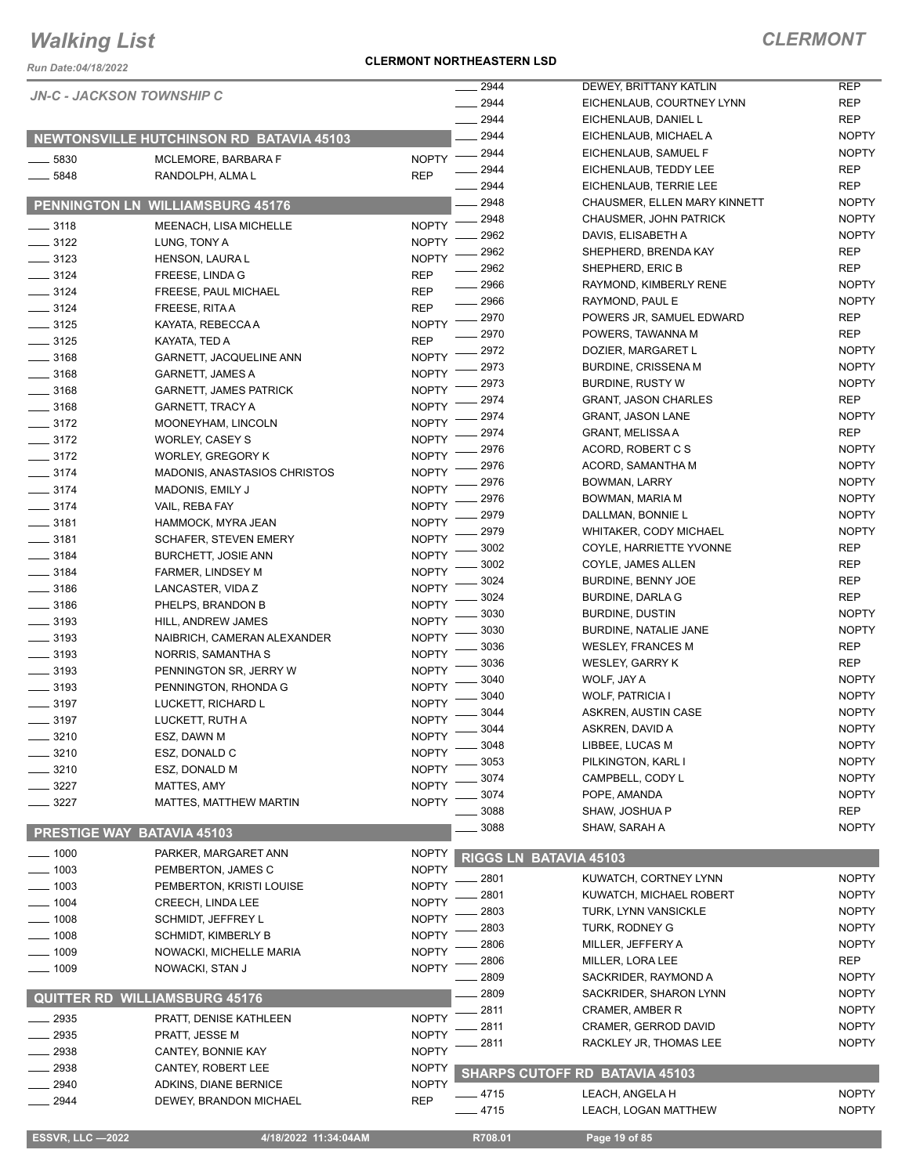*Run Date:04/18/2022*

#### **CLERMONT NORTHEASTERN LSD**

### *CLERMONT*

NOPTY NOPTY

|                      | <b>JN-C - JACKSON TOWNSHIP C</b>             |                              | 2944         | DEWEY, BRITTANY KATLIN                                 | <b>REP</b>                 |
|----------------------|----------------------------------------------|------------------------------|--------------|--------------------------------------------------------|----------------------------|
|                      |                                              |                              | 2944         | EICHENLAUB, COURTNEY LYNN                              | <b>REP</b>                 |
|                      |                                              |                              | 2944         | EICHENLAUB, DANIEL L                                   | <b>REP</b>                 |
|                      | NEWTONSVILLE HUTCHINSON RD BATAVIA 45103     |                              | 2944         | EICHENLAUB, MICHAEL A                                  | <b>NOPTY</b>               |
| $-5830$              | MCLEMORE, BARBARA F                          | <b>NOPTY</b>                 | 2944         | EICHENLAUB, SAMUEL F                                   | <b>NOPTY</b>               |
| $-5848$              | RANDOLPH, ALMA L                             | <b>REP</b>                   | 2944         | EICHENLAUB, TEDDY LEE                                  | <b>REP</b>                 |
|                      |                                              |                              | 2944         | EICHENLAUB, TERRIE LEE                                 | <b>REP</b><br><b>NOPTY</b> |
| <b>PENNINGTON LN</b> | <b>WILLIAMSBURG 45176</b>                    |                              | 2948<br>2948 | CHAUSMER, ELLEN MARY KINNETT<br>CHAUSMER, JOHN PATRICK | <b>NOPTY</b>               |
| $\frac{1}{2}$ 3118   | MEENACH, LISA MICHELLE                       | <b>NOPTY</b>                 | 2962         | DAVIS, ELISABETH A                                     | <b>NOPTY</b>               |
| $\frac{3122}{2}$     | LUNG, TONY A                                 | <b>NOPTY</b>                 | 2962         | SHEPHERD, BRENDA KAY                                   | <b>REP</b>                 |
| $\equiv$ 3123        | <b>HENSON, LAURA L</b>                       | <b>NOPTY</b>                 | 2962         | SHEPHERD, ERIC B                                       | <b>REP</b>                 |
| $\frac{3124}{2}$     | FREESE, LINDA G                              | <b>REP</b>                   | 2966         | RAYMOND, KIMBERLY RENE                                 | <b>NOPTY</b>               |
| $- 3124$             | FREESE, PAUL MICHAEL                         | <b>REP</b>                   | 2966         | RAYMOND, PAUL E                                        | <b>NOPTY</b>               |
| $\frac{3124}{ }$     | FREESE, RITA A                               | <b>REP</b>                   | 2970         | POWERS JR, SAMUEL EDWARD                               | <b>REP</b>                 |
| $- 3125$             | KAYATA, REBECCA A                            | <b>NOPTY</b>                 | 2970         | POWERS, TAWANNA M                                      | <b>REP</b>                 |
| $- 3125$             | KAYATA, TED A                                | <b>REP</b>                   | 2972         | DOZIER, MARGARET L                                     | <b>NOPTY</b>               |
| $- 3168$             | GARNETT, JACQUELINE ANN                      | <b>NOPTY</b>                 | 2973         | <b>BURDINE, CRISSENA M</b>                             | <b>NOPTY</b>               |
| $\frac{1}{2}$ 3168   | <b>GARNETT, JAMES A</b>                      | <b>NOPTY</b>                 | 2973         | <b>BURDINE, RUSTY W</b>                                | <b>NOPTY</b>               |
| $\frac{1}{2}$ 3168   | <b>GARNETT, JAMES PATRICK</b>                | <b>NOPTY</b>                 | 2974         | <b>GRANT, JASON CHARLES</b>                            | <b>REP</b>                 |
| $- 3168$             | <b>GARNETT, TRACY A</b>                      | <b>NOPTY</b><br><b>NOPTY</b> | 2974         | <b>GRANT, JASON LANE</b>                               | <b>NOPTY</b>               |
| $- 3172$<br>$- 3172$ | MOONEYHAM, LINCOLN<br><b>WORLEY, CASEY S</b> | <b>NOPTY</b>                 | 2974         | <b>GRANT, MELISSA A</b>                                | <b>REP</b>                 |
| $- 3172$             | <b>WORLEY, GREGORY K</b>                     | <b>NOPTY</b>                 | 2976         | ACORD, ROBERT C S                                      | <b>NOPTY</b>               |
| $\frac{3174}{ }$     | <b>MADONIS, ANASTASIOS CHRISTOS</b>          | <b>NOPTY</b>                 | 2976         | ACORD, SAMANTHA M                                      | <b>NOPTY</b>               |
| $- 3174$             | MADONIS, EMILY J                             | <b>NOPTY</b>                 | 2976         | BOWMAN, LARRY                                          | <b>NOPTY</b>               |
| $- 3174$             | VAIL, REBA FAY                               | <b>NOPTY</b>                 | 2976         | BOWMAN, MARIA M                                        | <b>NOPTY</b>               |
| $\frac{1}{2}$ 3181   | HAMMOCK, MYRA JEAN                           | <b>NOPTY</b>                 | 2979         | DALLMAN, BONNIE L                                      | <b>NOPTY</b>               |
| $\frac{1}{2}$ 3181   | <b>SCHAFER, STEVEN EMERY</b>                 | <b>NOPTY</b>                 | 2979         | WHITAKER, CODY MICHAEL                                 | <b>NOPTY</b>               |
| $\frac{1}{2}$ 3184   | <b>BURCHETT, JOSIE ANN</b>                   | <b>NOPTY</b>                 | 3002         | COYLE, HARRIETTE YVONNE                                | <b>REP</b>                 |
| $\frac{1}{2}$ 3184   | <b>FARMER, LINDSEY M</b>                     | <b>NOPTY</b>                 | 3002         | COYLE, JAMES ALLEN                                     | <b>REP</b>                 |
| $\frac{1}{2}$ 3186   | LANCASTER, VIDA Z                            | <b>NOPTY</b>                 | 3024         | BURDINE, BENNY JOE                                     | <b>REP</b>                 |
| $\frac{1}{2}$ 3186   | PHELPS, BRANDON B                            | <b>NOPTY</b>                 | 3024         | <b>BURDINE, DARLA G</b>                                | <b>REP</b>                 |
| $\equiv$ 3193        | HILL, ANDREW JAMES                           | <b>NOPTY</b>                 | 3030         | <b>BURDINE, DUSTIN</b>                                 | <b>NOPTY</b>               |
| $\frac{1}{2}$ 3193   | NAIBRICH, CAMERAN ALEXANDER                  | <b>NOPTY</b>                 | 3030         | BURDINE, NATALIE JANE                                  | <b>NOPTY</b>               |
| $\frac{1}{2}$ 3193   | NORRIS, SAMANTHA S                           | <b>NOPTY</b>                 | 3036         | <b>WESLEY, FRANCES M</b>                               | <b>REP</b>                 |
| $\frac{1}{2}$ 3193   | PENNINGTON SR, JERRY W                       | <b>NOPTY</b>                 | 3036         | <b>WESLEY, GARRY K</b>                                 | <b>REP</b><br><b>NOPTY</b> |
| $\frac{1}{2}$ 3193   | PENNINGTON, RHONDA G                         | <b>NOPTY</b>                 | 3040<br>3040 | WOLF, JAY A<br><b>WOLF, PATRICIA I</b>                 | <b>NOPTY</b>               |
| $\frac{1}{2}$ 3197   | LUCKETT, RICHARD L                           | <b>NOPTY</b>                 | 3044         | ASKREN, AUSTIN CASE                                    | <b>NOPTY</b>               |
| $\equiv$ 3197        | LUCKETT, RUTH A                              | <b>NOPTY</b>                 | 3044         | ASKREN, DAVID A                                        | <b>NOPTY</b>               |
| $-3210$              | ESZ, DAWN M                                  | NOPTY <sup>-</sup>           | 3048         | LIBBEE, LUCAS M                                        | <b>NOPTY</b>               |
| $=$ 3210             | ESZ, DONALD C                                | <b>NOPTY</b>                 | 3053         | PILKINGTON, KARL I                                     | <b>NOPTY</b>               |
| $\frac{3210}{2}$     | ESZ, DONALD M                                | <b>NOPTY</b>                 | 3074         | CAMPBELL, CODY L                                       | <b>NOPTY</b>               |
| $- 3227$             | MATTES, AMY                                  | <b>NOPTY</b>                 | 3074         | POPE, AMANDA                                           | <b>NOPTY</b>               |
| $-3227$              | MATTES, MATTHEW MARTIN                       | <b>NOPTY</b>                 | 3088         | SHAW, JOSHUA P                                         | <b>REP</b>                 |
|                      | PRESTIGE WAY BATAVIA 45103                   |                              | 3088         | SHAW, SARAH A                                          | <b>NOPTY</b>               |
|                      |                                              |                              |              |                                                        |                            |
| $-1000$              | PARKER, MARGARET ANN                         | <b>NOPTY</b>                 |              | RIGGS LN BATAVIA 45103                                 |                            |
| $- 1003$             | PEMBERTON, JAMES C                           | <b>NOPTY</b>                 | 2801         | KUWATCH, CORTNEY LYNN                                  | <b>NOPTY</b>               |
| $- 1003$             | PEMBERTON, KRISTI LOUISE                     | <b>NOPTY</b>                 | 2801         | KUWATCH, MICHAEL ROBERT                                | <b>NOPTY</b>               |
| $\frac{1}{2}$ 1004   | <b>CREECH, LINDA LEE</b>                     | <b>NOPTY</b>                 | 2803         | TURK, LYNN VANSICKLE                                   | <b>NOPTY</b>               |
| $- 1008$             | <b>SCHMIDT, JEFFREY L</b>                    | <b>NOPTY</b><br><b>NOPTY</b> | 2803         | TURK, RODNEY G                                         | <b>NOPTY</b>               |
| _ 1008               | <b>SCHMIDT, KIMBERLY B</b>                   | <b>NOPTY</b>                 | 2806         | MILLER, JEFFERY A                                      | <b>NOPTY</b>               |
| __ 1009<br>$- 1009$  | NOWACKI, MICHELLE MARIA<br>NOWACKI, STAN J   | <b>NOPTY</b>                 | 2806         | MILLER, LORA LEE                                       | <b>REP</b>                 |
|                      |                                              |                              | 2809         | SACKRIDER, RAYMOND A                                   | <b>NOPTY</b>               |
|                      | <b>QUITTER RD WILLIAMSBURG 45176</b>         |                              | 2809         | SACKRIDER, SHARON LYNN                                 | <b>NOPTY</b>               |
| $-2935$              |                                              | <b>NOPTY</b>                 | 2811         | CRAMER, AMBER R                                        | <b>NOPTY</b>               |
| 2935                 | PRATT, DENISE KATHLEEN<br>PRATT, JESSE M     | <b>NOPTY</b>                 | 2811         | CRAMER, GERROD DAVID                                   | <b>NOPTY</b>               |
| 2938                 | CANTEY, BONNIE KAY                           | <b>NOPTY</b>                 | 2811         | RACKLEY JR, THOMAS LEE                                 | <b>NOPTY</b>               |
| 2938                 | CANTEY, ROBERT LEE                           | <b>NOPTY</b>                 |              |                                                        |                            |
| - 2940               | ADKINS, DIANE BERNICE                        | <b>NOPTY</b>                 |              | SHARPS CUTOFF RD BATAVIA 45103                         |                            |
| $-2944$              | DEWEY, BRANDON MICHAEL                       | <b>REP</b>                   | $-4715$      | LEACH, ANGELA H                                        | <b>NOPTY</b>               |
|                      |                                              |                              | 4715         | LEACH, LOGAN MATTHEW                                   | <b>NOPTY</b>               |
|                      |                                              |                              |              |                                                        |                            |

 **ESSVR, LLC —2022 4/18/2022 11:34:04AM R708.01 Page 19 of 85**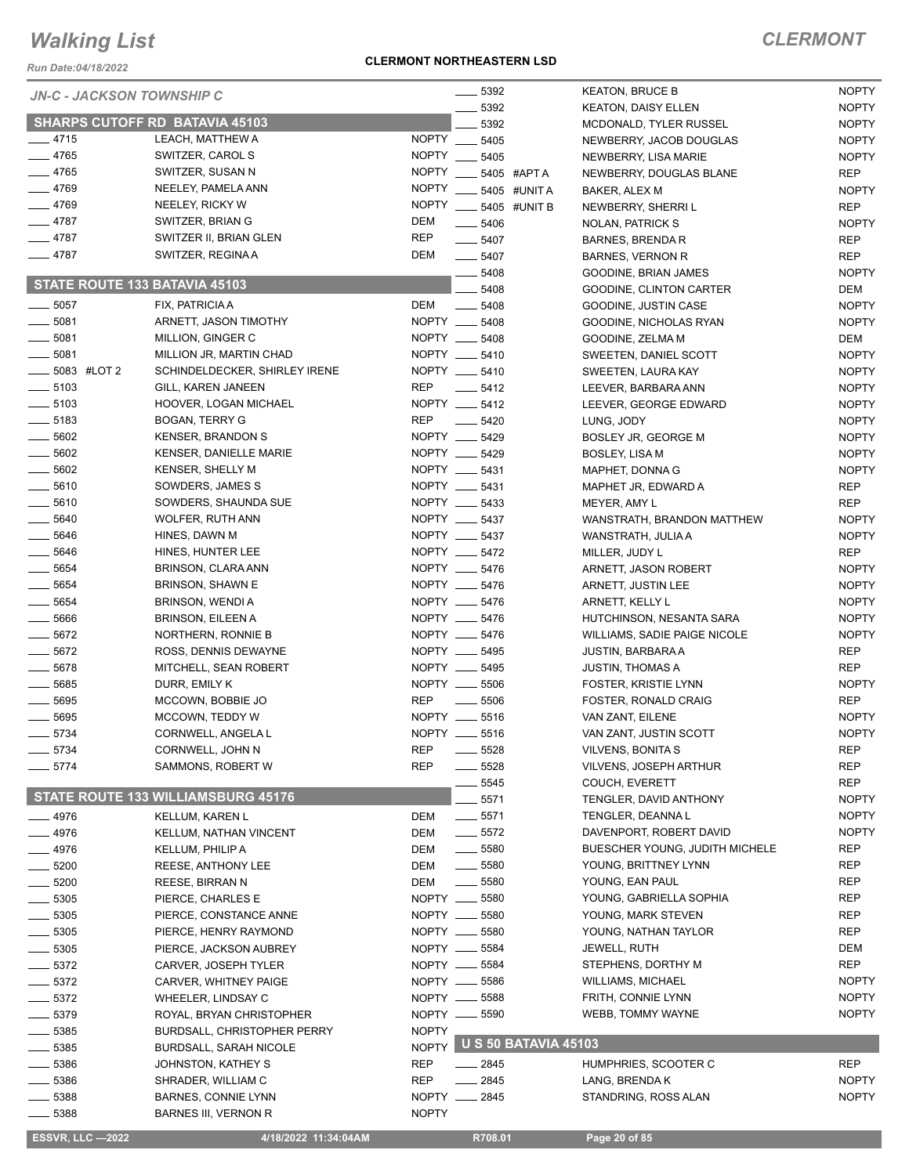*Run Date:04/18/2022*

#### **CLERMONT NORTHEASTERN LSD**

| <b>JN-C - JACKSON TOWNSHIP C</b>         |                                                    |              | $\frac{1}{2}$ 5392             |                            | <b>KEATON, BRUCE B</b>                       | <b>NOPTY</b>                 |
|------------------------------------------|----------------------------------------------------|--------------|--------------------------------|----------------------------|----------------------------------------------|------------------------------|
|                                          |                                                    |              | 5392                           |                            | <b>KEATON, DAISY ELLEN</b>                   | <b>NOPTY</b>                 |
|                                          | <b>SHARPS CUTOFF RD BATAVIA 45103</b>              |              | 5392                           |                            | <b>MCDONALD, TYLER RUSSEL</b>                | <b>NOPTY</b>                 |
| $-4715$                                  | LEACH, MATTHEW A                                   | NOPTY __     | 5405                           |                            | NEWBERRY, JACOB DOUGLAS                      | <b>NOPTY</b>                 |
| $-4765$                                  | SWITZER, CAROL S                                   |              | NOPTY __ 5405                  |                            | NEWBERRY, LISA MARIE                         | <b>NOPTY</b>                 |
| $-4765$                                  | SWITZER, SUSAN N                                   |              | NOPTY __ 5405 #APTA            |                            | NEWBERRY, DOUGLAS BLANE                      | <b>REP</b>                   |
| $-4769$                                  | NEELEY, PAMELA ANN                                 | NOPTY __     |                                | 5405 #UNIT A               | BAKER, ALEX M                                | <b>NOPTY</b>                 |
| $-4769$                                  | NEELEY, RICKY W                                    | NOPTY __     |                                | 5405 #UNIT B               | NEWBERRY, SHERRI L                           | <b>REP</b>                   |
| $-4787$                                  | SWITZER, BRIAN G                                   | <b>DEM</b>   | 5406                           |                            | NOLAN, PATRICK S                             | <b>NOPTY</b>                 |
| $-4787$                                  | SWITZER II, BRIAN GLEN                             | <b>REP</b>   | $\equiv$ 5407                  |                            | BARNES, BRENDA R                             | REP                          |
| $-4787$                                  | SWITZER, REGINA A                                  | DEM          | $- 5407$                       |                            | <b>BARNES, VERNON R</b>                      | <b>REP</b>                   |
| STATE ROUTE 133 BATAVIA 45103            |                                                    |              | 5408                           |                            | GOODINE, BRIAN JAMES                         | <b>NOPTY</b>                 |
|                                          |                                                    |              | 5408                           |                            | GOODINE, CLINTON CARTER                      | DEM                          |
| $\frac{1}{2}$ 5057                       | FIX, PATRICIA A                                    | DEM          | $\frac{1}{2}$ 5408             |                            | GOODINE, JUSTIN CASE                         | <b>NOPTY</b>                 |
| $- 5081$                                 | ARNETT, JASON TIMOTHY                              |              | NOPTY __ 5408                  |                            | GOODINE, NICHOLAS RYAN                       | <b>NOPTY</b>                 |
| $\frac{1}{2}$ 5081                       | MILLION, GINGER C                                  |              | NOPTY __ 5408                  |                            | GOODINE, ZELMA M                             | DEM                          |
| $\frac{1}{2}$ 5081                       | MILLION JR, MARTIN CHAD                            |              | NOPTY __ 5410<br>NOPTY __ 5410 |                            | SWEETEN, DANIEL SCOTT                        | <b>NOPTY</b>                 |
| $\frac{1}{2}$ 5083 #LOT 2                | SCHINDELDECKER, SHIRLEY IRENE                      | <b>REP</b>   | $-5412$                        |                            | SWEETEN, LAURA KAY                           | <b>NOPTY</b>                 |
| $\frac{1}{2}$ 5103<br>$\frac{1}{2}$ 5103 | GILL, KAREN JANEEN<br>HOOVER, LOGAN MICHAEL        |              | NOPTY __ 5412                  |                            | LEEVER, BARBARA ANN<br>LEEVER, GEORGE EDWARD | <b>NOPTY</b>                 |
| $\frac{1}{2}$ 5183                       |                                                    | <b>REP</b>   |                                |                            |                                              | <b>NOPTY</b>                 |
| $\frac{1}{2}$ 5602                       | <b>BOGAN, TERRY G</b>                              |              | $- 5420$<br>NOPTY __ 5429      |                            | LUNG, JODY                                   | <b>NOPTY</b><br><b>NOPTY</b> |
| $\frac{1}{2}$ 5602                       | KENSER, BRANDON S<br><b>KENSER, DANIELLE MARIE</b> |              | NOPTY __ 5429                  |                            | BOSLEY JR, GEORGE M                          | <b>NOPTY</b>                 |
| $\frac{1}{2}$ 5602                       | <b>KENSER, SHELLY M</b>                            |              | NOPTY __ 5431                  |                            | BOSLEY, LISA M<br>MAPHET, DONNA G            | <b>NOPTY</b>                 |
| $\frac{1}{2}$ 5610                       | SOWDERS, JAMES S                                   |              | NOPTY __ 5431                  |                            | MAPHET JR, EDWARD A                          | <b>REP</b>                   |
| $- 5610$                                 | SOWDERS, SHAUNDA SUE                               |              | NOPTY __ 5433                  |                            | MEYER, AMY L                                 | <b>REP</b>                   |
| $\frac{1}{2}$ 5640                       | WOLFER, RUTH ANN                                   |              | NOPTY __ 5437                  |                            | WANSTRATH, BRANDON MATTHEW                   | <b>NOPTY</b>                 |
| $\frac{1}{2}$ 5646                       | HINES, DAWN M                                      |              | NOPTY __ 5437                  |                            | WANSTRATH, JULIA A                           | <b>NOPTY</b>                 |
| $- 5646$                                 | HINES, HUNTER LEE                                  |              | NOPTY __ 5472                  |                            | MILLER, JUDY L                               | <b>REP</b>                   |
| $- 5654$                                 | BRINSON, CLARA ANN                                 |              | NOPTY __ 5476                  |                            | ARNETT, JASON ROBERT                         | <b>NOPTY</b>                 |
| $\frac{1}{2}$ 5654                       | BRINSON, SHAWN E                                   |              | NOPTY __ 5476                  |                            | ARNETT, JUSTIN LEE                           | <b>NOPTY</b>                 |
| $\frac{1}{2}$ 5654                       | BRINSON, WENDI A                                   |              | NOPTY __ 5476                  |                            | ARNETT, KELLY L                              | <b>NOPTY</b>                 |
| $\frac{1}{2}$ 5666                       | BRINSON, EILEEN A                                  |              | NOPTY __ 5476                  |                            | HUTCHINSON, NESANTA SARA                     | <b>NOPTY</b>                 |
| $- 5672$                                 | NORTHERN, RONNIE B                                 |              | NOPTY __ 5476                  |                            | WILLIAMS, SADIE PAIGE NICOLE                 | <b>NOPTY</b>                 |
| $- 5672$                                 | ROSS, DENNIS DEWAYNE                               |              | NOPTY __ 5495                  |                            | JUSTIN, BARBARA A                            | <b>REP</b>                   |
| $- 5678$                                 | MITCHELL, SEAN ROBERT                              |              | NOPTY __ 5495                  |                            | <b>JUSTIN, THOMAS A</b>                      | <b>REP</b>                   |
| $\frac{1}{2}$ 5685                       | DURR, EMILY K                                      |              | NOPTY __ 5506                  |                            | FOSTER, KRISTIE LYNN                         | <b>NOPTY</b>                 |
| $\frac{1}{2}$ 5695                       | MCCOWN, BOBBIE JO                                  | <b>REP</b>   | $\frac{1}{2}$ 5506             |                            | FOSTER, RONALD CRAIG                         | <b>REP</b>                   |
| $\frac{1}{2}$ 5695                       | MCCOWN, TEDDY W                                    |              | NOPTY __ 5516                  |                            | VAN ZANT, EILENE                             | <b>NOPTY</b>                 |
| $- 5734$                                 | CORNWELL, ANGELA L                                 |              | NOPTY __ 5516                  |                            | VAN ZANT, JUSTIN SCOTT                       | <b>NOPTY</b>                 |
| —— 5734                                  | CORNWELL, JOHN N                                   | REP          | 5528                           |                            | VILVENS, BONITA S                            | <b>REP</b>                   |
| $-5774$                                  | SAMMONS, ROBERT W                                  | <b>REP</b>   | 5528                           |                            | <b>VILVENS, JOSEPH ARTHUR</b>                | <b>REP</b>                   |
|                                          |                                                    |              | 5545                           |                            | COUCH, EVERETT                               | <b>REP</b>                   |
|                                          | <b>STATE ROUTE 133 WILLIAMSBURG 45176</b>          |              | 5571                           |                            | TENGLER, DAVID ANTHONY                       | <b>NOPTY</b>                 |
| $-4976$                                  | <b>KELLUM, KAREN L</b>                             | <b>DEM</b>   | $\frac{1}{2}$ 5571             |                            | TENGLER, DEANNAL                             | <b>NOPTY</b>                 |
| $-4976$                                  | <b>KELLUM, NATHAN VINCENT</b>                      | DEM          | $- 5572$                       |                            | DAVENPORT, ROBERT DAVID                      | <b>NOPTY</b>                 |
| $-4976$                                  | <b>KELLUM, PHILIP A</b>                            | DEM          | $\frac{1}{2}$ 5580             |                            | <b>BUESCHER YOUNG, JUDITH MICHELE</b>        | <b>REP</b>                   |
| $\frac{1}{2}$ 5200                       | REESE, ANTHONY LEE                                 | <b>DEM</b>   | $\frac{1}{2}$ 5580             |                            | YOUNG, BRITTNEY LYNN                         | <b>REP</b>                   |
| $\frac{1}{2}$ 5200                       | REESE, BIRRAN N                                    | <b>DEM</b>   | $\frac{1}{2}$ 5580             |                            | YOUNG, EAN PAUL                              | <b>REP</b>                   |
| $\frac{1}{2}$ 5305                       | PIERCE, CHARLES E                                  |              | NOPTY __ 5580                  |                            | YOUNG, GABRIELLA SOPHIA                      | <b>REP</b>                   |
| $\frac{1}{2}$ 5305                       | PIERCE, CONSTANCE ANNE                             |              | NOPTY __ 5580                  |                            | YOUNG, MARK STEVEN                           | <b>REP</b>                   |
| $\frac{1}{2}$ 5305                       | PIERCE, HENRY RAYMOND                              |              | NOPTY __ 5580                  |                            | YOUNG, NATHAN TAYLOR                         | <b>REP</b>                   |
| $\frac{1}{2}$ 5305                       | PIERCE, JACKSON AUBREY                             |              | NOPTY __ 5584                  |                            | JEWELL, RUTH                                 | <b>DEM</b>                   |
| $-5372$                                  | CARVER, JOSEPH TYLER                               |              | NOPTY __ 5584                  |                            | STEPHENS, DORTHY M                           | <b>REP</b>                   |
| $-5372$                                  | CARVER, WHITNEY PAIGE                              |              | NOPTY __ 5586                  |                            | <b>WILLIAMS, MICHAEL</b>                     | <b>NOPTY</b>                 |
| $-5372$                                  | WHEELER, LINDSAY C                                 |              | NOPTY __ 5588                  |                            | FRITH, CONNIE LYNN                           | <b>NOPTY</b>                 |
| $-5379$                                  | ROYAL, BRYAN CHRISTOPHER                           |              | NOPTY __ 5590                  |                            | WEBB, TOMMY WAYNE                            | <b>NOPTY</b>                 |
| $-5385$                                  | <b>BURDSALL, CHRISTOPHER PERRY</b>                 | <b>NOPTY</b> |                                |                            |                                              |                              |
| _ 5385                                   | <b>BURDSALL, SARAH NICOLE</b>                      |              |                                | NOPTY U S 50 BATAVIA 45103 |                                              |                              |
| $-5386$                                  | JOHNSTON, KATHEY S                                 | <b>REP</b>   | $-2845$                        |                            | HUMPHRIES, SCOOTER C                         | <b>REP</b>                   |
| $= 5386$                                 | SHRADER, WILLIAM C                                 | <b>REP</b>   | $-2845$                        |                            | LANG, BRENDA K                               | <b>NOPTY</b>                 |
| $-5388$                                  | <b>BARNES, CONNIE LYNN</b>                         | NOPTY __     | 2845                           |                            | STANDRING, ROSS ALAN                         | <b>NOPTY</b>                 |
| $= 5388$                                 | BARNES III, VERNON R                               | <b>NOPTY</b> |                                |                            |                                              |                              |
| <b>ESSVR, LLC-2022</b>                   | 4/18/2022 11:34:04AM                               |              | R708.01                        |                            | Page 20 of 85                                |                              |
|                                          |                                                    |              |                                |                            |                                              |                              |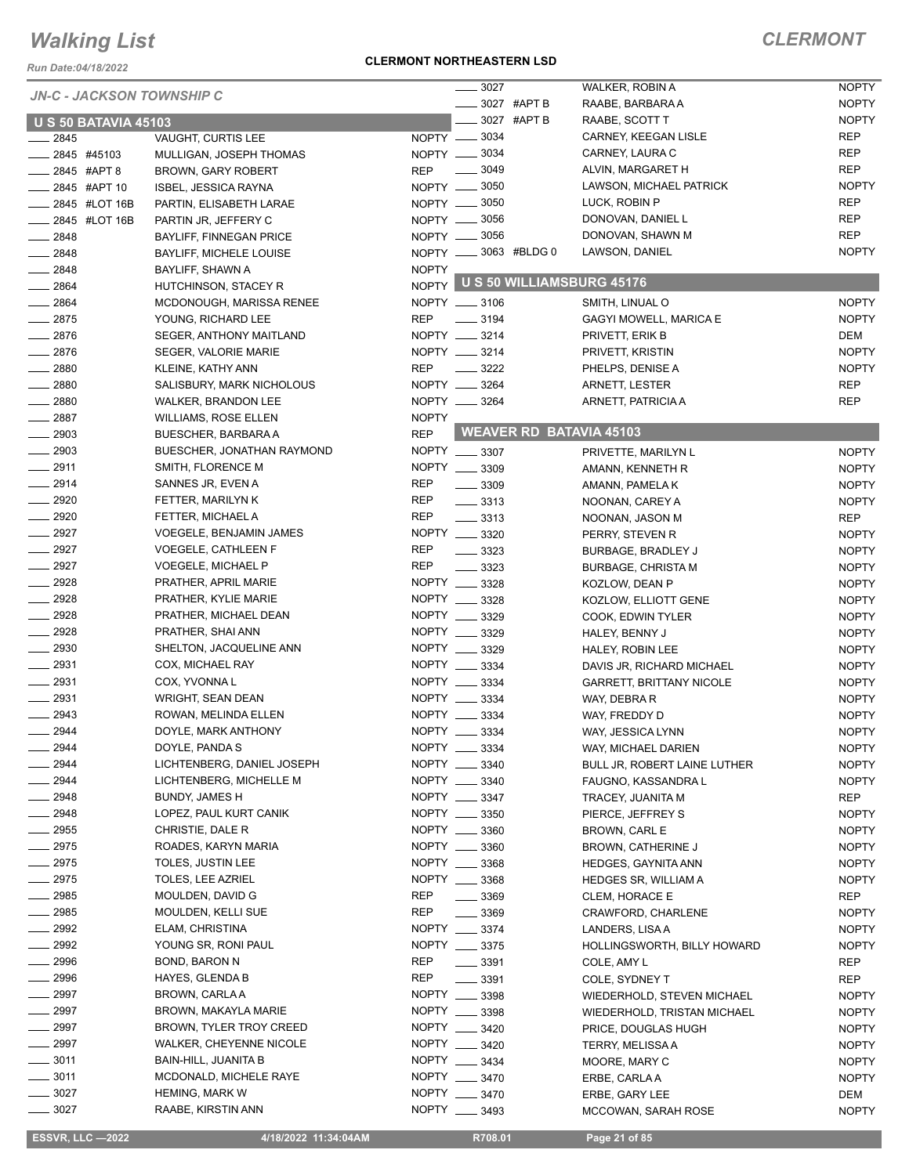*Run Date:04/18/2022*

#### *JN-C - JACKSON TOWNSHIP C*

#### **CLERMONT NORTHEASTERN LSD**

|                             | <b>JN-C - JACKSON TOWNSHIP C</b> | 3027                             | WALKER, ROBIN A                     | <b>NOPTY</b> |
|-----------------------------|----------------------------------|----------------------------------|-------------------------------------|--------------|
|                             |                                  | _____ 3027 #APT B                | RAABE, BARBARA A                    | <b>NOPTY</b> |
| <b>U S 50 BATAVIA 45103</b> |                                  | 3027 #APT B                      | RAABE, SCOTT T                      | <b>NOPTY</b> |
| 2845                        | VAUGHT, CURTIS LEE               | NOPTY __ 3034                    | CARNEY, KEEGAN LISLE                | <b>REP</b>   |
| 2845 #45103                 | MULLIGAN, JOSEPH THOMAS          | NOPTY __ 3034                    | CARNEY, LAURA C                     | <b>REP</b>   |
| $-2845$ #APT 8              | BROWN, GARY ROBERT               | $\frac{1}{2}$ 3049<br><b>REP</b> | ALVIN, MARGARET H                   | <b>REP</b>   |
| ___ 2845 #APT 10            | <b>ISBEL, JESSICA RAYNA</b>      | NOPTY __ 3050                    | LAWSON, MICHAEL PATRICK             | <b>NOPTY</b> |
| _ 2845 #LOT 16B             | PARTIN, ELISABETH LARAE          | NOPTY -8050                      | LUCK, ROBIN P                       | <b>REP</b>   |
| ____ 2845 #LOT 16B          | PARTIN JR, JEFFERY C             | NOPTY __ 3056                    | DONOVAN, DANIEL L                   | <b>REP</b>   |
| $-2848$                     | <b>BAYLIFF, FINNEGAN PRICE</b>   | NOPTY -8056                      | DONOVAN, SHAWN M                    | <b>REP</b>   |
| $-2848$                     | <b>BAYLIFF, MICHELE LOUISE</b>   | NOPTY __ 3063 #BLDG 0            | LAWSON, DANIEL                      | <b>NOPTY</b> |
| $-2848$                     | BAYLIFF, SHAWN A                 | <b>NOPTY</b>                     |                                     |              |
| $-2864$                     | HUTCHINSON, STACEY R             |                                  | NOPTY U S 50 WILLIAMSBURG 45176     |              |
| $-2864$                     | MCDONOUGH, MARISSA RENEE         | NOPTY __ 3106                    | SMITH, LINUAL O                     | <b>NOPTY</b> |
| $-2875$                     | YOUNG, RICHARD LEE               | <b>REP</b><br>$\frac{1}{2}$ 3194 | <b>GAGYI MOWELL, MARICA E</b>       | <b>NOPTY</b> |
| $-2876$                     | SEGER, ANTHONY MAITLAND          | NOPTY __ 3214                    | PRIVETT, ERIK B                     | DEM          |
| $-2876$                     | <b>SEGER, VALORIE MARIE</b>      | NOPTY __ 3214                    | PRIVETT, KRISTIN                    | <b>NOPTY</b> |
| $-2880$                     | KLEINE, KATHY ANN                | <b>REP</b><br>$\frac{1}{2}$ 3222 | PHELPS, DENISE A                    | <b>NOPTY</b> |
| $-2880$                     | SALISBURY, MARK NICHOLOUS        | NOPTY __ 3264                    | ARNETT, LESTER                      | <b>REP</b>   |
| $-2880$                     | WALKER, BRANDON LEE              | NOPTY __ 3264                    |                                     | <b>REP</b>   |
|                             |                                  |                                  | ARNETT, PATRICIA A                  |              |
| $-2887$                     | <b>WILLIAMS, ROSE ELLEN</b>      | <b>NOPTY</b>                     | <b>WEAVER RD BATAVIA 45103</b>      |              |
| $-2903$                     | BUESCHER, BARBARA A              | <b>REP</b>                       |                                     |              |
| $-2903$                     | BUESCHER, JONATHAN RAYMOND       | NOPTY __ 3307                    | PRIVETTE, MARILYN L                 | <b>NOPTY</b> |
| $-2911$                     | SMITH, FLORENCE M                | NOPTY __ 3309                    | AMANN, KENNETH R                    | <b>NOPTY</b> |
| $-2914$                     | SANNES JR, EVEN A                | <b>REP</b><br>$\equiv$ 3309      | AMANN, PAMELA K                     | <b>NOPTY</b> |
| $\_\_2$ 2920                | FETTER, MARILYN K                | REP<br>$\frac{1}{2}$ 3313        | NOONAN, CAREY A                     | <b>NOPTY</b> |
| $-2920$                     | FETTER, MICHAEL A                | REP<br>$\frac{3313}{2}$          | NOONAN, JASON M                     | <b>REP</b>   |
| $-2927$                     | <b>VOEGELE, BENJAMIN JAMES</b>   | NOPTY __ 3320                    | PERRY, STEVEN R                     | <b>NOPTY</b> |
| $-2927$                     | <b>VOEGELE, CATHLEEN F</b>       | <b>REP</b><br>.3323              | <b>BURBAGE, BRADLEY J</b>           | <b>NOPTY</b> |
| $-2927$                     | <b>VOEGELE, MICHAEL P</b>        | <b>REP</b><br>$\frac{1}{2}$ 3323 | <b>BURBAGE, CHRISTA M</b>           | <b>NOPTY</b> |
| $-2928$                     | PRATHER, APRIL MARIE             | NOPTY __ 3328                    | KOZLOW, DEAN P                      | <b>NOPTY</b> |
| $-2928$                     | PRATHER, KYLIE MARIE             | NOPTY __ 3328                    | KOZLOW, ELLIOTT GENE                | <b>NOPTY</b> |
| _ 2928                      | PRATHER, MICHAEL DEAN            | NOPTY __ 3329                    | COOK, EDWIN TYLER                   | <b>NOPTY</b> |
| $-2928$                     | PRATHER, SHAI ANN                | NOPTY __ 3329                    | HALEY, BENNY J                      | <b>NOPTY</b> |
| $-2930$                     | SHELTON, JACQUELINE ANN          | NOPTY __ 3329                    | HALEY, ROBIN LEE                    | <b>NOPTY</b> |
| $-2931$                     | COX, MICHAEL RAY                 | NOPTY ___<br>3334                | DAVIS JR, RICHARD MICHAEL           | <b>NOPTY</b> |
| $-2931$                     | COX, YVONNA L                    | NOPTY __ 3334                    | <b>GARRETT, BRITTANY NICOLE</b>     | <b>NOPTY</b> |
| $-2931$                     | <b>WRIGHT, SEAN DEAN</b>         | NOPTY __ 3334                    | WAY, DEBRA R                        | <b>NOPTY</b> |
| $-2943$                     | ROWAN, MELINDA ELLEN             | NOPTY __ 3334                    | WAY, FREDDY D                       | <b>NOPTY</b> |
| 2944                        | DOYLE, MARK ANTHONY              | NOPTY _<br>3334                  | WAY, JESSICA LYNN                   | <b>NOPTY</b> |
| 2944                        | DOYLE, PANDA S                   | NOPTY __ 3334                    |                                     |              |
| 2944                        | LICHTENBERG, DANIEL JOSEPH       | NOPTY __ 3340                    | WAY, MICHAEL DARIEN                 | <b>NOPTY</b> |
|                             |                                  | NOPTY __ 3340                    | <b>BULL JR, ROBERT LAINE LUTHER</b> | <b>NOPTY</b> |
| 2944                        | LICHTENBERG, MICHELLE M          |                                  | FAUGNO, KASSANDRA L                 | <b>NOPTY</b> |
| $-2948$                     | <b>BUNDY, JAMES H</b>            | NOPTY __ 3347                    | TRACEY, JUANITA M                   | REP          |
| $-2948$                     | LOPEZ, PAUL KURT CANIK           | NOPTY __ 3350                    | PIERCE, JEFFREY S                   | <b>NOPTY</b> |
| $\_\_2$ 2955                | CHRISTIE, DALE R                 | NOPTY __ 3360                    | <b>BROWN, CARL E</b>                | <b>NOPTY</b> |
| $-2975$                     | ROADES, KARYN MARIA              | NOPTY __ 3360                    | BROWN, CATHERINE J                  | <b>NOPTY</b> |
| $-2975$                     | TOLES, JUSTIN LEE                | NOPTY __ 3368                    | <b>HEDGES, GAYNITA ANN</b>          | <b>NOPTY</b> |
| $-2975$                     | TOLES, LEE AZRIEL                | NOPTY __ 3368                    | <b>HEDGES SR, WILLIAM A</b>         | <b>NOPTY</b> |
| $- 2985$                    | MOULDEN, DAVID G                 | REP<br>$\frac{1}{2}$ 3369        | CLEM, HORACE E                      | REP          |
| $\frac{1}{2985}$            | MOULDEN, KELLI SUE               | REP<br>$- 3369$                  | CRAWFORD, CHARLENE                  | <b>NOPTY</b> |
| $- 2992$                    | ELAM, CHRISTINA                  | NOPTY __ 3374                    | LANDERS, LISA A                     | <b>NOPTY</b> |
| $-2992$                     | YOUNG SR, RONI PAUL              | NOPTY __ 3375                    | HOLLINGSWORTH, BILLY HOWARD         | <b>NOPTY</b> |
| 2996                        | BOND, BARON N                    | <b>REP</b><br>$-3391$            | COLE, AMY L                         | REP          |
| $-2996$                     | HAYES, GLENDA B                  | <b>REP</b><br>3391               | COLE, SYDNEY T                      | REP          |
| $\equiv$ 2997               | BROWN, CARLA A                   | NOPTY __ 3398                    | WIEDERHOLD, STEVEN MICHAEL          | <b>NOPTY</b> |
| $-2997$                     | BROWN, MAKAYLA MARIE             | NOPTY __ 3398                    | WIEDERHOLD, TRISTAN MICHAEL         | <b>NOPTY</b> |
| $-2997$                     | BROWN, TYLER TROY CREED          | NOPTY __ 3420                    | PRICE, DOUGLAS HUGH                 | <b>NOPTY</b> |
| $\frac{1}{2997}$            | WALKER, CHEYENNE NICOLE          | NOPTY __ 3420                    | <b>TERRY, MELISSA A</b>             | <b>NOPTY</b> |
| $- 3011$                    | BAIN-HILL, JUANITA B             | NOPTY __ 3434                    | MOORE, MARY C                       | <b>NOPTY</b> |
| $\frac{1}{2}$ 3011          | MCDONALD, MICHELE RAYE           | NOPTY __ 3470                    |                                     | <b>NOPTY</b> |
| $\frac{1}{2}$ 3027          | <b>HEMING, MARK W</b>            | NOPTY __ 3470                    | ERBE, CARLA A                       |              |
|                             |                                  | NOPTY __ 3493                    | ERBE, GARY LEE                      | DEM          |
| $- 3027$                    | RAABE, KIRSTIN ANN               |                                  | MCCOWAN, SARAH ROSE                 | <b>NOPTY</b> |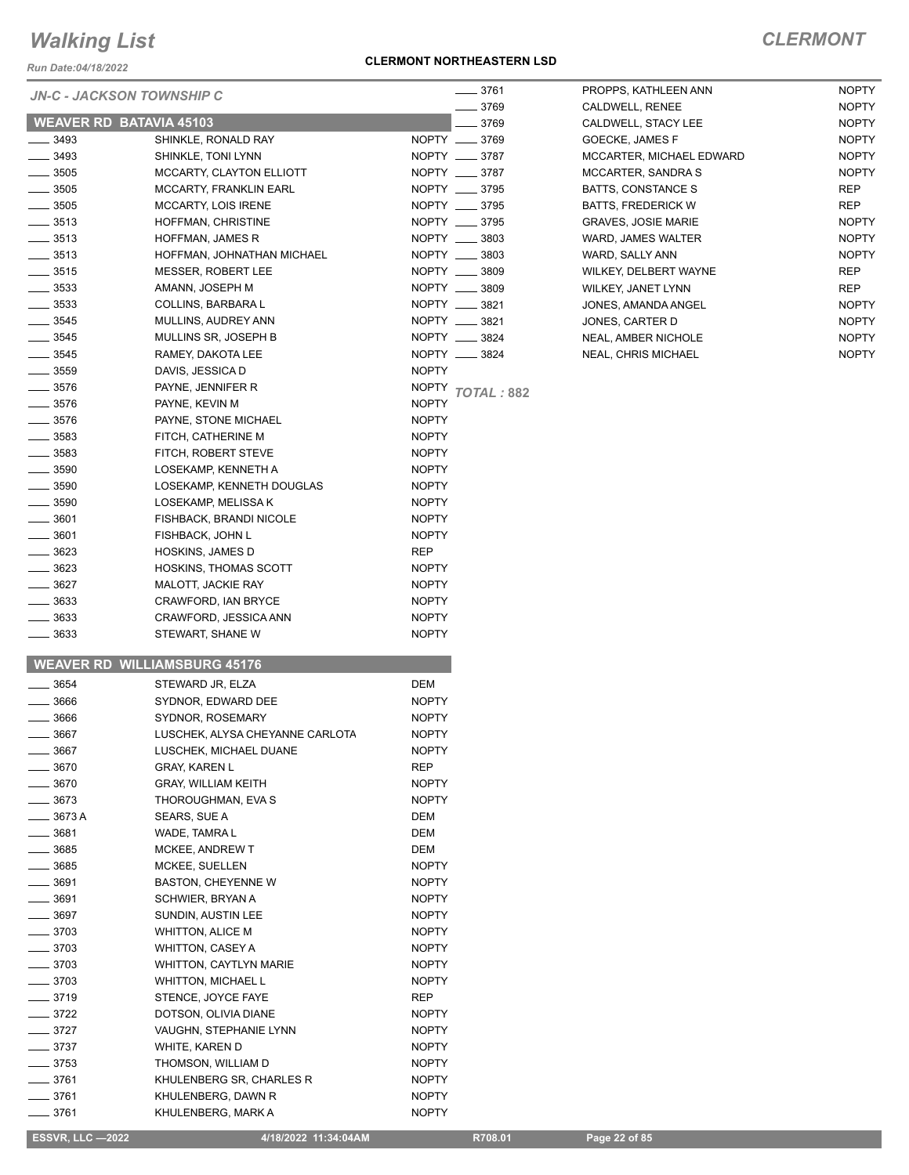*Run Date:04/18/2022*

#### *JN-C - JACKSON TOWNSHIP C*

#### **CLERMONT NORTHEASTERN LSD**

### *CLERMONT*

|                    |                                     |               | __ 3769    |
|--------------------|-------------------------------------|---------------|------------|
|                    | <b>WEAVER RD BATAVIA 45103</b>      |               | $-3769$    |
| $-3493$            | SHINKLE, RONALD RAY                 | NOPTY __ 3769 |            |
| ____ 3493          | SHINKLE, TONI LYNN                  | NOPTY __ 3787 |            |
| $\equiv$ 3505      | MCCARTY, CLAYTON ELLIOTT            | NOPTY __ 3787 |            |
| $\_\_\_\$ 3505     | MCCARTY, FRANKLIN EARL              | NOPTY __ 3795 |            |
| $\_\_\_\$ 3505     | <b>MCCARTY, LOIS IRENE</b>          | NOPTY __ 3795 |            |
| $\frac{1}{2}$ 3513 | HOFFMAN, CHRISTINE                  | NOPTY __ 3795 |            |
| $\frac{1}{2}$ 3513 | HOFFMAN, JAMES R                    | NOPTY __ 3803 |            |
| $\frac{1}{2}$ 3513 | HOFFMAN, JOHNATHAN MICHAEL          | NOPTY __ 3803 |            |
| $\frac{1}{2}$ 3515 | <b>MESSER, ROBERT LEE</b>           | NOPTY __ 3809 |            |
| $\frac{1}{2}$ 3533 | AMANN, JOSEPH M                     | NOPTY __ 3809 |            |
| $\frac{1}{2}$ 3533 | COLLINS, BARBARA L                  | NOPTY __ 3821 |            |
| $- 3545$           | MULLINS, AUDREY ANN                 | NOPTY __ 3821 |            |
| $- 3545$           | MULLINS SR, JOSEPH B                | NOPTY __ 3824 |            |
| $\_\_3545$         | RAMEY, DAKOTA LEE                   | NOPTY __ 3824 |            |
| $\equiv$ 3559      | DAVIS, JESSICA D                    | <b>NOPTY</b>  |            |
| $- 3576$           | PAYNE, JENNIFER R                   | NOPTY         | TOTAL: 882 |
| $- 3576$           | PAYNE, KEVIN M                      | <b>NOPTY</b>  |            |
| $\equiv$ 3576      | PAYNE, STONE MICHAEL                | <b>NOPTY</b>  |            |
| $-3583$            | FITCH, CATHERINE M                  | <b>NOPTY</b>  |            |
| __ 3583            | FITCH, ROBERT STEVE                 | <b>NOPTY</b>  |            |
| $- 3590$           | LOSEKAMP. KENNETH A                 | <b>NOPTY</b>  |            |
| $\frac{1}{2}$ 3590 | LOSEKAMP, KENNETH DOUGLAS           | <b>NOPTY</b>  |            |
| $\equiv$ 3590      | LOSEKAMP, MELISSA K                 | <b>NOPTY</b>  |            |
| $\equiv$ 3601      | FISHBACK, BRANDI NICOLE             | <b>NOPTY</b>  |            |
| ____ 3601          | FISHBACK, JOHN L                    | <b>NOPTY</b>  |            |
| __ 3623            | <b>HOSKINS, JAMES D</b>             | <b>REP</b>    |            |
| __ 3623            | HOSKINS, THOMAS SCOTT               | NOPTY         |            |
| $- 3627$           | MALOTT, JACKIE RAY                  | <b>NOPTY</b>  |            |
| ____ 3633          | CRAWFORD, IAN BRYCE                 | <b>NOPTY</b>  |            |
| ____ 3633          | CRAWFORD, JESSICA ANN               | <b>NOPTY</b>  |            |
| $- 3633$           | STEWART, SHANE W                    | <b>NOPTY</b>  |            |
|                    | <b>WEAVER RD WILLIAMSBURG 45176</b> |               |            |
| 3654               | STEWARD JR. ELZA                    | <b>DEM</b>    |            |
| 3666               | SYDNOR. EDWARD DEE                  | <b>NOPTY</b>  |            |

LACK 1966 STR STONOR, ROSEMARY NOPTY LUSCHEK, ALYSA CHEYANNE CARLOTA MOPTY LUSCHEK, MICHAEL DUANE NOPTY **2008** GRAY, KAREN L GRAY, AREP **CRAY, WILLIAM KEITH NOPTY NOPTY 22673** THOROUGHMAN, EVA S NOPTY 3673 A SEARS, SUE A DEM  $\sim$  3681 WADE, TAMRA L **2008** MCKEE, ANDREW T DEM 3685 MCKEE, SUELLEN NOPTY **CONTROLLEY BASTON, CHEYENNE W CONTROLLEY SERVIT ASSESSMENT CONTROLLEY BASTON, CHEYENNE W** Lackson 3691 SCHWIER, BRYAN A GOSTY NOPTY All 3697 SUNDIN, AUSTIN LEE NOPTY **3703** WHITTON, ALICE M NOPTY \_\_\_\_\_\_ 3703 WHITTON, CASEY A NOPTY<br>\_\_\_\_\_ 3703 WHITTON, CAYTLYN MARIE NOPTY

Lackson State State WHITTON, MICHAEL Learning and State State State State State State State State State State S Lackson 3719 STENCE, JOYCE FAYE 3722 DOTSON, OLIVIA DIANE NOPTY **227** VAUGHN, STEPHANIE LYNN NOPTY Lackson State State WHITE, KAREN D AND A NOPTY LACK 19753 THOMSON, WILLIAM D NOPTY Lackson 3761 KHULENBERG SR, CHARLES R NOPTY 13761 KHULENBERG, DAWN R NOPTY

| 3761 | PROPPS, KATHLEEN ANN       | <b>NOPTY</b> |
|------|----------------------------|--------------|
| 3769 | CALDWELL, RENEE            | <b>NOPTY</b> |
| 3769 | CALDWELL, STACY LEE        | <b>NOPTY</b> |
| 3769 | <b>GOECKE, JAMES F</b>     | <b>NOPTY</b> |
| 3787 | MCCARTER, MICHAEL EDWARD   | <b>NOPTY</b> |
| 3787 | <b>MCCARTER, SANDRA S</b>  | <b>NOPTY</b> |
| 3795 | <b>BATTS, CONSTANCE S</b>  | <b>REP</b>   |
| 3795 | <b>BATTS, FREDERICK W</b>  | <b>REP</b>   |
| 3795 | <b>GRAVES. JOSIE MARIE</b> | <b>NOPTY</b> |
| 3803 | WARD, JAMES WALTER         | <b>NOPTY</b> |
| 3803 | WARD, SALLY ANN            | <b>NOPTY</b> |
| 3809 | WILKEY, DELBERT WAYNE      | <b>REP</b>   |
| 3809 | <b>WILKEY, JANET LYNN</b>  | <b>REP</b>   |
| 3821 | JONES, AMANDA ANGEL        | <b>NOPTY</b> |
| 3821 | JONES, CARTER D            | <b>NOPTY</b> |
| 3824 | <b>NEAL, AMBER NICHOLE</b> | <b>NOPTY</b> |
| 3824 | <b>NEAL, CHRIS MICHAEL</b> | <b>NOPTY</b> |

#### Lackson 3761 KHULENBERG, MARK A NOPTY

WHITTON, CAYTLYN MARIE NOPTY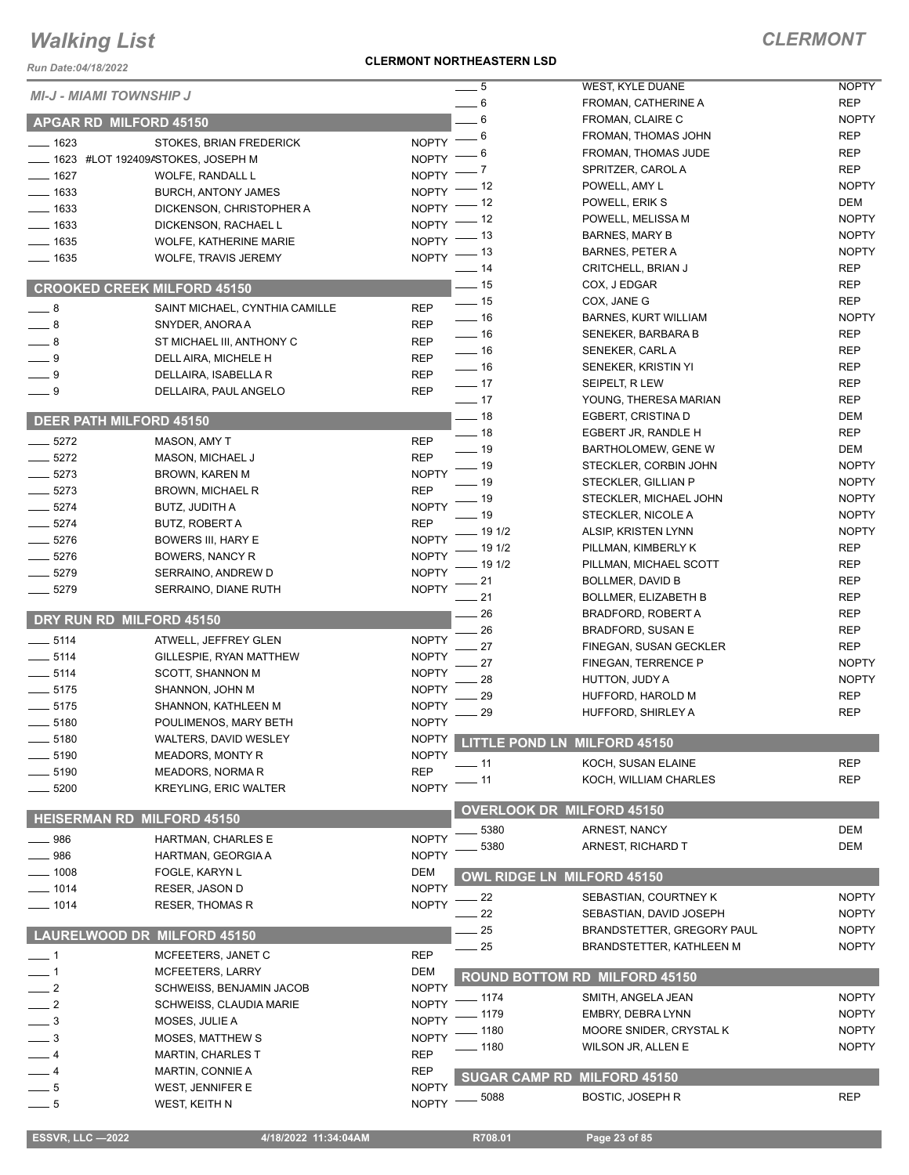#### **CLERMONT NORTHEASTERN LSD**

### *CLERMONT*

| Run Date:04/18/2022            |                                                        | <b>CLERMONT NORTHEASTERN LSD</b>   |                                                      |                              |
|--------------------------------|--------------------------------------------------------|------------------------------------|------------------------------------------------------|------------------------------|
| <b>MI-J - MIAMI TOWNSHIP J</b> |                                                        | $-5$                               | WEST, KYLE DUANE                                     | <b>NOPTY</b>                 |
|                                |                                                        | 6                                  | FROMAN, CATHERINE A                                  | <b>REP</b>                   |
|                                | <b>APGAR RD MILFORD 45150</b>                          | $\,6$                              | FROMAN, CLAIRE C                                     | <b>NOPTY</b>                 |
| $- 1623$                       | STOKES, BRIAN FREDERICK                                | 6<br><b>NOPTY</b>                  | FROMAN, THOMAS JOHN                                  | <b>REP</b>                   |
|                                | 1623 #LOT 192409ASTOKES, JOSEPH M                      | 6<br><b>NOPTY</b><br>7             | FROMAN, THOMAS JUDE<br>SPRITZER, CAROL A             | <b>REP</b><br><b>REP</b>     |
| $- 1627$                       | WOLFE, RANDALL L                                       | <b>NOPTY</b><br>- 12               | POWELL, AMY L                                        | <b>NOPTY</b>                 |
| $-1633$                        | <b>BURCH, ANTONY JAMES</b>                             | <b>NOPTY</b><br>- 12               | POWELL, ERIK S                                       | DEM                          |
| $-1633$                        | DICKENSON, CHRISTOPHER A                               | <b>NOPTY</b><br>- 12               | POWELL, MELISSA M                                    | <b>NOPTY</b>                 |
| $- 1633$                       | DICKENSON, RACHAEL L                                   | <b>NOPTY</b><br>- 13               | <b>BARNES, MARY B</b>                                | <b>NOPTY</b>                 |
| $\frac{1}{2}$ 1635             | WOLFE, KATHERINE MARIE                                 | <b>NOPTY</b><br>$-13$              | <b>BARNES, PETER A</b>                               | <b>NOPTY</b>                 |
| $- 1635$                       | WOLFE, TRAVIS JEREMY                                   | NOPTY <sup>-</sup><br>$-14$        | CRITCHELL, BRIAN J                                   | <b>REP</b>                   |
|                                | <b>CROOKED CREEK MILFORD 45150</b>                     | $-15$                              | COX, J EDGAR                                         | <b>REP</b>                   |
|                                |                                                        | $\frac{1}{2}$ 15                   | COX, JANE G                                          | <b>REP</b>                   |
| $-8$<br>$-8$                   | SAINT MICHAEL, CYNTHIA CAMILLE                         | <b>REP</b><br>$- 16$<br><b>REP</b> | BARNES, KURT WILLIAM                                 | <b>NOPTY</b>                 |
| $\_\_\$ 8                      | SNYDER, ANORA A                                        | $-16$<br><b>REP</b>                | SENEKER, BARBARA B                                   | <b>REP</b>                   |
| $-9$                           | ST MICHAEL III, ANTHONY C<br>DELL AIRA, MICHELE H      | $\frac{1}{16}$<br><b>REP</b>       | SENEKER, CARL A                                      | <b>REP</b>                   |
| $-9$                           | DELLAIRA, ISABELLA R                                   | $\frac{1}{16}$<br><b>REP</b>       | SENEKER, KRISTIN YI                                  | <b>REP</b>                   |
| $-9$                           | DELLAIRA, PAUL ANGELO                                  | $-17$<br><b>REP</b>                | SEIPELT, R LEW                                       | <b>REP</b>                   |
|                                |                                                        | $\frac{1}{2}$ 17                   | YOUNG, THERESA MARIAN                                | <b>REP</b>                   |
|                                | <b>DEER PATH MILFORD 45150</b>                         | $-18$                              | EGBERT, CRISTINA D                                   | <b>DEM</b>                   |
| $-5272$                        | <b>MASON, AMY T</b>                                    | $\equiv$ 18<br><b>REP</b>          | EGBERT JR, RANDLE H                                  | <b>REP</b>                   |
| $-5272$                        | MASON, MICHAEL J                                       | $-19$<br><b>REP</b>                | BARTHOLOMEW, GENE W                                  | <b>DEM</b>                   |
| $-5273$                        | <b>BROWN, KAREN M</b>                                  | - 19<br><b>NOPTY</b>               | STECKLER, CORBIN JOHN                                | <b>NOPTY</b>                 |
| $-5273$                        | <b>BROWN, MICHAEL R</b>                                | $-19$<br><b>REP</b>                | STECKLER, GILLIAN P                                  | <b>NOPTY</b>                 |
| $-5274$                        | BUTZ, JUDITH A                                         | _ 19<br><b>NOPTY</b>               | STECKLER, MICHAEL JOHN                               | <b>NOPTY</b>                 |
| $-5274$                        | <b>BUTZ, ROBERT A</b>                                  | - 19<br><b>REP</b>                 | STECKLER, NICOLE A                                   | <b>NOPTY</b>                 |
| $-5276$                        | BOWERS III, HARY E                                     | 19 1/2<br><b>NOPTY</b>             | ALSIP, KRISTEN LYNN                                  | <b>NOPTY</b>                 |
| $-5276$                        | BOWERS, NANCY R                                        | 19 1/2<br><b>NOPTY</b><br>19 1/2   | PILLMAN, KIMBERLY K                                  | <b>REP</b><br><b>REP</b>     |
| $-5279$                        | SERRAINO, ANDREW D                                     | <b>NOPTY</b><br>21                 | PILLMAN, MICHAEL SCOTT                               | <b>REP</b>                   |
| $-5279$                        | SERRAINO, DIANE RUTH                                   | <b>NOPTY</b><br>21                 | BOLLMER, DAVID B<br><b>BOLLMER, ELIZABETH B</b>      | <b>REP</b>                   |
|                                |                                                        | 26                                 | <b>BRADFORD, ROBERT A</b>                            | <b>REP</b>                   |
|                                | DRY RUN RD MILFORD 45150                               | 26                                 | <b>BRADFORD, SUSAN E</b>                             | <b>REP</b>                   |
| $\frac{1}{2}$ 5114             | ATWELL, JEFFREY GLEN                                   | <b>NOPTY</b><br>27                 | FINEGAN, SUSAN GECKLER                               | <b>REP</b>                   |
| $-5114$                        | GILLESPIE, RYAN MATTHEW                                | <b>NOPTY</b><br>27                 | FINEGAN, TERRENCE P                                  | <b>NOPTY</b>                 |
| $-5114$                        | <b>SCOTT, SHANNON M</b>                                | <b>NOPTY</b><br>28                 | HUTTON, JUDY A                                       | <b>NOPTY</b>                 |
| $-5175$                        | SHANNON, JOHN M                                        | <b>NOPTY</b><br>29                 | HUFFORD, HAROLD M                                    | <b>REP</b>                   |
| $-5175$                        | SHANNON, KATHLEEN M                                    | <b>NOPTY</b><br>29                 | <b>HUFFORD, SHIRLEY A</b>                            | <b>REP</b>                   |
| 5180                           | POULIMENOS, MARY BETH                                  | <b>NOPTY</b>                       |                                                      |                              |
| __ 5180                        | <b>WALTERS, DAVID WESLEY</b>                           | <b>NOPTY</b>                       | LITTLE POND LN MILFORD 45150                         |                              |
| __ 5190                        | <b>MEADORS, MONTY R</b>                                | <b>NOPTY</b><br>- 11<br><b>REP</b> | KOCH, SUSAN ELAINE                                   | <b>REP</b>                   |
| 5190<br>5200                   | <b>MEADORS, NORMAR</b><br><b>KREYLING, ERIC WALTER</b> | - 11<br><b>NOPTY</b>               | KOCH, WILLIAM CHARLES                                | <b>REP</b>                   |
|                                |                                                        |                                    |                                                      |                              |
|                                | <b>HEISERMAN RD MILFORD 45150</b>                      |                                    | <b>OVERLOOK DR MILFORD 45150</b>                     |                              |
| 986                            | HARTMAN, CHARLES E                                     | 5380<br><b>NOPTY</b>               | ARNEST, NANCY                                        | DEM                          |
| 986                            | HARTMAN, GEORGIA A                                     | 5380<br><b>NOPTY</b>               | ARNEST, RICHARD T                                    | <b>DEM</b>                   |
| $- 1008$                       | FOGLE, KARYN L                                         | DEM                                | <b>OWL RIDGE LN MILFORD 45150</b>                    |                              |
| $- 1014$                       | RESER, JASON D                                         | <b>NOPTY</b>                       |                                                      |                              |
| $- 1014$                       | <b>RESER, THOMAS R</b>                                 | $-22$<br><b>NOPTY</b>              | SEBASTIAN, COURTNEY K                                | <b>NOPTY</b>                 |
|                                |                                                        | 22                                 | SEBASTIAN, DAVID JOSEPH                              | <b>NOPTY</b>                 |
|                                | LAURELWOOD DR MILFORD 45150                            | 25                                 | BRANDSTETTER, GREGORY PAUL                           | <b>NOPTY</b>                 |
| — 1                            | MCFEETERS, JANET C                                     | 25<br><b>REP</b>                   | BRANDSTETTER, KATHLEEN M                             | <b>NOPTY</b>                 |
| $-1$                           | MCFEETERS, LARRY                                       | DEM                                | <b>ROUND BOTTOM RD MILFORD 45150</b>                 |                              |
| $-2$                           | <b>SCHWEISS, BENJAMIN JACOB</b>                        | <b>NOPTY</b>                       |                                                      |                              |
| $\frac{1}{2}$                  | SCHWEISS, CLAUDIA MARIE                                | $-1174$<br><b>NOPTY</b>            | SMITH, ANGELA JEAN                                   | <b>NOPTY</b><br><b>NOPTY</b> |
| $\equiv$ 3                     | MOSES, JULIE A                                         | - 1179<br><b>NOPTY</b>             | EMBRY, DEBRA LYNN                                    | <b>NOPTY</b>                 |
| $=$ 3                          | MOSES, MATTHEW S                                       | 1180<br><b>NOPTY</b><br>_ 1180     | MOORE SNIDER, CRYSTAL K<br><b>WILSON JR, ALLEN E</b> | <b>NOPTY</b>                 |
| $-4$                           | <b>MARTIN, CHARLES T</b>                               | <b>REP</b>                         |                                                      |                              |
| $-4$                           | MARTIN, CONNIE A                                       | <b>REP</b>                         | <b>SUGAR CAMP RD MILFORD 45150</b>                   |                              |
| $-5$                           | WEST, JENNIFER E                                       | <b>NOPTY</b><br>5088_              | <b>BOSTIC, JOSEPH R</b>                              | <b>REP</b>                   |
| $-5$                           | WEST, KEITH N                                          | <b>NOPTY</b>                       |                                                      |                              |
|                                |                                                        |                                    |                                                      |                              |

**ESSVR, LLC -2022 4/18/2022 11:34:04AM** R708.01 **Page 23 of 85**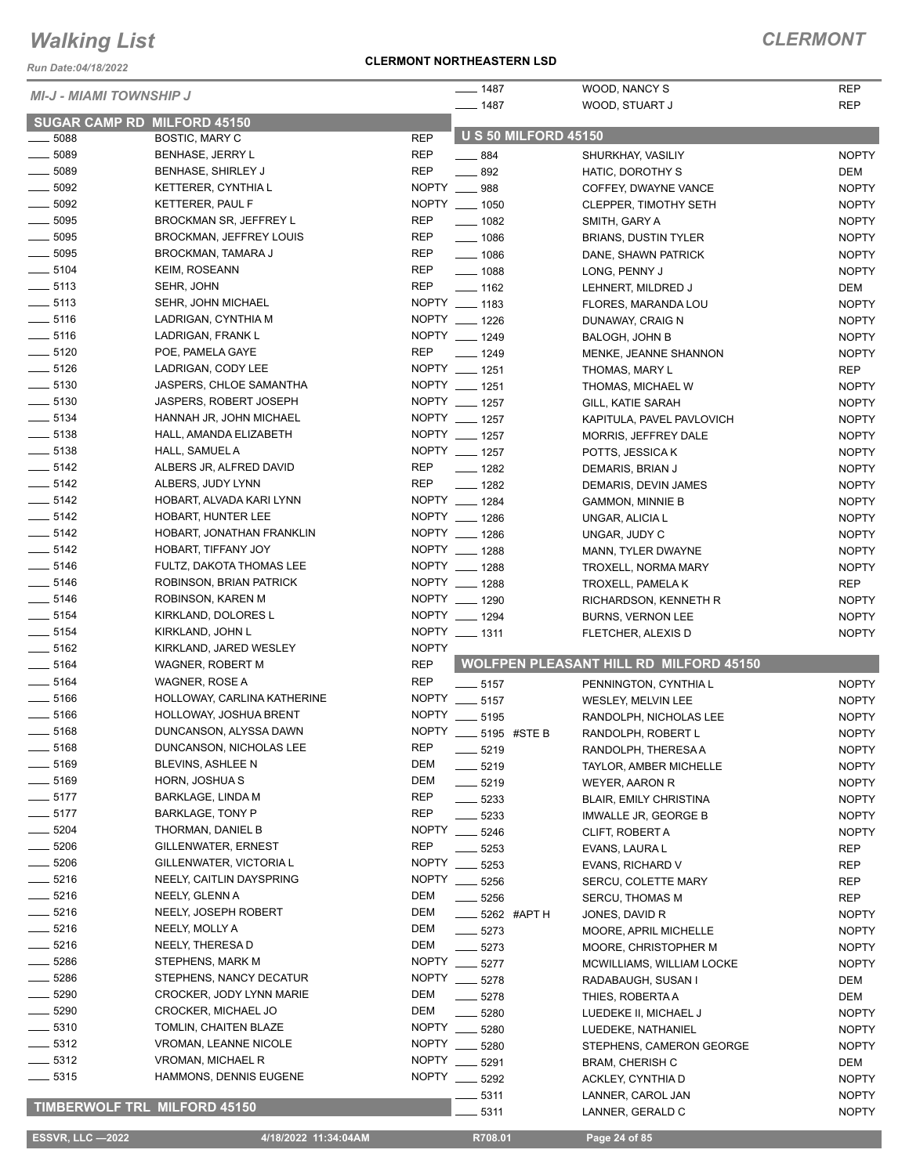*Run Date:04/18/2022*

#### **CLERMONT NORTHEASTERN LSD**

### *CLERMONT*

| <b>MI-J - MIAMI TOWNSHIP J</b>      |                               |              | $- 1487$           |                             | WOOD, NANCY S                                 | <b>REP</b>   |
|-------------------------------------|-------------------------------|--------------|--------------------|-----------------------------|-----------------------------------------------|--------------|
|                                     |                               |              | $- 1487$           |                             | WOOD, STUART J                                | <b>REP</b>   |
| <b>SUGAR CAMP RD MILFORD 45150</b>  |                               |              |                    |                             |                                               |              |
| $\frac{1}{2}$ 5088                  | <b>BOSTIC, MARY C</b>         | <b>REP</b>   |                    | <b>U S 50 MILFORD 45150</b> |                                               |              |
| $\frac{1}{2}$ 5089                  | <b>BENHASE, JERRY L</b>       | <b>REP</b>   | $- 884$            |                             | SHURKHAY, VASILIY                             | <b>NOPTY</b> |
| $\frac{1}{2}$ 5089                  | BENHASE, SHIRLEY J            | <b>REP</b>   | $\frac{1}{2}$ 892  |                             | HATIC, DOROTHY S                              | DEM          |
| $\frac{1}{2}$ 5092                  | KETTERER, CYNTHIA L           |              | NOPTY __ 988       |                             | COFFEY, DWAYNE VANCE                          | <b>NOPTY</b> |
| $\frac{1}{2}$ 5092                  | KETTERER, PAUL F              |              | NOPTY __ 1050      |                             | <b>CLEPPER, TIMOTHY SETH</b>                  | <b>NOPTY</b> |
| $\frac{1}{2}$ 5095                  | BROCKMAN SR, JEFFREY L        | <b>REP</b>   | $\frac{1}{2}$ 1082 |                             | SMITH, GARY A                                 | <b>NOPTY</b> |
| $\frac{1}{2}$ 5095                  | BROCKMAN, JEFFREY LOUIS       | <b>REP</b>   | $- 1086$           |                             | <b>BRIANS, DUSTIN TYLER</b>                   | <b>NOPTY</b> |
| $\frac{1}{2}$ 5095                  | BROCKMAN, TAMARA J            | <b>REP</b>   | $- 1086$           |                             | DANE, SHAWN PATRICK                           | <b>NOPTY</b> |
| $- 5104$                            | <b>KEIM, ROSEANN</b>          | <b>REP</b>   | $- 1088$           |                             | LONG, PENNY J                                 | <b>NOPTY</b> |
| $\frac{1}{2}$ 5113                  | SEHR, JOHN                    | <b>REP</b>   | $- 1162$           |                             | LEHNERT, MILDRED J                            | DEM          |
| $\frac{1}{2}$ 5113                  | SEHR, JOHN MICHAEL            |              | NOPTY __ 1183      |                             | FLORES, MARANDA LOU                           | <b>NOPTY</b> |
| $\frac{1}{2}$ 5116                  | LADRIGAN, CYNTHIA M           |              | NOPTY __ 1226      |                             | DUNAWAY, CRAIG N                              | <b>NOPTY</b> |
| $\frac{1}{2}$ 5116                  | LADRIGAN, FRANK L             |              | NOPTY __ 1249      |                             | <b>BALOGH, JOHN B</b>                         | <b>NOPTY</b> |
| $- 5120$                            | POE, PAMELA GAYE              | <b>REP</b>   | $- 1249$           |                             | MENKE, JEANNE SHANNON                         | <b>NOPTY</b> |
| $- 5126$                            | LADRIGAN, CODY LEE            |              | NOPTY __ 1251      |                             |                                               | <b>REP</b>   |
| $\frac{1}{2}$ 5130                  | JASPERS, CHLOE SAMANTHA       |              | NOPTY __ 1251      |                             | THOMAS, MARY L                                |              |
|                                     |                               |              |                    |                             | THOMAS, MICHAEL W                             | <b>NOPTY</b> |
| $\frac{1}{2}$ 5130                  | <b>JASPERS, ROBERT JOSEPH</b> |              | NOPTY __ 1257      |                             | GILL, KATIE SARAH                             | <b>NOPTY</b> |
| $\frac{1}{2}$ 5134                  | HANNAH JR, JOHN MICHAEL       |              | NOPTY __ 1257      |                             | KAPITULA, PAVEL PAVLOVICH                     | <b>NOPTY</b> |
| $- 5138$                            | HALL, AMANDA ELIZABETH        |              | NOPTY __ 1257      |                             | MORRIS, JEFFREY DALE                          | <b>NOPTY</b> |
| $- 5138$                            | HALL, SAMUEL A                |              | NOPTY __ 1257      |                             | POTTS, JESSICA K                              | <b>NOPTY</b> |
| $- 5142$                            | ALBERS JR, ALFRED DAVID       | <b>REP</b>   | $- 1282$           |                             | DEMARIS, BRIAN J                              | <b>NOPTY</b> |
| $\frac{1}{2}$ 5142                  | ALBERS, JUDY LYNN             | <b>REP</b>   | $\frac{1}{2}$ 1282 |                             | DEMARIS, DEVIN JAMES                          | <b>NOPTY</b> |
| $\frac{1}{2}$ 5142                  | HOBART, ALVADA KARI LYNN      |              | NOPTY __ 1284      |                             | <b>GAMMON, MINNIE B</b>                       | <b>NOPTY</b> |
| $\frac{1}{2}$ 5142                  | HOBART, HUNTER LEE            |              | NOPTY __ 1286      |                             | UNGAR, ALICIA L                               | <b>NOPTY</b> |
| $-5142$                             | HOBART, JONATHAN FRANKLIN     |              | NOPTY __ 1286      |                             | UNGAR, JUDY C                                 | <b>NOPTY</b> |
| $\frac{1}{2}$ 5142                  | HOBART, TIFFANY JOY           |              | NOPTY __ 1288      |                             | MANN, TYLER DWAYNE                            | <b>NOPTY</b> |
| $\frac{1}{2}$ 5146                  | FULTZ, DAKOTA THOMAS LEE      |              | NOPTY __ 1288      |                             | TROXELL, NORMA MARY                           | <b>NOPTY</b> |
| $\frac{1}{2}$ 5146                  | ROBINSON, BRIAN PATRICK       |              | NOPTY __ 1288      |                             | TROXELL, PAMELA K                             | <b>REP</b>   |
| $\frac{1}{2}$ 5146                  | ROBINSON, KAREN M             |              | NOPTY __ 1290      |                             | RICHARDSON, KENNETH R                         | <b>NOPTY</b> |
| $\frac{1}{2}$ 5154                  | KIRKLAND, DOLORES L           |              | NOPTY __ 1294      |                             | <b>BURNS, VERNON LEE</b>                      | <b>NOPTY</b> |
| $\frac{1}{2}$ 5154                  | KIRKLAND, JOHN L              |              | NOPTY __ 1311      |                             | FLETCHER, ALEXIS D                            | <b>NOPTY</b> |
| $\frac{1}{2}$ 5162                  | KIRKLAND, JARED WESLEY        | <b>NOPTY</b> |                    |                             |                                               |              |
| $\frac{1}{2}$ 5164                  | WAGNER, ROBERT M              | <b>REP</b>   |                    |                             | <b>WOLFPEN PLEASANT HILL RD MILFORD 45150</b> |              |
| $- 5164$                            | WAGNER, ROSE A                | <b>REP</b>   | $\_\_$ 5157        |                             | PENNINGTON, CYNTHIA L                         | <b>NOPTY</b> |
| $\frac{1}{2}$ 5166                  | HOLLOWAY, CARLINA KATHERINE   |              | NOPTY __ 5157      |                             | WESLEY, MELVIN LEE                            | <b>NOPTY</b> |
| $\frac{1}{2}$ 5166                  | HOLLOWAY, JOSHUA BRENT        |              | NOPTY __ 5195      |                             | RANDOLPH, NICHOLAS LEE                        | <b>NOPTY</b> |
| $\frac{1}{2}$ 5168                  | DUNCANSON, ALYSSA DAWN        | <b>NOPTY</b> |                    | 5195 #STE B                 | RANDOLPH, ROBERT L                            | <b>NOPTY</b> |
| $- 5168$                            | DUNCANSON, NICHOLAS LEE       | <b>REP</b>   | $- 5219$           |                             | RANDOLPH, THERESA A                           | <b>NOPTY</b> |
| $\frac{1}{2}$ 5169                  | BLEVINS, ASHLEE N             | DEM          |                    |                             |                                               |              |
| $- 5169$                            | HORN, JOSHUA S                | DEM          | 5219               |                             | TAYLOR, AMBER MICHELLE                        | <b>NOPTY</b> |
| $- 5177$                            | BARKLAGE, LINDA M             | <b>REP</b>   | $- 5219$           |                             | WEYER, AARON R                                | <b>NOPTY</b> |
| $- 5177$                            | <b>BARKLAGE, TONY P</b>       | REP          | 5233               |                             | <b>BLAIR, EMILY CHRISTINA</b>                 | <b>NOPTY</b> |
| $-5204$                             |                               | <b>NOPTY</b> | 5233               |                             | IMWALLE JR, GEORGE B                          | <b>NOPTY</b> |
|                                     | THORMAN, DANIEL B             |              | 5246               |                             | CLIFT, ROBERT A                               | <b>NOPTY</b> |
| $=$ 5206                            | GILLENWATER, ERNEST           | <b>REP</b>   | 5253               |                             | EVANS, LAURA L                                | REP          |
| $\frac{1}{2}$ 5206                  | GILLENWATER, VICTORIA L       | <b>NOPTY</b> | 5253               |                             | EVANS, RICHARD V                              | REP          |
| $- 5216$                            | NEELY, CAITLIN DAYSPRING      | <b>NOPTY</b> | 5256               |                             | <b>SERCU, COLETTE MARY</b>                    | REP          |
| $- 5216$                            | NEELY, GLENN A                | DEM          | 5256               |                             | <b>SERCU, THOMAS M</b>                        | <b>REP</b>   |
| $- 5216$                            | NEELY, JOSEPH ROBERT          | DEM          |                    | 5262 #APT H                 | JONES, DAVID R                                | <b>NOPTY</b> |
| $- 5216$                            | NEELY, MOLLY A                | DEM          | 5273               |                             | MOORE, APRIL MICHELLE                         | <b>NOPTY</b> |
| $- 5216$                            | NEELY, THERESA D              | DEM          | $-5273$            |                             | MOORE, CHRISTOPHER M                          | <b>NOPTY</b> |
| $-5286$                             | STEPHENS, MARK M              | <b>NOPTY</b> | 5277               |                             | MCWILLIAMS, WILLIAM LOCKE                     | <b>NOPTY</b> |
| $- 5286$                            | STEPHENS, NANCY DECATUR       |              | NOPTY __ 5278      |                             | RADABAUGH, SUSAN I                            | DEM          |
| 5290                                | CROCKER, JODY LYNN MARIE      | DEM          | 5278               |                             | THIES, ROBERTA A                              | DEM          |
| $\frac{1}{2}$ 5290                  | CROCKER, MICHAEL JO           | DEM          | 5280               |                             | LUEDEKE II, MICHAEL J                         | <b>NOPTY</b> |
| $\frac{1}{2}$ 5310                  | TOMLIN, CHAITEN BLAZE         | <b>NOPTY</b> | 5280               |                             | LUEDEKE, NATHANIEL                            | <b>NOPTY</b> |
| $\frac{1}{2}$ 5312                  | VROMAN, LEANNE NICOLE         | <b>NOPTY</b> | 5280               |                             | STEPHENS, CAMERON GEORGE                      | <b>NOPTY</b> |
| $- 5312$                            | <b>VROMAN, MICHAEL R</b>      | <b>NOPTY</b> | 5291               |                             | <b>BRAM, CHERISH C</b>                        | DEM          |
| $\frac{1}{2}$ 5315                  | HAMMONS, DENNIS EUGENE        | <b>NOPTY</b> | 5292               |                             | ACKLEY, CYNTHIA D                             | <b>NOPTY</b> |
|                                     |                               |              | 5311               |                             | LANNER, CAROL JAN                             | <b>NOPTY</b> |
| <b>TIMBERWOLF TRL MILFORD 45150</b> |                               |              | 5311               |                             | LANNER, GERALD C                              | <b>NOPTY</b> |
|                                     |                               |              |                    |                             |                                               |              |

 **ESSVR, LLC —2022 4/18/2022 11:34:04AM R708.01 Page 24 of 85**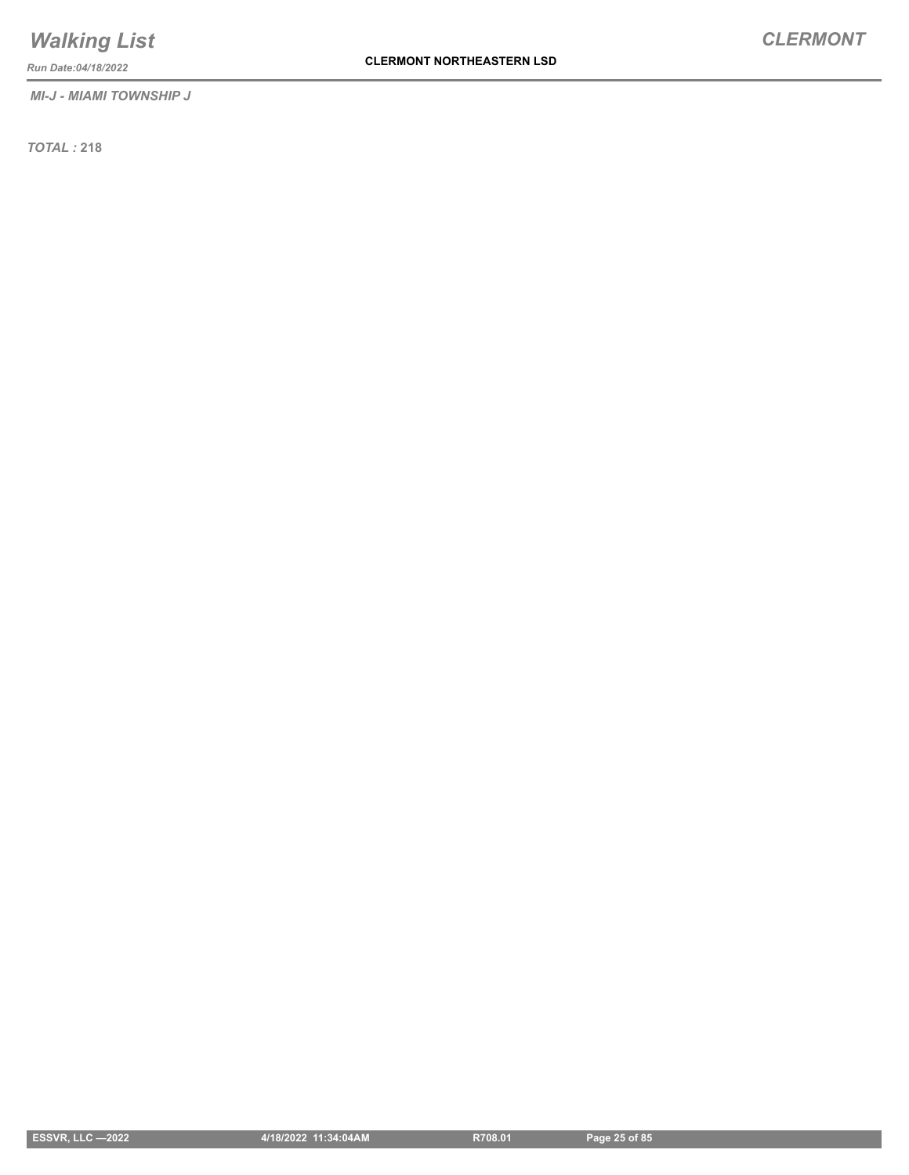*MI-J - MIAMI TOWNSHIP J*

*Run Date:04/18/2022*

*TOTAL :* **218**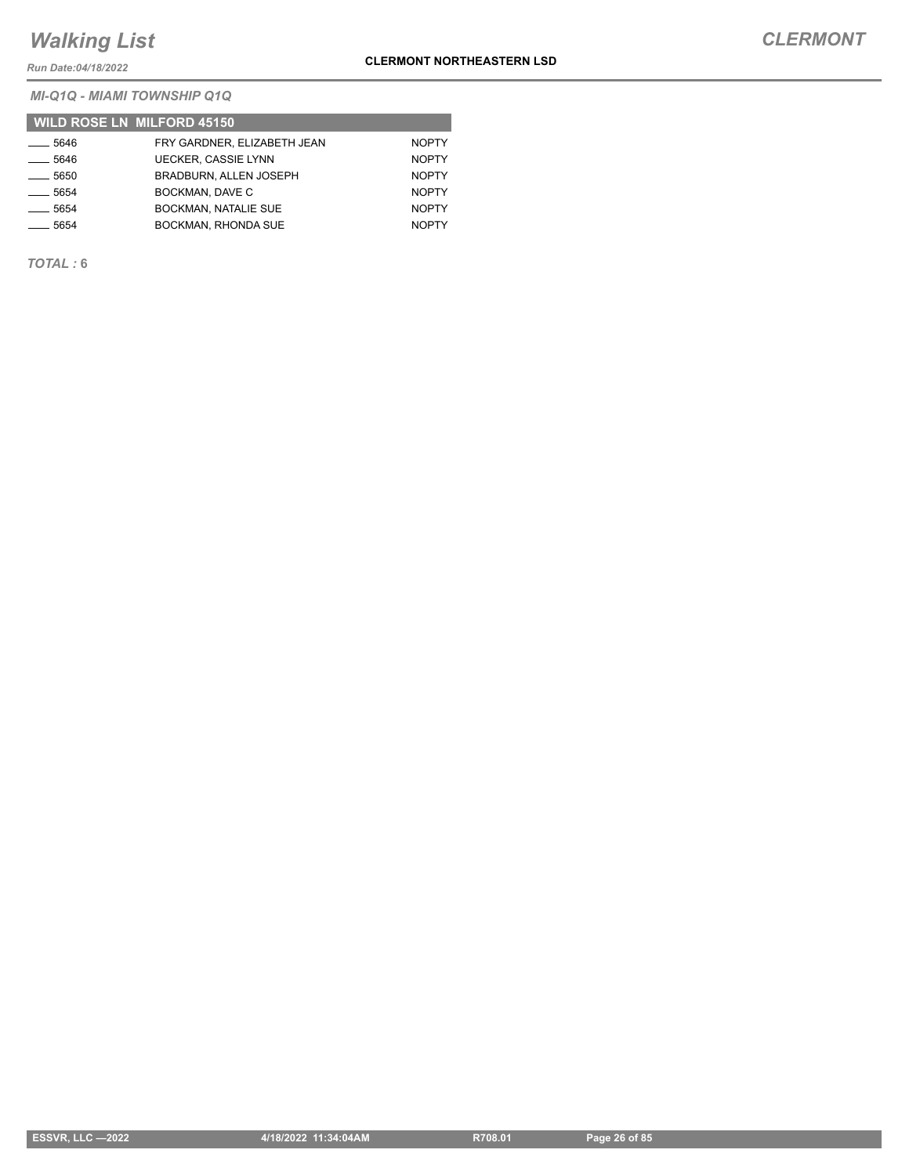*Run Date:04/18/2022*

*MI-Q1Q - MIAMI TOWNSHIP Q1Q*

|                    | <b>WILD ROSE LN MILFORD 45150</b> |              |
|--------------------|-----------------------------------|--------------|
| ____ 5646          | FRY GARDNER. ELIZABETH JEAN       | <b>NOPTY</b> |
| $-5646$            | <b>UECKER, CASSIE LYNN</b>        | <b>NOPTY</b> |
| $-5650$            | <b>BRADBURN, ALLEN JOSEPH</b>     | <b>NOPTY</b> |
| $\frac{1}{2}$ 5654 | BOCKMAN, DAVE C                   | <b>NOPTY</b> |
| $-5654$            | <b>BOCKMAN, NATALIE SUE</b>       | <b>NOPTY</b> |
| $\frac{1}{2}$ 5654 | <b>BOCKMAN, RHONDA SUE</b>        | <b>NOPTY</b> |

*TOTAL :* **6**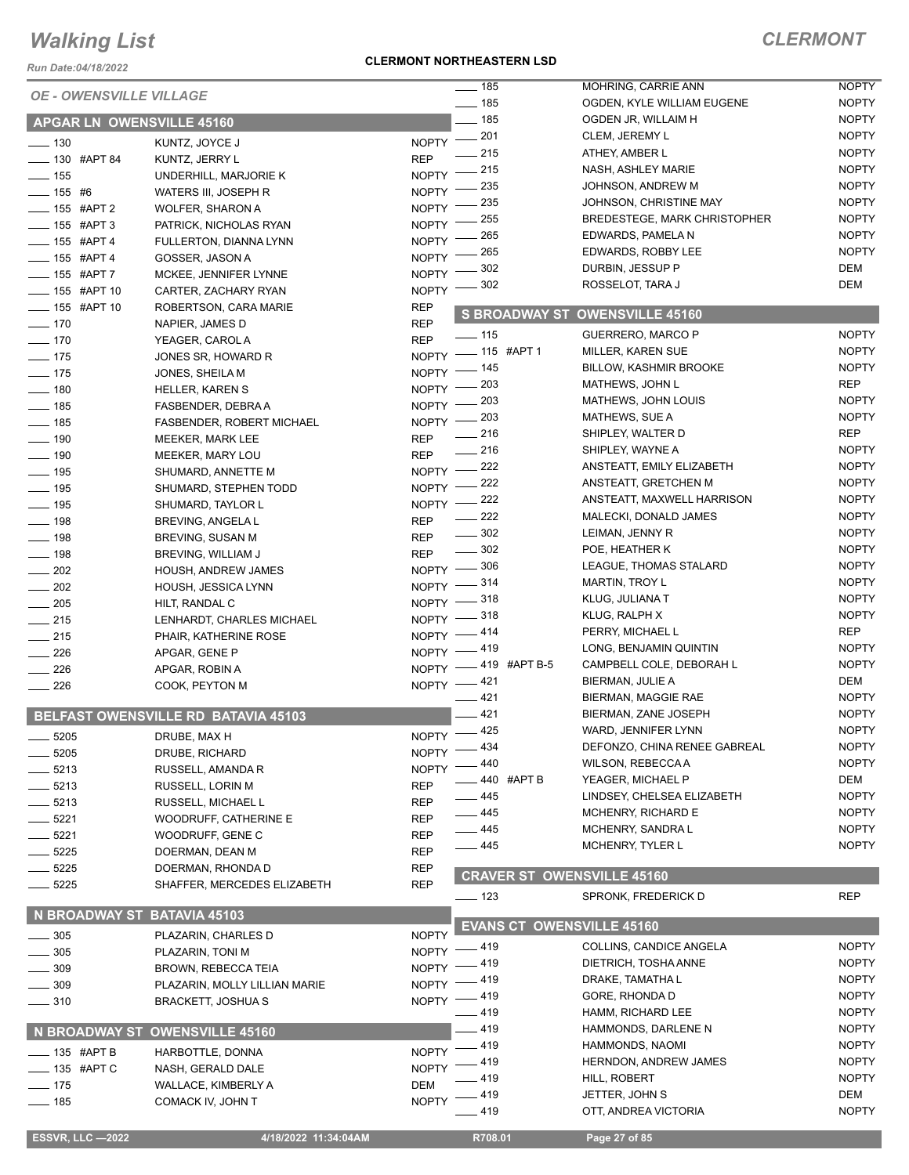*Run Date:04/18/2022*

#### **CLERMONT NORTHEASTERN LSD**

| <b>ESSVR, LLC -2022</b>          | 4/18/2022 11:34:04AM                |              | R708.01                           | Page 27 of 85                       |                              |
|----------------------------------|-------------------------------------|--------------|-----------------------------------|-------------------------------------|------------------------------|
|                                  |                                     |              | —— 419                            | OTT, ANDREA VICTORIA                | <b>NOPTY</b>                 |
| $- 185$                          | COMACK IV, JOHN T                   | <b>NOPTY</b> | _ 419                             | JETTER, JOHN S                      | DEM                          |
| $-175$                           | WALLACE, KIMBERLY A                 | <b>DEM</b>   | 419                               | HILL, ROBERT                        | <b>NOPTY</b>                 |
| $=$ 135 #APT C                   | NASH, GERALD DALE                   | $NOPTY$ -    | _ 419                             | <b>HERNDON, ANDREW JAMES</b>        | <b>NOPTY</b>                 |
| $-$ 135 #APT B                   | HARBOTTLE, DONNA                    |              | NOPTY -419                        |                                     |                              |
|                                  | N BROADWAY ST OWENSVILLE 45160      |              |                                   | HAMMONDS, NAOMI                     | <b>NOPTY</b>                 |
|                                  |                                     |              | $-419$                            | HAMMONDS, DARLENE N                 | <b>NOPTY</b>                 |
| $\frac{1}{2}$ 310                | <b>BRACKETT, JOSHUA S</b>           |              | NOPTY -419<br>$-419$              | GORE, RHONDA D<br>HAMM, RICHARD LEE | <b>NOPTY</b><br><b>NOPTY</b> |
| $-309$                           | PLAZARIN, MOLLY LILLIAN MARIE       |              | NOPTY -419                        | DRAKE, TAMATHA L                    | <b>NOPTY</b>                 |
| $-309$                           | BROWN, REBECCA TEIA                 |              | NOPTY -419                        | DIETRICH, TOSHA ANNE                | <b>NOPTY</b>                 |
| . 305                            | PLAZARIN, TONI M                    |              | NOPTY -419                        | COLLINS, CANDICE ANGELA             | <b>NOPTY</b>                 |
| $\frac{1}{2}$ 305                | PLAZARIN, CHARLES D                 | <b>NOPTY</b> |                                   |                                     |                              |
| N BROADWAY ST BATAVIA 45103      |                                     |              | <b>EVANS CT OWENSVILLE 45160</b>  |                                     |                              |
|                                  |                                     |              | $\frac{1}{2}$ 123                 | SPRONK, FREDERICK D                 | <b>REP</b>                   |
| $- 5225$                         | SHAFFER, MERCEDES ELIZABETH         | <b>REP</b>   | <b>CRAVER ST OWENSVILLE 45160</b> |                                     |                              |
| $-5225$                          | DOERMAN, RHONDA D                   | <b>REP</b>   |                                   |                                     |                              |
| $-5225$                          | DOERMAN, DEAN M                     | <b>REP</b>   | $-445$                            | MCHENRY, TYLER L                    | <b>NOPTY</b>                 |
| $-5221$                          | WOODRUFF, GENE C                    | <b>REP</b>   | ____ 445                          | MCHENRY, SANDRA L                   | <b>NOPTY</b>                 |
| $-5221$                          | WOODRUFF, CATHERINE E               | <b>REP</b>   | — 445                             | MCHENRY, RICHARD E                  | <b>NOPTY</b>                 |
| $-5213$                          | RUSSELL, MICHAEL L                  | <b>REP</b>   | _ 445                             | LINDSEY, CHELSEA ELIZABETH          | <b>NOPTY</b>                 |
| $-5213$                          | <b>RUSSELL, LORIN M</b>             | <b>REP</b>   | 440 #APT B                        | YEAGER, MICHAEL P                   | DEM                          |
| $-5213$                          | RUSSELL, AMANDA R                   | <b>NOPTY</b> | .440                              | <b>WILSON, REBECCA A</b>            | <b>NOPTY</b>                 |
| $\frac{1}{2}$ 5205               | DRUBE, RICHARD                      |              | NOPTY -434                        | DEFONZO, CHINA RENEE GABREAL        | <b>NOPTY</b>                 |
| $-5205$                          | DRUBE, MAX H                        |              | NOPTY -425                        | WARD, JENNIFER LYNN                 | <b>NOPTY</b>                 |
|                                  | BELFAST OWENSVILLE RD BATAVIA 45103 |              | 421                               | BIERMAN, ZANE JOSEPH                | <b>NOPTY</b>                 |
|                                  |                                     |              | $-421$                            | BIERMAN, MAGGIE RAE                 | <b>NOPTY</b>                 |
| 226                              | COOK, PEYTON M                      |              | NOPTY -421                        | BIERMAN, JULIE A                    | DEM                          |
| $\frac{1}{226}$                  | APGAR, ROBIN A                      |              | NOPTY -419 #APT B-5               | CAMPBELL COLE, DEBORAH L            | <b>NOPTY</b>                 |
| $\frac{1}{226}$                  | APGAR, GENE P                       |              | NOPTY -419                        | LONG, BENJAMIN QUINTIN              | <b>NOPTY</b>                 |
| $\frac{1}{215}$                  | PHAIR, KATHERINE ROSE               | $N$ OPTY $-$ | _ 414                             | PERRY, MICHAEL L                    | <b>REP</b>                   |
| $\frac{1}{215}$                  | LENHARDT, CHARLES MICHAEL           |              | NOPTY -818                        | KLUG, RALPH X                       | <b>NOPTY</b>                 |
| $\frac{1}{205}$                  | HILT, RANDAL C                      |              | NOPTY -818                        | KLUG, JULIANA T                     | <b>NOPTY</b>                 |
| $\frac{1}{202}$                  | HOUSH, JESSICA LYNN                 |              | NOPTY $-$ 314                     | MARTIN, TROY L                      | <b>NOPTY</b>                 |
| $\frac{1}{202}$                  | HOUSH, ANDREW JAMES                 |              | NOPTY -806                        | LEAGUE, THOMAS STALARD              | <b>NOPTY</b>                 |
| $\frac{1}{2}$ 198                | BREVING, WILLIAM J                  | <b>REP</b>   | $\frac{1}{2}$ 302                 | POE, HEATHER K                      | <b>NOPTY</b>                 |
| $\frac{1}{2}$ 198                | BREVING, SUSAN M                    | <b>REP</b>   | $\frac{1}{2}$ 302                 | LEIMAN, JENNY R                     | <b>NOPTY</b>                 |
| $- 198$                          | BREVING, ANGELA L                   | <b>REP</b>   | $\frac{222}{2}$                   | MALECKI, DONALD JAMES               | <b>NOPTY</b>                 |
| $\frac{1}{2}$ 195                | SHUMARD, TAYLOR L                   |              | NOPTY -222                        | ANSTEATT, MAXWELL HARRISON          | <b>NOPTY</b>                 |
| $\frac{1}{2}$ 195                | SHUMARD, STEPHEN TODD               |              | NOPTY -222                        | ANSTEATT, GRETCHEN M                | <b>NOPTY</b>                 |
| $\frac{1}{2}$ 195                | SHUMARD, ANNETTE M                  |              | NOPTY -222                        | ANSTEATT, EMILY ELIZABETH           | <b>NOPTY</b>                 |
| $\frac{1}{2}$ 190                | <b>MEEKER, MARY LOU</b>             | <b>REP</b>   | $-216$                            | SHIPLEY, WAYNE A                    | <b>NOPTY</b>                 |
| $- 190$                          | MEEKER, MARK LEE                    | <b>REP</b>   | $-216$                            | SHIPLEY, WALTER D                   | <b>REP</b>                   |
| $- 185$                          | FASBENDER, ROBERT MICHAEL           | $N$ OPTY $-$ | $-203$                            | MATHEWS, SUE A                      | <b>NOPTY</b>                 |
| $\frac{1}{2}$ 185                | FASBENDER, DEBRA A                  | $N$ OPTY $-$ | - 203                             | MATHEWS, JOHN LOUIS                 | <b>NOPTY</b>                 |
| $\frac{1}{2}$ 180                | <b>HELLER, KAREN S</b>              |              | NOPTY - 203                       | MATHEWS, JOHN L                     | <b>REP</b>                   |
| $\frac{1}{2}$ 175                | JONES, SHEILA M                     |              | NOPTY - 145                       | <b>BILLOW, KASHMIR BROOKE</b>       | <b>NOPTY</b>                 |
| $\frac{1}{2}$ 175                | JONES SR, HOWARD R                  |              | NOPTY - 115 #APT 1                | <b>MILLER, KAREN SUE</b>            | <b>NOPTY</b>                 |
| $- 170$                          | YEAGER, CAROL A                     | <b>REP</b>   | $- 115$                           | <b>GUERRERO, MARCO P</b>            | <b>NOPTY</b>                 |
| $- 170$                          | NAPIER, JAMES D                     | <b>REP</b>   |                                   | S BROADWAY ST OWENSVILLE 45160      |                              |
| <b>_____ 155 #APT 10</b>         | ROBERTSON, CARA MARIE               | <b>REP</b>   |                                   |                                     |                              |
| <b>_____ 155 #APT 10</b>         | CARTER, ZACHARY RYAN                | <b>NOPTY</b> | 302                               | ROSSELOT, TARA J                    | <b>DEM</b>                   |
| $- 155$ #APT 7                   | MCKEE, JENNIFER LYNNE               | <b>NOPTY</b> | 302                               | DURBIN, JESSUP P                    | DEM                          |
| $-155$ #APT 4                    | GOSSER, JASON A                     | <b>NOPTY</b> | 265                               | EDWARDS, ROBBY LEE                  | <b>NOPTY</b>                 |
| $- 155$ #APT 4                   | FULLERTON, DIANNA LYNN              | <b>NOPTY</b> | 265                               | EDWARDS, PAMELA N                   | <b>NOPTY</b>                 |
| $\frac{1}{2}$ 155 #APT 3         | PATRICK, NICHOLAS RYAN              | <b>NOPTY</b> | 255                               | BREDESTEGE, MARK CHRISTOPHER        | <b>NOPTY</b>                 |
| ___ 155 #APT 2                   | <b>WOLFER, SHARON A</b>             | <b>NOPTY</b> | 235                               | JOHNSON, CHRISTINE MAY              | <b>NOPTY</b>                 |
| $\frac{1}{155}$ #6               | WATERS III, JOSEPH R                | <b>NOPTY</b> | 235                               | JOHNSON, ANDREW M                   | <b>NOPTY</b>                 |
| $\frac{1}{2}$ 155                | UNDERHILL, MARJORIE K               | <b>NOPTY</b> | _ 215                             | NASH, ASHLEY MARIE                  | <b>NOPTY</b>                 |
| $- 130$ #APT 84                  | KUNTZ, JERRY L                      | <b>REP</b>   | _ 215                             | ATHEY, AMBER L                      | <b>NOPTY</b>                 |
| $\frac{1}{2}$ 130                | KUNTZ, JOYCE J                      |              | NOPTY $-201$                      | CLEM, JEREMY L                      | <b>NOPTY</b>                 |
| <b>APGAR LN OWENSVILLE 45160</b> |                                     |              | $-185$                            | OGDEN JR, WILLAIM H                 | <b>NOPTY</b>                 |
| <b>OE - OWENSVILLE VILLAGE</b>   |                                     |              | $\frac{1}{2}$ 185                 | OGDEN, KYLE WILLIAM EUGENE          | <b>NOPTY</b>                 |
|                                  |                                     |              | $\overline{\phantom{0}}$ 185      | MOHRING, CARRIE ANN                 | <b>NOPTY</b>                 |
|                                  |                                     |              |                                   |                                     |                              |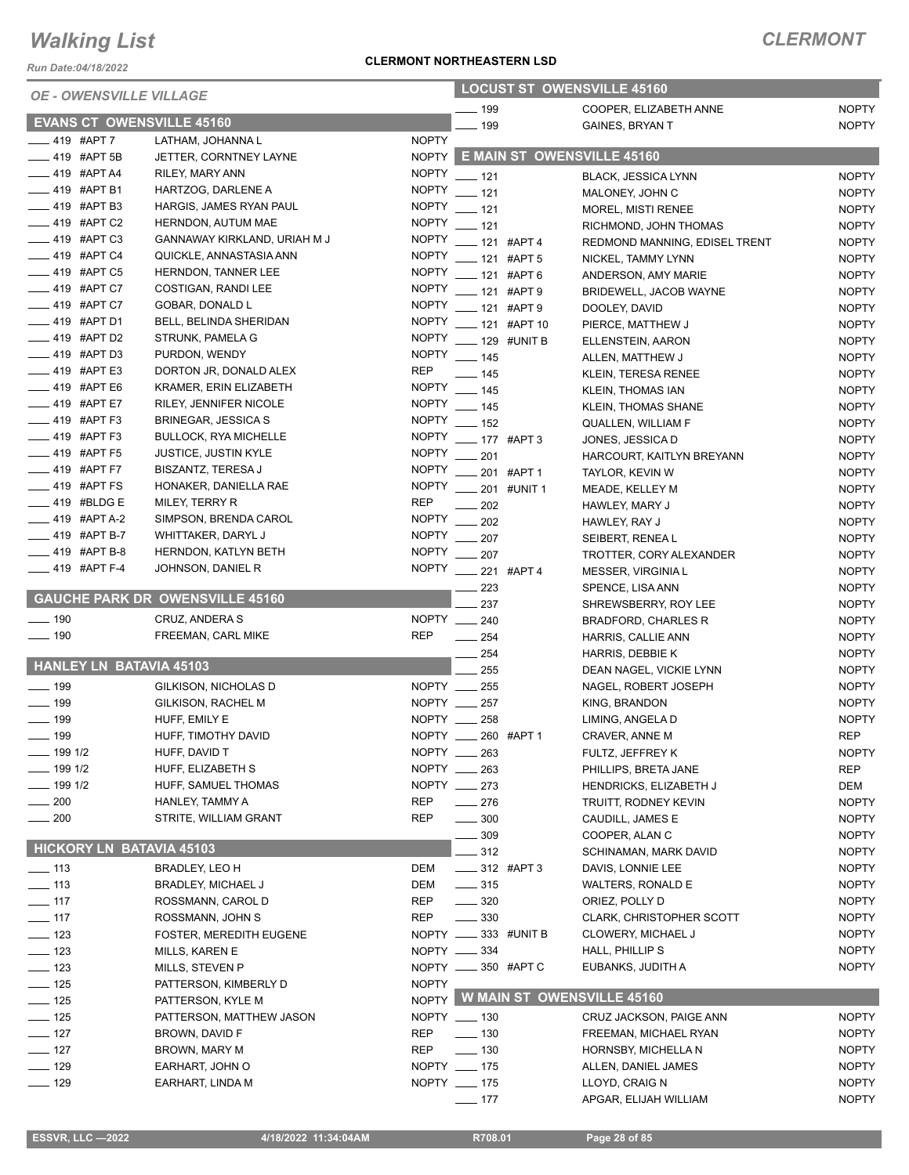*Run Date:04/18/2022*

#### **CLERMONT NORTHEASTERN LSD**

| <b>OE - OWENSVILLE VILLAGE</b>              |                                                            | <b>LOCUST ST OWENSVILLE 45160</b> |                                 |             |                                                |                              |
|---------------------------------------------|------------------------------------------------------------|-----------------------------------|---------------------------------|-------------|------------------------------------------------|------------------------------|
|                                             |                                                            |                                   | $- 199$                         |             | COOPER, ELIZABETH ANNE                         | <b>NOPTY</b>                 |
| <b>EVANS CT OWENSVILLE 45160</b>            |                                                            |                                   | $-199$                          |             | <b>GAINES, BRYAN T</b>                         | <b>NOPTY</b>                 |
| $-419$ #APT 7                               | LATHAM, JOHANNA L                                          | <b>NOPTY</b>                      |                                 |             |                                                |                              |
| $-419$ #APT 5B                              | JETTER, CORNTNEY LAYNE                                     |                                   |                                 |             | NOPTY E MAIN ST OWENSVILLE 45160               |                              |
| <sub>_</sub> __ 419 #APT A4                 | <b>RILEY, MARY ANN</b>                                     | <b>NOPTY</b>                      | $-121$                          |             | <b>BLACK, JESSICA LYNN</b>                     | <b>NOPTY</b>                 |
| _419 #APT B1                                | HARTZOG, DARLENE A                                         | <b>NOPTY</b>                      | $- 121$                         |             | MALONEY, JOHN C                                | <b>NOPTY</b>                 |
| $-419$ #APT B3                              | HARGIS, JAMES RYAN PAUL                                    | <b>NOPTY</b>                      | $- 121$                         |             | MOREL, MISTI RENEE                             | <b>NOPTY</b>                 |
| $\frac{1}{2}$ 419 #APT C2                   | HERNDON, AUTUM MAE                                         | <b>NOPTY</b>                      | $-121$                          |             | RICHMOND, JOHN THOMAS                          | <b>NOPTY</b>                 |
| $-419$ #APT C3                              | GANNAWAY KIRKLAND, URIAH M J                               | <b>NOPTY</b>                      | -121 #APT 4                     |             | REDMOND MANNING, EDISEL TRENT                  | <b>NOPTY</b>                 |
| __ 419 #APT C4                              | QUICKLE, ANNASTASIA ANN                                    | <b>NOPTY</b>                      | -121 #APT 5                     |             | NICKEL, TAMMY LYNN                             | <b>NOPTY</b>                 |
| $\frac{1}{2}$ 419 #APT C5                   | HERNDON, TANNER LEE                                        | <b>NOPTY</b>                      | $- 121$ #APT 6                  |             | ANDERSON, AMY MARIE                            | <b>NOPTY</b>                 |
| $-419$ #APT C7                              | COSTIGAN, RANDI LEE                                        |                                   | NOPTY __ 121 #APT 9             |             | BRIDEWELL, JACOB WAYNE                         | <b>NOPTY</b>                 |
| _419 #APT C7<br>$-419$ #APT D1              | GOBAR, DONALD L                                            | <b>NOPTY</b>                      | $- 121$ #APT 9                  |             | DOOLEY, DAVID                                  | <b>NOPTY</b>                 |
|                                             | BELL, BELINDA SHERIDAN                                     | <b>NOPTY</b>                      | ___ 121 #APT 10                 |             | PIERCE, MATTHEW J                              | <b>NOPTY</b>                 |
| $-419$ #APT D2<br>$\frac{1}{2}$ 419 #APT D3 | STRUNK, PAMELA G                                           | <b>NOPTY</b>                      | $\frac{1}{2}$ 129 #UNIT B       |             | ELLENSTEIN, AARON                              | <b>NOPTY</b>                 |
| $-419$ #APT E3                              | PURDON, WENDY                                              | <b>REP</b>                        | NOPTY __ 145                    |             | ALLEN, MATTHEW J                               | <b>NOPTY</b>                 |
| $- 419$ #APT E6                             | DORTON JR, DONALD ALEX<br>KRAMER, ERIN ELIZABETH           |                                   | $\frac{1}{2}$ 145               |             | KLEIN, TERESA RENEE                            | <b>NOPTY</b>                 |
| $-419$ #APT E7                              |                                                            | <b>NOPTY</b>                      | NOPTY __ 145                    |             | KLEIN, THOMAS IAN                              | <b>NOPTY</b>                 |
| __ 419 #APT F3                              | RILEY, JENNIFER NICOLE                                     | <b>NOPTY</b>                      | $- 145$                         |             | <b>KLEIN, THOMAS SHANE</b>                     | <b>NOPTY</b>                 |
| $\frac{1}{2}$ 419 #APT F3                   | <b>BRINEGAR, JESSICA S</b><br><b>BULLOCK, RYA MICHELLE</b> | <b>NOPTY</b>                      | $\frac{1}{2}$ 152               |             | QUALLEN, WILLIAM F                             | <b>NOPTY</b>                 |
| <b>419 #APT F5</b>                          | <b>JUSTICE, JUSTIN KYLE</b>                                | <b>NOPTY</b>                      | $- 177$ #APT 3                  |             | JONES, JESSICA D                               | <b>NOPTY</b>                 |
| $- 419$ #APT F7                             | <b>BISZANTZ, TERESA J</b>                                  | <b>NOPTY</b>                      | 201                             |             | HARCOURT, KAITLYN BREYANN                      | <b>NOPTY</b>                 |
| $\frac{1}{2}$ 419 #APT FS                   | HONAKER, DANIELLA RAE                                      | <b>NOPTY</b>                      |                                 | 201 #APT 1  | TAYLOR, KEVIN W                                | <b>NOPTY</b>                 |
| _419 #BLDG E                                |                                                            | REP                               |                                 | 201 #UNIT 1 | MEADE, KELLEY M                                | <b>NOPTY</b>                 |
| _419 #APT A-2                               | MILEY, TERRY R<br>SIMPSON, BRENDA CAROL                    | <b>NOPTY</b>                      | 202                             |             | HAWLEY, MARY J                                 | <b>NOPTY</b>                 |
| $-419$ #APT B-7                             | WHITTAKER, DARYL J                                         | <b>NOPTY</b>                      | 202                             |             | HAWLEY, RAY J                                  | <b>NOPTY</b>                 |
| $-419$ #APT B-8                             | HERNDON, KATLYN BETH                                       |                                   | $\frac{1}{207}$<br>NOPTY __ 207 |             | SEIBERT, RENEA L                               | <b>NOPTY</b>                 |
| ____ 419 #APT F-4                           | JOHNSON, DANIEL R                                          |                                   |                                 |             | TROTTER, CORY ALEXANDER                        | <b>NOPTY</b>                 |
|                                             |                                                            |                                   | NOPTY __ 221 #APT 4             |             | MESSER, VIRGINIA L                             | <b>NOPTY</b>                 |
|                                             | <b>GAUCHE PARK DR OWENSVILLE 45160</b>                     |                                   | $\equiv$ 223                    |             | SPENCE, LISA ANN                               | <b>NOPTY</b>                 |
| $\frac{1}{2}$ 190                           | CRUZ, ANDERA S                                             |                                   | 237<br>NOPTY __ 240             |             | SHREWSBERRY, ROY LEE                           | <b>NOPTY</b>                 |
| $\frac{1}{2}$ 190                           |                                                            | <b>REP</b>                        |                                 |             | BRADFORD, CHARLES R                            | <b>NOPTY</b>                 |
|                                             | FREEMAN, CARL MIKE                                         |                                   | $\frac{1}{254}$                 |             | HARRIS, CALLIE ANN                             | <b>NOPTY</b>                 |
| <b>HANLEY LN BATAVIA 45103</b>              |                                                            |                                   | 254                             |             | HARRIS, DEBBIE K                               | <b>NOPTY</b>                 |
| $\frac{1}{2}$ 199                           | GILKISON, NICHOLAS D                                       |                                   | 255<br>NOPTY __ 255             |             | DEAN NAGEL, VICKIE LYNN                        | <b>NOPTY</b>                 |
| $- 199$                                     | GILKISON, RACHEL M                                         |                                   | NOPTY 257                       |             | NAGEL, ROBERT JOSEPH                           | <b>NOPTY</b>                 |
| $- 199$                                     | HUFF, EMILY E                                              |                                   | NOPTY __ 258                    |             | KING, BRANDON                                  | <b>NOPTY</b><br><b>NOPTY</b> |
| $\frac{1}{2}$ 199                           | HUFF, TIMOTHY DAVID                                        |                                   | NOPTY __ 260 #APT 1             |             | LIMING, ANGELA D                               |                              |
|                                             |                                                            |                                   |                                 |             | CRAVER, ANNE M                                 | <b>REP</b>                   |
| —— 199 1/2<br>$- 1991/2$                    | HUFF, DAVID T<br>HUFF, ELIZABETH S                         |                                   | NOPTY __ 263<br>NOPTY __ 263    |             | FULTZ, JEFFREY K<br>PHILLIPS, BRETA JANE       | <b>NOPTY</b>                 |
| $-1991/2$                                   | HUFF, SAMUEL THOMAS                                        |                                   | NOPTY __ 273                    |             |                                                | <b>REP</b><br>DEM            |
| $- 200$                                     | HANLEY, TAMMY A                                            | REP                               | $-276$                          |             | HENDRICKS, ELIZABETH J<br>TRUITT, RODNEY KEVIN | <b>NOPTY</b>                 |
| $\sim$ 200                                  | STRITE, WILLIAM GRANT                                      | <b>REP</b>                        | $\frac{1}{2}$ 300               |             | CAUDILL, JAMES E                               | <b>NOPTY</b>                 |
|                                             |                                                            |                                   | .309                            |             | COOPER, ALAN C                                 | <b>NOPTY</b>                 |
| <b>HICKORY LN BATAVIA 45103</b>             |                                                            |                                   | $-312$                          |             | <b>SCHINAMAN, MARK DAVID</b>                   | <b>NOPTY</b>                 |
| $\frac{1}{2}$ 113                           | BRADLEY, LEO H                                             | DEM                               | ____ 312 #APT 3                 |             | DAVIS, LONNIE LEE                              | <b>NOPTY</b>                 |
| $\frac{1}{2}$ 113                           |                                                            | DEM                               | $\frac{1}{2}$ 315               |             | WALTERS, RONALD E                              | <b>NOPTY</b>                 |
| $-117$                                      | <b>BRADLEY, MICHAEL J</b><br>ROSSMANN, CAROL D             | <b>REP</b>                        | $- 320$                         |             | ORIEZ, POLLY D                                 | <b>NOPTY</b>                 |
| $-$ 117                                     | ROSSMANN, JOHN S                                           | REP                               | $\frac{1}{2}$ 330               |             | <b>CLARK, CHRISTOPHER SCOTT</b>                | <b>NOPTY</b>                 |
| $- 123$                                     | <b>FOSTER, MEREDITH EUGENE</b>                             |                                   | NOPTY __ 333 #UNIT B            |             | CLOWERY, MICHAEL J                             | <b>NOPTY</b>                 |
| $\frac{1}{2}$ 123                           | MILLS, KAREN E                                             |                                   | NOPTY __ 334                    |             | HALL, PHILLIP S                                | <b>NOPTY</b>                 |
| $\frac{1}{2}$ 123                           | MILLS, STEVEN P                                            |                                   | NOPTY _____ 350 #APT C          |             | EUBANKS, JUDITH A                              | <b>NOPTY</b>                 |
| $\frac{1}{2}$ 125                           | PATTERSON, KIMBERLY D                                      | <b>NOPTY</b>                      |                                 |             |                                                |                              |
| $\frac{1}{2}$ 125                           | PATTERSON, KYLE M                                          |                                   |                                 |             | NOPTY W MAIN ST OWENSVILLE 45160               |                              |
| $- 125$                                     | PATTERSON, MATTHEW JASON                                   |                                   | NOPTY __ 130                    |             | CRUZ JACKSON, PAIGE ANN                        | <b>NOPTY</b>                 |
| $\frac{1}{2}$ 127                           | BROWN, DAVID F                                             | <b>REP</b>                        | $\frac{1}{2}$ 130               |             | FREEMAN, MICHAEL RYAN                          | <b>NOPTY</b>                 |
| $\frac{1}{2}$ 127                           | BROWN, MARY M                                              | REP                               | $\frac{1}{2}$ 130               |             | HORNSBY, MICHELLA N                            | <b>NOPTY</b>                 |
| $\frac{1}{2}$ 129                           | EARHART, JOHN O                                            |                                   | NOPTY __ 175                    |             | ALLEN, DANIEL JAMES                            | <b>NOPTY</b>                 |
| $- 129$                                     | EARHART, LINDA M                                           |                                   | NOPTY __ 175                    |             | LLOYD, CRAIG N                                 | <b>NOPTY</b>                 |
|                                             |                                                            |                                   | $- 177$                         |             | APGAR, ELIJAH WILLIAM                          | <b>NOPTY</b>                 |
|                                             |                                                            |                                   |                                 |             |                                                |                              |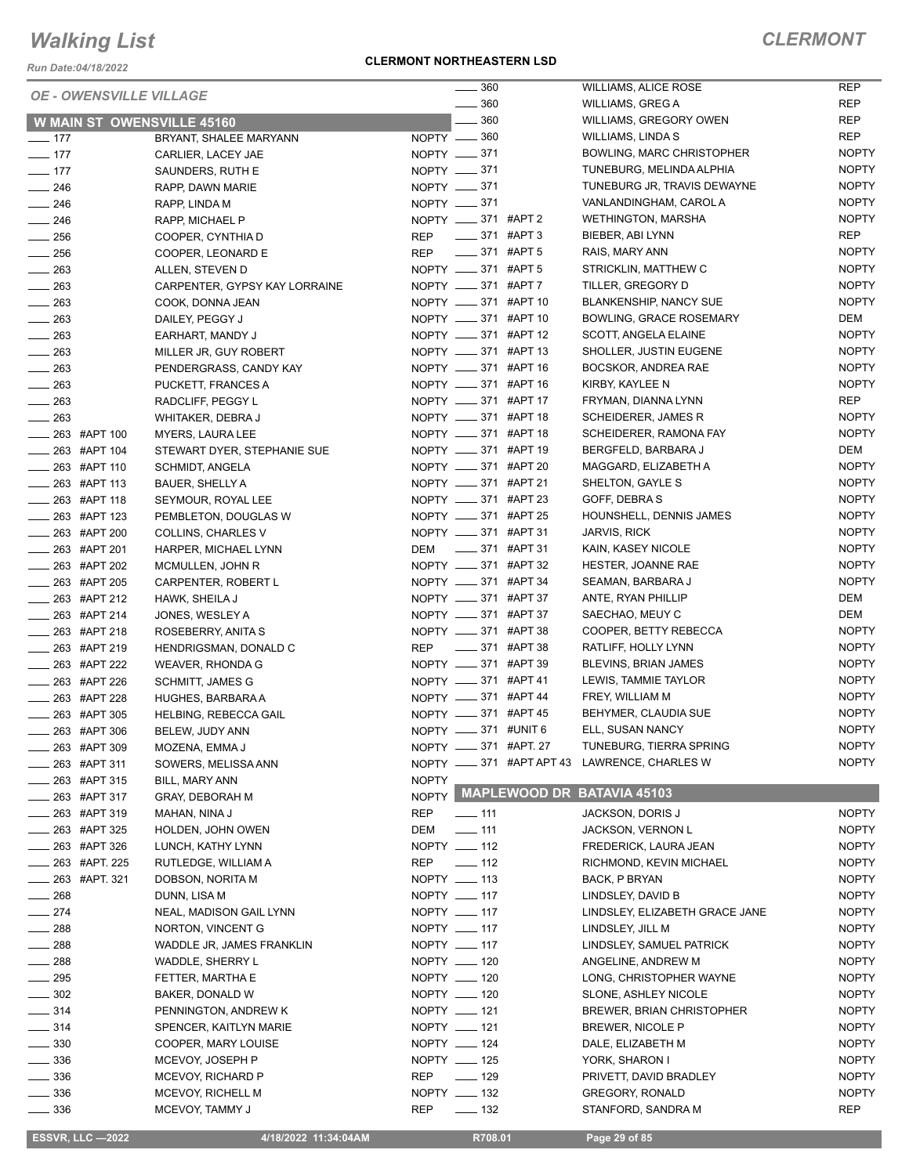*Run Date:04/18/2022*

#### **CLERMONT NORTHEASTERN LSD**

| <b>OE - OWENSVILLE VILLAGE</b>                       |                                          | $\frac{1}{2}$ 360                            | <b>WILLIAMS, ALICE ROSE</b>                                             | <b>REP</b>                   |
|------------------------------------------------------|------------------------------------------|----------------------------------------------|-------------------------------------------------------------------------|------------------------------|
|                                                      |                                          | $\frac{1}{2}$ 360                            | <b>WILLIAMS, GREG A</b>                                                 | <b>REP</b>                   |
| <b>W MAIN ST OWENSVILLE 45160</b>                    |                                          | $\sim$ 360                                   | WILLIAMS, GREGORY OWEN                                                  | <b>REP</b>                   |
| $\frac{1}{2}$ 177                                    | BRYANT, SHALEE MARYANN                   | NOPTY -80                                    | WILLIAMS, LINDA S                                                       | <b>REP</b>                   |
| $- 177$                                              | CARLIER, LACEY JAE                       | NOPTY -871                                   | BOWLING, MARC CHRISTOPHER                                               | <b>NOPTY</b>                 |
| $-177$                                               | SAUNDERS, RUTH E                         | NOPTY __ 371                                 | TUNEBURG, MELINDA ALPHIA                                                | <b>NOPTY</b>                 |
| $\frac{1}{246}$                                      | RAPP, DAWN MARIE                         | NOPTY -871                                   | TUNEBURG JR, TRAVIS DEWAYNE                                             | <b>NOPTY</b>                 |
| $\frac{1}{246}$                                      | RAPP, LINDA M                            | NOPTY -871                                   | VANLANDINGHAM, CAROL A                                                  | <b>NOPTY</b>                 |
| $\frac{1}{246}$                                      | RAPP, MICHAEL P                          | NOPTY _____ 371 #APT 2                       | <b>WETHINGTON, MARSHA</b>                                               | <b>NOPTY</b>                 |
| $\frac{1}{256}$                                      | COOPER, CYNTHIA D                        | $\frac{1}{2}$ 371 #APT 3<br>REP              | BIEBER, ABI LYNN                                                        | <b>REP</b>                   |
| $\frac{1}{256}$                                      | COOPER, LEONARD E                        | $\frac{1}{2}$ 371 #APT 5<br><b>REP</b>       | RAIS, MARY ANN                                                          | <b>NOPTY</b>                 |
| $\frac{1}{263}$                                      | ALLEN, STEVEN D                          | NOPTY __ 371 #APT 5                          | STRICKLIN, MATTHEW C                                                    | <b>NOPTY</b>                 |
| $\frac{1}{263}$                                      | CARPENTER, GYPSY KAY LORRAINE            | NOPTY __ 371 #APT 7                          | TILLER, GREGORY D                                                       | <b>NOPTY</b>                 |
| $\frac{1}{263}$                                      | COOK, DONNA JEAN                         | NOPTY __ 371 #APT 10                         | <b>BLANKENSHIP, NANCY SUE</b>                                           | <b>NOPTY</b>                 |
| $\frac{1}{263}$                                      | DAILEY, PEGGY J                          | NOPTY __ 371 #APT 10                         | BOWLING, GRACE ROSEMARY                                                 | DEM                          |
| $\frac{1}{263}$                                      | EARHART, MANDY J                         | NOPTY __ 371 #APT 12                         | SCOTT, ANGELA ELAINE                                                    | <b>NOPTY</b>                 |
| $\sim$ 263                                           | MILLER JR, GUY ROBERT                    | NOPTY __ 371 #APT 13                         | SHOLLER, JUSTIN EUGENE                                                  | <b>NOPTY</b>                 |
| $\frac{1}{263}$                                      | PENDERGRASS, CANDY KAY                   | NOPTY __ 371 #APT 16                         | BOCSKOR, ANDREA RAE                                                     | <b>NOPTY</b>                 |
| $\frac{1}{263}$                                      | PUCKETT, FRANCES A                       | NOPTY __ 371 #APT 16                         | KIRBY, KAYLEE N                                                         | <b>NOPTY</b>                 |
| $\frac{1}{263}$                                      | RADCLIFF, PEGGY L                        | NOPTY __ 371 #APT 17                         | FRYMAN, DIANNA LYNN                                                     | <b>REP</b>                   |
| $\frac{1}{263}$                                      | WHITAKER, DEBRA J                        | NOPTY __ 371 #APT 18                         | SCHEIDERER, JAMES R                                                     | <b>NOPTY</b>                 |
| $\frac{1}{263}$ #APT 100                             | MYERS, LAURA LEE                         | NOPTY __ 371 #APT 18                         | SCHEIDERER, RAMONA FAY                                                  | <b>NOPTY</b>                 |
| $\frac{1}{263}$ #APT 104                             | STEWART DYER, STEPHANIE SUE              | NOPTY __ 371 #APT 19                         | BERGFELD, BARBARA J                                                     | DEM                          |
| $\frac{1}{263}$ #APT 110                             | <b>SCHMIDT, ANGELA</b>                   | NOPTY __ 371 #APT 20                         | MAGGARD, ELIZABETH A                                                    | <b>NOPTY</b>                 |
| <b>263 #APT 113</b>                                  | <b>BAUER, SHELLY A</b>                   | NOPTY __ 371 #APT 21                         | SHELTON, GAYLE S                                                        | <b>NOPTY</b>                 |
| __ 263 #APT 118                                      | SEYMOUR, ROYAL LEE                       | NOPTY __ 371 #APT 23                         | GOFF, DEBRA S                                                           | <b>NOPTY</b>                 |
| $\frac{1}{263}$ #APT 123                             | PEMBLETON, DOUGLAS W                     | NOPTY __ 371 #APT 25                         | HOUNSHELL, DENNIS JAMES                                                 | <b>NOPTY</b>                 |
| ____ 263 #APT 200                                    | COLLINS, CHARLES V                       | NOPTY __ 371 #APT 31                         | <b>JARVIS, RICK</b>                                                     | <b>NOPTY</b>                 |
| $\frac{1}{263}$ #APT 201                             | HARPER, MICHAEL LYNN                     | DEM __ 371 #APT 31                           | KAIN, KASEY NICOLE                                                      | <b>NOPTY</b>                 |
| $\frac{1}{263}$ #APT 202                             | MCMULLEN, JOHN R                         | NOPTY __ 371 #APT 32                         | HESTER, JOANNE RAE                                                      | <b>NOPTY</b>                 |
| ____ 263 #APT 205                                    | CARPENTER, ROBERT L                      | NOPTY __ 371 #APT 34                         | SEAMAN, BARBARA J                                                       | <b>NOPTY</b>                 |
| $\frac{1}{263}$ #APT 212                             | HAWK, SHEILA J                           | NOPTY __ 371 #APT 37                         | ANTE, RYAN PHILLIP                                                      | DEM                          |
| $-263$ #APT 214                                      | JONES, WESLEY A                          | NOPTY __ 371 #APT 37                         | SAECHAO, MEUY C                                                         | DEM                          |
| $\frac{1}{263}$ #APT 218                             | ROSEBERRY, ANITA S                       | NOPTY __ 371 #APT 38                         | COOPER, BETTY REBECCA                                                   | <b>NOPTY</b>                 |
| __ 263 #APT 219                                      | HENDRIGSMAN, DONALD C                    | REP __ 371 #APT 38                           | RATLIFF, HOLLY LYNN                                                     | <b>NOPTY</b>                 |
| __ 263 #APT 222                                      | WEAVER, RHONDA G                         | NOPTY __ 371 #APT 39                         | BLEVINS, BRIAN JAMES                                                    | <b>NOPTY</b>                 |
| $\frac{1}{263}$ #APT 226                             | <b>SCHMITT, JAMES G</b>                  | NOPTY __ 371 #APT 41                         | LEWIS, TAMMIE TAYLOR                                                    | <b>NOPTY</b>                 |
| $\frac{1}{263}$ #APT 228                             | HUGHES, BARBARA A                        | NOPTY __ 371 #APT 44<br>NOPTY __ 371 #APT 45 | FREY, WILLIAM M                                                         | <b>NOPTY</b>                 |
| $\frac{1}{263}$ #APT 305                             | HELBING, REBECCA GAIL                    |                                              | BEHYMER, CLAUDIA SUE                                                    | <b>NOPTY</b><br><b>NOPTY</b> |
| <b>263 #APT 306</b>                                  | BELEW, JUDY ANN                          | NOPTY __ 371 #UNIT 6                         | ELL, SUSAN NANCY                                                        |                              |
| _ 263 #APT 309                                       | MOZENA, EMMA J                           | NOPTY _____ 371 #APT. 27                     | TUNEBURG, TIERRA SPRING<br>NOPTY __ 371 #APT APT 43 LAWRENCE, CHARLES W | <b>NOPTY</b><br><b>NOPTY</b> |
| 263 #APT 311                                         | SOWERS, MELISSA ANN                      |                                              |                                                                         |                              |
| _ 263 #APT 315                                       | BILL, MARY ANN<br><b>GRAY, DEBORAH M</b> | <b>NOPTY</b>                                 | NOPTY MAPLEWOOD DR BATAVIA 45103                                        |                              |
| _ 263 #APT 317                                       |                                          | <b>REP</b><br>$- 111$                        | <b>JACKSON, DORIS J</b>                                                 | <b>NOPTY</b>                 |
| $\frac{1}{263}$ #APT 319<br>$\frac{1}{263}$ #APT 325 | MAHAN, NINA J<br>HOLDEN, JOHN OWEN       | DEM<br>$- 111$                               | JACKSON, VERNON L                                                       | <b>NOPTY</b>                 |
| $\frac{1}{263}$ #APT 326                             |                                          | NOPTY __ 112                                 | FREDERICK, LAURA JEAN                                                   |                              |
| _____ 263 #APT. 225                                  | LUNCH, KATHY LYNN<br>RUTLEDGE, WILLIAM A | REP<br>$\frac{1}{2}$ 112                     | RICHMOND, KEVIN MICHAEL                                                 | <b>NOPTY</b><br><b>NOPTY</b> |
| <sub>—</sub> 263 #APT. 321                           | DOBSON, NORITA M                         | NOPTY __ 113                                 | <b>BACK, P BRYAN</b>                                                    | <b>NOPTY</b>                 |
| $\frac{1}{268}$                                      | DUNN, LISA M                             | NOPTY __ 117                                 | LINDSLEY, DAVID B                                                       | <b>NOPTY</b>                 |
| $\frac{1}{274}$                                      | NEAL, MADISON GAIL LYNN                  | NOPTY __ 117                                 | LINDSLEY, ELIZABETH GRACE JANE                                          | <b>NOPTY</b>                 |
| $\sim$ 288                                           | NORTON, VINCENT G                        | NOPTY __ 117                                 | LINDSLEY, JILL M                                                        | <b>NOPTY</b>                 |
| $\frac{1}{288}$                                      | WADDLE JR, JAMES FRANKLIN                | NOPTY __ 117                                 | LINDSLEY, SAMUEL PATRICK                                                | <b>NOPTY</b>                 |
| $- 288$                                              | WADDLE, SHERRY L                         | NOPTY __ 120                                 | ANGELINE, ANDREW M                                                      | <b>NOPTY</b>                 |
| $\frac{1}{2}$ 295                                    | FETTER, MARTHA E                         | NOPTY __ 120                                 | LONG, CHRISTOPHER WAYNE                                                 | <b>NOPTY</b>                 |
| $\frac{1}{2}$ 302                                    | BAKER, DONALD W                          | NOPTY __ 120                                 | SLONE, ASHLEY NICOLE                                                    | <b>NOPTY</b>                 |
| $\frac{1}{2}$ 314                                    | PENNINGTON, ANDREW K                     | NOPTY __ 121                                 | <b>BREWER, BRIAN CHRISTOPHER</b>                                        | <b>NOPTY</b>                 |
| $\frac{1}{2}$ 314                                    | SPENCER, KAITLYN MARIE                   | NOPTY __ 121                                 | BREWER, NICOLE P                                                        | <b>NOPTY</b>                 |
| $\frac{1}{2}$ 330                                    | COOPER, MARY LOUISE                      | NOPTY __ 124                                 | DALE, ELIZABETH M                                                       | <b>NOPTY</b>                 |
| $\frac{1}{2}$ 336                                    | MCEVOY, JOSEPH P                         | NOPTY __ 125                                 | YORK, SHARON I                                                          | <b>NOPTY</b>                 |
| $\frac{1}{2}$ 336                                    | MCEVOY, RICHARD P                        | REP<br>$- 129$                               | PRIVETT, DAVID BRADLEY                                                  | <b>NOPTY</b>                 |
| $\frac{1}{2}$ 336                                    | MCEVOY, RICHELL M                        | NOPTY __ 132                                 | <b>GREGORY, RONALD</b>                                                  | <b>NOPTY</b>                 |
| $\frac{1}{2}$ 336                                    | MCEVOY, TAMMY J                          | $\equiv$ 132<br>REP                          | STANFORD, SANDRA M                                                      | <b>REP</b>                   |
|                                                      |                                          |                                              |                                                                         |                              |
| <b>ESSVR, LLC -2022</b>                              | 4/18/2022 11:34:04AM                     | R708.01                                      | Page 29 of 85                                                           |                              |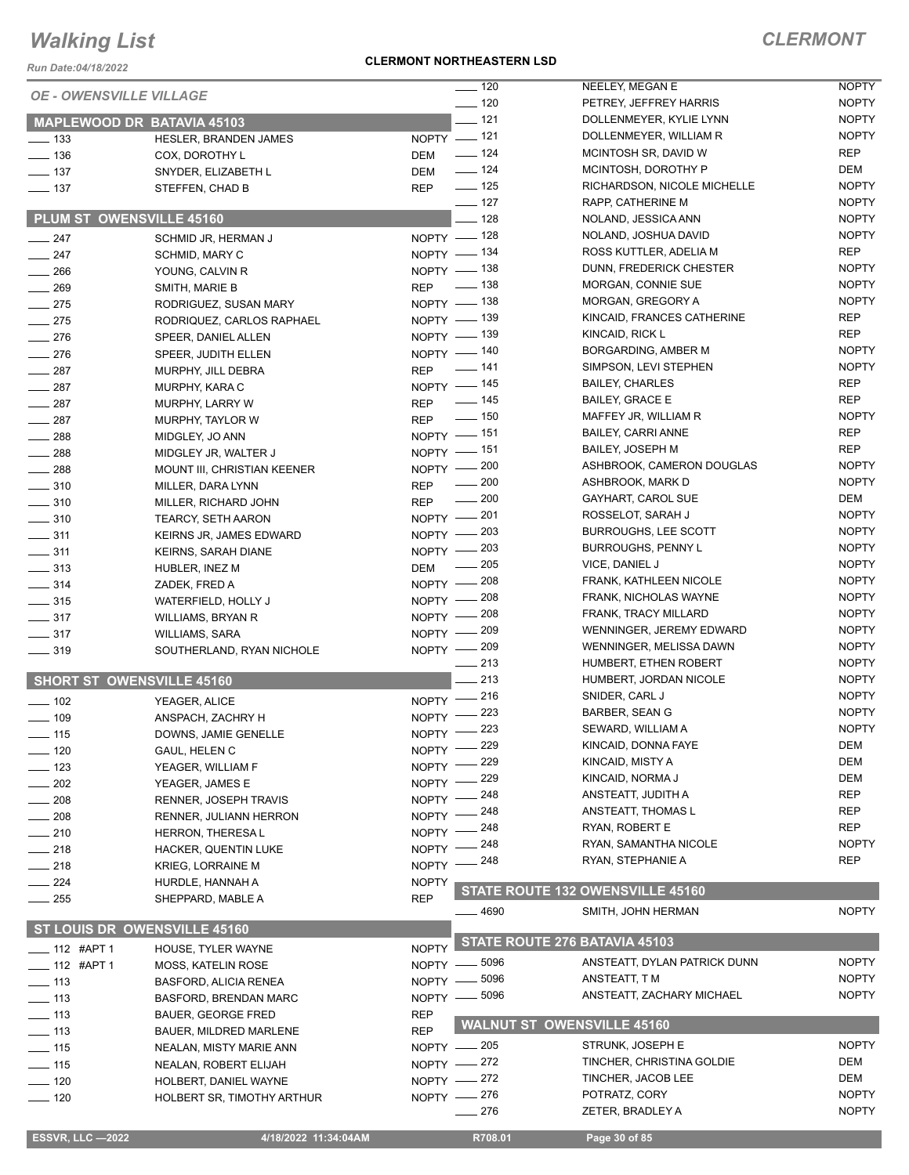*Run Date:04/18/2022*

#### **CLERMONT NORTHEASTERN LSD**

| <b>OE - OWENSVILLE VILLAGE</b>    |                               |              | $- 120$              | NEELEY, MEGAN E                   | <b>NOPTY</b> |
|-----------------------------------|-------------------------------|--------------|----------------------|-----------------------------------|--------------|
|                                   |                               |              | $- 120$              | PETREY, JEFFREY HARRIS            | <b>NOPTY</b> |
| <b>MAPLEWOOD DR BATAVIA 45103</b> |                               |              | $-121$               | DOLLENMEYER, KYLIE LYNN           | <b>NOPTY</b> |
| $\frac{1}{2}$ 133                 | <b>HESLER, BRANDEN JAMES</b>  |              | NOPTY -121           | DOLLENMEYER, WILLIAM R            | <b>NOPTY</b> |
| $\frac{1}{2}$ 136                 | COX, DOROTHY L                | DEM          | $- 124$              | MCINTOSH SR, DAVID W              | <b>REP</b>   |
| $\frac{1}{2}$ 137                 | SNYDER, ELIZABETH L           | <b>DEM</b>   | $- 124$              | MCINTOSH, DOROTHY P               | DEM          |
| $\frac{1}{2}$ 137                 | STEFFEN, CHAD B               | <b>REP</b>   | $\frac{1}{2}$ 125    | RICHARDSON, NICOLE MICHELLE       | <b>NOPTY</b> |
|                                   |                               |              | $\frac{1}{2}$ 127    | RAPP, CATHERINE M                 | <b>NOPTY</b> |
| PLUM ST OWENSVILLE 45160          |                               |              | $-128$               | NOLAND, JESSICA ANN               | <b>NOPTY</b> |
| $\frac{1}{247}$                   | SCHMID JR, HERMAN J           |              | NOPTY - 128          | NOLAND, JOSHUA DAVID              | <b>NOPTY</b> |
| $\frac{1}{247}$                   | SCHMID, MARY C                |              | NOPTY - 134          | ROSS KUTTLER, ADELIA M            | <b>REP</b>   |
| $-266$                            | YOUNG, CALVIN R               |              | NOPTY - 138          | DUNN, FREDERICK CHESTER           | <b>NOPTY</b> |
| $\frac{1}{269}$                   | SMITH, MARIE B                | <b>REP</b>   | $- 138$              | MORGAN, CONNIE SUE                | <b>NOPTY</b> |
| $-275$                            | RODRIGUEZ, SUSAN MARY         |              | NOPTY - 138          | MORGAN, GREGORY A                 | <b>NOPTY</b> |
| $\frac{1}{275}$                   | RODRIQUEZ, CARLOS RAPHAEL     | NOPTY - 139  |                      | KINCAID, FRANCES CATHERINE        | <b>REP</b>   |
| $\frac{1}{276}$                   | SPEER, DANIEL ALLEN           |              | NOPTY - 139          | KINCAID, RICK L                   | <b>REP</b>   |
| $\frac{1}{276}$                   | SPEER, JUDITH ELLEN           |              | NOPTY - 140          | BORGARDING, AMBER M               | <b>NOPTY</b> |
| $\frac{1}{287}$                   | MURPHY, JILL DEBRA            | <b>REP</b>   | $\frac{1}{2}$ 141    | SIMPSON, LEVI STEPHEN             | <b>NOPTY</b> |
| $-287$                            | MURPHY, KARA C                |              | NOPTY - 145          | <b>BAILEY, CHARLES</b>            | <b>REP</b>   |
| $\frac{1}{287}$                   | MURPHY, LARRY W               | <b>REP</b>   | $\frac{1}{2}$ 145    | <b>BAILEY, GRACE E</b>            | <b>REP</b>   |
|                                   |                               | <b>REP</b>   | $- 150$              | MAFFEY JR, WILLIAM R              | <b>NOPTY</b> |
| $\frac{1}{287}$<br>$-288$         | MURPHY, TAYLOR W              |              | NOPTY - 151          | <b>BAILEY, CARRI ANNE</b>         | <b>REP</b>   |
|                                   | MIDGLEY, JO ANN               |              | NOPTY - 151          | <b>BAILEY, JOSEPH M</b>           | <b>REP</b>   |
| $\frac{1}{288}$                   | MIDGLEY JR, WALTER J          |              | NOPTY -200           | ASHBROOK, CAMERON DOUGLAS         | <b>NOPTY</b> |
| $\frac{1}{288}$                   | MOUNT III, CHRISTIAN KEENER   |              | $\frac{1}{200}$      | ASHBROOK, MARK D                  | <b>NOPTY</b> |
| $\frac{1}{2}$ 310                 | MILLER, DARA LYNN             | <b>REP</b>   | $\frac{1}{200}$      |                                   | DEM          |
| $- 310$                           | MILLER, RICHARD JOHN          | <b>REP</b>   |                      | GAYHART, CAROL SUE                |              |
| $\frac{1}{2}$ 310                 | TEARCY, SETH AARON            |              | NOPTY - 201          | ROSSELOT, SARAH J                 | <b>NOPTY</b> |
| $\frac{1}{2}$ 311                 | KEIRNS JR, JAMES EDWARD       |              | NOPTY - 203          | <b>BURROUGHS, LEE SCOTT</b>       | <b>NOPTY</b> |
| $\frac{1}{2}$ 311                 | <b>KEIRNS, SARAH DIANE</b>    |              | NOPTY - 203          | <b>BURROUGHS, PENNY L</b>         | <b>NOPTY</b> |
| $\frac{1}{2}$ 313                 | HUBLER, INEZ M                | <b>DEM</b>   | 205<br>$\frac{1}{2}$ | VICE, DANIEL J                    | <b>NOPTY</b> |
| $- 314$                           | ZADEK, FRED A                 |              | NOPTY -208           | FRANK, KATHLEEN NICOLE            | <b>NOPTY</b> |
| $\frac{1}{2}$ 315                 | WATERFIELD, HOLLY J           |              | NOPTY $-208$         | FRANK, NICHOLAS WAYNE             | <b>NOPTY</b> |
| $\frac{1}{2}$ 317                 | <b>WILLIAMS, BRYAN R</b>      |              | NOPTY - 208          | FRANK, TRACY MILLARD              | <b>NOPTY</b> |
| $\frac{1}{2}$ 317                 | <b>WILLIAMS, SARA</b>         |              | NOPTY - 209          | WENNINGER, JEREMY EDWARD          | <b>NOPTY</b> |
| $\frac{1}{2}$ 319                 | SOUTHERLAND, RYAN NICHOLE     |              | NOPTY - 209          | WENNINGER, MELISSA DAWN           | <b>NOPTY</b> |
|                                   |                               |              | $\frac{1}{213}$      | HUMBERT, ETHEN ROBERT             | <b>NOPTY</b> |
| <b>SHORT ST OWENSVILLE 45160</b>  |                               |              | 213                  | HUMBERT, JORDAN NICOLE            | <b>NOPTY</b> |
| $\frac{1}{2}$ 102                 | YEAGER, ALICE                 | $NOPTY$ –    | 216                  | SNIDER, CARL J                    | <b>NOPTY</b> |
| $\frac{1}{2}$ 109                 | ANSPACH, ZACHRY H             | $N$ OPTY $-$ | 223                  | <b>BARBER, SEAN G</b>             | <b>NOPTY</b> |
| 115                               | DOWNS, JAMIE GENELLE          |              | NOPTY -223           | SEWARD, WILLIAM A                 | <b>NOPTY</b> |
| $\frac{1}{2}$ 120                 | GAUL, HELEN C                 |              | NOPTY -229           | KINCAID, DONNA FAYE               | DEM          |
| $\frac{1}{2}$ 123                 | YEAGER, WILLIAM F             | $NOPTY$ -    | _ 229                | KINCAID, MISTY A                  | DEM          |
| $\sim$ 202                        |                               | $N$ OPTY $-$ | _ 229                | KINCAID, NORMA J                  | DEM          |
|                                   | YEAGER, JAMES E               | $NOPTY$ –    | . 248                | ANSTEATT, JUDITH A                | <b>REP</b>   |
| $-208$                            | <b>RENNER, JOSEPH TRAVIS</b>  |              | NOPTY -248           | ANSTEATT, THOMAS L                | <b>REP</b>   |
| $-208$                            | RENNER, JULIANN HERRON        |              | NOPTY -248           | RYAN, ROBERT E                    | <b>REP</b>   |
| $=$ 210                           | HERRON, THERESA L             |              | _ 248                | RYAN, SAMANTHA NICOLE             | <b>NOPTY</b> |
| $\frac{1}{218}$                   | HACKER, QUENTIN LUKE          | $NOPTY =$    | 248                  | RYAN, STEPHANIE A                 | <b>REP</b>   |
| $-218$                            | KRIEG, LORRAINE M             | $NOPTY$ –    |                      |                                   |              |
| $-224$                            | HURDLE, HANNAH A              | <b>NOPTY</b> |                      | STATE ROUTE 132 OWENSVILLE 45160  |              |
| $\frac{1}{255}$                   | SHEPPARD, MABLE A             | <b>REP</b>   |                      |                                   |              |
|                                   |                               |              | __ 4690              | SMITH, JOHN HERMAN                | <b>NOPTY</b> |
| ST LOUIS DR OWENSVILLE 45160      |                               |              |                      | STATE ROUTE 276 BATAVIA 45103     |              |
| $-$ 112 #APT 1                    | HOUSE, TYLER WAYNE            | <b>NOPTY</b> |                      |                                   |              |
| $\frac{1}{2}$ 112 #APT 1          | <b>MOSS, KATELIN ROSE</b>     |              | NOPTY - 5096         | ANSTEATT, DYLAN PATRICK DUNN      | <b>NOPTY</b> |
| $\frac{1}{2}$ 113                 | <b>BASFORD, ALICIA RENEA</b>  |              | NOPTY - 5096         | ANSTEATT, T M                     | <b>NOPTY</b> |
| $\frac{1}{2}$ 113                 | BASFORD, BRENDAN MARC         |              | NOPTY - 5096         | ANSTEATT, ZACHARY MICHAEL         | <b>NOPTY</b> |
| —— 113                            | <b>BAUER, GEORGE FRED</b>     | <b>REP</b>   |                      |                                   |              |
| $\frac{1}{2}$ 113                 | <b>BAUER, MILDRED MARLENE</b> | <b>REP</b>   |                      | <b>WALNUT ST OWENSVILLE 45160</b> |              |
| $\frac{1}{15}$                    | NEALAN, MISTY MARIE ANN       |              | NOPTY - 205          | STRUNK, JOSEPH E                  | <b>NOPTY</b> |
| $-115$                            | NEALAN, ROBERT ELIJAH         |              | NOPTY -272           | TINCHER, CHRISTINA GOLDIE         | DEM          |
| $- 120$                           | HOLBERT, DANIEL WAYNE         |              | NOPTY -272           | TINCHER, JACOB LEE                | DEM          |
| $\frac{1}{2}$ 120                 | HOLBERT SR, TIMOTHY ARTHUR    |              | NOPTY -276           | POTRATZ, CORY                     | <b>NOPTY</b> |
|                                   |                               |              | $-276$               | ZETER, BRADLEY A                  | <b>NOPTY</b> |
|                                   |                               |              |                      |                                   |              |
| <b>ESSVR, LLC-2022</b>            | 4/18/2022 11:34:04AM          |              | R708.01              | Page 30 of 85                     |              |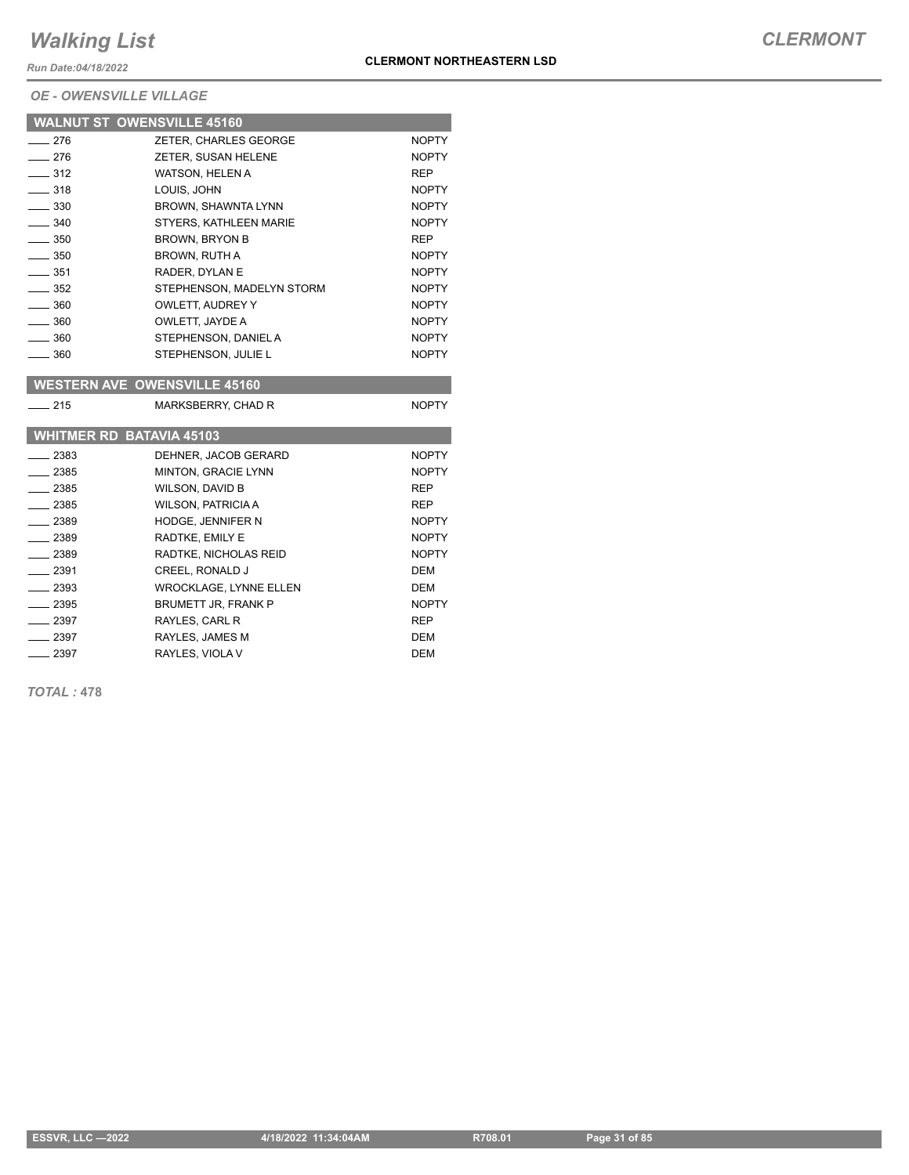*Run Date:04/18/2022*

|                   | <b>WALNUT ST OWENSVILLE 45160</b> |              |
|-------------------|-----------------------------------|--------------|
| $-276$            | ZETER. CHARLES GEORGE             | <b>NOPTY</b> |
| $-276$            | ZETER, SUSAN HELENE               | <b>NOPTY</b> |
| $\equiv$ 312      | WATSON, HELEN A                   | <b>REP</b>   |
| $\frac{1}{2}$ 318 | LOUIS, JOHN                       | <b>NOPTY</b> |
| $\frac{1}{2}$ 330 | BROWN, SHAWNTA LYNN               | <b>NOPTY</b> |
| $\frac{1}{2}$ 340 | STYERS. KATHLEEN MARIE            | <b>NOPTY</b> |
| $\frac{1}{2}$ 350 | <b>BROWN, BRYON B</b>             | <b>REP</b>   |
| $\frac{1}{2}$ 350 | <b>BROWN, RUTH A</b>              | <b>NOPTY</b> |
| $\equiv$ 351      | RADER. DYLAN E                    | <b>NOPTY</b> |
| $\frac{1}{2}$ 352 | STEPHENSON, MADELYN STORM         | <b>NOPTY</b> |
| $\frac{1}{2}$ 360 | OWLETT. AUDREY Y                  | <b>NOPTY</b> |
| $\equiv$ 360      | OWLETT, JAYDE A                   | <b>NOPTY</b> |
| $\frac{1}{2}$ 360 | STEPHENSON, DANIEL A              | <b>NOPTY</b> |
| $\frac{1}{2}$ 360 | STEPHENSON, JULIE L               | <b>NOPTY</b> |

|        | <b>WESTERN AVE OWENSVILLE 45160</b> |              |
|--------|-------------------------------------|--------------|
| $-215$ | MARKSBERRY, CHAD R                  | <b>NOPTY</b> |

|         | <b>WHITMER RD BATAVIA 45103</b> |              |
|---------|---------------------------------|--------------|
| $-2383$ | DEHNER. JACOB GERARD            | <b>NOPTY</b> |
| 2385    | <b>MINTON, GRACIE LYNN</b>      | <b>NOPTY</b> |
| 2385    | WILSON, DAVID B                 | <b>REP</b>   |
| $-2385$ | <b>WILSON, PATRICIA A</b>       | <b>REP</b>   |
| _ 2389  | <b>HODGE, JENNIFER N</b>        | <b>NOPTY</b> |
| $-2389$ | RADTKE, EMILY E                 | <b>NOPTY</b> |
| $-2389$ | RADTKE, NICHOLAS REID           | <b>NOPTY</b> |
| $-2391$ | <b>CREEL, RONALD J</b>          | <b>DEM</b>   |
| $-2393$ | <b>WROCKLAGE, LYNNE ELLEN</b>   | <b>DEM</b>   |
| - 2395  | <b>BRUMETT JR. FRANK P</b>      | <b>NOPTY</b> |
| 2397    | RAYLES, CARL R                  | <b>REP</b>   |
| $-2397$ | RAYLES, JAMES M                 | <b>DEM</b>   |
| $-2397$ | RAYLES, VIOLA V                 | DEM          |

*TOTAL :* **478**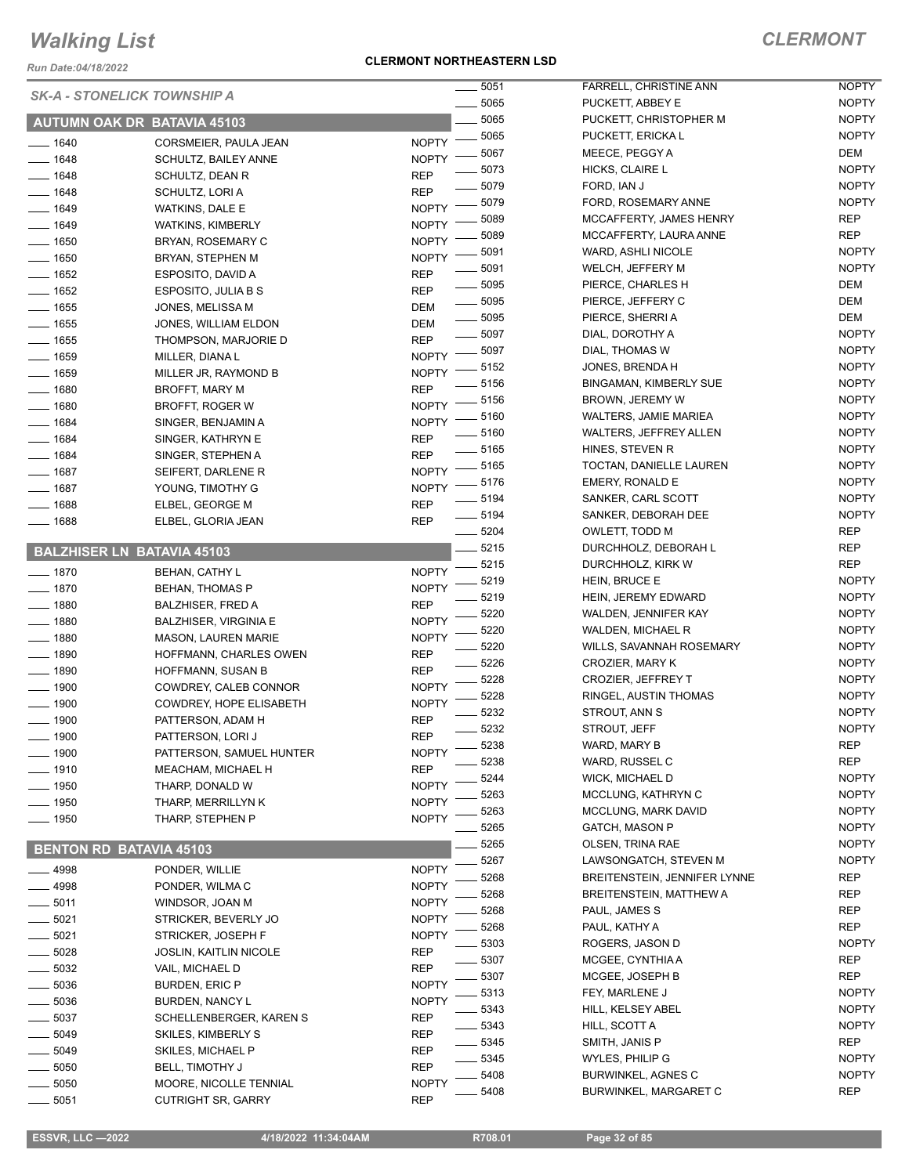*Run Date:04/18/2022*

#### **CLERMONT NORTHEASTERN LSD**

|                     | <b>SK-A - STONELICK TOWNSHIP A</b>                   |                            | $-5051$            |
|---------------------|------------------------------------------------------|----------------------------|--------------------|
|                     | <b>AUTUMN OAK DR BATAVIA 45103</b>                   |                            | $=5065$<br>$-5065$ |
|                     |                                                      |                            | $=$ 5065           |
| $- 1640$            | CORSMEIER, PAULA JEAN                                | <b>NOPTY</b>               | $-5067$            |
| $- 1648$            | <b>SCHULTZ, BAILEY ANNE</b>                          | <b>NOPTY</b>               | $-5073$            |
| $- 1648$            | SCHULTZ, DEAN R                                      | REP                        | _ 5079             |
| $- 1648$            | SCHULTZ, LORI A                                      | REP                        | $-5079$            |
| $- 1649$            | WATKINS, DALE E                                      | <b>NOPTY</b>               | $-5089$            |
| ___ 1649            | <b>WATKINS, KIMBERLY</b>                             | <b>NOPTY</b>               | $-5089$            |
| ___ 1650            | BRYAN, ROSEMARY C                                    | <b>NOPTY</b>               | $-5091$            |
| $-1650$             | BRYAN, STEPHEN M                                     | <b>NOPTY</b><br><b>REP</b> | $=$ 5091           |
| __ 1652<br>$-1652$  | ESPOSITO, DAVID A                                    |                            | $-5095$            |
| $- 1655$            | ESPOSITO, JULIA B S                                  | REP                        | $=5095$            |
| $- 1655$            | JONES, MELISSA M                                     | DEM                        | $-5095$            |
|                     | JONES, WILLIAM ELDON                                 | DEM                        | $-5097$            |
| — 1655              | THOMPSON, MARJORIE D                                 | REP                        | $-5097$            |
| __ 1659             | MILLER, DIANA L                                      | <b>NOPTY</b>               | $-5152$            |
| __ 1659<br>$- 1680$ | MILLER JR, RAYMOND B                                 | <b>NOPTY</b>               | $-5156$            |
|                     | BROFFT, MARY M                                       | <b>REP</b>                 | $= 5156$           |
| $- 1680$            | BROFFT, ROGER W                                      | <b>NOPTY</b>               | _ 5160             |
| $- 1684$            | SINGER, BENJAMIN A                                   | <b>NOPTY</b>               | $-5160$            |
| $- 1684$            | SINGER, KATHRYN E                                    | REP                        | $-5165$            |
| $- 1684$            | SINGER, STEPHEN A                                    | REP                        | $-5165$            |
| $- 1687$            | SEIFERT. DARLENE R                                   | <b>NOPTY</b>               | $-5176$            |
| $- 1687$<br>$-1688$ | YOUNG, TIMOTHY G                                     | <b>NOPTY</b>               | $-5194$            |
| $-1688$             | ELBEL, GEORGE M                                      | <b>REP</b>                 | $-5194$            |
|                     | ELBEL, GLORIA JEAN                                   | REP                        | $-5204$            |
|                     | <b>BALZHISER LN BATAVIA 45103</b>                    |                            | __ 5215            |
|                     |                                                      |                            | $-5215$            |
| $- 1870$            | <b>BEHAN, CATHY L</b>                                | <b>NOPTY</b>               | 5219               |
| — 1870              | <b>BEHAN, THOMAS P</b>                               | <b>NOPTY</b>               | _ 5219             |
| — 1880<br>__ 1880   | <b>BALZHISER, FRED A</b>                             | REP<br><b>NOPTY</b>        | $-5220$            |
| $- 1880$            | <b>BALZHISER, VIRGINIA E</b>                         |                            | - 5220             |
| $-1890$             | <b>MASON, LAUREN MARIE</b><br>HOFFMANN, CHARLES OWEN | <b>NOPTY</b><br>REP        | $-5220$            |
| __ 1890             | HOFFMANN, SUSAN B                                    | REP                        | $-5226$            |
| __ 1900             | COWDREY, CALEB CONNOR                                | <b>NOPTY</b>               | $-5228$            |
| $=$ 1900            | COWDREY, HOPE ELISABETH                              | <b>NOPTY</b>               | 5228               |
| _ 1900              | PATTERSON, ADAM H                                    | <b>REP</b>                 | - 5232             |
| . 1900              | PATTERSON, LORI J                                    | <b>REP</b>                 | 5232               |
| __ 1900             | PATTERSON, SAMUEL HUNTER                             | <b>NOPTY</b>               | 5238               |
| . 1910              | MEACHAM, MICHAEL H                                   | REP                        | 5238               |
| __ 1950             | THARP, DONALD W                                      | <b>NOPTY</b>               | 5244               |
| $-1950$             | THARP, MERRILLYN K                                   | <b>NOPTY</b>               | 5263               |
| _ 1950              | THARP, STEPHEN P                                     | <b>NOPTY</b>               | 5263               |
|                     |                                                      |                            | 5265               |
|                     | <b>BENTON RD BATAVIA 45103</b>                       |                            | 5265               |
| $-4998$             | PONDER, WILLIE                                       | <b>NOPTY</b>               | 5267               |
| $-4998$             | PONDER, WILMAC                                       | <b>NOPTY</b>               | 5268               |
| $-5011$             | WINDSOR, JOAN M                                      | <b>NOPTY</b>               | 5268               |
| __ 5021             | STRICKER, BEVERLY JO                                 | <b>NOPTY</b>               | 5268               |
| $=$ 5021            | STRICKER, JOSEPH F                                   | <b>NOPTY</b>               | 5268               |
| $=$ 5028            | <b>JOSLIN, KAITLIN NICOLE</b>                        | REP                        | 5303               |
| — 5032              | VAIL, MICHAEL D                                      | REP                        | 5307               |
| $-5036$             | BURDEN, ERIC P                                       | <b>NOPTY</b>               | 5307               |
| __ 5036             | <b>BURDEN, NANCY L</b>                               | <b>NOPTY</b>               | 5313               |
|                     |                                                      |                            | 5343               |
| $-5037$<br>$=$ 5049 | SCHELLENBERGER, KAREN S<br>SKILES, KIMBERLY S        | REP<br>REP                 | 5343               |
|                     |                                                      |                            | 5345               |
| _ 5049              | SKILES, MICHAEL P                                    | REP                        | 5345               |
| $=$ 5050            | <b>BELL, TIMOTHY J</b>                               | REP                        | 5408               |
| $=5050$<br>5051     | <b>MOORE, NICOLLE TENNIAL</b><br>CUTRIGHT SR GARRY   | <b>NOPTY</b><br><b>RFP</b> | 5408               |

| 5051 | <b>FARRELL, CHRISTINE ANN</b>  | <b>NOPTY</b> |
|------|--------------------------------|--------------|
| 5065 | PUCKETT, ABBEY E               | <b>NOPTY</b> |
| 5065 | PUCKETT, CHRISTOPHER M         | <b>NOPTY</b> |
| 5065 | PUCKETT, ERICKA L              | <b>NOPTY</b> |
| 5067 | MEECE, PEGGY A                 | <b>DEM</b>   |
| 5073 | HICKS, CLAIRE L                | <b>NOPTY</b> |
| 5079 | FORD, IAN J                    | <b>NOPTY</b> |
| 5079 | FORD, ROSEMARY ANNE            | <b>NOPTY</b> |
| 5089 | MCCAFFERTY, JAMES HENRY        | REP          |
| 5089 | MCCAFFERTY, LAURA ANNE         | REP          |
| 5091 | WARD, ASHLI NICOLE             | <b>NOPTY</b> |
| 5091 | WELCH, JEFFERY M               | <b>NOPTY</b> |
| 5095 | PIERCE, CHARLES H              | <b>DEM</b>   |
| 5095 | PIERCE, JEFFERY C              | DEM          |
| 5095 | PIERCE, SHERRI A               | DEM          |
| 5097 | DIAL, DOROTHY A                | <b>NOPTY</b> |
| 5097 | DIAL, THOMAS W                 | <b>NOPTY</b> |
| 5152 | JONES, BRENDA H                | <b>NOPTY</b> |
| 5156 | <b>BINGAMAN, KIMBERLY SUE</b>  | <b>NOPTY</b> |
| 5156 | BROWN, JEREMY W                | <b>NOPTY</b> |
| 5160 | WALTERS, JAMIE MARIEA          | <b>NOPTY</b> |
| 5160 | <b>WALTERS, JEFFREY ALLEN</b>  | <b>NOPTY</b> |
| 5165 | HINES, STEVEN R                | <b>NOPTY</b> |
| 5165 | TOCTAN, DANIELLE LAUREN        | <b>NOPTY</b> |
| 5176 | EMERY, RONALD E                | <b>NOPTY</b> |
| 5194 | SANKER, CARL SCOTT             | <b>NOPTY</b> |
| 5194 | SANKER, DEBORAH DEE            | <b>NOPTY</b> |
| 5204 | OWLETT, TODD M                 | REP          |
| 5215 | DURCHHOLZ, DEBORAH L           | REP          |
| 5215 | DURCHHOLZ, KIRK W              | REP          |
| 5219 | HEIN, BRUCE E                  | <b>NOPTY</b> |
| 5219 | HEIN, JEREMY EDWARD            | <b>NOPTY</b> |
| 5220 | WALDEN, JENNIFER KAY           | <b>NOPTY</b> |
| 5220 | <b>WALDEN, MICHAEL R</b>       | <b>NOPTY</b> |
| 5220 | WILLS, SAVANNAH ROSEMARY       | <b>NOPTY</b> |
| 5226 | <b>CROZIER. MARY K</b>         | <b>NOPTY</b> |
| 5228 | <b>CROZIER, JEFFREY T</b>      | <b>NOPTY</b> |
| 5228 | RINGEL, AUSTIN THOMAS          | <b>NOPTY</b> |
| 5232 | STROUT, ANN S                  | <b>NOPTY</b> |
| 5232 | STROUT, JEFF                   | <b>NOPTY</b> |
| 5238 | WARD, MARY B                   | REP          |
| 5238 | WARD, RUSSEL C                 | <b>REP</b>   |
| 5244 | <b>WICK, MICHAEL D</b>         | NOPTY        |
| 5263 | MCCLUNG, KATHRYN C             | NOPTY        |
| 5263 | <b>MCCLUNG. MARK DAVID</b>     | <b>NOPTY</b> |
| 5265 | GATCH, MASON P                 | <b>NOPTY</b> |
| 5265 | <b>OLSEN, TRINA RAE</b>        | NOPTY        |
| 5267 | LAWSONGATCH, STEVEN M          | <b>NOPTY</b> |
| 5268 | BREITENSTEIN, JENNIFER LYNNE   | REP          |
| 5268 | <b>BREITENSTEIN, MATTHEW A</b> | <b>REP</b>   |
| 5268 | PAUL, JAMES S                  | REP          |
| 5268 | PAUL, KATHY A                  | REP          |
| 5303 | ROGERS, JASON D                | <b>NOPTY</b> |
| 5307 | MCGEE, CYNTHIA A               | <b>REP</b>   |
| 5307 | MCGEE, JOSEPH B                | REP          |
| 5313 | FEY, MARLENE J                 | <b>NOPTY</b> |
| 5343 | HILL, KELSEY ABEL              | NOPTY        |
| 5343 | HILL, SCOTT A                  | <b>NOPTY</b> |
| 5345 | SMITH, JANIS P                 | REP          |
| 5345 | WYLES, PHILIP G                | <b>NOPTY</b> |
| 5408 | <b>BURWINKEL, AGNES C</b>      | <b>NOPTY</b> |
| 5408 | <b>BURWINKEL, MARGARET C</b>   | REP          |

5051 CUTRIGHT SR, GARRY REP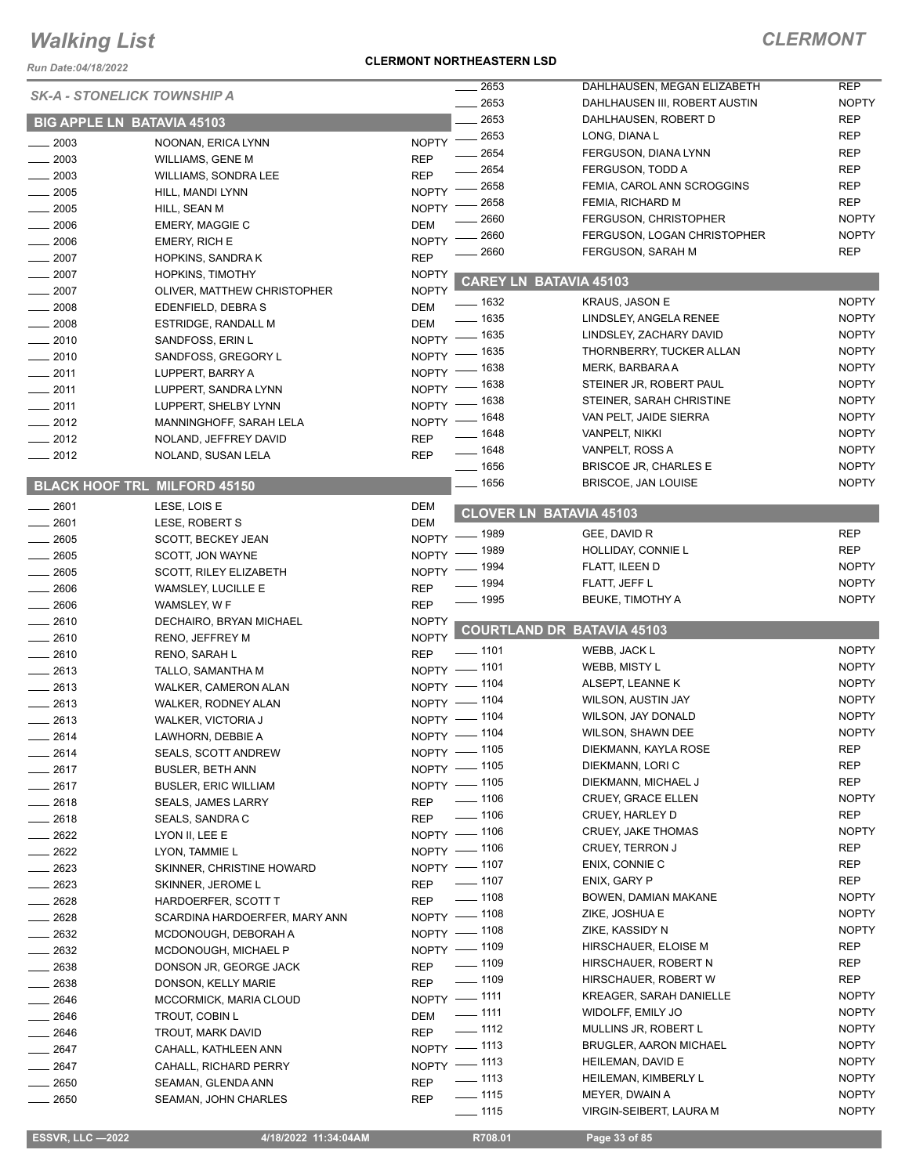*Run Date:04/18/2022*

#### **CLERMONT NORTHEASTERN LSD**

| <b>SK-A - STONELICK TOWNSHIP A</b><br><b>BIG APPLE LN BATAVIA 45103</b> |                                                |              | 2653               | DAHLHAUSEN, MEGAN ELIZABETH       | <b>REP</b>   |
|-------------------------------------------------------------------------|------------------------------------------------|--------------|--------------------|-----------------------------------|--------------|
|                                                                         |                                                |              | 2653               | DAHLHAUSEN III, ROBERT AUSTIN     | <b>NOPTY</b> |
|                                                                         |                                                |              | 2653               | DAHLHAUSEN, ROBERT D              | <b>REP</b>   |
| $-2003$                                                                 | NOONAN, ERICA LYNN                             | <b>NOPTY</b> | 2653               | LONG, DIANA L                     | <b>REP</b>   |
| $-2003$                                                                 | <b>WILLIAMS, GENE M</b>                        | <b>REP</b>   | 2654               | FERGUSON, DIANA LYNN              | <b>REP</b>   |
| $-2003$                                                                 | WILLIAMS, SONDRA LEE                           | <b>REP</b>   | 2654               | <b>FERGUSON, TODD A</b>           | <b>REP</b>   |
| $\frac{1}{2005}$                                                        | HILL, MANDI LYNN                               | <b>NOPTY</b> | 2658               | FEMIA, CAROL ANN SCROGGINS        | <b>REP</b>   |
| $-2005$                                                                 | HILL, SEAN M                                   | <b>NOPTY</b> | 2658               | FEMIA, RICHARD M                  | <b>REP</b>   |
|                                                                         |                                                |              | 2660               | <b>FERGUSON, CHRISTOPHER</b>      | <b>NOPTY</b> |
| $-2006$                                                                 | <b>EMERY, MAGGIE C</b>                         | <b>DEM</b>   | 2660               | FERGUSON, LOGAN CHRISTOPHER       | <b>NOPTY</b> |
| $- 2006$                                                                | <b>EMERY, RICH E</b>                           | <b>NOPTY</b> | 2660               | FERGUSON, SARAH M                 | <b>REP</b>   |
| $-2007$                                                                 | <b>HOPKINS, SANDRAK</b>                        | <b>REP</b>   |                    |                                   |              |
| $-2007$                                                                 | <b>HOPKINS, TIMOTHY</b>                        | <b>NOPTY</b> |                    | <b>CAREY LN BATAVIA 45103</b>     |              |
| $-2007$                                                                 | OLIVER, MATTHEW CHRISTOPHER                    | <b>NOPTY</b> | $-1632$            | <b>KRAUS, JASON E</b>             | <b>NOPTY</b> |
| $-2008$                                                                 | EDENFIELD, DEBRA S                             | <b>DEM</b>   | $-1635$            | LINDSLEY, ANGELA RENEE            | <b>NOPTY</b> |
| 2008                                                                    | <b>ESTRIDGE, RANDALL M</b>                     | <b>DEM</b>   | $-1635$            | LINDSLEY, ZACHARY DAVID           | <b>NOPTY</b> |
| 2010                                                                    | SANDFOSS, ERIN L                               | NOPTY -      |                    |                                   | <b>NOPTY</b> |
| $-2010$                                                                 | SANDFOSS, GREGORY L                            | NOPTY -      | $-1635$            | THORNBERRY, TUCKER ALLAN          |              |
| $\frac{1}{2011}$                                                        | LUPPERT, BARRY A                               | $NOPTY =$    | _ 1638             | MERK, BARBARA A                   | <b>NOPTY</b> |
| $-2011$                                                                 | LUPPERT, SANDRA LYNN                           | NOPTY $-$    | $-1638$            | STEINER JR, ROBERT PAUL           | <b>NOPTY</b> |
| $-2011$                                                                 | LUPPERT, SHELBY LYNN                           | NOPTY -      | - 1638             | STEINER, SARAH CHRISTINE          | <b>NOPTY</b> |
| $-2012$                                                                 | MANNINGHOFF, SARAH LELA                        | <b>NOPTY</b> | _ 1648             | VAN PELT, JAIDE SIERRA            | <b>NOPTY</b> |
| $\frac{2012}{2012}$                                                     | NOLAND, JEFFREY DAVID                          | <b>REP</b>   | _ 1648             | <b>VANPELT, NIKKI</b>             | <b>NOPTY</b> |
| $\frac{1}{2012}$                                                        | NOLAND, SUSAN LELA                             | <b>REP</b>   | $- 1648$           | VANPELT, ROSS A                   | <b>NOPTY</b> |
|                                                                         |                                                |              | $- 1656$           | <b>BRISCOE JR, CHARLES E</b>      | <b>NOPTY</b> |
|                                                                         | <b>BLACK HOOF TRL MILFORD 45150</b>            |              | $- 1656$           | <b>BRISCOE, JAN LOUISE</b>        | <b>NOPTY</b> |
| $-2601$                                                                 | LESE, LOIS E                                   | DEM          |                    | <b>CLOVER LN BATAVIA 45103</b>    |              |
| 2601                                                                    | LESE, ROBERT S                                 | <b>DEM</b>   |                    |                                   |              |
| $-2605$                                                                 | SCOTT, BECKEY JEAN                             | $NOPTY =$    | _ 1989             | GEE, DAVID R                      | <b>REP</b>   |
| $-2605$                                                                 | SCOTT, JON WAYNE                               | <b>NOPTY</b> | _ 1989             | HOLLIDAY, CONNIE L                | <b>REP</b>   |
| 2605                                                                    | <b>SCOTT, RILEY ELIZABETH</b>                  | NOPTY -      | _ 1994             | FLATT, ILEEN D                    | <b>NOPTY</b> |
| 2606                                                                    | WAMSLEY, LUCILLE E                             | <b>REP</b>   | $-1994$            | FLATT, JEFF L                     | <b>NOPTY</b> |
| 2606                                                                    | WAMSLEY, W F                                   | <b>REP</b>   | $\frac{1}{2}$ 1995 | <b>BEUKE, TIMOTHY A</b>           | <b>NOPTY</b> |
| $-2610$                                                                 | DECHAIRO, BRYAN MICHAEL                        | <b>NOPTY</b> |                    |                                   |              |
| $-2610$                                                                 | RENO, JEFFREY M                                | <b>NOPTY</b> |                    | <b>COURTLAND DR BATAVIA 45103</b> |              |
| $-2610$                                                                 | RENO, SARAH L                                  | <b>REP</b>   | $- 1101$           | WEBB, JACK L                      | <b>NOPTY</b> |
| $-2613$                                                                 | TALLO, SAMANTHA M                              | NOPTY - 1101 |                    | WEBB, MISTY L                     | <b>NOPTY</b> |
| $-2613$                                                                 | WALKER, CAMERON ALAN                           | $NOPTY -$    | _ 1104             | ALSEPT, LEANNE K                  | <b>NOPTY</b> |
| 2613                                                                    | WALKER, RODNEY ALAN                            | NOPTY - 1104 |                    | WILSON, AUSTIN JAY                | <b>NOPTY</b> |
| $-2613$                                                                 |                                                | NOPTY - 1104 |                    | WILSON, JAY DONALD                | <b>NOPTY</b> |
|                                                                         | <b>WALKER, VICTORIA J</b><br>LAWHORN, DEBBIE A | NOPTY - 1104 |                    | WILSON, SHAWN DEE                 | <b>NOPTY</b> |
| $-2614$                                                                 |                                                | NOPTY - 1105 |                    | DIEKMANN, KAYLA ROSE              | <b>REP</b>   |
| $-2614$                                                                 | <b>SEALS, SCOTT ANDREW</b>                     | NOPTY - 1105 |                    | DIEKMANN, LORI C                  | REP          |
| $-2617$                                                                 | <b>BUSLER, BETH ANN</b>                        | NOPTY - 1105 |                    | DIEKMANN, MICHAEL J               | <b>REP</b>   |
| $-2617$                                                                 | <b>BUSLER, ERIC WILLIAM</b>                    |              | $\frac{1}{2}$ 1106 | CRUEY, GRACE ELLEN                | <b>NOPTY</b> |
| ____ 2618                                                               | <b>SEALS, JAMES LARRY</b>                      | <b>REP</b>   | $\frac{1}{2}$ 1106 | CRUEY, HARLEY D                   | <b>REP</b>   |
| $-2618$                                                                 | SEALS, SANDRA C                                | <b>REP</b>   |                    |                                   |              |
| $-2622$                                                                 | LYON II, LEE E                                 | NOPTY - 1106 |                    | <b>CRUEY, JAKE THOMAS</b>         | <b>NOPTY</b> |
| $-2622$                                                                 | LYON, TAMMIE L                                 | NOPTY - 1106 |                    | <b>CRUEY, TERRON J</b>            | REP          |
| __ 2623                                                                 | SKINNER, CHRISTINE HOWARD                      | NOPTY - 1107 |                    | ENIX, CONNIE C                    | REP          |
| $-2623$                                                                 | SKINNER, JEROME L                              | <b>REP</b>   | $- 1107$           | ENIX, GARY P                      | <b>REP</b>   |
| $-2628$                                                                 | HARDOERFER, SCOTT T                            | REP - 1108   |                    | BOWEN, DAMIAN MAKANE              | <b>NOPTY</b> |
| ____ 2628                                                               | SCARDINA HARDOERFER, MARY ANN                  | NOPTY - 1108 |                    | ZIKE, JOSHUA E                    | <b>NOPTY</b> |
| $-2632$                                                                 | MCDONOUGH, DEBORAH A                           | NOPTY - 1108 |                    | ZIKE, KASSIDY N                   | <b>NOPTY</b> |
| ____ 2632                                                               | MCDONOUGH, MICHAEL P                           | NOPTY - 1109 |                    | HIRSCHAUER, ELOISE M              | <b>REP</b>   |
| $-2638$                                                                 | DONSON JR, GEORGE JACK                         | REP - 1109   |                    | HIRSCHAUER, ROBERT N              | REP          |
| __ 2638                                                                 | DONSON, KELLY MARIE                            | <b>REP</b>   | $- 1109$           | HIRSCHAUER, ROBERT W              | <b>REP</b>   |
| ____ 2646                                                               | MCCORMICK, MARIA CLOUD                         | NOPTY - 1111 |                    | <b>KREAGER, SARAH DANIELLE</b>    | <b>NOPTY</b> |
| $-2646$                                                                 | <b>TROUT, COBIN L</b>                          | <b>DEM</b>   | $- 1111$           | WIDOLFF, EMILY JO                 | <b>NOPTY</b> |
| __ 2646                                                                 | TROUT, MARK DAVID                              | <b>REP</b>   | $\frac{1}{2}$ 1112 | MULLINS JR, ROBERT L              | <b>NOPTY</b> |
| $-2647$                                                                 | CAHALL, KATHLEEN ANN                           | NOPTY - 1113 |                    | BRUGLER, AARON MICHAEL            | <b>NOPTY</b> |
| 2647                                                                    | CAHALL, RICHARD PERRY                          | NOPTY - 1113 |                    | HEILEMAN, DAVID E                 | <b>NOPTY</b> |
| $-2650$                                                                 | SEAMAN, GLENDA ANN                             | <b>REP</b>   | $\frac{1}{2}$ 1113 | HEILEMAN, KIMBERLY L              | <b>NOPTY</b> |
| $-2650$                                                                 | SEAMAN, JOHN CHARLES                           | <b>REP</b>   | $- 1115$           | MEYER, DWAIN A                    | <b>NOPTY</b> |
|                                                                         |                                                |              | $- 1115$           | VIRGIN-SEIBERT, LAURA M           | <b>NOPTY</b> |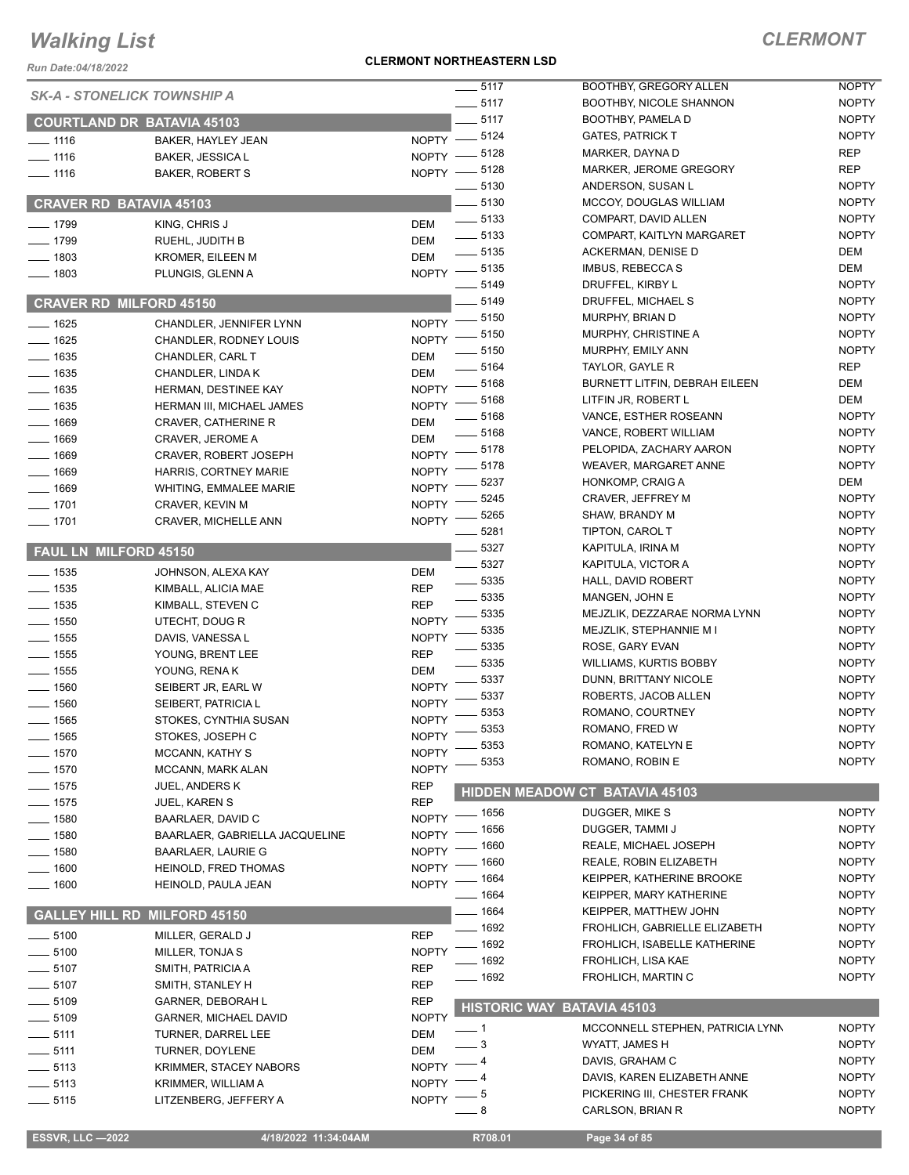*Run Date:04/18/2022*

#### **CLERMONT NORTHEASTERN LSD**

| <b>SK-A - STONELICK TOWNSHIP A</b> |                                     |              | $\frac{1}{2}$ 5117     | BOOTHBY, GREGORY ALLEN            | <b>NOPTY</b> |
|------------------------------------|-------------------------------------|--------------|------------------------|-----------------------------------|--------------|
|                                    |                                     |              | $\frac{1}{2}$ 5117     | BOOTHBY, NICOLE SHANNON           | <b>NOPTY</b> |
| <b>COURTLAND DR BATAVIA 45103</b>  |                                     |              | $-5117$                | BOOTHBY, PAMELA D                 | <b>NOPTY</b> |
| $- 1116$                           | BAKER, HAYLEY JEAN                  |              | NOPTY -8124            | <b>GATES, PATRICK T</b>           | <b>NOPTY</b> |
| $- 1116$                           | <b>BAKER, JESSICA L</b>             |              | NOPTY -8128            | MARKER, DAYNA D                   | <b>REP</b>   |
| $- 1116$                           | <b>BAKER, ROBERT S</b>              |              | NOPTY -8128            | MARKER, JEROME GREGORY            | <b>REP</b>   |
|                                    |                                     |              | 5130                   | ANDERSON, SUSAN L                 | <b>NOPTY</b> |
| <b>CRAVER RD BATAVIA 45103</b>     |                                     |              | 5130                   | MCCOY, DOUGLAS WILLIAM            | <b>NOPTY</b> |
|                                    |                                     |              | $\frac{1}{2}$ 5133     | COMPART, DAVID ALLEN              | <b>NOPTY</b> |
| $-1799$                            | KING, CHRIS J                       | <b>DEM</b>   | $\frac{1}{2}$ 5133     | COMPART, KAITLYN MARGARET         | <b>NOPTY</b> |
| $-1799$                            | RUEHL, JUDITH B                     | DEM          | $\frac{1}{2}$ 5135     | ACKERMAN, DENISE D                | DEM          |
| $-1803$                            | <b>KROMER, EILEEN M</b>             | <b>DEM</b>   |                        | IMBUS, REBECCA S                  | DEM          |
| $- 1803$                           | PLUNGIS, GLENN A                    |              | NOPTY -8135<br>$-5149$ |                                   | <b>NOPTY</b> |
|                                    |                                     |              |                        | DRUFFEL, KIRBY L                  |              |
| <b>CRAVER RD MILFORD 45150</b>     |                                     |              | $-5149$                | DRUFFEL, MICHAEL S                | <b>NOPTY</b> |
| $-1625$                            | CHANDLER, JENNIFER LYNN             |              | NOPTY - 5150           | MURPHY, BRIAN D                   | <b>NOPTY</b> |
| $-1625$                            | CHANDLER, RODNEY LOUIS              | <b>NOPTY</b> | $=$ 5150               | MURPHY, CHRISTINE A               | <b>NOPTY</b> |
| $-1635$                            | CHANDLER, CARL T                    | <b>DEM</b>   | $-5150$                | MURPHY, EMILY ANN                 | <b>NOPTY</b> |
| $-1635$                            | CHANDLER, LINDA K                   | <b>DEM</b>   | 5164                   | TAYLOR, GAYLE R                   | <b>REP</b>   |
| $- 1635$                           | HERMAN, DESTINEE KAY                | <b>NOPTY</b> | 5168                   | BURNETT LITFIN, DEBRAH EILEEN     | DEM          |
| $- 1635$                           | HERMAN III, MICHAEL JAMES           | <b>NOPTY</b> | 5168                   | LITFIN JR, ROBERT L               | DEM          |
|                                    |                                     |              | 5168                   | VANCE, ESTHER ROSEANN             | <b>NOPTY</b> |
| $-1669$                            | <b>CRAVER, CATHERINE R</b>          | <b>DEM</b>   | $-5168$                | VANCE, ROBERT WILLIAM             | <b>NOPTY</b> |
| $-1669$                            | CRAVER, JEROME A                    | <b>DEM</b>   | 5178                   | PELOPIDA, ZACHARY AARON           | <b>NOPTY</b> |
| 1669                               | <b>CRAVER, ROBERT JOSEPH</b>        | <b>NOPTY</b> | 5178                   | WEAVER, MARGARET ANNE             | <b>NOPTY</b> |
| $-1669$                            | HARRIS, CORTNEY MARIE               | <b>NOPTY</b> | 5237                   | HONKOMP, CRAIG A                  | DEM          |
| $-1669$                            | WHITING, EMMALEE MARIE              | <b>NOPTY</b> |                        | CRAVER, JEFFREY M                 | <b>NOPTY</b> |
| $- 1701$                           | CRAVER, KEVIN M                     | <b>NOPTY</b> | 5245                   |                                   |              |
| $- 1701$                           | <b>CRAVER, MICHELLE ANN</b>         | <b>NOPTY</b> | 5265                   | SHAW, BRANDY M                    | <b>NOPTY</b> |
|                                    |                                     |              | 5281                   | TIPTON, CAROL T                   | <b>NOPTY</b> |
| <b>FAUL LN MILFORD 45150</b>       |                                     |              | 5327                   | KAPITULA, IRINA M                 | <b>NOPTY</b> |
| $- 1535$                           | JOHNSON, ALEXA KAY                  | <b>DEM</b>   | 5327                   | KAPITULA, VICTOR A                | <b>NOPTY</b> |
| $- 1535$                           | KIMBALL, ALICIA MAE                 | <b>REP</b>   | 5335                   | HALL, DAVID ROBERT                | <b>NOPTY</b> |
| $- 1535$                           | KIMBALL, STEVEN C                   | <b>REP</b>   | $-5335$                | MANGEN, JOHN E                    | <b>NOPTY</b> |
| $\frac{1}{2}$ 1550                 | UTECHT, DOUG R                      | <b>NOPTY</b> | 5335                   | MEJZLIK, DEZZARAE NORMA LYNN      | <b>NOPTY</b> |
| $\frac{1}{2}$ 1555                 | DAVIS, VANESSA L                    | <b>NOPTY</b> | 5335                   | MEJZLIK, STEPHANNIE M I           | <b>NOPTY</b> |
| $- 1555$                           | YOUNG, BRENT LEE                    | <b>REP</b>   | 5335                   | ROSE, GARY EVAN                   | <b>NOPTY</b> |
| $-1555$                            | YOUNG, RENAK                        | <b>DEM</b>   | 5335                   | <b>WILLIAMS, KURTIS BOBBY</b>     | <b>NOPTY</b> |
| $-1560$                            | SEIBERT JR, EARL W                  | <b>NOPTY</b> | 5337                   | DUNN, BRITTANY NICOLE             | <b>NOPTY</b> |
| $-1560$                            |                                     | <b>NOPTY</b> | 5337                   | ROBERTS, JACOB ALLEN              | <b>NOPTY</b> |
|                                    | SEIBERT, PATRICIA L                 |              | 5353                   | ROMANO, COURTNEY                  | <b>NOPTY</b> |
| $-1565$                            | STOKES, CYNTHIA SUSAN               | <b>NOPTY</b> | 5353                   | ROMANO, FRED W                    | <b>NOPTY</b> |
| 1565                               | STOKES. JOSEPH C                    | <b>NOPTY</b> | 5353                   | ROMANO, KATELYN E                 | <b>NOPTY</b> |
| $- 1570$                           | <b>MCCANN, KATHY S</b>              | <b>NOPTY</b> | 5353                   | ROMANO, ROBIN E                   | <b>NOPTY</b> |
| $-1570$                            | <b>MCCANN, MARK ALAN</b>            | <b>NOPTY</b> |                        |                                   |              |
| $-1575$                            | <b>JUEL, ANDERS K</b>               | <b>REP</b>   |                        | HIDDEN MEADOW CT BATAVIA 45103    |              |
| $-1575$                            | JUEL, KAREN S                       | <b>REP</b>   |                        | DUGGER, MIKE S                    | <b>NOPTY</b> |
| $-1580$                            | <b>BAARLAER, DAVID C</b>            | <b>NOPTY</b> | _ 1656<br>$-1656$      | DUGGER, TAMMI J                   | <b>NOPTY</b> |
| $-1580$                            | BAARLAER, GABRIELLA JACQUELINE      | <b>NOPTY</b> |                        |                                   |              |
| $-1580$                            | <b>BAARLAER, LAURIE G</b>           | <b>NOPTY</b> | . 1660                 | REALE, MICHAEL JOSEPH             | <b>NOPTY</b> |
| $-1600$                            | <b>HEINOLD, FRED THOMAS</b>         | <b>NOPTY</b> | _ 1660                 | REALE, ROBIN ELIZABETH            | <b>NOPTY</b> |
| $- 1600$                           | HEINOLD, PAULA JEAN                 | <b>NOPTY</b> | _ 1664                 | KEIPPER, KATHERINE BROOKE         | <b>NOPTY</b> |
|                                    |                                     |              | —— 1664                | KEIPPER, MARY KATHERINE           | <b>NOPTY</b> |
|                                    | <b>GALLEY HILL RD MILFORD 45150</b> |              | $- 1664$               | KEIPPER, MATTHEW JOHN             | <b>NOPTY</b> |
| $\frac{1}{2}$ 5100                 | MILLER, GERALD J                    | <b>REP</b>   | _ 1692                 | FROHLICH, GABRIELLE ELIZABETH     | <b>NOPTY</b> |
| $-5100$                            | MILLER, TONJA S                     | <b>NOPTY</b> | _ 1692                 | FROHLICH, ISABELLE KATHERINE      | <b>NOPTY</b> |
| $\frac{1}{2}$ 5107                 | SMITH, PATRICIA A                   | <b>REP</b>   | 1692                   | FROHLICH, LISA KAE                | <b>NOPTY</b> |
| $-5107$                            | SMITH, STANLEY H                    | <b>REP</b>   | $-1692$                | FROHLICH, MARTIN C                | <b>NOPTY</b> |
|                                    |                                     | <b>REP</b>   |                        |                                   |              |
| $\frac{1}{2}$ 5109                 | GARNER, DEBORAH L                   |              |                        | <b>HISTORIC WAY BATAVIA 45103</b> |              |
| $- 5109$                           | <b>GARNER, MICHAEL DAVID</b>        | <b>NOPTY</b> |                        | MCCONNELL STEPHEN, PATRICIA LYNN  | <b>NOPTY</b> |
| $-5111$                            | <b>TURNER, DARREL LEE</b>           | <b>DEM</b>   | - 3                    | WYATT, JAMES H                    | <b>NOPTY</b> |
| $-5111$                            | TURNER, DOYLENE                     | <b>DEM</b>   |                        | DAVIS, GRAHAM C                   | <b>NOPTY</b> |
| $-5113$                            | KRIMMER, STACEY NABORS              | <b>NOPTY</b> | _ 4                    | DAVIS, KAREN ELIZABETH ANNE       | <b>NOPTY</b> |
| $-5113$                            | KRIMMER, WILLIAM A                  | <b>NOPTY</b> |                        | PICKERING III, CHESTER FRANK      | <b>NOPTY</b> |
| $\frac{1}{2}$ 5115                 | LITZENBERG, JEFFERY A               | <b>NOPTY</b> | - 5<br>8               | CARLSON, BRIAN R                  | <b>NOPTY</b> |
|                                    |                                     |              |                        |                                   |              |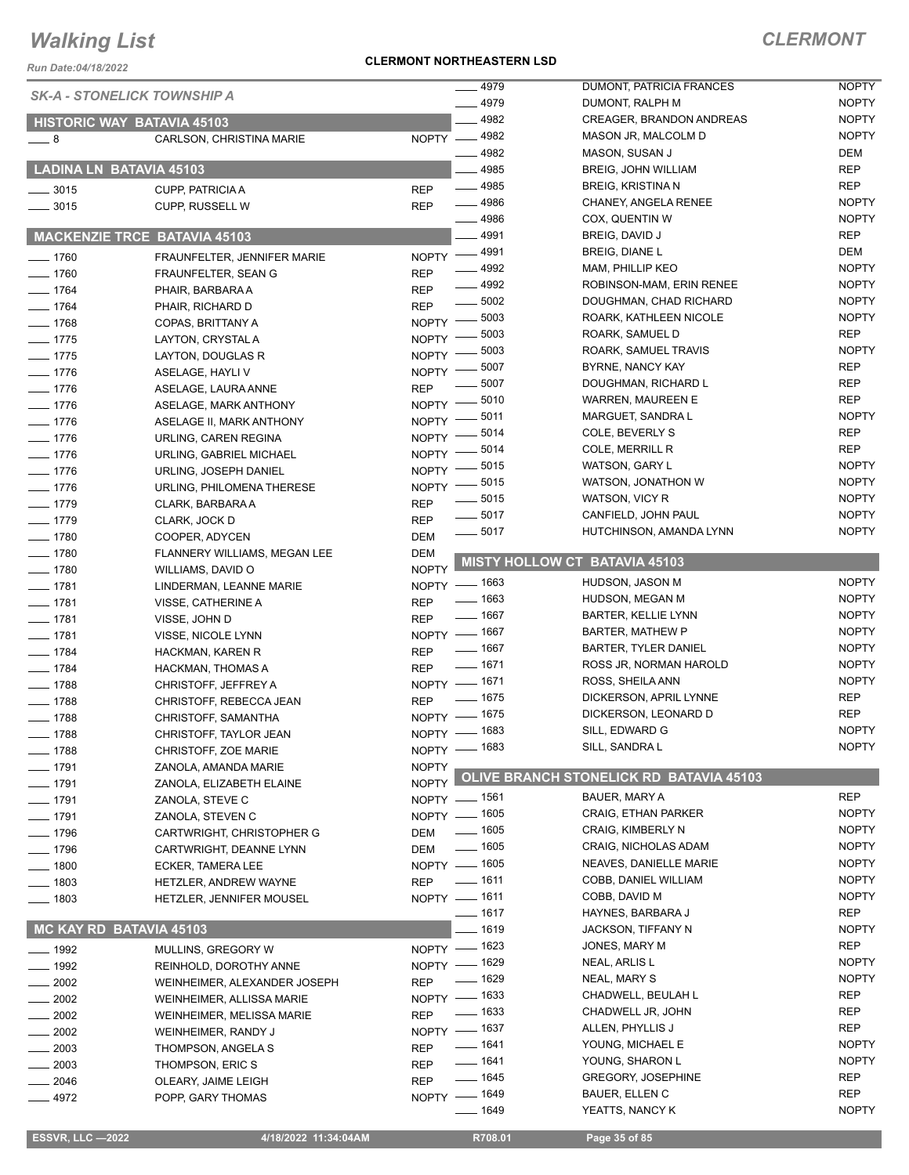*Run Date:04/18/2022*

#### **CLERMONT NORTHEASTERN LSD**

### *CLERMONT*

| <b>SK-A - STONELICK TOWNSHIP A</b>        |                                                  | 4979                               | DUMONT, PATRICIA FRANCES                        | <b>NOPTY</b>               |
|-------------------------------------------|--------------------------------------------------|------------------------------------|-------------------------------------------------|----------------------------|
|                                           |                                                  | $-4979$                            | DUMONT, RALPH M                                 | <b>NOPTY</b>               |
|                                           | <b>HISTORIC WAY BATAVIA 45103</b>                | 4982                               | <b>CREAGER, BRANDON ANDREAS</b>                 | <b>NOPTY</b>               |
| $-8$                                      | CARLSON, CHRISTINA MARIE                         | NOPTY - 4982                       | MASON JR, MALCOLM D                             | <b>NOPTY</b>               |
|                                           |                                                  | $- 4982$                           | MASON, SUSAN J                                  | DEM                        |
|                                           | LADINA LN BATAVIA 45103                          | 4985                               | <b>BREIG, JOHN WILLIAM</b>                      | <b>REP</b>                 |
| $\frac{1}{2}$ 3015                        | <b>CUPP, PATRICIA A</b>                          | $-4985$<br><b>REP</b>              | <b>BREIG, KRISTINA N</b>                        | REP                        |
| $\frac{1}{2}$ 3015                        | CUPP, RUSSELL W                                  | $- 4986$<br><b>REP</b>             | CHANEY, ANGELA RENEE                            | <b>NOPTY</b>               |
|                                           |                                                  | $-4986$                            | COX, QUENTIN W                                  | <b>NOPTY</b>               |
|                                           | <b>MACKENZIE TRCE BATAVIA 45103</b>              | - 4991                             | BREIG, DAVID J                                  | REP                        |
| $- 1760$                                  | FRAUNFELTER, JENNIFER MARIE                      | 4991<br>$NOPTY$ ––                 | <b>BREIG, DIANE L</b>                           | DEM                        |
| $- 1760$                                  | FRAUNFELTER, SEAN G                              | $-4992$<br><b>REP</b>              | MAM, PHILLIP KEO                                | <b>NOPTY</b>               |
| $- 1764$                                  | PHAIR, BARBARA A                                 | $- 4992$<br><b>REP</b>             | ROBINSON-MAM, ERIN RENEE                        | <b>NOPTY</b>               |
| $- 1764$                                  | PHAIR, RICHARD D                                 | $\frac{1}{2}$ 5002<br><b>REP</b>   | DOUGHMAN, CHAD RICHARD                          | <b>NOPTY</b>               |
| $- 1768$                                  | COPAS, BRITTANY A                                | NOPTY - 5003                       | ROARK, KATHLEEN NICOLE                          | <b>NOPTY</b>               |
| $- 1775$                                  | LAYTON, CRYSTAL A                                | $-5003$<br>NOPTY -                 | ROARK, SAMUEL D                                 | <b>REP</b>                 |
| $- 1775$                                  | LAYTON, DOUGLAS R                                | .5003<br>NOPTY -                   | ROARK, SAMUEL TRAVIS                            | <b>NOPTY</b><br><b>REP</b> |
| $- 1776$                                  | ASELAGE, HAYLI V                                 | 5007<br>NOPTY -                    | BYRNE, NANCY KAY                                |                            |
| $- 1776$                                  | ASELAGE, LAURA ANNE                              | 5007<br><b>REP</b>                 | DOUGHMAN, RICHARD L<br><b>WARREN, MAUREEN E</b> | REP<br><b>REP</b>          |
| $- 1776$                                  | ASELAGE, MARK ANTHONY                            | $-5010$<br>NOPTY -<br>5011         | MARGUET, SANDRA L                               | <b>NOPTY</b>               |
| $- 1776$                                  | ASELAGE II, MARK ANTHONY                         | NOPTY -<br>5014                    | COLE, BEVERLY S                                 | <b>REP</b>                 |
| $- 1776$                                  | URLING, CAREN REGINA                             | NOPTY <sup>-</sup><br>5014         | COLE, MERRILL R                                 | <b>REP</b>                 |
| $- 1776$                                  | URLING, GABRIEL MICHAEL                          | NOPTY -<br>5015                    | WATSON, GARY L                                  | <b>NOPTY</b>               |
| $- 1776$                                  | URLING, JOSEPH DANIEL                            | NOPTY -                            | WATSON, JONATHON W                              | <b>NOPTY</b>               |
| $- 1776$                                  | URLING, PHILOMENA THERESE                        | NOPTY -8015<br>$=5015$             | WATSON, VICY R                                  | <b>NOPTY</b>               |
| $- 1779$                                  | CLARK, BARBARA A                                 | <b>REP</b><br>$- 5017$             | CANFIELD, JOHN PAUL                             | <b>NOPTY</b>               |
| $- 1779$                                  | CLARK, JOCK D                                    | <b>REP</b><br>$\frac{1}{2}$ 5017   | HUTCHINSON, AMANDA LYNN                         | <b>NOPTY</b>               |
| $- 1780$                                  | COOPER, ADYCEN                                   | <b>DEM</b>                         |                                                 |                            |
| $\frac{1}{2}$ 1780                        | FLANNERY WILLIAMS, MEGAN LEE                     | <b>DEM</b>                         | <b>MISTY HOLLOW CT BATAVIA 45103</b>            |                            |
| $- 1780$                                  | WILLIAMS, DAVID O                                | <b>NOPTY</b>                       | HUDSON, JASON M                                 | <b>NOPTY</b>               |
| $- 1781$                                  | LINDERMAN, LEANNE MARIE                          | NOPTY - 1663<br>$- 1663$           | HUDSON, MEGAN M                                 | <b>NOPTY</b>               |
| $- 1781$                                  | VISSE, CATHERINE A                               | <b>REP</b><br>$- 1667$             | <b>BARTER, KELLIE LYNN</b>                      | <b>NOPTY</b>               |
| $- 1781$                                  | VISSE, JOHN D                                    | <b>REP</b>                         | <b>BARTER, MATHEW P</b>                         | <b>NOPTY</b>               |
| $- 1781$                                  | VISSE, NICOLE LYNN                               | NOPTY - 1667<br>— 1667             | <b>BARTER, TYLER DANIEL</b>                     | <b>NOPTY</b>               |
| $- 1784$                                  | HACKMAN, KAREN R                                 | <b>REP</b><br>$- 1671$             | ROSS JR, NORMAN HAROLD                          | <b>NOPTY</b>               |
| $- 1784$                                  | HACKMAN, THOMAS A                                | <b>REP</b><br>NOPTY - 1671         | ROSS, SHEILA ANN                                | <b>NOPTY</b>               |
| $- 1788$                                  | CHRISTOFF, JEFFREY A                             | $\frac{1}{2}$ 1675                 | DICKERSON, APRIL LYNNE                          | <b>REP</b>                 |
| $- 1788$                                  | CHRISTOFF, REBECCA JEAN                          | <b>REP</b><br>NOPTY - 1675         | DICKERSON, LEONARD D                            | <b>REP</b>                 |
| $- 1788$<br>$\frac{1}{1788}$              | CHRISTOFF, SAMANTHA<br>CHRISTOFF, TAYLOR JEAN    | NOPTY - 1683                       | SILL, EDWARD G                                  | <b>NOPTY</b>               |
|                                           |                                                  | NOPTY - 1683                       | SILL, SANDRA L                                  | <b>NOPTY</b>               |
| $- 1788$                                  | CHRISTOFF, ZOE MARIE                             |                                    |                                                 |                            |
| $- 1791$                                  | ZANOLA, AMANDA MARIE<br>ZANOLA, ELIZABETH ELAINE | <b>NOPTY</b><br>NOPTY <sup>1</sup> | OLIVE BRANCH STONELICK RD BATAVIA 45103         |                            |
| $- 1791$                                  |                                                  | NOPTY - 1561                       | BAUER, MARY A                                   | <b>REP</b>                 |
| $- 1791$<br>$- 1791$                      | ZANOLA, STEVE C                                  | NOPTY - 1605                       | <b>CRAIG, ETHAN PARKER</b>                      | <b>NOPTY</b>               |
| $- 1796$                                  | ZANOLA, STEVEN C<br>CARTWRIGHT, CHRISTOPHER G    | $\frac{1}{2}$ 1605<br>DEM          | CRAIG, KIMBERLY N                               | <b>NOPTY</b>               |
| $- 1796$                                  |                                                  | $- 1605$<br>DEM                    | CRAIG, NICHOLAS ADAM                            | <b>NOPTY</b>               |
| $- 1800$                                  | CARTWRIGHT, DEANNE LYNN                          | NOPTY - 1605                       | NEAVES, DANIELLE MARIE                          | <b>NOPTY</b>               |
| $- 1803$                                  | ECKER, TAMERA LEE<br>HETZLER, ANDREW WAYNE       | $- 1611$<br><b>REP</b>             | COBB, DANIEL WILLIAM                            | <b>NOPTY</b>               |
| $- 1803$                                  |                                                  | NOPTY - 1611                       | COBB, DAVID M                                   | <b>NOPTY</b>               |
|                                           | HETZLER, JENNIFER MOUSEL                         | $- 1617$                           | HAYNES, BARBARA J                               | REP                        |
| MC KAY RD BATAVIA 45103                   |                                                  | __ 1619                            | JACKSON, TIFFANY N                              | <b>NOPTY</b>               |
|                                           |                                                  | NOPTY - 1623                       | JONES, MARY M                                   | REP                        |
| $\frac{1}{2}$ 1992                        | MULLINS, GREGORY W                               | NOPTY - 1629                       | NEAL, ARLIS L                                   | <b>NOPTY</b>               |
| $\frac{1}{2}$ 1992<br>$\frac{2002}{2002}$ | REINHOLD, DOROTHY ANNE                           | $- 1629$<br><b>REP</b>             | NEAL, MARY S                                    | <b>NOPTY</b>               |
|                                           | WEINHEIMER, ALEXANDER JOSEPH                     | NOPTY - 1633                       | CHADWELL, BEULAH L                              | REP                        |
| $\frac{1}{2002}$                          | WEINHEIMER, ALLISSA MARIE                        | $\frac{1}{2}$ 1633<br><b>REP</b>   | CHADWELL JR, JOHN                               | <b>REP</b>                 |
| $\frac{1}{2002}$                          | WEINHEIMER, MELISSA MARIE                        | NOPTY - 1637                       | ALLEN, PHYLLIS J                                | <b>REP</b>                 |
| $\frac{1}{2002}$                          | WEINHEIMER, RANDY J                              | $- 1641$<br><b>REP</b>             | YOUNG, MICHAEL E                                | <b>NOPTY</b>               |
| $= 2003$<br>2003                          | THOMPSON, ANGELA S                               | $- 1641$<br><b>REP</b>             | YOUNG, SHARON L                                 | <b>NOPTY</b>               |
| $-2046$                                   | THOMPSON, ERIC S                                 | $- 1645$<br><b>REP</b>             | <b>GREGORY, JOSEPHINE</b>                       | REP                        |
| $-4972$                                   | OLEARY, JAIME LEIGH<br>POPP, GARY THOMAS         | NOPTY - 1649                       | BAUER, ELLEN C                                  | REP                        |
|                                           |                                                  | $- 1649$                           | YEATTS, NANCY K                                 | <b>NOPTY</b>               |
|                                           |                                                  |                                    |                                                 |                            |

 **ESSVR, LLC —2022 4/18/2022 11:34:04AM R708.01 Page 35 of 85**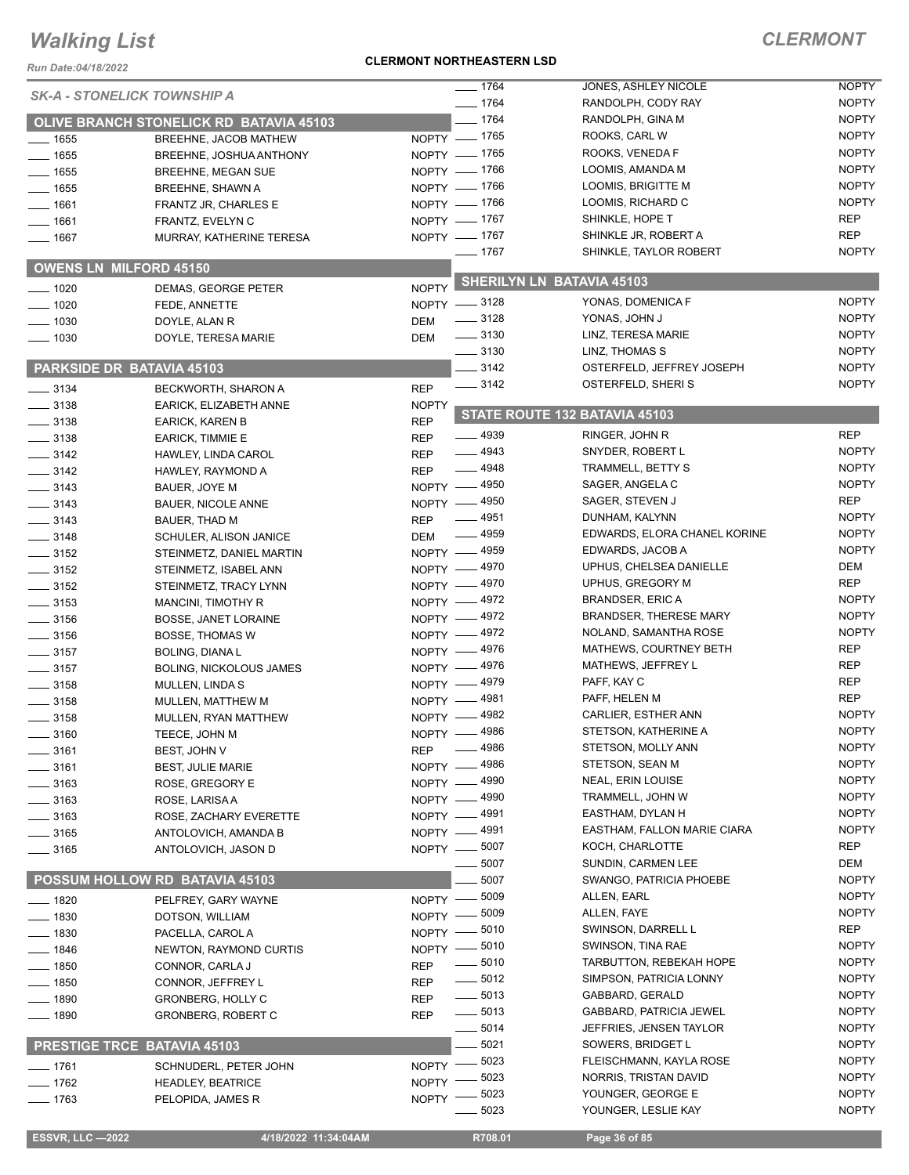#### **CLERMONT NORTHEASTERN LSD**

| Run Date:04/18/2022                |                                                 | <b>CLERMONT NORTHEASTERN LSD</b> |                                          |                                       |              |
|------------------------------------|-------------------------------------------------|----------------------------------|------------------------------------------|---------------------------------------|--------------|
| <b>SK-A - STONELICK TOWNSHIP A</b> |                                                 |                                  | $- 1764$                                 | JONES, ASHLEY NICOLE                  | <b>NOPTY</b> |
|                                    |                                                 |                                  | $- 1764$                                 | RANDOLPH, CODY RAY                    | <b>NOPTY</b> |
|                                    | OLIVE BRANCH STONELICK RD BATAVIA 45103         |                                  | $- 1764$                                 | RANDOLPH, GINA M                      | <b>NOPTY</b> |
| $- 1655$                           | BREEHNE, JACOB MATHEW                           |                                  | $NOPTY$ - 1765                           | ROOKS, CARL W                         | <b>NOPTY</b> |
| $- 1655$                           | BREEHNE, JOSHUA ANTHONY                         |                                  | NOPTY - 1765                             | ROOKS, VENEDA F                       | <b>NOPTY</b> |
| $- 1655$                           | <b>BREEHNE, MEGAN SUE</b>                       |                                  | NOPTY - 1766                             | LOOMIS, AMANDA M                      | <b>NOPTY</b> |
| $- 1655$                           | <b>BREEHNE, SHAWN A</b>                         |                                  | NOPTY - 1766                             | LOOMIS, BRIGITTE M                    | <b>NOPTY</b> |
| $- 1661$                           | FRANTZ JR, CHARLES E                            |                                  | NOPTY - 1766                             | LOOMIS, RICHARD C                     | <b>NOPTY</b> |
| $- 1661$                           | FRANTZ, EVELYN C                                |                                  | NOPTY - 1767                             | SHINKLE, HOPE T                       | <b>REP</b>   |
| $- 1667$                           | MURRAY, KATHERINE TERESA                        |                                  | NOPTY - 1767                             | SHINKLE JR, ROBERT A                  | <b>REP</b>   |
|                                    |                                                 |                                  | $- 1767$                                 | SHINKLE, TAYLOR ROBERT                | <b>NOPTY</b> |
| <b>OWENS LN MILFORD 45150</b>      |                                                 |                                  |                                          | SHERILYN LN BATAVIA 45103             |              |
| $- 1020$                           | DEMAS, GEORGE PETER                             | <b>NOPTY</b>                     |                                          | YONAS, DOMENICA F                     | <b>NOPTY</b> |
| $- 1020$                           | FEDE, ANNETTE                                   |                                  | NOPTY -8128                              |                                       | <b>NOPTY</b> |
| $\frac{1}{2}$ 1030                 | DOYLE, ALAN R                                   | <b>DEM</b>                       | $\frac{1}{2}$ 3128<br>$\frac{1}{2}$ 3130 | YONAS, JOHN J<br>LINZ, TERESA MARIE   | <b>NOPTY</b> |
| $- 1030$                           | DOYLE, TERESA MARIE                             | <b>DEM</b>                       | $\frac{1}{2}$ 3130                       | LINZ, THOMAS S                        | <b>NOPTY</b> |
| PARKSIDE DR BATAVIA 45103          |                                                 |                                  | $-3142$                                  | OSTERFELD, JEFFREY JOSEPH             | <b>NOPTY</b> |
|                                    |                                                 |                                  | $- 3142$                                 | OSTERFELD, SHERIS                     | <b>NOPTY</b> |
| $- 3134$                           | BECKWORTH, SHARON A                             | <b>REP</b>                       |                                          |                                       |              |
| $-3138$                            | EARICK, ELIZABETH ANNE                          | <b>NOPTY</b>                     |                                          | STATE ROUTE 132 BATAVIA 45103         |              |
| $\frac{1}{2}$ 3138                 | <b>EARICK, KAREN B</b>                          | <b>REP</b>                       | $-4939$                                  | RINGER, JOHN R                        | <b>REP</b>   |
| $\frac{1}{2}$ 3138                 | <b>EARICK, TIMMIE E</b>                         | <b>REP</b>                       | $- 4943$                                 |                                       | <b>NOPTY</b> |
| $- 3142$                           | HAWLEY, LINDA CAROL                             | <b>REP</b>                       | $-4948$                                  | SNYDER, ROBERT L<br>TRAMMELL, BETTY S | <b>NOPTY</b> |
| $- 3142$                           | HAWLEY, RAYMOND A                               | <b>REP</b>                       | NOPTY - 4950                             | SAGER, ANGELA C                       | <b>NOPTY</b> |
| $\frac{1}{2}$ 3143                 | BAUER, JOYE M                                   |                                  | NOPTY - 4950                             | SAGER, STEVEN J                       | <b>REP</b>   |
| $\frac{1}{2}$ 3143                 | <b>BAUER, NICOLE ANNE</b>                       |                                  | $-4951$                                  | DUNHAM, KALYNN                        | <b>NOPTY</b> |
| $\frac{1}{2}$ 3143                 | BAUER, THAD M                                   | <b>REP</b>                       | $\frac{1}{2}$ 4959                       | EDWARDS, ELORA CHANEL KORINE          | <b>NOPTY</b> |
| $\frac{1}{2}$ 3148                 | SCHULER, ALISON JANICE                          | <b>DEM</b>                       | NOPTY - 4959                             | EDWARDS, JACOB A                      | <b>NOPTY</b> |
| $\frac{1}{2}$ 3152                 | STEINMETZ, DANIEL MARTIN                        |                                  | NOPTY -4970                              | UPHUS, CHELSEA DANIELLE               | DEM          |
| $\frac{1}{2}$ 3152                 | STEINMETZ, ISABEL ANN                           |                                  | NOPTY - 4970                             | UPHUS, GREGORY M                      | <b>REP</b>   |
| $\frac{1}{2}$ 3152                 | STEINMETZ, TRACY LYNN                           |                                  | NOPTY - 4972                             | <b>BRANDSER, ERIC A</b>               | <b>NOPTY</b> |
| $\frac{1}{2}$ 3153                 | MANCINI, TIMOTHY R                              |                                  | NOPTY - 4972                             | <b>BRANDSER, THERESE MARY</b>         | <b>NOPTY</b> |
| $- 3156$                           | <b>BOSSE, JANET LORAINE</b>                     |                                  | NOPTY -4972                              | NOLAND, SAMANTHA ROSE                 | <b>NOPTY</b> |
| $- 3156$<br>$\frac{1}{2}$ 3157     | <b>BOSSE, THOMAS W</b><br><b>BOLING, DIANAL</b> |                                  | NOPTY -4976                              | MATHEWS, COURTNEY BETH                | <b>REP</b>   |
| $\frac{1}{2}$ 3157                 | <b>BOLING, NICKOLOUS JAMES</b>                  |                                  | NOPTY - 4976                             | MATHEWS, JEFFREY L                    | <b>REP</b>   |
| $\frac{1}{2}$ 3158                 | MULLEN, LINDA S                                 |                                  | NOPTY - 4979                             | PAFF, KAY C                           | <b>REP</b>   |
| $\frac{1}{2}$ 3158                 | MULLEN, MATTHEW M                               |                                  | NOPTY -4981                              | PAFF, HELEN M                         | <b>REP</b>   |
| $\frac{1}{2}$ 3158                 | MULLEN, RYAN MATTHEW                            |                                  | NOPTY -4982                              | CARLIER, ESTHER ANN                   | <b>NOPTY</b> |
| $-3160$                            | TEECE, JOHN M                                   |                                  | NOPTY - 4986                             | STETSON, KATHERINE A                  | <b>NOPTY</b> |
| $-3161$                            | BEST, JOHN V                                    | <b>REP</b>                       | 4986                                     | STETSON, MOLLY ANN                    | <b>NOPTY</b> |
| $- 3161$                           | <b>BEST, JULIE MARIE</b>                        |                                  | NOPTY - 4986                             | STETSON, SEAN M                       | <b>NOPTY</b> |
| $- 3163$                           | ROSE, GREGORY E                                 |                                  | NOPTY - 4990                             | NEAL, ERIN LOUISE                     | <b>NOPTY</b> |
| ____ 3163                          | ROSE, LARISA A                                  |                                  | NOPTY - 4990                             | TRAMMELL, JOHN W                      | <b>NOPTY</b> |
| $\equiv$ 3163                      | ROSE, ZACHARY EVERETTE                          |                                  | NOPTY -4991                              | EASTHAM, DYLAN H                      | <b>NOPTY</b> |
| ____ 3165                          | ANTOLOVICH, AMANDA B                            |                                  | NOPTY - 4991                             | EASTHAM, FALLON MARIE CIARA           | <b>NOPTY</b> |
| $- 3165$                           | ANTOLOVICH, JASON D                             |                                  | NOPTY - 5007                             | KOCH, CHARLOTTE                       | <b>REP</b>   |
|                                    |                                                 |                                  | 5007                                     | SUNDIN, CARMEN LEE                    | DEM          |
|                                    | POSSUM HOLLOW RD BATAVIA 45103                  |                                  | 5007                                     | SWANGO, PATRICIA PHOEBE               | <b>NOPTY</b> |
| $- 1820$                           | PELFREY, GARY WAYNE                             | NOPTY -                          | 5009                                     | ALLEN, EARL                           | <b>NOPTY</b> |
| ____ 1830                          | DOTSON, WILLIAM                                 | NOPTY -                          | 5009                                     | ALLEN, FAYE                           | <b>NOPTY</b> |
| $- 1830$                           | PACELLA, CAROL A                                | NOPTY -                          | 5010                                     | SWINSON, DARRELL L                    | <b>REP</b>   |
| __ 1846                            | NEWTON, RAYMOND CURTIS                          | NOPTY -                          | 5010                                     | SWINSON, TINA RAE                     | <b>NOPTY</b> |
| _ 1850                             | CONNOR, CARLA J                                 | <b>REP</b>                       | 5010                                     | <b>TARBUTTON, REBEKAH HOPE</b>        | <b>NOPTY</b> |
| ___ 1850                           | CONNOR, JEFFREY L                               | <b>REP</b>                       | $\frac{1}{2}$ 5012                       | SIMPSON, PATRICIA LONNY               | <b>NOPTY</b> |
| $- 1890$                           | <b>GRONBERG, HOLLY C</b>                        | <b>REP</b>                       | $\frac{1}{2}$ 5013                       | GABBARD, GERALD                       | <b>NOPTY</b> |
| $- 1890$                           | <b>GRONBERG, ROBERT C</b>                       | <b>REP</b>                       | $\frac{1}{2}$ 5013                       | GABBARD, PATRICIA JEWEL               | <b>NOPTY</b> |
|                                    |                                                 |                                  | $- 5014$                                 | JEFFRIES, JENSEN TAYLOR               | <b>NOPTY</b> |
| PRESTIGE TRCE BATAVIA 45103        |                                                 |                                  | 5021                                     | SOWERS, BRIDGET L                     | <b>NOPTY</b> |
| ___ 1761                           | SCHNUDERL, PETER JOHN                           | NOPTY -                          | 5023                                     | FLEISCHMANN, KAYLA ROSE               | <b>NOPTY</b> |
| $- 1762$                           | <b>HEADLEY, BEATRICE</b>                        | NOPTY -                          | 5023                                     | NORRIS, TRISTAN DAVID                 | <b>NOPTY</b> |
| $- 1763$                           | PELOPIDA, JAMES R                               | <b>NOPTY</b>                     | 5023                                     | YOUNGER, GEORGE E                     | <b>NOPTY</b> |
|                                    |                                                 |                                  | 5023                                     | YOUNGER, LESLIE KAY                   | <b>NOPTY</b> |
| <b>ESSVR, LLC -2022</b>            | 4/18/2022 11:34:04AM                            |                                  | R708.01                                  | Page 36 of 85                         |              |
|                                    |                                                 |                                  |                                          |                                       |              |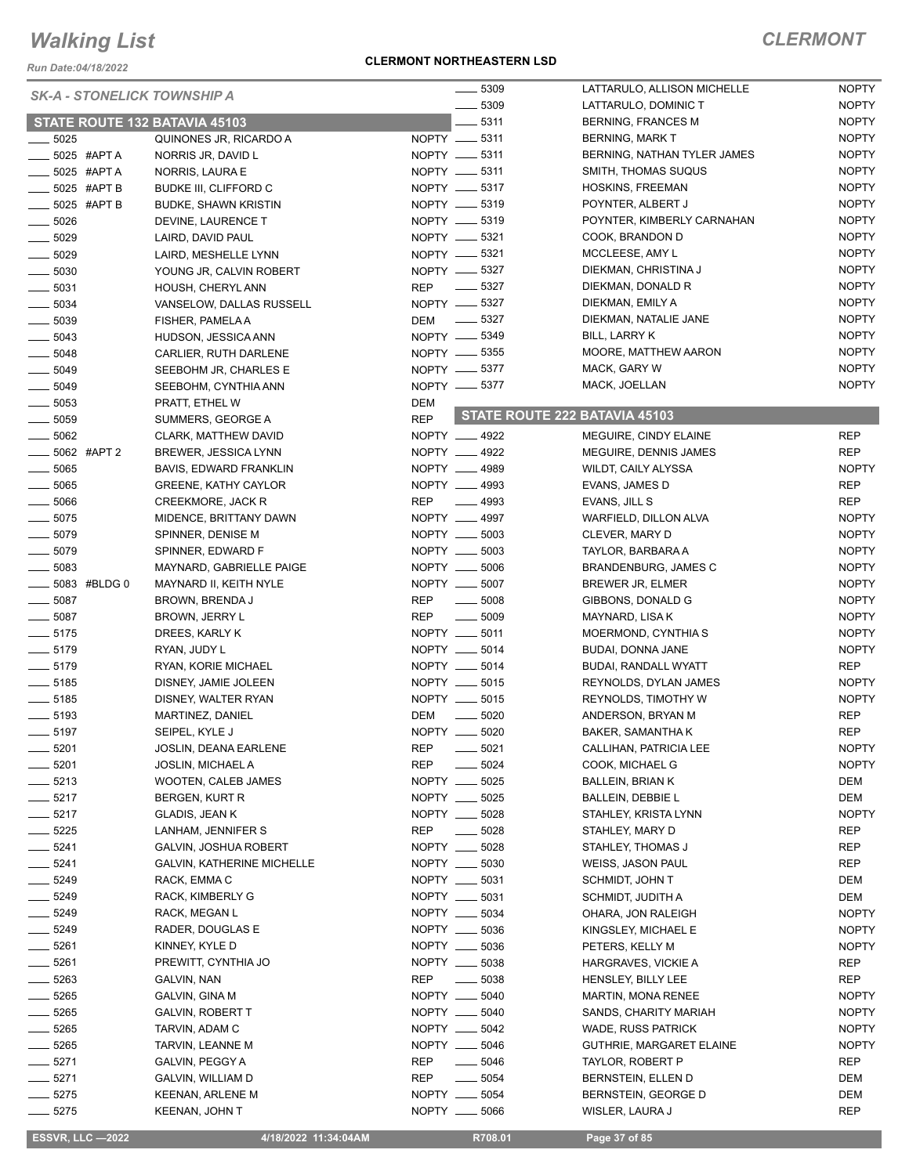*Run Date:04/18/2022*

#### **CLERMONT NORTHEASTERN LSD**

### *CLERMONT*

| <b>SK-A - STONELICK TOWNSHIP A</b> |                                      | 5309                                           | LATTARULO, ALLISON MICHELLE   | <b>NOPTY</b> |
|------------------------------------|--------------------------------------|------------------------------------------------|-------------------------------|--------------|
|                                    |                                      | 5309                                           | LATTARULO, DOMINIC T          | <b>NOPTY</b> |
|                                    | <b>STATE ROUTE 132 BATAVIA 45103</b> | $-5311$                                        | <b>BERNING, FRANCES M</b>     | <b>NOPTY</b> |
| $-5025$                            | QUINONES JR, RICARDO A               | NOPTY __ 5311                                  | <b>BERNING, MARK T</b>        | <b>NOPTY</b> |
| _ 5025 #APT A                      | NORRIS JR, DAVID L                   | NOPTY -6311                                    | BERNING, NATHAN TYLER JAMES   | <b>NOPTY</b> |
| 5025 #APT A                        | NORRIS, LAURA E                      | NOPTY -6311                                    | SMITH, THOMAS SUQUS           | <b>NOPTY</b> |
| $-5025$ #APT B                     | <b>BUDKE III, CLIFFORD C</b>         | NOPTY __ 5317                                  | HOSKINS, FREEMAN              | <b>NOPTY</b> |
| $\equiv$ 5025 #APT B               | <b>BUDKE, SHAWN KRISTIN</b>          | NOPTY __ 5319                                  | POYNTER, ALBERT J             | <b>NOPTY</b> |
| .5026                              | DEVINE, LAURENCE T                   | NOPTY __ 5319                                  | POYNTER, KIMBERLY CARNAHAN    | <b>NOPTY</b> |
| $\frac{1}{2}$ 5029                 | LAIRD, DAVID PAUL                    | NOPTY -6321                                    | COOK, BRANDON D               | <b>NOPTY</b> |
| $\frac{1}{2}$ 5029                 | LAIRD, MESHELLE LYNN                 | NOPTY __ 5321                                  | MCCLEESE, AMY L               | <b>NOPTY</b> |
| $\frac{1}{2}$ 5030                 | YOUNG JR, CALVIN ROBERT              | NOPTY __ 5327                                  | DIEKMAN, CHRISTINA J          | <b>NOPTY</b> |
| $\frac{1}{2}$ 5031                 | HOUSH, CHERYL ANN                    | REP 	 — 5327                                   | DIEKMAN, DONALD R             | <b>NOPTY</b> |
| $-5034$                            | VANSELOW, DALLAS RUSSELL             | NOPTY __ 5327                                  | DIEKMAN, EMILY A              | <b>NOPTY</b> |
| $\frac{1}{2}$ 5039                 | FISHER, PAMELA A                     | DEM - 5327                                     | DIEKMAN, NATALIE JANE         | <b>NOPTY</b> |
| $\frac{1}{2}$ 5043                 | HUDSON, JESSICA ANN                  | NOPTY -6349                                    | <b>BILL, LARRY K</b>          | <b>NOPTY</b> |
| $\frac{1}{2}$ 5048                 |                                      | NOPTY __ 5355                                  | MOORE, MATTHEW AARON          | <b>NOPTY</b> |
|                                    | CARLIER, RUTH DARLENE                | NOPTY -8377                                    | MACK, GARY W                  | <b>NOPTY</b> |
| $\frac{1}{2}$ 5049                 | SEEBOHM JR, CHARLES E                |                                                |                               | <b>NOPTY</b> |
| $-5049$                            | SEEBOHM, CYNTHIA ANN                 | NOPTY __ 5377                                  | MACK, JOELLAN                 |              |
| $\frac{1}{2}$ 5053                 | PRATT, ETHEL W                       | DEM                                            | STATE ROUTE 222 BATAVIA 45103 |              |
| $\frac{1}{2}$ 5059                 | SUMMERS, GEORGE A                    | <b>REP</b>                                     |                               |              |
| $\frac{1}{2}$ 5062                 | CLARK, MATTHEW DAVID                 | NOPTY __ 4922                                  | MEGUIRE, CINDY ELAINE         | <b>REP</b>   |
| $\frac{1}{2}$ 5062 #APT 2          | <b>BREWER, JESSICA LYNN</b>          | NOPTY __ 4922                                  | MEGUIRE, DENNIS JAMES         | <b>REP</b>   |
| 5065                               | BAVIS, EDWARD FRANKLIN               | NOPTY __ 4989                                  | WILDT, CAILY ALYSSA           | <b>NOPTY</b> |
| $\frac{1}{2}$ 5065                 | <b>GREENE, KATHY CAYLOR</b>          | NOPTY __ 4993                                  | EVANS, JAMES D                | <b>REP</b>   |
| $\frac{1}{2}$ 5066                 | CREEKMORE, JACK R                    | <b>REP</b><br>$- 4993$                         | EVANS, JILL S                 | <b>REP</b>   |
| $\frac{1}{2}$ 5075                 | MIDENCE, BRITTANY DAWN               | NOPTY __ 4997                                  | WARFIELD, DILLON ALVA         | <b>NOPTY</b> |
| $- 5079$                           | SPINNER, DENISE M                    | NOPTY __ 5003                                  | CLEVER, MARY D                | <b>NOPTY</b> |
| $\frac{1}{2}$ 5079                 | SPINNER, EDWARD F                    | NOPTY __ 5003                                  | TAYLOR, BARBARA A             | <b>NOPTY</b> |
| $\frac{1}{2}$ 5083                 | MAYNARD, GABRIELLE PAIGE             | NOPTY __ 5006                                  | BRANDENBURG, JAMES C          | <b>NOPTY</b> |
| <b>______ 5083 #BLDG 0</b>         | MAYNARD II, KEITH NYLE               | NOPTY __ 5007                                  | BREWER JR, ELMER              | <b>NOPTY</b> |
| $-5087$                            | BROWN, BRENDA J                      | <b>REP</b><br>$\frac{1}{2}$ 5008               | GIBBONS, DONALD G             | <b>NOPTY</b> |
| $\frac{1}{2}$ 5087                 | BROWN, JERRY L                       | <b>REP</b><br>$\frac{1}{2}$ 5009               | MAYNARD, LISA K               | <b>NOPTY</b> |
| $-5175$                            | DREES, KARLY K                       | NOPTY __ 5011                                  | MOERMOND, CYNTHIA S           | <b>NOPTY</b> |
| $- 5179$                           | RYAN, JUDY L                         | NOPTY __ 5014                                  | BUDAI, DONNA JANE             | <b>NOPTY</b> |
| $- 5179$                           | RYAN, KORIE MICHAEL                  | NOPTY __ 5014                                  | BUDAI, RANDALL WYATT          | <b>REP</b>   |
| $\frac{1}{2}$ 5185                 | DISNEY, JAMIE JOLEEN                 | NOPTY __ 5015                                  | REYNOLDS, DYLAN JAMES         | <b>NOPTY</b> |
| $\frac{1}{2}$ 5185                 | DISNEY, WALTER RYAN                  | NOPTY __ 5015                                  | <b>REYNOLDS, TIMOTHY W</b>    | <b>NOPTY</b> |
| $\frac{1}{2}$ 5193                 | MARTINEZ, DANIEL                     | DEM<br>$\frac{1}{2}$ 5020                      | ANDERSON, BRYAN M             | <b>REP</b>   |
| $\frac{1}{2}$ 5197                 | SEIPEL, KYLE J                       | NOPTY __ 5020                                  | BAKER, SAMANTHA K             | <b>REP</b>   |
|                                    |                                      |                                                |                               |              |
| 5201                               | JOSLIN, DEANA EARLENE                | REP<br>5021                                    | CALLIHAN, PATRICIA LEE        | <b>NOPTY</b> |
| 5201                               | <b>JOSLIN, MICHAEL A</b>             | <b>REP</b><br>5024                             | COOK, MICHAEL G               | <b>NOPTY</b> |
| $- 5213$                           | WOOTEN, CALEB JAMES                  | NOPTY __ 5025                                  | BALLEIN, BRIAN K              | DEM          |
| $-5217$                            | BERGEN, KURT R                       | NOPTY ___<br>5025                              | <b>BALLEIN, DEBBIE L</b>      | DEM          |
| $-5217$                            | GLADIS, JEAN K                       | NOPTY __ 5028                                  | STAHLEY, KRISTA LYNN          | <b>NOPTY</b> |
| $-5225$                            | LANHAM, JENNIFER S                   | <b>REP</b><br>5028<br>$\frac{1}{1}$            | STAHLEY, MARY D               | REP          |
| $\frac{1}{2}$ 5241                 | GALVIN, JOSHUA ROBERT                | NOPTY __ 5028                                  | STAHLEY, THOMAS J             | REP          |
| $- 5241$                           | <b>GALVIN, KATHERINE MICHELLE</b>    | NOPTY __ 5030                                  | WEISS, JASON PAUL             | REP          |
| 5249                               | RACK, EMMA C                         | NOPTY __ 5031                                  | SCHMIDT, JOHN T               | DEM          |
| $-5249$                            | RACK, KIMBERLY G                     | NOPTY __ 5031                                  | SCHMIDT, JUDITH A             | DEM          |
| 5249                               | RACK, MEGAN L                        | NOPTY __ 5034                                  | OHARA, JON RALEIGH            | <b>NOPTY</b> |
| $-5249$                            | RADER, DOUGLAS E                     | NOPTY __ 5036                                  | KINGSLEY, MICHAEL E           | <b>NOPTY</b> |
| $-5261$                            | KINNEY, KYLE D                       | NOPTY __ 5036                                  | PETERS, KELLY M               | <b>NOPTY</b> |
| 5261                               | PREWITT, CYNTHIA JO                  | NOPTY __ 5038                                  | HARGRAVES, VICKIE A           | REP          |
| 5263                               | GALVIN, NAN                          | $\overline{\phantom{0}}$<br>5038<br><b>REP</b> | HENSLEY, BILLY LEE            | REP          |
| $-5265$                            | GALVIN, GINA M                       | NOPTY __ 5040                                  | <b>MARTIN, MONA RENEE</b>     | <b>NOPTY</b> |
| 5265                               | <b>GALVIN, ROBERT T</b>              | NOPTY __ 5040                                  | SANDS, CHARITY MARIAH         | <b>NOPTY</b> |
| $-5265$                            | TARVIN, ADAM C                       | NOPTY __ 5042                                  | <b>WADE, RUSS PATRICK</b>     | <b>NOPTY</b> |
| .5265                              | TARVIN, LEANNE M                     | NOPTY __ 5046                                  | GUTHRIE, MARGARET ELAINE      | <b>NOPTY</b> |
| $-5271$                            | GALVIN, PEGGY A                      | REP<br>$\frac{1}{2}$ 5046                      | TAYLOR, ROBERT P              | REP          |
| $-5271$                            | GALVIN, WILLIAM D                    | <b>REP</b><br>5054                             | BERNSTEIN, ELLEN D            | DEM          |
| $-5275$                            | KEENAN, ARLENE M                     | NOPTY __ 5054                                  | BERNSTEIN, GEORGE D           | DEM          |
| 5275                               | KEENAN, JOHN T                       | NOPTY __ 5066                                  | WISLER, LAURA J               | <b>REP</b>   |
|                                    |                                      |                                                |                               |              |

**ESSVR, LLC -2022 4/18/2022 11:34:04AM** R708.01 **Page 37 of 85**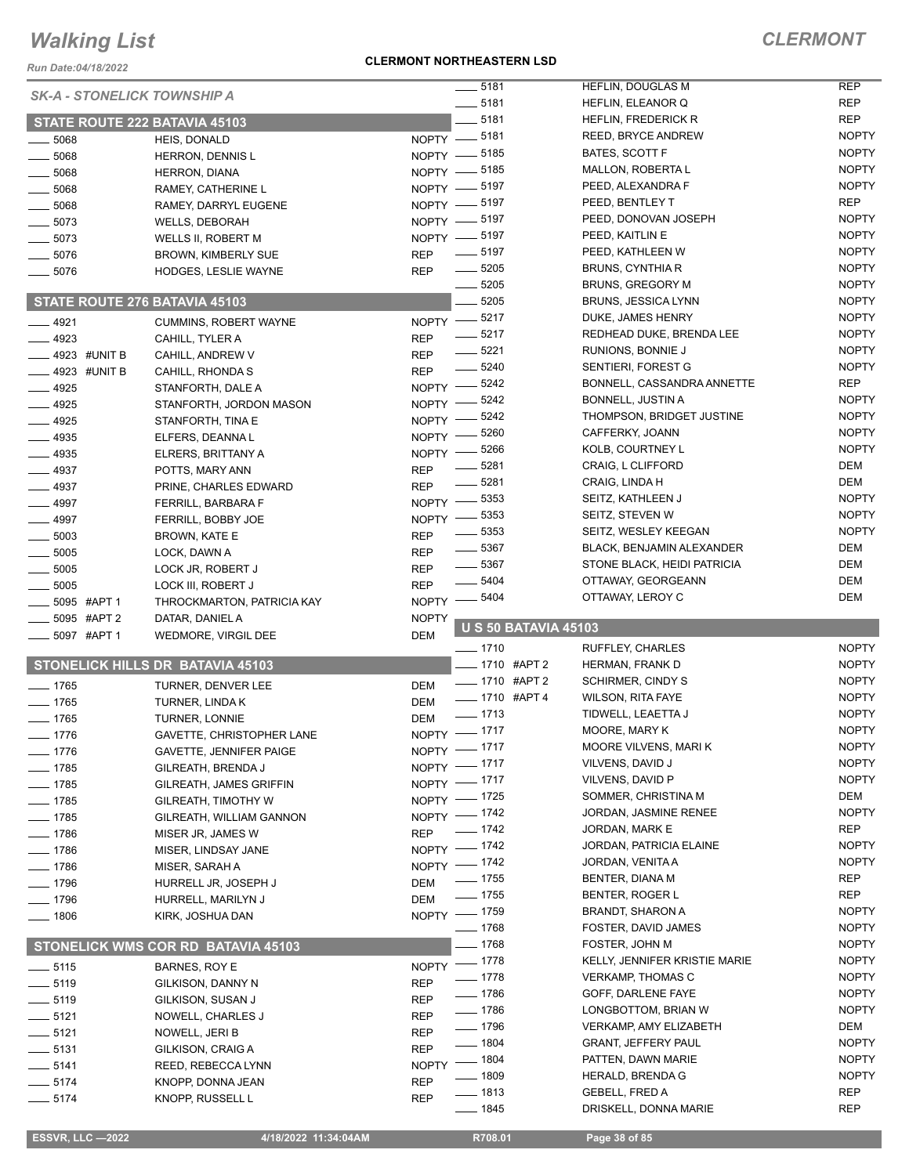*Run Date:04/18/2022*

#### **CLERMONT NORTHEASTERN LSD**

### *CLERMONT*

| KUII Dale.04/10/∠022               |                                         |                                             |                                                |                          |
|------------------------------------|-----------------------------------------|---------------------------------------------|------------------------------------------------|--------------------------|
| <b>SK-A - STONELICK TOWNSHIP A</b> |                                         | $\frac{1}{2}$ 5181<br>$- 5181$              | HEFLIN, DOUGLAS M<br>HEFLIN, ELEANOR Q         | <b>REP</b><br><b>REP</b> |
|                                    | STATE ROUTE 222 BATAVIA 45103           | $-5181$                                     | <b>HEFLIN, FREDERICK R</b>                     | <b>REP</b>               |
|                                    |                                         | NOPTY -8181                                 | <b>REED, BRYCE ANDREW</b>                      | <b>NOPTY</b>             |
| $= 5068$<br>$-5068$                | HEIS, DONALD<br><b>HERRON, DENNIS L</b> | NOPTY -8185                                 | BATES, SCOTT F                                 | <b>NOPTY</b>             |
| $- 5068$                           | <b>HERRON, DIANA</b>                    | NOPTY -8185                                 | <b>MALLON, ROBERTA L</b>                       | <b>NOPTY</b>             |
| $- 5068$                           | RAMEY, CATHERINE L                      | NOPTY -8197                                 | PEED, ALEXANDRA F                              | <b>NOPTY</b>             |
| $-5068$                            | RAMEY, DARRYL EUGENE                    | NOPTY - 5197                                | PEED, BENTLEY T                                | <b>REP</b>               |
| $-5073$                            | <b>WELLS, DEBORAH</b>                   | NOPTY -8197                                 | PEED, DONOVAN JOSEPH                           | <b>NOPTY</b>             |
| $-5073$                            | WELLS II, ROBERT M                      | NOPTY -8197                                 | PEED, KAITLIN E                                | <b>NOPTY</b>             |
| $-5076$                            | BROWN, KIMBERLY SUE                     | $\frac{1}{2}$ 5197<br><b>REP</b>            | PEED, KATHLEEN W                               | <b>NOPTY</b>             |
| $-5076$                            | HODGES, LESLIE WAYNE                    | $\frac{1}{2}$ 5205<br><b>REP</b>            | BRUNS, CYNTHIA R                               | <b>NOPTY</b>             |
|                                    |                                         | $\frac{1}{2}$ 5205                          | <b>BRUNS, GREGORY M</b>                        | <b>NOPTY</b>             |
|                                    | STATE ROUTE 276 BATAVIA 45103           | 5205                                        | <b>BRUNS, JESSICA LYNN</b>                     | <b>NOPTY</b>             |
| $-4921$                            | <b>CUMMINS, ROBERT WAYNE</b>            | NOPTY -8217                                 | DUKE, JAMES HENRY                              | <b>NOPTY</b>             |
| $\frac{4923}{2}$                   | CAHILL, TYLER A                         | $-5217$<br><b>REP</b>                       | REDHEAD DUKE, BRENDA LEE                       | <b>NOPTY</b>             |
| $\equiv$ 4923 #UNIT B              | CAHILL, ANDREW V                        | $- 5221$<br><b>REP</b>                      | RUNIONS, BONNIE J                              | <b>NOPTY</b>             |
| $-4923$ #UNIT B                    | CAHILL, RHONDA S                        | $- 5240$<br><b>REP</b>                      | SENTIERI, FOREST G                             | <b>NOPTY</b>             |
| $-4925$                            | STANFORTH, DALE A                       | NOPTY -8242                                 | BONNELL, CASSANDRA ANNETTE                     | <b>REP</b>               |
| $-4925$                            | STANFORTH, JORDON MASON                 | 5242<br>NOPTY -                             | <b>BONNELL, JUSTIN A</b>                       | <b>NOPTY</b>             |
| $-4925$                            | STANFORTH, TINA E                       | 5242<br><b>NOPTY</b>                        | THOMPSON, BRIDGET JUSTINE                      | <b>NOPTY</b>             |
| $-4935$                            | ELFERS, DEANNAL                         | 5260<br><b>NOPTY</b>                        | CAFFERKY, JOANN                                | <b>NOPTY</b>             |
| $\frac{1}{2}$ 4935                 | ELRERS, BRITTANY A                      | 5266<br><b>NOPTY</b>                        | KOLB, COURTNEY L                               | <b>NOPTY</b>             |
| $-4937$                            | POTTS, MARY ANN                         | 5281<br><b>REP</b>                          | CRAIG, L CLIFFORD                              | DEM                      |
| $-4937$                            | PRINE, CHARLES EDWARD                   | $- 5281$<br><b>REP</b>                      | CRAIG, LINDA H                                 | DEM                      |
| $-4997$                            | <b>FERRILL, BARBARA F</b>               | NOPTY -8353                                 | SEITZ, KATHLEEN J                              | <b>NOPTY</b>             |
| $-4997$                            | FERRILL, BOBBY JOE                      | 5353<br><b>NOPTY</b>                        | SEITZ, STEVEN W                                | <b>NOPTY</b>             |
| $\equiv$ 5003                      | BROWN, KATE E                           | 5353<br><b>REP</b>                          | SEITZ, WESLEY KEEGAN                           | <b>NOPTY</b>             |
| $-5005$                            | LOCK, DAWN A                            | $\frac{1}{2}$ 5367<br><b>REP</b>            | BLACK, BENJAMIN ALEXANDER                      | DEM                      |
| $-5005$                            | LOCK JR, ROBERT J                       | $\frac{1}{2}$ 5367<br><b>REP</b>            | STONE BLACK, HEIDI PATRICIA                    | DEM                      |
| 5005                               | LOCK III, ROBERT J                      | $- 5404$<br><b>REP</b>                      | OTTAWAY, GEORGEANN                             | DEM<br><b>DEM</b>        |
| _5095 #APT 1                       | THROCKMARTON, PATRICIA KAY              | NOPTY -8404                                 | OTTAWAY, LEROY C                               |                          |
| _5095 #APT 2                       | DATAR, DANIEL A                         | <b>NOPTY</b><br><b>U S 50 BATAVIA 45103</b> |                                                |                          |
| ____ 5097 #APT 1                   | WEDMORE, VIRGIL DEE                     | <b>DEM</b><br>$- 1710$                      | <b>RUFFLEY, CHARLES</b>                        | <b>NOPTY</b>             |
|                                    | <b>STONELICK HILLS DR BATAVIA 45103</b> | __ 1710 #APT 2                              | HERMAN, FRANK D                                | <b>NOPTY</b>             |
| $- 1765$                           | TURNER, DENVER LEE                      | -1710 #APT 2<br><b>DEM</b>                  | <b>SCHIRMER, CINDY S</b>                       | <b>NOPTY</b>             |
| $-1765$                            | TURNER, LINDA K                         | -1710 #APT 4<br><b>DEM</b>                  | <b>WILSON, RITA FAYE</b>                       | <b>NOPTY</b>             |
| $- 1765$                           | TURNER, LONNIE                          | $- 1713$<br><b>DEM</b>                      | TIDWELL, LEAETTA J                             | <b>NOPTY</b>             |
| $- 1776$                           | GAVETTE, CHRISTOPHER LANE               | NOPTY - 1717                                | MOORE, MARY K                                  | <b>NOPTY</b>             |
| $- 1776$                           | GAVETTE, JENNIFER PAIGE                 | NOPTY - 1717                                | MOORE VILVENS, MARIK                           | <b>NOPTY</b>             |
| $- 1785$                           | GILREATH, BRENDA J                      | NOPTY - 1717                                | VILVENS, DAVID J                               | <b>NOPTY</b>             |
| $- 1785$                           | GILREATH, JAMES GRIFFIN                 | NOPTY - 1717                                | VILVENS, DAVID P                               | <b>NOPTY</b>             |
| $- 1785$                           | GILREATH, TIMOTHY W                     | NOPTY - 1725                                | SOMMER, CHRISTINA M                            | DEM                      |
| $- 1785$                           | GILREATH, WILLIAM GANNON                | NOPTY - 1742                                | JORDAN, JASMINE RENEE                          | <b>NOPTY</b>             |
| $- 1786$                           | MISER JR, JAMES W                       | $- 1742$<br><b>REP</b>                      | JORDAN, MARK E                                 | <b>REP</b>               |
| $- 1786$                           | MISER, LINDSAY JANE                     | NOPTY - 1742                                | JORDAN, PATRICIA ELAINE                        | <b>NOPTY</b>             |
| $- 1786$                           | MISER, SARAH A                          | NOPTY - 1742                                | JORDAN, VENITA A                               | <b>NOPTY</b>             |
| $- 1796$                           | HURRELL JR, JOSEPH J                    | $\frac{1}{2}$ 1755<br><b>DEM</b>            | BENTER, DIANA M                                | REP                      |
| $- 1796$                           | HURRELL, MARILYN J                      | $- 1755$<br><b>DEM</b>                      | BENTER, ROGER L                                | <b>REP</b>               |
| $- 1806$                           | KIRK, JOSHUA DAN                        | NOPTY - 1759                                | BRANDT, SHARON A                               | <b>NOPTY</b>             |
|                                    |                                         | $- 1768$                                    | FOSTER, DAVID JAMES                            | <b>NOPTY</b>             |
|                                    | STONELICK WMS COR RD BATAVIA 45103      | $- 1768$                                    | FOSTER, JOHN M                                 | <b>NOPTY</b>             |
| $\frac{1}{2}$ 5115                 | BARNES, ROY E                           | NOPTY - 1778                                | KELLY, JENNIFER KRISTIE MARIE                  | <b>NOPTY</b>             |
| $\frac{1}{2}$ 5119                 | GILKISON, DANNY N                       | $- 1778$<br><b>REP</b>                      | <b>VERKAMP, THOMAS C</b>                       | <b>NOPTY</b>             |
| $\frac{1}{2}$ 5119                 | GILKISON, SUSAN J                       | $- 1786$<br><b>REP</b>                      | GOFF, DARLENE FAYE                             | <b>NOPTY</b>             |
| $-5121$                            | NOWELL, CHARLES J                       | $- 1786$<br><b>REP</b>                      | LONGBOTTOM, BRIAN W                            | <b>NOPTY</b>             |
| $\frac{1}{2}$ 5121                 |                                         | $\frac{1}{2}$ 1796<br><b>REP</b>            | <b>VERKAMP, AMY ELIZABETH</b>                  | DEM                      |
|                                    | NOWELL, JERI B                          |                                             |                                                |                          |
| $\frac{1}{2}$ 5131                 | GILKISON, CRAIG A                       | $- 1804$<br><b>REP</b>                      | <b>GRANT, JEFFERY PAUL</b>                     | <b>NOPTY</b>             |
| $- 5141$                           | REED, REBECCA LYNN                      | $\frac{1}{2}$ 1804<br><b>NOPTY</b>          | PATTEN, DAWN MARIE                             | <b>NOPTY</b>             |
| $- 5174$                           | KNOPP, DONNA JEAN                       | ___ 1809<br><b>REP</b>                      | HERALD, BRENDA G                               | <b>NOPTY</b>             |
| $- 5174$                           | KNOPP, RUSSELL L                        | —— 1813<br><b>REP</b><br>$- 1845$           | <b>GEBELL, FRED A</b><br>DRISKELL, DONNA MARIE | <b>REP</b><br><b>REP</b> |

 **ESSVR, LLC —2022 4/18/2022 11:34:04AM R708.01 Page 38 of 85**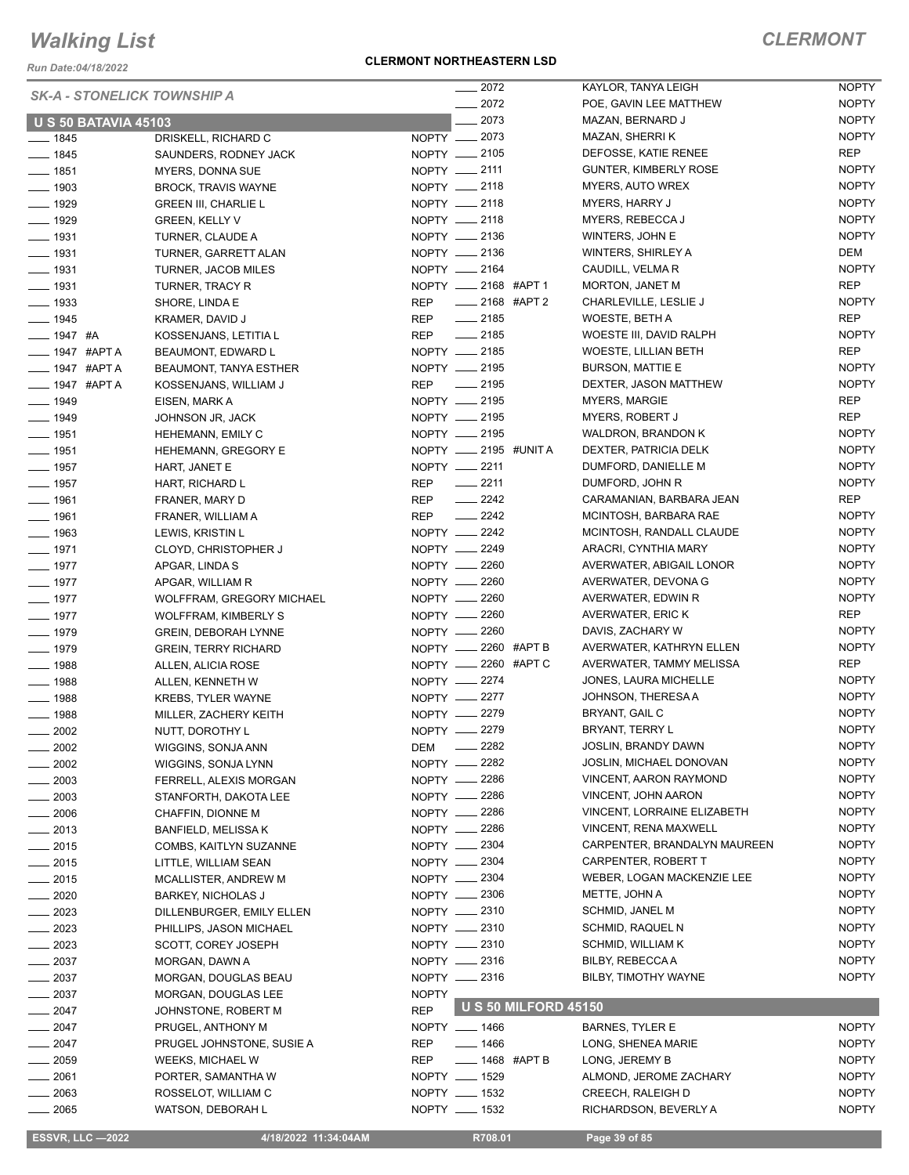*Run Date:04/18/2022*

#### **CLERMONT NORTHEASTERN LSD**

| <b>SK-A - STONELICK TOWNSHIP A</b> |                             |                       | $-2072$                   |                             | KAYLOR, TANYA LEIGH          | <b>NOPTY</b> |
|------------------------------------|-----------------------------|-----------------------|---------------------------|-----------------------------|------------------------------|--------------|
|                                    |                             |                       | $-2072$                   |                             | POE, GAVIN LEE MATTHEW       | <b>NOPTY</b> |
| <b>U S 50 BATAVIA 45103</b>        |                             |                       | $-2073$                   |                             | MAZAN, BERNARD J             | <b>NOPTY</b> |
| $- 1845$                           | DRISKELL, RICHARD C         | NOPTY __ 2073         |                           |                             | MAZAN, SHERRI K              | <b>NOPTY</b> |
| $- 1845$                           | SAUNDERS, RODNEY JACK       | NOPTY - 2105          |                           |                             | DEFOSSE, KATIE RENEE         | REP          |
| $- 1851$                           | MYERS, DONNA SUE            | NOPTY -2111           |                           |                             | <b>GUNTER, KIMBERLY ROSE</b> | <b>NOPTY</b> |
| $- 1903$                           | <b>BROCK, TRAVIS WAYNE</b>  | NOPTY __ 2118         |                           |                             | <b>MYERS, AUTO WREX</b>      | <b>NOPTY</b> |
| $- 1929$                           | <b>GREEN III, CHARLIE L</b> | NOPTY -2118           |                           |                             | <b>MYERS, HARRY J</b>        | <b>NOPTY</b> |
| $\frac{1}{2}$ 1929                 | <b>GREEN, KELLY V</b>       | NOPTY __ 2118         |                           |                             | MYERS, REBECCA J             | <b>NOPTY</b> |
| $\frac{1}{2}$ 1931                 | TURNER, CLAUDE A            | NOPTY -2136           |                           |                             | WINTERS, JOHN E              | <b>NOPTY</b> |
| $\frac{1}{2}$ 1931                 | TURNER, GARRETT ALAN        | NOPTY __ 2136         |                           |                             | WINTERS, SHIRLEY A           | DEM          |
| $\frac{1}{2}$ 1931                 | TURNER, JACOB MILES         | NOPTY __ 2164         |                           |                             | CAUDILL, VELMA R             | <b>NOPTY</b> |
| $- 1931$                           | TURNER, TRACY R             | NOPTY __ 2168 #APT 1  |                           |                             | <b>MORTON, JANET M</b>       | REP          |
| $\frac{1}{2}$ 1933                 | SHORE, LINDA E              | REP                   | _____ 2168 #APT 2         |                             | CHARLEVILLE, LESLIE J        | <b>NOPTY</b> |
| $- 1945$                           | KRAMER, DAVID J             | <b>REP</b>            | $\frac{1}{2185}$          |                             | WOESTE, BETH A               | REP          |
| $- 1947$ #A                        | KOSSENJANS, LETITIA L       | REP __ 2185           |                           |                             | WOESTE III, DAVID RALPH      | <b>NOPTY</b> |
| <b>____ 1947 #APT A</b>            | BEAUMONT, EDWARD L          | NOPTY __ 2185         |                           |                             | WOESTE, LILLIAN BETH         | REP          |
| <b>____ 1947 #APT A</b>            | BEAUMONT, TANYA ESTHER      | NOPTY __ 2195         |                           |                             | <b>BURSON, MATTIE E</b>      | <b>NOPTY</b> |
| <b>____ 1947 #APT A</b>            | KOSSENJANS, WILLIAM J       | <b>REP</b>            | $-2195$                   |                             | DEXTER, JASON MATTHEW        | <b>NOPTY</b> |
| $- 1949$                           | EISEN, MARK A               | NOPTY __ 2195         |                           |                             | <b>MYERS, MARGIE</b>         | REP          |
| $- 1949$                           | JOHNSON JR, JACK            | NOPTY -2195           |                           |                             | <b>MYERS, ROBERT J</b>       | <b>REP</b>   |
| $- 1951$                           | HEHEMANN, EMILY C           | NOPTY __ 2195         |                           |                             | WALDRON, BRANDON K           | <b>NOPTY</b> |
| $- 1951$                           | HEHEMANN, GREGORY E         | NOPTY __ 2195 #UNIT A |                           |                             | DEXTER, PATRICIA DELK        | <b>NOPTY</b> |
| $- 1957$                           | HART, JANET E               | NOPTY __ 2211         |                           |                             | DUMFORD, DANIELLE M          | <b>NOPTY</b> |
| $\frac{1}{2}$ 1957                 | HART, RICHARD L             | <b>REP</b>            | $\frac{1}{2211}$          |                             | DUMFORD, JOHN R              | <b>NOPTY</b> |
| $- 1961$                           | FRANER, MARY D              | REP                   | $-2242$                   |                             | CARAMANIAN, BARBARA JEAN     | <b>REP</b>   |
| $- 1961$                           | FRANER, WILLIAM A           | <b>REP</b>            | $\frac{2242}{2}$          |                             | MCINTOSH, BARBARA RAE        | <b>NOPTY</b> |
| $\frac{1}{2}$ 1963                 | LEWIS, KRISTIN L            | NOPTY -2242           |                           |                             | MCINTOSH, RANDALL CLAUDE     | <b>NOPTY</b> |
| $- 1971$                           | <b>CLOYD, CHRISTOPHER J</b> | NOPTY __ 2249         |                           |                             | ARACRI, CYNTHIA MARY         | <b>NOPTY</b> |
| $- 1977$                           | APGAR, LINDA S              | NOPTY __ 2260         |                           |                             | AVERWATER, ABIGAIL LONOR     | <b>NOPTY</b> |
| $\frac{1}{2}$ 1977                 | APGAR, WILLIAM R            | NOPTY -2260           |                           |                             | AVERWATER, DEVONA G          | <b>NOPTY</b> |
| $- 1977$                           | WOLFFRAM, GREGORY MICHAEL   | NOPTY -2260           |                           |                             | AVERWATER, EDWIN R           | <b>NOPTY</b> |
| $- 1977$                           | <b>WOLFFRAM, KIMBERLY S</b> | NOPTY -2260           |                           |                             | AVERWATER, ERIC K            | REP          |
| $- 1979$                           | <b>GREIN, DEBORAH LYNNE</b> | NOPTY __ 2260         |                           |                             | DAVIS, ZACHARY W             | <b>NOPTY</b> |
| $- 1979$                           | <b>GREIN, TERRY RICHARD</b> | NOPTY __ 2260 #APT B  |                           |                             | AVERWATER, KATHRYN ELLEN     | <b>NOPTY</b> |
| $- 1988$                           | ALLEN, ALICIA ROSE          | NOPTY __ 2260 #APT C  |                           |                             | AVERWATER, TAMMY MELISSA     | REP          |
| $- 1988$                           | ALLEN, KENNETH W            | NOPTY -2274           |                           |                             | JONES, LAURA MICHELLE        | <b>NOPTY</b> |
| $- 1988$                           | <b>KREBS, TYLER WAYNE</b>   | NOPTY -2277           |                           |                             | JOHNSON, THERESA A           | <b>NOPTY</b> |
| $- 1988$                           | MILLER, ZACHERY KEITH       | NOPTY __ 2279         |                           |                             | BRYANT, GAIL C               | <b>NOPTY</b> |
| $-2002$                            | NUTT, DOROTHY L             | NOPTY -2279           |                           |                             | BRYANT, TERRY L              | <b>NOPTY</b> |
| $\frac{1}{2002}$                   | WIGGINS, SONJA ANN          | DEM -2282             |                           |                             | JOSLIN, BRANDY DAWN          | <b>NOPTY</b> |
| $- 2002$                           | WIGGINS, SONJA LYNN         | NOPTY __ 2282         |                           |                             | JOSLIN, MICHAEL DONOVAN      | <b>NOPTY</b> |
| $-2003$                            | FERRELL, ALEXIS MORGAN      | NOPTY __ 2286         |                           |                             | VINCENT, AARON RAYMOND       | <b>NOPTY</b> |
| $\frac{1}{2003}$                   | STANFORTH, DAKOTA LEE       | NOPTY __ 2286         |                           |                             | VINCENT, JOHN AARON          | <b>NOPTY</b> |
| $\frac{1}{2006}$                   | CHAFFIN, DIONNE M           | NOPTY -2286           |                           |                             | VINCENT, LORRAINE ELIZABETH  | <b>NOPTY</b> |
| $-2013$                            | <b>BANFIELD, MELISSA K</b>  | NOPTY -2286           |                           |                             | <b>VINCENT, RENA MAXWELL</b> | <b>NOPTY</b> |
| $-2015$                            | COMBS, KAITLYN SUZANNE      | NOPTY -2304           |                           |                             | CARPENTER, BRANDALYN MAUREEN | <b>NOPTY</b> |
| $-2015$                            | LITTLE, WILLIAM SEAN        | NOPTY -2304           |                           |                             | CARPENTER, ROBERT T          | <b>NOPTY</b> |
| $-2015$                            | <b>MCALLISTER, ANDREW M</b> | NOPTY __ 2304         |                           |                             | WEBER, LOGAN MACKENZIE LEE   | <b>NOPTY</b> |
| $\frac{1}{2020}$                   | <b>BARKEY, NICHOLAS J</b>   | NOPTY -2306           |                           |                             | METTE, JOHN A                | <b>NOPTY</b> |
| $- 2023$                           | DILLENBURGER, EMILY ELLEN   | NOPTY __ 2310         |                           |                             | SCHMID, JANEL M              | <b>NOPTY</b> |
| $\frac{1}{2023}$                   | PHILLIPS, JASON MICHAEL     | NOPTY __ 2310         |                           |                             | SCHMID, RAQUEL N             | <b>NOPTY</b> |
| $-2023$                            | SCOTT, COREY JOSEPH         | NOPTY -2310           |                           |                             | SCHMID, WILLIAM K            | <b>NOPTY</b> |
| $\frac{2037}{20}$                  | MORGAN, DAWN A              | NOPTY __ 2316         |                           |                             | BILBY, REBECCA A             | <b>NOPTY</b> |
| $\frac{1}{2037}$                   | MORGAN, DOUGLAS BEAU        | NOPTY -2316           |                           |                             | BILBY, TIMOTHY WAYNE         | <b>NOPTY</b> |
| $- 2037$                           | MORGAN, DOUGLAS LEE         | <b>NOPTY</b>          |                           |                             |                              |              |
| $-2047$                            | JOHNSTONE, ROBERT M         | <b>REP</b>            |                           | <b>U S 50 MILFORD 45150</b> |                              |              |
| $= 2047$                           | PRUGEL, ANTHONY M           | NOPTY __ 1466         |                           |                             | <b>BARNES, TYLER E</b>       | <b>NOPTY</b> |
| $-2047$                            | PRUGEL JOHNSTONE, SUSIE A   | REP                   | $- 1466$                  |                             | LONG, SHENEA MARIE           | <b>NOPTY</b> |
| $\frac{1}{2059}$                   | WEEKS, MICHAEL W            | REP                   | $\frac{1}{2}$ 1468 #APT B |                             | LONG, JEREMY B               | <b>NOPTY</b> |
| $- 2061$                           | PORTER, SAMANTHA W          | NOPTY __ 1529         |                           |                             | ALMOND, JEROME ZACHARY       | <b>NOPTY</b> |
| $\frac{1}{2063}$                   | ROSSELOT, WILLIAM C         | NOPTY __ 1532         |                           |                             | CREECH, RALEIGH D            | <b>NOPTY</b> |
| $\frac{1}{2065}$                   | WATSON, DEBORAH L           | NOPTY __ 1532         |                           |                             | RICHARDSON, BEVERLY A        | <b>NOPTY</b> |
|                                    |                             |                       |                           |                             |                              |              |
| <b>ESSVR, LLC -2022</b>            | 4/18/2022 11:34:04AM        |                       | R708.01                   |                             | Page 39 of 85                |              |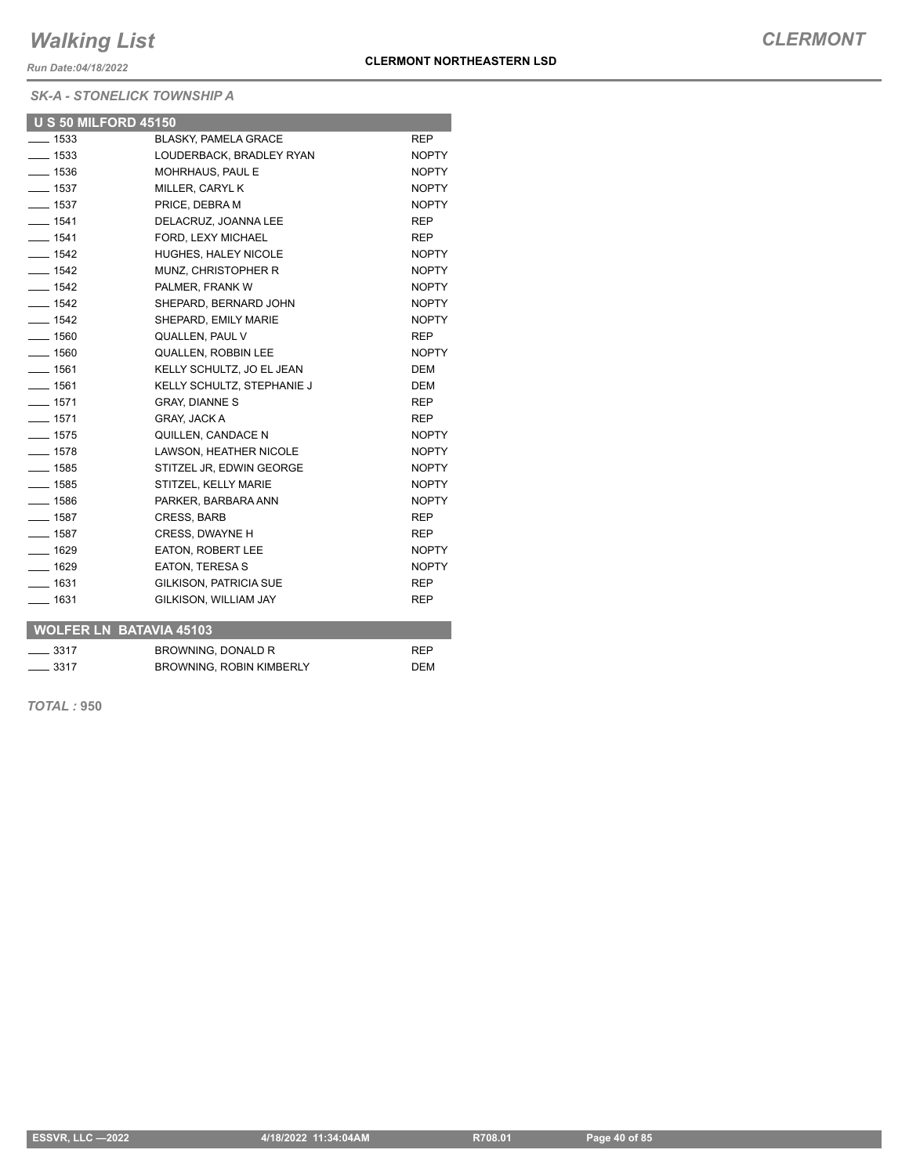*Run Date:04/18/2022*

*SK-A - STONELICK TOWNSHIP A*

| <b>U S 50 MILFORD 45150</b>    |                               |              |
|--------------------------------|-------------------------------|--------------|
| $- 1533$                       | <b>BLASKY, PAMELA GRACE</b>   | <b>REP</b>   |
| $- 1533$                       | LOUDERBACK, BRADLEY RYAN      | <b>NOPTY</b> |
| $- 1536$                       | MOHRHAUS, PAUL E              | <b>NOPTY</b> |
| $- 1537$                       | MILLER, CARYL K               | <b>NOPTY</b> |
| $-1537$                        | PRICE, DEBRA M                | <b>NOPTY</b> |
| $- 1541$                       | DELACRUZ, JOANNA LEE          | <b>REP</b>   |
| $- 1541$                       | FORD, LEXY MICHAEL            | <b>REP</b>   |
| $- 1542$                       | <b>HUGHES, HALEY NICOLE</b>   | <b>NOPTY</b> |
| $- 1542$                       | MUNZ, CHRISTOPHER R           | <b>NOPTY</b> |
| $- 1542$                       | PALMER, FRANK W               | <b>NOPTY</b> |
| $- 1542$                       | SHEPARD, BERNARD JOHN         | <b>NOPTY</b> |
| $- 1542$                       | SHEPARD, EMILY MARIE          | <b>NOPTY</b> |
| $- 1560$                       | QUALLEN, PAUL V               | <b>REP</b>   |
| $- 1560$                       | <b>QUALLEN, ROBBIN LEE</b>    | <b>NOPTY</b> |
| $- 1561$                       | KELLY SCHULTZ, JO EL JEAN     | <b>DEM</b>   |
| $- 1561$                       | KELLY SCHULTZ, STEPHANIE J    | <b>DEM</b>   |
| $- 1571$                       | <b>GRAY, DIANNE S</b>         | <b>REP</b>   |
| $- 1571$                       | <b>GRAY, JACK A</b>           | <b>REP</b>   |
| $-1575$                        | QUILLEN, CANDACE N            | <b>NOPTY</b> |
| $-1578$                        | LAWSON, HEATHER NICOLE        | <b>NOPTY</b> |
| $- 1585$                       | STITZEL JR. EDWIN GEORGE      | <b>NOPTY</b> |
| $- 1585$                       | STITZEL, KELLY MARIE          | <b>NOPTY</b> |
| $- 1586$                       | PARKER, BARBARA ANN           | <b>NOPTY</b> |
| $- 1587$                       | <b>CRESS, BARB</b>            | <b>REP</b>   |
| $- 1587$                       | <b>CRESS, DWAYNE H</b>        | <b>REP</b>   |
| $-1629$                        | <b>EATON. ROBERT LEE</b>      | <b>NOPTY</b> |
| $- 1629$                       | <b>EATON, TERESA S</b>        | <b>NOPTY</b> |
| $- 1631$                       | <b>GILKISON, PATRICIA SUE</b> | <b>REP</b>   |
| $- 1631$                       | GILKISON, WILLIAM JAY         | <b>REP</b>   |
| <b>WOLFER LN BATAVIA 45103</b> |                               |              |
|                                |                               |              |

| $\frac{3317}{2}$ | BROWNING, DONALD R       | <b>RFP</b> |  |  |
|------------------|--------------------------|------------|--|--|
| $\frac{3317}{2}$ | BROWNING, ROBIN KIMBERLY | <b>DEM</b> |  |  |

*TOTAL :* **950**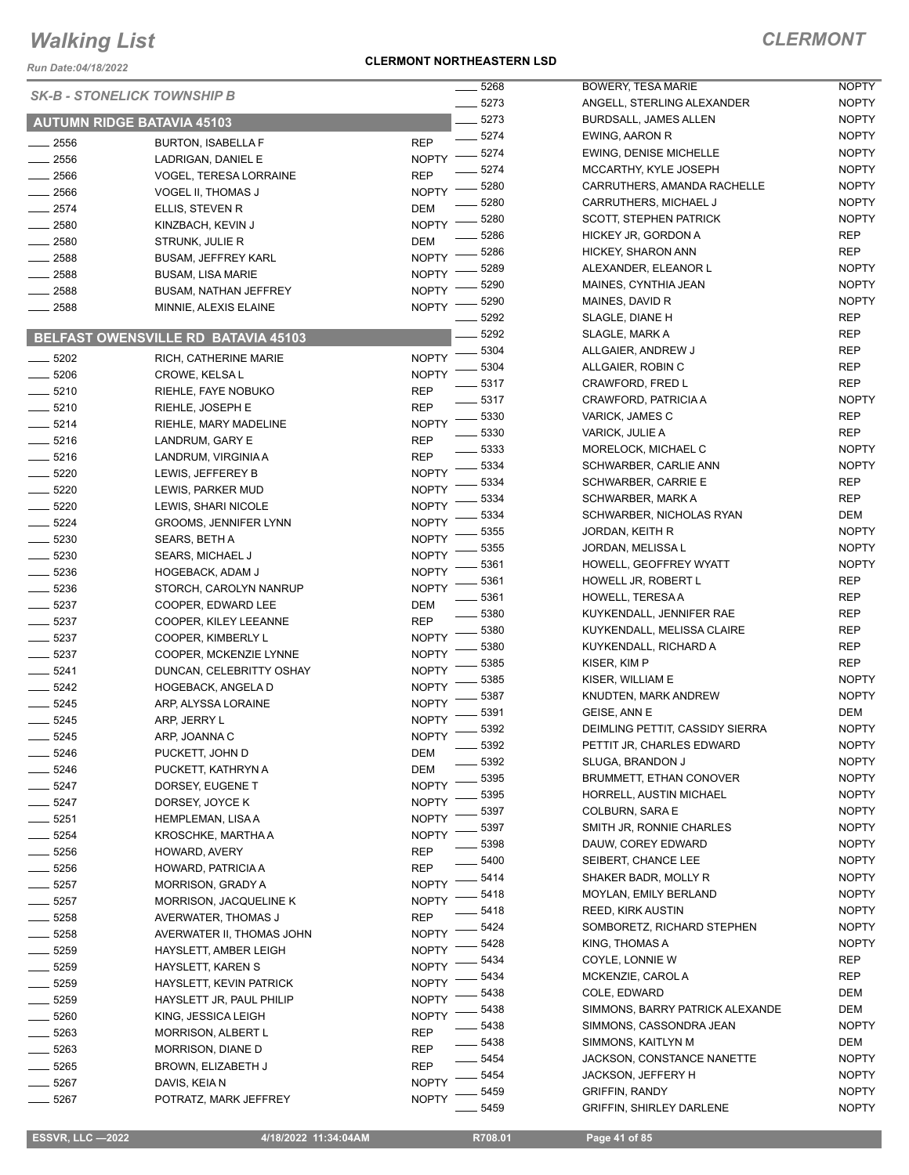*Run Date:04/18/2022*

#### **CLERMONT NORTHEASTERN LSD**

| _ 5268<br><b>SK-B - STONELICK TOWNSHIP B</b> |                                     |              | BO      |                 |
|----------------------------------------------|-------------------------------------|--------------|---------|-----------------|
|                                              |                                     |              | 5273    | <b>AN</b>       |
|                                              | <b>AUTUMN RIDGE BATAVIA 45103</b>   |              | $-5273$ | <b>BUI</b>      |
| 2556                                         | <b>BURTON, ISABELLA F</b>           | REP          | 5274    | EW              |
| 2556                                         | LADRIGAN, DANIEL E                  | <b>NOPTY</b> | 5274    | EW              |
| 2566                                         | <b>VOGEL, TERESA LORRAINE</b>       | REP          | 5274    | MC              |
| . 2566                                       | VOGEL II, THOMAS J                  | <b>NOPTY</b> | 5280    | CAI             |
| $-2574$                                      | ELLIS, STEVEN R                     | DEM          | 5280    | CAI             |
| 2580                                         | KINZBACH, KEVIN J                   | <b>NOPTY</b> | 5280    | <b>SC</b>       |
| 2580                                         | STRUNK, JULIE R                     | DEM          | 5286    | HIC             |
| 2588                                         | <b>BUSAM, JEFFREY KARL</b>          | <b>NOPTY</b> | 5286    | <b>HIC</b>      |
| $-2588$                                      | <b>BUSAM, LISA MARIE</b>            | <b>NOPTY</b> | 5289    | <b>ALE</b>      |
| $-2588$                                      | <b>BUSAM, NATHAN JEFFREY</b>        | <b>NOPTY</b> | 5290    | MA              |
| 2588                                         | MINNIE, ALEXIS ELAINE               | <b>NOPTY</b> | 5290    | MA              |
|                                              |                                     |              | 5292    | SL/             |
|                                              | BELFAST OWENSVILLE RD BATAVIA 45103 |              | 5292    | SL/             |
| $-5202$                                      | RICH, CATHERINE MARIE               | <b>NOPTY</b> | 5304    | <b>ALL</b>      |
| 5206                                         | CROWE, KELSA L                      | <b>NOPTY</b> | 5304    | ALL             |
| $-5210$                                      | RIEHLE, FAYE NOBUKO                 | REP          | 5317    | CR,             |
| $-5210$                                      | RIEHLE, JOSEPH E                    | REP          | 5317    | CR,             |
| $-5214$                                      | RIEHLE, MARY MADELINE               | <b>NOPTY</b> | 5330    | VAF             |
| $-5216$                                      | LANDRUM, GARY E                     | <b>REP</b>   | 5330    | VAF             |
| $-5216$                                      | LANDRUM, VIRGINIA A                 | <b>REP</b>   | 5333    | <b>MO</b>       |
| $-5220$                                      | LEWIS, JEFFEREY B                   | <b>NOPTY</b> | 5334    | SCI             |
| 5220                                         | LEWIS, PARKER MUD                   | <b>NOPTY</b> | 5334    | SCI             |
| $-5220$                                      | LEWIS, SHARI NICOLE                 | <b>NOPTY</b> | 5334    | SCI             |
| $-5224$                                      | <b>GROOMS, JENNIFER LYNN</b>        | <b>NOPTY</b> | 5334    | SCI             |
| $-5230$                                      | SEARS, BETH A                       | <b>NOPTY</b> | 5355    | <b>JOF</b>      |
| 5230                                         | SEARS, MICHAEL J                    | <b>NOPTY</b> | 5355    | <b>JOF</b>      |
| 5236                                         | <b>HOGEBACK, ADAM J</b>             | <b>NOPTY</b> | 5361    | HO              |
| 5236                                         | STORCH, CAROLYN NANRUP              | <b>NOPTY</b> | 5361    | HO              |
| $-5237$                                      | COOPER, EDWARD LEE                  | DEM          | 5361    | HO              |
| _ 5237                                       | COOPER, KILEY LEEANNE               | REP          | 5380    | <b>KU</b>       |
| _ 5237                                       | COOPER, KIMBERLY L                  | <b>NOPTY</b> | 5380    | <b>KU</b>       |
| 5237                                         | COOPER, MCKENZIE LYNNE              | <b>NOPTY</b> | 5380    | KU'             |
| $-5241$                                      | DUNCAN, CELEBRITTY OSHAY            | <b>NOPTY</b> | 5385    | KIS             |
| 5242                                         | <b>HOGEBACK, ANGELA D</b>           | <b>NOPTY</b> | 5385    | KIS             |
| 5245                                         | ARP, ALYSSA LORAINE                 | <b>NOPTY</b> | 5387    | KNI             |
| 5245                                         | ARP, JERRY L                        | <b>NOPTY</b> | 5391    | <b>GEI</b>      |
| $-5245$                                      | ARP, JOANNA C                       | <b>NOPTY</b> | 5392    | DEI             |
| - 5246                                       | PUCKETT, JOHN D                     | DEM          | 5392    | PE <sup>-</sup> |
| 5246                                         | PUCKETT, KATHRYN A                  | DEM          | 5392    | SLl             |
| 5247                                         | DORSEY, EUGENE T                    | <b>NOPTY</b> | 5395    | <b>BRI</b>      |
| 5247                                         | DORSEY, JOYCE K                     | <b>NOPTY</b> | 5395    | HO              |
| 5251                                         | <b>HEMPLEMAN, LISA A</b>            | <b>NOPTY</b> | 5397    | CO              |
| 5254                                         | KROSCHKE, MARTHA A                  | <b>NOPTY</b> | 5397    | SM              |
| 5256                                         | HOWARD, AVERY                       | REP          | 5398    | DAI             |
| 5256                                         | HOWARD, PATRICIA A                  | REP          | 5400    | <b>SEI</b>      |
| 5257                                         | MORRISON, GRADY A                   | <b>NOPTY</b> | 5414    | SH,             |
| 5257                                         | <b>MORRISON, JACQUELINE K</b>       | <b>NOPTY</b> | 5418    | MO              |
| 5258                                         | AVERWATER, THOMAS J                 | REP          | 5418    | <b>REI</b>      |
| 5258                                         | AVERWATER II, THOMAS JOHN           | <b>NOPTY</b> | 5424    | SOI             |
| 5259                                         | HAYSLETT, AMBER LEIGH               | <b>NOPTY</b> | 5428    | <b>KIN</b>      |
| 5259                                         | HAYSLETT, KAREN S                   | <b>NOPTY</b> | 5434    | CO              |
| 5259                                         | HAYSLETT, KEVIN PATRICK             | <b>NOPTY</b> | 5434    | МC              |
| 5259                                         | HAYSLETT JR, PAUL PHILIP            | <b>NOPTY</b> | 5438    | CO              |
| 5260                                         | KING, JESSICA LEIGH                 | <b>NOPTY</b> | 5438    | <b>SIN</b>      |
| 5263                                         | <b>MORRISON, ALBERT L</b>           | REP          | 5438    | <b>SIN</b>      |
| 5263                                         | MORRISON, DIANE D                   | REP          | 5438    | <b>SIN</b>      |
| 5265                                         | BROWN, ELIZABETH J                  | REP          | 5454    | JAC             |
| 5267                                         | DAVIS, KEIA N                       | <b>NOPTY</b> | 5454    | <b>JAC</b>      |
| 5267                                         | POTRATZ, MARK JEFFREY               | <b>NOPTY</b> | 5459    | GR              |
|                                              |                                     |              | 5459    | GR              |

| 5268 | BOWERY, TESA MARIE                                       | NOPTY        |
|------|----------------------------------------------------------|--------------|
| 5273 | ANGELL, STERLING ALEXANDER                               | <b>NOPTY</b> |
| 5273 | BURDSALL, JAMES ALLEN                                    | <b>NOPTY</b> |
| 5274 | <b>EWING, AARON R</b>                                    | <b>NOPTY</b> |
| 5274 | <b>EWING, DENISE MICHELLE</b>                            | <b>NOPTY</b> |
| 5274 | MCCARTHY, KYLE JOSEPH                                    | <b>NOPTY</b> |
| 5280 | CARRUTHERS, AMANDA RACHELLE                              | <b>NOPTY</b> |
| 5280 | CARRUTHERS, MICHAEL J                                    | <b>NOPTY</b> |
| 5280 | <b>SCOTT, STEPHEN PATRICK</b>                            | <b>NOPTY</b> |
| 5286 | HICKEY JR, GORDON A                                      | <b>REP</b>   |
| 5286 | HICKEY, SHARON ANN                                       | <b>REP</b>   |
| 5289 | ALEXANDER, ELEANOR L                                     | <b>NOPTY</b> |
| 5290 | MAINES, CYNTHIA JEAN                                     | <b>NOPTY</b> |
| 5290 | MAINES, DAVID R                                          | <b>NOPTY</b> |
| 5292 | SLAGLE, DIANE H                                          | REP          |
| 5292 | SLAGLE, MARK A                                           | <b>REP</b>   |
| 5304 | ALLGAIER, ANDREW J                                       | <b>REP</b>   |
| 5304 | ALLGAIER, ROBIN C                                        | REP          |
| 5317 | <b>CRAWFORD, FRED L</b>                                  | REP          |
| 5317 | CRAWFORD, PATRICIA A                                     | <b>NOPTY</b> |
| 5330 | VARICK, JAMES C                                          | REP          |
| 5330 | <b>VARICK, JULIE A</b>                                   | REP          |
| 5333 | MORELOCK, MICHAEL C                                      | <b>NOPTY</b> |
| 5334 | SCHWARBER, CARLIE ANN                                    | <b>NOPTY</b> |
| 5334 | <b>SCHWARBER, CARRIE E</b>                               | <b>REP</b>   |
| 5334 | SCHWARBER, MARK A                                        | REP          |
| 5334 | SCHWARBER, NICHOLAS RYAN                                 | DEM          |
| 5355 | JORDAN, KEITH R                                          | <b>NOPTY</b> |
| 5355 | JORDAN, MELISSA L                                        | <b>NOPTY</b> |
| 5361 | HOWELL, GEOFFREY WYATT                                   | <b>NOPTY</b> |
| 5361 | HOWELL JR, ROBERT L                                      | REP          |
| 5361 | <b>HOWELL, TERESA A</b>                                  | REP          |
| 5380 | KUYKENDALL, JENNIFER RAE                                 | REP          |
| 5380 | KUYKENDALL, MELISSA CLAIRE                               | REP          |
| 5380 | KUYKENDALL, RICHARD A                                    | REP          |
| 5385 | KISER, KIM P                                             | <b>REP</b>   |
| 5385 | KISER, WILLIAM E                                         | <b>NOPTY</b> |
| 5387 | KNUDTEN, MARK ANDREW                                     | <b>NOPTY</b> |
| 5391 | GEISE, ANN E                                             | DEM          |
| 5392 | DEIMLING PETTIT, CASSIDY SIERRA                          | NOPTY        |
| 5392 | PETTIT JR, CHARLES EDWARD                                | NOPTY        |
| 5392 | SLUGA, BRANDON J                                         | <b>NOPTY</b> |
| 5395 | <b>BRUMMETT, ETHAN CONOVER</b>                           | <b>NOPTY</b> |
| 5395 | HORRELL, AUSTIN MICHAEL                                  | <b>NOPTY</b> |
| 5397 | COLBURN, SARA E                                          | <b>NOPTY</b> |
| 5397 | SMITH JR, RONNIE CHARLES                                 | <b>NOPTY</b> |
| 5398 | DAUW, COREY EDWARD                                       | <b>NOPTY</b> |
| 5400 | SEIBERT, CHANCE LEE                                      | <b>NOPTY</b> |
| 5414 | SHAKER BADR, MOLLY R                                     | <b>NOPTY</b> |
| 5418 | MOYLAN, EMILY BERLAND                                    | <b>NOPTY</b> |
| 5418 | <b>REED, KIRK AUSTIN</b>                                 | <b>NOPTY</b> |
| 5424 | SOMBORETZ, RICHARD STEPHEN                               | <b>NOPTY</b> |
| 5428 | KING, THOMAS A                                           | NOPTY        |
| 5434 | COYLE, LONNIE W                                          | REP          |
| 5434 | MCKENZIE, CAROL A                                        | <b>REP</b>   |
| 5438 | COLE, EDWARD                                             | DEM          |
| 5438 | SIMMONS, BARRY PATRICK ALEXANDE                          | DEM          |
| 5438 | SIMMONS, CASSONDRA JEAN                                  | <b>NOPTY</b> |
| 5438 | SIMMONS, KAITLYN M                                       | DEM          |
| 5454 | JACKSON, CONSTANCE NANETTE                               | <b>NOPTY</b> |
| 5454 | <b>JACKSON, JEFFERY H</b>                                | <b>NOPTY</b> |
| 5459 | <b>GRIFFIN, RANDY</b><br><b>GRIFFIN, SHIRLEY DARLENE</b> | <b>NOPTY</b> |
| 5459 |                                                          | <b>NOPTY</b> |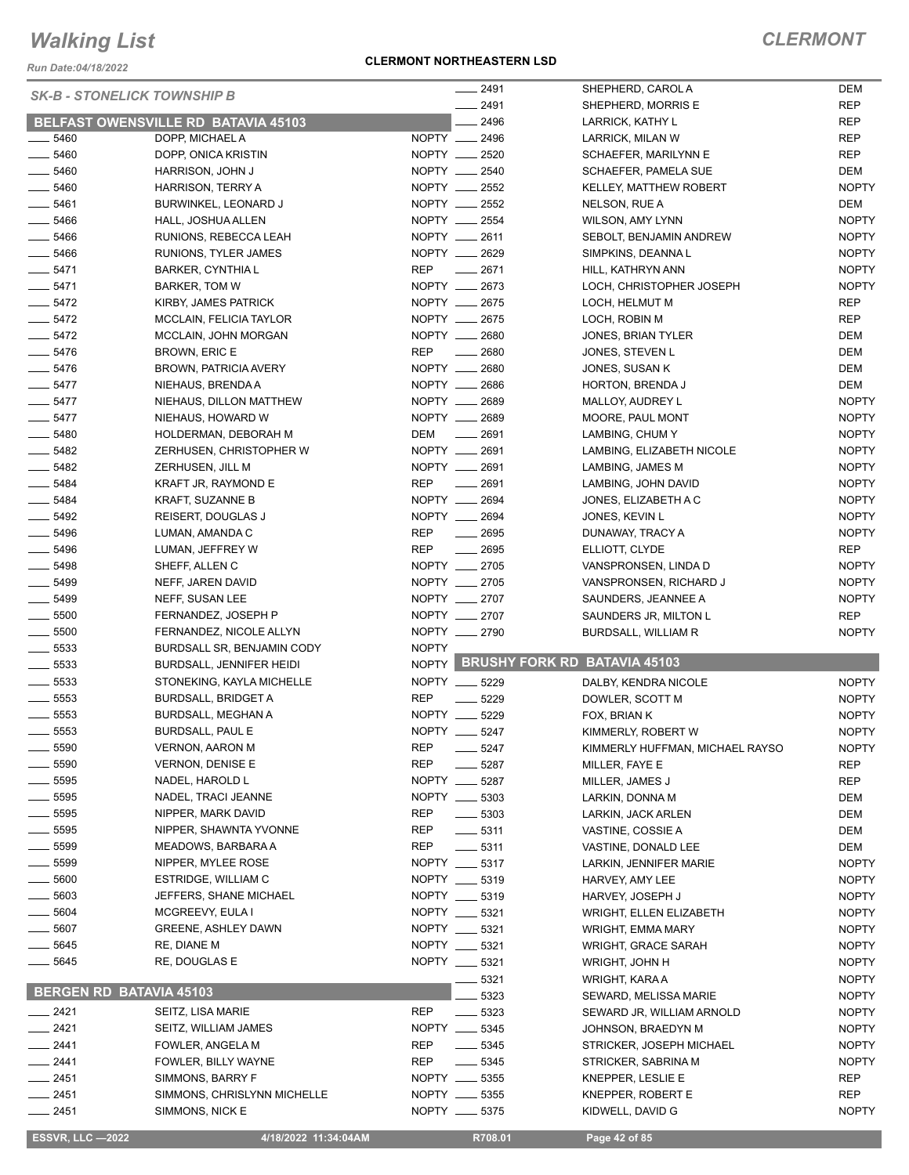*Run Date:04/18/2022*

#### **CLERMONT NORTHEASTERN LSD**

|                                    |                                            |              | 2491             | SHEPHERD, CAROL A                       | <b>DEM</b>   |
|------------------------------------|--------------------------------------------|--------------|------------------|-----------------------------------------|--------------|
| <b>SK-B - STONELICK TOWNSHIP B</b> |                                            |              | 2491             | SHEPHERD, MORRIS E                      | <b>REP</b>   |
|                                    | <b>BELFAST OWENSVILLE RD BATAVIA 45103</b> |              | 2496             | LARRICK, KATHY L                        | <b>REP</b>   |
| 5460                               | DOPP, MICHAEL A                            |              | NOPTY __ 2496    | LARRICK, MILAN W                        | <b>REP</b>   |
| $- 5460$                           | DOPP, ONICA KRISTIN                        |              | NOPTY __ 2520    | SCHAEFER, MARILYNN E                    | <b>REP</b>   |
| 5460                               | HARRISON, JOHN J                           |              | NOPTY __ 2540    | <b>SCHAEFER, PAMELA SUE</b>             | <b>DEM</b>   |
| $\frac{1}{2}$ 5460                 | HARRISON, TERRY A                          |              | NOPTY __ 2552    | <b>KELLEY, MATTHEW ROBERT</b>           | <b>NOPTY</b> |
| 5461                               | BURWINKEL, LEONARD J                       |              | NOPTY __ 2552    | NELSON, RUE A                           | DEM          |
| 5466                               | HALL, JOSHUA ALLEN                         |              | NOPTY __ 2554    | WILSON, AMY LYNN                        | <b>NOPTY</b> |
| $- 5466$                           | RUNIONS, REBECCA LEAH                      |              | NOPTY __ 2611    | SEBOLT, BENJAMIN ANDREW                 | <b>NOPTY</b> |
| $\frac{1}{2}$ 5466                 | RUNIONS, TYLER JAMES                       |              | NOPTY __ 2629    | SIMPKINS, DEANNA L                      | <b>NOPTY</b> |
| $- 5471$                           | <b>BARKER, CYNTHIA L</b>                   | <b>REP</b>   | $-2671$          | HILL, KATHRYN ANN                       | <b>NOPTY</b> |
| $- 5471$                           | <b>BARKER, TOM W</b>                       |              | NOPTY __ 2673    | LOCH, CHRISTOPHER JOSEPH                | <b>NOPTY</b> |
| $- 5472$                           | KIRBY, JAMES PATRICK                       |              | NOPTY __ 2675    | LOCH, HELMUT M                          | <b>REP</b>   |
| $- 5472$                           | MCCLAIN, FELICIA TAYLOR                    |              | NOPTY __ 2675    | LOCH, ROBIN M                           | <b>REP</b>   |
| $-5472$                            | MCCLAIN, JOHN MORGAN                       |              | NOPTY __ 2680    | JONES, BRIAN TYLER                      | DEM          |
| $-5476$                            |                                            | <b>REP</b>   | 2680             |                                         | DEM          |
|                                    | BROWN, ERIC E                              |              |                  | JONES, STEVEN L                         |              |
| $- 5476$                           | <b>BROWN, PATRICIA AVERY</b>               |              | NOPTY __ 2680    | JONES, SUSAN K                          | DEM          |
| $- 5477$                           | NIEHAUS, BRENDA A                          |              | NOPTY __ 2686    | HORTON, BRENDA J                        | DEM          |
| $- 5477$                           | NIEHAUS, DILLON MATTHEW                    |              | NOPTY __ 2689    | MALLOY, AUDREY L                        | <b>NOPTY</b> |
| $-5477$                            | NIEHAUS, HOWARD W                          |              | NOPTY __ 2689    | MOORE, PAUL MONT                        | <b>NOPTY</b> |
| $- 5480$                           | HOLDERMAN, DEBORAH M                       | DEM          | $-2691$          | LAMBING, CHUM Y                         | <b>NOPTY</b> |
| $- 5482$                           | ZERHUSEN, CHRISTOPHER W                    |              | NOPTY __ 2691    | LAMBING, ELIZABETH NICOLE               | <b>NOPTY</b> |
| 5482                               | ZERHUSEN, JILL M                           |              | NOPTY __ 2691    | LAMBING, JAMES M                        | <b>NOPTY</b> |
| $- 5484$                           | KRAFT JR, RAYMOND E                        | <b>REP</b>   | $\frac{1}{2691}$ | LAMBING, JOHN DAVID                     | <b>NOPTY</b> |
| $\frac{1}{2}$ 5484                 | KRAFT, SUZANNE B                           |              | NOPTY __ 2694    | JONES, ELIZABETH A C                    | <b>NOPTY</b> |
| $- 5492$                           | REISERT, DOUGLAS J                         |              | NOPTY __ 2694    | JONES, KEVIN L                          | <b>NOPTY</b> |
| $- 5496$                           | LUMAN, AMANDA C                            | <b>REP</b>   | 2695             | DUNAWAY, TRACY A                        | <b>NOPTY</b> |
| 5496                               | LUMAN, JEFFREY W                           | <b>REP</b>   | 2695             | ELLIOTT, CLYDE                          | <b>REP</b>   |
| $- 5498$                           | SHEFF, ALLEN C                             |              | NOPTY __ 2705    | VANSPRONSEN, LINDA D                    | <b>NOPTY</b> |
| 5499                               | NEFF, JAREN DAVID                          |              | NOPTY __ 2705    | VANSPRONSEN, RICHARD J                  | <b>NOPTY</b> |
| $\frac{1}{2}$ 5499                 | NEFF, SUSAN LEE                            |              | NOPTY __ 2707    | SAUNDERS, JEANNEE A                     | <b>NOPTY</b> |
| $\frac{1}{2}$ 5500                 | FERNANDEZ, JOSEPH P                        |              | NOPTY __ 2707    | SAUNDERS JR, MILTON L                   | <b>REP</b>   |
| 5500                               | FERNANDEZ, NICOLE ALLYN                    |              | NOPTY __ 2790    | BURDSALL, WILLIAM R                     | <b>NOPTY</b> |
| $\frac{1}{2}$ 5533                 | BURDSALL SR, BENJAMIN CODY                 | <b>NOPTY</b> |                  |                                         |              |
| 5533                               | BURDSALL, JENNIFER HEIDI                   | NOPTY        |                  | <b>BRUSHY FORK RD BATAVIA 45103</b>     |              |
| $\frac{1}{2}$ 5533                 | STONEKING, KAYLA MICHELLE                  |              | NOPTY __ 5229    | DALBY, KENDRA NICOLE                    | <b>NOPTY</b> |
| $\frac{1}{2}$ 5553                 | <b>BURDSALL, BRIDGET A</b>                 | <b>REP</b>   | 5229             | DOWLER, SCOTT M                         | <b>NOPTY</b> |
| 5553                               | BURDSALL, MEGHAN A                         | NOPTY        | 5229             | FOX, BRIAN K                            | <b>NOPTY</b> |
| 5553                               | <b>BURDSALL, PAUL E</b>                    |              | NOPTY __ 5247    | KIMMERLY, ROBERT W                      | <b>NOPTY</b> |
| 5590                               | <b>VERNON, AARON M</b>                     | <b>REP</b>   | 5247             | KIMMERLY HUFFMAN, MICHAEL RAYSO         | <b>NOPTY</b> |
| 5590                               | <b>VERNON, DENISE E</b>                    | <b>REP</b>   | 5287             | MILLER, FAYE E                          | REP          |
| 5595                               | NADEL, HAROLD L                            | NOPTY ___    | 5287             | MILLER, JAMES J                         | REP          |
| $-5595$                            | NADEL, TRACI JEANNE                        |              | NOPTY __ 5303    | LARKIN, DONNA M                         | DEM          |
| __ 5595                            | NIPPER, MARK DAVID                         | <b>REP</b>   | 5303             |                                         |              |
| 5595                               | NIPPER, SHAWNTA YVONNE                     | <b>REP</b>   |                  | LARKIN, JACK ARLEN<br>VASTINE, COSSIE A | DEM          |
| $=$ 5599                           | MEADOWS, BARBARA A                         | <b>REP</b>   | $-5311$<br>5311  |                                         | DEM          |
|                                    |                                            |              |                  | VASTINE, DONALD LEE                     | DEM          |
| 5599                               | NIPPER, MYLEE ROSE                         |              | NOPTY __ 5317    | LARKIN, JENNIFER MARIE                  | <b>NOPTY</b> |
| 5600                               | ESTRIDGE, WILLIAM C                        |              | NOPTY __ 5319    | HARVEY, AMY LEE                         | <b>NOPTY</b> |
| 5603                               | JEFFERS, SHANE MICHAEL                     | NOPTY __     | 5319             | HARVEY, JOSEPH J                        | <b>NOPTY</b> |
| 5604                               | MCGREEVY, EULA I                           |              | NOPTY __ 5321    | <b>WRIGHT, ELLEN ELIZABETH</b>          | <b>NOPTY</b> |
| 5607                               | <b>GREENE, ASHLEY DAWN</b>                 | NOPTY __     | 5321             | WRIGHT, EMMA MARY                       | <b>NOPTY</b> |
| 5645                               | RE, DIANE M                                | NOPTY ___    | 5321             | WRIGHT, GRACE SARAH                     | <b>NOPTY</b> |
| 5645                               | RE, DOUGLAS E                              |              | NOPTY __ 5321    | WRIGHT, JOHN H                          | <b>NOPTY</b> |
|                                    |                                            |              | 5321             | WRIGHT, KARA A                          | <b>NOPTY</b> |
| <b>BERGEN RD BATAVIA 45103</b>     |                                            |              | 5323             | SEWARD, MELISSA MARIE                   | <b>NOPTY</b> |
| $- 2421$                           | SEITZ, LISA MARIE                          | <b>REP</b>   | 5323             | SEWARD JR, WILLIAM ARNOLD               | <b>NOPTY</b> |
| _ 2421                             | SEITZ, WILLIAM JAMES                       |              | NOPTY __ 5345    | JOHNSON, BRAEDYN M                      | <b>NOPTY</b> |
| __ 2441                            | FOWLER, ANGELA M                           | REP          | 5345             | STRICKER, JOSEPH MICHAEL                | <b>NOPTY</b> |
| _ 2441                             | FOWLER, BILLY WAYNE                        | <b>REP</b>   | 5345             | STRICKER, SABRINA M                     | <b>NOPTY</b> |
| $-2451$                            | SIMMONS, BARRY F                           |              | NOPTY __ 5355    | KNEPPER, LESLIE E                       | REP          |
| $-2451$                            | SIMMONS, CHRISLYNN MICHELLE                |              | NOPTY __ 5355    | KNEPPER, ROBERT E                       | REP          |
| $- 2451$                           | SIMMONS, NICK E                            |              | NOPTY __ 5375    | KIDWELL, DAVID G                        | <b>NOPTY</b> |
|                                    |                                            |              |                  |                                         |              |
| <b>ESSVR, LLC -2022</b>            | 4/18/2022 11:34:04AM                       |              | R708.01          | Page 42 of 85                           |              |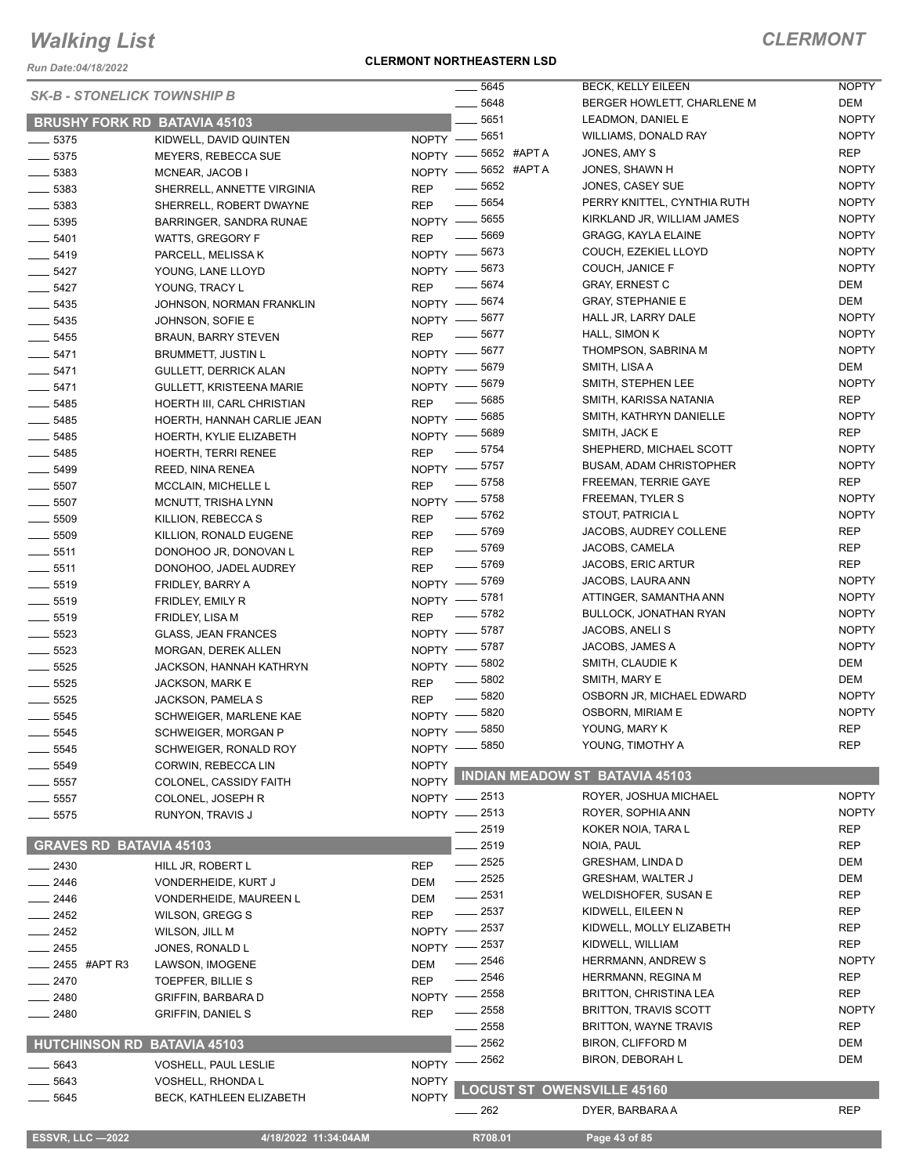*Run Date:04/18/2022*

#### **CLERMONT NORTHEASTERN LSD**

| <b>ERMON</b> |  |
|--------------|--|
|--------------|--|

NOPTY

|                                | <b>SK-B - STONELICK TOWNSHIP B</b>  | $\frac{1}{2}$ 5645                     |         | <b>BECK, KELLY EILEEN</b>             | <b>NOPTY</b> |
|--------------------------------|-------------------------------------|----------------------------------------|---------|---------------------------------------|--------------|
|                                |                                     |                                        | - 5648  | BERGER HOWLETT, CHARLENE M            | DEM          |
|                                | <b>BRUSHY FORK RD BATAVIA 45103</b> |                                        | 5651    | LEADMON, DANIEL E                     | <b>NOPTY</b> |
| $\frac{1}{2}$ 5375             | KIDWELL, DAVID QUINTEN              | NOPTY -8651                            |         | WILLIAMS, DONALD RAY                  | <b>NOPTY</b> |
| $-5375$                        | MEYERS, REBECCA SUE                 | NOPTY -6652 #APTA                      |         | JONES, AMY S                          | <b>REP</b>   |
| $\frac{1}{2}$ 5383             | MCNEAR, JACOB I                     | NOPTY -8652 #APTA                      |         | JONES, SHAWN H                        | <b>NOPTY</b> |
| $\frac{1}{2}$ 5383             | SHERRELL, ANNETTE VIRGINIA          | <b>REP</b>                             | __ 5652 | JONES, CASEY SUE                      | <b>NOPTY</b> |
| $\frac{1}{2}$ 5383             | SHERRELL, ROBERT DWAYNE             | $\frac{1}{2}$ 5654<br><b>REP</b>       |         | PERRY KNITTEL, CYNTHIA RUTH           | <b>NOPTY</b> |
| $\frac{1}{2}$ 5395             | BARRINGER, SANDRA RUNAE             | NOPTY -8655                            |         | KIRKLAND JR, WILLIAM JAMES            | <b>NOPTY</b> |
| $- 5401$                       | WATTS, GREGORY F                    | $\frac{1}{2}$ 5669<br><b>REP</b>       |         | <b>GRAGG, KAYLA ELAINE</b>            | <b>NOPTY</b> |
| $- 5419$                       | PARCELL, MELISSA K                  | NOPTY -8673                            |         | COUCH, EZEKIEL LLOYD                  | <b>NOPTY</b> |
| $\frac{1}{2}$ 5427             | YOUNG, LANE LLOYD                   | NOPTY -8673                            |         | COUCH, JANICE F                       | <b>NOPTY</b> |
| $- 5427$                       | YOUNG, TRACY L                      | $\frac{1}{2}$ 5674<br><b>REP</b>       |         | <b>GRAY, ERNEST C</b>                 | DEM          |
| $\frac{1}{2}$ 5435             | JOHNSON, NORMAN FRANKLIN            | NOPTY - 5674                           |         | <b>GRAY, STEPHANIE E</b>              | DEM          |
| $\frac{1}{2}$ 5435             | JOHNSON, SOFIE E                    | NOPTY -8677                            |         | HALL JR, LARRY DALE                   | <b>NOPTY</b> |
| $\frac{1}{2}$ 5455             | <b>BRAUN, BARRY STEVEN</b>          | $- 5677$<br><b>REP</b>                 |         | HALL, SIMON K                         | <b>NOPTY</b> |
| $- 5471$                       | BRUMMETT, JUSTIN L                  | NOPTY -8677                            |         | THOMPSON, SABRINA M                   | <b>NOPTY</b> |
| $-5471$                        | <b>GULLETT, DERRICK ALAN</b>        | NOPTY -8679                            |         | SMITH, LISA A                         | DEM          |
| $- 5471$                       | <b>GULLETT, KRISTEENA MARIE</b>     | $NOPTY$ –                              | 5679    | SMITH, STEPHEN LEE                    | <b>NOPTY</b> |
| $- 5485$                       | HOERTH III, CARL CHRISTIAN          | <b>REP</b><br>$\overline{\phantom{m}}$ | 5685    | SMITH, KARISSA NATANIA                | REP          |
| $- 5485$                       | HOERTH, HANNAH CARLIE JEAN          | NOPTY - 5685                           |         | SMITH, KATHRYN DANIELLE               | <b>NOPTY</b> |
| $\frac{1}{2}$ 5485             | HOERTH, KYLIE ELIZABETH             | NOPTY - 5689                           |         | SMITH, JACK E                         | REP          |
| $- 5485$                       | <b>HOERTH, TERRI RENEE</b>          | $\frac{1}{2}$ 5754<br><b>REP</b>       |         | SHEPHERD, MICHAEL SCOTT               | <b>NOPTY</b> |
| $\frac{1}{2}$ 5499             | REED, NINA RENEA                    | NOPTY -8757                            |         | <b>BUSAM, ADAM CHRISTOPHER</b>        | <b>NOPTY</b> |
| $\frac{1}{2}$ 5507             | MCCLAIN, MICHELLE L                 | $\frac{1}{2}$ 5758<br><b>REP</b>       |         | FREEMAN, TERRIE GAYE                  | REP          |
| $\frac{1}{2}$ 5507             | MCNUTT, TRISHA LYNN                 | NOPTY -8758                            |         | FREEMAN, TYLER S                      | <b>NOPTY</b> |
| $\frac{1}{2}$ 5509             | KILLION, REBECCA S                  | $- 5762$<br>REP                        |         | STOUT, PATRICIA L                     | <b>NOPTY</b> |
| $\frac{1}{2}$ 5509             | KILLION, RONALD EUGENE              | $\frac{1}{2}$ 5769<br><b>REP</b>       |         | JACOBS, AUDREY COLLENE                | REP          |
| $\frac{1}{2}$ 5511             | DONOHOO JR, DONOVAN L               | $\frac{1}{2}$ 5769<br><b>REP</b>       |         | JACOBS, CAMELA                        | <b>REP</b>   |
| $- 5511$                       | DONOHOO, JADEL AUDREY               | $\frac{1}{2}$ 5769<br><b>REP</b>       |         | JACOBS, ERIC ARTUR                    | <b>REP</b>   |
| $\frac{1}{2}$ 5519             | FRIDLEY, BARRY A                    | NOPTY -8769                            |         | JACOBS, LAURA ANN                     | <b>NOPTY</b> |
| $\frac{1}{2}$ 5519             | FRIDLEY, EMILY R                    | NOPTY -8781                            |         | ATTINGER, SAMANTHA ANN                | <b>NOPTY</b> |
| $\frac{1}{2}$ 5519             | FRIDLEY, LISA M                     | $\frac{1}{2}$ 5782<br><b>REP</b>       |         | BULLOCK, JONATHAN RYAN                | <b>NOPTY</b> |
| $- 5523$                       | <b>GLASS, JEAN FRANCES</b>          | NOPTY -8787                            |         | JACOBS, ANELI S                       | <b>NOPTY</b> |
| $- 5523$                       | MORGAN, DEREK ALLEN                 | NOPTY -8787                            |         | JACOBS, JAMES A                       | <b>NOPTY</b> |
| $\frac{1}{2}$ 5525             | JACKSON, HANNAH KATHRYN             | NOPTY -8802                            |         | SMITH, CLAUDIE K                      | DEM          |
| $\frac{1}{2}$ 5525             | JACKSON, MARK E                     | $\frac{1}{2}$ 5802<br>REP              |         | SMITH, MARY E                         | DEM          |
| $\frac{1}{2}$ 5525             | JACKSON, PAMELA S                   | $- 5820$<br><b>REP</b>                 |         | OSBORN JR, MICHAEL EDWARD             | <b>NOPTY</b> |
| $\frac{1}{2}$ 5545             | SCHWEIGER, MARLENE KAE              | $NOPTY$ —                              | 5820    | OSBORN, MIRIAM E                      | <b>NOPTY</b> |
| $\frac{1}{2}$ 5545             | SCHWEIGER, MORGAN P                 | NOPTY -8850                            |         | YOUNG, MARY K                         | REP          |
| 5545                           | SCHWEIGER, RONALD ROY               | NOPTY -8850                            |         | YOUNG, TIMOTHY A                      | <b>REP</b>   |
| 5549                           | CORWIN, REBECCA LIN                 | <b>NOPTY</b>                           |         | <b>INDIAN MEADOW ST BATAVIA 45103</b> |              |
| 5557                           | COLONEL, CASSIDY FAITH              | <b>NOPTY</b>                           |         |                                       |              |
| 5557                           | COLONEL, JOSEPH R                   | NOPTY -2513                            |         | ROYER, JOSHUA MICHAEL                 | <b>NOPTY</b> |
| 5575                           | RUNYON, TRAVIS J                    | NOPTY -2513                            |         | ROYER, SOPHIA ANN                     | <b>NOPTY</b> |
|                                |                                     |                                        | 2519    | KOKER NOIA, TARA L                    | REP          |
| <b>GRAVES RD BATAVIA 45103</b> |                                     |                                        | 2519    | NOIA, PAUL                            | REP          |
| $-2430$                        | HILL JR, ROBERT L                   | <b>REP</b>                             | $-2525$ | <b>GRESHAM, LINDA D</b>               | DEM          |
| $= 2446$                       | VONDERHEIDE, KURT J                 | $-2525$<br>DEM                         |         | <b>GRESHAM, WALTER J</b>              | DEM          |
| 2446                           | VONDERHEIDE, MAUREEN L              | $-2531$<br>DEM                         |         | WELDISHOFER, SUSAN E                  | <b>REP</b>   |
| 2452                           | <b>WILSON, GREGG S</b>              | REP                                    | $-2537$ | KIDWELL, EILEEN N                     | <b>REP</b>   |
| . 2452                         | WILSON, JILL M                      | <b>NOPTY</b>                           | $-2537$ | KIDWELL, MOLLY ELIZABETH              | <b>REP</b>   |
| 2455                           | JONES, RONALD L                     | NOPTY                                  | - 2537  | KIDWELL, WILLIAM                      | REP          |
| _ 2455 #APT R3                 | LAWSON, IMOGENE                     | DEM                                    | 2546    | HERRMANN, ANDREW S                    | <b>NOPTY</b> |
| $-2470$                        | TOEPFER, BILLIE S                   | <b>REP</b>                             | 2546    | HERRMANN, REGINA M                    | <b>REP</b>   |
| 2480                           | GRIFFIN, BARBARA D                  | NOPTY -                                | $=2558$ | BRITTON, CHRISTINA LEA                | REP          |
| $-2480$                        | <b>GRIFFIN, DANIEL S</b>            | <b>REP</b>                             | $-2558$ | <b>BRITTON, TRAVIS SCOTT</b>          | <b>NOPTY</b> |
|                                |                                     |                                        | 2558    | <b>BRITTON, WAYNE TRAVIS</b>          | REP          |
|                                | HUTCHINSON RD BATAVIA 45103         |                                        | 2562    | BIRON, CLIFFORD M                     | DEM          |
| 5643                           | <b>VOSHELL, PAUL LESLIE</b>         | <b>NOPTY</b>                           | 2562    | BIRON, DEBORAH L                      | DEM          |
| 5643                           | VOSHELL, RHONDA L                   | <b>NOPTY</b>                           |         | <b>LOCUST ST OWENSVILLE 45160</b>     |              |
| 5645                           | BECK, KATHLEEN ELIZABETH            | <b>NOPTY</b>                           |         |                                       |              |
|                                |                                     | $-262$                                 |         | DYER, BARBARA A                       | <b>REP</b>   |
| <b>ESSVR, LLC -2022</b>        | 4/18/2022 11:34:04AM                |                                        | R708.01 | Page 43 of 85                         |              |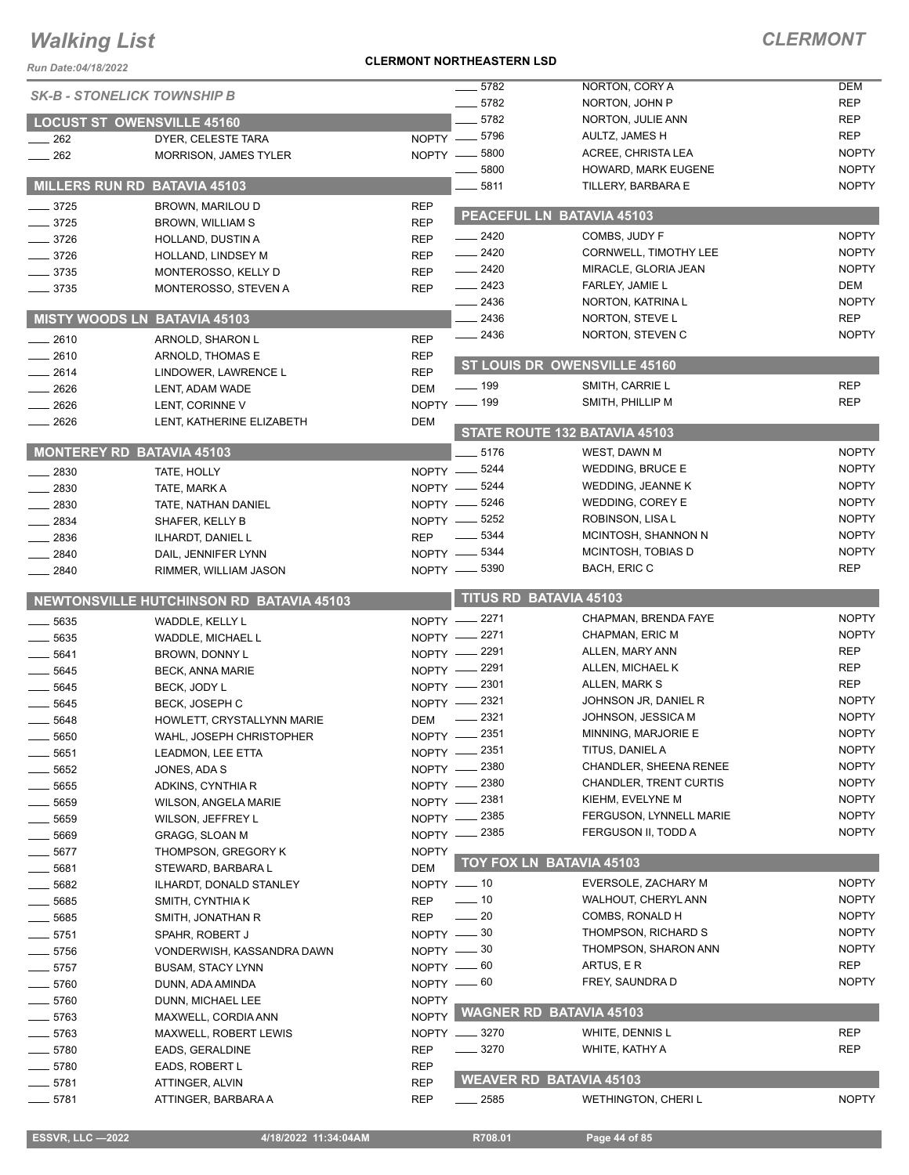| <b>ESSVR, LLC -2022</b> | 4/18/2022 11:34:04AM | R708.01 | Page 44 of $85$ |
|-------------------------|----------------------|---------|-----------------|

*Run Date:04/18/2022*

#### **CLERMONT NORTHEASTERN LSD**

| <b>CLERMONT</b> |
|-----------------|
|                 |

| $-5782$<br>NORTON, CORY A<br><b>SK-B - STONELICK TOWNSHIP B</b>                                                                                                                                                                                                                                                                                                                                                                                                                                                                                         | <b>DEM</b>   |
|---------------------------------------------------------------------------------------------------------------------------------------------------------------------------------------------------------------------------------------------------------------------------------------------------------------------------------------------------------------------------------------------------------------------------------------------------------------------------------------------------------------------------------------------------------|--------------|
| $-5782$<br>NORTON, JOHN P                                                                                                                                                                                                                                                                                                                                                                                                                                                                                                                               | <b>REP</b>   |
| 5782<br>NORTON, JULIE ANN<br><b>LOCUST ST OWENSVILLE 45160</b>                                                                                                                                                                                                                                                                                                                                                                                                                                                                                          | <b>REP</b>   |
| NOPTY -8796<br>AULTZ, JAMES H<br>$\sim$ 262<br>DYER, CELESTE TARA                                                                                                                                                                                                                                                                                                                                                                                                                                                                                       | <b>REP</b>   |
| 5800<br>ACREE, CHRISTA LEA<br>NOPTY -<br>$\equiv$ 262<br><b>MORRISON, JAMES TYLER</b>                                                                                                                                                                                                                                                                                                                                                                                                                                                                   | <b>NOPTY</b> |
| 5800<br>HOWARD, MARK EUGENE                                                                                                                                                                                                                                                                                                                                                                                                                                                                                                                             | <b>NOPTY</b> |
| MILLERS RUN RD BATAVIA 45103<br>5811<br>TILLERY, BARBARA E                                                                                                                                                                                                                                                                                                                                                                                                                                                                                              | <b>NOPTY</b> |
| $- 3725$<br><b>REP</b><br>BROWN, MARILOU D<br>PEACEFUL LN BATAVIA 45103                                                                                                                                                                                                                                                                                                                                                                                                                                                                                 |              |
| $- 3725$<br><b>REP</b><br>BROWN, WILLIAM S                                                                                                                                                                                                                                                                                                                                                                                                                                                                                                              |              |
| $\sim$ 2420<br>COMBS, JUDY F<br>$-3726$<br><b>REP</b><br>HOLLAND, DUSTIN A                                                                                                                                                                                                                                                                                                                                                                                                                                                                              | <b>NOPTY</b> |
| $-2420$<br><b>CORNWELL, TIMOTHY LEE</b><br>$- 3726$<br><b>REP</b><br>HOLLAND, LINDSEY M                                                                                                                                                                                                                                                                                                                                                                                                                                                                 | <b>NOPTY</b> |
| $-2420$<br>MIRACLE, GLORIA JEAN<br>$-3735$<br><b>REP</b><br>MONTEROSSO, KELLY D                                                                                                                                                                                                                                                                                                                                                                                                                                                                         | <b>NOPTY</b> |
| $-2423$<br>FARLEY, JAMIE L<br>$- 3735$<br>MONTEROSSO, STEVEN A<br><b>REP</b>                                                                                                                                                                                                                                                                                                                                                                                                                                                                            | DEM          |
| $-2436$<br>NORTON, KATRINA L                                                                                                                                                                                                                                                                                                                                                                                                                                                                                                                            | <b>NOPTY</b> |
| 2436<br><b>MISTY WOODS LN BATAVIA 45103</b><br>NORTON, STEVE L                                                                                                                                                                                                                                                                                                                                                                                                                                                                                          | <b>REP</b>   |
| $\frac{2436}{5}$<br>NORTON, STEVEN C<br>$-2610$<br><b>REP</b><br>ARNOLD, SHARON L                                                                                                                                                                                                                                                                                                                                                                                                                                                                       | <b>NOPTY</b> |
| $-2610$<br><b>REP</b><br>ARNOLD, THOMAS E                                                                                                                                                                                                                                                                                                                                                                                                                                                                                                               |              |
| ST LOUIS DR OWENSVILLE 45160<br>$-2614$<br><b>REP</b><br>LINDOWER, LAWRENCE L                                                                                                                                                                                                                                                                                                                                                                                                                                                                           |              |
| $- 199$<br>SMITH, CARRIE L<br><b>DEM</b><br>$-2626$<br>LENT, ADAM WADE                                                                                                                                                                                                                                                                                                                                                                                                                                                                                  | <b>REP</b>   |
| NOPTY - 199<br>SMITH, PHILLIP M<br>$-2626$<br>LENT, CORINNE V                                                                                                                                                                                                                                                                                                                                                                                                                                                                                           | <b>REP</b>   |
| $-2626$<br>LENT, KATHERINE ELIZABETH<br>DEM                                                                                                                                                                                                                                                                                                                                                                                                                                                                                                             |              |
| STATE ROUTE 132 BATAVIA 45103                                                                                                                                                                                                                                                                                                                                                                                                                                                                                                                           |              |
| <b>MONTEREY RD BATAVIA 45103</b><br>5176<br>WEST, DAWN M                                                                                                                                                                                                                                                                                                                                                                                                                                                                                                | <b>NOPTY</b> |
| NOPTY -8244<br><b>WEDDING, BRUCE E</b><br>2830<br>TATE, HOLLY                                                                                                                                                                                                                                                                                                                                                                                                                                                                                           | <b>NOPTY</b> |
| NOPTY -8244<br>WEDDING, JEANNE K<br>2830<br>TATE, MARK A                                                                                                                                                                                                                                                                                                                                                                                                                                                                                                | <b>NOPTY</b> |
| NOPTY -8246<br>WEDDING, COREY E<br>2830<br>TATE, NATHAN DANIEL                                                                                                                                                                                                                                                                                                                                                                                                                                                                                          | <b>NOPTY</b> |
| NOPTY -8252<br>ROBINSON, LISA L<br>$-2834$<br>SHAFER, KELLY B                                                                                                                                                                                                                                                                                                                                                                                                                                                                                           | <b>NOPTY</b> |
| 5344<br>MCINTOSH, SHANNON N<br>$-2836$<br><b>REP</b><br>$\frac{1}{2} \left( \frac{1}{2} \right) \left( \frac{1}{2} \right) \left( \frac{1}{2} \right) \left( \frac{1}{2} \right) \left( \frac{1}{2} \right) \left( \frac{1}{2} \right) \left( \frac{1}{2} \right) \left( \frac{1}{2} \right) \left( \frac{1}{2} \right) \left( \frac{1}{2} \right) \left( \frac{1}{2} \right) \left( \frac{1}{2} \right) \left( \frac{1}{2} \right) \left( \frac{1}{2} \right) \left( \frac{1}{2} \right) \left( \frac{1}{2} \right) \left( \frac$<br>ILHARDT, DANIEL L | <b>NOPTY</b> |
| NOPTY - 5344<br>MCINTOSH, TOBIAS D<br>2840<br>DAIL, JENNIFER LYNN                                                                                                                                                                                                                                                                                                                                                                                                                                                                                       | <b>NOPTY</b> |
| NOPTY -8390<br>BACH, ERIC C<br>$-2840$<br>RIMMER, WILLIAM JASON                                                                                                                                                                                                                                                                                                                                                                                                                                                                                         | <b>REP</b>   |
|                                                                                                                                                                                                                                                                                                                                                                                                                                                                                                                                                         |              |
|                                                                                                                                                                                                                                                                                                                                                                                                                                                                                                                                                         |              |
| <b>TITUS RD BATAVIA 45103</b><br>NEWTONSVILLE HUTCHINSON RD BATAVIA 45103                                                                                                                                                                                                                                                                                                                                                                                                                                                                               |              |
| NOPTY -2271<br>CHAPMAN, BRENDA FAYE<br>5635<br>WADDLE, KELLY L                                                                                                                                                                                                                                                                                                                                                                                                                                                                                          | <b>NOPTY</b> |
| NOPTY -2271<br>CHAPMAN, ERIC M<br>5635<br>WADDLE, MICHAEL L                                                                                                                                                                                                                                                                                                                                                                                                                                                                                             | <b>NOPTY</b> |
| NOPTY -2291<br>ALLEN, MARY ANN<br>5641<br>BROWN, DONNY L                                                                                                                                                                                                                                                                                                                                                                                                                                                                                                | <b>REP</b>   |
| NOPTY -2291<br>ALLEN, MICHAEL K<br>$-5645$<br><b>BECK, ANNA MARIE</b>                                                                                                                                                                                                                                                                                                                                                                                                                                                                                   | <b>REP</b>   |
| NOPTY -2301<br>ALLEN, MARK S<br>5645<br>BECK, JODY L                                                                                                                                                                                                                                                                                                                                                                                                                                                                                                    | <b>REP</b>   |
| NOPTY -2321<br>JOHNSON JR, DANIEL R<br>5645<br><b>BECK, JOSEPH C</b>                                                                                                                                                                                                                                                                                                                                                                                                                                                                                    | <b>NOPTY</b> |
| 2321<br>JOHNSON, JESSICA M<br>5648<br>DEM<br>HOWLETT, CRYSTALLYNN MARIE                                                                                                                                                                                                                                                                                                                                                                                                                                                                                 | <b>NOPTY</b> |
| 2351<br>MINNING, MARJORIE E<br>$N$ OPTY $-$<br>$\frac{1}{2}$ 5650<br>WAHL, JOSEPH CHRISTOPHER                                                                                                                                                                                                                                                                                                                                                                                                                                                           | <b>NOPTY</b> |
| NOPTY -2351<br>TITUS, DANIEL A<br>____ 5651<br>LEADMON, LEE ETTA                                                                                                                                                                                                                                                                                                                                                                                                                                                                                        | <b>NOPTY</b> |
| NOPTY -2380<br>CHANDLER, SHEENA RENEE<br>$- 5652$<br>JONES, ADA S                                                                                                                                                                                                                                                                                                                                                                                                                                                                                       | <b>NOPTY</b> |
| <b>CHANDLER, TRENT CURTIS</b><br>NOPTY -2380<br>5655<br>ADKINS, CYNTHIA R                                                                                                                                                                                                                                                                                                                                                                                                                                                                               | <b>NOPTY</b> |
| KIEHM, EVELYNE M<br>NOPTY - 2381<br>$\frac{1}{2}$ 5659<br><b>WILSON, ANGELA MARIE</b>                                                                                                                                                                                                                                                                                                                                                                                                                                                                   | <b>NOPTY</b> |
| NOPTY -2385<br>FERGUSON, LYNNELL MARIE<br>5659<br>WILSON, JEFFREY L                                                                                                                                                                                                                                                                                                                                                                                                                                                                                     | <b>NOPTY</b> |
| NOPTY - 2385<br>FERGUSON II, TODD A<br>_ 5669<br><b>GRAGG, SLOAN M</b>                                                                                                                                                                                                                                                                                                                                                                                                                                                                                  | <b>NOPTY</b> |
| $-5677$<br><b>NOPTY</b><br>THOMPSON, GREGORY K                                                                                                                                                                                                                                                                                                                                                                                                                                                                                                          |              |
| <b>TOY FOX LN BATAVIA 45103</b><br><b>DEM</b><br>5681<br>STEWARD, BARBARA L                                                                                                                                                                                                                                                                                                                                                                                                                                                                             |              |
| EVERSOLE, ZACHARY M<br>$NOPTY = 10$<br>5682<br>ILHARDT, DONALD STANLEY                                                                                                                                                                                                                                                                                                                                                                                                                                                                                  | <b>NOPTY</b> |
| WALHOUT, CHERYL ANN<br>$- 10$<br><b>REP</b><br>5685<br>SMITH, CYNTHIA K                                                                                                                                                                                                                                                                                                                                                                                                                                                                                 | <b>NOPTY</b> |
| $\sim$ 20<br>COMBS, RONALD H<br>REP<br>$\frac{1}{2}$ 5685<br>SMITH, JONATHAN R                                                                                                                                                                                                                                                                                                                                                                                                                                                                          | <b>NOPTY</b> |
| THOMPSON, RICHARD S<br>$-5751$<br>SPAHR, ROBERT J                                                                                                                                                                                                                                                                                                                                                                                                                                                                                                       | <b>NOPTY</b> |
| NOPTY - 30<br>NOPTY -80<br>THOMPSON, SHARON ANN<br>$-5756$<br>VONDERWISH, KASSANDRA DAWN                                                                                                                                                                                                                                                                                                                                                                                                                                                                | <b>NOPTY</b> |
| NOPTY -60<br>ARTUS, E R<br>$-5757$<br><b>BUSAM, STACY LYNN</b>                                                                                                                                                                                                                                                                                                                                                                                                                                                                                          | <b>REP</b>   |
| FREY, SAUNDRA D                                                                                                                                                                                                                                                                                                                                                                                                                                                                                                                                         | <b>NOPTY</b> |
| NOPTY - 60<br>$- 5760$<br>DUNN, ADA AMINDA<br><b>NOPTY</b>                                                                                                                                                                                                                                                                                                                                                                                                                                                                                              |              |
| $-5760$<br>DUNN, MICHAEL LEE                                                                                                                                                                                                                                                                                                                                                                                                                                                                                                                            |              |
| NOPTY WAGNER RD BATAVIA 45103<br>$- 5763$<br>MAXWELL, CORDIA ANN                                                                                                                                                                                                                                                                                                                                                                                                                                                                                        |              |
| NOPTY __ 3270<br>WHITE, DENNIS L<br>5763<br>MAXWELL, ROBERT LEWIS                                                                                                                                                                                                                                                                                                                                                                                                                                                                                       | <b>REP</b>   |
| $- 3270$<br>$- 5780$<br><b>REP</b><br>WHITE, KATHY A<br>EADS, GERALDINE                                                                                                                                                                                                                                                                                                                                                                                                                                                                                 | <b>REP</b>   |
| $- 5780$<br><b>REP</b><br>EADS, ROBERT L<br><b>WEAVER RD BATAVIA 45103</b><br><b>REP</b><br>$-5781$<br>ATTINGER, ALVIN                                                                                                                                                                                                                                                                                                                                                                                                                                  |              |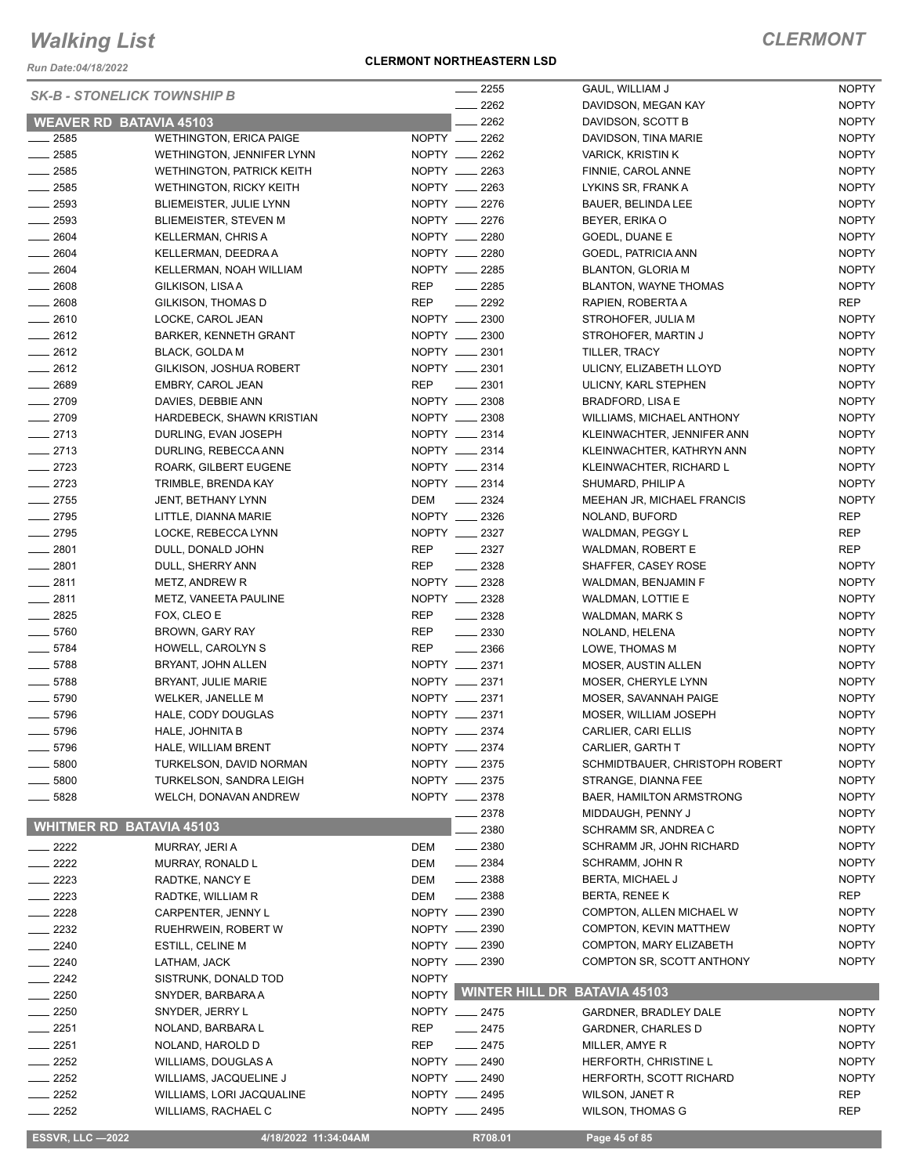*Run Date:04/18/2022*

#### **CLERMONT NORTHEASTERN LSD**

| <b>SK-B - STONELICK TOWNSHIP B</b> |                                         |                   | 2255                                 | GAUL, WILLIAM J                       | <b>NOPTY</b>                 |
|------------------------------------|-----------------------------------------|-------------------|--------------------------------------|---------------------------------------|------------------------------|
|                                    |                                         |                   | 2262                                 | DAVIDSON, MEGAN KAY                   | <b>NOPTY</b>                 |
| <b>WEAVER RD BATAVIA 45103</b>     |                                         |                   | 2262                                 | DAVIDSON, SCOTT B                     | <b>NOPTY</b>                 |
| $\frac{1}{2585}$                   | <b>WETHINGTON, ERICA PAIGE</b>          |                   | NOPTY __ 2262                        | DAVIDSON, TINA MARIE                  | <b>NOPTY</b>                 |
| $-2585$                            | <b>WETHINGTON, JENNIFER LYNN</b>        |                   | NOPTY __ 2262                        | <b>VARICK, KRISTIN K</b>              | <b>NOPTY</b>                 |
| $-2585$                            | <b>WETHINGTON, PATRICK KEITH</b>        |                   | NOPTY __ 2263                        | FINNIE, CAROL ANNE                    | <b>NOPTY</b>                 |
| $\frac{1}{2585}$                   | <b>WETHINGTON, RICKY KEITH</b>          |                   | NOPTY __ 2263                        | LYKINS SR, FRANK A                    | <b>NOPTY</b>                 |
| $-2593$                            | BLIEMEISTER, JULIE LYNN                 |                   | NOPTY __ 2276                        | BAUER, BELINDA LEE                    | <b>NOPTY</b>                 |
| $\frac{2593}{2593}$                | <b>BLIEMEISTER, STEVEN M</b>            |                   | NOPTY __ 2276                        | BEYER, ERIKA O                        | <b>NOPTY</b>                 |
| $- 2604$                           | <b>KELLERMAN, CHRIS A</b>               |                   | NOPTY __ 2280                        | GOEDL, DUANE E                        | <b>NOPTY</b>                 |
| $- 2604$                           | KELLERMAN, DEEDRA A                     |                   | NOPTY __ 2280                        | GOEDL, PATRICIA ANN                   | <b>NOPTY</b>                 |
| $- 2604$                           | KELLERMAN, NOAH WILLIAM                 |                   | NOPTY __ 2285                        | <b>BLANTON, GLORIA M</b>              | <b>NOPTY</b>                 |
| $\frac{1}{2608}$                   | GILKISON, LISAA                         | <b>REP</b>        | $\frac{1}{2285}$                     | <b>BLANTON, WAYNE THOMAS</b>          | <b>NOPTY</b>                 |
| $\frac{1}{2608}$                   | GILKISON, THOMAS D                      | REP               | $\frac{2292}{2}$                     | RAPIEN, ROBERTA A                     | REP                          |
| $-2610$                            | LOCKE, CAROL JEAN                       |                   | NOPTY __ 2300                        | STROHOFER, JULIA M                    | <b>NOPTY</b>                 |
| 2612                               | BARKER, KENNETH GRANT                   |                   | NOPTY __ 2300                        | STROHOFER, MARTIN J                   | <b>NOPTY</b>                 |
| $-2612$                            | <b>BLACK, GOLDA M</b>                   |                   | NOPTY __ 2301                        | TILLER, TRACY                         | <b>NOPTY</b>                 |
| $-2612$                            | GILKISON, JOSHUA ROBERT                 |                   | NOPTY __ 2301                        | ULICNY, ELIZABETH LLOYD               | <b>NOPTY</b>                 |
| $-2689$                            | EMBRY, CAROL JEAN                       | <b>REP</b>        | $\frac{1}{2}$ 2301                   | ULICNY, KARL STEPHEN                  | <b>NOPTY</b>                 |
| $-2709$                            | DAVIES, DEBBIE ANN                      |                   | NOPTY __ 2308                        | <b>BRADFORD, LISA E</b>               | <b>NOPTY</b>                 |
| $-2709$                            | HARDEBECK, SHAWN KRISTIAN               |                   | NOPTY __ 2308                        | WILLIAMS, MICHAEL ANTHONY             | <b>NOPTY</b>                 |
| $-2713$                            | DURLING, EVAN JOSEPH                    |                   | NOPTY __ 2314                        | KLEINWACHTER, JENNIFER ANN            | <b>NOPTY</b>                 |
| $-2713$                            | DURLING, REBECCA ANN                    |                   | NOPTY __ 2314                        | KLEINWACHTER, KATHRYN ANN             | <b>NOPTY</b>                 |
| $-2723$                            | ROARK, GILBERT EUGENE                   |                   | NOPTY __ 2314                        | KLEINWACHTER, RICHARD L               | <b>NOPTY</b>                 |
| $-2723$                            | TRIMBLE, BRENDA KAY                     |                   | NOPTY __ 2314                        | SHUMARD, PHILIP A                     | <b>NOPTY</b>                 |
| $-2755$                            | JENT, BETHANY LYNN                      |                   | DEM __ 2324                          | MEEHAN JR, MICHAEL FRANCIS            | <b>NOPTY</b>                 |
| $-2795$                            | LITTLE, DIANNA MARIE                    |                   | NOPTY __ 2326                        | NOLAND, BUFORD                        | <b>REP</b>                   |
| $-2795$<br>$-2801$                 | LOCKE, REBECCA LYNN                     |                   | NOPTY __ 2327                        | WALDMAN, PEGGY L                      | <b>REP</b>                   |
|                                    | DULL, DONALD JOHN                       | <b>REP</b>        | 2327                                 | WALDMAN, ROBERT E                     | <b>REP</b>                   |
| $-2801$<br>$-2811$                 | DULL, SHERRY ANN                        | <b>REP</b>        | $\frac{2328}{2}$<br>NOPTY __ 2328    | SHAFFER, CASEY ROSE                   | <b>NOPTY</b>                 |
|                                    | METZ, ANDREW R                          |                   | NOPTY __ 2328                        | WALDMAN, BENJAMIN F                   | <b>NOPTY</b>                 |
| $-2811$<br>$-2825$                 | METZ, VANEETA PAULINE                   |                   |                                      | WALDMAN, LOTTIE E                     | <b>NOPTY</b>                 |
| $- 5760$                           | FOX, CLEO E                             | <b>REP</b><br>REP | $\frac{2328}{2}$<br>$\frac{2330}{2}$ | WALDMAN, MARK S                       | <b>NOPTY</b><br><b>NOPTY</b> |
| $- 5784$                           | BROWN, GARY RAY                         | <b>REP</b>        | $\frac{1}{2}$ 2366                   | NOLAND, HELENA                        | <b>NOPTY</b>                 |
| $-5788$                            | HOWELL, CAROLYN S<br>BRYANT, JOHN ALLEN |                   | NOPTY __ 2371                        | LOWE, THOMAS M<br>MOSER, AUSTIN ALLEN | <b>NOPTY</b>                 |
| $- 5788$                           | BRYANT, JULIE MARIE                     |                   | NOPTY __ 2371                        | MOSER, CHERYLE LYNN                   | <b>NOPTY</b>                 |
| $\frac{1}{2}$ 5790                 | WELKER, JANELLE M                       |                   | NOPTY __ 2371                        | MOSER, SAVANNAH PAIGE                 | <b>NOPTY</b>                 |
| $- 5796$                           | HALE, CODY DOUGLAS                      |                   | NOPTY __ 2371                        | MOSER, WILLIAM JOSEPH                 | <b>NOPTY</b>                 |
| $- 5796$                           | HALE, JOHNITA B                         |                   | NOPTY __ 2374                        | CARLIER, CARI ELLIS                   | <b>NOPTY</b>                 |
| _ 5796                             | HALE, WILLIAM BRENT                     |                   | NOPTY __ 2374                        | CARLIER, GARTH T                      | <b>NOPTY</b>                 |
| 5800                               | TURKELSON, DAVID NORMAN                 |                   | NOPTY __ 2375                        | SCHMIDTBAUER, CHRISTOPH ROBERT        | <b>NOPTY</b>                 |
| 5800                               | TURKELSON, SANDRA LEIGH                 |                   | NOPTY __ 2375                        | STRANGE, DIANNA FEE                   | <b>NOPTY</b>                 |
| 5828                               | WELCH, DONAVAN ANDREW                   |                   | NOPTY __ 2378                        | BAER, HAMILTON ARMSTRONG              | <b>NOPTY</b>                 |
|                                    |                                         |                   | 2378                                 | MIDDAUGH, PENNY J                     | <b>NOPTY</b>                 |
| <b>WHITMER RD BATAVIA 45103</b>    |                                         |                   | 2380                                 | SCHRAMM SR, ANDREA C                  | <b>NOPTY</b>                 |
| 2222                               | MURRAY, JERI A                          | DEM               | 2380                                 | SCHRAMM JR, JOHN RICHARD              | <b>NOPTY</b>                 |
| 2222                               | MURRAY, RONALD L                        | DEM               | $\frac{1}{2}$ 2384                   | SCHRAMM, JOHN R                       | <b>NOPTY</b>                 |
| 2223                               | RADTKE, NANCY E                         | DEM               | $\frac{1}{2}$ 2388                   | BERTA, MICHAEL J                      | <b>NOPTY</b>                 |
| 2223                               | RADTKE, WILLIAM R                       | DEM               | $\frac{1}{2}$ 2388                   | BERTA, RENEE K                        | <b>REP</b>                   |
| 2228                               | CARPENTER, JENNY L                      |                   | NOPTY __ 2390                        | COMPTON, ALLEN MICHAEL W              | <b>NOPTY</b>                 |
| 2232                               | RUEHRWEIN, ROBERT W                     |                   | NOPTY - 2390                         | COMPTON, KEVIN MATTHEW                | <b>NOPTY</b>                 |
| $-2240$                            | ESTILL, CELINE M                        |                   | NOPTY __ 2390                        | COMPTON, MARY ELIZABETH               | <b>NOPTY</b>                 |
| 2240                               | LATHAM, JACK                            |                   | NOPTY __ 2390                        | COMPTON SR, SCOTT ANTHONY             | <b>NOPTY</b>                 |
| $-2242$                            | SISTRUNK, DONALD TOD                    | <b>NOPTY</b>      |                                      |                                       |                              |
| $-2250$                            | SNYDER, BARBARA A                       | NOPTY             | <b>WINTER HILL DR</b>                | <b>BATAVIA 45103</b>                  |                              |
| $= 2250$                           | SNYDER, JERRY L                         |                   | NOPTY __ 2475                        | GARDNER, BRADLEY DALE                 | <b>NOPTY</b>                 |
| $-2251$                            | NOLAND, BARBARA L                       | <b>REP</b>        | $-2475$                              | <b>GARDNER, CHARLES D</b>             | <b>NOPTY</b>                 |
| 2251                               | NOLAND, HAROLD D                        | <b>REP</b>        | $-2475$                              | MILLER, AMYE R                        | <b>NOPTY</b>                 |
| $= 2252$                           | WILLIAMS, DOUGLAS A                     |                   | NOPTY __ 2490                        | HERFORTH, CHRISTINE L                 | <b>NOPTY</b>                 |
| 2252                               | WILLIAMS, JACQUELINE J                  |                   | NOPTY __ 2490                        | <b>HERFORTH, SCOTT RICHARD</b>        | <b>NOPTY</b>                 |
| 2252                               | WILLIAMS, LORI JACQUALINE               |                   | NOPTY __ 2495                        | WILSON, JANET R                       | REP                          |
| 2252                               | WILLIAMS, RACHAEL C                     |                   | NOPTY __ 2495                        | <b>WILSON, THOMAS G</b>               | <b>REP</b>                   |
|                                    |                                         |                   |                                      |                                       |                              |
| <b>ESSVR, LLC -2022</b>            | 4/18/2022 11:34:04AM                    |                   | R708.01                              | Page 45 of 85                         |                              |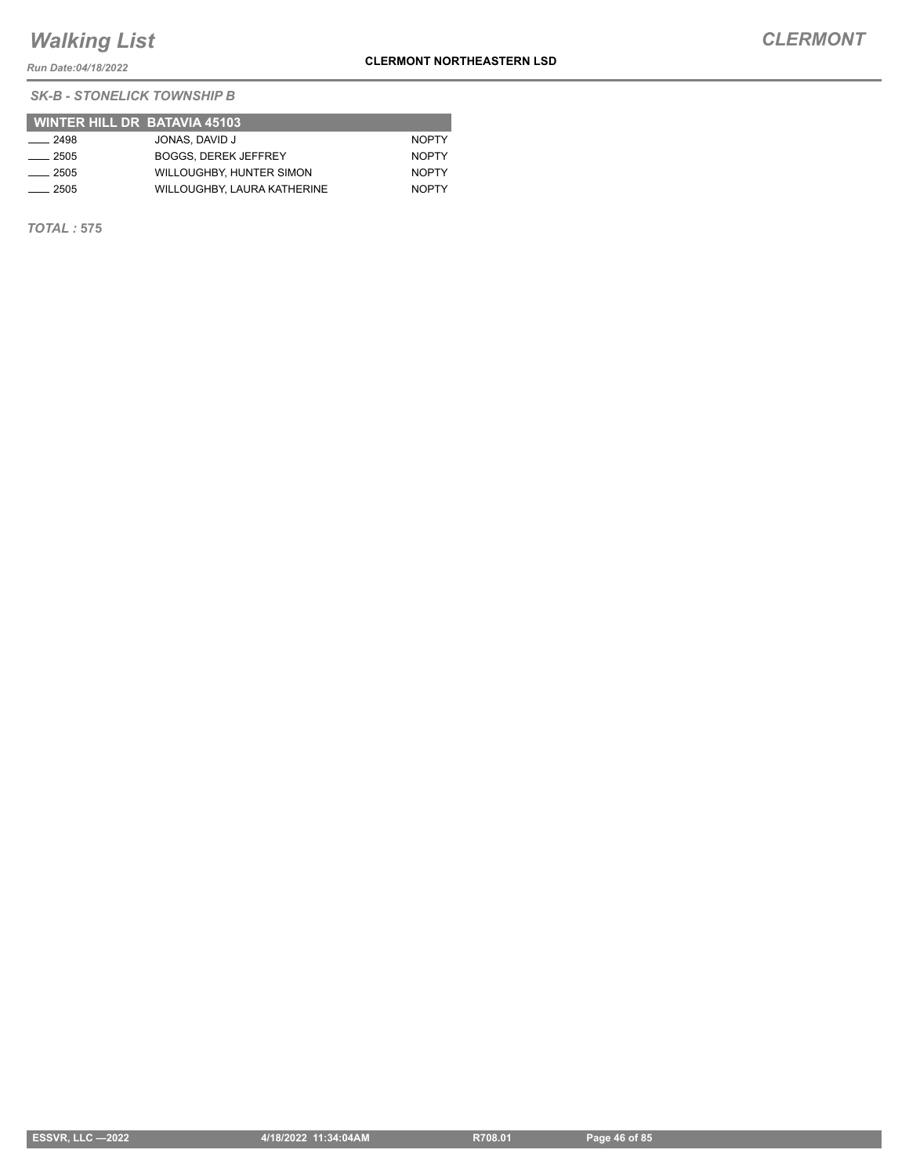*Run Date:04/18/2022*

**CLERMONT NORTHEASTERN LSD**

 **WINTER HILL DR BATAVIA 45103** <u>2498</u> JONAS, DAVID J NOPTY 2505 BOGGS, DEREK JEFFREY NOPTY **2505** WILLOUGHBY, HUNTER SIMON NOPTY 2505 WILLOUGHBY, LAURA KATHERINE NOPTY

*TOTAL :* **575**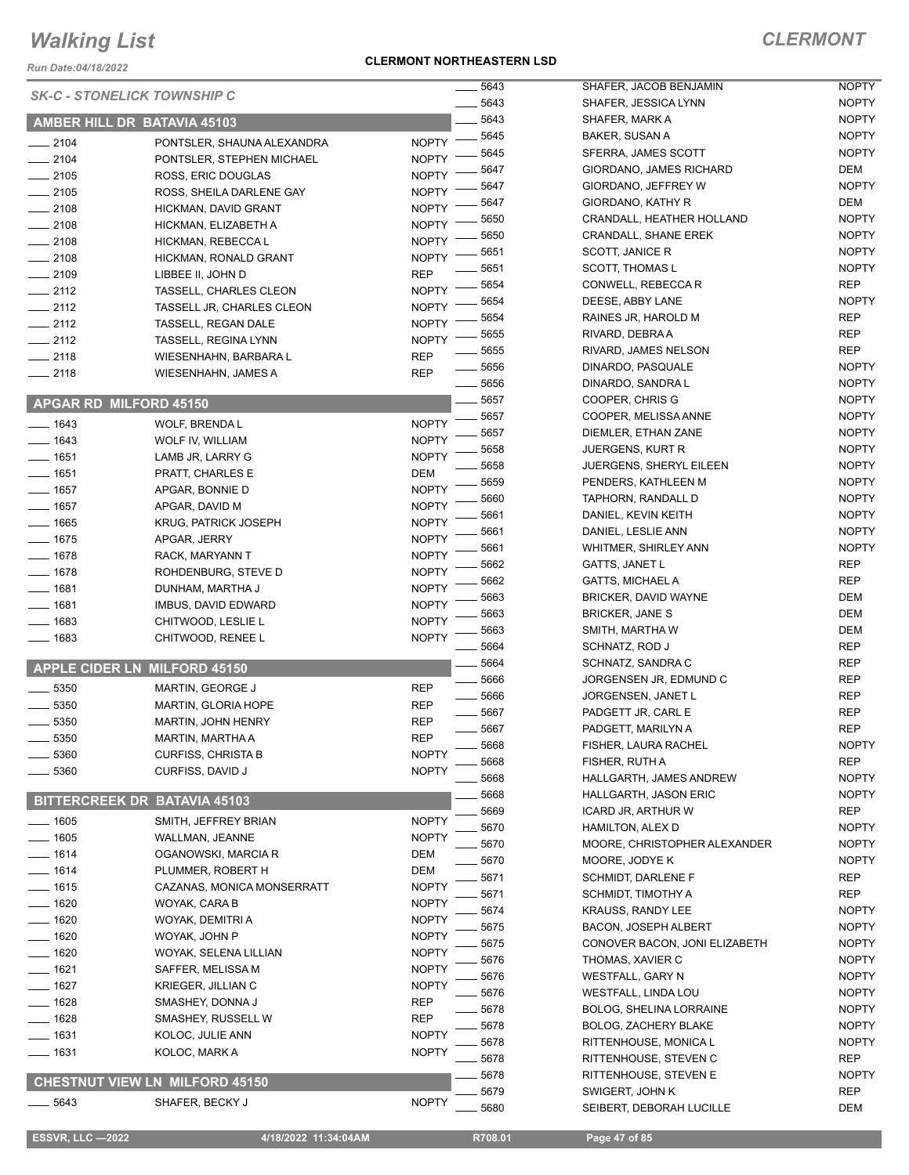*Run Date:04/18/2022*

#### **CLERMONT NORTHEASTERN LSD**

### *CLERMONT*

|                                  | <b>SK-C - STONELICK TOWNSHIP C</b>    |              | 5643 | SHAFER, JACOB BENJAMIN         | <b>NOPTY</b> |
|----------------------------------|---------------------------------------|--------------|------|--------------------------------|--------------|
|                                  |                                       |              | 5643 | SHAFER, JESSICA LYNN           | <b>NOPTY</b> |
|                                  | AMBER HILL DR BATAVIA 45103           |              | 5643 | SHAFER, MARK A                 | <b>NOPTY</b> |
| $-2104$                          | PONTSLER, SHAUNA ALEXANDRA            | <b>NOPTY</b> | 5645 | BAKER, SUSAN A                 | <b>NOPTY</b> |
| $-2104$                          | PONTSLER, STEPHEN MICHAEL             | <b>NOPTY</b> | 5645 | SFERRA, JAMES SCOTT            | <b>NOPTY</b> |
| $-2105$                          | ROSS, ERIC DOUGLAS                    | <b>NOPTY</b> | 5647 | GIORDANO, JAMES RICHARD        | DEM          |
| $-2105$                          | ROSS, SHEILA DARLENE GAY              | <b>NOPTY</b> | 5647 | GIORDANO, JEFFREY W            | <b>NOPTY</b> |
| $-2108$                          | HICKMAN, DAVID GRANT                  | <b>NOPTY</b> | 5647 | GIORDANO, KATHY R              | DEM          |
| $-2108$                          |                                       | <b>NOPTY</b> | 5650 | CRANDALL, HEATHER HOLLAND      | <b>NOPTY</b> |
|                                  | HICKMAN, ELIZABETH A                  | <b>NOPTY</b> | 5650 | <b>CRANDALL, SHANE EREK</b>    | <b>NOPTY</b> |
| $-2108$                          | HICKMAN, REBECCA L                    |              | 5651 | SCOTT, JANICE R                | <b>NOPTY</b> |
| $-2108$                          | HICKMAN, RONALD GRANT                 | <b>NOPTY</b> | 5651 | <b>SCOTT, THOMAS L</b>         | <b>NOPTY</b> |
| $\frac{1}{2109}$                 | LIBBEE II, JOHN D                     | <b>REP</b>   | 5654 | CONWELL, REBECCA R             | <b>REP</b>   |
| $-2112$                          | TASSELL, CHARLES CLEON                | <b>NOPTY</b> | 5654 | DEESE, ABBY LANE               | <b>NOPTY</b> |
| $\frac{1}{2112}$                 | TASSELL JR, CHARLES CLEON             | <b>NOPTY</b> | 5654 | RAINES JR, HAROLD M            | REP          |
| $\frac{1}{2112}$                 | <b>TASSELL, REGAN DALE</b>            | <b>NOPTY</b> | 5655 | RIVARD, DEBRAA                 | <b>REP</b>   |
| $-2112$                          | <b>TASSELL, REGINA LYNN</b>           | <b>NOPTY</b> |      |                                |              |
| $-2118$                          | WIESENHAHN, BARBARA L                 | <b>REP</b>   | 5655 | RIVARD, JAMES NELSON           | REP          |
| $-2118$                          | WIESENHAHN, JAMES A                   | <b>REP</b>   | 5656 | DINARDO, PASQUALE              | <b>NOPTY</b> |
|                                  |                                       |              | 5656 | DINARDO, SANDRA L              | <b>NOPTY</b> |
|                                  | <b>APGAR RD MILFORD 45150</b>         |              | 5657 | COOPER, CHRIS G                | <b>NOPTY</b> |
| $- 1643$                         | WOLF, BRENDA L                        | <b>NOPTY</b> | 5657 | COOPER, MELISSA ANNE           | <b>NOPTY</b> |
| $- 1643$                         | WOLF IV, WILLIAM                      | <b>NOPTY</b> | 5657 | DIEMLER, ETHAN ZANE            | <b>NOPTY</b> |
| $- 1651$                         | LAMB JR, LARRY G                      | <b>NOPTY</b> | 5658 | <b>JUERGENS, KURT R</b>        | <b>NOPTY</b> |
| $- 1651$                         | PRATT, CHARLES E                      | DEM          | 5658 | <b>JUERGENS, SHERYL EILEEN</b> | <b>NOPTY</b> |
| $- 1657$                         | APGAR, BONNIE D                       | <b>NOPTY</b> | 5659 | PENDERS, KATHLEEN M            | <b>NOPTY</b> |
| $- 1657$                         |                                       |              | 5660 | TAPHORN, RANDALL D             | <b>NOPTY</b> |
|                                  | APGAR, DAVID M                        | <b>NOPTY</b> | 5661 | DANIEL, KEVIN KEITH            | <b>NOPTY</b> |
| $- 1665$                         | <b>KRUG, PATRICK JOSEPH</b>           | <b>NOPTY</b> | 5661 | DANIEL, LESLIE ANN             | <b>NOPTY</b> |
| $- 1675$                         | APGAR, JERRY                          | <b>NOPTY</b> | 5661 | <b>WHITMER, SHIRLEY ANN</b>    | <b>NOPTY</b> |
| $- 1678$                         | RACK, MARYANN T                       | <b>NOPTY</b> | 5662 | <b>GATTS, JANET L</b>          | <b>REP</b>   |
| $- 1678$                         | ROHDENBURG, STEVE D                   | <b>NOPTY</b> | 5662 | <b>GATTS, MICHAEL A</b>        | <b>REP</b>   |
| $- 1681$                         | DUNHAM, MARTHA J                      | <b>NOPTY</b> | 5663 | BRICKER, DAVID WAYNE           | <b>DEM</b>   |
| $- 1681$                         | IMBUS, DAVID EDWARD                   | <b>NOPTY</b> | 5663 | <b>BRICKER, JANE S</b>         | <b>DEM</b>   |
| $- 1683$                         | CHITWOOD, LESLIE L                    | <b>NOPTY</b> | 5663 | SMITH, MARTHA W                | <b>DEM</b>   |
| $- 1683$                         | CHITWOOD, RENEE L                     | <b>NOPTY</b> |      |                                | <b>REP</b>   |
|                                  |                                       |              | 5664 | SCHNATZ, ROD J                 | <b>REP</b>   |
|                                  | <b>APPLE CIDER LN MILFORD 45150</b>   |              | 5664 | SCHNATZ, SANDRA C              |              |
| 5350<br>$\overline{\phantom{0}}$ | MARTIN, GEORGE J                      | <b>REP</b>   | 5666 | JORGENSEN JR, EDMUND C         | <b>REP</b>   |
| 5350                             | MARTIN, GLORIA HOPE                   | <b>REP</b>   | 5666 | JORGENSEN, JANET L             | REP          |
| 5350                             | <b>MARTIN, JOHN HENRY</b>             | <b>REP</b>   | 5667 | PADGETT JR, CARL E             | <b>REP</b>   |
| $-5350$                          | MARTIN, MARTHA A                      | <b>REP</b>   | 5667 | PADGETT, MARILYN A             | <b>REP</b>   |
| 5360                             | <b>CURFISS, CHRISTA B</b>             | <b>NOPTY</b> | 5668 | FISHER, LAURA RACHEL           | <b>NOPTY</b> |
| 5360                             | CURFISS, DAVID J                      | <b>NOPTY</b> | 5668 | FISHER, RUTH A                 | <b>REP</b>   |
|                                  |                                       |              | 5668 | HALLGARTH, JAMES ANDREW        | <b>NOPTY</b> |
|                                  | <b>BITTERCREEK DR BATAVIA 45103</b>   |              | 5668 | HALLGARTH, JASON ERIC          | <b>NOPTY</b> |
|                                  |                                       |              | 5669 | ICARD JR, ARTHUR W             | REP          |
| $- 1605$                         | SMITH, JEFFREY BRIAN                  | <b>NOPTY</b> | 5670 | HAMILTON, ALEX D               | <b>NOPTY</b> |
| $- 1605$                         | WALLMAN, JEANNE                       | <b>NOPTY</b> | 5670 | MOORE, CHRISTOPHER ALEXANDER   | <b>NOPTY</b> |
| $- 1614$                         | OGANOWSKI, MARCIA R                   | DEM          | 5670 | MOORE, JODYE K                 | <b>NOPTY</b> |
| $- 1614$                         | PLUMMER, ROBERT H                     | DEM          | 5671 | <b>SCHMIDT, DARLENE F</b>      | REP          |
| $- 1615$                         | CAZANAS, MONICA MONSERRATT            | <b>NOPTY</b> | 5671 | <b>SCHMIDT, TIMOTHY A</b>      | REP          |
| $- 1620$                         | WOYAK, CARA B                         | <b>NOPTY</b> | 5674 | <b>KRAUSS, RANDY LEE</b>       | <b>NOPTY</b> |
| $- 1620$                         | WOYAK, DEMITRI A                      | <b>NOPTY</b> | 5675 | <b>BACON, JOSEPH ALBERT</b>    | <b>NOPTY</b> |
| $- 1620$                         | WOYAK, JOHN P                         | <b>NOPTY</b> | 5675 | CONOVER BACON, JONI ELIZABETH  | <b>NOPTY</b> |
| $- 1620$                         | WOYAK, SELENA LILLIAN                 | <b>NOPTY</b> |      |                                |              |
| $- 1621$                         | SAFFER, MELISSA M                     | <b>NOPTY</b> | 5676 | THOMAS, XAVIER C               | <b>NOPTY</b> |
| $- 1627$                         | KRIEGER, JILLIAN C                    | <b>NOPTY</b> | 5676 | <b>WESTFALL, GARY N</b>        | <b>NOPTY</b> |
| $- 1628$                         | SMASHEY, DONNA J                      | <b>REP</b>   | 5676 | WESTFALL, LINDA LOU            | <b>NOPTY</b> |
| $- 1628$                         | SMASHEY, RUSSELL W                    | <b>REP</b>   | 5678 | BOLOG, SHELINA LORRAINE        | <b>NOPTY</b> |
| $- 1631$                         |                                       | <b>NOPTY</b> | 5678 | BOLOG, ZACHERY BLAKE           | <b>NOPTY</b> |
|                                  | KOLOC, JULIE ANN                      |              | 5678 | RITTENHOUSE, MONICA L          | <b>NOPTY</b> |
| —— 1631                          | KOLOC, MARK A                         | <b>NOPTY</b> | 5678 | RITTENHOUSE, STEVEN C          | REP          |
|                                  | <b>CHESTNUT VIEW LN MILFORD 45150</b> |              | 5678 | RITTENHOUSE, STEVEN E          | <b>NOPTY</b> |
|                                  |                                       |              | 5679 | SWIGERT, JOHN K                | <b>REP</b>   |
| 5643                             | SHAFER, BECKY J                       | <b>NOPTY</b> | 5680 | SEIBERT, DEBORAH LUCILLE       | DEM          |
|                                  |                                       |              |      |                                |              |

 **ESSVR, LLC —2022 4/18/2022 11:34:04AM R708.01 Page 47 of 85**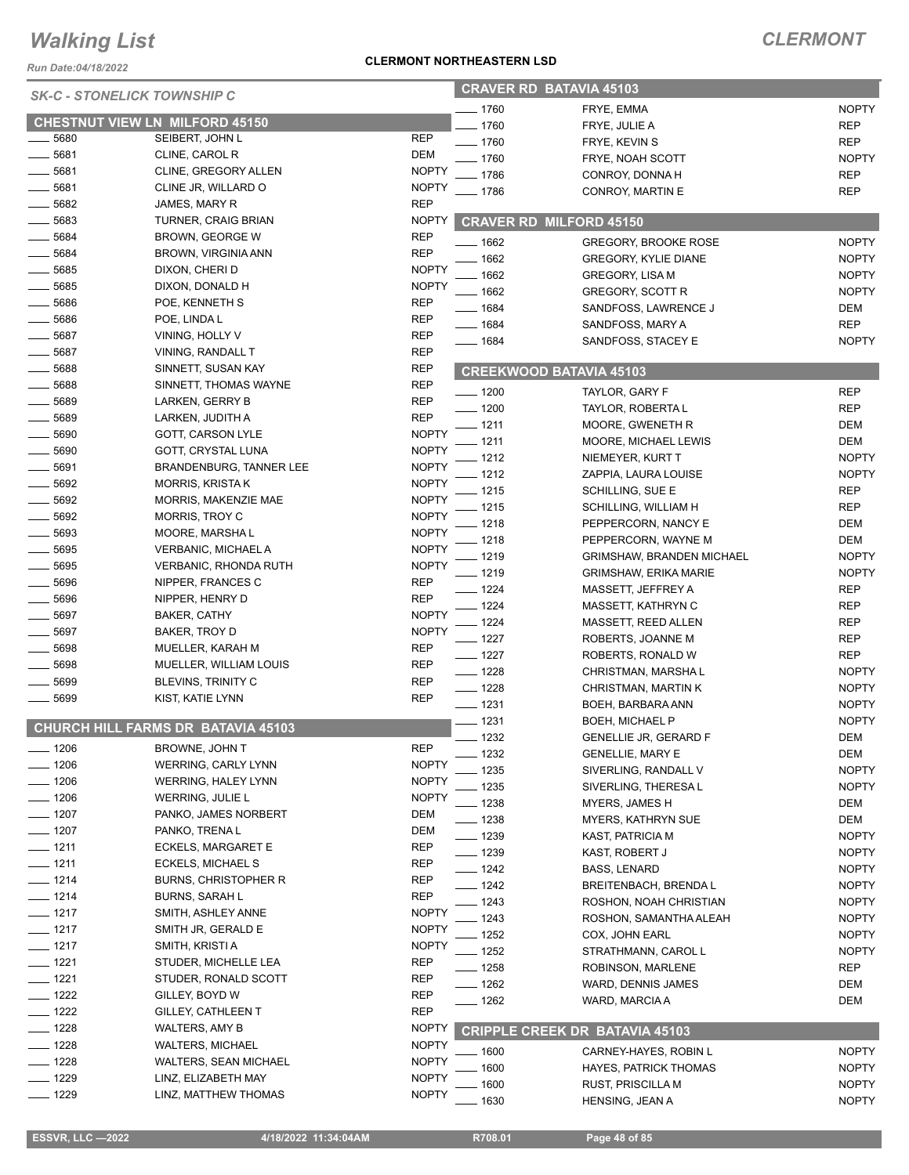*Run Date:04/18/2022*

#### **CLERMONT NORTHEASTERN LSD**

| <b>SK-C - STONELICK TOWNSHIP C</b> |                                       |              |                    | <b>CRAVER RD BATAVIA 45103</b>        |              |
|------------------------------------|---------------------------------------|--------------|--------------------|---------------------------------------|--------------|
|                                    |                                       |              | 1760               | FRYE, EMMA                            | <b>NOPTY</b> |
|                                    | <b>CHESTNUT VIEW LN MILFORD 45150</b> |              | 1760               | FRYE, JULIE A                         | <b>REP</b>   |
| 5680                               | SEIBERT, JOHN L                       | <b>REP</b>   | $-1760$            | FRYE, KEVIN S                         | <b>REP</b>   |
| 5681                               | CLINE, CAROL R                        | <b>DEM</b>   | 1760               | FRYE, NOAH SCOTT                      | <b>NOPTY</b> |
| ____ 5681                          | CLINE, GREGORY ALLEN                  | <b>NOPTY</b> | 1786               | CONROY, DONNA H                       | REP          |
| 5681                               | CLINE JR, WILLARD O                   | <b>NOPTY</b> | . 1786             | CONROY, MARTIN E                      | <b>REP</b>   |
| 5682                               | JAMES, MARY R                         | <b>REP</b>   |                    |                                       |              |
| 5683                               | TURNER, CRAIG BRIAN                   | <b>NOPTY</b> |                    | <b>CRAVER RD MILFORD 45150</b>        |              |
| 5684                               | <b>BROWN, GEORGE W</b>                | <b>REP</b>   | 1662               | <b>GREGORY, BROOKE ROSE</b>           | <b>NOPTY</b> |
| 5684                               | BROWN, VIRGINIA ANN                   | <b>REP</b>   | 1662               | <b>GREGORY, KYLIE DIANE</b>           | <b>NOPTY</b> |
| 5685                               | DIXON, CHERI D                        | <b>NOPTY</b> | 1662               | <b>GREGORY, LISA M</b>                | <b>NOPTY</b> |
| 5685                               | DIXON, DONALD H                       | <b>NOPTY</b> | 1662               | GREGORY, SCOTT R                      | <b>NOPTY</b> |
| 5686                               | POE, KENNETH S                        | <b>REP</b>   | $-1684$            | SANDFOSS, LAWRENCE J                  | DEM          |
| 5686                               | POE, LINDA L                          | <b>REP</b>   | $- 1684$           | SANDFOSS, MARY A                      | <b>REP</b>   |
| 5687                               | VINING, HOLLY V                       | <b>REP</b>   | $- 1684$           | SANDFOSS, STACEY E                    | <b>NOPTY</b> |
| 5687                               | VINING, RANDALL T                     | <b>REP</b>   |                    |                                       |              |
| 5688                               | SINNETT, SUSAN KAY                    | <b>REP</b>   |                    | <b>CREEKWOOD BATAVIA 45103</b>        |              |
| 5688                               | SINNETT, THOMAS WAYNE                 | <b>REP</b>   | $- 1200$           | TAYLOR, GARY F                        | <b>REP</b>   |
| 5689                               | LARKEN, GERRY B                       | <b>REP</b>   | $-1200$            | TAYLOR, ROBERTA L                     | <b>REP</b>   |
| 5689                               | LARKEN, JUDITH A                      | <b>REP</b>   | $-1211$            | MOORE, GWENETH R                      | DEM          |
| 5690                               | <b>GOTT, CARSON LYLE</b>              | <b>NOPTY</b> | 1211               | MOORE, MICHAEL LEWIS                  | DEM          |
| 5690                               | GOTT, CRYSTAL LUNA                    | <b>NOPTY</b> | 1212               | NIEMEYER, KURT T                      | <b>NOPTY</b> |
| 5691                               | BRANDENBURG, TANNER LEE               | <b>NOPTY</b> | 1212               | ZAPPIA, LAURA LOUISE                  | <b>NOPTY</b> |
| 5692                               | <b>MORRIS, KRISTA K</b>               | <b>NOPTY</b> | 1215               | SCHILLING, SUE E                      | <b>REP</b>   |
| 5692                               | MORRIS, MAKENZIE MAE                  | <b>NOPTY</b> | 1215               | SCHILLING, WILLIAM H                  | <b>REP</b>   |
| 5692                               | <b>MORRIS, TROY C</b>                 | <b>NOPTY</b> | 1218               | PEPPERCORN, NANCY E                   | DEM          |
| 5693                               | MOORE, MARSHA L                       | <b>NOPTY</b> | 1218               | PEPPERCORN, WAYNE M                   | DEM          |
| 5695                               | VERBANIC, MICHAEL A                   | <b>NOPTY</b> | 1219               | <b>GRIMSHAW, BRANDEN MICHAEL</b>      | <b>NOPTY</b> |
| 5695                               | VERBANIC, RHONDA RUTH                 | <b>NOPTY</b> | 1219               | <b>GRIMSHAW, ERIKA MARIE</b>          | <b>NOPTY</b> |
| 5696                               | NIPPER, FRANCES C                     | REP          | $-1224$            | MASSETT, JEFFREY A                    | <b>REP</b>   |
| $- 5696$                           | NIPPER, HENRY D                       | <b>REP</b>   | $-1224$            |                                       | <b>REP</b>   |
| 5697                               | BAKER, CATHY                          | <b>NOPTY</b> | 1224               | MASSETT, KATHRYN C                    | <b>REP</b>   |
| 5697                               | BAKER, TROY D                         | <b>NOPTY</b> | $-1227$            | MASSETT, REED ALLEN                   | <b>REP</b>   |
| 5698                               | MUELLER, KARAH M                      | <b>REP</b>   |                    | ROBERTS, JOANNE M                     |              |
| 5698                               | MUELLER, WILLIAM LOUIS                | <b>REP</b>   | $-1227$            | ROBERTS, RONALD W                     | <b>REP</b>   |
| 5699                               | BLEVINS, TRINITY C                    | <b>REP</b>   | $- 1228$           | CHRISTMAN, MARSHAL                    | <b>NOPTY</b> |
| 5699                               | KIST, KATIE LYNN                      | <b>REP</b>   | $-1228$<br>$-1231$ | CHRISTMAN, MARTIN K                   | <b>NOPTY</b> |
|                                    |                                       |              |                    | BOEH, BARBARA ANN                     | <b>NOPTY</b> |
|                                    | CHURCH HILL FARMS DR BATAVIA 45103    |              | $-1231$            | BOEH, MICHAEL P                       | <b>NOPTY</b> |
| _ 1206                             | BROWNE, JOHN T                        | <b>REP</b>   | $- 1232$           | <b>GENELLIE JR, GERARD F</b>          | DEM          |
| ___ 1206                           | <b>WERRING, CARLY LYNN</b>            | <b>NOPTY</b> | 1232               | <b>GENELLIE, MARY E</b>               | DEM          |
| $- 1206$                           | <b>WERRING, HALEY LYNN</b>            | <b>NOPTY</b> | 1235               | SIVERLING, RANDALL V                  | <b>NOPTY</b> |
| $- 1206$                           | WERRING, JULIE L                      | <b>NOPTY</b> | 1235               | SIVERLING, THERESA L                  | <b>NOPTY</b> |
| $- 1207$                           | PANKO, JAMES NORBERT                  | DEM          | . 1238             | MYERS, JAMES H                        | DEM          |
| $- 1207$                           | PANKO, TRENA L                        | DEM          | _ 1238             | MYERS, KATHRYN SUE                    | DEM          |
| — 1211                             | ECKELS, MARGARET E                    | <b>REP</b>   | ___ 1239           | <b>KAST, PATRICIA M</b>               | <b>NOPTY</b> |
| $- 1211$                           | <b>ECKELS, MICHAEL S</b>              | <b>REP</b>   | $- 1239$           | KAST, ROBERT J                        | <b>NOPTY</b> |
| $- 1214$                           | BURNS, CHRISTOPHER R                  | REP          | __ 1242            | BASS, LENARD                          | <b>NOPTY</b> |
| $- 1214$                           | <b>BURNS, SARAH L</b>                 | <b>REP</b>   | $- 1242$           | <b>BREITENBACH, BRENDAL</b>           | <b>NOPTY</b> |
| $- 1217$                           | SMITH, ASHLEY ANNE                    | <b>NOPTY</b> | __ 1243            | ROSHON, NOAH CHRISTIAN                | <b>NOPTY</b> |
|                                    |                                       |              | 1243               | ROSHON, SAMANTHA ALEAH                | <b>NOPTY</b> |
| — 1217                             | SMITH JR, GERALD E                    | <b>NOPTY</b> | 1252               | COX, JOHN EARL                        | <b>NOPTY</b> |
| $- 1217$                           | SMITH, KRISTI A                       | <b>NOPTY</b> | _ 1252             | STRATHMANN, CAROL L                   | <b>NOPTY</b> |
| ___ 1221                           | STUDER, MICHELLE LEA                  | <b>REP</b>   | <u>—</u> 1258      | ROBINSON, MARLENE                     | REP          |
| $- 1221$                           | STUDER, RONALD SCOTT                  | <b>REP</b>   | —— 1262            | WARD, DENNIS JAMES                    | DEM          |
| $- 1222$                           | GILLEY, BOYD W                        | REP          | __ 1262            | WARD, MARCIA A                        | DEM          |
| ___ 1222                           | GILLEY, CATHLEEN T                    | <b>REP</b>   |                    |                                       |              |
| $- 1228$                           | WALTERS, AMY B                        | <b>NOPTY</b> |                    | <b>CRIPPLE CREEK DR BATAVIA 45103</b> |              |
| $- 1228$                           | WALTERS, MICHAEL                      | <b>NOPTY</b> | 1600               | CARNEY-HAYES, ROBIN L                 | <b>NOPTY</b> |
| $- 1228$                           | WALTERS, SEAN MICHAEL                 | <b>NOPTY</b> | 1600               | <b>HAYES, PATRICK THOMAS</b>          | <b>NOPTY</b> |
| $- 1229$                           | LINZ, ELIZABETH MAY                   | <b>NOPTY</b> | 1600               | RUST, PRISCILLA M                     | <b>NOPTY</b> |
| $- 1229$                           | LINZ, MATTHEW THOMAS                  | <b>NOPTY</b> | 1630               | HENSING, JEAN A                       | <b>NOPTY</b> |
|                                    |                                       |              |                    |                                       |              |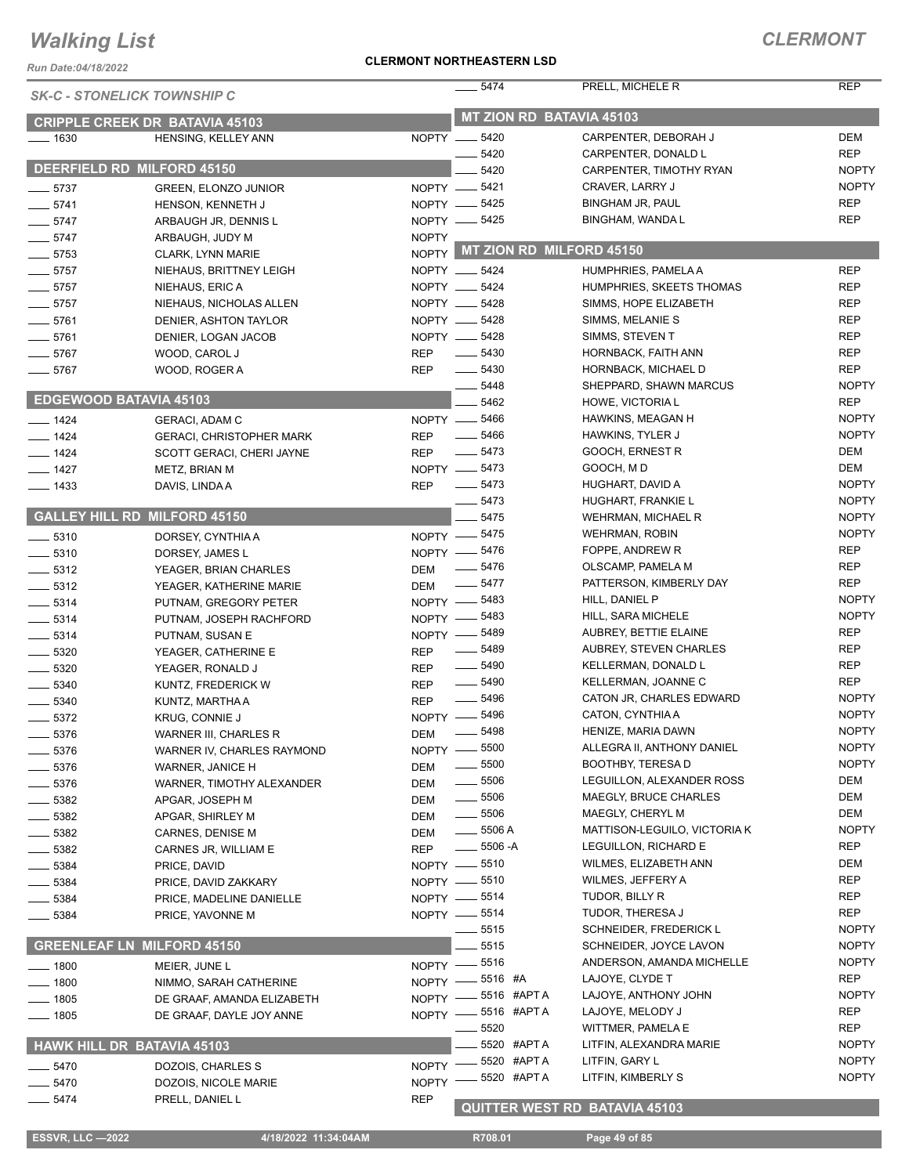*Run Date:04/18/2022*

#### **CLERMONT NORTHEASTERN LSD**

|                               | <b>SK-C - STONELICK TOWNSHIP C</b>                           |              | 5474                            | PRELL, MICHELE R                                    | <b>REP</b>                   |
|-------------------------------|--------------------------------------------------------------|--------------|---------------------------------|-----------------------------------------------------|------------------------------|
|                               |                                                              |              | MT ZION RD BATAVIA 45103        |                                                     |                              |
| $- 1630$                      | <b>CRIPPLE CREEK DR BATAVIA 45103</b><br>HENSING, KELLEY ANN |              | NOPTY __ 5420                   | CARPENTER, DEBORAH J                                | <b>DEM</b>                   |
|                               |                                                              |              | 5420                            | CARPENTER, DONALD L                                 | <b>REP</b>                   |
|                               | DEERFIELD RD MILFORD 45150                                   |              | 5420                            | CARPENTER, TIMOTHY RYAN                             | <b>NOPTY</b>                 |
| $\frac{1}{2}$ 5737            | <b>GREEN, ELONZO JUNIOR</b>                                  |              | NOPTY -6421                     | CRAVER, LARRY J                                     | <b>NOPTY</b>                 |
| $-5741$                       | HENSON, KENNETH J                                            |              | NOPTY -6425                     | <b>BINGHAM JR, PAUL</b>                             | <b>REP</b>                   |
| $-5747$                       | ARBAUGH JR, DENNIS L                                         |              | NOPTY -6425                     | BINGHAM, WANDA L                                    | <b>REP</b>                   |
| $-5747$                       | ARBAUGH, JUDY M                                              | <b>NOPTY</b> |                                 |                                                     |                              |
| $- 5753$                      | CLARK, LYNN MARIE                                            |              | NOPTY MT ZION RD MILFORD 45150  |                                                     |                              |
| $-5757$                       | NIEHAUS, BRITTNEY LEIGH                                      |              | NOPTY __ 5424                   | HUMPHRIES, PAMELA A                                 | <b>REP</b>                   |
| $-5757$                       | NIEHAUS, ERIC A                                              |              | NOPTY __ 5424                   | HUMPHRIES, SKEETS THOMAS                            | <b>REP</b>                   |
| $-5757$                       | NIEHAUS, NICHOLAS ALLEN                                      |              | NOPTY __ 5428                   | SIMMS, HOPE ELIZABETH                               | <b>REP</b>                   |
| $-5761$                       | DENIER, ASHTON TAYLOR                                        |              | NOPTY __ 5428                   | SIMMS, MELANIE S                                    | <b>REP</b>                   |
| $-5761$                       | DENIER, LOGAN JACOB                                          |              | NOPTY __ 5428                   | SIMMS, STEVEN T                                     | <b>REP</b>                   |
| $-5767$                       | WOOD, CAROL J                                                | <b>REP</b>   | $\frac{1}{2}$ 5430              | HORNBACK, FAITH ANN                                 | <b>REP</b>                   |
| $-5767$                       | WOOD, ROGER A                                                | <b>REP</b>   | $\frac{1}{2}$ 5430              | HORNBACK, MICHAEL D                                 | <b>REP</b>                   |
|                               |                                                              |              | 5448                            | SHEPPARD, SHAWN MARCUS                              | <b>NOPTY</b>                 |
| <b>EDGEWOOD BATAVIA 45103</b> |                                                              |              | 5462                            | HOWE, VICTORIA L                                    | <b>REP</b>                   |
| $- 1424$                      | GERACI, ADAM C                                               | NOPTY -      | 5466                            | HAWKINS, MEAGAN H                                   | <b>NOPTY</b>                 |
| $- 1424$                      | <b>GERACI, CHRISTOPHER MARK</b>                              | <b>REP</b>   | $\frac{1}{2}$ 5466              | HAWKINS, TYLER J                                    | <b>NOPTY</b>                 |
| $- 1424$                      | SCOTT GERACI, CHERI JAYNE                                    | <b>REP</b>   | $\frac{1}{2}$ 5473              | GOOCH, ERNEST R                                     | DEM                          |
| $- 1427$                      | METZ, BRIAN M                                                |              | NOPTY __ 5473                   | GOOCH, M D                                          | <b>DEM</b>                   |
| $- 1433$                      | DAVIS, LINDA A                                               | <b>REP</b>   | $- 5473$                        | HUGHART, DAVID A                                    | <b>NOPTY</b>                 |
|                               |                                                              |              | 5473                            | HUGHART, FRANKIE L                                  | <b>NOPTY</b>                 |
|                               | <b>GALLEY HILL RD MILFORD 45150</b>                          |              | 5475                            | WEHRMAN, MICHAEL R                                  | <b>NOPTY</b>                 |
| $\frac{1}{2}$ 5310            | DORSEY, CYNTHIA A                                            |              | NOPTY -8475                     | <b>WEHRMAN, ROBIN</b>                               | <b>NOPTY</b>                 |
| $- 5310$                      | DORSEY, JAMES L                                              |              | NOPTY -8476                     | FOPPE, ANDREW R                                     | <b>REP</b>                   |
| $-5312$                       | YEAGER, BRIAN CHARLES                                        | <b>DEM</b>   | $\frac{1}{2}$ 5476              | OLSCAMP, PAMELA M                                   | <b>REP</b>                   |
| $-5312$                       | YEAGER, KATHERINE MARIE                                      | <b>DEM</b>   | $\frac{1}{2}$ 5477              | PATTERSON, KIMBERLY DAY                             | <b>REP</b>                   |
| $\frac{1}{2}$ 5314            | PUTNAM, GREGORY PETER                                        |              | NOPTY -8483                     | HILL, DANIEL P                                      | <b>NOPTY</b>                 |
| $\frac{1}{2}$ 5314            | PUTNAM, JOSEPH RACHFORD                                      |              | NOPTY - 5483                    | HILL, SARA MICHELE                                  | <b>NOPTY</b>                 |
| $\frac{1}{2}$ 5314            | PUTNAM, SUSAN E                                              |              | NOPTY -8489                     | AUBREY, BETTIE ELAINE                               | <b>REP</b>                   |
| $-5320$                       | YEAGER, CATHERINE E                                          | <b>REP</b>   | $\frac{1}{2}$ 5489              | <b>AUBREY, STEVEN CHARLES</b>                       | <b>REP</b>                   |
| $\frac{1}{2}$ 5320            | YEAGER, RONALD J                                             | <b>REP</b>   | $\frac{1}{2}$ 5490              | KELLERMAN, DONALD L                                 | <b>REP</b>                   |
| $\frac{1}{2}$ 5340            | KUNTZ, FREDERICK W                                           | <b>REP</b>   | $\frac{1}{2}$ 5490              | KELLERMAN, JOANNE C                                 | <b>REP</b>                   |
| $\frac{1}{2}$ 5340            | KUNTZ, MARTHA A                                              | <b>REP</b>   | $\frac{1}{2}$ 5496              | CATON JR, CHARLES EDWARD                            | <b>NOPTY</b>                 |
| $- 5372$                      | KRUG, CONNIE J                                               |              | NOPTY -8496                     | CATON, CYNTHIA A                                    | <b>NOPTY</b>                 |
| $-5376$                       | WARNER III, CHARLES R                                        | DEM          | $\frac{1}{2}$ 5498              | HENIZE, MARIA DAWN                                  | <b>NOPTY</b>                 |
| $=$ 5376                      | WARNER IV, CHARLES RAYMOND                                   |              | NOPTY -8500                     | ALLEGRA II, ANTHONY DANIEL                          | <b>NOPTY</b>                 |
| 5376                          | WARNER, JANICE H                                             | DEM          | $\frac{1}{2}$ 5500              | BOOTHBY, TERESA D                                   | <b>NOPTY</b>                 |
| $-5376$                       | WARNER, TIMOTHY ALEXANDER                                    | DEM          | $\frac{1}{2}$ 5506              | LEGUILLON, ALEXANDER ROSS                           | DEM                          |
| $-5382$                       | APGAR, JOSEPH M                                              | DEM          | $\frac{1}{2}$ 5506              | <b>MAEGLY, BRUCE CHARLES</b>                        | DEM                          |
| _ 5382                        | APGAR, SHIRLEY M                                             | DEM          | $\frac{1}{2}$ 5506              | MAEGLY, CHERYL M                                    | DEM                          |
| $=$ 5382                      | CARNES, DENISE M                                             | DEM          | $\_\_$ 5506 A                   | MATTISON-LEGUILO, VICTORIA K                        | <b>NOPTY</b>                 |
| 5382                          | CARNES JR, WILLIAM E                                         | <b>REP</b>   | —— 5506 -А                      | LEGUILLON, RICHARD E                                | <b>REP</b>                   |
| 5384                          | PRICE, DAVID                                                 |              | NOPTY - 5510                    | WILMES, ELIZABETH ANN                               | DEM                          |
| 5384                          | PRICE, DAVID ZAKKARY                                         |              | NOPTY - 5510                    | WILMES, JEFFERY A                                   | <b>REP</b>                   |
| 5384                          | PRICE, MADELINE DANIELLE                                     |              | NOPTY -8514                     | TUDOR, BILLY R                                      | <b>REP</b><br><b>REP</b>     |
| 5384                          | PRICE, YAVONNE M                                             |              | NOPTY - 5514                    | TUDOR, THERESA J<br>SCHNEIDER, FREDERICK L          | <b>NOPTY</b>                 |
|                               |                                                              |              | 5515                            |                                                     |                              |
|                               | <b>GREENLEAF LN MILFORD 45150</b>                            |              | 5515<br>$=$ 5516                | SCHNEIDER, JOYCE LAVON<br>ANDERSON, AMANDA MICHELLE | <b>NOPTY</b><br><b>NOPTY</b> |
| $- 1800$                      | MEIER, JUNE L                                                | $NOPTY$ -    |                                 | LAJOYE, CLYDE T                                     | <b>REP</b>                   |
| $\equiv$ 1800                 | NIMMO, SARAH CATHERINE                                       |              | NOPTY -8516 #A<br>_ 5516 #APT A | LAJOYE, ANTHONY JOHN                                | <b>NOPTY</b>                 |
| __ 1805                       | DE GRAAF, AMANDA ELIZABETH                                   | $NOPTY -$    | $-5516$ #APTA                   | LAJOYE, MELODY J                                    | <b>REP</b>                   |
| $- 1805$                      | DE GRAAF, DAYLE JOY ANNE                                     | $NOPTY -$    | 5520                            | WITTMER, PAMELA E                                   | <b>REP</b>                   |
|                               | <b>HAWK HILL DR BATAVIA 45103</b>                            |              | 5520 #APT A                     | LITFIN, ALEXANDRA MARIE                             | <b>NOPTY</b>                 |
|                               |                                                              |              | 5520 #APT A                     | LITFIN, GARY L                                      | <b>NOPTY</b>                 |
| $=$ 5470                      | DOZOIS, CHARLES S                                            | <b>NOPTY</b> | 5520 #APT A                     | LITFIN, KIMBERLY S                                  | <b>NOPTY</b>                 |
| $-5470$                       | DOZOIS, NICOLE MARIE                                         | <b>NOPTY</b> |                                 |                                                     |                              |
| 5474                          | PRELL, DANIEL L                                              | <b>REP</b>   |                                 | <b>QUITTER WEST RD BATAVIA 45103</b>                |                              |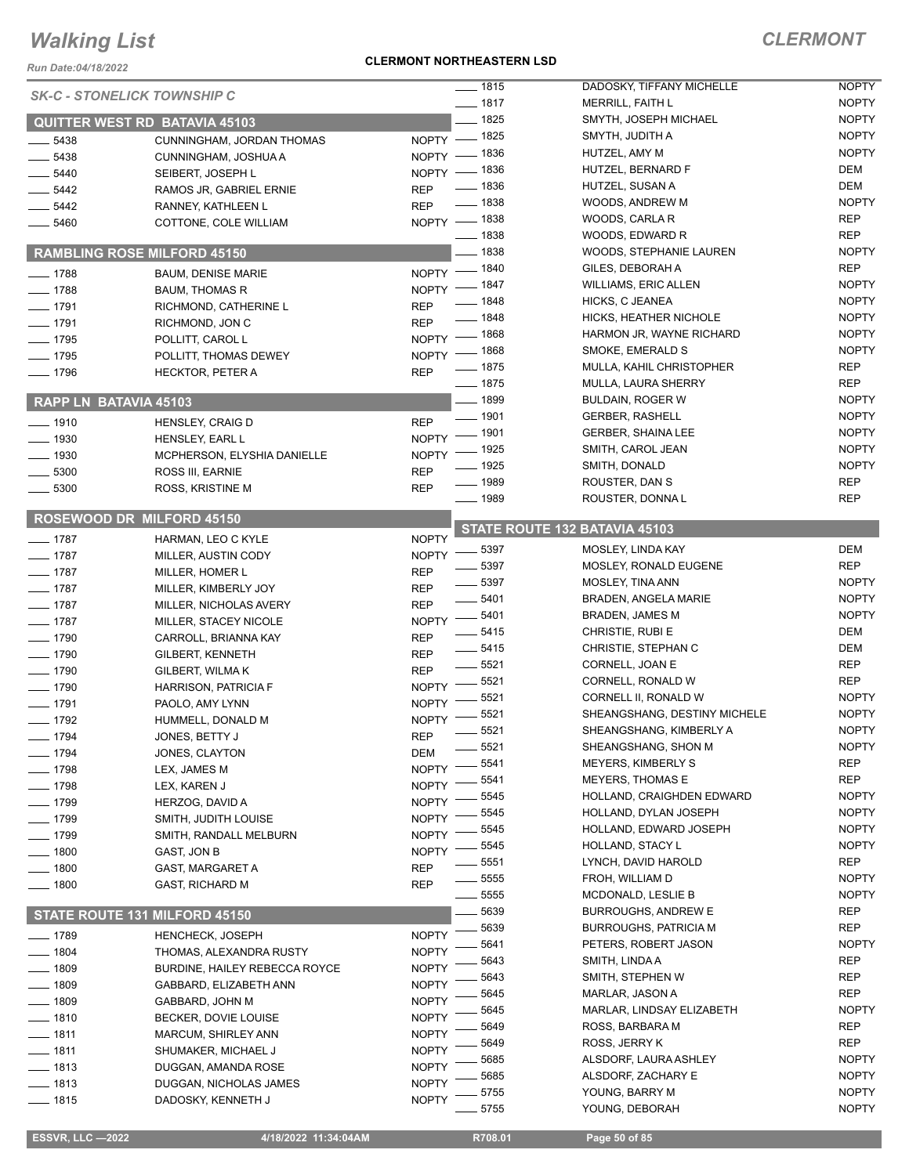#### *Run Date:04/18/2022*

#### **CLERMONT NORTHEASTERN LSD**

|                       | <b>SK-C - STONELICK TOWNSHIP C</b> | $- 1815$                           | DADOSKY, TIFFANY MICHELLE     | <b>NOPTY</b> |
|-----------------------|------------------------------------|------------------------------------|-------------------------------|--------------|
|                       |                                    | $- 1817$                           | <b>MERRILL, FAITH L</b>       | <b>NOPTY</b> |
|                       | QUITTER WEST RD BATAVIA 45103      | $- 1825$                           | SMYTH, JOSEPH MICHAEL         | <b>NOPTY</b> |
| $-5438$               | CUNNINGHAM, JORDAN THOMAS          | NOPTY - 1825                       | SMYTH, JUDITH A               | <b>NOPTY</b> |
| $-5438$               | CUNNINGHAM, JOSHUA A               | NOPTY - 1836                       | HUTZEL, AMY M                 | <b>NOPTY</b> |
| $-5440$               | SEIBERT, JOSEPH L                  | _ 1836<br>$NOPTY -$                | HUTZEL, BERNARD F             | <b>DEM</b>   |
| __ 5442               | RAMOS JR, GABRIEL ERNIE            | $- 1836$<br><b>REP</b>             | HUTZEL, SUSAN A               | DEM          |
| $-5442$               | RANNEY, KATHLEEN L                 | $- 1838$<br><b>REP</b>             | WOODS, ANDREW M               | <b>NOPTY</b> |
| 5460                  | COTTONE, COLE WILLIAM              | NOPTY - 1838                       | WOODS, CARLA R                | <b>REP</b>   |
|                       |                                    | $- 1838$                           | WOODS, EDWARD R               | <b>REP</b>   |
|                       | <b>RAMBLING ROSE MILFORD 45150</b> | $-1838$                            | WOODS, STEPHANIE LAUREN       | <b>NOPTY</b> |
| $- 1788$              | <b>BAUM. DENISE MARIE</b>          | NOPTY - 1840                       | GILES, DEBORAH A              | <b>REP</b>   |
| $- 1788$              | <b>BAUM, THOMAS R</b>              | NOPTY - 1847                       | <b>WILLIAMS, ERIC ALLEN</b>   | <b>NOPTY</b> |
| $- 1791$              | RICHMOND, CATHERINE L              | $- 1848$<br><b>REP</b>             | HICKS, C JEANEA               | <b>NOPTY</b> |
| $- 1791$              | RICHMOND, JON C                    | $- 1848$<br><b>REP</b>             | HICKS, HEATHER NICHOLE        | <b>NOPTY</b> |
| $- 1795$              | POLLITT, CAROL L                   | NOPTY - 1868                       | HARMON JR, WAYNE RICHARD      | <b>NOPTY</b> |
| $- 1795$              | POLLITT, THOMAS DEWEY              | NOPTY - 1868                       | SMOKE, EMERALD S              | <b>NOPTY</b> |
| $- 1796$              | <b>HECKTOR, PETER A</b>            | $\frac{1}{2}$ 1875<br><b>REP</b>   | MULLA, KAHIL CHRISTOPHER      | <b>REP</b>   |
|                       |                                    | $- 1875$                           | <b>MULLA, LAURA SHERRY</b>    | <b>REP</b>   |
| RAPP LN BATAVIA 45103 |                                    | $- 1899$                           | <b>BULDAIN, ROGER W</b>       | <b>NOPTY</b> |
|                       |                                    | $- 1901$                           | <b>GERBER, RASHELL</b>        | <b>NOPTY</b> |
| $- 1910$              | <b>HENSLEY, CRAIG D</b>            | <b>REP</b><br>$-$ 1901             | <b>GERBER, SHAINA LEE</b>     | <b>NOPTY</b> |
| $- 1930$              | HENSLEY, EARL L                    | <b>NOPTY</b><br>$-1925$            | SMITH, CAROL JEAN             | <b>NOPTY</b> |
| $- 1930$              | MCPHERSON, ELYSHIA DANIELLE        | <b>NOPTY</b><br>_ 1925             | SMITH, DONALD                 | <b>NOPTY</b> |
| $-5300$               | ROSS III, EARNIE                   | <b>REP</b><br>$- 1989$             | ROUSTER, DAN S                | <b>REP</b>   |
| $-5300$               | ROSS, KRISTINE M                   | <b>REP</b><br>$- 1989$             | ROUSTER, DONNAL               | <b>REP</b>   |
|                       | ROSEWOOD DR MILFORD 45150          |                                    |                               |              |
|                       |                                    |                                    | STATE ROUTE 132 BATAVIA 45103 |              |
| $- 1787$              | HARMAN, LEO C KYLE                 | <b>NOPTY</b><br>$\frac{1}{2}$ 5397 | MOSLEY, LINDA KAY             | DEM          |
| $- 1787$              | MILLER, AUSTIN CODY                | <b>NOPTY</b><br>5397               | MOSLEY, RONALD EUGENE         | <b>REP</b>   |
| $- 1787$              | MILLER, HOMER L                    | <b>REP</b><br>$\frac{1}{2}$ 5397   | <b>MOSLEY, TINA ANN</b>       | <b>NOPTY</b> |
| $- 1787$              | MILLER, KIMBERLY JOY               | <b>REP</b><br>5401                 | <b>BRADEN, ANGELA MARIE</b>   | <b>NOPTY</b> |
| $- 1787$              | MILLER, NICHOLAS AVERY             | <b>REP</b><br>5401                 | <b>BRADEN, JAMES M</b>        | <b>NOPTY</b> |
| $- 1787$              | MILLER, STACEY NICOLE              | <b>NOPTY</b><br>5415               | CHRISTIE, RUBI E              | DEM          |
| $- 1790$              | CARROLL, BRIANNA KAY               | <b>REP</b><br>$-5415$              | CHRISTIE, STEPHAN C           | DEM          |
| $- 1790$              | <b>GILBERT, KENNETH</b>            | <b>REP</b><br>$-5521$              | CORNELL, JOAN E               | <b>REP</b>   |
| $- 1790$              | <b>GILBERT, WILMAK</b>             | <b>REP</b><br>5521                 | CORNELL, RONALD W             | <b>REP</b>   |
| $- 1790$              | <b>HARRISON, PATRICIA F</b>        | <b>NOPTY</b><br>5521               | CORNELL II, RONALD W          | <b>NOPTY</b> |
| $- 1791$              | PAOLO, AMY LYNN                    | <b>NOPTY</b><br>5521               | SHEANGSHANG, DESTINY MICHELE  | <b>NOPTY</b> |
| $- 1792$              | HUMMELL, DONALD M                  | <b>NOPTY</b><br>5521               | SHEANGSHANG, KIMBERLY A       | <b>NOPTY</b> |
| $-1794$               | JONES, BETTY J                     | <b>REP</b><br>5521                 | SHEANGSHANG, SHON M           | <b>NOPTY</b> |
| $- 1794$              | JONES, CLAYTON                     | <b>DEM</b><br>5541                 | <b>MEYERS, KIMBERLY S</b>     | <b>REP</b>   |
| $- 1798$              | LEX, JAMES M                       | <b>NOPTY</b><br>5541               | MEYERS, THOMAS E              | <b>REP</b>   |
| ___ 1798              | LEX, KAREN J                       | <b>NOPTY</b><br>5545               | HOLLAND, CRAIGHDEN EDWARD     | <b>NOPTY</b> |
| $-1799$               | HERZOG, DAVID A                    | <b>NOPTY</b>                       |                               |              |
| _ 1799                | SMITH, JUDITH LOUISE               | 5545<br><b>NOPTY</b><br>5545       | HOLLAND, DYLAN JOSEPH         | <b>NOPTY</b> |
| $-1799$               | SMITH, RANDALL MELBURN             | <b>NOPTY</b>                       | HOLLAND, EDWARD JOSEPH        | <b>NOPTY</b> |
| $-1800$               | GAST, JON B                        | 5545<br><b>NOPTY</b>               | HOLLAND, STACY L              | <b>NOPTY</b> |
| __ 1800               | GAST, MARGARET A                   | 5551<br><b>REP</b>                 | LYNCH, DAVID HAROLD           | <b>REP</b>   |
| $\frac{1}{2}$ 1800    | <b>GAST, RICHARD M</b>             | 5555<br><b>REP</b>                 | FROH, WILLIAM D               | <b>NOPTY</b> |
|                       |                                    | 5555                               | MCDONALD, LESLIE B            | <b>NOPTY</b> |
|                       | STATE ROUTE 131 MILFORD 45150      | 5639                               | <b>BURROUGHS, ANDREW E</b>    | <b>REP</b>   |
| __ 1789               | <b>HENCHECK, JOSEPH</b>            | 5639<br><b>NOPTY</b>               | <b>BURROUGHS, PATRICIA M</b>  | <b>REP</b>   |
| $- 1804$              | THOMAS, ALEXANDRA RUSTY            | 5641<br><b>NOPTY</b>               | PETERS, ROBERT JASON          | <b>NOPTY</b> |
| ___ 1809              | BURDINE, HAILEY REBECCA ROYCE      | 5643<br><b>NOPTY</b>               | SMITH, LINDA A                | REP          |
| $- 1809$              | GABBARD, ELIZABETH ANN             | 5643<br><b>NOPTY</b>               | SMITH, STEPHEN W              | REP          |
| $- 1809$              | GABBARD, JOHN M                    | 5645<br><b>NOPTY</b>               | MARLAR, JASON A               | <b>REP</b>   |
| $- 1810$              | BECKER, DOVIE LOUISE               | 5645<br><b>NOPTY</b>               | MARLAR, LINDSAY ELIZABETH     | <b>NOPTY</b> |
| $- 1811$              | <b>MARCUM, SHIRLEY ANN</b>         | 5649<br><b>NOPTY</b>               | ROSS, BARBARA M               | <b>REP</b>   |
| _ 1811                |                                    | 5649                               | ROSS, JERRY K                 | <b>REP</b>   |
|                       |                                    |                                    |                               |              |
|                       | SHUMAKER, MICHAEL J                | <b>NOPTY</b><br>5685               | ALSDORF, LAURA ASHLEY         | <b>NOPTY</b> |
| $-1813$               | DUGGAN, AMANDA ROSE                | <b>NOPTY</b><br>5685               | ALSDORF, ZACHARY E            | <b>NOPTY</b> |
| $-1813$               | DUGGAN, NICHOLAS JAMES             | <b>NOPTY</b><br>5755               | YOUNG, BARRY M                | <b>NOPTY</b> |
| $- 1815$              | DADOSKY, KENNETH J                 | <b>NOPTY</b><br>5755               | YOUNG, DEBORAH                | <b>NOPTY</b> |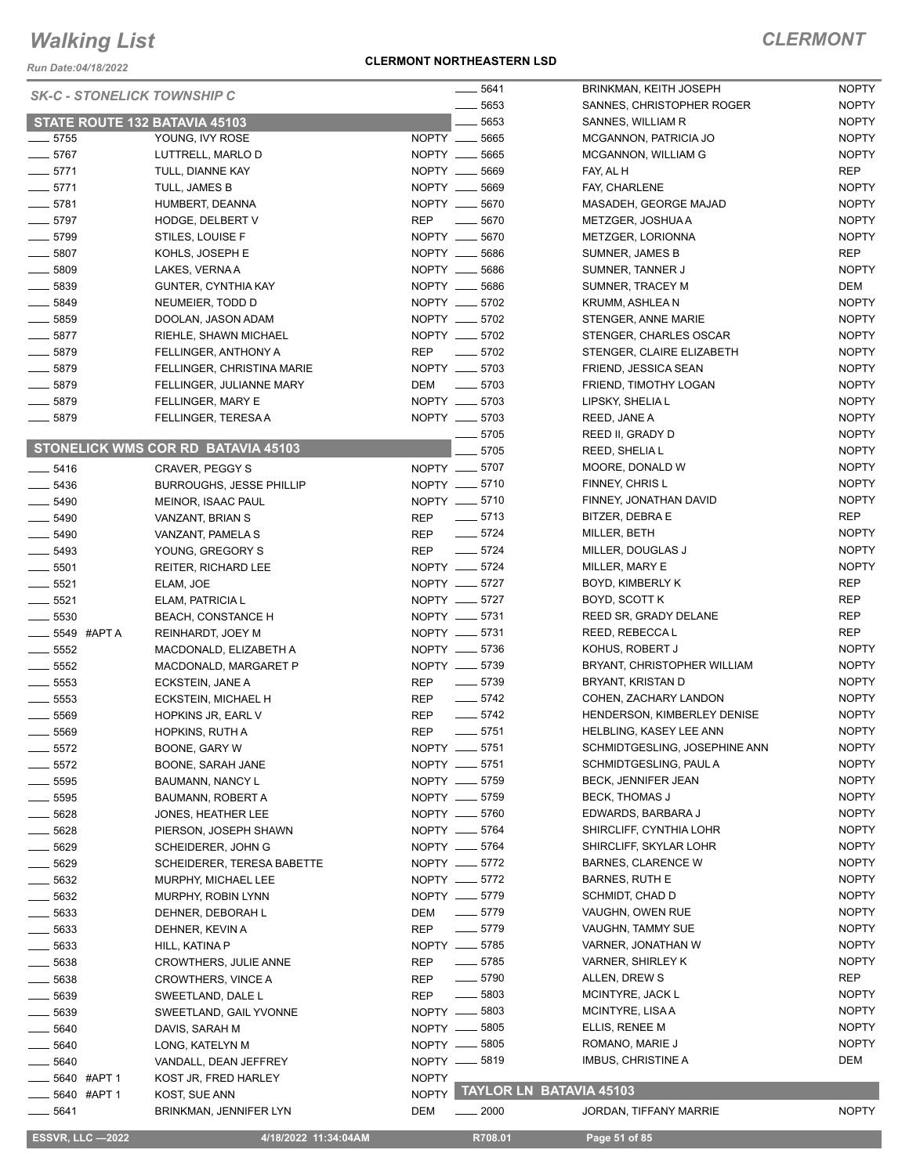*Run Date:04/18/2022*

#### **CLERMONT NORTHEASTERN LSD**

### *CLERMONT*

NOPTY NOPTY

| <b>SK-C - STONELICK TOWNSHIP C</b> |                                    | $\frac{1}{2}$ 5641               | BRINKMAN, KEITH JOSEPH        | <b>NOPTY</b> |
|------------------------------------|------------------------------------|----------------------------------|-------------------------------|--------------|
|                                    |                                    | 5653                             | SANNES, CHRISTOPHER ROGER     | <b>NOPTY</b> |
|                                    | STATE ROUTE 132 BATAVIA 45103      | 5653                             | SANNES, WILLIAM R             | <b>NOPTY</b> |
| $\frac{1}{2}$ 5755                 | YOUNG, IVY ROSE                    | NOPTY __<br>5665                 | MCGANNON, PATRICIA JO         | <b>NOPTY</b> |
| $- 5767$                           | LUTTRELL, MARLO D                  | NOPTY __ 5665                    | MCGANNON, WILLIAM G           | <b>NOPTY</b> |
| $-5771$                            | TULL, DIANNE KAY                   | NOPTY __ 5669                    | FAY, AL H                     | <b>REP</b>   |
| $-5771$                            | TULL, JAMES B                      | NOPTY __ 5669                    | FAY, CHARLENE                 | <b>NOPTY</b> |
| $-5781$                            | HUMBERT, DEANNA                    | NOPTY __ 5670                    | MASADEH, GEORGE MAJAD         | <b>NOPTY</b> |
| $\frac{1}{2}$ 5797                 | HODGE, DELBERT V                   | REP<br>$\sim$ 5670               | METZGER, JOSHUA A             | <b>NOPTY</b> |
| $- 5799$                           | STILES, LOUISE F                   | NOPTY __ 5670                    | METZGER, LORIONNA             | <b>NOPTY</b> |
| $- 5807$                           | KOHLS, JOSEPH E                    | NOPTY __ 5686                    | SUMNER, JAMES B               | REP          |
| $\frac{1}{2}$ 5809                 | LAKES, VERNA A                     | NOPTY __ 5686                    | SUMNER, TANNER J              | <b>NOPTY</b> |
| $- 5839$                           | <b>GUNTER, CYNTHIA KAY</b>         | NOPTY __ 5686                    | SUMNER, TRACEY M              | DEM          |
| $- 5849$                           | NEUMEIER, TODD D                   | NOPTY __ 5702                    | KRUMM, ASHLEA N               | <b>NOPTY</b> |
| $\frac{1}{2}$ 5859                 | DOOLAN, JASON ADAM                 | NOPTY __ 5702                    | STENGER, ANNE MARIE           | <b>NOPTY</b> |
| $-5877$                            | RIEHLE, SHAWN MICHAEL              | NOPTY __ 5702                    | STENGER, CHARLES OSCAR        | <b>NOPTY</b> |
| $- 5879$                           | FELLINGER, ANTHONY A               | REP __ 5702                      | STENGER, CLAIRE ELIZABETH     | <b>NOPTY</b> |
| $- 5879$                           | FELLINGER, CHRISTINA MARIE         | NOPTY __ 5703                    | FRIEND, JESSICA SEAN          | <b>NOPTY</b> |
| $- 5879$                           | FELLINGER, JULIANNE MARY           | DEM<br>$\frac{1}{2}$ 5703        | FRIEND, TIMOTHY LOGAN         | <b>NOPTY</b> |
| $-5879$                            | FELLINGER, MARY E                  | NOPTY __ 5703                    | LIPSKY, SHELIA L              | <b>NOPTY</b> |
| $- 5879$                           | FELLINGER, TERESA A                | NOPTY __ 5703                    | REED, JANE A                  | <b>NOPTY</b> |
|                                    |                                    | 5705                             | REED II, GRADY D              | <b>NOPTY</b> |
|                                    | STONELICK WMS COR RD BATAVIA 45103 | 5705                             |                               | <b>NOPTY</b> |
|                                    |                                    |                                  | REED, SHELIA L                |              |
| $-5416$                            | CRAVER, PEGGY S                    | NOPTY __ 5707                    | MOORE, DONALD W               | <b>NOPTY</b> |
| $- 5436$                           | <b>BURROUGHS, JESSE PHILLIP</b>    | NOPTY __ 5710                    | FINNEY, CHRIS L               | <b>NOPTY</b> |
| $-5490$                            | MEINOR, ISAAC PAUL                 | NOPTY - 5710                     | FINNEY, JONATHAN DAVID        | <b>NOPTY</b> |
| $\frac{1}{2}$ 5490                 | VANZANT, BRIAN S                   | $\frac{1}{2}$ 5713<br>REP        | BITZER, DEBRA E               | <b>REP</b>   |
| $-5490$                            | VANZANT, PAMELA S                  | $- 5724$<br>REP                  | MILLER, BETH                  | <b>NOPTY</b> |
| $\frac{1}{2}$ 5493                 | YOUNG, GREGORY S                   | $-5724$<br><b>REP</b>            | MILLER, DOUGLAS J             | <b>NOPTY</b> |
| $- 5501$                           | REITER, RICHARD LEE                | NOPTY -6724                      | MILLER, MARY E                | <b>NOPTY</b> |
| $\frac{1}{2}$ 5521                 | ELAM, JOE                          | NOPTY -6727                      | BOYD, KIMBERLY K              | REP          |
| $\frac{1}{2}$ 5521                 | ELAM, PATRICIA L                   | NOPTY __ 5727                    | BOYD, SCOTT K                 | REP          |
| $\frac{1}{2}$ 5530                 | <b>BEACH, CONSTANCE H</b>          | NOPTY __ 5731                    | REED SR, GRADY DELANE         | REP          |
| $\frac{1}{2}$ 5549 #APTA           | REINHARDT, JOEY M                  | NOPTY __ 5731                    | REED, REBECCA L               | REP          |
| $\frac{1}{2}$ 5552                 | MACDONALD, ELIZABETH A             | NOPTY __ 5736                    | KOHUS, ROBERT J               | <b>NOPTY</b> |
| $-5552$                            | MACDONALD, MARGARET P              | NOPTY -8739                      | BRYANT, CHRISTOPHER WILLIAM   | <b>NOPTY</b> |
| $\frac{1}{2}$ 5553                 | ECKSTEIN, JANE A                   | $- 5739$<br><b>REP</b>           | BRYANT, KRISTAN D             | <b>NOPTY</b> |
| $\frac{1}{2}$ 5553                 | ECKSTEIN, MICHAEL H                | $- 5742$<br><b>REP</b>           | COHEN, ZACHARY LANDON         | <b>NOPTY</b> |
| 5569                               | HOPKINS JR, EARL V                 | $-5742$<br><b>REP</b>            | HENDERSON, KIMBERLEY DENISE   | <b>NOPTY</b> |
| 5569                               | <b>HOPKINS, RUTH A</b>             | $-5751$<br><b>REP</b>            | HELBLING, KASEY LEE ANN       | <b>NOPTY</b> |
| $-5572$                            | BOONE, GARY W                      | NOPTY __ 5751                    | SCHMIDTGESLING, JOSEPHINE ANN | <b>NOPTY</b> |
| $\frac{1}{2}$ 5572                 | BOONE, SARAH JANE                  | NOPTY __ 5751                    | SCHMIDTGESLING, PAUL A        | <b>NOPTY</b> |
| $=$ 5595                           | BAUMANN, NANCY L                   | NOPTY -6759                      | <b>BECK, JENNIFER JEAN</b>    | <b>NOPTY</b> |
| $=$ 5595                           | BAUMANN, ROBERT A                  | NOPTY __ 5759                    | BECK, THOMAS J                | <b>NOPTY</b> |
| 5628                               | JONES, HEATHER LEE                 | NOPTY -6760                      | EDWARDS, BARBARA J            | <b>NOPTY</b> |
| 5628                               | PIERSON, JOSEPH SHAWN              | NOPTY __ 5764                    | SHIRCLIFF, CYNTHIA LOHR       | <b>NOPTY</b> |
| 5629                               | SCHEIDERER, JOHN G                 | NOPTY __ 5764                    | SHIRCLIFF, SKYLAR LOHR        | <b>NOPTY</b> |
| 5629                               | <b>SCHEIDERER, TERESA BABETTE</b>  | NOPTY -6772                      | <b>BARNES, CLARENCE W</b>     | <b>NOPTY</b> |
|                                    |                                    | NOPTY __ 5772                    | <b>BARNES, RUTH E</b>         | <b>NOPTY</b> |
| $=$ 5632                           | MURPHY, MICHAEL LEE                | NOPTY -6779                      | SCHMIDT, CHAD D               | <b>NOPTY</b> |
| _ 5632                             | MURPHY, ROBIN LYNN                 |                                  |                               |              |
| _ 5633                             | DEHNER, DEBORAH L                  | $\frac{1}{2}$ 5779<br>DEM        | VAUGHN, OWEN RUE              | <b>NOPTY</b> |
| __ 5633                            | DEHNER, KEVIN A                    | $-5779$<br>REP                   | VAUGHN, TAMMY SUE             | <b>NOPTY</b> |
| __ 5633                            | HILL, KATINA P                     | NOPTY __ 5785                    | VARNER, JONATHAN W            | <b>NOPTY</b> |
| __ 5638                            | CROWTHERS, JULIE ANNE              | $\frac{1}{2}$ 5785<br>REP        | VARNER, SHIRLEY K             | <b>NOPTY</b> |
| $\frac{1}{2}$ 5638                 | <b>CROWTHERS, VINCE A</b>          | $\frac{1}{2}$ 5790<br><b>REP</b> | ALLEN, DREW S                 | REP          |
| _ 5639                             | SWEETLAND, DALE L                  | $\frac{1}{2}$ 5803<br><b>REP</b> | MCINTYRE, JACK L              | <b>NOPTY</b> |
| _ 5639                             | SWEETLAND, GAIL YVONNE             | NOPTY __ 5803                    | MCINTYRE, LISA A              | <b>NOPTY</b> |
| __ 5640                            | DAVIS, SARAH M                     | NOPTY -6805                      | ELLIS, RENEE M                | <b>NOPTY</b> |
| 5640                               | LONG, KATELYN M                    | NOPTY __ 5805                    | ROMANO, MARIE J               | <b>NOPTY</b> |
| 5640                               | VANDALL, DEAN JEFFREY              | NOPTY __ 5819                    | IMBUS, CHRISTINE A            | DEM          |
| 5640 #APT 1                        | KOST JR, FRED HARLEY               | <b>NOPTY</b>                     |                               |              |
| 5640 #APT 1                        | KOST, SUE ANN                      | NOPTY                            | TAYLOR LN BATAVIA 45103       |              |
| __ 5641                            | BRINKMAN, JENNIFER LYN             | DEM<br>$\frac{1}{2000}$          | JORDAN, TIFFANY MARRIE        | <b>NOPTY</b> |
|                                    |                                    |                                  |                               |              |

 **ESSVR, LLC —2022 4/18/2022 11:34:04AM R708.01 Page 51 of 85**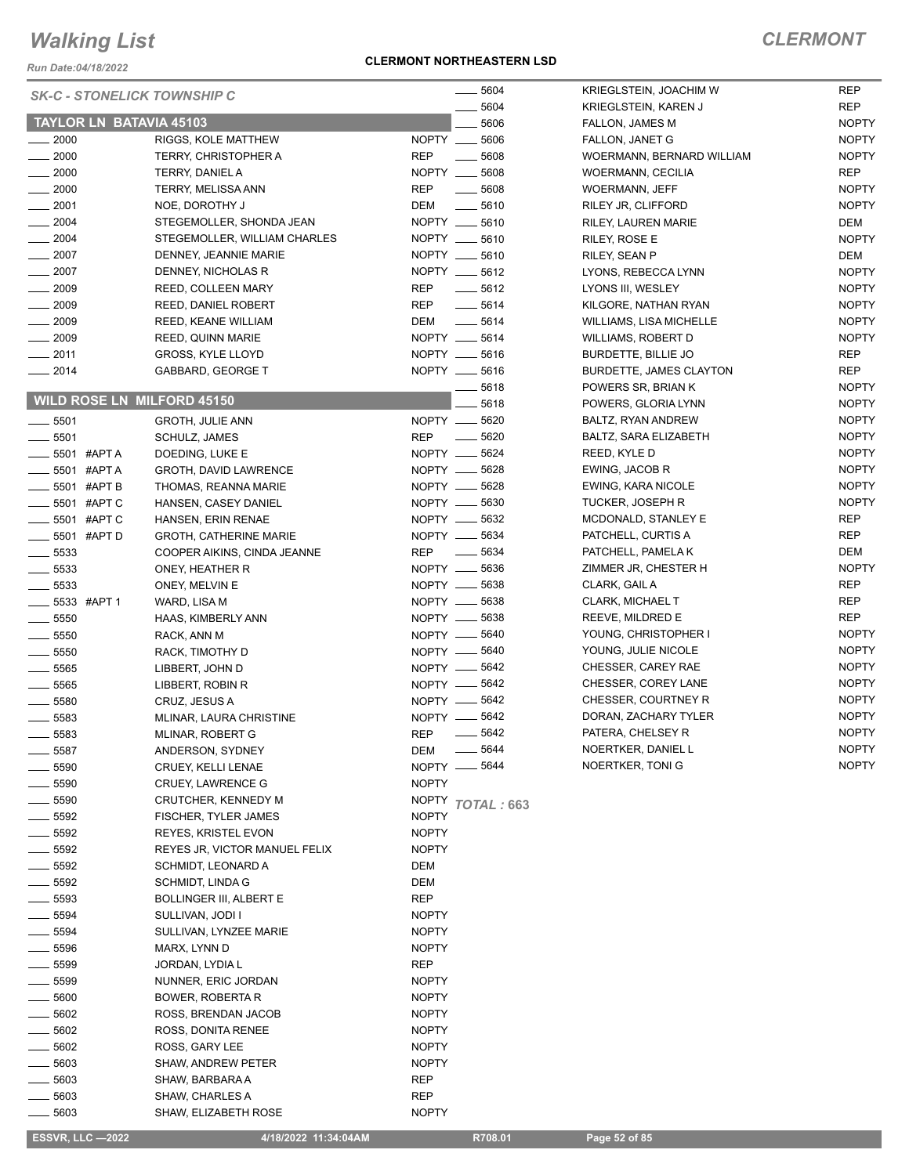*Run Date:04/18/2022*

#### **CLERMONT NORTHEASTERN LSD**

| <b>SK-C - STONELICK TOWNSHIP C</b>       |                                         | 5604                                              | KRIEGLSTEIN, JOACHIM W                      | <b>REP</b>                 |
|------------------------------------------|-----------------------------------------|---------------------------------------------------|---------------------------------------------|----------------------------|
|                                          |                                         | 5604                                              | KRIEGLSTEIN, KAREN J                        | <b>REP</b>                 |
| TAYLOR LN BATAVIA 45103                  |                                         | 5606                                              | FALLON, JAMES M                             | <b>NOPTY</b>               |
| $- 2000$                                 | RIGGS, KOLE MATTHEW                     | NOPTY __ 5606                                     | FALLON, JANET G                             | <b>NOPTY</b>               |
| 2000                                     | TERRY, CHRISTOPHER A                    | <b>REP</b><br>5608<br>$\frac{1}{1}$               | WOERMANN, BERNARD WILLIAM                   | <b>NOPTY</b>               |
| $\frac{1}{2000}$                         | TERRY, DANIEL A                         | NOPTY __ 5608<br><b>REP</b><br>$\frac{1}{2}$ 5608 | <b>WOERMANN, CECILIA</b>                    | <b>REP</b><br><b>NOPTY</b> |
| $- 2000$<br>$-2001$                      | TERRY, MELISSA ANN<br>NOE, DOROTHY J    | DEM<br>$\frac{1}{2}$ 5610                         | <b>WOERMANN, JEFF</b><br>RILEY JR, CLIFFORD | <b>NOPTY</b>               |
| $\frac{1}{2004}$                         | STEGEMOLLER, SHONDA JEAN                | NOPTY __ 5610                                     | RILEY, LAUREN MARIE                         | DEM                        |
| $-2004$                                  | STEGEMOLLER, WILLIAM CHARLES            | NOPTY __ 5610                                     | RILEY, ROSE E                               | <b>NOPTY</b>               |
| $\frac{1}{2007}$                         | DENNEY, JEANNIE MARIE                   | NOPTY __ 5610                                     | RILEY, SEAN P                               | DEM                        |
| $-2007$                                  | DENNEY, NICHOLAS R                      | NOPTY __ 5612                                     | LYONS, REBECCA LYNN                         | <b>NOPTY</b>               |
| $-2009$                                  | <b>REED, COLLEEN MARY</b>               | REP<br>$\frac{1}{2}$ 5612                         | LYONS III, WESLEY                           | <b>NOPTY</b>               |
| $-2009$                                  | <b>REED, DANIEL ROBERT</b>              | <b>REP</b><br>$- 5614$                            | KILGORE, NATHAN RYAN                        | <b>NOPTY</b>               |
| $-2009$                                  | REED, KEANE WILLIAM                     | DEM<br>$-5614$                                    | <b>WILLIAMS, LISA MICHELLE</b>              | <b>NOPTY</b>               |
| $-2009$                                  | REED, QUINN MARIE                       | NOPTY __ 5614                                     | WILLIAMS, ROBERT D                          | <b>NOPTY</b>               |
| $- 2011$                                 | GROSS, KYLE LLOYD                       | NOPTY __ 5616                                     | BURDETTE, BILLIE JO                         | <b>REP</b>                 |
| $-2014$                                  | GABBARD, GEORGE T                       | NOPTY __ 5616                                     | <b>BURDETTE, JAMES CLAYTON</b>              | <b>REP</b>                 |
|                                          |                                         | 5618                                              | POWERS SR, BRIAN K                          | <b>NOPTY</b>               |
| <b>WILD ROSE LN MILFORD 45150</b>        |                                         | 5618                                              | POWERS, GLORIA LYNN                         | <b>NOPTY</b>               |
| $\frac{1}{2}$ 5501                       | <b>GROTH, JULIE ANN</b>                 | NOPTY __ 5620                                     | BALTZ, RYAN ANDREW                          | <b>NOPTY</b>               |
| $-5501$                                  | SCHULZ, JAMES                           | $\frac{1}{2}$ 5620<br><b>REP</b>                  | BALTZ, SARA ELIZABETH                       | <b>NOPTY</b>               |
| ____ 5501 #APT A                         | DOEDING, LUKE E                         | NOPTY __ 5624                                     | REED, KYLE D                                | <b>NOPTY</b>               |
| —— 5501 #APT A                           | GROTH, DAVID LAWRENCE                   | NOPTY -6628                                       | EWING, JACOB R                              | <b>NOPTY</b>               |
| $\frac{1}{2}$ 5501 #APT B                | THOMAS, REANNA MARIE                    | NOPTY __ 5628                                     | EWING, KARA NICOLE                          | <b>NOPTY</b>               |
| 5501 #APT C                              | HANSEN, CASEY DANIEL                    | NOPTY __ 5630                                     | TUCKER, JOSEPH R                            | <b>NOPTY</b>               |
| <b>______ 5501 #APT C</b>                | HANSEN, ERIN RENAE                      | NOPTY -6632                                       | MCDONALD, STANLEY E                         | <b>REP</b>                 |
| __ 5501 #APT D                           | <b>GROTH, CATHERINE MARIE</b>           | NOPTY __ 5634                                     | PATCHELL, CURTIS A                          | <b>REP</b>                 |
| $=$ 5533                                 | COOPER AIKINS, CINDA JEANNE             | REP $-$ 5634                                      | PATCHELL, PAMELA K                          | DEM                        |
| $\frac{1}{2}$ 5533                       | ONEY, HEATHER R                         | NOPTY -6636                                       | ZIMMER JR, CHESTER H                        | <b>NOPTY</b>               |
| $-5533$                                  | ONEY, MELVIN E                          | NOPTY __ 5638                                     | CLARK, GAIL A                               | <b>REP</b><br><b>REP</b>   |
| ____ 5533 #APT 1                         | WARD, LISA M                            | NOPTY __ 5638<br>NOPTY __ 5638                    | CLARK, MICHAEL T<br>REEVE, MILDRED E        | <b>REP</b>                 |
| $\frac{1}{2}$ 5550<br>$\frac{1}{2}$ 5550 | HAAS, KIMBERLY ANN                      | NOPTY -6640                                       | YOUNG, CHRISTOPHER I                        | <b>NOPTY</b>               |
| $\frac{1}{2}$ 5550                       | RACK, ANN M<br>RACK, TIMOTHY D          | NOPTY __ 5640                                     | YOUNG, JULIE NICOLE                         | <b>NOPTY</b>               |
| $\frac{1}{2}$ 5565                       | LIBBERT, JOHN D                         | NOPTY __ 5642                                     | CHESSER, CAREY RAE                          | <b>NOPTY</b>               |
| $\frac{1}{2}$ 5565                       | LIBBERT, ROBIN R                        | NOPTY -6642                                       | CHESSER, COREY LANE                         | <b>NOPTY</b>               |
| $\frac{1}{2}$ 5580                       | CRUZ, JESUS A                           | NOPTY __ 5642                                     | CHESSER, COURTNEY R                         | <b>NOPTY</b>               |
| $\frac{1}{2}$ 5583                       | MLINAR, LAURA CHRISTINE                 | NOPTY -6642                                       | DORAN, ZACHARY TYLER                        | <b>NOPTY</b>               |
| $\frac{1}{2}$ 5583                       | MLINAR, ROBERT G                        | $- 5642$<br><b>REP</b>                            | PATERA, CHELSEY R                           | <b>NOPTY</b>               |
| _ 5587                                   | ANDERSON, SYDNEY                        | $- 5644$<br>DEM                                   | NOERTKER, DANIEL L                          | <b>NOPTY</b>               |
| 5590                                     | <b>CRUEY, KELLI LENAE</b>               | NOPTY __ 5644                                     | NOERTKER, TONI G                            | <b>NOPTY</b>               |
| 5590                                     | <b>CRUEY, LAWRENCE G</b>                | <b>NOPTY</b>                                      |                                             |                            |
| - 5590                                   | <b>CRUTCHER, KENNEDY M</b>              | NOPTY TOTAL: 663                                  |                                             |                            |
| . 5592                                   | FISCHER, TYLER JAMES                    | <b>NOPTY</b>                                      |                                             |                            |
| 5592                                     | <b>REYES, KRISTEL EVON</b>              | <b>NOPTY</b>                                      |                                             |                            |
| 5592                                     | REYES JR, VICTOR MANUEL FELIX           | <b>NOPTY</b>                                      |                                             |                            |
| 5592                                     | SCHMIDT, LEONARD A                      | <b>DEM</b>                                        |                                             |                            |
| 5592                                     | SCHMIDT, LINDA G                        | <b>DEM</b>                                        |                                             |                            |
| - 5593                                   | <b>BOLLINGER III, ALBERT E</b>          | <b>REP</b>                                        |                                             |                            |
| 5594                                     | SULLIVAN, JODI I                        | <b>NOPTY</b>                                      |                                             |                            |
| 5594                                     | SULLIVAN, LYNZEE MARIE                  | <b>NOPTY</b>                                      |                                             |                            |
| 5596                                     | MARX, LYNN D                            | <b>NOPTY</b>                                      |                                             |                            |
| 5599                                     | JORDAN, LYDIA L                         | REP                                               |                                             |                            |
| 5599<br>5600                             | NUNNER, ERIC JORDAN                     | <b>NOPTY</b><br><b>NOPTY</b>                      |                                             |                            |
| _ 5602                                   | BOWER, ROBERTA R<br>ROSS, BRENDAN JACOB | <b>NOPTY</b>                                      |                                             |                            |
| 5602                                     | ROSS, DONITA RENEE                      | <b>NOPTY</b>                                      |                                             |                            |
| 5602                                     | ROSS, GARY LEE                          | <b>NOPTY</b>                                      |                                             |                            |
| 5603                                     | SHAW, ANDREW PETER                      | <b>NOPTY</b>                                      |                                             |                            |
| 5603                                     | SHAW, BARBARA A                         | <b>REP</b>                                        |                                             |                            |
| 5603                                     | SHAW, CHARLES A                         | <b>REP</b>                                        |                                             |                            |
| 5603                                     | SHAW, ELIZABETH ROSE                    | <b>NOPTY</b>                                      |                                             |                            |
|                                          |                                         |                                                   |                                             |                            |
| <b>ESSVR, LLC -2022</b>                  | 4/18/2022 11:34:04AM                    | R708.01                                           | Page 52 of 85                               |                            |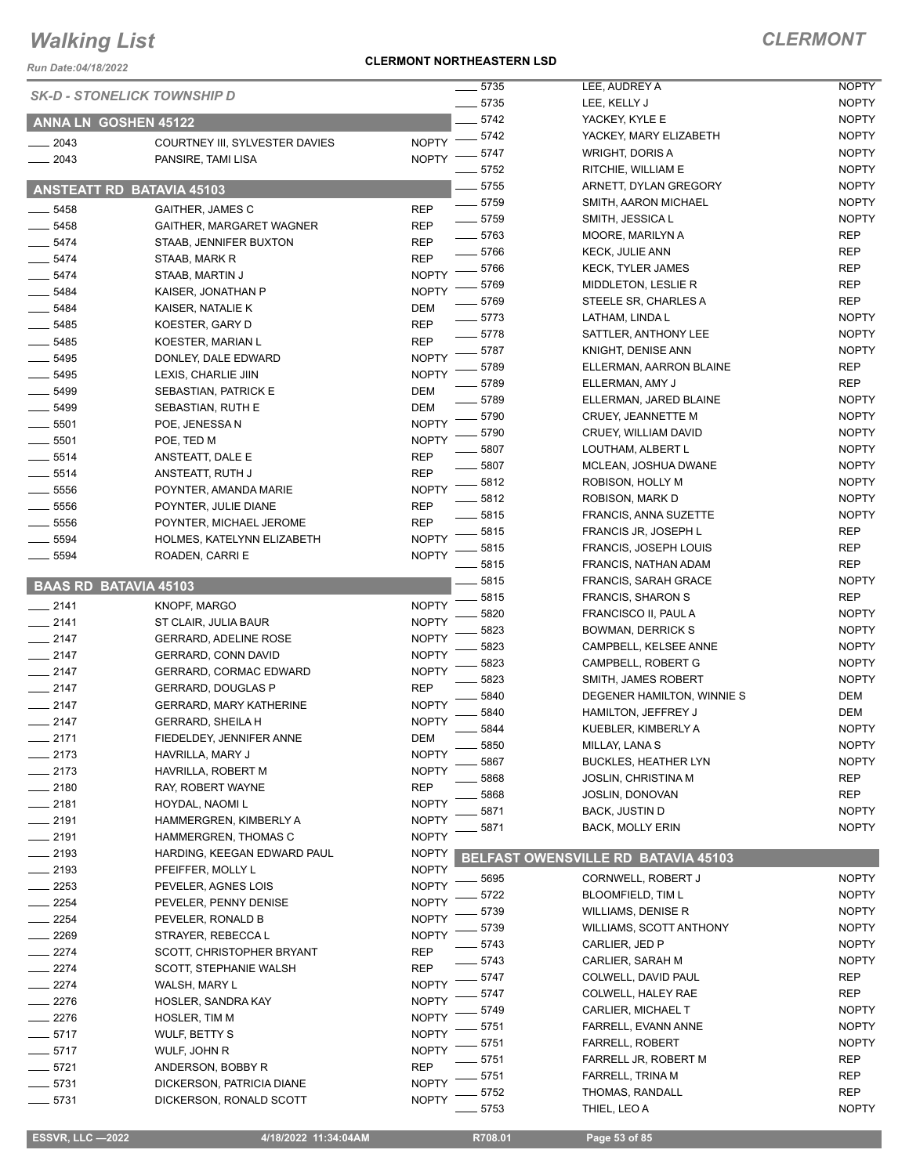*Run Date:04/18/2022*

#### **CLERMONT NORTHEASTERN LSD**

|                              |                                                      |              | 5735     | LEE, AUDREY A                       | <b>NOPTY</b> |
|------------------------------|------------------------------------------------------|--------------|----------|-------------------------------------|--------------|
|                              | <b>SK-D - STONELICK TOWNSHIP D</b>                   |              | $-5735$  | LEE, KELLY J                        | <b>NOPTY</b> |
| ANNA LN GOSHEN 45122         |                                                      |              | 5742     | YACKEY, KYLE E                      | <b>NOPTY</b> |
|                              |                                                      | <b>NOPTY</b> | 5742     | YACKEY, MARY ELIZABETH              | <b>NOPTY</b> |
| 2043<br>2043                 | COURTNEY III, SYLVESTER DAVIES<br>PANSIRE, TAMI LISA | <b>NOPTY</b> | 5747     | WRIGHT, DORIS A                     | <b>NOPTY</b> |
|                              |                                                      |              | 5752     | RITCHIE, WILLIAM E                  | <b>NOPTY</b> |
|                              | <b>ANSTEATT RD BATAVIA 45103</b>                     |              | 5755     | ARNETT, DYLAN GREGORY               | <b>NOPTY</b> |
|                              |                                                      |              | 5759     | SMITH, AARON MICHAEL                | <b>NOPTY</b> |
| $-5458$                      | <b>GAITHER, JAMES C</b>                              | <b>REP</b>   | $- 5759$ | SMITH, JESSICA L                    | <b>NOPTY</b> |
| 5458                         | <b>GAITHER, MARGARET WAGNER</b>                      | <b>REP</b>   | $- 5763$ | MOORE, MARILYN A                    | <b>REP</b>   |
| 5474                         | STAAB, JENNIFER BUXTON                               | <b>REP</b>   | $-5766$  | <b>KECK, JULIE ANN</b>              | <b>REP</b>   |
| $-5474$                      | STAAB, MARK R                                        | <b>REP</b>   | 5766     | <b>KECK, TYLER JAMES</b>            | <b>REP</b>   |
| 5474                         | STAAB, MARTIN J                                      | <b>NOPTY</b> | 5769     | MIDDLETON, LESLIE R                 | <b>REP</b>   |
| 5484                         | KAISER, JONATHAN P                                   | <b>NOPTY</b> | 5769     | STEELE SR, CHARLES A                | REP          |
| $-5484$                      | KAISER, NATALIE K                                    | <b>DEM</b>   | 5773     | LATHAM, LINDA L                     | <b>NOPTY</b> |
| 5485                         | KOESTER, GARY D                                      | <b>REP</b>   | 5778     | SATTLER, ANTHONY LEE                | <b>NOPTY</b> |
| 5485                         | KOESTER, MARIAN L                                    | <b>REP</b>   | 5787     | KNIGHT, DENISE ANN                  | <b>NOPTY</b> |
| 5495                         | DONLEY, DALE EDWARD                                  | <b>NOPTY</b> | 5789     | ELLERMAN, AARRON BLAINE             | REP          |
| 5495                         | LEXIS, CHARLIE JIIN                                  | <b>NOPTY</b> | 5789     | ELLERMAN, AMY J                     | REP          |
| 5499                         | SEBASTIAN, PATRICK E                                 | <b>DEM</b>   | 5789     | ELLERMAN, JARED BLAINE              | <b>NOPTY</b> |
| 5499                         | SEBASTIAN, RUTH E                                    | <b>DEM</b>   | 5790     | CRUEY, JEANNETTE M                  | <b>NOPTY</b> |
| $- 5501$                     | POE, JENESSA N                                       | <b>NOPTY</b> | 5790     | CRUEY, WILLIAM DAVID                | <b>NOPTY</b> |
| 5501                         | POE, TED M                                           | <b>NOPTY</b> | 5807     | LOUTHAM, ALBERT L                   | <b>NOPTY</b> |
| $-5514$                      | ANSTEATT, DALE E                                     | <b>REP</b>   | 5807     |                                     | <b>NOPTY</b> |
| 5514                         | ANSTEATT, RUTH J                                     | <b>REP</b>   |          | MCLEAN, JOSHUA DWANE                | <b>NOPTY</b> |
| 5556                         | POYNTER, AMANDA MARIE                                | <b>NOPTY</b> | 5812     | ROBISON, HOLLY M                    | <b>NOPTY</b> |
| 5556                         | POYNTER, JULIE DIANE                                 | <b>REP</b>   | 5812     | ROBISON, MARK D                     |              |
| 5556                         | POYNTER, MICHAEL JEROME                              | <b>REP</b>   | 5815     | <b>FRANCIS, ANNA SUZETTE</b>        | <b>NOPTY</b> |
| 5594                         | HOLMES, KATELYNN ELIZABETH                           | <b>NOPTY</b> | 5815     | FRANCIS JR, JOSEPH L                | REP          |
| 5594                         | ROADEN, CARRI E                                      | <b>NOPTY</b> | 5815     | <b>FRANCIS, JOSEPH LOUIS</b>        | <b>REP</b>   |
|                              |                                                      |              | 5815     | FRANCIS, NATHAN ADAM                | <b>REP</b>   |
| <b>BAAS RD BATAVIA 45103</b> |                                                      |              | 5815     | <b>FRANCIS, SARAH GRACE</b>         | <b>NOPTY</b> |
| $-2141$                      | <b>KNOPF, MARGO</b>                                  | <b>NOPTY</b> | 5815     | <b>FRANCIS, SHARON S</b>            | REP          |
| $-2141$                      | ST CLAIR, JULIA BAUR                                 | <b>NOPTY</b> | 5820     | FRANCISCO II, PAUL A                | <b>NOPTY</b> |
| $-2147$                      | <b>GERRARD, ADELINE ROSE</b>                         | <b>NOPTY</b> | 5823     | <b>BOWMAN, DERRICK S</b>            | <b>NOPTY</b> |
| $-2147$                      | <b>GERRARD, CONN DAVID</b>                           | <b>NOPTY</b> | 5823     | CAMPBELL, KELSEE ANNE               | <b>NOPTY</b> |
| $-2147$                      | <b>GERRARD, CORMAC EDWARD</b>                        | <b>NOPTY</b> | 5823     | CAMPBELL, ROBERT G                  | <b>NOPTY</b> |
| $-2147$                      | <b>GERRARD, DOUGLAS P</b>                            | <b>REP</b>   | 5823     | <b>SMITH, JAMES ROBERT</b>          | <b>NOPTY</b> |
| $-2147$                      | <b>GERRARD, MARY KATHERINE</b>                       | <b>NOPTY</b> | 5840     | DEGENER HAMILTON, WINNIE S          | DEM          |
| $-2147$                      | <b>GERRARD, SHEILA H</b>                             | <b>NOPTY</b> | 5840     | HAMILTON, JEFFREY J                 | DEM          |
| $-2171$                      | FIEDELDEY, JENNIFER ANNE                             | <b>DEM</b>   | 5844     | KUEBLER, KIMBERLY A                 | <b>NOPTY</b> |
| $-2173$                      | HAVRILLA, MARY J                                     | <b>NOPTY</b> | 5850     | MILLAY, LANA S                      | <b>NOPTY</b> |
| $= 2173$                     | HAVRILLA, ROBERT M                                   | <b>NOPTY</b> | 5867     | <b>BUCKLES, HEATHER LYN</b>         | <b>NOPTY</b> |
| $-2180$                      | RAY, ROBERT WAYNE                                    | <b>REP</b>   | 5868     | JOSLIN, CHRISTINA M                 | REP          |
| $-2181$                      | HOYDAL, NAOMI L                                      | <b>NOPTY</b> | 5868     | <b>JOSLIN, DONOVAN</b>              | REP          |
| $-2191$                      | HAMMERGREN, KIMBERLY A                               | <b>NOPTY</b> | 5871     | <b>BACK, JUSTIN D</b>               | <b>NOPTY</b> |
| $-2191$                      | HAMMERGREN, THOMAS C                                 | <b>NOPTY</b> | 5871     | <b>BACK, MOLLY ERIN</b>             | <b>NOPTY</b> |
| _ 2193                       | HARDING, KEEGAN EDWARD PAUL                          | <b>NOPTY</b> |          |                                     |              |
| $-2193$                      | PFEIFFER, MOLLY L                                    | <b>NOPTY</b> |          | BELFAST OWENSVILLE RD BATAVIA 45103 |              |
| $= 2253$                     | PEVELER, AGNES LOIS                                  | <b>NOPTY</b> | 5695     | CORNWELL, ROBERT J                  | <b>NOPTY</b> |
| $-2254$                      | PEVELER, PENNY DENISE                                | <b>NOPTY</b> | 5722     | <b>BLOOMFIELD, TIM L</b>            | <b>NOPTY</b> |
| $-2254$                      | PEVELER, RONALD B                                    | <b>NOPTY</b> | 5739     | WILLIAMS, DENISE R                  | <b>NOPTY</b> |
| 2269                         | STRAYER, REBECCAL                                    | <b>NOPTY</b> | 5739     | <b>WILLIAMS, SCOTT ANTHONY</b>      | <b>NOPTY</b> |
| 2274                         | SCOTT, CHRISTOPHER BRYANT                            | <b>REP</b>   | 5743     | CARLIER, JED P                      | <b>NOPTY</b> |
| - 2274                       | SCOTT, STEPHANIE WALSH                               | REP          | 5743     | CARLIER, SARAH M                    | <b>NOPTY</b> |
| $-2274$                      | WALSH, MARY L                                        | <b>NOPTY</b> | 5747     | COLWELL, DAVID PAUL                 | REP          |
| $-2276$                      |                                                      | <b>NOPTY</b> | 5747     | COLWELL, HALEY RAE                  | REP          |
|                              | HOSLER, SANDRA KAY                                   | <b>NOPTY</b> | 5749     | CARLIER, MICHAEL T                  | <b>NOPTY</b> |
| $-2276$                      | HOSLER, TIM M                                        | <b>NOPTY</b> | 5751     | FARRELL, EVANN ANNE                 | <b>NOPTY</b> |
| $-5717$                      | WULF, BETTY S                                        | <b>NOPTY</b> | 5751     | FARRELL, ROBERT                     | <b>NOPTY</b> |
| $-5717$                      | WULF, JOHN R                                         |              | 5751     | FARRELL JR, ROBERT M                | REP          |
| $-5721$                      | ANDERSON, BOBBY R                                    | <b>REP</b>   | 5751     | FARRELL, TRINA M                    | REP          |
| $-5731$                      | DICKERSON, PATRICIA DIANE                            | <b>NOPTY</b> | 5752     | THOMAS, RANDALL                     | REP          |
| $-5731$                      | DICKERSON, RONALD SCOTT                              | <b>NOPTY</b> | 5753     | THIEL, LEO A                        | <b>NOPTY</b> |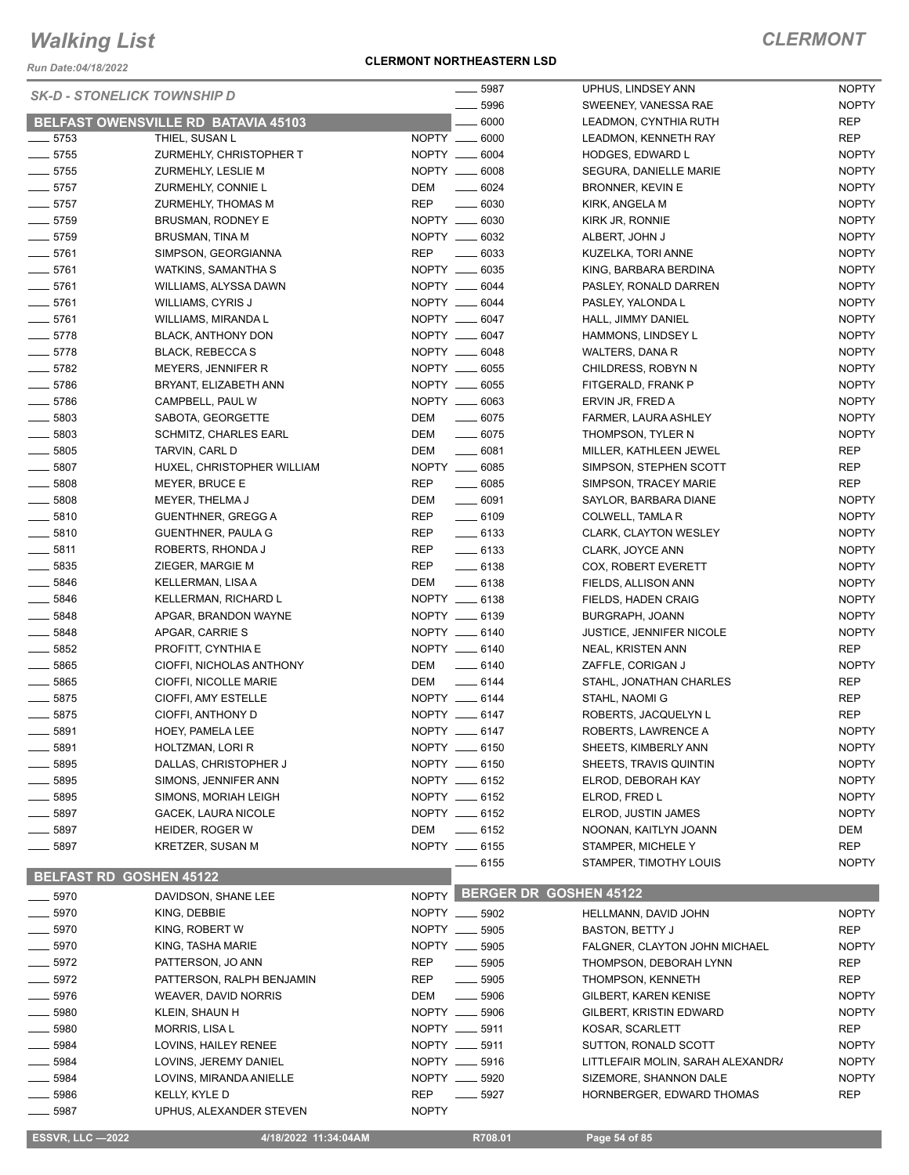*Run Date:04/18/2022*

#### **CLERMONT NORTHEASTERN LSD**

| <b>SK-D - STONELICK TOWNSHIP D</b> |                                       |              | $- 5987$                      | UPHUS, LINDSEY ANN                | <b>NOPTY</b>               |
|------------------------------------|---------------------------------------|--------------|-------------------------------|-----------------------------------|----------------------------|
|                                    |                                       |              | 5996                          | SWEENEY, VANESSA RAE              | <b>NOPTY</b>               |
|                                    | BELFAST OWENSVILLE RD BATAVIA 45103   |              | $\frac{1}{2}$ 6000            | LEADMON, CYNTHIA RUTH             | REP                        |
| $\frac{1}{2}$ 5753                 | THIEL, SUSAN L                        |              | NOPTY __ 6000                 | LEADMON, KENNETH RAY              | <b>REP</b>                 |
| $-5755$                            | ZURMEHLY, CHRISTOPHER T               |              | NOPTY __ 6004                 | <b>HODGES, EDWARD L</b>           | <b>NOPTY</b>               |
| $- 5755$                           | ZURMEHLY, LESLIE M                    |              | NOPTY __ 6008                 | SEGURA, DANIELLE MARIE            | <b>NOPTY</b>               |
| $-5757$                            | ZURMEHLY, CONNIE L                    | DEM          | $- 6024$                      | BRONNER, KEVIN E                  | <b>NOPTY</b>               |
| $-5757$                            | ZURMEHLY, THOMAS M                    | <b>REP</b>   | $\frac{1}{2}$ 6030            | KIRK, ANGELA M                    | <b>NOPTY</b>               |
| $-5759$                            | BRUSMAN, RODNEY E                     |              | NOPTY __ 6030                 | KIRK JR, RONNIE                   | <b>NOPTY</b>               |
| $- 5759$                           | <b>BRUSMAN, TINA M</b>                |              | NOPTY __ 6032                 | ALBERT, JOHN J                    | <b>NOPTY</b>               |
| $-5761$                            | SIMPSON, GEORGIANNA                   | <b>REP</b>   | $\frac{1}{2}$ 6033            | KUZELKA, TORI ANNE                | <b>NOPTY</b>               |
| $-5761$                            | WATKINS, SAMANTHA S                   |              | NOPTY __ 6035                 | KING, BARBARA BERDINA             | <b>NOPTY</b>               |
| $- 5761$                           | WILLIAMS, ALYSSA DAWN                 |              | NOPTY __ 6044                 | PASLEY, RONALD DARREN             | <b>NOPTY</b>               |
| $-5761$                            | WILLIAMS, CYRIS J                     |              | NOPTY __ 6044                 | PASLEY, YALONDA L                 | <b>NOPTY</b>               |
| $-5761$                            | WILLIAMS, MIRANDA L                   |              | NOPTY __ 6047                 | HALL, JIMMY DANIEL                | <b>NOPTY</b>               |
| $-5778$                            | BLACK, ANTHONY DON                    |              | NOPTY __ 6047                 | HAMMONS, LINDSEY L                | <b>NOPTY</b>               |
| $-5778$                            | <b>BLACK, REBECCA S</b>               |              | NOPTY __ 6048                 | WALTERS, DANA R                   | <b>NOPTY</b>               |
| $-5782$                            | MEYERS, JENNIFER R                    |              | NOPTY __ 6055                 | CHILDRESS, ROBYN N                | <b>NOPTY</b>               |
| $-5786$                            | BRYANT, ELIZABETH ANN                 |              | NOPTY __ 6055                 | FITGERALD, FRANK P                | <b>NOPTY</b>               |
| $- 5786$                           | CAMPBELL, PAUL W                      |              | NOPTY __ 6063                 | ERVIN JR, FRED A                  | <b>NOPTY</b>               |
| $- 5803$                           | SABOTA, GEORGETTE                     | DEM          | $- 6075$                      | FARMER, LAURA ASHLEY              | <b>NOPTY</b>               |
| $-5803$                            | <b>SCHMITZ, CHARLES EARL</b>          | <b>DEM</b>   | $- 6075$                      | THOMPSON, TYLER N                 | <b>NOPTY</b>               |
| $- 5805$                           | TARVIN, CARL D                        | DEM          | $\frac{1}{2}$ 6081            | MILLER, KATHLEEN JEWEL            | <b>REP</b>                 |
| $\frac{1}{2}$ 5807                 | HUXEL, CHRISTOPHER WILLIAM            |              | NOPTY __ 6085                 | SIMPSON, STEPHEN SCOTT            | <b>REP</b>                 |
| $- 5808$                           | MEYER, BRUCE E                        | <b>REP</b>   | $\frac{1}{2}$ 6085            | SIMPSON, TRACEY MARIE             | <b>REP</b>                 |
| $- 5808$                           | MEYER, THELMA J                       | DEM          | $\frac{1}{2}$ 6091            | SAYLOR, BARBARA DIANE             | <b>NOPTY</b>               |
| $\frac{1}{2}$ 5810                 | <b>GUENTHNER, GREGG A</b>             | <b>REP</b>   | $- 6109$                      | COLWELL, TAMLA R                  | <b>NOPTY</b>               |
| $- 5810$                           | GUENTHNER, PAULA G                    | REP          | $-6133$                       | <b>CLARK, CLAYTON WESLEY</b>      | <b>NOPTY</b>               |
| $\frac{1}{2}$ 5811                 | ROBERTS, RHONDA J                     | REP          | $-6133$                       | CLARK, JOYCE ANN                  | <b>NOPTY</b>               |
| $\frac{1}{2}$ 5835                 | ZIEGER, MARGIE M                      | <b>REP</b>   | $\frac{1}{2}$ 6138            | COX, ROBERT EVERETT               | <b>NOPTY</b>               |
| $- 5846$                           | KELLERMAN, LISA A                     | DEM          | $- 6138$                      | FIELDS, ALLISON ANN               | <b>NOPTY</b>               |
| $-5846$                            | KELLERMAN, RICHARD L                  |              | NOPTY __ 6138                 | FIELDS, HADEN CRAIG               | <b>NOPTY</b>               |
| $- 5848$                           | APGAR, BRANDON WAYNE                  |              | NOPTY __ 6139                 | BURGRAPH, JOANN                   | <b>NOPTY</b>               |
| $- 5848$                           |                                       |              | NOPTY __ 6140                 |                                   | <b>NOPTY</b>               |
|                                    | APGAR, CARRIE S<br>PROFITT, CYNTHIA E |              | NOPTY __ 6140                 | <b>JUSTICE, JENNIFER NICOLE</b>   |                            |
| $\frac{1}{2}$ 5852                 |                                       |              |                               | NEAL, KRISTEN ANN                 | <b>REP</b>                 |
| $- 5865$                           | CIOFFI, NICHOLAS ANTHONY              | DEM          | $\frac{1}{2}$ 6140<br>$-6144$ | ZAFFLE, CORIGAN J                 | <b>NOPTY</b><br><b>REP</b> |
| $-5865$                            | CIOFFI, NICOLLE MARIE                 | DEM          |                               | STAHL, JONATHAN CHARLES           |                            |
| $- 5875$                           | CIOFFI, AMY ESTELLE                   |              | NOPTY __ 6144                 | STAHL, NAOMI G                    | <b>REP</b>                 |
| $-5875$                            | CIOFFI, ANTHONY D                     |              | NOPTY __ 6147                 | ROBERTS, JACQUELYN L              | <b>REP</b>                 |
| 5891                               | HOEY, PAMELA LEE                      |              | NOPTY __ 6147                 | ROBERTS, LAWRENCE A               | <b>NOPTY</b>               |
| 5891                               | HOLTZMAN, LORI R                      |              | NOPTY __ 6150                 | SHEETS, KIMBERLY ANN              | <b>NOPTY</b>               |
| 5895                               | DALLAS, CHRISTOPHER J                 |              | NOPTY __ 6150                 | SHEETS, TRAVIS QUINTIN            | <b>NOPTY</b>               |
| 5895                               | SIMONS, JENNIFER ANN                  |              | NOPTY __ 6152                 | ELROD, DEBORAH KAY                | <b>NOPTY</b>               |
| 5895                               | SIMONS, MORIAH LEIGH                  |              | NOPTY __ 6152                 | ELROD, FRED L                     | <b>NOPTY</b>               |
| 5897                               | GACEK, LAURA NICOLE                   |              | NOPTY __ 6152                 | ELROD, JUSTIN JAMES               | <b>NOPTY</b>               |
| 5897                               | HEIDER, ROGER W                       | DEM          | $\frac{1}{2}$ 6152            | NOONAN, KAITLYN JOANN             | DEM                        |
| 5897                               | KRETZER, SUSAN M                      |              | NOPTY __ 6155                 | STAMPER, MICHELE Y                | <b>REP</b>                 |
|                                    |                                       |              | $-6155$                       | STAMPER, TIMOTHY LOUIS            | <b>NOPTY</b>               |
| <b>BELFAST RD GOSHEN 45122</b>     |                                       |              |                               | NOPTY BERGER DR GOSHEN 45122      |                            |
| $- 5970$                           | DAVIDSON, SHANE LEE                   |              |                               |                                   |                            |
| $-5970$                            | KING, DEBBIE                          |              | NOPTY __ 5902                 | HELLMANN, DAVID JOHN              | <b>NOPTY</b>               |
| $-5970$                            | KING, ROBERT W                        |              | NOPTY __ 5905                 | <b>BASTON, BETTY J</b>            | <b>REP</b>                 |
| $-5970$                            | KING, TASHA MARIE                     |              | NOPTY __ 5905                 | FALGNER, CLAYTON JOHN MICHAEL     | <b>NOPTY</b>               |
| $-5972$                            | PATTERSON, JO ANN                     | REP          | $\frac{1}{2}$ 5905            | THOMPSON, DEBORAH LYNN            | <b>REP</b>                 |
| 5972                               | PATTERSON, RALPH BENJAMIN             | <b>REP</b>   | $\frac{1}{2}$ 5905            | THOMPSON, KENNETH                 | <b>REP</b>                 |
| 5976                               | WEAVER, DAVID NORRIS                  | DEM          | $\frac{1}{2}$ 5906            | <b>GILBERT, KAREN KENISE</b>      | <b>NOPTY</b>               |
| 5980                               | KLEIN, SHAUN H                        |              | NOPTY __ 5906                 | <b>GILBERT, KRISTIN EDWARD</b>    | <b>NOPTY</b>               |
| 5980                               | MORRIS, LISA L                        |              | NOPTY __ 5911                 | KOSAR, SCARLETT                   | REP                        |
| 5984                               | LOVINS, HAILEY RENEE                  |              | NOPTY __ 5911                 | SUTTON, RONALD SCOTT              | <b>NOPTY</b>               |
| 5984                               | LOVINS, JEREMY DANIEL                 |              | NOPTY __ 5916                 | LITTLEFAIR MOLIN, SARAH ALEXANDRI | <b>NOPTY</b>               |
| 5984                               | LOVINS, MIRANDA ANIELLE               |              | NOPTY __ 5920                 | SIZEMORE, SHANNON DALE            | <b>NOPTY</b>               |
| 5986                               | KELLY, KYLE D                         | <b>REP</b>   | $\frac{1}{2}$ 5927            | HORNBERGER, EDWARD THOMAS         | <b>REP</b>                 |
| 5987                               | UPHUS, ALEXANDER STEVEN               | <b>NOPTY</b> |                               |                                   |                            |
| <b>ESSVR, LLC -2022</b>            | 4/18/2022 11:34:04AM                  |              | R708.01                       | Page 54 of 85                     |                            |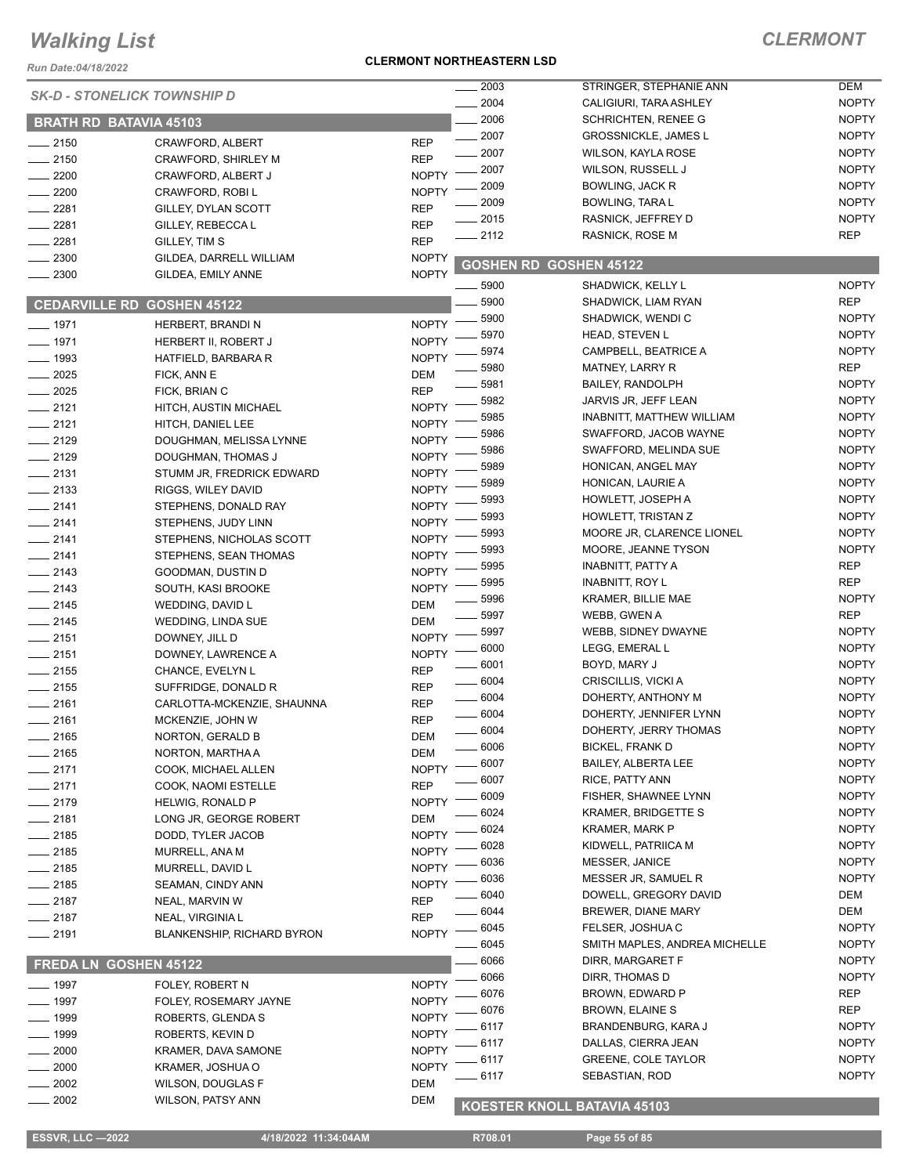*Run Date:04/18/2022*

#### **CLERMONT NORTHEASTERN LSD**

### *CLERMONT*

|                               |                                    |              | 2003     | STRINGER, STEPHANIE ANN       | <b>DEM</b>   |
|-------------------------------|------------------------------------|--------------|----------|-------------------------------|--------------|
|                               | <b>SK-D - STONELICK TOWNSHIP D</b> |              | 2004     | CALIGIURI, TARA ASHLEY        | <b>NOPTY</b> |
| <b>BRATH RD BATAVIA 45103</b> |                                    |              | 2006     | <b>SCHRICHTEN, RENEE G</b>    | <b>NOPTY</b> |
|                               |                                    |              | 2007     | <b>GROSSNICKLE, JAMES L</b>   | <b>NOPTY</b> |
| $-2150$                       | CRAWFORD, ALBERT                   | <b>REP</b>   | 2007     | WILSON, KAYLA ROSE            | <b>NOPTY</b> |
| $-2150$                       | CRAWFORD, SHIRLEY M                | <b>REP</b>   | 2007     | WILSON, RUSSELL J             | <b>NOPTY</b> |
| 2200                          | CRAWFORD, ALBERT J                 | <b>NOPTY</b> | 2009     | <b>BOWLING, JACK R</b>        | <b>NOPTY</b> |
| 2200                          | CRAWFORD, ROBI L                   | <b>NOPTY</b> | 2009     | BOWLING, TARA L               | <b>NOPTY</b> |
| 2281                          | GILLEY, DYLAN SCOTT                | <b>REP</b>   | 2015     | RASNICK, JEFFREY D            | <b>NOPTY</b> |
| 2281                          | GILLEY, REBECCA L                  | <b>REP</b>   | $-2112$  | RASNICK, ROSE M               | <b>REP</b>   |
| 2281                          | GILLEY, TIM S                      | <b>REP</b>   |          |                               |              |
| 2300                          | GILDEA, DARRELL WILLIAM            | <b>NOPTY</b> |          | <b>GOSHEN RD GOSHEN 45122</b> |              |
| 2300                          | GILDEA, EMILY ANNE                 | <b>NOPTY</b> | 5900     | SHADWICK, KELLY L             | <b>NOPTY</b> |
|                               | <b>CEDARVILLE RD GOSHEN 45122</b>  |              | 5900     | SHADWICK, LIAM RYAN           | <b>REP</b>   |
|                               |                                    |              | 5900     | SHADWICK, WENDI C             | <b>NOPTY</b> |
| ___ 1971                      | HERBERT, BRANDI N                  | <b>NOPTY</b> | 5970     | HEAD, STEVEN L                | <b>NOPTY</b> |
| $-1971$                       | HERBERT II, ROBERT J               | <b>NOPTY</b> | 5974     | CAMPBELL, BEATRICE A          | <b>NOPTY</b> |
| $-1993$                       | HATFIELD, BARBARA R                | <b>NOPTY</b> | 5980     | <b>MATNEY, LARRY R</b>        | <b>REP</b>   |
| 2025                          | FICK, ANN E                        | <b>DEM</b>   | 5981     | <b>BAILEY, RANDOLPH</b>       | <b>NOPTY</b> |
| $-2025$                       | FICK, BRIAN C                      | <b>REP</b>   | 5982     | JARVIS JR, JEFF LEAN          | <b>NOPTY</b> |
| $-2121$                       | HITCH, AUSTIN MICHAEL              | <b>NOPTY</b> | 5985     | INABNITT, MATTHEW WILLIAM     | <b>NOPTY</b> |
| $-2121$                       | HITCH, DANIEL LEE                  | <b>NOPTY</b> | 5986     | SWAFFORD, JACOB WAYNE         | <b>NOPTY</b> |
| $-2129$                       | DOUGHMAN, MELISSA LYNNE            | <b>NOPTY</b> | 5986     | SWAFFORD, MELINDA SUE         | <b>NOPTY</b> |
| $-2129$                       | DOUGHMAN, THOMAS J                 | <b>NOPTY</b> | 5989     | HONICAN, ANGEL MAY            | <b>NOPTY</b> |
| $-2131$                       | STUMM JR, FREDRICK EDWARD          | <b>NOPTY</b> | 5989     | HONICAN, LAURIE A             | <b>NOPTY</b> |
| $\frac{1}{2133}$              | RIGGS, WILEY DAVID                 | <b>NOPTY</b> | 5993     | HOWLETT, JOSEPH A             | <b>NOPTY</b> |
| $-2141$                       | STEPHENS, DONALD RAY               | <b>NOPTY</b> | 5993     | HOWLETT, TRISTAN Z            | <b>NOPTY</b> |
| $-2141$                       | STEPHENS, JUDY LINN                | <b>NOPTY</b> | 5993     | MOORE JR, CLARENCE LIONEL     | <b>NOPTY</b> |
| $-2141$                       | STEPHENS, NICHOLAS SCOTT           | <b>NOPTY</b> | 5993     |                               | <b>NOPTY</b> |
| $-2141$                       | STEPHENS, SEAN THOMAS              | <b>NOPTY</b> |          | MOORE, JEANNE TYSON           | <b>REP</b>   |
| $-2143$                       | GOODMAN, DUSTIN D                  | <b>NOPTY</b> | 5995     | INABNITT, PATTY A             |              |
| $-2143$                       | SOUTH, KASI BROOKE                 | <b>NOPTY</b> | 5995     | INABNITT, ROY L               | <b>REP</b>   |
| $-2145$                       | WEDDING, DAVID L                   | DEM          | 5996     | <b>KRAMER, BILLIE MAE</b>     | <b>NOPTY</b> |
| $-2145$                       | WEDDING, LINDA SUE                 | DEM          | 5997     | WEBB, GWEN A                  | <b>REP</b>   |
| $-2151$                       | DOWNEY, JILL D                     | <b>NOPTY</b> | 5997     | WEBB, SIDNEY DWAYNE           | <b>NOPTY</b> |
| $-2151$                       | DOWNEY, LAWRENCE A                 | <b>NOPTY</b> | 6000     | LEGG, EMERAL L                | <b>NOPTY</b> |
| $-2155$                       | CHANCE, EVELYN L                   | <b>REP</b>   | 6001     | BOYD, MARY J                  | <b>NOPTY</b> |
| $-2155$                       | SUFFRIDGE, DONALD R                | <b>REP</b>   | $- 6004$ | CRISCILLIS, VICKI A           | <b>NOPTY</b> |
| $-2161$                       | CARLOTTA-MCKENZIE, SHAUNNA         | <b>REP</b>   | $- 6004$ | DOHERTY, ANTHONY M            | <b>NOPTY</b> |
| $-2161$                       | MCKENZIE, JOHN W                   | <b>REP</b>   | $- 6004$ | DOHERTY, JENNIFER LYNN        | <b>NOPTY</b> |
| 2165                          | NORTON, GERALD B                   | DEM          | $- 6004$ | DOHERTY, JERRY THOMAS         | <b>NOPTY</b> |
| 2165                          | NORTON, MARTHA A                   | DEM          | 6006     | <b>BICKEL, FRANK D</b>        | <b>NOPTY</b> |
| 2171                          | COOK, MICHAEL ALLEN                | <b>NOPTY</b> | 6007     | BAILEY, ALBERTA LEE           | <b>NOPTY</b> |
| 2171                          | COOK, NAOMI ESTELLE                | <b>REP</b>   | 6007     | RICE, PATTY ANN               | <b>NOPTY</b> |
| 2179                          | <b>HELWIG, RONALD P</b>            | <b>NOPTY</b> | 6009     | FISHER, SHAWNEE LYNN          | <b>NOPTY</b> |
| 2181                          | LONG JR, GEORGE ROBERT             | <b>DEM</b>   | 6024     | <b>KRAMER, BRIDGETTE S</b>    | <b>NOPTY</b> |
| _ 2185                        | DODD, TYLER JACOB                  | <b>NOPTY</b> | 6024     | <b>KRAMER, MARK P</b>         | <b>NOPTY</b> |
| $-2185$                       | MURRELL, ANA M                     | <b>NOPTY</b> | 6028     | KIDWELL, PATRIICA M           | <b>NOPTY</b> |
| $-2185$                       | MURRELL, DAVID L                   | <b>NOPTY</b> | 6036     | MESSER, JANICE                | <b>NOPTY</b> |
| $-2185$                       | SEAMAN, CINDY ANN                  | <b>NOPTY</b> | 6036     | MESSER JR, SAMUEL R           | <b>NOPTY</b> |
| $-2187$                       | NEAL, MARVIN W                     | <b>REP</b>   | 6040     | DOWELL, GREGORY DAVID         | DEM          |
| — 2187                        | NEAL, VIRGINIA L                   | <b>REP</b>   | 6044     | BREWER, DIANE MARY            | DEM          |
| $-2191$                       | <b>BLANKENSHIP, RICHARD BYRON</b>  | <b>NOPTY</b> | 6045     | FELSER, JOSHUA C              | <b>NOPTY</b> |
|                               |                                    |              | 6045     | SMITH MAPLES, ANDREA MICHELLE | <b>NOPTY</b> |
|                               | FREDA LN GOSHEN 45122              |              | 6066     | DIRR, MARGARET F              | <b>NOPTY</b> |
| 1997                          | FOLEY, ROBERT N                    | <b>NOPTY</b> | 6066     | DIRR, THOMAS D                | <b>NOPTY</b> |
| 1997                          | FOLEY, ROSEMARY JAYNE              | <b>NOPTY</b> | 6076     | BROWN, EDWARD P               | <b>REP</b>   |
| 1999                          | ROBERTS, GLENDA S                  | <b>NOPTY</b> | 6076     | <b>BROWN, ELAINE S</b>        | <b>REP</b>   |
| 1999                          | ROBERTS, KEVIN D                   | <b>NOPTY</b> | 6117     | BRANDENBURG, KARA J           | <b>NOPTY</b> |
| 2000                          | KRAMER, DAVA SAMONE                | <b>NOPTY</b> | 6117     | DALLAS, CIERRA JEAN           | <b>NOPTY</b> |
| 2000                          | KRAMER, JOSHUA O                   | <b>NOPTY</b> | 6117     | <b>GREENE, COLE TAYLOR</b>    | <b>NOPTY</b> |
| 2002                          | WILSON, DOUGLAS F                  | <b>DEM</b>   | 6117     | SEBASTIAN, ROD                | <b>NOPTY</b> |
|                               |                                    |              |          |                               |              |
| 2002                          | <b>WILSON, PATSY ANN</b>           | DEM          |          | KOESTER KNOLL BATAVIA 45103   |              |

**ESSVR, LLC -2022 4/18/2022 11:34:04AM** R708.01 **Page 55 of 85**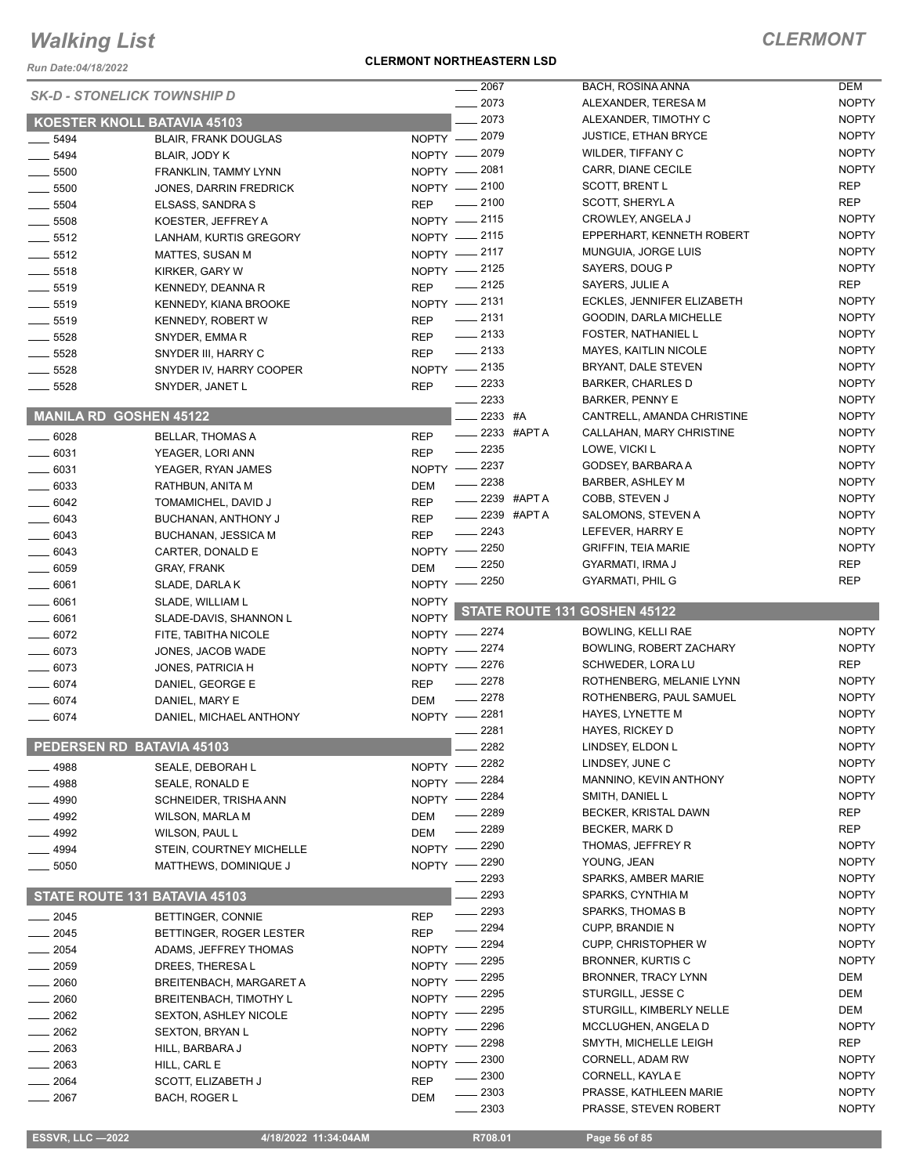*Run Date:04/18/2022*

#### **CLERMONT NORTHEASTERN LSD**

|                      | <b>SK-D - STONELICK TOWNSHIP D</b>         |                    | $-2067$                     | BACH, ROSINA ANNA                                   | <b>DEM</b>                   |
|----------------------|--------------------------------------------|--------------------|-----------------------------|-----------------------------------------------------|------------------------------|
|                      |                                            |                    | 2073                        | ALEXANDER, TERESA M                                 | <b>NOPTY</b>                 |
|                      | <b>KOESTER KNOLL BATAVIA 45103</b>         |                    | 2073                        | ALEXANDER, TIMOTHY C                                | <b>NOPTY</b>                 |
| 5494                 | <b>BLAIR, FRANK DOUGLAS</b>                | NOPTY -            | 2079                        | <b>JUSTICE, ETHAN BRYCE</b>                         | <b>NOPTY</b>                 |
| $- 5494$             | BLAIR, JODY K                              | NOPTY -            | 2079                        | WILDER, TIFFANY C                                   | <b>NOPTY</b>                 |
| $-5500$              | FRANKLIN, TAMMY LYNN                       | $NOPTY -$          | 2081                        | CARR, DIANE CECILE                                  | <b>NOPTY</b>                 |
| 5500                 | <b>JONES, DARRIN FREDRICK</b>              | NOPTY -            | _ 2100                      | <b>SCOTT, BRENT L</b>                               | <b>REP</b>                   |
| 5504                 | ELSASS, SANDRA S                           | <b>REP</b>         | 2100                        | <b>SCOTT, SHERYLA</b>                               | <b>REP</b>                   |
| $-5508$              | KOESTER, JEFFREY A                         |                    | NOPTY -2115                 | CROWLEY, ANGELA J                                   | <b>NOPTY</b>                 |
| $-5512$              | LANHAM, KURTIS GREGORY                     |                    | NOPTY -2115                 | EPPERHART, KENNETH ROBERT                           | <b>NOPTY</b>                 |
| $-5512$              | MATTES, SUSAN M                            | NOPTY - 2117       |                             | MUNGUIA, JORGE LUIS                                 | <b>NOPTY</b>                 |
| $-5518$              | KIRKER, GARY W                             |                    | NOPTY -2125                 | SAYERS, DOUG P                                      | <b>NOPTY</b>                 |
| $- 5519$             | KENNEDY, DEANNA R                          | <b>REP</b>         | $-2125$                     | SAYERS, JULIE A                                     | <b>REP</b>                   |
| $\frac{1}{2}$ 5519   | KENNEDY, KIANA BROOKE                      |                    | NOPTY -2131                 | ECKLES, JENNIFER ELIZABETH                          | <b>NOPTY</b>                 |
| $\frac{1}{2}$ 5519   | <b>KENNEDY, ROBERT W</b>                   | <b>REP</b>         | $\frac{1}{2131}$            | GOODIN, DARLA MICHELLE                              | <b>NOPTY</b><br><b>NOPTY</b> |
| $-5528$              | SNYDER, EMMA R                             | <b>REP</b>         | $\frac{1}{2133}$<br>$-2133$ | <b>FOSTER, NATHANIEL L</b>                          | <b>NOPTY</b>                 |
| $\frac{1}{2}$ 5528   | SNYDER III, HARRY C                        | <b>REP</b>         | NOPTY - 2135                | <b>MAYES, KAITLIN NICOLE</b><br>BRYANT, DALE STEVEN | <b>NOPTY</b>                 |
| 5528                 | SNYDER IV, HARRY COOPER                    |                    | $\frac{2233}{2}$            | <b>BARKER, CHARLES D</b>                            | <b>NOPTY</b>                 |
| $-5528$              | SNYDER, JANET L                            | <b>REP</b>         | 2233                        | <b>BARKER, PENNY E</b>                              | <b>NOPTY</b>                 |
|                      | <b>MANILA RD GOSHEN 45122</b>              |                    | 2233 #A                     | CANTRELL, AMANDA CHRISTINE                          | <b>NOPTY</b>                 |
|                      |                                            |                    | $\frac{1}{2233}$ #APTA      | CALLAHAN, MARY CHRISTINE                            | <b>NOPTY</b>                 |
| 6028                 | <b>BELLAR, THOMAS A</b>                    | <b>REP</b>         | $\frac{2235}{5}$            | LOWE, VICKI L                                       | <b>NOPTY</b>                 |
| $-6031$              | YEAGER, LORI ANN                           | <b>REP</b>         | 2237                        | GODSEY, BARBARA A                                   | <b>NOPTY</b>                 |
| $-6031$              | YEAGER, RYAN JAMES                         | $NOPTY -$          | 2238                        | BARBER, ASHLEY M                                    | <b>NOPTY</b>                 |
| $-6033$<br>$- 6042$  | RATHBUN, ANITA M                           | DEM<br><b>REP</b>  | 2239 #APT A                 | COBB, STEVEN J                                      | <b>NOPTY</b>                 |
| $-6043$              | TOMAMICHEL, DAVID J<br>BUCHANAN, ANTHONY J | <b>REP</b>         | 2239 #APT A                 | SALOMONS, STEVEN A                                  | <b>NOPTY</b>                 |
| $- 6043$             | <b>BUCHANAN, JESSICA M</b>                 | <b>REP</b>         | 2243                        | LEFEVER, HARRY E                                    | <b>NOPTY</b>                 |
| 6043                 | CARTER, DONALD E                           | NOPTY -            | 2250                        | <b>GRIFFIN, TEIA MARIE</b>                          | <b>NOPTY</b>                 |
| $\frac{1}{2}$ 6059   | <b>GRAY, FRANK</b>                         | <b>DEM</b>         | 2250                        | GYARMATI, IRMA J                                    | <b>REP</b>                   |
| $- 6061$             | SLADE, DARLA K                             | $NOPTY -$          | 2250                        | <b>GYARMATI, PHIL G</b>                             | <b>REP</b>                   |
|                      |                                            |                    |                             |                                                     |                              |
|                      |                                            |                    |                             |                                                     |                              |
| 6061                 | SLADE, WILLIAM L                           | <b>NOPTY</b>       |                             | STATE ROUTE 131 GOSHEN 45122                        |                              |
| $- 6061$             | SLADE-DAVIS, SHANNON L                     | <b>NOPTY</b>       | $=2274$                     | <b>BOWLING, KELLI RAE</b>                           | <b>NOPTY</b>                 |
| $- 6072$<br>$- 6073$ | FITE, TABITHA NICOLE                       | NOPTY -<br>NOPTY - | 2274                        | BOWLING, ROBERT ZACHARY                             | <b>NOPTY</b>                 |
| $-6073$              | JONES, JACOB WADE                          |                    |                             | SCHWEDER, LORA LU                                   | <b>REP</b>                   |
| 6074                 | JONES, PATRICIA H<br>DANIEL, GEORGE E      | <b>REP</b>         | NOPTY -2276<br>$-2278$      | ROTHENBERG, MELANIE LYNN                            | <b>NOPTY</b>                 |
| 6074                 | DANIEL, MARY E                             | DEM                | $-2278$                     | ROTHENBERG, PAUL SAMUEL                             | <b>NOPTY</b>                 |
| 6074                 | DANIEL, MICHAEL ANTHONY                    | NOPTY -2281        |                             | HAYES, LYNETTE M                                    | <b>NOPTY</b>                 |
|                      |                                            |                    | 2281                        | <b>HAYES, RICKEY D</b>                              | <b>NOPTY</b>                 |
|                      | PEDERSEN RD BATAVIA 45103                  |                    | 2282                        | LINDSEY, ELDON L                                    | <b>NOPTY</b>                 |
| 4988                 | SEALE, DEBORAH L                           | <b>NOPTY</b>       | 2282                        | LINDSEY, JUNE C                                     | <b>NOPTY</b>                 |
| 4988                 | SEALE, RONALD E                            | <b>NOPTY</b>       | 2284                        | MANNINO, KEVIN ANTHONY                              | <b>NOPTY</b>                 |
| 4990                 | SCHNEIDER, TRISHA ANN                      | <b>NOPTY</b>       | 2284                        | SMITH, DANIEL L                                     | <b>NOPTY</b>                 |
| 4992                 | <b>WILSON, MARLA M</b>                     | DEM                | 2289                        | BECKER, KRISTAL DAWN                                | <b>REP</b>                   |
| 4992                 | WILSON, PAUL L                             | DEM                | 2289                        | BECKER, MARK D                                      | <b>REP</b>                   |
| 4994                 | STEIN, COURTNEY MICHELLE                   | <b>NOPTY</b>       | 2290                        | THOMAS, JEFFREY R                                   | <b>NOPTY</b>                 |
| 5050                 | MATTHEWS, DOMINIQUE J                      | NOPTY ·            | - 2290                      | YOUNG, JEAN                                         | <b>NOPTY</b>                 |
|                      |                                            |                    | 2293                        | SPARKS, AMBER MARIE                                 | <b>NOPTY</b>                 |
|                      | STATE ROUTE 131 BATAVIA 45103              |                    | 2293                        | SPARKS, CYNTHIA M                                   | <b>NOPTY</b>                 |
| $-2045$              | BETTINGER, CONNIE                          | <b>REP</b>         | 2293                        | SPARKS, THOMAS B                                    | <b>NOPTY</b>                 |
| 2045                 | BETTINGER, ROGER LESTER                    | <b>REP</b>         | 2294                        | <b>CUPP, BRANDIE N</b>                              | <b>NOPTY</b>                 |
| 2054                 | ADAMS, JEFFREY THOMAS                      | <b>NOPTY</b>       | 2294                        | <b>CUPP, CHRISTOPHER W</b>                          | <b>NOPTY</b>                 |
| 2059                 | DREES, THERESA L                           | <b>NOPTY</b>       | 2295                        | BRONNER, KURTIS C                                   | <b>NOPTY</b>                 |
| 2060                 | BREITENBACH, MARGARET A                    | <b>NOPTY</b>       | 2295                        | BRONNER, TRACY LYNN                                 | DEM                          |
| 2060                 | <b>BREITENBACH, TIMOTHY L</b>              | <b>NOPTY</b>       | 2295                        | STURGILL, JESSE C                                   | DEM                          |
| 2062                 | <b>SEXTON, ASHLEY NICOLE</b>               | <b>NOPTY</b>       | 2295                        | STURGILL, KIMBERLY NELLE                            | DEM                          |
| 2062                 | <b>SEXTON, BRYAN L</b>                     | <b>NOPTY</b>       | 2296                        | MCCLUGHEN, ANGELA D                                 | <b>NOPTY</b>                 |
| 2063                 | HILL, BARBARA J                            | <b>NOPTY</b>       | 2298                        | SMYTH, MICHELLE LEIGH                               | <b>REP</b>                   |
| 2063                 | HILL, CARL E                               | <b>NOPTY</b>       | 2300                        | CORNELL, ADAM RW                                    | <b>NOPTY</b>                 |
| 2064<br>2067         | SCOTT, ELIZABETH J<br><b>BACH, ROGER L</b> | <b>REP</b><br>DEM  | 2300<br>2303                | CORNELL, KAYLA E<br>PRASSE, KATHLEEN MARIE          | <b>NOPTY</b><br><b>NOPTY</b> |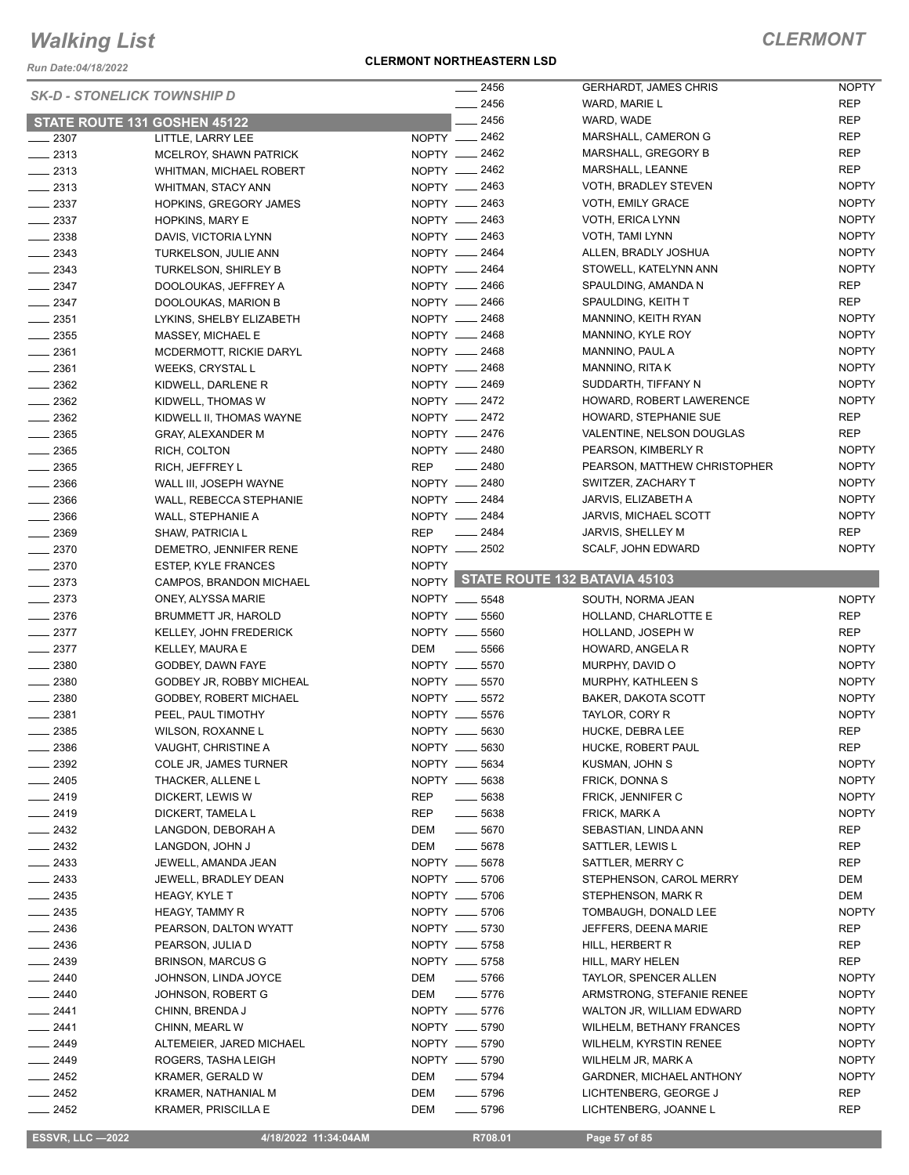*Run Date:04/18/2022*

| <b>SK-D - STONELICK TOWNSHIP D</b> |                               | $-2456$                   | <b>GERHARDT, JAMES CHRIS</b>        | <b>NOPTY</b> |
|------------------------------------|-------------------------------|---------------------------|-------------------------------------|--------------|
|                                    |                               | $-2456$                   | WARD, MARIE L                       | <b>REP</b>   |
|                                    | STATE ROUTE 131 GOSHEN 45122  | 2456                      | WARD, WADE                          | <b>REP</b>   |
| $-2307$                            | LITTLE, LARRY LEE             | NOPTY __ 2462             | MARSHALL, CAMERON G                 | <b>REP</b>   |
| $\frac{2313}{2}$                   | MCELROY, SHAWN PATRICK        | NOPTY __ 2462             | MARSHALL, GREGORY B                 | <b>REP</b>   |
| $\frac{1}{2}$ 2313                 | WHITMAN, MICHAEL ROBERT       | NOPTY - 2462              | MARSHALL, LEANNE                    | <b>REP</b>   |
| $-2313$                            | WHITMAN, STACY ANN            | NOPTY __ 2463             | VOTH, BRADLEY STEVEN                | <b>NOPTY</b> |
| $\frac{1}{2}$ 2337                 | HOPKINS, GREGORY JAMES        | NOPTY - 2463              | VOTH, EMILY GRACE                   | <b>NOPTY</b> |
| $\frac{2337}{2}$                   | HOPKINS, MARY E               | NOPTY __ 2463             | VOTH, ERICA LYNN                    | <b>NOPTY</b> |
| $\frac{1}{2}$ 2338                 | DAVIS, VICTORIA LYNN          | NOPTY -2463               | VOTH, TAMI LYNN                     | <b>NOPTY</b> |
| $-2343$                            | TURKELSON, JULIE ANN          | NOPTY __ 2464             | ALLEN, BRADLY JOSHUA                | <b>NOPTY</b> |
| $-2343$                            | TURKELSON, SHIRLEY B          | NOPTY __ 2464             | STOWELL, KATELYNN ANN               | <b>NOPTY</b> |
| $-2347$                            | DOOLOUKAS, JEFFREY A          | NOPTY __ 2466             | SPAULDING, AMANDA N                 | REP          |
| $-2347$                            |                               | NOPTY __ 2466             | SPAULDING, KEITH T                  | <b>REP</b>   |
|                                    | DOOLOUKAS, MARION B           |                           |                                     | <b>NOPTY</b> |
| $\frac{1}{2}$ 2351                 | LYKINS, SHELBY ELIZABETH      | NOPTY - 2468              | MANNINO, KEITH RYAN                 |              |
| $\frac{1}{2}$ 2355                 | MASSEY, MICHAEL E             | NOPTY __ 2468             | MANNINO, KYLE ROY                   | <b>NOPTY</b> |
| $\frac{1}{2}$ 2361                 | MCDERMOTT, RICKIE DARYL       | NOPTY __ 2468             | MANNINO, PAUL A                     | <b>NOPTY</b> |
| $\frac{1}{2}$ 2361                 | <b>WEEKS, CRYSTAL L</b>       | NOPTY - 2468              | MANNINO, RITA K                     | <b>NOPTY</b> |
| $-2362$                            | KIDWELL, DARLENE R            | NOPTY __ 2469             | SUDDARTH, TIFFANY N                 | <b>NOPTY</b> |
| $\frac{1}{2}$ 2362                 | KIDWELL, THOMAS W             | NOPTY __ 2472             | HOWARD, ROBERT LAWERENCE            | <b>NOPTY</b> |
| $\frac{1}{2}$ 2362                 | KIDWELL II, THOMAS WAYNE      | NOPTY -2472               | HOWARD, STEPHANIE SUE               | REP          |
| $\frac{1}{2}$ 2365                 | <b>GRAY, ALEXANDER M</b>      | NOPTY __ 2476             | VALENTINE, NELSON DOUGLAS           | <b>REP</b>   |
| $\frac{1}{2}$ 2365                 | RICH, COLTON                  | NOPTY -2480               | PEARSON, KIMBERLY R                 | <b>NOPTY</b> |
| $\frac{1}{2}$ 2365                 | RICH, JEFFREY L               | REP __ 2480               | PEARSON, MATTHEW CHRISTOPHER        | <b>NOPTY</b> |
| $\frac{1}{2366}$                   | WALL III, JOSEPH WAYNE        | NOPTY - 2480              | SWITZER, ZACHARY T                  | <b>NOPTY</b> |
| $-2366$                            | WALL, REBECCA STEPHANIE       | NOPTY __ 2484             | JARVIS, ELIZABETH A                 | <b>NOPTY</b> |
| $\frac{1}{2}$ 2366                 | WALL, STEPHANIE A             | NOPTY __ 2484             | JARVIS, MICHAEL SCOTT               | <b>NOPTY</b> |
| $-2369$                            | SHAW, PATRICIA L              | REP __ 2484               | JARVIS, SHELLEY M                   | <b>REP</b>   |
| $\frac{2370}{2}$                   | DEMETRO, JENNIFER RENE        | NOPTY __ 2502             | SCALF, JOHN EDWARD                  | <b>NOPTY</b> |
| $-2370$                            | <b>ESTEP, KYLE FRANCES</b>    | <b>NOPTY</b>              |                                     |              |
|                                    |                               |                           | NOPTY STATE ROUTE 132 BATAVIA 45103 |              |
| $-2373$                            | CAMPOS, BRANDON MICHAEL       |                           |                                     |              |
| $-2373$                            | ONEY, ALYSSA MARIE            | NOPTY __ 5548             | SOUTH, NORMA JEAN                   | <b>NOPTY</b> |
| $\frac{1}{2}$ 2376                 | BRUMMETT JR, HAROLD           | NOPTY __ 5560             | HOLLAND, CHARLOTTE E                | REP          |
| $-2377$                            | KELLEY, JOHN FREDERICK        | NOPTY __ 5560             | HOLLAND, JOSEPH W                   | <b>REP</b>   |
| $-2377$                            | KELLEY, MAURA E               | DEM<br>$\sim$ 5566        | HOWARD, ANGELA R                    | <b>NOPTY</b> |
| $-2380$                            | GODBEY, DAWN FAYE             | NOPTY __ 5570             | MURPHY, DAVID O                     | <b>NOPTY</b> |
| $-2380$                            | GODBEY JR, ROBBY MICHEAL      | NOPTY __ 5570             | MURPHY, KATHLEEN S                  | <b>NOPTY</b> |
| $\frac{1}{2380}$                   | <b>GODBEY, ROBERT MICHAEL</b> | NOPTY __ 5572             | BAKER, DAKOTA SCOTT                 | <b>NOPTY</b> |
| $-2381$                            | PEEL, PAUL TIMOTHY            | NOPTY __ 5576             | TAYLOR, CORY R                      | <b>NOPTY</b> |
| $-2385$                            | WILSON, ROXANNE L             | NOPTY __ 5630             | HUCKE, DEBRA LEE                    | <b>REP</b>   |
| $-2386$                            | VAUGHT, CHRISTINE A           | NOPTY __ 5630             | HUCKE, ROBERT PAUL                  | <b>REP</b>   |
| $\frac{1}{2}$ 2392                 | COLE JR, JAMES TURNER         | NOPTY __ 5634             | KUSMAN, JOHN S                      | <b>NOPTY</b> |
| $-2405$                            | THACKER, ALLENE L             | NOPTY __ 5638             | <b>FRICK, DONNAS</b>                | <b>NOPTY</b> |
| $-2419$                            | DICKERT, LEWIS W              | REP<br>$\frac{1}{2}$ 5638 | FRICK, JENNIFER C                   | <b>NOPTY</b> |
| $-2419$                            | DICKERT, TAMELA L             | REP<br>$\frac{1}{2}$ 5638 | FRICK, MARK A                       | <b>NOPTY</b> |
| $-2432$                            | LANGDON, DEBORAH A            | $\frac{1}{2}$ 5670<br>DEM | SEBASTIAN, LINDA ANN                | <b>REP</b>   |
| $\frac{2432}{2}$                   | LANGDON, JOHN J               | $\frac{1}{2}$ 5678<br>DEM | SATTLER, LEWIS L                    | REP          |
| $-2433$                            | JEWELL, AMANDA JEAN           | NOPTY __ 5678             | SATTLER, MERRY C                    | <b>REP</b>   |
| $-2433$                            | JEWELL, BRADLEY DEAN          | NOPTY __ 5706             | STEPHENSON, CAROL MERRY             | DEM          |
| $-2435$                            | HEAGY, KYLE T                 | NOPTY __ 5706             | STEPHENSON, MARK R                  | DEM          |
| $-2435$                            | <b>HEAGY, TAMMY R</b>         | NOPTY __ 5706             | TOMBAUGH, DONALD LEE                | <b>NOPTY</b> |
|                                    |                               |                           |                                     |              |
| $-2436$                            | PEARSON, DALTON WYATT         | NOPTY __ 5730             | JEFFERS, DEENA MARIE                | REP          |
| $\frac{1}{2436}$                   | PEARSON, JULIA D              | NOPTY __ 5758             | HILL, HERBERT R                     | REP          |
| $-2439$                            | <b>BRINSON, MARCUS G</b>      | NOPTY __ 5758             | HILL, MARY HELEN                    | <b>REP</b>   |
| $-2440$                            | JOHNSON, LINDA JOYCE          | DEM<br>$\frac{1}{2}$ 5766 | TAYLOR, SPENCER ALLEN               | <b>NOPTY</b> |
| $-2440$                            | JOHNSON, ROBERT G             | DEM<br>$\frac{1}{2}$ 5776 | ARMSTRONG, STEFANIE RENEE           | <b>NOPTY</b> |
| $-2441$                            | CHINN, BRENDA J               | NOPTY __ 5776             | WALTON JR, WILLIAM EDWARD           | <b>NOPTY</b> |
| $-2441$                            | CHINN, MEARL W                | NOPTY __ 5790             | <b>WILHELM, BETHANY FRANCES</b>     | <b>NOPTY</b> |
| $-2449$                            | ALTEMEIER, JARED MICHAEL      | NOPTY __ 5790             | WILHELM, KYRSTIN RENEE              | <b>NOPTY</b> |
| $-2449$                            |                               |                           |                                     |              |
|                                    | ROGERS, TASHA LEIGH           | NOPTY __ 5790             | WILHELM JR, MARK A                  | <b>NOPTY</b> |
| $-2452$                            | KRAMER, GERALD W              | DEM<br>$\frac{1}{2}$ 5794 | GARDNER, MICHAEL ANTHONY            | <b>NOPTY</b> |
| $\frac{1}{2452}$                   | KRAMER, NATHANIAL M           | DEM<br>$- 5796$           | LICHTENBERG, GEORGE J               | <b>REP</b>   |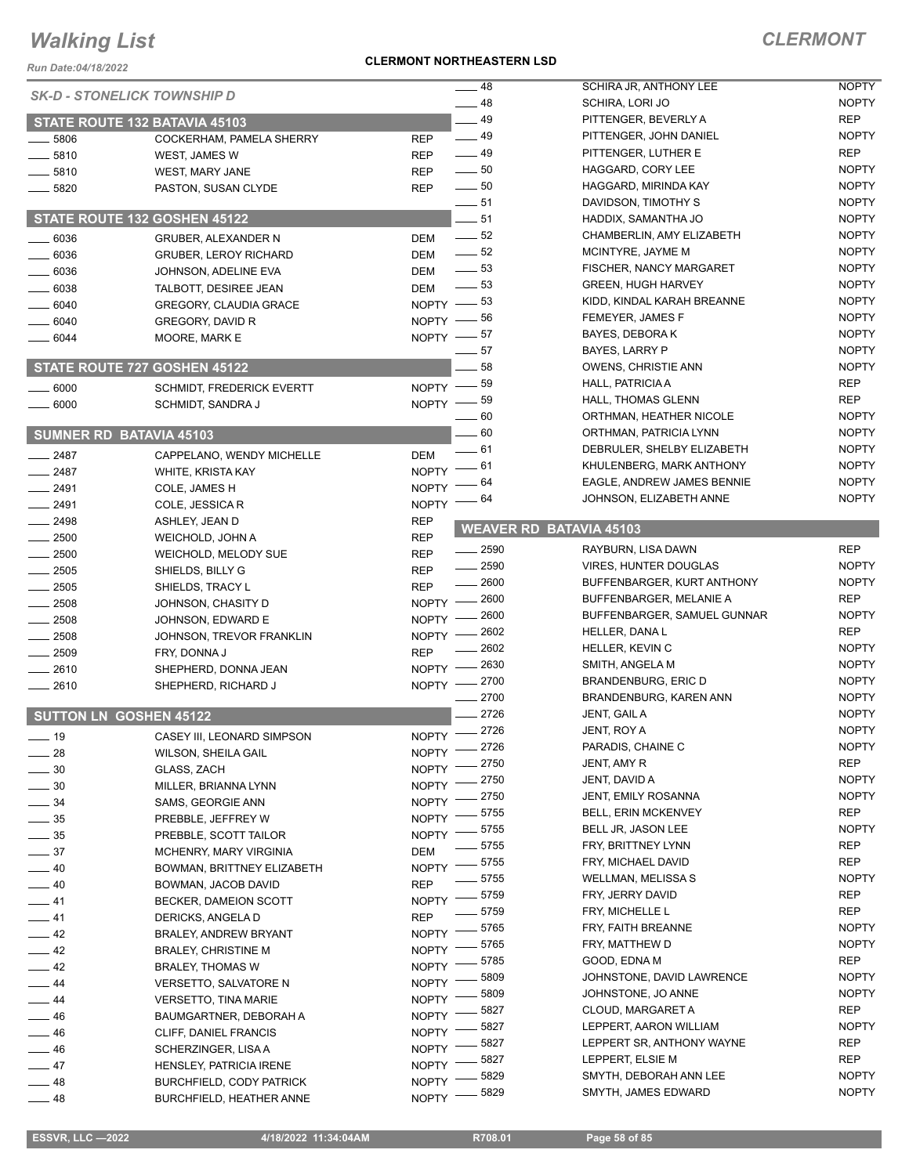*Run Date:04/18/2022*

#### **CLERMONT NORTHEASTERN LSD**

| <b>Run Date:04/18/2022</b>         |                                  |                                      |                                |              |
|------------------------------------|----------------------------------|--------------------------------------|--------------------------------|--------------|
| <b>SK-D - STONELICK TOWNSHIP D</b> |                                  | $-48$                                | SCHIRA JR, ANTHONY LEE         | <b>NOPTY</b> |
|                                    |                                  | $-48$                                | SCHIRA, LORI JO                | <b>NOPTY</b> |
|                                    | STATE ROUTE 132 BATAVIA 45103    | $-49$                                | PITTENGER, BEVERLY A           | <b>REP</b>   |
| 5806                               | COCKERHAM, PAMELA SHERRY         | $-49$<br><b>REP</b>                  | PITTENGER, JOHN DANIEL         | <b>NOPTY</b> |
| 5810                               | WEST, JAMES W                    | $\frac{1}{2}$ 49<br><b>REP</b>       | PITTENGER, LUTHER E            | <b>REP</b>   |
| 5810                               | <b>WEST, MARY JANE</b>           | $\frac{1}{2}$ 50<br><b>REP</b>       | HAGGARD, CORY LEE              | <b>NOPTY</b> |
| 5820                               | PASTON, SUSAN CLYDE              | $\frac{1}{2}$ 50<br><b>REP</b>       | HAGGARD, MIRINDA KAY           | <b>NOPTY</b> |
|                                    |                                  | $-51$                                | DAVIDSON, TIMOTHY S            | <b>NOPTY</b> |
|                                    | STATE ROUTE 132 GOSHEN 45122     | $-51$                                | HADDIX, SAMANTHA JO            | <b>NOPTY</b> |
| 6036                               | <b>GRUBER, ALEXANDER N</b>       | $\frac{1}{2}$ 52<br><b>DEM</b>       | CHAMBERLIN, AMY ELIZABETH      | <b>NOPTY</b> |
| 6036                               | <b>GRUBER, LEROY RICHARD</b>     | $\frac{1}{2}$ 52<br><b>DEM</b>       | MCINTYRE, JAYME M              | <b>NOPTY</b> |
| 6036                               | JOHNSON, ADELINE EVA             | $\frac{1}{2}$ 53<br><b>DEM</b>       | FISCHER, NANCY MARGARET        | <b>NOPTY</b> |
| 6038                               | TALBOTT, DESIREE JEAN            | $\frac{1}{2}$ 53<br><b>DEM</b>       | <b>GREEN, HUGH HARVEY</b>      | <b>NOPTY</b> |
| 6040                               | <b>GREGORY, CLAUDIA GRACE</b>    | NOPTY $-$ 53                         | KIDD, KINDAL KARAH BREANNE     | <b>NOPTY</b> |
| 6040                               | GREGORY, DAVID R                 | $NOPTY$ - 56                         | FEMEYER, JAMES F               | <b>NOPTY</b> |
| 6044                               | MOORE, MARK E                    | NOPTY $-$ 57                         | BAYES, DEBORA K                | <b>NOPTY</b> |
|                                    |                                  | 57                                   | BAYES, LARRY P                 | <b>NOPTY</b> |
|                                    | STATE ROUTE 727 GOSHEN 45122     | 58                                   | <b>OWENS, CHRISTIE ANN</b>     | <b>NOPTY</b> |
| 6000                               | <b>SCHMIDT, FREDERICK EVERTT</b> | 59<br>$NOPTY$ -                      | <b>HALL, PATRICIA A</b>        | <b>REP</b>   |
| 6000                               | SCHMIDT, SANDRA J                | .59<br>$NOPTY =$                     | HALL, THOMAS GLENN             | <b>REP</b>   |
|                                    |                                  | $-60$                                | ORTHMAN, HEATHER NICOLE        | <b>NOPTY</b> |
|                                    | <b>SUMNER RD BATAVIA 45103</b>   | $-60$                                | ORTHMAN, PATRICIA LYNN         | <b>NOPTY</b> |
|                                    |                                  | - 61<br><b>DEM</b>                   | DEBRULER, SHELBY ELIZABETH     | <b>NOPTY</b> |
| $\frac{1}{2487}$                   | CAPPELANO, WENDY MICHELLE        | 61<br><b>NOPTY</b>                   | KHULENBERG, MARK ANTHONY       | <b>NOPTY</b> |
| $-2487$                            | WHITE, KRISTA KAY                | 64                                   | EAGLE, ANDREW JAMES BENNIE     | <b>NOPTY</b> |
| $-2491$                            | COLE, JAMES H                    | <b>NOPTY</b><br>64                   | JOHNSON, ELIZABETH ANNE        | <b>NOPTY</b> |
| $-2491$                            | COLE, JESSICA R                  | <b>NOPTY</b>                         |                                |              |
| 2498                               | ASHLEY, JEAN D                   | <b>REP</b>                           | <b>WEAVER RD BATAVIA 45103</b> |              |
| 2500                               | WEICHOLD, JOHN A                 | <b>REP</b><br>$\frac{1}{2590}$       | RAYBURN, LISA DAWN             | <b>REP</b>   |
| 2500                               | WEICHOLD, MELODY SUE             | <b>REP</b><br>2590                   | <b>VIRES, HUNTER DOUGLAS</b>   | <b>NOPTY</b> |
| 2505                               | SHIELDS, BILLY G                 | <b>REP</b><br>2600                   | BUFFENBARGER, KURT ANTHONY     | <b>NOPTY</b> |
| $\frac{1}{2505}$                   | SHIELDS, TRACY L                 | <b>REP</b>                           |                                | <b>REP</b>   |
| 2508                               | JOHNSON, CHASITY D               | NOPTY - 2600                         | BUFFENBARGER, MELANIE A        |              |
| 2508                               | JOHNSON, EDWARD E                | 2600<br>$NOPTY =$                    | BUFFENBARGER, SAMUEL GUNNAR    | <b>NOPTY</b> |
| $-2508$                            | JOHNSON, TREVOR FRANKLIN         | 2602<br>$N$ OPTY $-$                 | HELLER, DANA L                 | <b>REP</b>   |
| $-2509$                            | FRY, DONNA J                     | 2602<br><b>REP</b>                   | HELLER, KEVIN C                | <b>NOPTY</b> |
| 2610                               | SHEPHERD, DONNA JEAN             | 2630<br>$N$ OPTY $-$                 | SMITH, ANGELA M                | <b>NOPTY</b> |
| 2610                               | SHEPHERD, RICHARD J              | $-2700$<br>$NOPTY$ -                 | <b>BRANDENBURG, ERIC D</b>     | <b>NOPTY</b> |
|                                    |                                  | 2700                                 | BRANDENBURG, KAREN ANN         | <b>NOPTY</b> |
|                                    | <b>SUTTON LN GOSHEN 45122</b>    | 2726                                 | JENT, GAIL A                   | <b>NOPTY</b> |
| $-19$                              | CASEY III, LEONARD SIMPSON       | $-2726$<br>NOPTY -                   | JENT, ROY A                    | <b>NOPTY</b> |
| 28                                 | WILSON, SHEILA GAIL              | NOPTY -2726                          | PARADIS, CHAINE C              | <b>NOPTY</b> |
| $-30$                              | GLASS, ZACH                      | 2750<br>NOPTY -                      | JENT, AMY R                    | <b>REP</b>   |
| $-30$                              | MILLER, BRIANNA LYNN             | 2750<br><b>NOPTY</b>                 | JENT, DAVID A                  | <b>NOPTY</b> |
| $\frac{1}{2}$ 34                   | SAMS, GEORGIE ANN                | 2750<br><b>NOPTY</b>                 | JENT, EMILY ROSANNA            | <b>NOPTY</b> |
| $\frac{1}{2}$ 35                   | PREBBLE, JEFFREY W               | 5755<br><b>NOPTY</b>                 | <b>BELL, ERIN MCKENVEY</b>     | <b>REP</b>   |
| $\frac{1}{2}$ 35                   | PREBBLE, SCOTT TAILOR            | 5755<br><b>NOPTY</b>                 | BELL JR, JASON LEE             | <b>NOPTY</b> |
| $\frac{1}{2}$ 37                   | MCHENRY, MARY VIRGINIA           | 5755<br><b>DEM</b>                   | FRY, BRITTNEY LYNN             | <b>REP</b>   |
| $-40$                              | BOWMAN, BRITTNEY ELIZABETH       | 5755<br><b>NOPTY</b>                 | FRY, MICHAEL DAVID             | REP          |
| $-40$                              | BOWMAN, JACOB DAVID              | 5755<br><b>REP</b>                   | WELLMAN, MELISSA S             | <b>NOPTY</b> |
| $-41$                              | BECKER, DAMEION SCOTT            | 5759<br><b>NOPTY</b>                 | FRY, JERRY DAVID               | <b>REP</b>   |
|                                    |                                  | 5759<br><b>REP</b>                   | FRY, MICHELLE L                | REP          |
| — 41                               | DERICKS, ANGELA D                | 5765                                 | FRY, FAITH BREANNE             | <b>NOPTY</b> |
| $-42$                              | <b>BRALEY, ANDREW BRYANT</b>     | <b>NOPTY</b><br>5765<br><b>NOPTY</b> | FRY, MATTHEW D                 | <b>NOPTY</b> |
| $-42$                              | <b>BRALEY, CHRISTINE M</b>       | 5785                                 | GOOD, EDNA M                   | <b>REP</b>   |
| $-42$                              | <b>BRALEY, THOMAS W</b>          | NOPTY -<br>5809                      | JOHNSTONE, DAVID LAWRENCE      | <b>NOPTY</b> |
| $-44$                              | <b>VERSETTO, SALVATORE N</b>     | NOPTY <sup>-</sup><br>5809           | JOHNSTONE, JO ANNE             | NOPTY        |
| $-44$                              | <b>VERSETTO, TINA MARIE</b>      | <b>NOPTY</b><br>5827                 | CLOUD, MARGARET A              | REP          |
| —— 46                              | BAUMGARTNER, DEBORAH A           | <b>NOPTY</b><br>5827                 | LEPPERT, AARON WILLIAM         | <b>NOPTY</b> |
| —— 46                              | CLIFF, DANIEL FRANCIS            | <b>NOPTY</b><br>5827                 | LEPPERT SR, ANTHONY WAYNE      | <b>REP</b>   |
| —— 46                              | SCHERZINGER, LISA A              | <b>NOPTY</b><br>5827                 | LEPPERT, ELSIE M               | <b>REP</b>   |
| $-47$                              | HENSLEY, PATRICIA IRENE          | <b>NOPTY</b><br>5829                 | SMYTH, DEBORAH ANN LEE         | <b>NOPTY</b> |
| $-48$                              | <b>BURCHFIELD, CODY PATRICK</b>  | <b>NOPTY</b>                         |                                |              |
| 48                                 | BURCHFIELD, HEATHER ANNE         | 5829<br><b>NOPTY</b>                 | SMYTH, JAMES EDWARD            | <b>NOPTY</b> |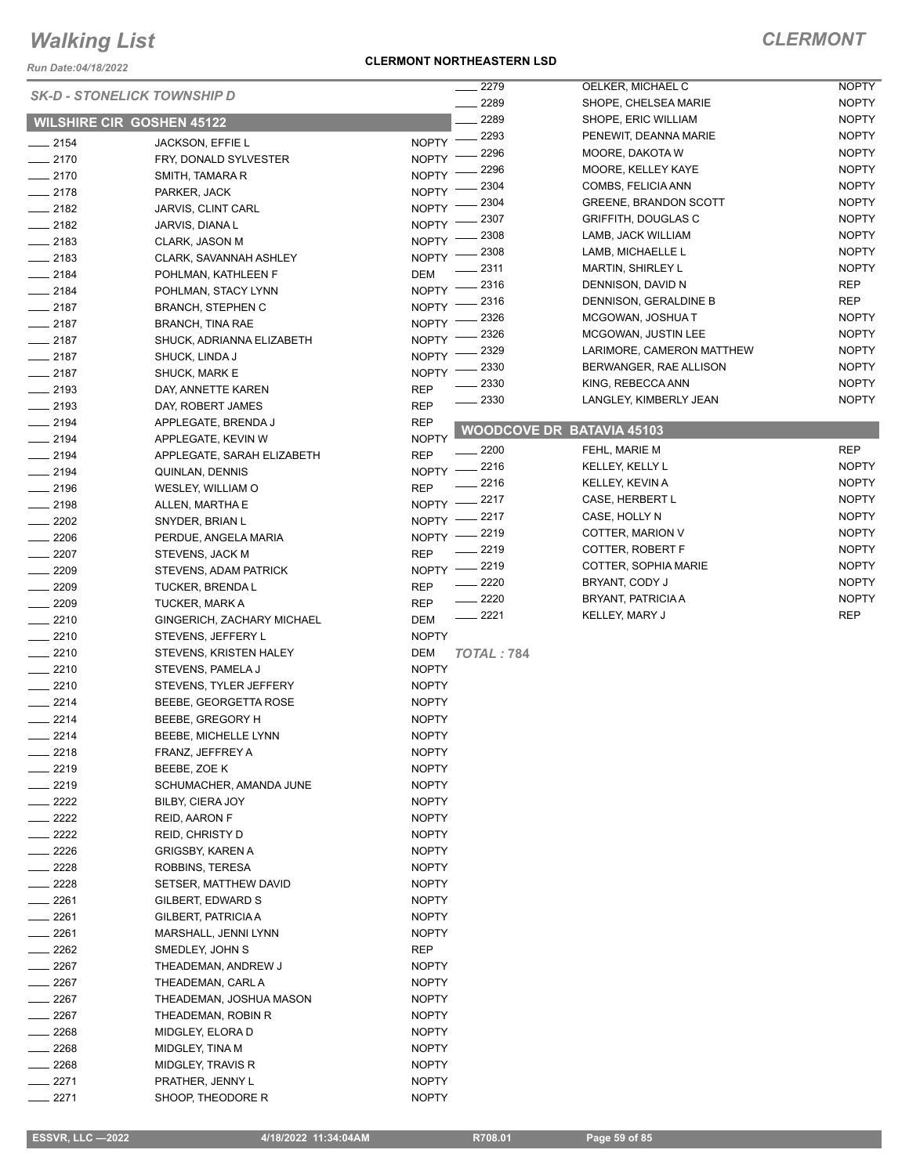*Run Date:04/18/2022*

#### **CLERMONT NORTHEASTERN LSD**

|                    | <b>SK-D - STONELICK TOWNSHIP D</b> | 2279                     | OELKER, MICHAEL C                | <b>NOPTY</b> |
|--------------------|------------------------------------|--------------------------|----------------------------------|--------------|
|                    |                                    | 2289                     | SHOPE, CHELSEA MARIE             | <b>NOPTY</b> |
|                    | <b>WILSHIRE CIR GOSHEN 45122</b>   | 2289                     | SHOPE, ERIC WILLIAM              | <b>NOPTY</b> |
| $-2154$            | <b>JACKSON, EFFIE L</b>            | 2293<br><b>NOPTY</b>     | PENEWIT, DEANNA MARIE            | <b>NOPTY</b> |
| $-2170$            | FRY, DONALD SYLVESTER              | 2296<br><b>NOPTY</b>     | MOORE, DAKOTA W                  | <b>NOPTY</b> |
| $-2170$            | SMITH, TAMARA R                    | 2296<br><b>NOPTY</b>     | MOORE, KELLEY KAYE               | <b>NOPTY</b> |
| $-2178$            |                                    | 2304<br><b>NOPTY</b>     | COMBS, FELICIA ANN               | <b>NOPTY</b> |
|                    | PARKER, JACK                       | 2304                     | <b>GREENE, BRANDON SCOTT</b>     | <b>NOPTY</b> |
| $-2182$            | JARVIS, CLINT CARL                 | <b>NOPTY</b><br>2307     | <b>GRIFFITH, DOUGLAS C</b>       | <b>NOPTY</b> |
| $-2182$            | JARVIS, DIANA L                    | <b>NOPTY</b><br>2308     | LAMB, JACK WILLIAM               | <b>NOPTY</b> |
| $\frac{1}{2183}$   | CLARK, JASON M                     | <b>NOPTY</b><br>2308     | LAMB, MICHAELLE L                | <b>NOPTY</b> |
| $-2183$            | CLARK, SAVANNAH ASHLEY             | <b>NOPTY</b><br>2311     | <b>MARTIN, SHIRLEY L</b>         | <b>NOPTY</b> |
| $-2184$            | POHLMAN, KATHLEEN F                | <b>DEM</b><br>2316       | DENNISON, DAVID N                | REP          |
| $-2184$            | POHLMAN, STACY LYNN                | <b>NOPTY</b><br>2316     | DENNISON, GERALDINE B            | <b>REP</b>   |
| $-2187$            | <b>BRANCH, STEPHEN C</b>           | <b>NOPTY</b><br>2326     | MCGOWAN, JOSHUA T                | <b>NOPTY</b> |
| $-2187$            | <b>BRANCH, TINA RAE</b>            | <b>NOPTY</b><br>2326     | MCGOWAN, JUSTIN LEE              | <b>NOPTY</b> |
| $-2187$            | SHUCK, ADRIANNA ELIZABETH          | <b>NOPTY</b>             |                                  |              |
| $-2187$            | SHUCK, LINDA J                     | 2329<br><b>NOPTY</b>     | LARIMORE, CAMERON MATTHEW        | <b>NOPTY</b> |
| $-2187$            | SHUCK, MARK E                      | 2330<br><b>NOPTY</b>     | BERWANGER, RAE ALLISON           | <b>NOPTY</b> |
| $-2193$            | DAY, ANNETTE KAREN                 | 2330<br><b>REP</b>       | KING, REBECCA ANN                | <b>NOPTY</b> |
| $-2193$            | DAY, ROBERT JAMES                  | 2330<br><b>REP</b>       | LANGLEY, KIMBERLY JEAN           | <b>NOPTY</b> |
| $-2194$            | APPLEGATE, BRENDA J                | <b>REP</b>               |                                  |              |
| $-2194$            | APPLEGATE, KEVIN W                 | <b>NOPTY</b>             | <b>WOODCOVE DR BATAVIA 45103</b> |              |
| $-2194$            | APPLEGATE, SARAH ELIZABETH         | 2200<br><b>REP</b>       | FEHL, MARIE M                    | <b>REP</b>   |
| $-2194$            | QUINLAN, DENNIS                    | 2216<br><b>NOPTY</b>     | KELLEY, KELLY L                  | <b>NOPTY</b> |
| $-2196$            | WESLEY, WILLIAM O                  | 2216<br><b>REP</b>       | KELLEY, KEVIN A                  | <b>NOPTY</b> |
| $-2198$            | ALLEN, MARTHA E                    | 2217<br><b>NOPTY</b>     | CASE, HERBERT L                  | <b>NOPTY</b> |
| $-2202$            | SNYDER, BRIAN L                    | 2217<br>NOPTY -          | CASE, HOLLY N                    | <b>NOPTY</b> |
| $-2206$            | PERDUE, ANGELA MARIA               | 2219<br>NOPTY -          | COTTER, MARION V                 | <b>NOPTY</b> |
| $-2207$            | STEVENS, JACK M                    | 2219<br><b>REP</b>       | COTTER, ROBERT F                 | <b>NOPTY</b> |
| $-2209$            | STEVENS, ADAM PATRICK              | 2219<br><b>NOPTY</b>     | COTTER, SOPHIA MARIE             | <b>NOPTY</b> |
| $-2209$            | <b>TUCKER, BRENDAL</b>             | 2220<br><b>REP</b>       | BRYANT, CODY J                   | <b>NOPTY</b> |
| $-2209$            | TUCKER, MARK A                     | 2220<br><b>REP</b>       | <b>BRYANT, PATRICIA A</b>        | <b>NOPTY</b> |
| $-2210$            | GINGERICH, ZACHARY MICHAEL         | 2221<br>DEM              | KELLEY, MARY J                   | <b>REP</b>   |
|                    |                                    | <b>NOPTY</b>             |                                  |              |
| $-2210$<br>$-2210$ | STEVENS, JEFFERY L                 |                          |                                  |              |
|                    | STEVENS, KRISTEN HALEY             | DEM<br><b>TOTAL: 784</b> |                                  |              |
| $-2210$            | STEVENS, PAMELA J                  | <b>NOPTY</b>             |                                  |              |
| $-2210$            | STEVENS, TYLER JEFFERY             | <b>NOPTY</b>             |                                  |              |
| $-2214$            | BEEBE, GEORGETTA ROSE              | <b>NOPTY</b>             |                                  |              |
| $-2214$            | BEEBE, GREGORY H                   | <b>NOPTY</b>             |                                  |              |
| 2214               | BEEBE, MICHELLE LYNN               | <b>NOPTY</b>             |                                  |              |
| _ 2218             | FRANZ, JEFFREY A                   | <b>NOPTY</b>             |                                  |              |
| 2219               | BEEBE, ZOE K                       | <b>NOPTY</b>             |                                  |              |
| $-2219$            | SCHUMACHER, AMANDA JUNE            | <b>NOPTY</b>             |                                  |              |
| $- 2222$           | BILBY, CIERA JOY                   | <b>NOPTY</b>             |                                  |              |
| $-2222$            | REID, AARON F                      | <b>NOPTY</b>             |                                  |              |
| $-2222$            | <b>REID, CHRISTY D</b>             | <b>NOPTY</b>             |                                  |              |
| $\frac{2226}{5}$   | GRIGSBY, KAREN A                   | <b>NOPTY</b>             |                                  |              |
| $-2228$            | ROBBINS, TERESA                    | <b>NOPTY</b>             |                                  |              |
| $-2228$            | SETSER, MATTHEW DAVID              | <b>NOPTY</b>             |                                  |              |
| $-2261$            | GILBERT, EDWARD S                  | <b>NOPTY</b>             |                                  |              |
| ____ 2261          | GILBERT, PATRICIA A                | <b>NOPTY</b>             |                                  |              |
| $-2261$            | MARSHALL, JENNI LYNN               | <b>NOPTY</b>             |                                  |              |
| $-2262$            | SMEDLEY, JOHN S                    | REP                      |                                  |              |
| $-2267$            | THEADEMAN, ANDREW J                | <b>NOPTY</b>             |                                  |              |
| $\sim$ 2267        | THEADEMAN, CARL A                  | <b>NOPTY</b>             |                                  |              |
| $-2267$            | THEADEMAN, JOSHUA MASON            | <b>NOPTY</b>             |                                  |              |
| $-2267$            | THEADEMAN, ROBIN R                 | <b>NOPTY</b>             |                                  |              |
| 2268               | MIDGLEY, ELORA D                   | <b>NOPTY</b>             |                                  |              |
| $-2268$            | MIDGLEY, TINA M                    | <b>NOPTY</b>             |                                  |              |
| $-2268$            | MIDGLEY, TRAVIS R                  | <b>NOPTY</b>             |                                  |              |
| _ 2271             | PRATHER, JENNY L                   | <b>NOPTY</b>             |                                  |              |
| 2271               | SHOOP, THEODORE R                  | <b>NOPTY</b>             |                                  |              |
|                    |                                    |                          |                                  |              |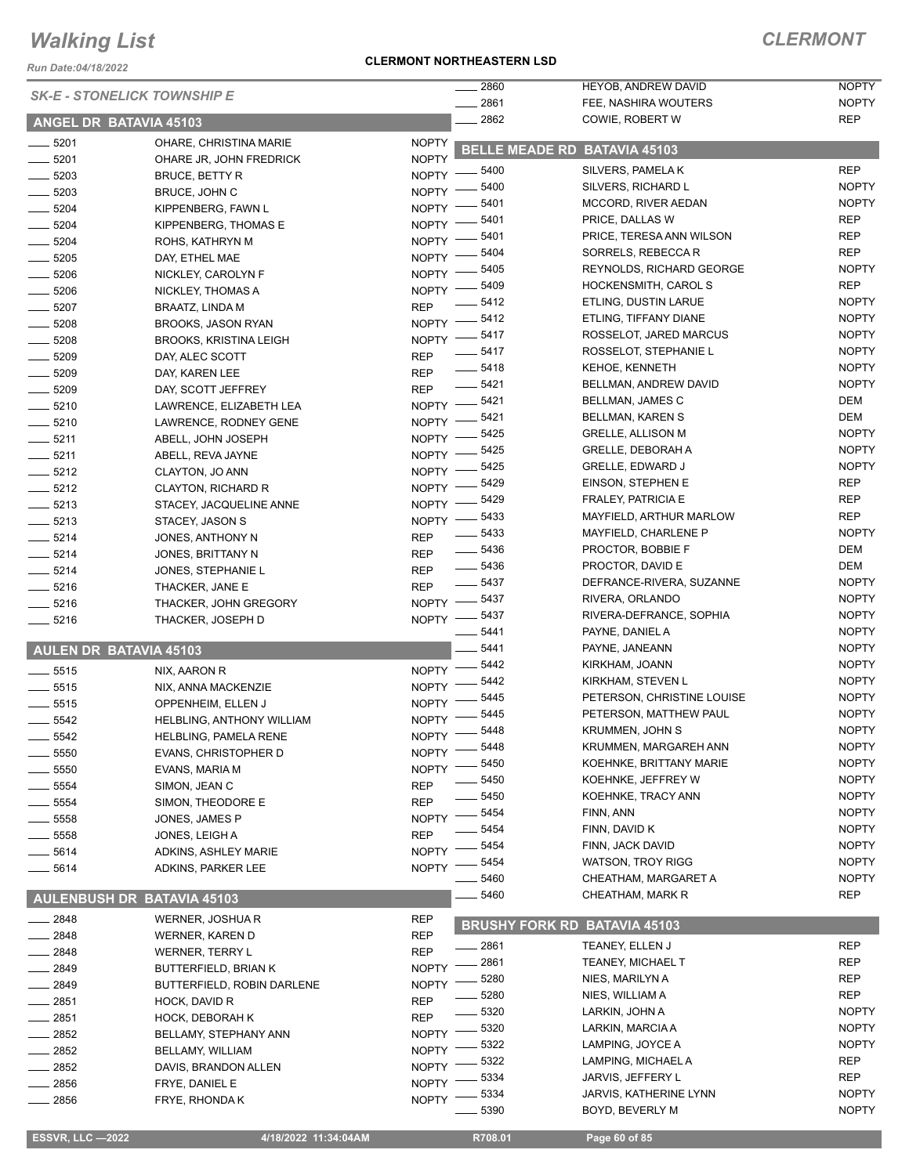*Run Date:04/18/2022*

#### **CLERMONT NORTHEASTERN LSD**

|                                    |                               |                            | 2860                  | HEYOB, ANDREW DAVID                             | <b>NOPTY</b>                 |
|------------------------------------|-------------------------------|----------------------------|-----------------------|-------------------------------------------------|------------------------------|
| <b>SK-E - STONELICK TOWNSHIP E</b> |                               |                            | 2861                  | FEE, NASHIRA WOUTERS                            | <b>NOPTY</b>                 |
| ANGEL DR BATAVIA 45103             |                               |                            | 2862                  | COWIE, ROBERT W                                 | <b>REP</b>                   |
| 5201                               | OHARE, CHRISTINA MARIE        | <b>NOPTY</b>               |                       | <b>BELLE MEADE RD BATAVIA 45103</b>             |                              |
| 5201                               | OHARE JR, JOHN FREDRICK       | <b>NOPTY</b>               |                       |                                                 |                              |
| 5203                               | <b>BRUCE, BETTY R</b>         | <b>NOPTY</b>               | 5400                  | SILVERS, PAMELA K                               | <b>REP</b>                   |
| 5203                               | BRUCE, JOHN C                 | <b>NOPTY</b>               | 5400                  | SILVERS, RICHARD L                              | <b>NOPTY</b>                 |
| 5204                               | KIPPENBERG, FAWN L            | NOPTY -                    | 5401                  | MCCORD, RIVER AEDAN                             | <b>NOPTY</b>                 |
| 5204                               | KIPPENBERG, THOMAS E          | NOPTY -                    | 5401                  | PRICE, DALLAS W                                 | <b>REP</b>                   |
| 5204                               | ROHS, KATHRYN M               | NOPTY -                    | 5401                  | PRICE, TERESA ANN WILSON                        | <b>REP</b>                   |
| 5205                               | DAY, ETHEL MAE                | NOPTY -                    | 5404                  | SORRELS, REBECCA R                              | <b>REP</b>                   |
| 5206                               | NICKLEY, CAROLYN F            | <b>NOPTY</b>               | 5405                  | <b>REYNOLDS, RICHARD GEORGE</b>                 | <b>NOPTY</b>                 |
| 5206                               | NICKLEY, THOMAS A             | NOPTY -                    | 5409<br>5412          | <b>HOCKENSMITH, CAROL S</b>                     | <b>REP</b><br><b>NOPTY</b>   |
| 5207<br>$\frac{1}{1}$              | BRAATZ, LINDA M               | <b>REP</b>                 | 5412                  | ETLING, DUSTIN LARUE                            | <b>NOPTY</b>                 |
| 5208                               | <b>BROOKS, JASON RYAN</b>     | $NOPTY =$                  | 5417                  | ETLING, TIFFANY DIANE<br>ROSSELOT, JARED MARCUS | <b>NOPTY</b>                 |
| 5208                               | <b>BROOKS, KRISTINA LEIGH</b> | $N$ OPTY $-$               |                       |                                                 | <b>NOPTY</b>                 |
| 5209                               | DAY, ALEC SCOTT               | <b>REP</b>                 | 5417                  | ROSSELOT, STEPHANIE L                           |                              |
| 5209                               | DAY, KAREN LEE                | <b>REP</b>                 | 5418<br>5421          | <b>KEHOE, KENNETH</b><br>BELLMAN, ANDREW DAVID  | <b>NOPTY</b><br><b>NOPTY</b> |
| 5209                               | DAY, SCOTT JEFFREY            | <b>REP</b>                 | 5421                  |                                                 | DEM                          |
| $- 5210$                           | LAWRENCE, ELIZABETH LEA       | <b>NOPTY</b>               | 5421                  | <b>BELLMAN, JAMES C</b>                         | DEM                          |
| $\frac{1}{2}$ 5210                 | LAWRENCE, RODNEY GENE         | <b>NOPTY</b>               |                       | BELLMAN, KAREN S<br><b>GRELLE, ALLISON M</b>    | <b>NOPTY</b>                 |
| 5211                               | ABELL, JOHN JOSEPH            | <b>NOPTY</b>               | 5425                  |                                                 |                              |
| $- 5211$                           | ABELL, REVA JAYNE             | <b>NOPTY</b>               | 5425                  | <b>GRELLE, DEBORAH A</b>                        | <b>NOPTY</b>                 |
| $- 5212$                           | CLAYTON, JO ANN               | NOPTY -                    | 5425                  | <b>GRELLE, EDWARD J</b>                         | <b>NOPTY</b>                 |
| $- 5212$                           | CLAYTON, RICHARD R            | <b>NOPTY</b>               | 5429                  | EINSON, STEPHEN E                               | <b>REP</b><br><b>REP</b>     |
| $\frac{1}{2}$ 5213                 | STACEY, JACQUELINE ANNE       | <b>NOPTY</b>               | 5429                  | <b>FRALEY, PATRICIA E</b>                       |                              |
| 5213<br>$\frac{1}{2}$              | STACEY, JASON S               | NOPTY -                    | 5433                  | MAYFIELD, ARTHUR MARLOW                         | <b>REP</b>                   |
| $- 5214$                           | JONES, ANTHONY N              | <b>REP</b>                 | 5433                  | MAYFIELD, CHARLENE P                            | <b>NOPTY</b><br>DEM          |
| 5214                               | JONES, BRITTANY N             | <b>REP</b>                 | 5436                  | PROCTOR, BOBBIE F                               |                              |
| $-5214$                            | JONES, STEPHANIE L            | <b>REP</b>                 | 5436<br>$\frac{1}{2}$ | PROCTOR, DAVID E                                | DEM                          |
| 5216                               | THACKER, JANE E               | <b>REP</b>                 | 5437<br>5437          | DEFRANCE-RIVERA, SUZANNE                        | <b>NOPTY</b>                 |
| 5216                               | THACKER, JOHN GREGORY         | $NOPTY$ ––                 |                       | RIVERA, ORLANDO                                 | <b>NOPTY</b>                 |
| $- 5216$                           | THACKER, JOSEPH D             |                            | NOPTY -8437<br>5441   | RIVERA-DEFRANCE, SOPHIA                         | <b>NOPTY</b><br><b>NOPTY</b> |
|                                    |                               |                            | 5441                  | PAYNE, DANIEL A                                 | <b>NOPTY</b>                 |
| <b>AULEN DR BATAVIA 45103</b>      |                               |                            | 5442                  | PAYNE, JANEANN<br>KIRKHAM, JOANN                | <b>NOPTY</b>                 |
| $\frac{1}{2}$ 5515                 | NIX, AARON R                  | <b>NOPTY</b>               | 5442                  |                                                 | <b>NOPTY</b>                 |
| $- 5515$                           | NIX, ANNA MACKENZIE           | <b>NOPTY</b>               | 5445                  | KIRKHAM, STEVEN L<br>PETERSON, CHRISTINE LOUISE |                              |
| 5515                               | OPPENHEIM, ELLEN J            | <b>NOPTY</b>               | 5445                  | PETERSON, MATTHEW PAUL                          | <b>NOPTY</b><br><b>NOPTY</b> |
| 5542                               | HELBLING, ANTHONY WILLIAM     | <b>NOPTY</b>               | 5448                  | KRUMMEN, JOHN S                                 | <b>NOPTY</b>                 |
| 5542                               | HELBLING, PAMELA RENE         | NOPTY -                    | 5448                  | KRUMMEN, MARGAREH ANN                           | <b>NOPTY</b>                 |
| 5550                               | <b>EVANS, CHRISTOPHER D</b>   | <b>NOPTY</b>               |                       |                                                 |                              |
| 5550                               | EVANS, MARIA M                | <b>NOPTY</b>               | 5450                  | KOEHNKE, BRITTANY MARIE                         | <b>NOPTY</b>                 |
| 5554                               | SIMON, JEAN C                 | <b>REP</b>                 | 5450                  | KOEHNKE, JEFFREY W                              | <b>NOPTY</b>                 |
| 5554                               | SIMON, THEODORE E             | <b>REP</b>                 | 5450                  | KOEHNKE, TRACY ANN                              | <b>NOPTY</b>                 |
| 5558                               | JONES, JAMES P                | <b>NOPTY</b>               | 5454                  | FINN, ANN                                       | <b>NOPTY</b>                 |
| 5558                               | JONES, LEIGH A                | <b>REP</b>                 | 5454                  | FINN, DAVID K                                   | <b>NOPTY</b>                 |
| 5614                               | ADKINS, ASHLEY MARIE          | <b>NOPTY</b>               | 5454                  | FINN, JACK DAVID                                | <b>NOPTY</b>                 |
| 5614                               | ADKINS, PARKER LEE            | <b>NOPTY</b>               | 5454                  | <b>WATSON, TROY RIGG</b>                        | <b>NOPTY</b>                 |
|                                    |                               |                            | 5460                  | CHEATHAM, MARGARET A                            | <b>NOPTY</b>                 |
| AULENBUSH DR BATAVIA 45103         |                               |                            | 5460                  | CHEATHAM, MARK R                                | <b>REP</b>                   |
| 2848                               | WERNER, JOSHUA R              | <b>REP</b>                 |                       | <b>BRUSHY FORK RD BATAVIA 45103</b>             |                              |
| $-2848$                            | <b>WERNER, KAREN D</b>        | <b>REP</b>                 | - 2861                | TEANEY, ELLEN J                                 | <b>REP</b>                   |
| 2848                               | WERNER, TERRY L               | <b>REP</b><br><b>NOPTY</b> | 2861                  | TEANEY, MICHAEL T                               | REP                          |
| 2849                               | <b>BUTTERFIELD, BRIAN K</b>   |                            | 5280                  | NIES, MARILYN A                                 | <b>REP</b>                   |
| 2849                               | BUTTERFIELD, ROBIN DARLENE    | <b>NOPTY</b>               | 5280                  | NIES, WILLIAM A                                 | <b>REP</b>                   |
| 2851                               | HOCK, DAVID R                 | <b>REP</b>                 | 5320                  | LARKIN, JOHN A                                  | <b>NOPTY</b>                 |
| 2851                               | HOCK, DEBORAH K               | <b>REP</b>                 | 5320                  | LARKIN, MARCIA A                                | <b>NOPTY</b>                 |
| 2852                               | BELLAMY, STEPHANY ANN         | <b>NOPTY</b>               | 5322                  | LAMPING, JOYCE A                                | <b>NOPTY</b>                 |
| 2852                               | BELLAMY, WILLIAM              | <b>NOPTY</b>               | 5322                  | LAMPING, MICHAEL A                              | <b>REP</b>                   |
| 2852                               | DAVIS, BRANDON ALLEN          | <b>NOPTY</b>               | 5334                  | JARVIS, JEFFERY L                               | REP                          |
| 2856                               | FRYE, DANIEL E                | <b>NOPTY</b>               | 5334                  | JARVIS, KATHERINE LYNN                          | <b>NOPTY</b>                 |
| 2856                               | FRYE, RHONDA K                | <b>NOPTY</b>               | 5390                  | BOYD, BEVERLY M                                 | <b>NOPTY</b>                 |
|                                    |                               |                            |                       |                                                 |                              |

 **ESSVR, LLC —2022 4/18/2022 11:34:04AM R708.01 Page 60 of 85**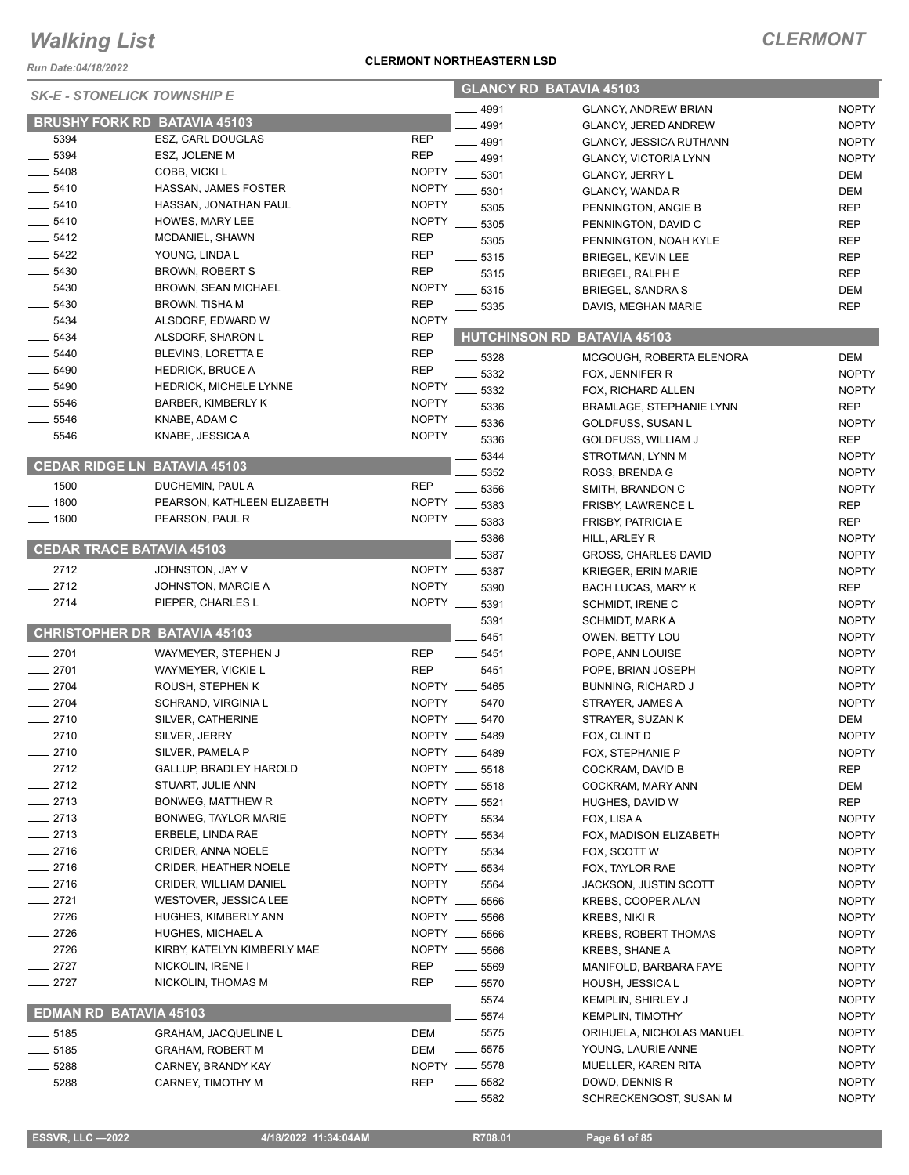*Run Date:04/18/2022*

### **CLERMONT NORTHEASTERN LSD**

| <b>SK-E - STONELICK TOWNSHIP E</b> |                                     |              | <b>GLANCY RD BATAVIA 45103</b> |                                |              |  |
|------------------------------------|-------------------------------------|--------------|--------------------------------|--------------------------------|--------------|--|
|                                    |                                     |              | 4991                           | <b>GLANCY, ANDREW BRIAN</b>    | <b>NOPTY</b> |  |
|                                    | <b>BRUSHY FORK RD BATAVIA 45103</b> |              | 4991                           | <b>GLANCY, JERED ANDREW</b>    | <b>NOPTY</b> |  |
| 5394                               | ESZ, CARL DOUGLAS                   | <b>REP</b>   | $-4991$                        | <b>GLANCY, JESSICA RUTHANN</b> | <b>NOPTY</b> |  |
| 5394                               | ESZ, JOLENE M                       | <b>REP</b>   | 4991                           | <b>GLANCY, VICTORIA LYNN</b>   | <b>NOPTY</b> |  |
| $-5408$                            | COBB, VICKI L                       | <b>NOPTY</b> | 5301                           | <b>GLANCY, JERRY L</b>         | DEM          |  |
| $-5410$                            | HASSAN, JAMES FOSTER                | <b>NOPTY</b> | 5301                           | <b>GLANCY, WANDA R</b>         | DEM          |  |
| $-5410$                            | HASSAN, JONATHAN PAUL               | <b>NOPTY</b> | 5305                           | PENNINGTON, ANGIE B            | <b>REP</b>   |  |
| $-5410$                            | HOWES, MARY LEE                     | <b>NOPTY</b> | 5305                           | PENNINGTON, DAVID C            | <b>REP</b>   |  |
| $-5412$                            | MCDANIEL, SHAWN                     | <b>REP</b>   | 5305                           | PENNINGTON, NOAH KYLE          | <b>REP</b>   |  |
| $-5422$                            | YOUNG, LINDA L                      | <b>REP</b>   | $-5315$                        | <b>BRIEGEL, KEVIN LEE</b>      | <b>REP</b>   |  |
| $-5430$                            | BROWN, ROBERT S                     | <b>REP</b>   | $\frac{1}{2}$ 5315             | <b>BRIEGEL, RALPH E</b>        | <b>REP</b>   |  |
| $-5430$                            | <b>BROWN, SEAN MICHAEL</b>          | <b>NOPTY</b> | $-5315$                        | <b>BRIEGEL, SANDRA S</b>       | DEM          |  |
| $-5430$                            | <b>BROWN, TISHA M</b>               | <b>REP</b>   | $-5335$                        | DAVIS, MEGHAN MARIE            | <b>REP</b>   |  |
| $-5434$                            | ALSDORF, EDWARD W                   | <b>NOPTY</b> |                                |                                |              |  |
| 5434                               | ALSDORF, SHARON L                   | <b>REP</b>   | <b>HUTCHINSON RD</b>           | <b>BATAVIA 45103</b>           |              |  |
| $-5440$                            | <b>BLEVINS, LORETTA E</b>           | <b>REP</b>   | 5328                           | MCGOUGH, ROBERTA ELENORA       | DEM          |  |
| 5490                               | <b>HEDRICK, BRUCE A</b>             | <b>REP</b>   | 5332                           | FOX, JENNIFER R                | <b>NOPTY</b> |  |
| 5490                               | <b>HEDRICK, MICHELE LYNNE</b>       | <b>NOPTY</b> |                                |                                |              |  |
| $-5546$                            | <b>BARBER, KIMBERLY K</b>           | <b>NOPTY</b> | 5332                           | FOX, RICHARD ALLEN             | <b>NOPTY</b> |  |
| $-5546$                            | KNABE, ADAM C                       | <b>NOPTY</b> | 5336                           | BRAMLAGE, STEPHANIE LYNN       | REP          |  |
| $-5546$                            | KNABE, JESSICA A                    | <b>NOPTY</b> | 5336                           | GOLDFUSS, SUSAN L              | <b>NOPTY</b> |  |
|                                    |                                     |              | 5336                           | <b>GOLDFUSS, WILLIAM J</b>     | <b>REP</b>   |  |
|                                    | <b>CEDAR RIDGE LN BATAVIA 45103</b> |              | 5344                           | STROTMAN, LYNN M               | <b>NOPTY</b> |  |
|                                    |                                     |              | 5352                           | ROSS, BRENDA G                 | <b>NOPTY</b> |  |
| $-1500$                            | DUCHEMIN, PAUL A                    | <b>REP</b>   | 5356                           | SMITH, BRANDON C               | <b>NOPTY</b> |  |
| $= 1600$                           | PEARSON, KATHLEEN ELIZABETH         | <b>NOPTY</b> | 5383                           | FRISBY, LAWRENCE L             | REP          |  |
| 1600                               | PEARSON, PAUL R                     | <b>NOPTY</b> | 5383                           | <b>FRISBY, PATRICIA E</b>      | <b>REP</b>   |  |
|                                    |                                     |              | 5386                           | HILL, ARLEY R                  | <b>NOPTY</b> |  |
|                                    | <b>CEDAR TRACE BATAVIA 45103</b>    |              | 5387                           | <b>GROSS, CHARLES DAVID</b>    | <b>NOPTY</b> |  |
| $-2712$                            | JOHNSTON, JAY V                     | <b>NOPTY</b> | 5387                           | <b>KRIEGER, ERIN MARIE</b>     | <b>NOPTY</b> |  |
| $-2712$                            | JOHNSTON, MARCIE A                  | <b>NOPTY</b> | 5390                           | BACH LUCAS, MARY K             | REP          |  |
| $-2714$                            | PIEPER, CHARLES L                   |              | NOPTY __ 5391                  | <b>SCHMIDT, IRENE C</b>        | <b>NOPTY</b> |  |
|                                    |                                     |              | 5391                           | SCHMIDT, MARK A                | <b>NOPTY</b> |  |
|                                    | <b>CHRISTOPHER DR BATAVIA 45103</b> |              | 5451                           | OWEN, BETTY LOU                | <b>NOPTY</b> |  |
| $-2701$                            | WAYMEYER, STEPHEN J                 | <b>REP</b>   | $-5451$                        | POPE, ANN LOUISE               | <b>NOPTY</b> |  |
| $-2701$                            | WAYMEYER, VICKIE L                  | <b>REP</b>   | $-5451$                        | POPE, BRIAN JOSEPH             | <b>NOPTY</b> |  |
| $-2704$                            | ROUSH, STEPHEN K                    | NOPTY __     | 5465                           | <b>BUNNING, RICHARD J</b>      | <b>NOPTY</b> |  |
| $-2704$                            | SCHRAND, VIRGINIA L                 |              | NOPTY __ 5470                  | STRAYER, JAMES A               | <b>NOPTY</b> |  |
| $-2710$                            | SILVER, CATHERINE                   |              | NOPTY __ 5470                  | STRAYER, SUZAN K               | DEM          |  |
| 2710                               | SILVER, JERRY                       | NOPTY _      | 5489                           | FOX, CLINT D                   | <b>NOPTY</b> |  |
| $=2710$                            | SILVER, PAMELA P                    |              | NOPTY __ 5489                  | FOX, STEPHANIE P               | <b>NOPTY</b> |  |
| 2712                               | <b>GALLUP, BRADLEY HAROLD</b>       |              | NOPTY __ 5518                  | COCKRAM, DAVID B               | REP          |  |
| $-2712$                            | STUART, JULIE ANN                   |              | NOPTY __ 5518                  | COCKRAM, MARY ANN              | DEM          |  |
| $-2713$                            | <b>BONWEG, MATTHEW R</b>            |              | NOPTY __ 5521                  | HUGHES, DAVID W                | <b>REP</b>   |  |
| $-2713$                            | BONWEG, TAYLOR MARIE                |              | NOPTY __ 5534                  | FOX, LISAA                     | <b>NOPTY</b> |  |
| $-2713$                            | ERBELE, LINDA RAE                   |              | NOPTY __ 5534                  | FOX, MADISON ELIZABETH         | <b>NOPTY</b> |  |
| $-2716$                            | CRIDER, ANNA NOELE                  |              | NOPTY __ 5534                  | FOX, SCOTT W                   | <b>NOPTY</b> |  |
| $-2716$                            | CRIDER, HEATHER NOELE               |              | NOPTY __ 5534                  | FOX, TAYLOR RAE                | <b>NOPTY</b> |  |
| $-2716$                            | CRIDER, WILLIAM DANIEL              |              | NOPTY __ 5564                  | <b>JACKSON, JUSTIN SCOTT</b>   | <b>NOPTY</b> |  |
| $-2721$                            | WESTOVER, JESSICA LEE               |              | NOPTY __ 5566                  |                                | <b>NOPTY</b> |  |
| $-2726$                            |                                     |              | NOPTY __ 5566                  | KREBS, COOPER ALAN             |              |  |
|                                    | HUGHES, KIMBERLY ANN                |              |                                | KREBS, NIKI R                  | <b>NOPTY</b> |  |
| $-2726$                            | HUGHES, MICHAEL A                   |              | NOPTY __ 5566                  | <b>KREBS, ROBERT THOMAS</b>    | <b>NOPTY</b> |  |
| $-2726$                            | KIRBY, KATELYN KIMBERLY MAE         |              | NOPTY __ 5566                  | KREBS, SHANE A                 | <b>NOPTY</b> |  |
| $-2727$                            | NICKOLIN, IRENE I                   | <b>REP</b>   | $-5569$                        | MANIFOLD, BARBARA FAYE         | <b>NOPTY</b> |  |
| 2727                               | NICKOLIN, THOMAS M                  | REP          | $-5570$                        | HOUSH, JESSICA L               | <b>NOPTY</b> |  |
|                                    |                                     |              | 5574                           | KEMPLIN, SHIRLEY J             | <b>NOPTY</b> |  |
|                                    | <b>EDMAN RD BATAVIA 45103</b>       |              | 5574                           | <b>KEMPLIN, TIMOTHY</b>        | <b>NOPTY</b> |  |
| 5185                               | GRAHAM, JACQUELINE L                | DEM          | $\frac{1}{2}$ 5575             | ORIHUELA, NICHOLAS MANUEL      | <b>NOPTY</b> |  |
| __ 5185                            | <b>GRAHAM, ROBERT M</b>             | DEM          | $\frac{1}{2}$ 5575             | YOUNG, LAURIE ANNE             | <b>NOPTY</b> |  |
| 5288                               | CARNEY, BRANDY KAY                  |              | NOPTY __ 5578                  | MUELLER, KAREN RITA            | <b>NOPTY</b> |  |
| 5288                               | CARNEY, TIMOTHY M                   | <b>REP</b>   | $=$ 5582                       | DOWD, DENNIS R                 | <b>NOPTY</b> |  |
|                                    |                                     |              | 5582                           | SCHRECKENGOST, SUSAN M         | <b>NOPTY</b> |  |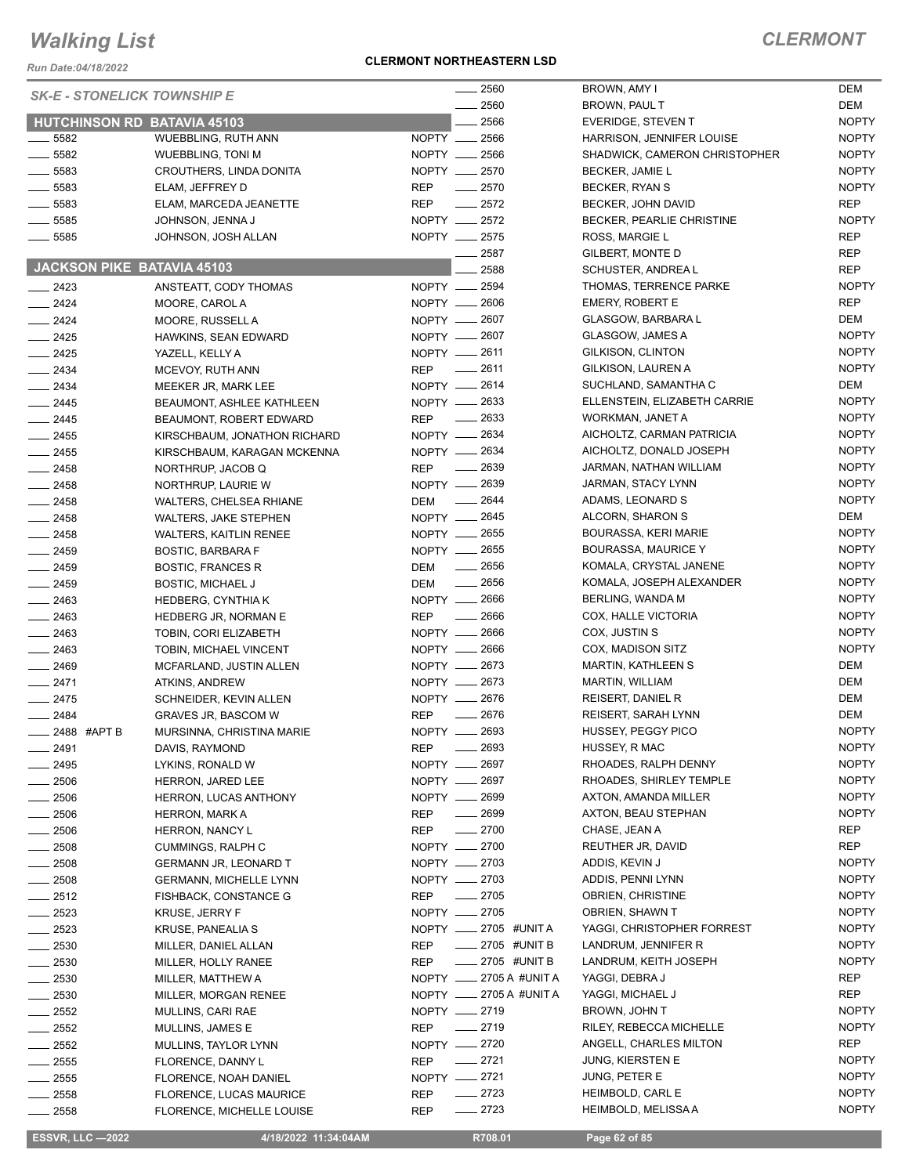*Run Date:04/18/2022*

#### **CLERMONT NORTHEASTERN LSD**

### *CLERMONT*

| 2560<br><b>SK-E - STONELICK TOWNSHIP E</b><br>2560<br>2566<br><b>HUTCHINSON RD BATAVIA 45103</b><br>NOPTY __ 2566<br>___ 5582<br>WUEBBLING, RUTH ANN<br>NOPTY __ 2566<br>$- 5582$<br><b>WUEBBLING, TONI M</b><br>NOPTY __ 2570<br>$\frac{1}{2}$ 5583<br>CROUTHERS, LINDA DONITA<br>$\frac{1}{2}$ 5583<br><b>REP</b><br>$-2570$<br>ELAM, JEFFREY D<br>$\frac{1}{2}$ 5583<br><b>REP</b><br>$\frac{1}{2572}$<br>ELAM, MARCEDA JEANETTE<br>NOPTY __ 2572<br>$\frac{1}{2}$ 5585<br>JOHNSON, JENNA J<br>$\frac{1}{2}$ 5585<br>NOPTY __ 2575<br>JOHNSON, JOSH ALLAN<br>ROSS, MARGIE L<br>2587<br>GILBERT, MONTE D<br><b>JACKSON PIKE BATAVIA 45103</b><br>2588<br>NOPTY -2594<br>$-2423$<br>ANSTEATT, CODY THOMAS<br>NOPTY __ 2606<br><b>EMERY, ROBERT E</b><br>$\frac{2424}{5}$<br>MOORE, CAROL A<br>NOPTY - 2607<br>$\frac{2424}{5}$<br>MOORE, RUSSELL A<br>NOPTY __ 2607<br>GLASGOW, JAMES A<br>$-2425$<br>HAWKINS, SEAN EDWARD<br>NOPTY __ 2611<br>GILKISON, CLINTON<br>$-2425$<br>YAZELL, KELLY A<br><b>REP</b><br>$-2611$<br>GILKISON, LAUREN A<br>$-2434$<br>MCEVOY, RUTH ANN<br>NOPTY __ 2614<br>$\equiv$ 2434<br>MEEKER JR, MARK LEE<br>NOPTY - 2633<br>$-2445$<br>BEAUMONT, ASHLEE KATHLEEN<br><b>REP</b><br>$\frac{1}{2633}$<br>WORKMAN, JANET A<br>$-2445$<br>BEAUMONT, ROBERT EDWARD<br>NOPTY __ 2634<br>$-2455$<br>KIRSCHBAUM, JONATHON RICHARD<br>NOPTY __ 2634<br>$\frac{1}{2455}$<br>KIRSCHBAUM, KARAGAN MCKENNA<br>$\frac{1}{2639}$<br><b>REP</b><br>$\frac{1}{2458}$<br>NORTHRUP, JACOB Q<br>NOPTY - 2639<br>$\frac{1}{2458}$<br>NORTHRUP, LAURIE W<br>$\frac{1}{2644}$<br>DEM<br>$-2458$<br><b>WALTERS, CHELSEA RHIANE</b><br>NOPTY __ 2645<br>$-2458$<br><b>WALTERS, JAKE STEPHEN</b><br>NOPTY __ 2655<br>$\frac{1}{2458}$<br><b>WALTERS, KAITLIN RENEE</b><br>$-2459$<br>NOPTY __ 2655<br><b>BOSTIC, BARBARA F</b><br>$\frac{1}{2656}$<br>DEM<br>$-2459$<br><b>BOSTIC, FRANCES R</b><br>$-2656$<br>$-2459$<br>DEM<br><b>BOSTIC, MICHAEL J</b><br>NOPTY __ 2666<br>$-2463$<br><b>HEDBERG, CYNTHIAK</b><br>$\frac{1}{2666}$<br>$\frac{1}{2463}$<br><b>REP</b><br>HEDBERG JR, NORMAN E<br>NOPTY __ 2666<br>COX, JUSTIN S<br>$\frac{2463}{2}$<br>TOBIN, CORI ELIZABETH<br>NOPTY - 2666<br>$-2463$<br>TOBIN, MICHAEL VINCENT<br>NOPTY __ 2673<br><b>MARTIN, KATHLEEN S</b><br>$-2469$<br>MCFARLAND, JUSTIN ALLEN<br>NOPTY - 2673<br>MARTIN, WILLIAM<br>$-2471$<br>ATKINS, ANDREW<br>NOPTY __ 2676<br><b>REISERT, DANIEL R</b><br>$-2475$<br>SCHNEIDER, KEVIN ALLEN<br>$-2676$<br>$-2484$<br><b>REP</b><br>GRAVES JR, BASCOM W<br>NOPTY __ 2693<br>— 2488 #APT B<br>MURSINNA, CHRISTINA MARIE<br>- 2693<br>HUSSEY, R MAC<br>____ 2491<br>REP<br>DAVIS, RAYMOND<br>NOPTY __ 2697<br>____ 2495<br>LYKINS, RONALD W<br>NOPTY __ 2697<br>$\frac{1}{2506}$<br><b>HERRON, JARED LEE</b><br>NOPTY __ 2699<br>$-2506$<br>HERRON, LUCAS ANTHONY<br>$- 2699$<br><b>REP</b><br>$\equiv$ 2506<br><b>HERRON, MARK A</b><br>$-2700$<br>CHASE, JEAN A<br>$\frac{1}{2506}$<br><b>REP</b><br><b>HERRON, NANCY L</b><br>NOPTY __ 2700<br>$\frac{1}{2508}$<br>CUMMINGS, RALPH C<br>NOPTY -2703<br>ADDIS, KEVIN J<br>$-2508$<br><b>GERMANN JR, LEONARD T</b><br>$\frac{1}{2508}$<br>NOPTY __ 2703<br><b>GERMANN, MICHELLE LYNN</b><br>$-2705$<br><b>REP</b><br>$=$ 2512<br>FISHBACK, CONSTANCE G<br>NOPTY - 2705<br>$-2523$<br><b>KRUSE, JERRY F</b><br>NOPTY __ 2705 #UNIT A<br>$-2523$<br>KRUSE, PANEALIA S<br>$\frac{1}{2705}$ #UNIT B<br>$\frac{1}{2530}$<br><b>REP</b><br>MILLER, DANIEL ALLAN<br>$\frac{1}{2705}$ #UNIT B<br>$\frac{1}{2530}$<br><b>REP</b><br>MILLER, HOLLY RANEE<br>NOPTY __ 2705 A #UNIT A<br>$\frac{1}{2530}$<br>MILLER, MATTHEW A<br>NOPTY __ 2705 A #UNIT A<br>$\frac{1}{2530}$<br>MILLER, MORGAN RENEE<br>NOPTY __ 2719<br>$-2552$<br>MULLINS, CARI RAE<br>$-2719$<br><b>REP</b><br>$- 2552$<br>MULLINS, JAMES E<br>NOPTY __ 2720<br>$\frac{1}{2552}$<br>MULLINS, TAYLOR LYNN<br>$-2721$<br><b>REP</b><br>$\frac{1}{2555}$<br>FLORENCE, DANNY L<br>NOPTY -2721<br>$\frac{1}{2555}$<br>FLORENCE, NOAH DANIEL<br>$-2723$<br>$\frac{1}{2558}$<br><b>REP</b><br>FLORENCE, LUCAS MAURICE<br>____ 2723<br><b>REP</b><br>$\frac{1}{2558}$<br>FLORENCE, MICHELLE LOUISE |  |  |  |                               |                          |
|-----------------------------------------------------------------------------------------------------------------------------------------------------------------------------------------------------------------------------------------------------------------------------------------------------------------------------------------------------------------------------------------------------------------------------------------------------------------------------------------------------------------------------------------------------------------------------------------------------------------------------------------------------------------------------------------------------------------------------------------------------------------------------------------------------------------------------------------------------------------------------------------------------------------------------------------------------------------------------------------------------------------------------------------------------------------------------------------------------------------------------------------------------------------------------------------------------------------------------------------------------------------------------------------------------------------------------------------------------------------------------------------------------------------------------------------------------------------------------------------------------------------------------------------------------------------------------------------------------------------------------------------------------------------------------------------------------------------------------------------------------------------------------------------------------------------------------------------------------------------------------------------------------------------------------------------------------------------------------------------------------------------------------------------------------------------------------------------------------------------------------------------------------------------------------------------------------------------------------------------------------------------------------------------------------------------------------------------------------------------------------------------------------------------------------------------------------------------------------------------------------------------------------------------------------------------------------------------------------------------------------------------------------------------------------------------------------------------------------------------------------------------------------------------------------------------------------------------------------------------------------------------------------------------------------------------------------------------------------------------------------------------------------------------------------------------------------------------------------------------------------------------------------------------------------------------------------------------------------------------------------------------------------------------------------------------------------------------------------------------------------------------------------------------------------------------------------------------------------------------------------------------------------------------------------------------------------------------------------------------------------------------------------------------------------------------------------------------------------------------------------------------------------------------------------------------------------------------------------------------------------------------------------------------------------------------------------------------------------------------------------------------------------------------------------------------------------------------------------------------------------------------------------------------------------------|--|--|--|-------------------------------|--------------------------|
|                                                                                                                                                                                                                                                                                                                                                                                                                                                                                                                                                                                                                                                                                                                                                                                                                                                                                                                                                                                                                                                                                                                                                                                                                                                                                                                                                                                                                                                                                                                                                                                                                                                                                                                                                                                                                                                                                                                                                                                                                                                                                                                                                                                                                                                                                                                                                                                                                                                                                                                                                                                                                                                                                                                                                                                                                                                                                                                                                                                                                                                                                                                                                                                                                                                                                                                                                                                                                                                                                                                                                                                                                                                                                                                                                                                                                                                                                                                                                                                                                                                                                                                                                                                   |  |  |  | BROWN, AMY I                  | <b>DEM</b>               |
|                                                                                                                                                                                                                                                                                                                                                                                                                                                                                                                                                                                                                                                                                                                                                                                                                                                                                                                                                                                                                                                                                                                                                                                                                                                                                                                                                                                                                                                                                                                                                                                                                                                                                                                                                                                                                                                                                                                                                                                                                                                                                                                                                                                                                                                                                                                                                                                                                                                                                                                                                                                                                                                                                                                                                                                                                                                                                                                                                                                                                                                                                                                                                                                                                                                                                                                                                                                                                                                                                                                                                                                                                                                                                                                                                                                                                                                                                                                                                                                                                                                                                                                                                                                   |  |  |  | BROWN, PAUL T                 | <b>DEM</b>               |
|                                                                                                                                                                                                                                                                                                                                                                                                                                                                                                                                                                                                                                                                                                                                                                                                                                                                                                                                                                                                                                                                                                                                                                                                                                                                                                                                                                                                                                                                                                                                                                                                                                                                                                                                                                                                                                                                                                                                                                                                                                                                                                                                                                                                                                                                                                                                                                                                                                                                                                                                                                                                                                                                                                                                                                                                                                                                                                                                                                                                                                                                                                                                                                                                                                                                                                                                                                                                                                                                                                                                                                                                                                                                                                                                                                                                                                                                                                                                                                                                                                                                                                                                                                                   |  |  |  | <b>EVERIDGE, STEVEN T</b>     | <b>NOP</b>               |
|                                                                                                                                                                                                                                                                                                                                                                                                                                                                                                                                                                                                                                                                                                                                                                                                                                                                                                                                                                                                                                                                                                                                                                                                                                                                                                                                                                                                                                                                                                                                                                                                                                                                                                                                                                                                                                                                                                                                                                                                                                                                                                                                                                                                                                                                                                                                                                                                                                                                                                                                                                                                                                                                                                                                                                                                                                                                                                                                                                                                                                                                                                                                                                                                                                                                                                                                                                                                                                                                                                                                                                                                                                                                                                                                                                                                                                                                                                                                                                                                                                                                                                                                                                                   |  |  |  | HARRISON, JENNIFER LOUISE     | <b>NOP</b>               |
|                                                                                                                                                                                                                                                                                                                                                                                                                                                                                                                                                                                                                                                                                                                                                                                                                                                                                                                                                                                                                                                                                                                                                                                                                                                                                                                                                                                                                                                                                                                                                                                                                                                                                                                                                                                                                                                                                                                                                                                                                                                                                                                                                                                                                                                                                                                                                                                                                                                                                                                                                                                                                                                                                                                                                                                                                                                                                                                                                                                                                                                                                                                                                                                                                                                                                                                                                                                                                                                                                                                                                                                                                                                                                                                                                                                                                                                                                                                                                                                                                                                                                                                                                                                   |  |  |  | SHADWICK, CAMERON CHRISTOPHER | <b>NOP</b>               |
|                                                                                                                                                                                                                                                                                                                                                                                                                                                                                                                                                                                                                                                                                                                                                                                                                                                                                                                                                                                                                                                                                                                                                                                                                                                                                                                                                                                                                                                                                                                                                                                                                                                                                                                                                                                                                                                                                                                                                                                                                                                                                                                                                                                                                                                                                                                                                                                                                                                                                                                                                                                                                                                                                                                                                                                                                                                                                                                                                                                                                                                                                                                                                                                                                                                                                                                                                                                                                                                                                                                                                                                                                                                                                                                                                                                                                                                                                                                                                                                                                                                                                                                                                                                   |  |  |  | <b>BECKER, JAMIE L</b>        | <b>NOP</b>               |
|                                                                                                                                                                                                                                                                                                                                                                                                                                                                                                                                                                                                                                                                                                                                                                                                                                                                                                                                                                                                                                                                                                                                                                                                                                                                                                                                                                                                                                                                                                                                                                                                                                                                                                                                                                                                                                                                                                                                                                                                                                                                                                                                                                                                                                                                                                                                                                                                                                                                                                                                                                                                                                                                                                                                                                                                                                                                                                                                                                                                                                                                                                                                                                                                                                                                                                                                                                                                                                                                                                                                                                                                                                                                                                                                                                                                                                                                                                                                                                                                                                                                                                                                                                                   |  |  |  | BECKER, RYAN S                | <b>NOP</b>               |
|                                                                                                                                                                                                                                                                                                                                                                                                                                                                                                                                                                                                                                                                                                                                                                                                                                                                                                                                                                                                                                                                                                                                                                                                                                                                                                                                                                                                                                                                                                                                                                                                                                                                                                                                                                                                                                                                                                                                                                                                                                                                                                                                                                                                                                                                                                                                                                                                                                                                                                                                                                                                                                                                                                                                                                                                                                                                                                                                                                                                                                                                                                                                                                                                                                                                                                                                                                                                                                                                                                                                                                                                                                                                                                                                                                                                                                                                                                                                                                                                                                                                                                                                                                                   |  |  |  | BECKER, JOHN DAVID            | <b>REP</b>               |
|                                                                                                                                                                                                                                                                                                                                                                                                                                                                                                                                                                                                                                                                                                                                                                                                                                                                                                                                                                                                                                                                                                                                                                                                                                                                                                                                                                                                                                                                                                                                                                                                                                                                                                                                                                                                                                                                                                                                                                                                                                                                                                                                                                                                                                                                                                                                                                                                                                                                                                                                                                                                                                                                                                                                                                                                                                                                                                                                                                                                                                                                                                                                                                                                                                                                                                                                                                                                                                                                                                                                                                                                                                                                                                                                                                                                                                                                                                                                                                                                                                                                                                                                                                                   |  |  |  | BECKER, PEARLIE CHRISTINE     | <b>NOP</b>               |
|                                                                                                                                                                                                                                                                                                                                                                                                                                                                                                                                                                                                                                                                                                                                                                                                                                                                                                                                                                                                                                                                                                                                                                                                                                                                                                                                                                                                                                                                                                                                                                                                                                                                                                                                                                                                                                                                                                                                                                                                                                                                                                                                                                                                                                                                                                                                                                                                                                                                                                                                                                                                                                                                                                                                                                                                                                                                                                                                                                                                                                                                                                                                                                                                                                                                                                                                                                                                                                                                                                                                                                                                                                                                                                                                                                                                                                                                                                                                                                                                                                                                                                                                                                                   |  |  |  |                               | <b>REP</b>               |
|                                                                                                                                                                                                                                                                                                                                                                                                                                                                                                                                                                                                                                                                                                                                                                                                                                                                                                                                                                                                                                                                                                                                                                                                                                                                                                                                                                                                                                                                                                                                                                                                                                                                                                                                                                                                                                                                                                                                                                                                                                                                                                                                                                                                                                                                                                                                                                                                                                                                                                                                                                                                                                                                                                                                                                                                                                                                                                                                                                                                                                                                                                                                                                                                                                                                                                                                                                                                                                                                                                                                                                                                                                                                                                                                                                                                                                                                                                                                                                                                                                                                                                                                                                                   |  |  |  |                               | <b>REP</b>               |
|                                                                                                                                                                                                                                                                                                                                                                                                                                                                                                                                                                                                                                                                                                                                                                                                                                                                                                                                                                                                                                                                                                                                                                                                                                                                                                                                                                                                                                                                                                                                                                                                                                                                                                                                                                                                                                                                                                                                                                                                                                                                                                                                                                                                                                                                                                                                                                                                                                                                                                                                                                                                                                                                                                                                                                                                                                                                                                                                                                                                                                                                                                                                                                                                                                                                                                                                                                                                                                                                                                                                                                                                                                                                                                                                                                                                                                                                                                                                                                                                                                                                                                                                                                                   |  |  |  | SCHUSTER, ANDREA L            | <b>REP</b>               |
|                                                                                                                                                                                                                                                                                                                                                                                                                                                                                                                                                                                                                                                                                                                                                                                                                                                                                                                                                                                                                                                                                                                                                                                                                                                                                                                                                                                                                                                                                                                                                                                                                                                                                                                                                                                                                                                                                                                                                                                                                                                                                                                                                                                                                                                                                                                                                                                                                                                                                                                                                                                                                                                                                                                                                                                                                                                                                                                                                                                                                                                                                                                                                                                                                                                                                                                                                                                                                                                                                                                                                                                                                                                                                                                                                                                                                                                                                                                                                                                                                                                                                                                                                                                   |  |  |  | THOMAS, TERRENCE PARKE        | <b>NOP</b>               |
|                                                                                                                                                                                                                                                                                                                                                                                                                                                                                                                                                                                                                                                                                                                                                                                                                                                                                                                                                                                                                                                                                                                                                                                                                                                                                                                                                                                                                                                                                                                                                                                                                                                                                                                                                                                                                                                                                                                                                                                                                                                                                                                                                                                                                                                                                                                                                                                                                                                                                                                                                                                                                                                                                                                                                                                                                                                                                                                                                                                                                                                                                                                                                                                                                                                                                                                                                                                                                                                                                                                                                                                                                                                                                                                                                                                                                                                                                                                                                                                                                                                                                                                                                                                   |  |  |  |                               | <b>REP</b>               |
|                                                                                                                                                                                                                                                                                                                                                                                                                                                                                                                                                                                                                                                                                                                                                                                                                                                                                                                                                                                                                                                                                                                                                                                                                                                                                                                                                                                                                                                                                                                                                                                                                                                                                                                                                                                                                                                                                                                                                                                                                                                                                                                                                                                                                                                                                                                                                                                                                                                                                                                                                                                                                                                                                                                                                                                                                                                                                                                                                                                                                                                                                                                                                                                                                                                                                                                                                                                                                                                                                                                                                                                                                                                                                                                                                                                                                                                                                                                                                                                                                                                                                                                                                                                   |  |  |  | <b>GLASGOW, BARBARA L</b>     | <b>DEM</b>               |
|                                                                                                                                                                                                                                                                                                                                                                                                                                                                                                                                                                                                                                                                                                                                                                                                                                                                                                                                                                                                                                                                                                                                                                                                                                                                                                                                                                                                                                                                                                                                                                                                                                                                                                                                                                                                                                                                                                                                                                                                                                                                                                                                                                                                                                                                                                                                                                                                                                                                                                                                                                                                                                                                                                                                                                                                                                                                                                                                                                                                                                                                                                                                                                                                                                                                                                                                                                                                                                                                                                                                                                                                                                                                                                                                                                                                                                                                                                                                                                                                                                                                                                                                                                                   |  |  |  |                               | <b>NOP</b>               |
|                                                                                                                                                                                                                                                                                                                                                                                                                                                                                                                                                                                                                                                                                                                                                                                                                                                                                                                                                                                                                                                                                                                                                                                                                                                                                                                                                                                                                                                                                                                                                                                                                                                                                                                                                                                                                                                                                                                                                                                                                                                                                                                                                                                                                                                                                                                                                                                                                                                                                                                                                                                                                                                                                                                                                                                                                                                                                                                                                                                                                                                                                                                                                                                                                                                                                                                                                                                                                                                                                                                                                                                                                                                                                                                                                                                                                                                                                                                                                                                                                                                                                                                                                                                   |  |  |  |                               | <b>NOP</b>               |
|                                                                                                                                                                                                                                                                                                                                                                                                                                                                                                                                                                                                                                                                                                                                                                                                                                                                                                                                                                                                                                                                                                                                                                                                                                                                                                                                                                                                                                                                                                                                                                                                                                                                                                                                                                                                                                                                                                                                                                                                                                                                                                                                                                                                                                                                                                                                                                                                                                                                                                                                                                                                                                                                                                                                                                                                                                                                                                                                                                                                                                                                                                                                                                                                                                                                                                                                                                                                                                                                                                                                                                                                                                                                                                                                                                                                                                                                                                                                                                                                                                                                                                                                                                                   |  |  |  |                               | <b>NOP</b>               |
|                                                                                                                                                                                                                                                                                                                                                                                                                                                                                                                                                                                                                                                                                                                                                                                                                                                                                                                                                                                                                                                                                                                                                                                                                                                                                                                                                                                                                                                                                                                                                                                                                                                                                                                                                                                                                                                                                                                                                                                                                                                                                                                                                                                                                                                                                                                                                                                                                                                                                                                                                                                                                                                                                                                                                                                                                                                                                                                                                                                                                                                                                                                                                                                                                                                                                                                                                                                                                                                                                                                                                                                                                                                                                                                                                                                                                                                                                                                                                                                                                                                                                                                                                                                   |  |  |  | SUCHLAND, SAMANTHA C          | <b>DEM</b>               |
|                                                                                                                                                                                                                                                                                                                                                                                                                                                                                                                                                                                                                                                                                                                                                                                                                                                                                                                                                                                                                                                                                                                                                                                                                                                                                                                                                                                                                                                                                                                                                                                                                                                                                                                                                                                                                                                                                                                                                                                                                                                                                                                                                                                                                                                                                                                                                                                                                                                                                                                                                                                                                                                                                                                                                                                                                                                                                                                                                                                                                                                                                                                                                                                                                                                                                                                                                                                                                                                                                                                                                                                                                                                                                                                                                                                                                                                                                                                                                                                                                                                                                                                                                                                   |  |  |  |                               | <b>NOP</b>               |
|                                                                                                                                                                                                                                                                                                                                                                                                                                                                                                                                                                                                                                                                                                                                                                                                                                                                                                                                                                                                                                                                                                                                                                                                                                                                                                                                                                                                                                                                                                                                                                                                                                                                                                                                                                                                                                                                                                                                                                                                                                                                                                                                                                                                                                                                                                                                                                                                                                                                                                                                                                                                                                                                                                                                                                                                                                                                                                                                                                                                                                                                                                                                                                                                                                                                                                                                                                                                                                                                                                                                                                                                                                                                                                                                                                                                                                                                                                                                                                                                                                                                                                                                                                                   |  |  |  | ELLENSTEIN, ELIZABETH CARRIE  |                          |
|                                                                                                                                                                                                                                                                                                                                                                                                                                                                                                                                                                                                                                                                                                                                                                                                                                                                                                                                                                                                                                                                                                                                                                                                                                                                                                                                                                                                                                                                                                                                                                                                                                                                                                                                                                                                                                                                                                                                                                                                                                                                                                                                                                                                                                                                                                                                                                                                                                                                                                                                                                                                                                                                                                                                                                                                                                                                                                                                                                                                                                                                                                                                                                                                                                                                                                                                                                                                                                                                                                                                                                                                                                                                                                                                                                                                                                                                                                                                                                                                                                                                                                                                                                                   |  |  |  |                               | <b>NOP</b>               |
|                                                                                                                                                                                                                                                                                                                                                                                                                                                                                                                                                                                                                                                                                                                                                                                                                                                                                                                                                                                                                                                                                                                                                                                                                                                                                                                                                                                                                                                                                                                                                                                                                                                                                                                                                                                                                                                                                                                                                                                                                                                                                                                                                                                                                                                                                                                                                                                                                                                                                                                                                                                                                                                                                                                                                                                                                                                                                                                                                                                                                                                                                                                                                                                                                                                                                                                                                                                                                                                                                                                                                                                                                                                                                                                                                                                                                                                                                                                                                                                                                                                                                                                                                                                   |  |  |  | AICHOLTZ, CARMAN PATRICIA     | <b>NOP</b><br><b>NOP</b> |
|                                                                                                                                                                                                                                                                                                                                                                                                                                                                                                                                                                                                                                                                                                                                                                                                                                                                                                                                                                                                                                                                                                                                                                                                                                                                                                                                                                                                                                                                                                                                                                                                                                                                                                                                                                                                                                                                                                                                                                                                                                                                                                                                                                                                                                                                                                                                                                                                                                                                                                                                                                                                                                                                                                                                                                                                                                                                                                                                                                                                                                                                                                                                                                                                                                                                                                                                                                                                                                                                                                                                                                                                                                                                                                                                                                                                                                                                                                                                                                                                                                                                                                                                                                                   |  |  |  | AICHOLTZ, DONALD JOSEPH       |                          |
|                                                                                                                                                                                                                                                                                                                                                                                                                                                                                                                                                                                                                                                                                                                                                                                                                                                                                                                                                                                                                                                                                                                                                                                                                                                                                                                                                                                                                                                                                                                                                                                                                                                                                                                                                                                                                                                                                                                                                                                                                                                                                                                                                                                                                                                                                                                                                                                                                                                                                                                                                                                                                                                                                                                                                                                                                                                                                                                                                                                                                                                                                                                                                                                                                                                                                                                                                                                                                                                                                                                                                                                                                                                                                                                                                                                                                                                                                                                                                                                                                                                                                                                                                                                   |  |  |  | JARMAN, NATHAN WILLIAM        | <b>NOP</b>               |
|                                                                                                                                                                                                                                                                                                                                                                                                                                                                                                                                                                                                                                                                                                                                                                                                                                                                                                                                                                                                                                                                                                                                                                                                                                                                                                                                                                                                                                                                                                                                                                                                                                                                                                                                                                                                                                                                                                                                                                                                                                                                                                                                                                                                                                                                                                                                                                                                                                                                                                                                                                                                                                                                                                                                                                                                                                                                                                                                                                                                                                                                                                                                                                                                                                                                                                                                                                                                                                                                                                                                                                                                                                                                                                                                                                                                                                                                                                                                                                                                                                                                                                                                                                                   |  |  |  | JARMAN, STACY LYNN            | <b>NOP</b>               |
|                                                                                                                                                                                                                                                                                                                                                                                                                                                                                                                                                                                                                                                                                                                                                                                                                                                                                                                                                                                                                                                                                                                                                                                                                                                                                                                                                                                                                                                                                                                                                                                                                                                                                                                                                                                                                                                                                                                                                                                                                                                                                                                                                                                                                                                                                                                                                                                                                                                                                                                                                                                                                                                                                                                                                                                                                                                                                                                                                                                                                                                                                                                                                                                                                                                                                                                                                                                                                                                                                                                                                                                                                                                                                                                                                                                                                                                                                                                                                                                                                                                                                                                                                                                   |  |  |  | ADAMS, LEONARD S              | <b>NOP</b>               |
|                                                                                                                                                                                                                                                                                                                                                                                                                                                                                                                                                                                                                                                                                                                                                                                                                                                                                                                                                                                                                                                                                                                                                                                                                                                                                                                                                                                                                                                                                                                                                                                                                                                                                                                                                                                                                                                                                                                                                                                                                                                                                                                                                                                                                                                                                                                                                                                                                                                                                                                                                                                                                                                                                                                                                                                                                                                                                                                                                                                                                                                                                                                                                                                                                                                                                                                                                                                                                                                                                                                                                                                                                                                                                                                                                                                                                                                                                                                                                                                                                                                                                                                                                                                   |  |  |  | ALCORN, SHARON S              | <b>DEM</b>               |
|                                                                                                                                                                                                                                                                                                                                                                                                                                                                                                                                                                                                                                                                                                                                                                                                                                                                                                                                                                                                                                                                                                                                                                                                                                                                                                                                                                                                                                                                                                                                                                                                                                                                                                                                                                                                                                                                                                                                                                                                                                                                                                                                                                                                                                                                                                                                                                                                                                                                                                                                                                                                                                                                                                                                                                                                                                                                                                                                                                                                                                                                                                                                                                                                                                                                                                                                                                                                                                                                                                                                                                                                                                                                                                                                                                                                                                                                                                                                                                                                                                                                                                                                                                                   |  |  |  | BOURASSA, KERI MARIE          | <b>NOP</b>               |
|                                                                                                                                                                                                                                                                                                                                                                                                                                                                                                                                                                                                                                                                                                                                                                                                                                                                                                                                                                                                                                                                                                                                                                                                                                                                                                                                                                                                                                                                                                                                                                                                                                                                                                                                                                                                                                                                                                                                                                                                                                                                                                                                                                                                                                                                                                                                                                                                                                                                                                                                                                                                                                                                                                                                                                                                                                                                                                                                                                                                                                                                                                                                                                                                                                                                                                                                                                                                                                                                                                                                                                                                                                                                                                                                                                                                                                                                                                                                                                                                                                                                                                                                                                                   |  |  |  | <b>BOURASSA, MAURICE Y</b>    | <b>NOP</b>               |
|                                                                                                                                                                                                                                                                                                                                                                                                                                                                                                                                                                                                                                                                                                                                                                                                                                                                                                                                                                                                                                                                                                                                                                                                                                                                                                                                                                                                                                                                                                                                                                                                                                                                                                                                                                                                                                                                                                                                                                                                                                                                                                                                                                                                                                                                                                                                                                                                                                                                                                                                                                                                                                                                                                                                                                                                                                                                                                                                                                                                                                                                                                                                                                                                                                                                                                                                                                                                                                                                                                                                                                                                                                                                                                                                                                                                                                                                                                                                                                                                                                                                                                                                                                                   |  |  |  | KOMALA, CRYSTAL JANENE        | <b>NOP</b>               |
|                                                                                                                                                                                                                                                                                                                                                                                                                                                                                                                                                                                                                                                                                                                                                                                                                                                                                                                                                                                                                                                                                                                                                                                                                                                                                                                                                                                                                                                                                                                                                                                                                                                                                                                                                                                                                                                                                                                                                                                                                                                                                                                                                                                                                                                                                                                                                                                                                                                                                                                                                                                                                                                                                                                                                                                                                                                                                                                                                                                                                                                                                                                                                                                                                                                                                                                                                                                                                                                                                                                                                                                                                                                                                                                                                                                                                                                                                                                                                                                                                                                                                                                                                                                   |  |  |  | KOMALA, JOSEPH ALEXANDER      | <b>NOP</b>               |
|                                                                                                                                                                                                                                                                                                                                                                                                                                                                                                                                                                                                                                                                                                                                                                                                                                                                                                                                                                                                                                                                                                                                                                                                                                                                                                                                                                                                                                                                                                                                                                                                                                                                                                                                                                                                                                                                                                                                                                                                                                                                                                                                                                                                                                                                                                                                                                                                                                                                                                                                                                                                                                                                                                                                                                                                                                                                                                                                                                                                                                                                                                                                                                                                                                                                                                                                                                                                                                                                                                                                                                                                                                                                                                                                                                                                                                                                                                                                                                                                                                                                                                                                                                                   |  |  |  | BERLING, WANDA M              | <b>NOP</b>               |
|                                                                                                                                                                                                                                                                                                                                                                                                                                                                                                                                                                                                                                                                                                                                                                                                                                                                                                                                                                                                                                                                                                                                                                                                                                                                                                                                                                                                                                                                                                                                                                                                                                                                                                                                                                                                                                                                                                                                                                                                                                                                                                                                                                                                                                                                                                                                                                                                                                                                                                                                                                                                                                                                                                                                                                                                                                                                                                                                                                                                                                                                                                                                                                                                                                                                                                                                                                                                                                                                                                                                                                                                                                                                                                                                                                                                                                                                                                                                                                                                                                                                                                                                                                                   |  |  |  | COX, HALLE VICTORIA           | <b>NOP</b>               |
|                                                                                                                                                                                                                                                                                                                                                                                                                                                                                                                                                                                                                                                                                                                                                                                                                                                                                                                                                                                                                                                                                                                                                                                                                                                                                                                                                                                                                                                                                                                                                                                                                                                                                                                                                                                                                                                                                                                                                                                                                                                                                                                                                                                                                                                                                                                                                                                                                                                                                                                                                                                                                                                                                                                                                                                                                                                                                                                                                                                                                                                                                                                                                                                                                                                                                                                                                                                                                                                                                                                                                                                                                                                                                                                                                                                                                                                                                                                                                                                                                                                                                                                                                                                   |  |  |  |                               | <b>NOP</b>               |
|                                                                                                                                                                                                                                                                                                                                                                                                                                                                                                                                                                                                                                                                                                                                                                                                                                                                                                                                                                                                                                                                                                                                                                                                                                                                                                                                                                                                                                                                                                                                                                                                                                                                                                                                                                                                                                                                                                                                                                                                                                                                                                                                                                                                                                                                                                                                                                                                                                                                                                                                                                                                                                                                                                                                                                                                                                                                                                                                                                                                                                                                                                                                                                                                                                                                                                                                                                                                                                                                                                                                                                                                                                                                                                                                                                                                                                                                                                                                                                                                                                                                                                                                                                                   |  |  |  | COX, MADISON SITZ             | <b>NOP</b>               |
|                                                                                                                                                                                                                                                                                                                                                                                                                                                                                                                                                                                                                                                                                                                                                                                                                                                                                                                                                                                                                                                                                                                                                                                                                                                                                                                                                                                                                                                                                                                                                                                                                                                                                                                                                                                                                                                                                                                                                                                                                                                                                                                                                                                                                                                                                                                                                                                                                                                                                                                                                                                                                                                                                                                                                                                                                                                                                                                                                                                                                                                                                                                                                                                                                                                                                                                                                                                                                                                                                                                                                                                                                                                                                                                                                                                                                                                                                                                                                                                                                                                                                                                                                                                   |  |  |  |                               | <b>DEM</b>               |
|                                                                                                                                                                                                                                                                                                                                                                                                                                                                                                                                                                                                                                                                                                                                                                                                                                                                                                                                                                                                                                                                                                                                                                                                                                                                                                                                                                                                                                                                                                                                                                                                                                                                                                                                                                                                                                                                                                                                                                                                                                                                                                                                                                                                                                                                                                                                                                                                                                                                                                                                                                                                                                                                                                                                                                                                                                                                                                                                                                                                                                                                                                                                                                                                                                                                                                                                                                                                                                                                                                                                                                                                                                                                                                                                                                                                                                                                                                                                                                                                                                                                                                                                                                                   |  |  |  |                               | <b>DEM</b>               |
|                                                                                                                                                                                                                                                                                                                                                                                                                                                                                                                                                                                                                                                                                                                                                                                                                                                                                                                                                                                                                                                                                                                                                                                                                                                                                                                                                                                                                                                                                                                                                                                                                                                                                                                                                                                                                                                                                                                                                                                                                                                                                                                                                                                                                                                                                                                                                                                                                                                                                                                                                                                                                                                                                                                                                                                                                                                                                                                                                                                                                                                                                                                                                                                                                                                                                                                                                                                                                                                                                                                                                                                                                                                                                                                                                                                                                                                                                                                                                                                                                                                                                                                                                                                   |  |  |  |                               | <b>DEM</b>               |
|                                                                                                                                                                                                                                                                                                                                                                                                                                                                                                                                                                                                                                                                                                                                                                                                                                                                                                                                                                                                                                                                                                                                                                                                                                                                                                                                                                                                                                                                                                                                                                                                                                                                                                                                                                                                                                                                                                                                                                                                                                                                                                                                                                                                                                                                                                                                                                                                                                                                                                                                                                                                                                                                                                                                                                                                                                                                                                                                                                                                                                                                                                                                                                                                                                                                                                                                                                                                                                                                                                                                                                                                                                                                                                                                                                                                                                                                                                                                                                                                                                                                                                                                                                                   |  |  |  | REISERT, SARAH LYNN           | <b>DEM</b>               |
|                                                                                                                                                                                                                                                                                                                                                                                                                                                                                                                                                                                                                                                                                                                                                                                                                                                                                                                                                                                                                                                                                                                                                                                                                                                                                                                                                                                                                                                                                                                                                                                                                                                                                                                                                                                                                                                                                                                                                                                                                                                                                                                                                                                                                                                                                                                                                                                                                                                                                                                                                                                                                                                                                                                                                                                                                                                                                                                                                                                                                                                                                                                                                                                                                                                                                                                                                                                                                                                                                                                                                                                                                                                                                                                                                                                                                                                                                                                                                                                                                                                                                                                                                                                   |  |  |  | HUSSEY, PEGGY PICO            | <b>NOP</b>               |
|                                                                                                                                                                                                                                                                                                                                                                                                                                                                                                                                                                                                                                                                                                                                                                                                                                                                                                                                                                                                                                                                                                                                                                                                                                                                                                                                                                                                                                                                                                                                                                                                                                                                                                                                                                                                                                                                                                                                                                                                                                                                                                                                                                                                                                                                                                                                                                                                                                                                                                                                                                                                                                                                                                                                                                                                                                                                                                                                                                                                                                                                                                                                                                                                                                                                                                                                                                                                                                                                                                                                                                                                                                                                                                                                                                                                                                                                                                                                                                                                                                                                                                                                                                                   |  |  |  |                               | <b>NOP</b>               |
|                                                                                                                                                                                                                                                                                                                                                                                                                                                                                                                                                                                                                                                                                                                                                                                                                                                                                                                                                                                                                                                                                                                                                                                                                                                                                                                                                                                                                                                                                                                                                                                                                                                                                                                                                                                                                                                                                                                                                                                                                                                                                                                                                                                                                                                                                                                                                                                                                                                                                                                                                                                                                                                                                                                                                                                                                                                                                                                                                                                                                                                                                                                                                                                                                                                                                                                                                                                                                                                                                                                                                                                                                                                                                                                                                                                                                                                                                                                                                                                                                                                                                                                                                                                   |  |  |  | RHOADES, RALPH DENNY          | <b>NOP</b>               |
|                                                                                                                                                                                                                                                                                                                                                                                                                                                                                                                                                                                                                                                                                                                                                                                                                                                                                                                                                                                                                                                                                                                                                                                                                                                                                                                                                                                                                                                                                                                                                                                                                                                                                                                                                                                                                                                                                                                                                                                                                                                                                                                                                                                                                                                                                                                                                                                                                                                                                                                                                                                                                                                                                                                                                                                                                                                                                                                                                                                                                                                                                                                                                                                                                                                                                                                                                                                                                                                                                                                                                                                                                                                                                                                                                                                                                                                                                                                                                                                                                                                                                                                                                                                   |  |  |  | RHOADES, SHIRLEY TEMPLE       | <b>NOP</b>               |
|                                                                                                                                                                                                                                                                                                                                                                                                                                                                                                                                                                                                                                                                                                                                                                                                                                                                                                                                                                                                                                                                                                                                                                                                                                                                                                                                                                                                                                                                                                                                                                                                                                                                                                                                                                                                                                                                                                                                                                                                                                                                                                                                                                                                                                                                                                                                                                                                                                                                                                                                                                                                                                                                                                                                                                                                                                                                                                                                                                                                                                                                                                                                                                                                                                                                                                                                                                                                                                                                                                                                                                                                                                                                                                                                                                                                                                                                                                                                                                                                                                                                                                                                                                                   |  |  |  | AXTON, AMANDA MILLER          | <b>NOP</b>               |
|                                                                                                                                                                                                                                                                                                                                                                                                                                                                                                                                                                                                                                                                                                                                                                                                                                                                                                                                                                                                                                                                                                                                                                                                                                                                                                                                                                                                                                                                                                                                                                                                                                                                                                                                                                                                                                                                                                                                                                                                                                                                                                                                                                                                                                                                                                                                                                                                                                                                                                                                                                                                                                                                                                                                                                                                                                                                                                                                                                                                                                                                                                                                                                                                                                                                                                                                                                                                                                                                                                                                                                                                                                                                                                                                                                                                                                                                                                                                                                                                                                                                                                                                                                                   |  |  |  | AXTON, BEAU STEPHAN           | <b>NOP</b>               |
|                                                                                                                                                                                                                                                                                                                                                                                                                                                                                                                                                                                                                                                                                                                                                                                                                                                                                                                                                                                                                                                                                                                                                                                                                                                                                                                                                                                                                                                                                                                                                                                                                                                                                                                                                                                                                                                                                                                                                                                                                                                                                                                                                                                                                                                                                                                                                                                                                                                                                                                                                                                                                                                                                                                                                                                                                                                                                                                                                                                                                                                                                                                                                                                                                                                                                                                                                                                                                                                                                                                                                                                                                                                                                                                                                                                                                                                                                                                                                                                                                                                                                                                                                                                   |  |  |  |                               | <b>REP</b>               |
|                                                                                                                                                                                                                                                                                                                                                                                                                                                                                                                                                                                                                                                                                                                                                                                                                                                                                                                                                                                                                                                                                                                                                                                                                                                                                                                                                                                                                                                                                                                                                                                                                                                                                                                                                                                                                                                                                                                                                                                                                                                                                                                                                                                                                                                                                                                                                                                                                                                                                                                                                                                                                                                                                                                                                                                                                                                                                                                                                                                                                                                                                                                                                                                                                                                                                                                                                                                                                                                                                                                                                                                                                                                                                                                                                                                                                                                                                                                                                                                                                                                                                                                                                                                   |  |  |  | REUTHER JR, DAVID             | <b>REP</b>               |
|                                                                                                                                                                                                                                                                                                                                                                                                                                                                                                                                                                                                                                                                                                                                                                                                                                                                                                                                                                                                                                                                                                                                                                                                                                                                                                                                                                                                                                                                                                                                                                                                                                                                                                                                                                                                                                                                                                                                                                                                                                                                                                                                                                                                                                                                                                                                                                                                                                                                                                                                                                                                                                                                                                                                                                                                                                                                                                                                                                                                                                                                                                                                                                                                                                                                                                                                                                                                                                                                                                                                                                                                                                                                                                                                                                                                                                                                                                                                                                                                                                                                                                                                                                                   |  |  |  |                               | <b>NOP</b>               |
|                                                                                                                                                                                                                                                                                                                                                                                                                                                                                                                                                                                                                                                                                                                                                                                                                                                                                                                                                                                                                                                                                                                                                                                                                                                                                                                                                                                                                                                                                                                                                                                                                                                                                                                                                                                                                                                                                                                                                                                                                                                                                                                                                                                                                                                                                                                                                                                                                                                                                                                                                                                                                                                                                                                                                                                                                                                                                                                                                                                                                                                                                                                                                                                                                                                                                                                                                                                                                                                                                                                                                                                                                                                                                                                                                                                                                                                                                                                                                                                                                                                                                                                                                                                   |  |  |  | ADDIS, PENNI LYNN             | <b>NOP</b>               |
|                                                                                                                                                                                                                                                                                                                                                                                                                                                                                                                                                                                                                                                                                                                                                                                                                                                                                                                                                                                                                                                                                                                                                                                                                                                                                                                                                                                                                                                                                                                                                                                                                                                                                                                                                                                                                                                                                                                                                                                                                                                                                                                                                                                                                                                                                                                                                                                                                                                                                                                                                                                                                                                                                                                                                                                                                                                                                                                                                                                                                                                                                                                                                                                                                                                                                                                                                                                                                                                                                                                                                                                                                                                                                                                                                                                                                                                                                                                                                                                                                                                                                                                                                                                   |  |  |  | <b>OBRIEN, CHRISTINE</b>      | <b>NOP</b>               |
|                                                                                                                                                                                                                                                                                                                                                                                                                                                                                                                                                                                                                                                                                                                                                                                                                                                                                                                                                                                                                                                                                                                                                                                                                                                                                                                                                                                                                                                                                                                                                                                                                                                                                                                                                                                                                                                                                                                                                                                                                                                                                                                                                                                                                                                                                                                                                                                                                                                                                                                                                                                                                                                                                                                                                                                                                                                                                                                                                                                                                                                                                                                                                                                                                                                                                                                                                                                                                                                                                                                                                                                                                                                                                                                                                                                                                                                                                                                                                                                                                                                                                                                                                                                   |  |  |  | OBRIEN, SHAWN T               | <b>NOP</b>               |
|                                                                                                                                                                                                                                                                                                                                                                                                                                                                                                                                                                                                                                                                                                                                                                                                                                                                                                                                                                                                                                                                                                                                                                                                                                                                                                                                                                                                                                                                                                                                                                                                                                                                                                                                                                                                                                                                                                                                                                                                                                                                                                                                                                                                                                                                                                                                                                                                                                                                                                                                                                                                                                                                                                                                                                                                                                                                                                                                                                                                                                                                                                                                                                                                                                                                                                                                                                                                                                                                                                                                                                                                                                                                                                                                                                                                                                                                                                                                                                                                                                                                                                                                                                                   |  |  |  | YAGGI, CHRISTOPHER FORREST    | <b>NOP</b>               |
|                                                                                                                                                                                                                                                                                                                                                                                                                                                                                                                                                                                                                                                                                                                                                                                                                                                                                                                                                                                                                                                                                                                                                                                                                                                                                                                                                                                                                                                                                                                                                                                                                                                                                                                                                                                                                                                                                                                                                                                                                                                                                                                                                                                                                                                                                                                                                                                                                                                                                                                                                                                                                                                                                                                                                                                                                                                                                                                                                                                                                                                                                                                                                                                                                                                                                                                                                                                                                                                                                                                                                                                                                                                                                                                                                                                                                                                                                                                                                                                                                                                                                                                                                                                   |  |  |  | LANDRUM, JENNIFER R           | <b>NOP</b>               |
|                                                                                                                                                                                                                                                                                                                                                                                                                                                                                                                                                                                                                                                                                                                                                                                                                                                                                                                                                                                                                                                                                                                                                                                                                                                                                                                                                                                                                                                                                                                                                                                                                                                                                                                                                                                                                                                                                                                                                                                                                                                                                                                                                                                                                                                                                                                                                                                                                                                                                                                                                                                                                                                                                                                                                                                                                                                                                                                                                                                                                                                                                                                                                                                                                                                                                                                                                                                                                                                                                                                                                                                                                                                                                                                                                                                                                                                                                                                                                                                                                                                                                                                                                                                   |  |  |  | LANDRUM, KEITH JOSEPH         | <b>NOP</b>               |
|                                                                                                                                                                                                                                                                                                                                                                                                                                                                                                                                                                                                                                                                                                                                                                                                                                                                                                                                                                                                                                                                                                                                                                                                                                                                                                                                                                                                                                                                                                                                                                                                                                                                                                                                                                                                                                                                                                                                                                                                                                                                                                                                                                                                                                                                                                                                                                                                                                                                                                                                                                                                                                                                                                                                                                                                                                                                                                                                                                                                                                                                                                                                                                                                                                                                                                                                                                                                                                                                                                                                                                                                                                                                                                                                                                                                                                                                                                                                                                                                                                                                                                                                                                                   |  |  |  | YAGGI, DEBRA J                | <b>REP</b>               |
|                                                                                                                                                                                                                                                                                                                                                                                                                                                                                                                                                                                                                                                                                                                                                                                                                                                                                                                                                                                                                                                                                                                                                                                                                                                                                                                                                                                                                                                                                                                                                                                                                                                                                                                                                                                                                                                                                                                                                                                                                                                                                                                                                                                                                                                                                                                                                                                                                                                                                                                                                                                                                                                                                                                                                                                                                                                                                                                                                                                                                                                                                                                                                                                                                                                                                                                                                                                                                                                                                                                                                                                                                                                                                                                                                                                                                                                                                                                                                                                                                                                                                                                                                                                   |  |  |  | YAGGI, MICHAEL J              | <b>REP</b>               |
|                                                                                                                                                                                                                                                                                                                                                                                                                                                                                                                                                                                                                                                                                                                                                                                                                                                                                                                                                                                                                                                                                                                                                                                                                                                                                                                                                                                                                                                                                                                                                                                                                                                                                                                                                                                                                                                                                                                                                                                                                                                                                                                                                                                                                                                                                                                                                                                                                                                                                                                                                                                                                                                                                                                                                                                                                                                                                                                                                                                                                                                                                                                                                                                                                                                                                                                                                                                                                                                                                                                                                                                                                                                                                                                                                                                                                                                                                                                                                                                                                                                                                                                                                                                   |  |  |  | BROWN, JOHN T                 | <b>NOP</b>               |
|                                                                                                                                                                                                                                                                                                                                                                                                                                                                                                                                                                                                                                                                                                                                                                                                                                                                                                                                                                                                                                                                                                                                                                                                                                                                                                                                                                                                                                                                                                                                                                                                                                                                                                                                                                                                                                                                                                                                                                                                                                                                                                                                                                                                                                                                                                                                                                                                                                                                                                                                                                                                                                                                                                                                                                                                                                                                                                                                                                                                                                                                                                                                                                                                                                                                                                                                                                                                                                                                                                                                                                                                                                                                                                                                                                                                                                                                                                                                                                                                                                                                                                                                                                                   |  |  |  | RILEY, REBECCA MICHELLE       | <b>NOP</b>               |
|                                                                                                                                                                                                                                                                                                                                                                                                                                                                                                                                                                                                                                                                                                                                                                                                                                                                                                                                                                                                                                                                                                                                                                                                                                                                                                                                                                                                                                                                                                                                                                                                                                                                                                                                                                                                                                                                                                                                                                                                                                                                                                                                                                                                                                                                                                                                                                                                                                                                                                                                                                                                                                                                                                                                                                                                                                                                                                                                                                                                                                                                                                                                                                                                                                                                                                                                                                                                                                                                                                                                                                                                                                                                                                                                                                                                                                                                                                                                                                                                                                                                                                                                                                                   |  |  |  | ANGELL, CHARLES MILTON        | <b>REP</b>               |
|                                                                                                                                                                                                                                                                                                                                                                                                                                                                                                                                                                                                                                                                                                                                                                                                                                                                                                                                                                                                                                                                                                                                                                                                                                                                                                                                                                                                                                                                                                                                                                                                                                                                                                                                                                                                                                                                                                                                                                                                                                                                                                                                                                                                                                                                                                                                                                                                                                                                                                                                                                                                                                                                                                                                                                                                                                                                                                                                                                                                                                                                                                                                                                                                                                                                                                                                                                                                                                                                                                                                                                                                                                                                                                                                                                                                                                                                                                                                                                                                                                                                                                                                                                                   |  |  |  | JUNG, KIERSTEN E              | <b>NOP</b>               |
|                                                                                                                                                                                                                                                                                                                                                                                                                                                                                                                                                                                                                                                                                                                                                                                                                                                                                                                                                                                                                                                                                                                                                                                                                                                                                                                                                                                                                                                                                                                                                                                                                                                                                                                                                                                                                                                                                                                                                                                                                                                                                                                                                                                                                                                                                                                                                                                                                                                                                                                                                                                                                                                                                                                                                                                                                                                                                                                                                                                                                                                                                                                                                                                                                                                                                                                                                                                                                                                                                                                                                                                                                                                                                                                                                                                                                                                                                                                                                                                                                                                                                                                                                                                   |  |  |  | <b>JUNG, PETER E</b>          | <b>NOP</b>               |
|                                                                                                                                                                                                                                                                                                                                                                                                                                                                                                                                                                                                                                                                                                                                                                                                                                                                                                                                                                                                                                                                                                                                                                                                                                                                                                                                                                                                                                                                                                                                                                                                                                                                                                                                                                                                                                                                                                                                                                                                                                                                                                                                                                                                                                                                                                                                                                                                                                                                                                                                                                                                                                                                                                                                                                                                                                                                                                                                                                                                                                                                                                                                                                                                                                                                                                                                                                                                                                                                                                                                                                                                                                                                                                                                                                                                                                                                                                                                                                                                                                                                                                                                                                                   |  |  |  | HEIMBOLD, CARL E              | <b>NOP</b>               |
|                                                                                                                                                                                                                                                                                                                                                                                                                                                                                                                                                                                                                                                                                                                                                                                                                                                                                                                                                                                                                                                                                                                                                                                                                                                                                                                                                                                                                                                                                                                                                                                                                                                                                                                                                                                                                                                                                                                                                                                                                                                                                                                                                                                                                                                                                                                                                                                                                                                                                                                                                                                                                                                                                                                                                                                                                                                                                                                                                                                                                                                                                                                                                                                                                                                                                                                                                                                                                                                                                                                                                                                                                                                                                                                                                                                                                                                                                                                                                                                                                                                                                                                                                                                   |  |  |  | HEIMBOLD, MELISSA A           | <b>NOP</b>               |

| zopu            | BROWN, AMY I                     | DEM          |
|-----------------|----------------------------------|--------------|
| 2560            | <b>BROWN, PAUL T</b>             | DEM          |
| 2566            | EVERIDGE, STEVEN T               | <b>NOPTY</b> |
| 2566            | <b>HARRISON, JENNIFER LOUISE</b> | <b>NOPTY</b> |
| 2566            | SHADWICK, CAMERON CHRISTOPHER    | <b>NOPTY</b> |
| 2570            | <b>BECKER, JAMIE L</b>           | <b>NOPTY</b> |
| 2570            | BECKER, RYAN S                   | <b>NOPTY</b> |
|                 |                                  |              |
| 2572            | BECKER, JOHN DAVID               | REP          |
| 2572            | <b>BECKER, PEARLIE CHRISTINE</b> | <b>NOPTY</b> |
| 2575            | ROSS, MARGIE L                   | REP          |
| 2587            | GILBERT, MONTE D                 | REP          |
| 2588            | SCHUSTER, ANDREA L               | REP          |
| 2594            | THOMAS, TERRENCE PARKE           | <b>NOPTY</b> |
| 2606            | <b>EMERY, ROBERT E</b>           | REP          |
| 2607            | <b>GLASGOW, BARBARA L</b>        | DEM          |
| 2607            | <b>GLASGOW, JAMES A</b>          | <b>NOPTY</b> |
| 2611            | GILKISON, CLINTON                | <b>NOPTY</b> |
| 2611            | GILKISON, LAUREN A               | <b>NOPTY</b> |
|                 |                                  |              |
| 2614            | SUCHLAND, SAMANTHA C             | DEM          |
| 2633            | ELLENSTEIN, ELIZABETH CARRIE     | <b>NOPTY</b> |
| 2633            | <b>WORKMAN, JANET A</b>          | <b>NOPTY</b> |
| 2634            | AICHOLTZ, CARMAN PATRICIA        | <b>NOPTY</b> |
| 2634            | AICHOLTZ, DONALD JOSEPH          | <b>NOPTY</b> |
| 2639            | JARMAN, NATHAN WILLIAM           | <b>NOPTY</b> |
| 2639            | JARMAN, STACY LYNN               | <b>NOPTY</b> |
| 2644            | ADAMS, LEONARD S                 | <b>NOPTY</b> |
| 2645            | ALCORN, SHARON S                 | DEM          |
| 2655            | <b>BOURASSA, KERI MARIE</b>      | <b>NOPTY</b> |
| 2655            | <b>BOURASSA, MAURICE Y</b>       | <b>NOPTY</b> |
| 2656            | KOMALA, CRYSTAL JANENE           | <b>NOPTY</b> |
| 2656            | KOMALA, JOSEPH ALEXANDER         | <b>NOPTY</b> |
| 2666            | BERLING, WANDA M                 | <b>NOPTY</b> |
| 2666            | COX, HALLE VICTORIA              | <b>NOPTY</b> |
| 2666            | COX, JUSTIN S                    | <b>NOPTY</b> |
|                 |                                  | <b>NOPTY</b> |
| 2666            | COX, MADISON SITZ                |              |
| 2673            | <b>MARTIN, KATHLEEN S</b>        | <b>DEM</b>   |
| 2673            | <b>MARTIN, WILLIAM</b>           | DEM          |
| 2676            | <b>REISERT, DANIEL R</b>         | DEM          |
| 2676            | REISERT, SARAH LYNN              | DEM          |
| 2693            | HUSSEY, PEGGY PICO               | <b>NOPTY</b> |
| 2693            | HUSSEY, R MAC                    | <b>NOPTY</b> |
| 2697            | RHOADES, RALPH DENNY             | <b>NOPTY</b> |
| 2697            | RHOADES, SHIRLEY TEMPLE          | <b>NOPTY</b> |
| 2699            | AXTON, AMANDA MILLER             | <b>NOPTY</b> |
| 2699            | AXTON, BEAU STEPHAN              | <b>NOPTY</b> |
| 2700            | CHASE, JEAN A                    | REP          |
| 2700            | REUTHER JR, DAVID                | REP          |
| 2703            | ADDIS, KEVIN J                   | <b>NOPTY</b> |
| 2703            | ADDIS, PENNI LYNN                | <b>NOPTY</b> |
|                 |                                  |              |
| 2705            | <b>OBRIEN, CHRISTINE</b>         | <b>NOPTY</b> |
| 2705            | <b>OBRIEN, SHAWN T</b>           | <b>NOPTY</b> |
| 2705<br>#UNIT A | YAGGI, CHRISTOPHER FORREST       | <b>NOPTY</b> |
| #UNIT B<br>2705 | LANDRUM, JENNIFER R              | <b>NOPTY</b> |
| 2705 #UNIT B    | LANDRUM, KEITH JOSEPH            | <b>NOPTY</b> |
| 2705 A #UNIT A  | YAGGI, DEBRA J                   | REP          |
| 2705 A #UNIT A  | YAGGI, MICHAEL J                 | REP          |
| 2719            | <b>BROWN, JOHN T</b>             | <b>NOPTY</b> |
| 2719            | RILEY, REBECCA MICHELLE          | <b>NOPTY</b> |
| 2720            | ANGELL, CHARLES MILTON           | REP          |
| 2721            | JUNG, KIERSTEN E                 | <b>NOPTY</b> |
| 2721            | JUNG, PETER E                    | <b>NOPTY</b> |
| 2723            | <b>HEIMBOLD, CARL E</b>          | <b>NOPTY</b> |
| 2723            | <b>HEIMBOLD, MELISSA A</b>       | <b>NOPTY</b> |
|                 |                                  |              |

**ESSVR, LLC -2022 4/18/2022 11:34:04AM** R708.01 **Page 62 of 85**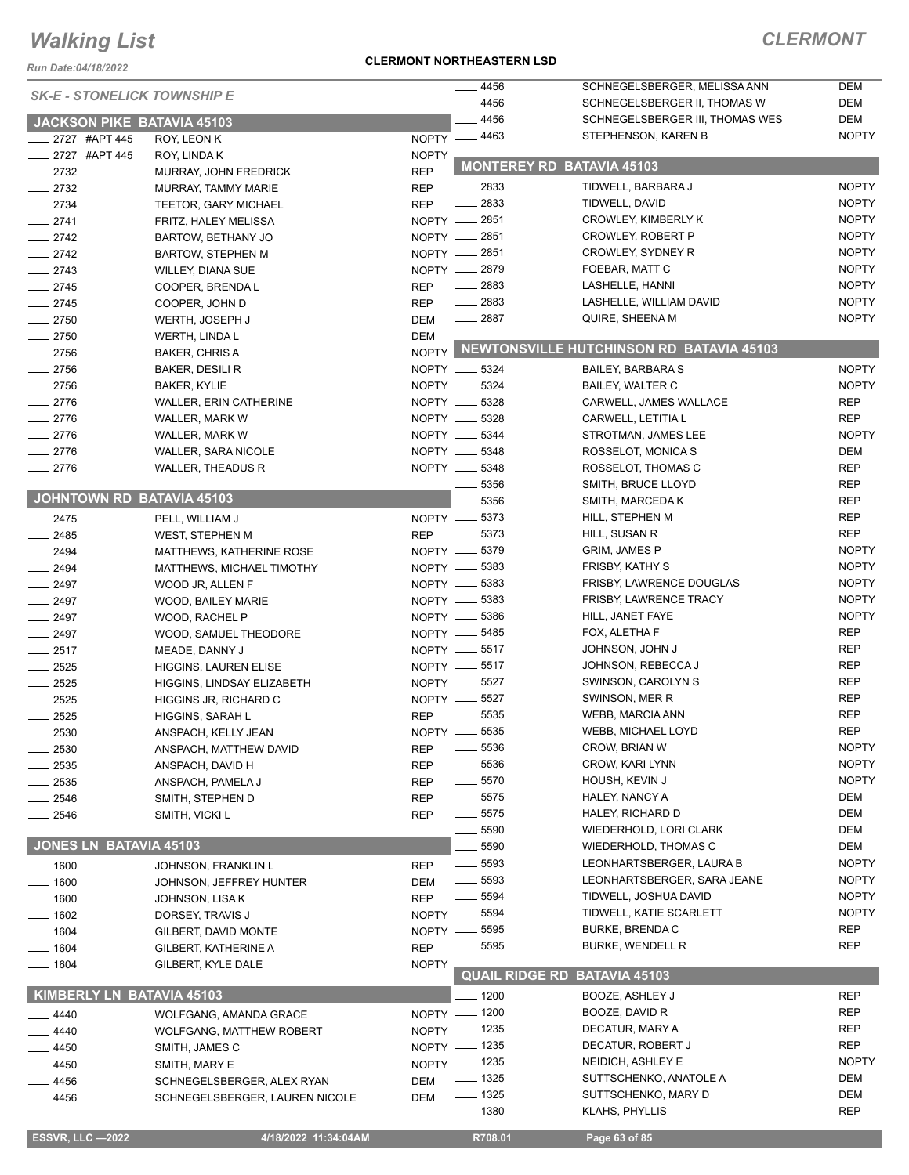*Run Date:04/18/2022*

#### **CLERMONT NORTHEASTERN LSD**

| <b>SK-E - STONELICK TOWNSHIP E</b> |                                 |              | 4456               | SCHNEGELSBERGER, MELISSA ANN                   | DEM          |
|------------------------------------|---------------------------------|--------------|--------------------|------------------------------------------------|--------------|
|                                    |                                 |              | $-4456$            | SCHNEGELSBERGER II, THOMAS W                   | DEM          |
| JACKSON PIKE BATAVIA 45103         |                                 |              | 4456               | SCHNEGELSBERGER III, THOMAS WES                | DEM          |
| __ 2727 #APT 445                   | ROY, LEON K                     |              | NOPTY -4463        | STEPHENSON, KAREN B                            | <b>NOPTY</b> |
| ____ 2727 #APT 445                 | ROY, LINDA K                    | <b>NOPTY</b> |                    |                                                |              |
| $-2732$                            | MURRAY, JOHN FREDRICK           | <b>REP</b>   |                    | <b>MONTEREY RD BATAVIA 45103</b>               |              |
| $-2732$                            | MURRAY, TAMMY MARIE             | <b>REP</b>   | $\frac{1}{2833}$   | TIDWELL, BARBARA J                             | <b>NOPTY</b> |
| $-2734$                            | <b>TEETOR, GARY MICHAEL</b>     | <b>REP</b>   | $-2833$            | TIDWELL, DAVID                                 | <b>NOPTY</b> |
| $-2741$                            | FRITZ, HALEY MELISSA            |              | NOPTY - 2851       | CROWLEY, KIMBERLY K                            | <b>NOPTY</b> |
| $-2742$                            | BARTOW, BETHANY JO              |              | NOPTY __ 2851      | CROWLEY, ROBERT P                              | <b>NOPTY</b> |
| $\frac{1}{2742}$                   | <b>BARTOW, STEPHEN M</b>        |              | NOPTY __ 2851      | CROWLEY, SYDNEY R                              | <b>NOPTY</b> |
| $-2743$                            | <b>WILLEY, DIANA SUE</b>        |              | NOPTY -2879        | FOEBAR, MATT C                                 | <b>NOPTY</b> |
| $-2745$                            | COOPER, BRENDA L                | <b>REP</b>   | $-2883$            | LASHELLE, HANNI                                | <b>NOPTY</b> |
| $-2745$                            | COOPER, JOHN D                  | <b>REP</b>   | $\frac{2883}{2}$   | LASHELLE, WILLIAM DAVID                        | <b>NOPTY</b> |
| $-2750$                            | WERTH, JOSEPH J                 | <b>DEM</b>   | $-2887$            | QUIRE, SHEENA M                                | <b>NOPTY</b> |
| $-2750$                            | WERTH, LINDA L                  | DEM          |                    |                                                |              |
| $-2756$                            | <b>BAKER, CHRIS A</b>           |              |                    | NOPTY NEWTONSVILLE HUTCHINSON RD BATAVIA 45103 |              |
| $-2756$                            | BAKER, DESILI R                 |              | NOPTY __ 5324      | <b>BAILEY, BARBARA S</b>                       | <b>NOPTY</b> |
| $-2756$                            | <b>BAKER, KYLIE</b>             |              | NOPTY __ 5324      | <b>BAILEY, WALTER C</b>                        | <b>NOPTY</b> |
| $-2776$                            | <b>WALLER, ERIN CATHERINE</b>   |              | NOPTY __ 5328      | CARWELL, JAMES WALLACE                         | <b>REP</b>   |
| $-2776$                            | WALLER, MARK W                  |              | NOPTY __ 5328      | CARWELL, LETITIA L                             | <b>REP</b>   |
| $-2776$                            | WALLER, MARK W                  |              | NOPTY __ 5344      | STROTMAN, JAMES LEE                            | <b>NOPTY</b> |
| $-2776$                            | <b>WALLER, SARA NICOLE</b>      |              | NOPTY __ 5348      | ROSSELOT, MONICA S                             | DEM          |
| $-2776$                            | <b>WALLER, THEADUS R</b>        |              | NOPTY __ 5348      | ROSSELOT, THOMAS C                             | <b>REP</b>   |
|                                    |                                 |              | 5356               | SMITH, BRUCE LLOYD                             | <b>REP</b>   |
| JOHNTOWN RD BATAVIA 45103          |                                 |              | 5356               | SMITH, MARCEDA K                               | <b>REP</b>   |
| $-2475$                            | PELL, WILLIAM J                 |              | NOPTY __ 5373      | HILL, STEPHEN M                                | <b>REP</b>   |
| $-2485$                            | <b>WEST, STEPHEN M</b>          | <b>REP</b>   | $\frac{1}{2}$ 5373 | HILL, SUSAN R                                  | <b>REP</b>   |
|                                    |                                 |              | NOPTY -6379        | <b>GRIM, JAMES P</b>                           | <b>NOPTY</b> |
| $\frac{1}{2494}$                   | MATTHEWS, KATHERINE ROSE        |              | NOPTY -6383        | <b>FRISBY, KATHY S</b>                         | <b>NOPTY</b> |
| $\frac{1}{2494}$                   | MATTHEWS, MICHAEL TIMOTHY       |              | NOPTY __ 5383      | FRISBY, LAWRENCE DOUGLAS                       | <b>NOPTY</b> |
| $-2497$                            | WOOD JR, ALLEN F                |              | NOPTY __ 5383      |                                                | <b>NOPTY</b> |
| $-2497$                            | WOOD, BAILEY MARIE              |              |                    | <b>FRISBY, LAWRENCE TRACY</b>                  | <b>NOPTY</b> |
| $-2497$                            | WOOD, RACHEL P                  |              | NOPTY __ 5386      | HILL, JANET FAYE                               | <b>REP</b>   |
| $-2497$                            | WOOD, SAMUEL THEODORE           |              | NOPTY __ 5485      | FOX, ALETHA F                                  |              |
| $-2517$                            | MEADE, DANNY J                  |              | NOPTY __ 5517      | <b>JOHNSON, JOHN J</b>                         | <b>REP</b>   |
| $-2525$                            | <b>HIGGINS, LAUREN ELISE</b>    |              | NOPTY __ 5517      | JOHNSON, REBECCA J                             | <b>REP</b>   |
| $-2525$                            | HIGGINS, LINDSAY ELIZABETH      |              | NOPTY -6527        | SWINSON, CAROLYN S                             | <b>REP</b>   |
| $-2525$                            | HIGGINS JR, RICHARD C           |              | NOPTY -6527        | SWINSON, MER R                                 | <b>REP</b>   |
| 2525                               | HIGGINS, SARAH L                | <b>REP</b>   | $\frac{1}{2}$ 5535 | WEBB, MARCIA ANN                               | <b>REP</b>   |
| 2530                               | ANSPACH, KELLY JEAN             | NOPTY -      | 5535               | WEBB, MICHAEL LOYD                             | <b>REP</b>   |
| $-2530$                            | ANSPACH, MATTHEW DAVID          | <b>REP</b>   | $- 5536$           | CROW, BRIAN W                                  | <b>NOPTY</b> |
| 2535                               | ANSPACH, DAVID H                | <b>REP</b>   | $- 5536$           | CROW, KARI LYNN                                | <b>NOPTY</b> |
| 2535                               | ANSPACH, PAMELA J               | <b>REP</b>   | $- 5570$           | HOUSH, KEVIN J                                 | <b>NOPTY</b> |
| 2546                               | SMITH, STEPHEN D                | <b>REP</b>   | $\frac{1}{2}$ 5575 | HALEY, NANCY A                                 | DEM          |
| 2546                               | SMITH, VICKI L                  | REP          | $\frac{1}{2}$ 5575 | HALEY, RICHARD D                               | DEM          |
|                                    |                                 |              | 5590               | WIEDERHOLD, LORI CLARK                         | DEM          |
| <b>JONES LN BATAVIA 45103</b>      |                                 |              | 5590               | <b>WIEDERHOLD, THOMAS C</b>                    | DEM          |
| $-1600$                            | JOHNSON, FRANKLIN L             | <b>REP</b>   | $\frac{1}{2}$ 5593 | LEONHARTSBERGER, LAURA B                       | <b>NOPTY</b> |
| $=$ 1600                           | JOHNSON, JEFFREY HUNTER         | DEM          | $\frac{1}{2}$ 5593 | LEONHARTSBERGER, SARA JEANE                    | <b>NOPTY</b> |
| $-1600$                            | JOHNSON, LISA K                 | <b>REP</b>   | $- 5594$           | TIDWELL, JOSHUA DAVID                          | <b>NOPTY</b> |
| $-1602$                            | DORSEY, TRAVIS J                | $NOPTY -$    | _ 5594             | TIDWELL, KATIE SCARLETT                        | <b>NOPTY</b> |
| $-1604$                            | GILBERT, DAVID MONTE            |              | NOPTY - 5595       | <b>BURKE, BRENDA C</b>                         | <b>REP</b>   |
| $- 1604$                           | GILBERT, KATHERINE A            | <b>REP</b>   | 5595               | <b>BURKE, WENDELL R</b>                        | <b>REP</b>   |
| $- 1604$                           | GILBERT, KYLE DALE              | <b>NOPTY</b> |                    |                                                |              |
|                                    |                                 |              |                    | <b>QUAIL RIDGE RD BATAVIA 45103</b>            |              |
| KIMBERLY LN BATAVIA 45103          |                                 |              | 1200               | BOOZE, ASHLEY J                                | <b>REP</b>   |
| 4440                               | <b>WOLFGANG, AMANDA GRACE</b>   |              | NOPTY - 1200       | BOOZE, DAVID R                                 | <b>REP</b>   |
| 4440                               | <b>WOLFGANG, MATTHEW ROBERT</b> |              | NOPTY - 1235       | DECATUR, MARY A                                | <b>REP</b>   |
| 4450                               | SMITH, JAMES C                  |              | NOPTY - 1235       | DECATUR, ROBERT J                              | <b>REP</b>   |
| 4450                               | SMITH, MARY E                   |              | NOPTY - 1235       | NEIDICH, ASHLEY E                              | <b>NOPTY</b> |
| 4456                               | SCHNEGELSBERGER, ALEX RYAN      | DEM          | $- 1325$           | SUTTSCHENKO, ANATOLE A                         | DEM          |
| 4456                               | SCHNEGELSBERGER, LAUREN NICOLE  | DEM          | $\frac{1}{2}$ 1325 | SUTTSCHENKO, MARY D                            | DEM          |
|                                    |                                 |              | $- 1380$           | KLAHS, PHYLLIS                                 | <b>REP</b>   |
|                                    |                                 |              |                    |                                                |              |
| <b>ESSVR, LLC-2022</b>             | 4/18/2022 11:34:04AM            |              | R708.01            | Page 63 of 85                                  |              |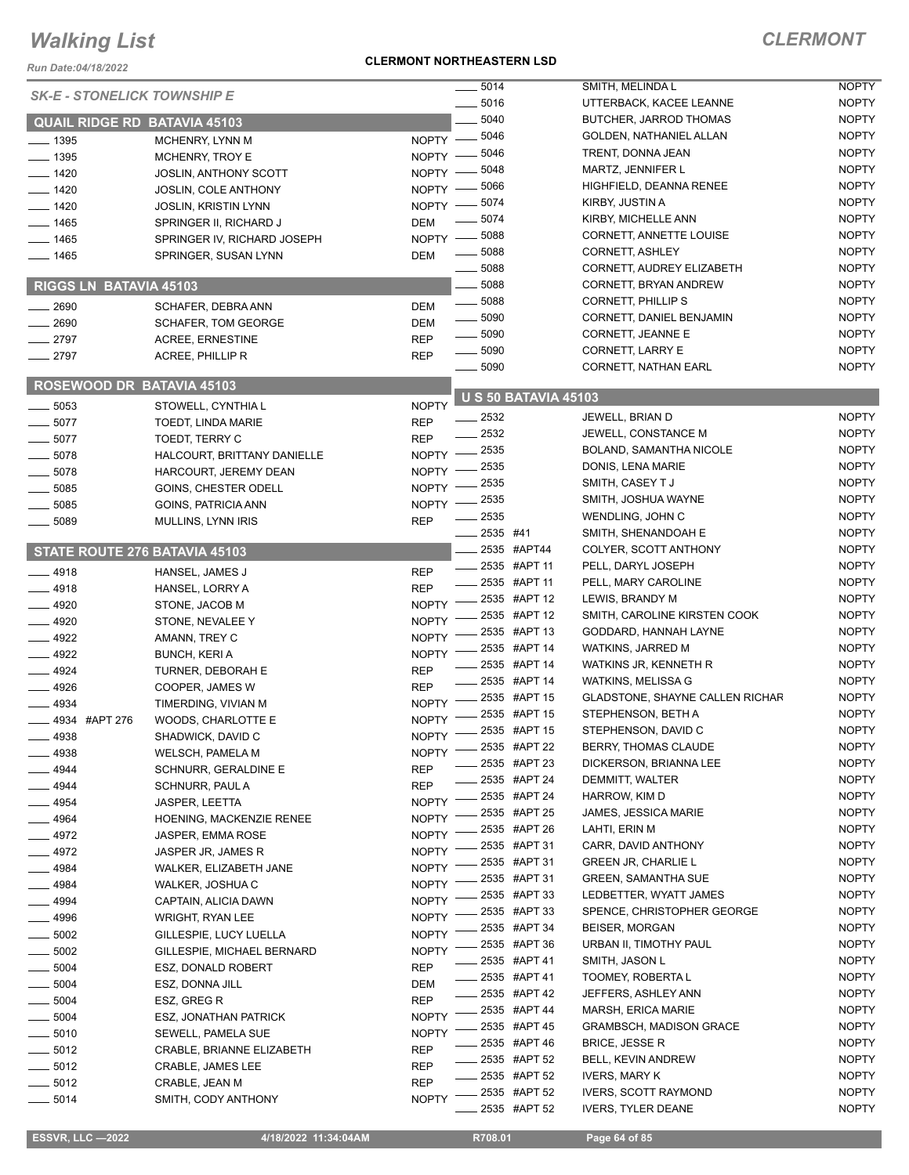*Run Date:04/18/2022*

#### **CLERMONT NORTHEASTERN LSD**

|                                     |                              |              | $-5014$                     | SMITH, MELINDA L                | <b>NOPTY</b> |
|-------------------------------------|------------------------------|--------------|-----------------------------|---------------------------------|--------------|
| <b>SK-E - STONELICK TOWNSHIP E</b>  |                              |              | 5016                        | UTTERBACK, KACEE LEANNE         | <b>NOPTY</b> |
| <b>QUAIL RIDGE RD BATAVIA 45103</b> |                              |              | 5040                        | BUTCHER, JARROD THOMAS          | <b>NOPTY</b> |
| $-1395$                             | MCHENRY, LYNN M              | $NOPTY$ –    | 5046                        | GOLDEN, NATHANIEL ALLAN         | <b>NOPTY</b> |
| $- 1395$                            | MCHENRY, TROY E              | NOPTY -      | 5046                        | TRENT, DONNA JEAN               | <b>NOPTY</b> |
|                                     |                              | NOPTY -      | 5048                        | MARTZ, JENNIFER L               | <b>NOPTY</b> |
| $- 1420$                            | JOSLIN, ANTHONY SCOTT        |              | 5066                        | HIGHFIELD, DEANNA RENEE         | <b>NOPTY</b> |
| $- 1420$                            | <b>JOSLIN, COLE ANTHONY</b>  | NOPTY -      | 5074                        | KIRBY, JUSTIN A                 | <b>NOPTY</b> |
| $-1420$                             | <b>JOSLIN, KRISTIN LYNN</b>  | NOPTY -      | 5074                        | KIRBY, MICHELLE ANN             | <b>NOPTY</b> |
| $-1465$                             | SPRINGER II, RICHARD J       | <b>DEM</b>   |                             |                                 | <b>NOPTY</b> |
| $-1465$                             | SPRINGER IV, RICHARD JOSEPH  | NOPTY -      | 5088                        | CORNETT, ANNETTE LOUISE         |              |
| $-1465$                             | SPRINGER, SUSAN LYNN         | <b>DEM</b>   | 5088                        | CORNETT, ASHLEY                 | <b>NOPTY</b> |
|                                     |                              |              | 5088                        | CORNETT, AUDREY ELIZABETH       | <b>NOPTY</b> |
| RIGGS LN BATAVIA 45103              |                              |              | 5088                        | CORNETT, BRYAN ANDREW           | <b>NOPTY</b> |
| 2690                                | SCHAFER, DEBRA ANN           | <b>DEM</b>   | $\frac{1}{2}$ 5088          | <b>CORNETT, PHILLIP S</b>       | <b>NOPTY</b> |
| 2690                                | <b>SCHAFER, TOM GEORGE</b>   | <b>DEM</b>   | $\frac{1}{2}$ 5090          | CORNETT, DANIEL BENJAMIN        | <b>NOPTY</b> |
| 2797                                | <b>ACREE, ERNESTINE</b>      | <b>REP</b>   | $\frac{1}{2}$ 5090          | <b>CORNETT, JEANNE E</b>        | <b>NOPTY</b> |
| 2797                                | ACREE, PHILLIP R             | <b>REP</b>   | $\frac{1}{2}$ 5090          | CORNETT, LARRY E                | <b>NOPTY</b> |
|                                     |                              |              | $\frac{1}{2}$ 5090          | <b>CORNETT, NATHAN EARL</b>     | <b>NOPTY</b> |
| <b>ROSEWOOD DR BATAVIA 45103</b>    |                              |              |                             |                                 |              |
| 5053                                | STOWELL, CYNTHIA L           | <b>NOPTY</b> | <b>U S 50 BATAVIA 45103</b> |                                 |              |
| $-5077$                             | TOEDT, LINDA MARIE           | <b>REP</b>   | 2532                        | JEWELL, BRIAN D                 | <b>NOPTY</b> |
| $-5077$                             | TOEDT, TERRY C               | <b>REP</b>   | - 2532                      | JEWELL, CONSTANCE M             | <b>NOPTY</b> |
|                                     |                              |              | 2535                        | BOLAND, SAMANTHA NICOLE         | <b>NOPTY</b> |
| $-5078$                             | HALCOURT, BRITTANY DANIELLE  | <b>NOPTY</b> | 2535                        | DONIS, LENA MARIE               | <b>NOPTY</b> |
| 5078                                | HARCOURT, JEREMY DEAN        | <b>NOPTY</b> | 2535                        | SMITH, CASEY T J                | <b>NOPTY</b> |
| 5085                                | GOINS, CHESTER ODELL         | <b>NOPTY</b> | 2535                        | SMITH, JOSHUA WAYNE             | <b>NOPTY</b> |
| 5085                                | GOINS, PATRICIA ANN          | <b>NOPTY</b> | 2535                        | WENDLING, JOHN C                | <b>NOPTY</b> |
| 5089                                | MULLINS, LYNN IRIS           | <b>REP</b>   | 2535 #41                    | SMITH, SHENANDOAH E             | <b>NOPTY</b> |
|                                     |                              |              | 2535 #APT44                 |                                 | <b>NOPTY</b> |
| STATE ROUTE 276 BATAVIA 45103       |                              |              |                             | COLYER, SCOTT ANTHONY           |              |
| $-4918$                             | HANSEL, JAMES J              | <b>REP</b>   | ____ 2535 #APT 11           | PELL, DARYL JOSEPH              | <b>NOPTY</b> |
| 4918                                | HANSEL, LORRY A              | <b>REP</b>   | 2535 #APT 11                | PELL, MARY CAROLINE             | <b>NOPTY</b> |
| $-4920$                             | STONE, JACOB M               | <b>NOPTY</b> | 2535 #APT 12                | LEWIS, BRANDY M                 | <b>NOPTY</b> |
| $-4920$                             | STONE, NEVALEE Y             | <b>NOPTY</b> | 2535 #APT 12                | SMITH, CAROLINE KIRSTEN COOK    | <b>NOPTY</b> |
| $-4922$                             | AMANN, TREY C                | <b>NOPTY</b> | 2535 #APT 13                | GODDARD, HANNAH LAYNE           | <b>NOPTY</b> |
| $-4922$                             | <b>BUNCH, KERI A</b>         | <b>NOPTY</b> | 2535 #APT 14                | WATKINS, JARRED M               | <b>NOPTY</b> |
| $-4924$                             | TURNER, DEBORAH E            | <b>REP</b>   | 2535 #APT 14                | WATKINS JR, KENNETH R           | <b>NOPTY</b> |
| $-4926$                             | COOPER, JAMES W              | <b>REP</b>   | 2535 #APT 14                | WATKINS, MELISSA G              | <b>NOPTY</b> |
| 4934                                | TIMERDING, VIVIAN M          | <b>NOPTY</b> | 2535 #APT 15                | GLADSTONE, SHAYNE CALLEN RICHAR | <b>NOPTY</b> |
| 4934 #APT 276                       | WOODS, CHARLOTTE E           | <b>NOPTY</b> | 2535 #APT 15                | STEPHENSON, BETH A              | <b>NOPTY</b> |
| $-4938$                             | SHADWICK, DAVID C            | <b>NOPTY</b> | 2535 #APT 15                | STEPHENSON, DAVID C             | <b>NOPTY</b> |
| _ 4938                              | WELSCH, PAMELA M             | <b>NOPTY</b> | 2535 #APT 22                | BERRY, THOMAS CLAUDE            | <b>NOPTY</b> |
|                                     |                              |              | 2535 #APT 23                | DICKERSON, BRIANNA LEE          | <b>NOPTY</b> |
| - 4944                              | SCHNURR, GERALDINE E         | <b>REP</b>   | 2535 #APT 24                | DEMMITT, WALTER                 | <b>NOPTY</b> |
| 4944                                | SCHNURR, PAUL A              | <b>REP</b>   | 2535 #APT 24                | HARROW, KIM D                   | <b>NOPTY</b> |
| 4954                                | <b>JASPER, LEETTA</b>        | <b>NOPTY</b> | 2535 #APT 25                | JAMES, JESSICA MARIE            | <b>NOPTY</b> |
| 4964                                | HOENING, MACKENZIE RENEE     | <b>NOPTY</b> | 2535 #APT 26                | LAHTI, ERIN M                   | <b>NOPTY</b> |
| 4972                                | JASPER, EMMA ROSE            | <b>NOPTY</b> | 2535 #APT 31                | CARR, DAVID ANTHONY             | <b>NOPTY</b> |
| _ 4972                              | JASPER JR, JAMES R           | <b>NOPTY</b> | 2535 #APT 31                | <b>GREEN JR, CHARLIE L</b>      | <b>NOPTY</b> |
| 4984                                | WALKER, ELIZABETH JANE       | <b>NOPTY</b> | 2535 #APT 31                | <b>GREEN, SAMANTHA SUE</b>      | <b>NOPTY</b> |
| _ 4984                              | WALKER, JOSHUA C             | <b>NOPTY</b> |                             |                                 |              |
| $-4994$                             | CAPTAIN, ALICIA DAWN         | <b>NOPTY</b> | 2535 #APT 33                | LEDBETTER, WYATT JAMES          | <b>NOPTY</b> |
| 4996                                | WRIGHT, RYAN LEE             | <b>NOPTY</b> | 2535 #APT 33                | SPENCE, CHRISTOPHER GEORGE      | <b>NOPTY</b> |
| $-5002$                             | GILLESPIE, LUCY LUELLA       | <b>NOPTY</b> | 2535 #APT 34                | <b>BEISER, MORGAN</b>           | <b>NOPTY</b> |
| $-5002$                             | GILLESPIE, MICHAEL BERNARD   | <b>NOPTY</b> | 2535 #APT 36                | URBAN II, TIMOTHY PAUL          | <b>NOPTY</b> |
| $=5004$                             | ESZ, DONALD ROBERT           | <b>REP</b>   | 2535 #APT 41                | SMITH, JASON L                  | <b>NOPTY</b> |
| $-5004$                             | ESZ, DONNA JILL              | <b>DEM</b>   | 2535 #APT 41                | TOOMEY, ROBERTA L               | <b>NOPTY</b> |
| 5004                                | ESZ, GREG R                  | <b>REP</b>   | 2535 #APT 42                | JEFFERS, ASHLEY ANN             | <b>NOPTY</b> |
| 5004                                | <b>ESZ, JONATHAN PATRICK</b> | <b>NOPTY</b> | 2535 #APT 44                | MARSH, ERICA MARIE              | <b>NOPTY</b> |
| 5010                                | SEWELL, PAMELA SUE           | <b>NOPTY</b> | 2535 #APT 45                | <b>GRAMBSCH, MADISON GRACE</b>  | <b>NOPTY</b> |
|                                     |                              |              | 2535 #APT 46                | <b>BRICE, JESSE R</b>           | <b>NOPTY</b> |
| $-5012$                             | CRABLE, BRIANNE ELIZABETH    | <b>REP</b>   | 2535 #APT 52                | BELL, KEVIN ANDREW              | <b>NOPTY</b> |
| $-5012$                             | <b>CRABLE, JAMES LEE</b>     | <b>REP</b>   | 2535 #APT 52                | <b>IVERS, MARY K</b>            | <b>NOPTY</b> |
| .5012                               | CRABLE, JEAN M               | <b>REP</b>   | 2535 #APT 52                | <b>IVERS, SCOTT RAYMOND</b>     | <b>NOPTY</b> |
| $-5014$                             | SMITH, CODY ANTHONY          | <b>NOPTY</b> | 2535 #APT 52                | <b>IVERS, TYLER DEANE</b>       | <b>NOPTY</b> |
|                                     |                              |              |                             |                                 |              |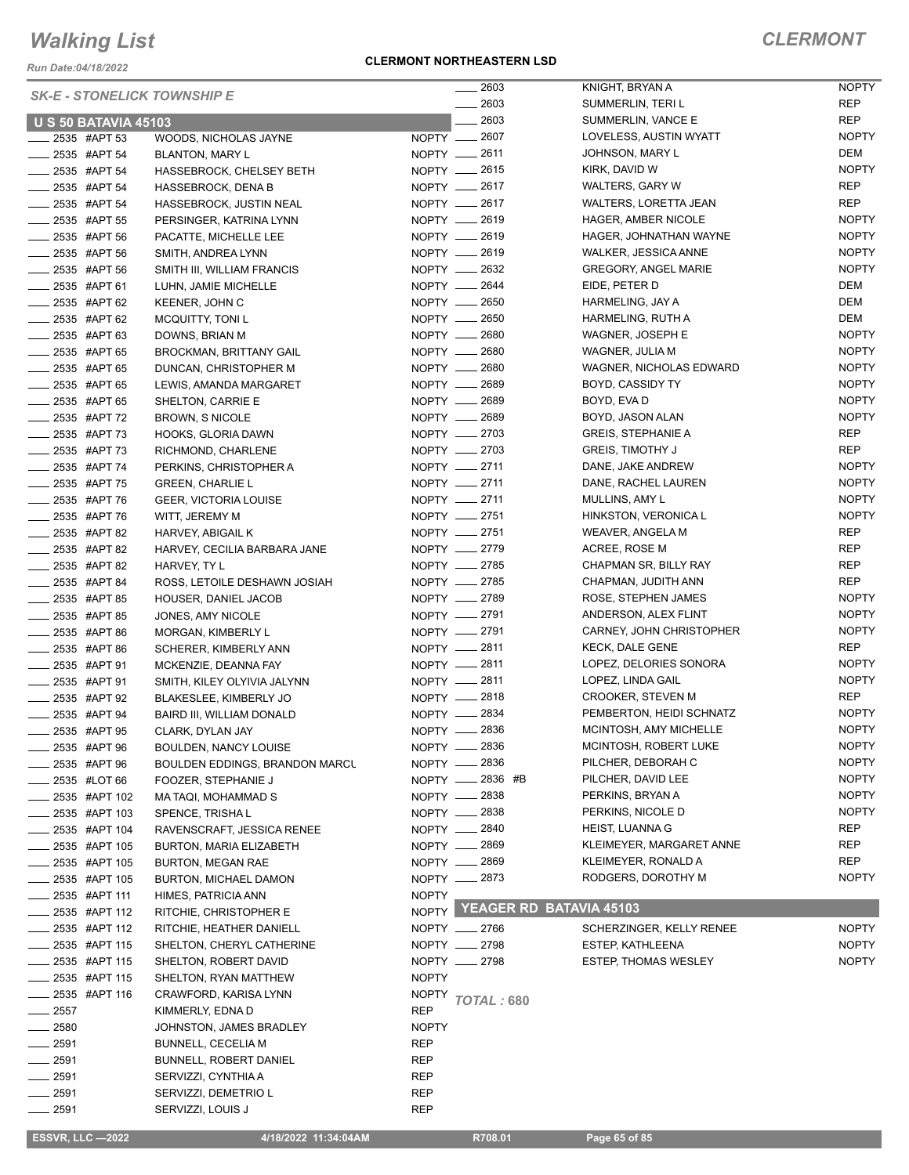*Run Date:04/18/2022*

#### **CLERMONT NORTHEASTERN LSD**

|                                    |                                       | 2603                            | KNIGHT, BRYAN A              | NOPTY        |
|------------------------------------|---------------------------------------|---------------------------------|------------------------------|--------------|
| <b>SK-E - STONELICK TOWNSHIP E</b> |                                       | 2603                            | SUMMERLIN, TERI L            | REP          |
| <b>U S 50 BATAVIA 45103</b>        |                                       | 2603                            | SUMMERLIN, VANCE E           | <b>REP</b>   |
| 2535 #APT 53                       | WOODS, NICHOLAS JAYNE                 | NOPTY __ 2607                   | LOVELESS, AUSTIN WYATT       | <b>NOPTY</b> |
| $-2535$ #APT 54                    | <b>BLANTON, MARY L</b>                | NOPTY __ 2611                   | JOHNSON, MARY L              | DEM          |
| $-2535$ #APT 54                    | HASSEBROCK, CHELSEY BETH              | NOPTY __ 2615                   | KIRK, DAVID W                | <b>NOPTY</b> |
| 2535 #APT 54                       | <b>HASSEBROCK, DENA B</b>             | NOPTY __ 2617                   | WALTERS, GARY W              | <b>REP</b>   |
| <b>2535 #APT 54</b>                | HASSEBROCK, JUSTIN NEAL               | NOPTY __ 2617                   | <b>WALTERS, LORETTA JEAN</b> | <b>REP</b>   |
| __ 2535 #APT 55                    | PERSINGER, KATRINA LYNN               | NOPTY __ 2619                   | HAGER, AMBER NICOLE          | <b>NOPTY</b> |
| $-2535$ #APT 56                    | PACATTE, MICHELLE LEE                 | NOPTY - 2619                    | HAGER, JOHNATHAN WAYNE       | <b>NOPTY</b> |
| 2535 #APT 56                       | SMITH, ANDREA LYNN                    | NOPTY __ 2619                   | WALKER, JESSICA ANNE         | <b>NOPTY</b> |
| $-2535$ #APT 56                    | SMITH III, WILLIAM FRANCIS            | NOPTY - 2632                    | <b>GREGORY, ANGEL MARIE</b>  | <b>NOPTY</b> |
| $\frac{1}{2535}$ #APT 61           |                                       | NOPTY - 2644                    | EIDE, PETER D                | DEM          |
|                                    | LUHN, JAMIE MICHELLE                  | NOPTY __ 2650                   |                              | DEM          |
| 2535 #APT 62                       | KEENER, JOHN C                        |                                 | HARMELING, JAY A             |              |
| 2535 #APT 62                       | <b>MCQUITTY, TONI L</b>               | NOPTY __ 2650                   | HARMELING, RUTH A            | DEM          |
| _ 2535 #APT 63                     | DOWNS, BRIAN M                        | NOPTY __ 2680                   | WAGNER, JOSEPH E             | <b>NOPTY</b> |
| 2535 #APT 65                       | <b>BROCKMAN, BRITTANY GAIL</b>        | NOPTY __ 2680                   | WAGNER, JULIA M              | <b>NOPTY</b> |
| _ 2535 #APT 65                     | DUNCAN, CHRISTOPHER M                 | NOPTY -2680                     | WAGNER, NICHOLAS EDWARD      | <b>NOPTY</b> |
| _ 2535 #APT 65                     | LEWIS, AMANDA MARGARET                | NOPTY __ 2689                   | BOYD, CASSIDY TY             | <b>NOPTY</b> |
| __ 2535 #APT 65                    | SHELTON, CARRIE E                     | NOPTY - 2689                    | BOYD, EVA D                  | <b>NOPTY</b> |
| ____ 2535 #APT 72                  | <b>BROWN, S NICOLE</b>                | NOPTY __ 2689                   | BOYD, JASON ALAN             | <b>NOPTY</b> |
| 2535 #APT 73                       | HOOKS, GLORIA DAWN                    | NOPTY __ 2703                   | <b>GREIS, STEPHANIE A</b>    | REP          |
| 2535 #APT 73                       | RICHMOND, CHARLENE                    | NOPTY -2703                     | <b>GREIS, TIMOTHY J</b>      | <b>REP</b>   |
| _ 2535 #APT 74                     | PERKINS, CHRISTOPHER A                | NOPTY __ 2711                   | DANE, JAKE ANDREW            | <b>NOPTY</b> |
| _ 2535 #APT 75                     | <b>GREEN, CHARLIE L</b>               | NOPTY -2711                     | DANE, RACHEL LAUREN          | <b>NOPTY</b> |
| ____ 2535 #APT 76                  | <b>GEER, VICTORIA LOUISE</b>          | NOPTY __ 2711                   | MULLINS, AMY L               | <b>NOPTY</b> |
| 2535 #APT 76                       | WITT, JEREMY M                        | NOPTY __ 2751                   | HINKSTON, VERONICA L         | <b>NOPTY</b> |
| _ 2535 #APT 82                     | HARVEY, ABIGAIL K                     | NOPTY __ 2751                   | WEAVER, ANGELA M             | <b>REP</b>   |
| _2535 #APT 82                      | HARVEY, CECILIA BARBARA JANE          | NOPTY __ 2779                   | ACREE, ROSE M                | <b>REP</b>   |
| 2535 #APT 82                       | HARVEY, TY L                          | NOPTY -2785                     | CHAPMAN SR, BILLY RAY        | <b>REP</b>   |
| _ 2535 #APT 84                     | ROSS, LETOILE DESHAWN JOSIAH          | NOPTY __ 2785                   | CHAPMAN, JUDITH ANN          | <b>REP</b>   |
| 2535 #APT 85                       | HOUSER, DANIEL JACOB                  | NOPTY __ 2789                   | ROSE, STEPHEN JAMES          | <b>NOPTY</b> |
| 2535 #APT 85                       | JONES, AMY NICOLE                     | NOPTY -2791                     | ANDERSON, ALEX FLINT         | <b>NOPTY</b> |
| 2535 #APT 86                       | MORGAN, KIMBERLY L                    | NOPTY __ 2791                   | CARNEY, JOHN CHRISTOPHER     | <b>NOPTY</b> |
| 2535 #APT 86                       | SCHERER, KIMBERLY ANN                 | NOPTY __ 2811                   | <b>KECK, DALE GENE</b>       | REP          |
| ____ 2535 #APT 91                  |                                       | NOPTY - 2811                    | LOPEZ, DELORIES SONORA       | <b>NOPTY</b> |
|                                    | MCKENZIE, DEANNA FAY                  |                                 | LOPEZ, LINDA GAIL            | <b>NOPTY</b> |
| 2535 #APT 91                       | SMITH, KILEY OLYIVIA JALYNN           | NOPTY __ 2811                   |                              | <b>REP</b>   |
| 2535 #APT 92                       | BLAKESLEE, KIMBERLY JO                | NOPTY -2818                     | CROOKER, STEVEN M            |              |
| ____ 2535 #APT 94                  | BAIRD III, WILLIAM DONALD             | NOPTY __ 2834                   | PEMBERTON, HEIDI SCHNATZ     | <b>NOPTY</b> |
| ____ 2535 #APT 95                  | CLARK, DYLAN JAY                      | NOPTY - 2836                    | MCINTOSH, AMY MICHELLE       | <b>NOPTY</b> |
| 2535 #APT 96                       | BOULDEN, NANCY LOUISE                 | NOPTY - 2836                    | MCINTOSH, ROBERT LUKE        | <b>NOPTY</b> |
| 2535 #APT 96                       | <b>BOULDEN EDDINGS, BRANDON MARCL</b> | NOPTY __ 2836                   | PILCHER, DEBORAH C           | <b>NOPTY</b> |
| _ 2535 #LOT 66                     | FOOZER, STEPHANIE J                   | NOPTY __ 2836 #B                | PILCHER, DAVID LEE           | <b>NOPTY</b> |
| 2535 #APT 102                      | MA TAQI, MOHAMMAD S                   | NOPTY __ 2838                   | PERKINS, BRYAN A             | <b>NOPTY</b> |
| _ 2535 #APT 103                    | SPENCE, TRISHAL                       | NOPTY - 2838                    | PERKINS, NICOLE D            | <b>NOPTY</b> |
| _ 2535 #APT 104                    | RAVENSCRAFT, JESSICA RENEE            | NOPTY - 2840                    | <b>HEIST, LUANNA G</b>       | REP          |
| 2535 #APT 105                      | BURTON, MARIA ELIZABETH               | NOPTY __ 2869                   | KLEIMEYER, MARGARET ANNE     | REP          |
| 2535 #APT 105                      | <b>BURTON, MEGAN RAE</b>              | NOPTY <u>__</u> 2869            | KLEIMEYER, RONALD A          | REP          |
| 2535 #APT 105                      | BURTON, MICHAEL DAMON                 | NOPTY __ 2873                   | RODGERS, DOROTHY M           | <b>NOPTY</b> |
| 2535 #APT 111 -                    | HIMES, PATRICIA ANN                   | <b>NOPTY</b>                    |                              |              |
| 2535 #APT 112                      | RITCHIE, CHRISTOPHER E                | NOPTY YEAGER RD BATAVIA 45103   |                              |              |
| 2535 #APT 112                      | RITCHIE, HEATHER DANIELL              | NOPTY __ 2766                   | SCHERZINGER, KELLY RENEE     | <b>NOPTY</b> |
| _ 2535   #APT 115                  | SHELTON, CHERYL CATHERINE             | NOPTY __ 2798                   | <b>ESTEP, KATHLEENA</b>      | <b>NOPTY</b> |
| 2535 #APT 115                      | SHELTON, ROBERT DAVID                 | NOPTY ____ 2798                 | <b>ESTEP, THOMAS WESLEY</b>  | <b>NOPTY</b> |
| 2535 #APT 115                      | SHELTON, RYAN MATTHEW                 | <b>NOPTY</b>                    |                              |              |
| $-2535$ #APT 116                   | CRAWFORD, KARISA LYNN                 | <b>NOPTY</b>                    |                              |              |
| $-2557$                            | KIMMERLY, EDNA D                      | <b>TOTAL: 680</b><br><b>REP</b> |                              |              |
| $=$ 2580                           | JOHNSTON, JAMES BRADLEY               | <b>NOPTY</b>                    |                              |              |
| $=2591$                            |                                       | REP                             |                              |              |
|                                    | BUNNELL, CECELIA M                    |                                 |                              |              |
| __ 2591                            | <b>BUNNELL, ROBERT DANIEL</b>         | REP                             |                              |              |
| 2591                               | SERVIZZI, CYNTHIA A                   | <b>REP</b>                      |                              |              |
| 2591                               | SERVIZZI, DEMETRIO L                  | REP                             |                              |              |
| 2591                               | SERVIZZI, LOUIS J                     | <b>REP</b>                      |                              |              |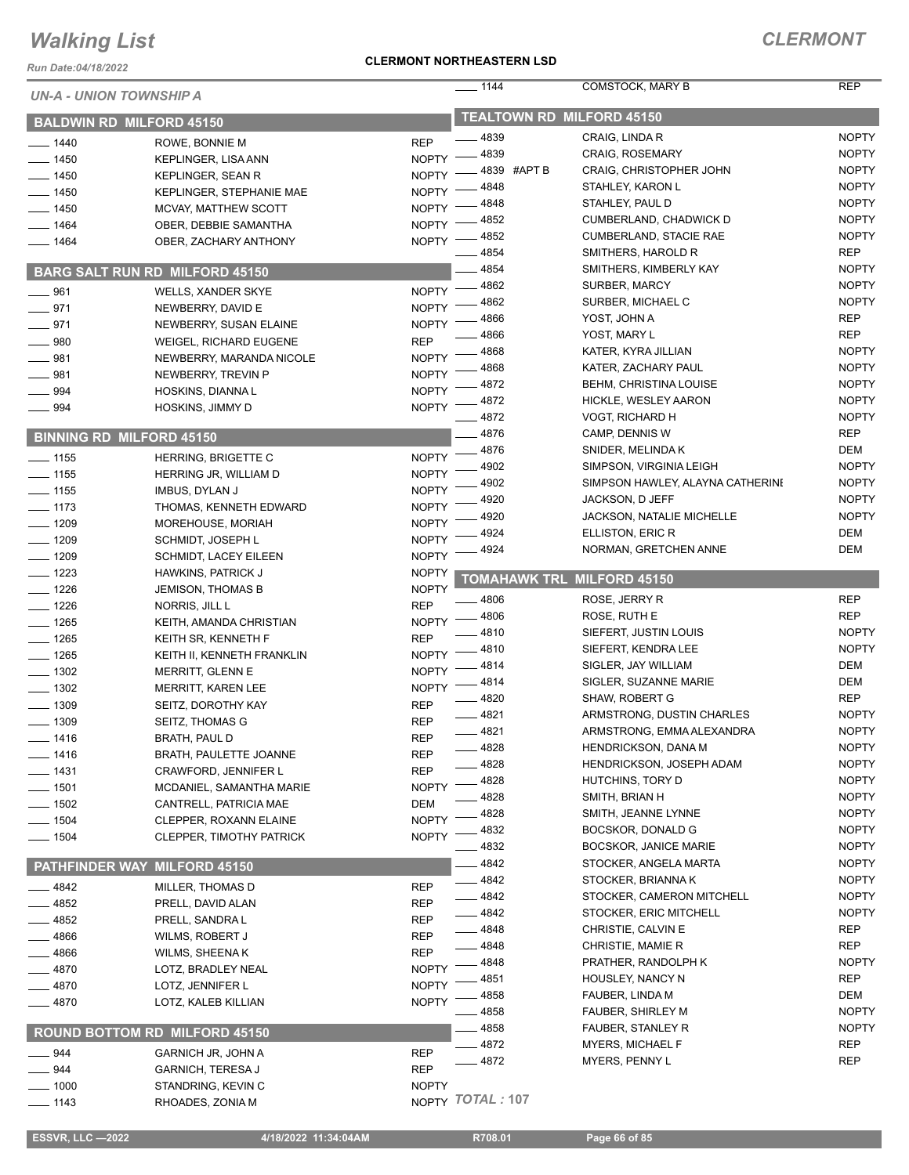*Run Date:04/18/2022*

#### **CLERMONT NORTHEASTERN LSD**

| UN-A - UNION TOWNSHIP A |                                       |              | $- 1144$                         | COMSTOCK, MARY B                 | <b>REP</b>        |
|-------------------------|---------------------------------------|--------------|----------------------------------|----------------------------------|-------------------|
|                         | <b>BALDWIN RD MILFORD 45150</b>       |              | <b>TEALTOWN RD MILFORD 45150</b> |                                  |                   |
| $-1440$                 | ROWE, BONNIE M                        | <b>REP</b>   | 4839                             | CRAIG, LINDA R                   | <b>NOPTY</b>      |
| $- 1450$                | <b>KEPLINGER, LISA ANN</b>            | <b>NOPTY</b> | 4839                             | <b>CRAIG, ROSEMARY</b>           | <b>NOPTY</b>      |
| $- 1450$                | KEPLINGER, SEAN R                     | <b>NOPTY</b> | 4839 #APT B                      | <b>CRAIG, CHRISTOPHER JOHN</b>   | <b>NOPTY</b>      |
| $-1450$                 | <b>KEPLINGER, STEPHANIE MAE</b>       | <b>NOPTY</b> | 4848                             | STAHLEY, KARON L                 | <b>NOPTY</b>      |
| 1450                    | MCVAY, MATTHEW SCOTT                  | <b>NOPTY</b> | 4848                             | STAHLEY, PAUL D                  | <b>NOPTY</b>      |
| 1464                    | OBER, DEBBIE SAMANTHA                 | <b>NOPTY</b> | 4852                             | CUMBERLAND, CHADWICK D           | <b>NOPTY</b>      |
| 1464                    | OBER, ZACHARY ANTHONY                 | <b>NOPTY</b> | 4852                             | <b>CUMBERLAND, STACIE RAE</b>    | <b>NOPTY</b>      |
|                         |                                       |              | 4854                             | SMITHERS, HAROLD R               | <b>REP</b>        |
|                         | <b>BARG SALT RUN RD MILFORD 45150</b> |              | 4854                             | SMITHERS, KIMBERLY KAY           | <b>NOPTY</b>      |
| 961                     | WELLS, XANDER SKYE                    | <b>NOPTY</b> | 4862                             | SURBER, MARCY                    | <b>NOPTY</b>      |
| 971                     | NEWBERRY, DAVID E                     | <b>NOPTY</b> | 4862                             | SURBER, MICHAEL C                | <b>NOPTY</b>      |
| 971                     | NEWBERRY, SUSAN ELAINE                | <b>NOPTY</b> | 4866                             | YOST, JOHN A                     | <b>REP</b>        |
| 980                     | <b>WEIGEL, RICHARD EUGENE</b>         | <b>REP</b>   | 4866                             | YOST, MARY L                     | <b>REP</b>        |
| 981                     | NEWBERRY, MARANDA NICOLE              | <b>NOPTY</b> | 4868                             | KATER, KYRA JILLIAN              | <b>NOPTY</b>      |
| 981                     | NEWBERRY, TREVIN P                    | <b>NOPTY</b> | 4868                             | KATER, ZACHARY PAUL              | <b>NOPTY</b>      |
| 994                     | HOSKINS, DIANNA L                     | <b>NOPTY</b> | 4872                             | <b>BEHM, CHRISTINA LOUISE</b>    | <b>NOPTY</b>      |
| $- 994$                 | HOSKINS, JIMMY D                      | <b>NOPTY</b> | 4872                             | HICKLE, WESLEY AARON             | <b>NOPTY</b>      |
|                         |                                       |              | 4872                             | VOGT, RICHARD H                  | <b>NOPTY</b>      |
|                         | <b>BINNING RD MILFORD 45150</b>       |              | 4876                             | CAMP, DENNIS W                   | <b>REP</b>        |
| $-1155$                 | HERRING, BRIGETTE C                   | <b>NOPTY</b> | 4876                             | SNIDER, MELINDA K                | <b>DEM</b>        |
| 1155                    | HERRING JR, WILLIAM D                 | <b>NOPTY</b> | 4902                             | SIMPSON, VIRGINIA LEIGH          | <b>NOPTY</b>      |
| $-1155$                 | <b>IMBUS, DYLAN J</b>                 | <b>NOPTY</b> | 4902                             | SIMPSON HAWLEY, ALAYNA CATHERINE | <b>NOPTY</b>      |
| $-1173$                 | THOMAS, KENNETH EDWARD                | <b>NOPTY</b> | 4920                             | JACKSON, D JEFF                  | <b>NOPTY</b>      |
| $-1209$                 | MOREHOUSE, MORIAH                     | <b>NOPTY</b> | 4920                             | <b>JACKSON, NATALIE MICHELLE</b> | <b>NOPTY</b>      |
| $- 1209$                | SCHMIDT, JOSEPH L                     | <b>NOPTY</b> | 4924                             | ELLISTON, ERIC R                 | <b>DEM</b>        |
| $-1209$                 | <b>SCHMIDT, LACEY EILEEN</b>          | <b>NOPTY</b> | 4924                             | NORMAN, GRETCHEN ANNE            | DEM               |
| $-1223$                 | <b>HAWKINS, PATRICK J</b>             | <b>NOPTY</b> |                                  |                                  |                   |
| $-1226$                 | <b>JEMISON, THOMAS B</b>              | <b>NOPTY</b> | <b>TOMAHAWK TRL</b>              | <b>MILFORD 45150</b>             |                   |
| $- 1226$                | NORRIS, JILL L                        | <b>REP</b>   | 4806                             | ROSE, JERRY R                    | <b>REP</b>        |
| $- 1265$                | KEITH, AMANDA CHRISTIAN               | <b>NOPTY</b> | 4806                             | ROSE, RUTH E                     | <b>REP</b>        |
| $- 1265$                | KEITH SR, KENNETH F                   | <b>REP</b>   | 4810                             | SIEFERT, JUSTIN LOUIS            | <b>NOPTY</b>      |
| $- 1265$                | KEITH II, KENNETH FRANKLIN            | <b>NOPTY</b> | 4810                             | SIEFERT, KENDRA LEE              | <b>NOPTY</b>      |
| $-1302$                 | MERRITT, GLENN E                      | <b>NOPTY</b> | 4814                             | SIGLER, JAY WILLIAM              | DEM               |
| $-1302$                 | <b>MERRITT, KAREN LEE</b>             | <b>NOPTY</b> | 4814                             | SIGLER, SUZANNE MARIE            | DEM               |
| 1309                    | SEITZ, DOROTHY KAY                    | <b>REP</b>   | 4820                             | <b>SHAW, ROBERT G</b>            | <b>REP</b>        |
| $-1309$                 | SEITZ, THOMAS G                       | <b>REP</b>   | 4821                             | ARMSTRONG, DUSTIN CHARLES        | <b>NOPTY</b>      |
| 1416                    | BRATH, PAUL D                         | <b>REP</b>   | $-4821$                          | ARMSTRONG, EMMA ALEXANDRA        | <b>NOPTY</b>      |
| $- 1416$                | BRATH, PAULETTE JOANNE                | <b>REP</b>   | 4828                             | HENDRICKSON, DANA M              | <b>NOPTY</b>      |
| — 1431                  | CRAWFORD, JENNIFER L                  | <b>REP</b>   | 4828                             | <b>HENDRICKSON, JOSEPH ADAM</b>  | <b>NOPTY</b>      |
| $-1501$                 | MCDANIEL, SAMANTHA MARIE              | <b>NOPTY</b> | 4828                             | HUTCHINS, TORY D                 | <b>NOPTY</b>      |
| 1502                    | CANTRELL, PATRICIA MAE                | DEM          | 4828                             | SMITH, BRIAN H                   | <b>NOPTY</b>      |
| 1504                    | CLEPPER, ROXANN ELAINE                | <b>NOPTY</b> | 4828                             | SMITH, JEANNE LYNNE              | <b>NOPTY</b>      |
| $-1504$                 | CLEPPER, TIMOTHY PATRICK              | <b>NOPTY</b> | 4832                             | BOCSKOR, DONALD G                | <b>NOPTY</b>      |
|                         |                                       |              | 4832                             | <b>BOCSKOR, JANICE MARIE</b>     | <b>NOPTY</b>      |
| <b>PATHFINDER WAY</b>   | <b>MILFORD 45150</b>                  |              | 4842                             | STOCKER, ANGELA MARTA            | <b>NOPTY</b>      |
| 4842                    | MILLER, THOMAS D                      | <b>REP</b>   | 4842                             | STOCKER, BRIANNA K               | <b>NOPTY</b>      |
| 4852                    | PRELL, DAVID ALAN                     | <b>REP</b>   | 4842                             | STOCKER, CAMERON MITCHELL        | <b>NOPTY</b>      |
| 4852                    | PRELL, SANDRA L                       | <b>REP</b>   | 4842                             | STOCKER, ERIC MITCHELL           | <b>NOPTY</b>      |
| 4866                    | WILMS, ROBERT J                       | <b>REP</b>   | 4848                             | CHRISTIE, CALVIN E               | <b>REP</b>        |
| 4866                    | WILMS, SHEENA K                       | <b>REP</b>   | 4848                             | CHRISTIE, MAMIE R                | <b>REP</b>        |
| 4870                    | LOTZ, BRADLEY NEAL                    | <b>NOPTY</b> | 4848                             | PRATHER, RANDOLPH K              | <b>NOPTY</b>      |
| 4870                    | LOTZ, JENNIFER L                      | <b>NOPTY</b> | 4851                             | HOUSLEY, NANCY N                 | <b>REP</b>        |
| 4870                    | LOTZ, KALEB KILLIAN                   | <b>NOPTY</b> | 4858                             | FAUBER, LINDA M                  | DEM               |
|                         |                                       |              | 4858                             | FAUBER, SHIRLEY M                | <b>NOPTY</b>      |
|                         | ROUND BOTTOM RD MILFORD 45150         |              | 4858                             | FAUBER, STANLEY R                | <b>NOPTY</b>      |
| 944                     | <b>GARNICH JR, JOHN A</b>             | REP          | 4872                             | <b>MYERS, MICHAEL F</b>          | REP<br><b>REP</b> |
| 944                     | <b>GARNICH, TERESA J</b>              | <b>REP</b>   | 4872                             | MYERS, PENNY L                   |                   |
| 1000                    | STANDRING, KEVIN C                    | <b>NOPTY</b> |                                  |                                  |                   |
| $-1143$                 | RHOADES, ZONIA M                      |              | NOPTY TOTAL: 107                 |                                  |                   |

 **ESSVR, LLC —2022 4/18/2022 11:34:04AM R708.01 Page 66 of 85**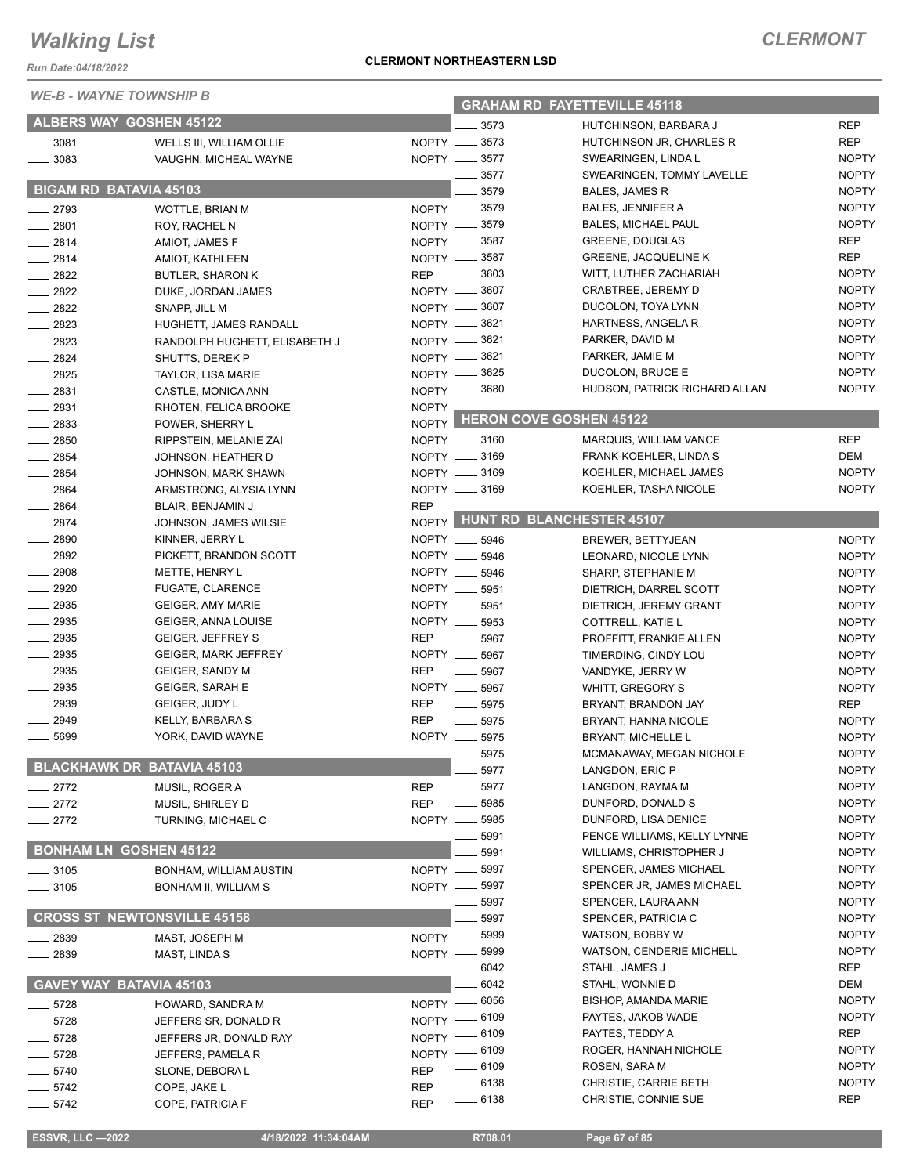*Run Date:04/18/2022*

*WE-B - WAYNE TOWNSHIP B*

#### **CLERMONT NORTHEASTERN LSD**

| <i>WE-B - WAYNE TOWNSHIP B</i> |                                    |              | <b>GRAHAM RD FAYETTEVILLE 45118</b> |                                 |              |  |
|--------------------------------|------------------------------------|--------------|-------------------------------------|---------------------------------|--------------|--|
|                                | <b>ALBERS WAY GOSHEN 45122</b>     |              | $= 3573$                            | HUTCHINSON, BARBARA J           | <b>REP</b>   |  |
| $- 3081$                       | WELLS III, WILLIAM OLLIE           |              | NOPTY __ 3573                       | HUTCHINSON JR, CHARLES R        | <b>REP</b>   |  |
| $- 3083$                       | VAUGHN, MICHEAL WAYNE              |              | NOPTY __ 3577                       | SWEARINGEN, LINDA L             | <b>NOPTY</b> |  |
|                                |                                    |              | 3577                                | SWEARINGEN, TOMMY LAVELLE       | <b>NOPTY</b> |  |
| <b>BIGAM RD BATAVIA 45103</b>  |                                    |              | 3579                                | BALES, JAMES R                  | <b>NOPTY</b> |  |
| $-2793$                        | <b>WOTTLE, BRIAN M</b>             |              | NOPTY -8579                         | BALES, JENNIFER A               | <b>NOPTY</b> |  |
| $-2801$                        | ROY, RACHEL N                      |              | NOPTY -8579                         | <b>BALES, MICHAEL PAUL</b>      | <b>NOPTY</b> |  |
| $-2814$                        | AMIOT, JAMES F                     |              | NOPTY -8587                         | GREENE, DOUGLAS                 | <b>REP</b>   |  |
| $-2814$                        | AMIOT, KATHLEEN                    |              | NOPTY -8587                         | <b>GREENE, JACQUELINE K</b>     | <b>REP</b>   |  |
| $-2822$                        | <b>BUTLER, SHARON K</b>            | <b>REP</b>   | $\frac{1}{2}$ 3603                  | WITT, LUTHER ZACHARIAH          | <b>NOPTY</b> |  |
| 2822                           | DUKE, JORDAN JAMES                 |              | NOPTY -8607                         | CRABTREE, JEREMY D              | <b>NOPTY</b> |  |
| $- 2822$                       | SNAPP, JILL M                      |              | NOPTY -8607                         | DUCOLON, TOYA LYNN              | <b>NOPTY</b> |  |
| $-2823$                        | HUGHETT, JAMES RANDALL             |              | NOPTY -8621                         | HARTNESS, ANGELA R              | <b>NOPTY</b> |  |
| $-2823$                        | RANDOLPH HUGHETT, ELISABETH J      |              | NOPTY -8621                         | PARKER, DAVID M                 | <b>NOPTY</b> |  |
| $-2824$                        | SHUTTS, DEREK P                    |              | NOPTY -8621                         | PARKER, JAMIE M                 | <b>NOPTY</b> |  |
| $-2825$                        | TAYLOR, LISA MARIE                 |              | NOPTY -8625                         | DUCOLON, BRUCE E                | <b>NOPTY</b> |  |
| $-2831$                        | CASTLE, MONICA ANN                 |              | NOPTY -8680                         | HUDSON, PATRICK RICHARD ALLAN   | <b>NOPTY</b> |  |
| $-2831$                        | RHOTEN, FELICA BROOKE              | <b>NOPTY</b> |                                     |                                 |              |  |
| $\equiv$ 2833                  | POWER, SHERRY L                    |              |                                     | NOPTY HERON COVE GOSHEN 45122   |              |  |
| $-2850$                        | RIPPSTEIN, MELANIE ZAI             |              | NOPTY __ 3160                       | MARQUIS, WILLIAM VANCE          | <b>REP</b>   |  |
| $-2854$                        | JOHNSON, HEATHER D                 |              | NOPTY __ 3169                       | FRANK-KOEHLER, LINDA S          | <b>DEM</b>   |  |
| $-2854$                        | JOHNSON, MARK SHAWN                |              | NOPTY __ 3169                       | KOEHLER, MICHAEL JAMES          | <b>NOPTY</b> |  |
| $-2864$                        | ARMSTRONG, ALYSIA LYNN             |              | NOPTY __ 3169                       | KOEHLER, TASHA NICOLE           | <b>NOPTY</b> |  |
| $- 2864$                       | BLAIR, BENJAMIN J                  | <b>REP</b>   |                                     |                                 |              |  |
| $-2874$                        | JOHNSON, JAMES WILSIE              |              |                                     | NOPTY HUNT RD BLANCHESTER 45107 |              |  |
| 2890                           | KINNER, JERRY L                    |              | NOPTY __ 5946                       | <b>BREWER, BETTYJEAN</b>        | <b>NOPTY</b> |  |
| $-2892$                        | PICKETT, BRANDON SCOTT             |              | NOPTY __ 5946                       | LEONARD, NICOLE LYNN            | <b>NOPTY</b> |  |
| $\equiv$ 2908                  | METTE, HENRY L                     |              | NOPTY __ 5946                       | SHARP, STEPHANIE M              | <b>NOPTY</b> |  |
| $-2920$                        | FUGATE, CLARENCE                   |              | NOPTY __ 5951                       | DIETRICH, DARREL SCOTT          | <b>NOPTY</b> |  |
| $-2935$                        | <b>GEIGER, AMY MARIE</b>           |              | NOPTY __ 5951                       | DIETRICH, JEREMY GRANT          | <b>NOPTY</b> |  |
| 2935                           | GEIGER, ANNA LOUISE                |              | NOPTY __ 5953                       | COTTRELL, KATIE L               | <b>NOPTY</b> |  |
| 2935                           | <b>GEIGER, JEFFREY S</b>           | <b>REP</b>   | $\frac{1}{2}$ 5967                  | PROFFITT, FRANKIE ALLEN         | <b>NOPTY</b> |  |
| 2935                           | <b>GEIGER, MARK JEFFREY</b>        | NOPTY __     | 5967                                | TIMERDING, CINDY LOU            | <b>NOPTY</b> |  |
| $-2935$                        | GEIGER, SANDY M                    | <b>REP</b>   | .5967                               | VANDYKE, JERRY W                | <b>NOPTY</b> |  |
| $\frac{1}{2935}$               | <b>GEIGER, SARAH E</b>             |              | NOPTY __ 5967                       | WHITT, GREGORY S                | <b>NOPTY</b> |  |
| $-2939$                        | GEIGER, JUDY L                     | <b>REP</b>   | $\frac{1}{2}$ 5975                  | BRYANT, BRANDON JAY             | <b>REP</b>   |  |
| $-2949$                        | KELLY, BARBARA S                   | <b>REP</b>   | $- 5975$                            | BRYANT, HANNA NICOLE            | <b>NOPTY</b> |  |
| 5699                           | YORK, DAVID WAYNE                  |              | NOPTY __ 5975                       | BRYANT, MICHELLE L              | <b>NOPTY</b> |  |
|                                |                                    |              | 5975                                | MCMANAWAY, MEGAN NICHOLE        | <b>NOPTY</b> |  |
|                                | <b>BLACKHAWK DR BATAVIA 45103</b>  |              | 5977                                | LANGDON, ERIC P                 | <b>NOPTY</b> |  |
| 2772                           | MUSIL, ROGER A                     | <b>REP</b>   | 5977                                | LANGDON, RAYMA M                | <b>NOPTY</b> |  |
| $-2772$                        | MUSIL, SHIRLEY D                   | <b>REP</b>   | 5985                                | DUNFORD, DONALD S               | <b>NOPTY</b> |  |
| $-2772$                        | TURNING, MICHAEL C                 | NOPTY __     | 5985                                | DUNFORD, LISA DENICE            | <b>NOPTY</b> |  |
|                                |                                    |              | 5991                                | PENCE WILLIAMS, KELLY LYNNE     | <b>NOPTY</b> |  |
| <b>BONHAM LN GOSHEN 45122</b>  |                                    |              | 5991                                | WILLIAMS, CHRISTOPHER J         | <b>NOPTY</b> |  |
| $-3105$                        | BONHAM, WILLIAM AUSTIN             | NOPTY -      | 5997                                | SPENCER, JAMES MICHAEL          | <b>NOPTY</b> |  |
| $- 3105$                       | BONHAM II, WILLIAM S               |              | NOPTY -8997                         | SPENCER JR, JAMES MICHAEL       | <b>NOPTY</b> |  |
|                                |                                    |              | 5997                                | SPENCER, LAURA ANN              | <b>NOPTY</b> |  |
|                                | <b>CROSS ST NEWTONSVILLE 45158</b> |              | 5997                                | SPENCER, PATRICIA C             | <b>NOPTY</b> |  |
| 2839                           | MAST, JOSEPH M                     | NOPTY -      | 5999                                | WATSON, BOBBY W                 | <b>NOPTY</b> |  |
| 2839                           | MAST, LINDA S                      | NOPTY -      | 5999                                | <b>WATSON, CENDERIE MICHELL</b> | <b>NOPTY</b> |  |
|                                |                                    |              | 6042                                | STAHL, JAMES J                  | <b>REP</b>   |  |
| <b>GAVEY WAY</b>               | <b>BATAVIA 45103</b>               |              | 6042                                | STAHL, WONNIE D                 | <b>DEM</b>   |  |
| $-5728$                        | HOWARD, SANDRA M                   |              | NOPTY - 6056                        | <b>BISHOP, AMANDA MARIE</b>     | <b>NOPTY</b> |  |
| $-5728$                        | JEFFERS SR, DONALD R               |              | NOPTY - 6109                        | PAYTES, JAKOB WADE              | <b>NOPTY</b> |  |
| - 5728                         | JEFFERS JR, DONALD RAY             |              | NOPTY - 6109                        | PAYTES, TEDDY A                 | <b>REP</b>   |  |
| 5728                           | JEFFERS, PAMELA R                  |              | NOPTY - 6109                        | ROGER, HANNAH NICHOLE           | <b>NOPTY</b> |  |
| $-5740$                        | SLONE, DEBORA L                    | <b>REP</b>   | __ 6109                             | ROSEN, SARA M                   | <b>NOPTY</b> |  |
| $-5742$                        | COPE, JAKE L                       | <b>REP</b>   | $-6138$                             | CHRISTIE, CARRIE BETH           | <b>NOPTY</b> |  |
| $-5742$                        | COPE, PATRICIA F                   | <b>REP</b>   | $\frac{1}{2}$ 6138                  | CHRISTIE, CONNIE SUE            | <b>REP</b>   |  |
|                                |                                    |              |                                     |                                 |              |  |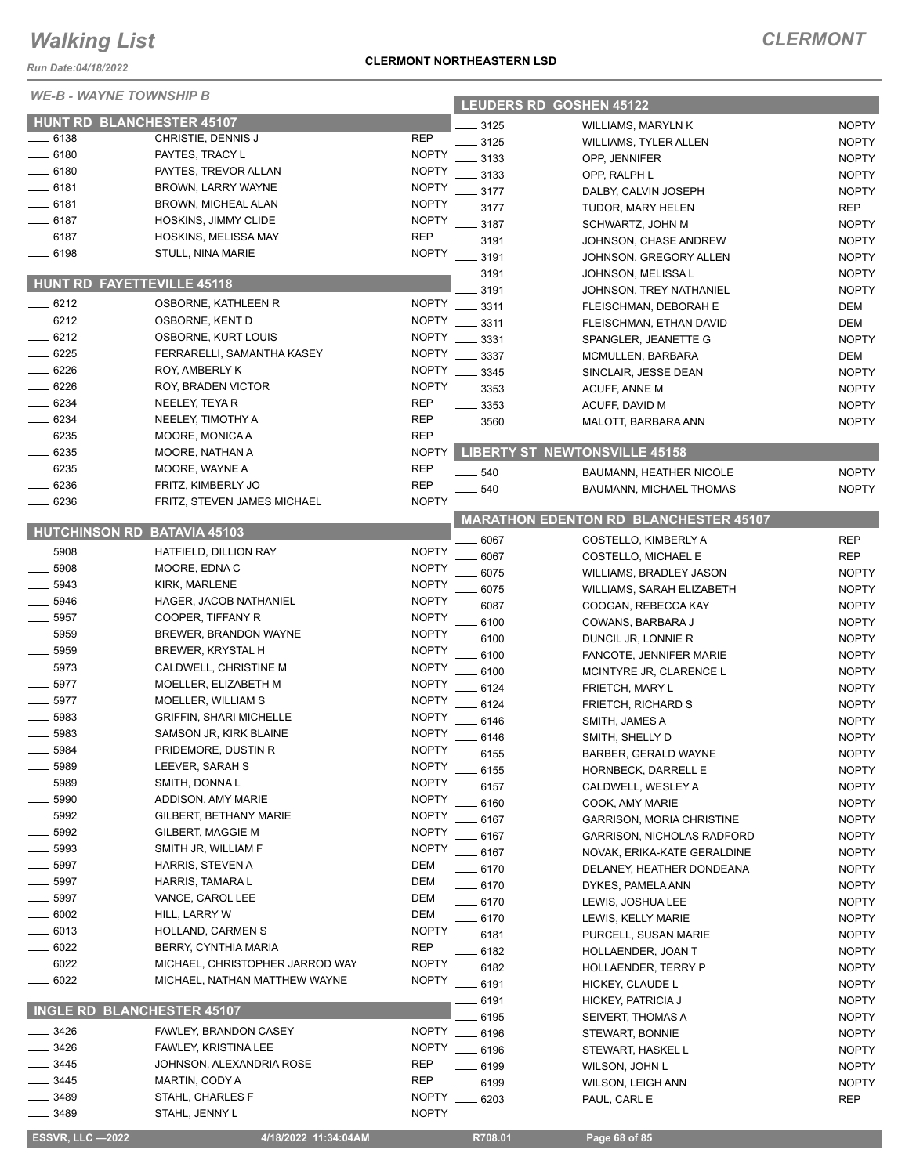*Run Date:04/18/2022*

| WE-B - WAYNE TOWNSHIP B |                                  |              | <b>LEUDERS RD GOSHEN 45122</b>               |                                      |              |  |  |
|-------------------------|----------------------------------|--------------|----------------------------------------------|--------------------------------------|--------------|--|--|
|                         | <b>HUNT RD BLANCHESTER 45107</b> |              | 3125                                         | WILLIAMS, MARYLN K                   | <b>NOPTY</b> |  |  |
| $-6138$                 | CHRISTIE, DENNIS J               | <b>REP</b>   | 3125                                         | WILLIAMS, TYLER ALLEN                | <b>NOPTY</b> |  |  |
| $-6180$                 | PAYTES, TRACY L                  | <b>NOPTY</b> | 3133                                         | OPP, JENNIFER                        | <b>NOPTY</b> |  |  |
| 6180                    | PAYTES, TREVOR ALLAN             | <b>NOPTY</b> | 3133                                         | OPP, RALPH L                         | <b>NOPTY</b> |  |  |
| $-6181$                 | BROWN, LARRY WAYNE               | <b>NOPTY</b> | 3177                                         | DALBY, CALVIN JOSEPH                 | <b>NOPTY</b> |  |  |
| $-6181$                 | BROWN, MICHEAL ALAN              | <b>NOPTY</b> | 3177                                         |                                      | <b>REP</b>   |  |  |
| $-6187$                 | HOSKINS, JIMMY CLIDE             | <b>NOPTY</b> |                                              | TUDOR, MARY HELEN                    |              |  |  |
| $-6187$                 | HOSKINS, MELISSA MAY             | <b>REP</b>   | 3187                                         | SCHWARTZ, JOHN M                     | <b>NOPTY</b> |  |  |
| 6198                    | STULL, NINA MARIE                | <b>NOPTY</b> | 3191                                         | JOHNSON, CHASE ANDREW                | <b>NOPTY</b> |  |  |
|                         |                                  |              | 3191                                         | JOHNSON, GREGORY ALLEN               | <b>NOPTY</b> |  |  |
|                         | HUNT RD FAYETTEVILLE 45118       |              | 3191                                         | JOHNSON, MELISSA L                   | <b>NOPTY</b> |  |  |
| $-6212$                 | OSBORNE, KATHLEEN R              | <b>NOPTY</b> | 3191                                         | JOHNSON, TREY NATHANIEL              | <b>NOPTY</b> |  |  |
| $-6212$                 | OSBORNE, KENT D                  | <b>NOPTY</b> | 3311                                         | FLEISCHMAN, DEBORAH E                | DEM          |  |  |
| $-6212$                 |                                  |              | 3311                                         | FLEISCHMAN, ETHAN DAVID              | DEM          |  |  |
|                         | OSBORNE, KURT LOUIS              | <b>NOPTY</b> | 3331                                         | SPANGLER, JEANETTE G                 | <b>NOPTY</b> |  |  |
| 6225                    | FERRARELLI, SAMANTHA KASEY       | <b>NOPTY</b> | 3337                                         | MCMULLEN, BARBARA                    | DEM          |  |  |
| 6226                    | ROY, AMBERLY K                   | <b>NOPTY</b> | 3345                                         | SINCLAIR, JESSE DEAN                 | <b>NOPTY</b> |  |  |
| 6226                    | ROY, BRADEN VICTOR               | <b>NOPTY</b> | 3353                                         | ACUFF, ANNE M                        | <b>NOPTY</b> |  |  |
| 6234                    | NEELEY, TEYAR                    | <b>REP</b>   | 3353                                         | ACUFF, DAVID M                       | <b>NOPTY</b> |  |  |
| $- 6234$                | NEELEY, TIMOTHY A                | <b>REP</b>   | 3560                                         | MALOTT, BARBARA ANN                  | <b>NOPTY</b> |  |  |
| $- 6235$                | MOORE, MONICA A                  | <b>REP</b>   |                                              |                                      |              |  |  |
| $- 6235$                | MOORE, NATHAN A                  | <b>NOPTY</b> |                                              | <b>LIBERTY ST NEWTONSVILLE 45158</b> |              |  |  |
| 6235                    | MOORE, WAYNE A                   | <b>REP</b>   | $-540$                                       | BAUMANN, HEATHER NICOLE              | <b>NOPTY</b> |  |  |
| 6236                    | FRITZ, KIMBERLY JO               | <b>REP</b>   | 540                                          | <b>BAUMANN, MICHAEL THOMAS</b>       | <b>NOPTY</b> |  |  |
| 6236                    | FRITZ, STEVEN JAMES MICHAEL      | <b>NOPTY</b> |                                              |                                      |              |  |  |
|                         | HUTCHINSON RD BATAVIA 45103      |              | <b>MARATHON EDENTON RD BLANCHESTER 45107</b> |                                      |              |  |  |
|                         |                                  |              | 6067                                         | COSTELLO, KIMBERLY A                 | <b>REP</b>   |  |  |
| 5908                    | HATFIELD, DILLION RAY            | <b>NOPTY</b> | 6067                                         | COSTELLO, MICHAEL E                  | <b>REP</b>   |  |  |
| 5908                    | MOORE, EDNA C                    | <b>NOPTY</b> | 6075                                         | WILLIAMS, BRADLEY JASON              | <b>NOPTY</b> |  |  |
| 5943                    | KIRK, MARLENE                    | <b>NOPTY</b> | 6075                                         | WILLIAMS, SARAH ELIZABETH            | <b>NOPTY</b> |  |  |
| 5946                    | HAGER, JACOB NATHANIEL           | <b>NOPTY</b> | 6087                                         | COOGAN, REBECCA KAY                  | <b>NOPTY</b> |  |  |
| 5957                    | COOPER, TIFFANY R                | <b>NOPTY</b> | 6100                                         | COWANS, BARBARA J                    | <b>NOPTY</b> |  |  |
| 5959                    | BREWER, BRANDON WAYNE            | <b>NOPTY</b> | 6100                                         | DUNCIL JR, LONNIE R                  | <b>NOPTY</b> |  |  |
| 5959                    | BREWER, KRYSTAL H                | <b>NOPTY</b> | 6100                                         | FANCOTE, JENNIFER MARIE              | <b>NOPTY</b> |  |  |
| 5973                    | CALDWELL, CHRISTINE M            | <b>NOPTY</b> | 6100                                         | MCINTYRE JR, CLARENCE L              | <b>NOPTY</b> |  |  |
| 5977                    | MOELLER, ELIZABETH M             | <b>NOPTY</b> | 6124                                         | <b>FRIETCH, MARY L</b>               | <b>NOPTY</b> |  |  |
| 5977                    | MOELLER, WILLIAM S               | <b>NOPTY</b> | 6124                                         | FRIETCH, RICHARD S                   | <b>NOPTY</b> |  |  |
| 5983                    | <b>GRIFFIN, SHARI MICHELLE</b>   | <b>NOPTY</b> | 6146                                         | SMITH, JAMES A                       | <b>NOPTY</b> |  |  |
| 5983                    | SAMSON JR, KIRK BLAINE           | <b>NOPTY</b> | 6146                                         | SMITH, SHELLY D                      | <b>NOPTY</b> |  |  |
| 5984                    | PRIDEMORE, DUSTIN R              | <b>NOPTY</b> | 6155                                         | BARBER, GERALD WAYNE                 | <b>NOPTY</b> |  |  |
| 5989                    | LEEVER, SARAH S                  | <b>NOPTY</b> | 6155                                         | HORNBECK, DARRELL E                  | <b>NOPTY</b> |  |  |
| 5989                    | SMITH, DONNAL                    | <b>NOPTY</b> | 6157                                         |                                      | <b>NOPTY</b> |  |  |
| 5990                    | ADDISON, AMY MARIE               | <b>NOPTY</b> |                                              | CALDWELL, WESLEY A                   |              |  |  |
| 5992                    | GILBERT, BETHANY MARIE           | <b>NOPTY</b> | 6160                                         | COOK, AMY MARIE                      | <b>NOPTY</b> |  |  |
| 5992                    | <b>GILBERT, MAGGIE M</b>         | <b>NOPTY</b> | 6167                                         | <b>GARRISON, MORIA CHRISTINE</b>     | <b>NOPTY</b> |  |  |
| 5993                    | SMITH JR, WILLIAM F              | <b>NOPTY</b> | 6167                                         | <b>GARRISON, NICHOLAS RADFORD</b>    | <b>NOPTY</b> |  |  |
| 5997                    | HARRIS, STEVEN A                 | DEM          | $-6167$                                      | NOVAK, ERIKA-KATE GERALDINE          | <b>NOPTY</b> |  |  |
| 5997                    |                                  |              | $-6170$                                      | DELANEY, HEATHER DONDEANA            | <b>NOPTY</b> |  |  |
|                         | HARRIS, TAMARA L                 | DEM          | $-6170$                                      | DYKES, PAMELA ANN                    | <b>NOPTY</b> |  |  |
| 5997                    | VANCE, CAROL LEE                 | DEM          | $-6170$                                      | LEWIS, JOSHUA LEE                    | <b>NOPTY</b> |  |  |
| 6002                    | HILL, LARRY W                    | <b>DEM</b>   | 6170                                         | LEWIS, KELLY MARIE                   | <b>NOPTY</b> |  |  |
| 6013                    | HOLLAND, CARMEN S                | <b>NOPTY</b> | 6181                                         | PURCELL, SUSAN MARIE                 | <b>NOPTY</b> |  |  |
| 6022                    | BERRY, CYNTHIA MARIA             | <b>REP</b>   | 6182                                         | HOLLAENDER, JOAN T                   | <b>NOPTY</b> |  |  |
| 6022                    | MICHAEL, CHRISTOPHER JARROD WAY  | <b>NOPTY</b> | 6182                                         | HOLLAENDER, TERRY P                  | <b>NOPTY</b> |  |  |
| 6022                    | MICHAEL, NATHAN MATTHEW WAYNE    | <b>NOPTY</b> | $-6191$                                      | HICKEY, CLAUDE L                     | <b>NOPTY</b> |  |  |
|                         |                                  |              | 6191                                         | HICKEY, PATRICIA J                   | <b>NOPTY</b> |  |  |
| <b>INGLE RD</b>         | <b>BLANCHESTER 45107</b>         |              | 6195                                         | SEIVERT, THOMAS A                    | <b>NOPTY</b> |  |  |
| ____ 3426               | FAWLEY, BRANDON CASEY            | <b>NOPTY</b> | 6196                                         | STEWART, BONNIE                      | <b>NOPTY</b> |  |  |
| 3426                    | FAWLEY, KRISTINA LEE             | <b>NOPTY</b> | 6196                                         | STEWART, HASKEL L                    | <b>NOPTY</b> |  |  |
| 3445                    | JOHNSON, ALEXANDRIA ROSE         | REP          | $-6199$                                      | WILSON, JOHN L                       | <b>NOPTY</b> |  |  |
| 3445                    | MARTIN, CODY A                   | REP          | 6199                                         | WILSON, LEIGH ANN                    | <b>NOPTY</b> |  |  |
| 3489                    | STAHL, CHARLES F                 | <b>NOPTY</b> | 6203                                         | PAUL, CARL E                         | REP          |  |  |
| 3489                    | STAHL, JENNY L                   | <b>NOPTY</b> |                                              |                                      |              |  |  |
|                         |                                  |              |                                              |                                      |              |  |  |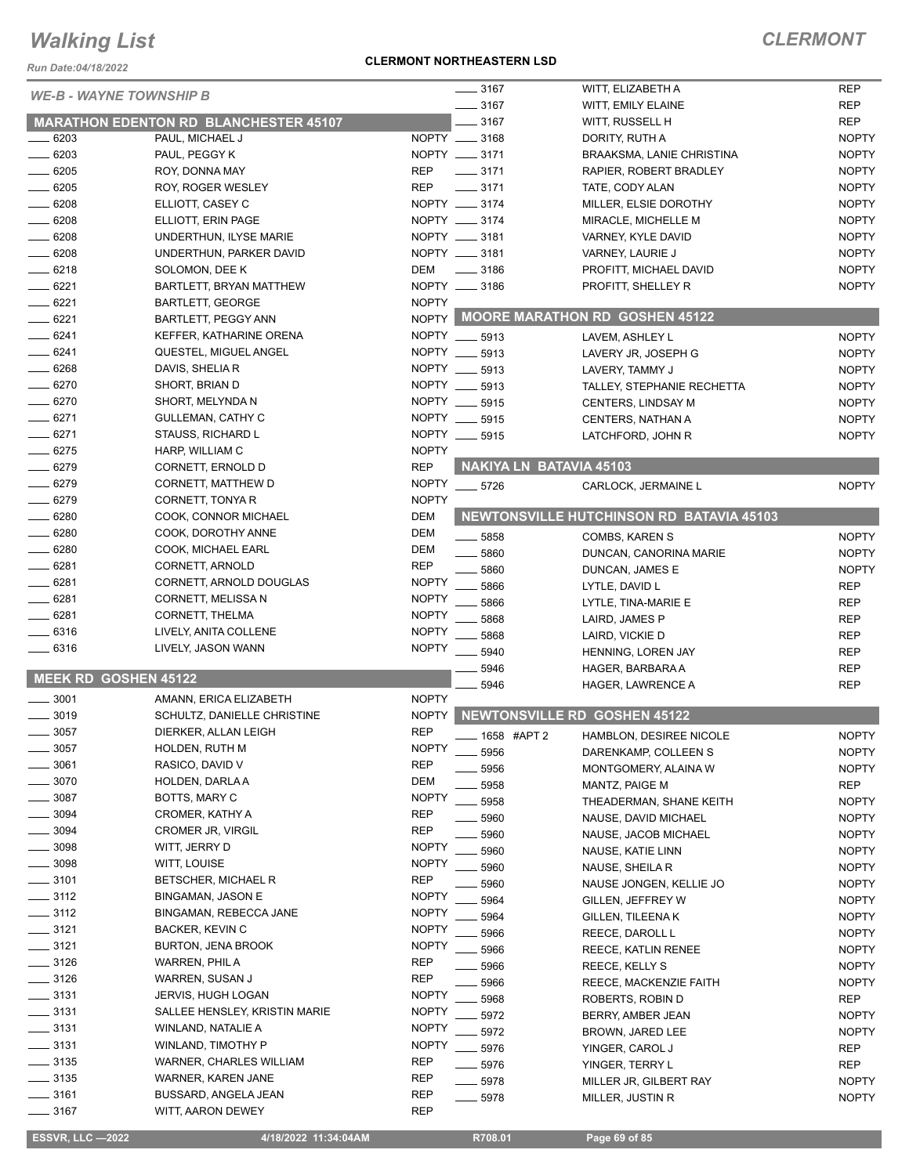*Run Date:04/18/2022*

#### **CLERMONT NORTHEASTERN LSD**

| <b>WE-B - WAYNE TOWNSHIP B</b> |                                              |              | $- 3167$                | WITT, ELIZABETH A                        | <b>REP</b>   |
|--------------------------------|----------------------------------------------|--------------|-------------------------|------------------------------------------|--------------|
|                                |                                              |              | 3167                    | WITT, EMILY ELAINE                       | <b>REP</b>   |
|                                | <b>MARATHON EDENTON RD BLANCHESTER 45107</b> |              | 3167                    | WITT, RUSSELL H                          | <b>REP</b>   |
| 6203                           | PAUL, MICHAEL J                              |              | NOPTY __ 3168           | DORITY, RUTH A                           | <b>NOPTY</b> |
| $-6203$                        | PAUL, PEGGY K                                |              | NOPTY __ 3171           | <b>BRAAKSMA, LANIE CHRISTINA</b>         | <b>NOPTY</b> |
| $-6205$                        | ROY, DONNA MAY                               | <b>REP</b>   | $- 3171$                | RAPIER, ROBERT BRADLEY                   | <b>NOPTY</b> |
| $-6205$                        | ROY, ROGER WESLEY                            | <b>REP</b>   | $- 3171$                | TATE, CODY ALAN                          | <b>NOPTY</b> |
| $-6208$                        | ELLIOTT, CASEY C                             |              | NOPTY __ 3174           | MILLER, ELSIE DOROTHY                    | <b>NOPTY</b> |
| $-6208$                        | ELLIOTT, ERIN PAGE                           |              | NOPTY __ 3174           | MIRACLE, MICHELLE M                      | <b>NOPTY</b> |
| $-6208$                        | UNDERTHUN, ILYSE MARIE                       |              | NOPTY __ 3181           | VARNEY, KYLE DAVID                       | <b>NOPTY</b> |
| $-6208$                        | UNDERTHUN, PARKER DAVID                      |              | NOPTY __ 3181           | VARNEY, LAURIE J                         | <b>NOPTY</b> |
| $-6218$                        | SOLOMON, DEE K                               | DEM          | $\frac{1}{2}$ 3186      | PROFITT, MICHAEL DAVID                   | <b>NOPTY</b> |
| $-6221$                        | BARTLETT, BRYAN MATTHEW                      |              | NOPTY __ 3186           | PROFITT, SHELLEY R                       | <b>NOPTY</b> |
| $= 6221$                       | <b>BARTLETT, GEORGE</b>                      | <b>NOPTY</b> |                         |                                          |              |
| $-6221$                        | BARTLETT, PEGGY ANN                          |              |                         | NOPTY MOORE MARATHON RD GOSHEN 45122     |              |
| $-6241$                        | KEFFER, KATHARINE ORENA                      |              | NOPTY __ 5913           | LAVEM, ASHLEY L                          | <b>NOPTY</b> |
| $-6241$                        | QUESTEL, MIGUEL ANGEL                        |              | NOPTY __ 5913           | LAVERY JR, JOSEPH G                      | <b>NOPTY</b> |
| $- 6268$                       | DAVIS, SHELIA R                              |              | NOPTY __ 5913           | LAVERY, TAMMY J                          | <b>NOPTY</b> |
| $-6270$                        | SHORT, BRIAN D                               |              | NOPTY __ 5913           | TALLEY, STEPHANIE RECHETTA               | <b>NOPTY</b> |
| $- 6270$                       | SHORT, MELYNDA N                             |              | NOPTY __ 5915           | <b>CENTERS, LINDSAY M</b>                | <b>NOPTY</b> |
| $-6271$                        | GULLEMAN, CATHY C                            |              | NOPTY __ 5915           | CENTERS, NATHAN A                        | <b>NOPTY</b> |
| $-6271$                        | STAUSS, RICHARD L                            |              | NOPTY __ 5915           | LATCHFORD, JOHN R                        | <b>NOPTY</b> |
| $-6275$                        | HARP, WILLIAM C                              | <b>NOPTY</b> |                         |                                          |              |
| $-6279$                        | CORNETT, ERNOLD D                            | <b>REP</b>   | NAKIYA LN BATAVIA 45103 |                                          |              |
| $-6279$                        | CORNETT, MATTHEW D                           | <b>NOPTY</b> | $-5726$                 | CARLOCK, JERMAINE L                      | <b>NOPTY</b> |
| $-6279$                        | CORNETT, TONYA R                             | <b>NOPTY</b> |                         |                                          |              |
| $-6280$                        | COOK, CONNOR MICHAEL                         | DEM          |                         | NEWTONSVILLE HUTCHINSON RD BATAVIA 45103 |              |
| $-6280$                        | COOK, DOROTHY ANNE                           | DEM          | 5858                    | COMBS, KAREN S                           | <b>NOPTY</b> |
| $-6280$                        | COOK, MICHAEL EARL                           | <b>DEM</b>   | 5860                    | DUNCAN, CANORINA MARIE                   | <b>NOPTY</b> |
| $- 6281$                       | CORNETT, ARNOLD                              | <b>REP</b>   | 5860                    | DUNCAN, JAMES E                          | <b>NOPTY</b> |
| $-6281$                        | CORNETT, ARNOLD DOUGLAS                      | <b>NOPTY</b> | 5866                    | LYTLE, DAVID L                           | <b>REP</b>   |
| $-6281$                        | CORNETT, MELISSA N                           | <b>NOPTY</b> | 5866                    | LYTLE, TINA-MARIE E                      | <b>REP</b>   |
| $-6281$                        | CORNETT, THELMA                              | <b>NOPTY</b> | 5868                    | LAIRD, JAMES P                           | <b>REP</b>   |
| 6316                           | LIVELY, ANITA COLLENE                        | <b>NOPTY</b> | 5868                    | LAIRD, VICKIE D                          | <b>REP</b>   |
| 6316                           | LIVELY, JASON WANN                           | <b>NOPTY</b> | 5940                    | HENNING, LOREN JAY                       | <b>REP</b>   |
|                                |                                              |              | 5946                    | HAGER, BARBARA A                         | <b>REP</b>   |
|                                | <b>MEEK RD GOSHEN 45122</b>                  |              | 5946                    | HAGER, LAWRENCE A                        | <b>REP</b>   |
| 3001                           | AMANN, ERICA ELIZABETH                       | <b>NOPTY</b> |                         |                                          |              |
| 3019                           | SCHULTZ, DANIELLE CHRISTINE                  | <b>NOPTY</b> |                         | NEWTONSVILLE RD GOSHEN 45122             |              |
| 3057                           | DIERKER, ALLAN LEIGH                         | <b>REP</b>   | 1658 #APT 2             | HAMBLON, DESIREE NICOLE                  | <b>NOPTY</b> |
| 3057                           | HOLDEN, RUTH M                               | <b>NOPTY</b> | 5956                    | DARENKAMP, COLLEEN S                     | <b>NOPTY</b> |
| 3061                           | RASICO, DAVID V                              | <b>REP</b>   | 5956                    | MONTGOMERY, ALAINA W                     | <b>NOPTY</b> |
| 3070                           | HOLDEN, DARLA A                              | <b>DEM</b>   | 5958                    | MANTZ, PAIGE M                           | <b>REP</b>   |
| 3087                           | BOTTS, MARY C                                | <b>NOPTY</b> | 5958                    | THEADERMAN, SHANE KEITH                  | <b>NOPTY</b> |
| 3094                           | CROMER, KATHY A                              | <b>REP</b>   | 5960                    | NAUSE, DAVID MICHAEL                     | <b>NOPTY</b> |
| . 3094                         | CROMER JR, VIRGIL                            | <b>REP</b>   | 5960                    | NAUSE, JACOB MICHAEL                     | <b>NOPTY</b> |
| 3098                           | WITT, JERRY D                                | <b>NOPTY</b> | 5960                    | NAUSE, KATIE LINN                        | <b>NOPTY</b> |
| $= 3098$                       | WITT, LOUISE                                 | <b>NOPTY</b> | 5960                    | NAUSE, SHEILA R                          | <b>NOPTY</b> |
| $\frac{1}{2}$ 3101             | BETSCHER, MICHAEL R                          | <b>REP</b>   | 5960                    | NAUSE JONGEN, KELLIE JO                  | <b>NOPTY</b> |
| $\frac{1}{2}$ 3112             | <b>BINGAMAN, JASON E</b>                     | <b>NOPTY</b> | 5964                    | GILLEN, JEFFREY W                        | <b>NOPTY</b> |
| $\frac{1}{2}$ 3112             | BINGAMAN, REBECCA JANE                       | <b>NOPTY</b> | 5964                    | GILLEN, TILEENA K                        | <b>NOPTY</b> |
| $\frac{1}{2}$ 3121             | BACKER, KEVIN C                              | <b>NOPTY</b> | 5966                    | REECE, DAROLL L                          | <b>NOPTY</b> |
| $\frac{1}{2}$ 3121             | <b>BURTON, JENA BROOK</b>                    | <b>NOPTY</b> | 5966                    | REECE, KATLIN RENEE                      | <b>NOPTY</b> |
| $\frac{1}{2}$ 3126             | WARREN, PHIL A                               | REP          | 5966                    | <b>REECE, KELLY S</b>                    | <b>NOPTY</b> |
| ____ 3126                      | WARREN, SUSAN J                              | <b>REP</b>   | 5966                    | REECE, MACKENZIE FAITH                   | <b>NOPTY</b> |
| $-3131$                        | <b>JERVIS, HUGH LOGAN</b>                    | <b>NOPTY</b> | 5968                    | ROBERTS, ROBIN D                         | REP          |
| $- 3131$                       | SALLEE HENSLEY, KRISTIN MARIE                | <b>NOPTY</b> | 5972                    | BERRY, AMBER JEAN                        | <b>NOPTY</b> |
| ____ 3131                      | WINLAND, NATALIE A                           | <b>NOPTY</b> | 5972                    | BROWN, JARED LEE                         | <b>NOPTY</b> |
| $\frac{1}{2}$ 3131             | WINLAND, TIMOTHY P                           | <b>NOPTY</b> | 5976                    | YINGER, CAROL J                          | REP          |
| $\frac{1}{2}$ 3135             | WARNER, CHARLES WILLIAM                      | <b>REP</b>   | 5976                    | YINGER, TERRY L                          | <b>REP</b>   |
| $\frac{1}{2}$ 3135             | WARNER, KAREN JANE                           | REP          | 5978                    |                                          | <b>NOPTY</b> |
| $-3161$                        | BUSSARD, ANGELA JEAN                         | <b>REP</b>   |                         | MILLER JR, GILBERT RAY                   |              |
| 3167                           | WITT, AARON DEWEY                            | REP          | 5978                    | MILLER, JUSTIN R                         | <b>NOPTY</b> |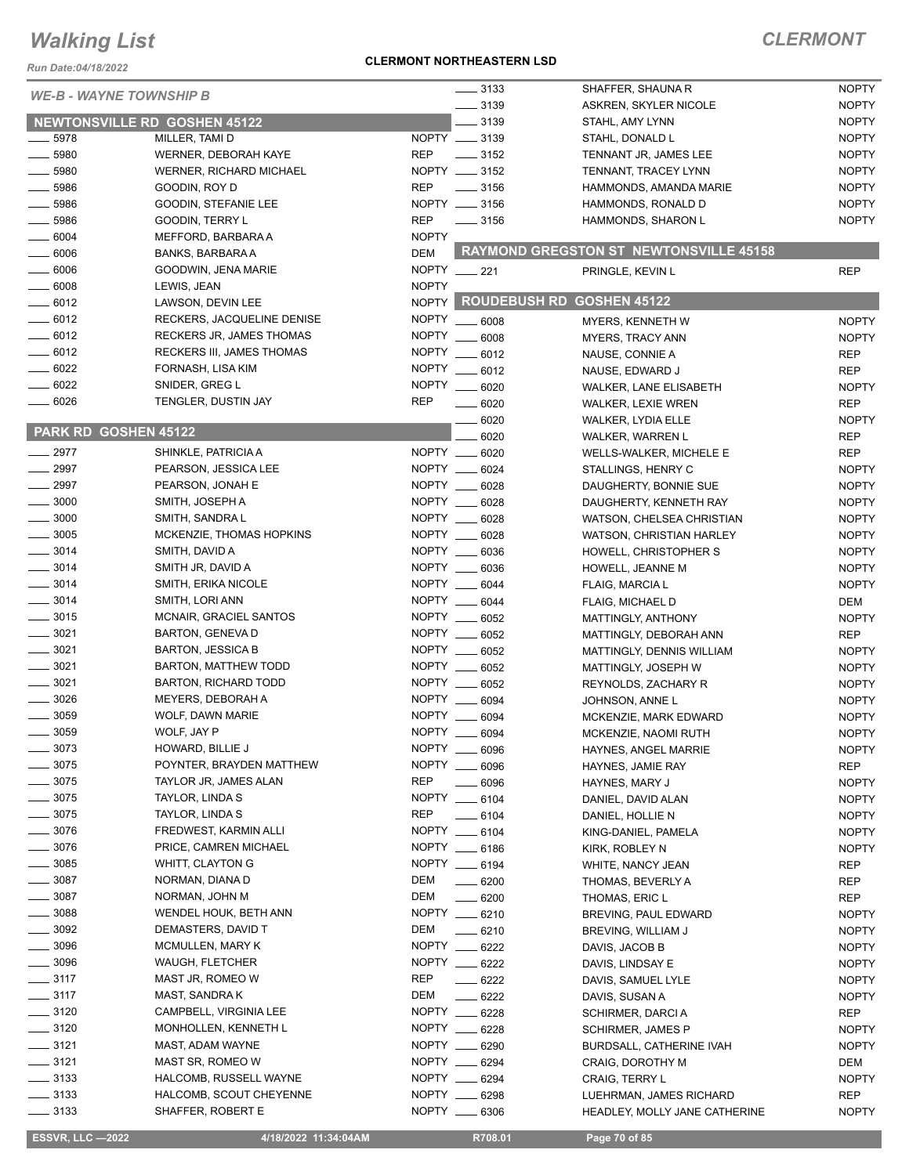*Run Date:04/18/2022*

#### **CLERMONT NORTHEASTERN LSD**

|                                     |                                               |              | $- 3133$           | SHAFFER, SHAUNA R                             | <b>NOPTY</b> |
|-------------------------------------|-----------------------------------------------|--------------|--------------------|-----------------------------------------------|--------------|
| <b>WE-B - WAYNE TOWNSHIP B</b>      |                                               |              | $\frac{1}{2}$ 3139 | ASKREN, SKYLER NICOLE                         | <b>NOPTY</b> |
| <b>NEWTONSVILLE RD GOSHEN 45122</b> |                                               |              | 3139               | STAHL, AMY LYNN                               | <b>NOPTY</b> |
| $\frac{1}{2}$ 5978                  | MILLER, TAMI D                                |              | NOPTY __ 3139      | STAHL, DONALD L                               | <b>NOPTY</b> |
| $\frac{1}{2}$ 5980                  | WERNER, DEBORAH KAYE                          | <b>REP</b>   | $\frac{1}{2}$ 3152 | TENNANT JR, JAMES LEE                         | <b>NOPTY</b> |
| .5980                               | WERNER, RICHARD MICHAEL                       |              | NOPTY __ 3152      | TENNANT, TRACEY LYNN                          | <b>NOPTY</b> |
| $-5986$                             | GOODIN, ROY D                                 | <b>REP</b>   | $\frac{1}{2}$ 3156 | HAMMONDS, AMANDA MARIE                        | <b>NOPTY</b> |
| 5986                                |                                               |              | NOPTY __ 3156      | HAMMONDS, RONALD D                            | <b>NOPTY</b> |
| $-5986$                             | GOODIN, STEFANIE LEE<br>GOODIN, TERRY L       | <b>REP</b>   | $\frac{1}{2}$ 3156 | HAMMONDS, SHARON L                            | <b>NOPTY</b> |
| $\frac{1}{2}$ 6004                  |                                               | <b>NOPTY</b> |                    |                                               |              |
|                                     | MEFFORD, BARBARA A<br><b>BANKS, BARBARA A</b> | <b>DEM</b>   |                    | <b>RAYMOND GREGSTON ST NEWTONSVILLE 45158</b> |              |
| 6006                                |                                               |              |                    |                                               |              |
| $\frac{1}{2}$ 6006                  | GOODWIN, JENA MARIE                           |              | NOPTY __ 221       | PRINGLE, KEVIN L                              | <b>REP</b>   |
| $- 6008$                            | LEWIS, JEAN                                   | <b>NOPTY</b> |                    | NOPTY ROUDEBUSH RD GOSHEN 45122               |              |
| $-6012$                             | LAWSON, DEVIN LEE                             |              |                    |                                               |              |
| $- 6012$                            | RECKERS, JACQUELINE DENISE                    | <b>NOPTY</b> | $\frac{1}{2}$ 6008 | MYERS, KENNETH W                              | <b>NOPTY</b> |
| $-6012$                             | RECKERS JR, JAMES THOMAS                      | <b>NOPTY</b> | 6008               | MYERS, TRACY ANN                              | <b>NOPTY</b> |
| $-6012$                             | <b>RECKERS III, JAMES THOMAS</b>              | <b>NOPTY</b> | 6012               | NAUSE, CONNIE A                               | <b>REP</b>   |
| 6022                                | FORNASH, LISA KIM                             | <b>NOPTY</b> | 6012               | NAUSE, EDWARD J                               | <b>REP</b>   |
| 6022                                | SNIDER, GREG L                                | <b>NOPTY</b> | 6020               | <b>WALKER, LANE ELISABETH</b>                 | <b>NOPTY</b> |
| $-6026$                             | TENGLER, DUSTIN JAY                           | <b>REP</b>   | 6020               | WALKER, LEXIE WREN                            | <b>REP</b>   |
|                                     |                                               |              | 6020               | WALKER, LYDIA ELLE                            | <b>NOPTY</b> |
| PARK RD GOSHEN 45122                |                                               |              | 6020               | WALKER, WARREN L                              | <b>REP</b>   |
| $-2977$                             | SHINKLE, PATRICIA A                           | NOPTY ___    | 6020               | <b>WELLS-WALKER, MICHELE E</b>                | <b>REP</b>   |
| $\frac{1}{2997}$                    | PEARSON, JESSICA LEE                          |              | NOPTY __ 6024      | STALLINGS, HENRY C                            | <b>NOPTY</b> |
| $-2997$                             | PEARSON, JONAH E                              |              | NOPTY __ 6028      | DAUGHERTY, BONNIE SUE                         | <b>NOPTY</b> |
| $\frac{1}{2}$ 3000                  | SMITH, JOSEPH A                               | NOPTY        | 6028               | DAUGHERTY, KENNETH RAY                        | <b>NOPTY</b> |
| $-3000$                             | SMITH, SANDRA L                               | NOPTY __     | .6028              | WATSON, CHELSEA CHRISTIAN                     | <b>NOPTY</b> |
| $\frac{1}{2}$ 3005                  | MCKENZIE, THOMAS HOPKINS                      | NOPTY ___    | 6028               | WATSON, CHRISTIAN HARLEY                      | <b>NOPTY</b> |
| $\frac{1}{2}$ 3014                  | SMITH, DAVID A                                |              | NOPTY __ 6036      | HOWELL, CHRISTOPHER S                         | <b>NOPTY</b> |
| $-3014$                             | SMITH JR, DAVID A                             |              | NOPTY __ 6036      | HOWELL, JEANNE M                              | <b>NOPTY</b> |
| $- 3014$                            | SMITH, ERIKA NICOLE                           |              | NOPTY __ 6044      | FLAIG, MARCIA L                               | <b>NOPTY</b> |
| $-3014$                             | SMITH, LORI ANN                               | NOPTY __     | 6044               | <b>FLAIG, MICHAEL D</b>                       | DEM          |
| $-3015$                             | MCNAIR, GRACIEL SANTOS                        | NOPTY __     | 6052               | MATTINGLY, ANTHONY                            | <b>NOPTY</b> |
| $- 3021$                            | <b>BARTON, GENEVA D</b>                       |              | NOPTY __ 6052      | MATTINGLY, DEBORAH ANN                        | <b>REP</b>   |
| $- 3021$                            | <b>BARTON, JESSICA B</b>                      |              | NOPTY __ 6052      | MATTINGLY, DENNIS WILLIAM                     | <b>NOPTY</b> |
| $- 3021$                            | BARTON, MATTHEW TODD                          |              | NOPTY __ 6052      | MATTINGLY, JOSEPH W                           | <b>NOPTY</b> |
| 3021                                | <b>BARTON, RICHARD TODD</b>                   |              | NOPTY __ 6052      | REYNOLDS, ZACHARY R                           | <b>NOPTY</b> |
| 3026                                | <b>MEYERS, DEBORAH A</b>                      |              | NOPTY __ 6094      | JOHNSON, ANNE L                               | <b>NOPTY</b> |
| 3059                                | WOLF, DAWN MARIE                              | NOPTY ___    | 6094               | MCKENZIE, MARK EDWARD                         | <b>NOPTY</b> |
| $-3059$                             | WOLF, JAY P                                   | NOPTY _      | 6094               | MCKENZIE, NAOMI RUTH                          | <b>NOPTY</b> |
| 3073                                | HOWARD, BILLIE J                              |              | NOPTY __ 6096      | HAYNES, ANGEL MARRIE                          | <b>NOPTY</b> |
| 3075                                | POYNTER, BRAYDEN MATTHEW                      |              | NOPTY __ 6096      | HAYNES, JAMIE RAY                             | <b>REP</b>   |
| $-3075$                             | TAYLOR JR, JAMES ALAN                         | <b>REP</b>   | $\frac{1}{2}$ 6096 | HAYNES, MARY J                                | <b>NOPTY</b> |
| 3075                                | TAYLOR, LINDA S                               |              | NOPTY __ 6104      | DANIEL, DAVID ALAN                            | <b>NOPTY</b> |
| $=3075$                             | TAYLOR, LINDA S                               | REP          | $- 6104$           | DANIEL, HOLLIE N                              | <b>NOPTY</b> |
| $-3076$                             | FREDWEST, KARMIN ALLI                         |              | NOPTY __ 6104      | KING-DANIEL, PAMELA                           | <b>NOPTY</b> |
| $-3076$                             | PRICE, CAMREN MICHAEL                         |              | NOPTY __ 6186      | KIRK, ROBLEY N                                | <b>NOPTY</b> |
| $-3085$                             | WHITT, CLAYTON G                              |              | NOPTY __ 6194      | WHITE, NANCY JEAN                             | REP          |
| $=$ 3087                            | NORMAN, DIANA D                               | DEM          | $- 6200$           | THOMAS, BEVERLY A                             | <b>REP</b>   |
| $=$ 3087                            | NORMAN, JOHN M                                | DEM          | $- 6200$           | THOMAS, ERIC L                                | <b>REP</b>   |
| 3088                                | WENDEL HOUK, BETH ANN                         |              | NOPTY __ 6210      | BREVING, PAUL EDWARD                          | <b>NOPTY</b> |
| 3092                                | DEMASTERS, DAVID T                            | DEM          | $- 6210$           | BREVING, WILLIAM J                            | <b>NOPTY</b> |
| . 3096                              | <b>MCMULLEN, MARY K</b>                       | NOPTY __     | 6222               | DAVIS, JACOB B                                | <b>NOPTY</b> |
| 3096                                | WAUGH, FLETCHER                               |              | NOPTY __ 6222      | DAVIS, LINDSAY E                              | <b>NOPTY</b> |
| $=$ 3117                            | MAST JR, ROMEO W                              | <b>REP</b>   | $-6222$            | DAVIS, SAMUEL LYLE                            | <b>NOPTY</b> |
| $\frac{1}{2}$ 3117                  | MAST, SANDRA K                                | <b>DEM</b>   | $- 6222$           | DAVIS, SUSAN A                                | <b>NOPTY</b> |
| $\frac{1}{2}$ 3120                  | CAMPBELL, VIRGINIA LEE                        |              | NOPTY __ 6228      | SCHIRMER, DARCIA                              | <b>REP</b>   |
| $\frac{1}{2}$ 3120                  | MONHOLLEN, KENNETH L                          |              | NOPTY __ 6228      |                                               |              |
| $\frac{3121}{2}$                    | MAST, ADAM WAYNE                              |              | NOPTY __ 6290      | SCHIRMER, JAMES P                             | <b>NOPTY</b> |
| $\frac{1}{2}$ 3121                  | MAST SR, ROMEO W                              |              | NOPTY __ 6294      | BURDSALL, CATHERINE IVAH                      | <b>NOPTY</b> |
| $\frac{1}{2}$ 3133                  |                                               |              | NOPTY __ 6294      | CRAIG, DOROTHY M                              | DEM          |
|                                     | HALCOMB, RUSSELL WAYNE                        |              | NOPTY __ 6298      | <b>CRAIG, TERRY L</b>                         | <b>NOPTY</b> |
| $\frac{1}{2}$ 3133                  | HALCOMB, SCOUT CHEYENNE                       |              |                    | LUEHRMAN, JAMES RICHARD                       | REP          |
| $\frac{1}{2}$ 3133                  | SHAFFER, ROBERT E                             |              | NOPTY __ 6306      | HEADLEY, MOLLY JANE CATHERINE                 | <b>NOPTY</b> |
| <b>ESSVR, LLC -2022</b>             | 4/18/2022 11:34:04AM                          |              | R708.01            | Page 70 of 85                                 |              |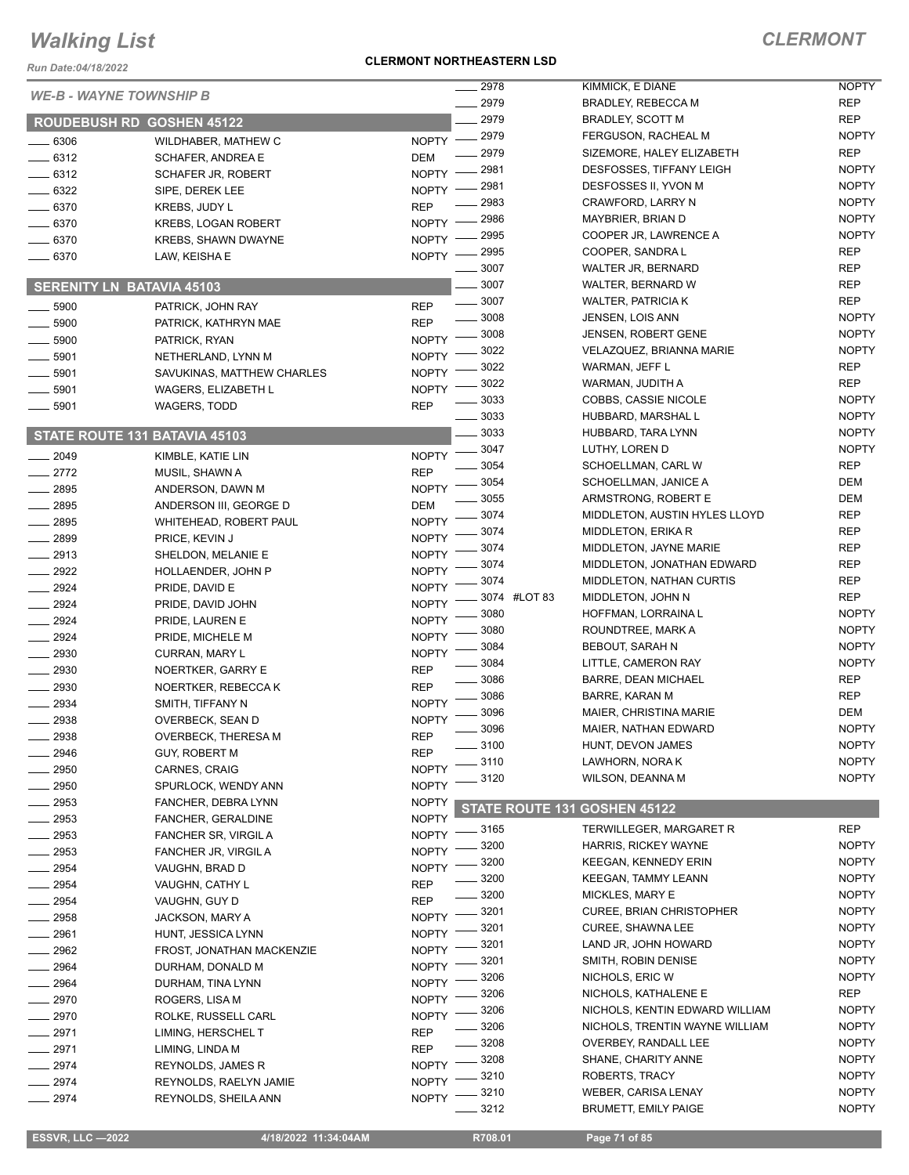*Run Date:04/18/2022*

#### **CLERMONT NORTHEASTERN LSD**

|                                  |                                        | 2978                         | KIMMICK, E DIANE                              | <b>NOPTY</b> |
|----------------------------------|----------------------------------------|------------------------------|-----------------------------------------------|--------------|
| <b>WE-B - WAYNE TOWNSHIP B</b>   |                                        | 2979                         | <b>BRADLEY, REBECCA M</b>                     | <b>REP</b>   |
| <b>ROUDEBUSH RD GOSHEN 45122</b> |                                        | 2979                         | BRADLEY, SCOTT M                              | <b>REP</b>   |
|                                  |                                        | 2979                         | FERGUSON, RACHEAL M                           | <b>NOPTY</b> |
| $-6306$                          | WILDHABER, MATHEW C                    | <b>NOPTY</b><br>2979         | SIZEMORE, HALEY ELIZABETH                     | <b>REP</b>   |
| $-6312$                          | SCHAFER, ANDREA E                      | DEM<br>2981                  | DESFOSSES, TIFFANY LEIGH                      | <b>NOPTY</b> |
| $-6312$                          | SCHAFER JR, ROBERT                     | <b>NOPTY</b>                 |                                               | <b>NOPTY</b> |
| _ 6322                           | SIPE, DEREK LEE                        | 2981<br><b>NOPTY</b>         | DESFOSSES II, YVON M                          |              |
| $-6370$                          | KREBS, JUDY L                          | 2983<br><b>REP</b>           | CRAWFORD, LARRY N                             | <b>NOPTY</b> |
| $-6370$                          | <b>KREBS, LOGAN ROBERT</b>             | 2986<br><b>NOPTY</b>         | MAYBRIER, BRIAN D                             | <b>NOPTY</b> |
| $-6370$                          | <b>KREBS, SHAWN DWAYNE</b>             | 2995<br><b>NOPTY</b>         | COOPER JR, LAWRENCE A                         | <b>NOPTY</b> |
| $-6370$                          | LAW, KEISHA E                          | 2995<br><b>NOPTY</b>         | COOPER, SANDRA L                              | <b>REP</b>   |
|                                  |                                        | 3007                         | <b>WALTER JR, BERNARD</b>                     | <b>REP</b>   |
| <b>SERENITY LN BATAVIA 45103</b> |                                        | 3007                         | WALTER, BERNARD W                             | REP          |
| $-5900$                          | PATRICK, JOHN RAY                      | 3007<br><b>REP</b>           | <b>WALTER, PATRICIA K</b>                     | <b>REP</b>   |
| .5900                            | PATRICK, KATHRYN MAE                   | 3008<br><b>REP</b>           | JENSEN, LOIS ANN                              | <b>NOPTY</b> |
| $-5900$                          | PATRICK, RYAN                          | 3008<br><b>NOPTY</b>         | <b>JENSEN, ROBERT GENE</b>                    | <b>NOPTY</b> |
| 5901                             | NETHERLAND, LYNN M                     | 3022<br><b>NOPTY</b>         | VELAZQUEZ, BRIANNA MARIE                      | <b>NOPTY</b> |
| 5901                             | SAVUKINAS, MATTHEW CHARLES             | 3022<br><b>NOPTY</b>         | WARMAN, JEFF L                                | <b>REP</b>   |
| 5901                             | <b>WAGERS, ELIZABETH L</b>             | 3022<br><b>NOPTY</b>         | WARMAN, JUDITH A                              | <b>REP</b>   |
| 5901                             | <b>WAGERS, TODD</b>                    | 3033<br><b>REP</b>           | <b>COBBS, CASSIE NICOLE</b>                   | <b>NOPTY</b> |
|                                  |                                        | 3033                         | HUBBARD, MARSHAL L                            | <b>NOPTY</b> |
|                                  | STATE ROUTE 131 BATAVIA 45103          | 3033                         | HUBBARD, TARA LYNN                            | <b>NOPTY</b> |
|                                  |                                        | 3047                         | LUTHY, LOREN D                                | <b>NOPTY</b> |
| 2049                             | KIMBLE, KATIE LIN                      | <b>NOPTY</b><br>3054         | SCHOELLMAN, CARL W                            | <b>REP</b>   |
| $-2772$                          | MUSIL, SHAWN A                         | <b>REP</b><br>3054           | SCHOELLMAN, JANICE A                          | <b>DEM</b>   |
| $-2895$                          | ANDERSON, DAWN M                       | <b>NOPTY</b><br>3055         | ARMSTRONG, ROBERT E                           | DEM          |
| $-2895$                          | ANDERSON III, GEORGE D                 | <b>DEM</b><br>3074           | MIDDLETON, AUSTIN HYLES LLOYD                 | <b>REP</b>   |
| $-2895$                          | WHITEHEAD, ROBERT PAUL                 | <b>NOPTY</b><br>3074         | MIDDLETON, ERIKA R                            | <b>REP</b>   |
| 2899                             | PRICE, KEVIN J                         | <b>NOPTY</b><br>3074         | MIDDLETON, JAYNE MARIE                        | <b>REP</b>   |
| $-2913$                          | SHELDON, MELANIE E                     | <b>NOPTY</b><br>3074         | MIDDLETON, JONATHAN EDWARD                    | <b>REP</b>   |
| $-2922$                          | HOLLAENDER, JOHN P                     | <b>NOPTY</b><br>3074         | <b>MIDDLETON, NATHAN CURTIS</b>               | <b>REP</b>   |
| $-2924$                          | PRIDE, DAVID E                         | <b>NOPTY</b>                 | #LOT 83                                       | <b>REP</b>   |
| $-2924$                          | PRIDE, DAVID JOHN                      | 3074<br><b>NOPTY</b><br>3080 | MIDDLETON, JOHN N                             | <b>NOPTY</b> |
| 2924                             | PRIDE, LAUREN E                        | <b>NOPTY</b>                 | HOFFMAN, LORRAINA L                           |              |
| $-2924$                          | PRIDE, MICHELE M                       | 3080<br><b>NOPTY</b>         | ROUNDTREE, MARK A                             | <b>NOPTY</b> |
| 2930                             | CURRAN, MARY L                         | 3084<br><b>NOPTY</b>         | BEBOUT, SARAH N                               | <b>NOPTY</b> |
| 2930                             | NOERTKER, GARRY E                      | 3084<br><b>REP</b>           | LITTLE, CAMERON RAY                           | <b>NOPTY</b> |
| $-2930$                          | NOERTKER, REBECCA K                    | 3086<br><b>REP</b>           | <b>BARRE, DEAN MICHAEL</b>                    | <b>REP</b>   |
| 2934                             | SMITH, TIFFANY N                       | 3086<br><b>NOPTY</b>         | BARRE, KARAN M                                | <b>REP</b>   |
| 2938                             | OVERBECK, SEAN D                       | 3096<br><b>NOPTY</b>         | MAIER, CHRISTINA MARIE                        | <b>DEM</b>   |
| 2938                             | OVERBECK, THERESA M                    | 3096<br><b>REP</b>           | MAIER, NATHAN EDWARD                          | <b>NOPTY</b> |
| 2946                             | GUY, ROBERT M                          | 3100<br>REP                  | HUNT, DEVON JAMES                             | <b>NOPTY</b> |
| 2950                             | CARNES, CRAIG                          | 3110<br><b>NOPTY</b>         | LAWHORN, NORA K                               | <b>NOPTY</b> |
| 2950                             | SPURLOCK, WENDY ANN                    | 3120<br><b>NOPTY</b>         | WILSON, DEANNA M                              | <b>NOPTY</b> |
| 2953                             | FANCHER, DEBRA LYNN                    | <b>NOPTY</b>                 |                                               |              |
| 2953                             | FANCHER, GERALDINE                     | <b>NOPTY</b>                 | <b>GOSHEN 45122</b><br><b>STATE ROUTE 131</b> |              |
| 2953                             | FANCHER SR, VIRGIL A                   | 3165<br><b>NOPTY</b>         | TERWILLEGER, MARGARET R                       | <b>REP</b>   |
|                                  |                                        | 3200<br><b>NOPTY</b>         | HARRIS, RICKEY WAYNE                          | <b>NOPTY</b> |
| 2953<br>2954                     | FANCHER JR, VIRGIL A<br>VAUGHN, BRAD D | 3200<br><b>NOPTY</b>         | KEEGAN, KENNEDY ERIN                          | <b>NOPTY</b> |
|                                  |                                        | 3200                         | KEEGAN, TAMMY LEANN                           | <b>NOPTY</b> |
| 2954                             | VAUGHN, CATHY L                        | <b>REP</b><br>3200           | MICKLES, MARY E                               | <b>NOPTY</b> |
| $-2954$                          | VAUGHN, GUY D                          | <b>REP</b><br>3201           | <b>CUREE, BRIAN CHRISTOPHER</b>               | <b>NOPTY</b> |
| _ 2958                           | JACKSON, MARY A                        | <b>NOPTY</b><br>3201         | CUREE, SHAWNA LEE                             | <b>NOPTY</b> |
| - 2961                           | HUNT, JESSICA LYNN                     | <b>NOPTY</b><br>3201         | LAND JR, JOHN HOWARD                          | <b>NOPTY</b> |
| 2962                             | FROST, JONATHAN MACKENZIE              | <b>NOPTY</b><br>3201         | SMITH, ROBIN DENISE                           | <b>NOPTY</b> |
| 2964                             | DURHAM, DONALD M                       | <b>NOPTY</b><br>3206         | NICHOLS, ERIC W                               | <b>NOPTY</b> |
| 2964                             | DURHAM, TINA LYNN                      | <b>NOPTY</b><br>3206         |                                               | <b>REP</b>   |
| 2970                             | ROGERS, LISA M                         | <b>NOPTY</b>                 | NICHOLS, KATHALENE E                          |              |
| 2970                             | ROLKE, RUSSELL CARL                    | 3206<br><b>NOPTY</b>         | NICHOLS, KENTIN EDWARD WILLIAM                | <b>NOPTY</b> |
| 2971                             | LIMING, HERSCHEL T                     | 3206<br><b>REP</b>           | NICHOLS, TRENTIN WAYNE WILLIAM                | <b>NOPTY</b> |
| . 2971                           | LIMING, LINDA M                        | 3208<br><b>REP</b>           | OVERBEY, RANDALL LEE                          | <b>NOPTY</b> |
| 2974                             | <b>REYNOLDS, JAMES R</b>               | 3208<br><b>NOPTY</b>         | SHANE, CHARITY ANNE                           | <b>NOPTY</b> |
| 2974                             | REYNOLDS, RAELYN JAMIE                 | 3210<br><b>NOPTY</b>         | ROBERTS, TRACY                                | <b>NOPTY</b> |
| 2974                             | REYNOLDS, SHEILA ANN                   | 3210<br><b>NOPTY</b>         | WEBER, CARISA LENAY                           | <b>NOPTY</b> |
|                                  |                                        | 3212                         | <b>BRUMETT, EMILY PAIGE</b>                   | <b>NOPTY</b> |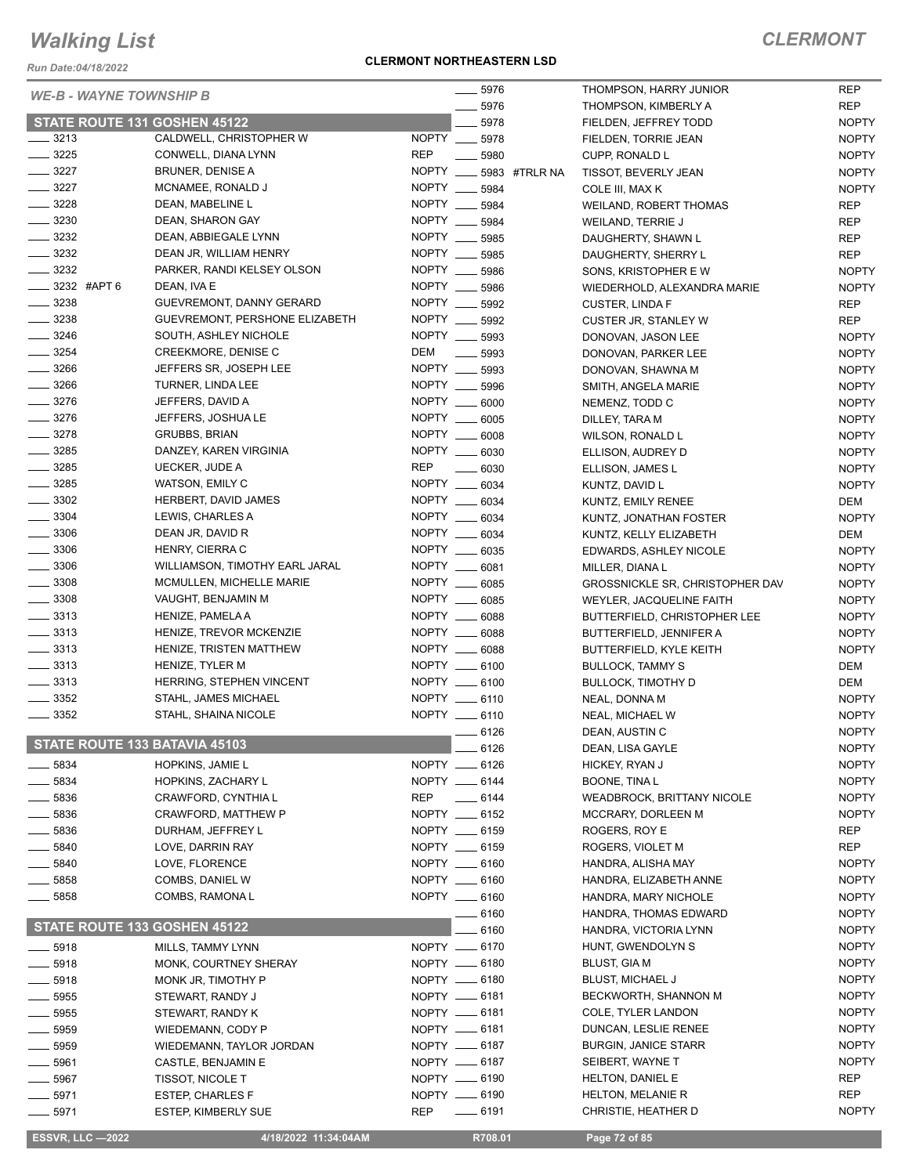*Run Date:04/18/2022*

#### **CLERMONT NORTHEASTERN LSD**

### *CLERMONT*

| <b>WE-B - WAYNE TOWNSHIP B</b> |                                |               | 5976     |               | THOMPSON, HARRY JUNIOR                 | <b>REP</b>   |
|--------------------------------|--------------------------------|---------------|----------|---------------|----------------------------------------|--------------|
|                                |                                |               | 5976     |               | THOMPSON, KIMBERLY A                   | <b>REP</b>   |
| STATE ROUTE 131 GOSHEN 45122   |                                |               | 5978     |               | FIELDEN, JEFFREY TODD                  | <b>NOPTY</b> |
| 3213                           | CALDWELL, CHRISTOPHER W        | NOPTY __ 5978 |          |               | FIELDEN, TORRIE JEAN                   | <b>NOPTY</b> |
| $\frac{1}{2}$ 3225             | CONWELL, DIANA LYNN            | <b>REP</b>    | 5980     |               | CUPP, RONALD L                         | <b>NOPTY</b> |
| $- 3227$                       | <b>BRUNER, DENISE A</b>        | NOPTY ___     |          | 5983 #TRLR NA | TISSOT, BEVERLY JEAN                   | <b>NOPTY</b> |
| $\frac{3227}{ }$               | MCNAMEE, RONALD J              | NOPTY __      | 5984     |               | COLE III, MAX K                        | <b>NOPTY</b> |
| $\frac{1}{2}$ 3228             | DEAN, MABELINE L               | NOPTY __ 5984 |          |               | <b>WEILAND, ROBERT THOMAS</b>          | <b>REP</b>   |
| $\frac{1}{2}$ 3230             | DEAN, SHARON GAY               | NOPTY         | 5984     |               | WEILAND, TERRIE J                      | <b>REP</b>   |
| $\frac{3232}{2}$               | DEAN, ABBIEGALE LYNN           | NOPTY ___     | 5985     |               | DAUGHERTY, SHAWN L                     | <b>REP</b>   |
| $\frac{1}{2}$ 3232             | DEAN JR, WILLIAM HENRY         | NOPTY __      | 5985     |               | DAUGHERTY, SHERRY L                    | <b>REP</b>   |
| $\frac{3232}{2}$               | PARKER, RANDI KELSEY OLSON     | NOPTY __      | 5986     |               | SONS, KRISTOPHER E W                   | <b>NOPTY</b> |
| $\frac{1}{2}$ 3232 #APT 6      | DEAN, IVA E                    | NOPTY         | 5986     |               | WIEDERHOLD, ALEXANDRA MARIE            | <b>NOPTY</b> |
| $- 3238$                       | GUEVREMONT, DANNY GERARD       | NOPTY ___     | 5992     |               | <b>CUSTER, LINDA F</b>                 | <b>REP</b>   |
| $\frac{1}{2}$ 3238             | GUEVREMONT, PERSHONE ELIZABETH | NOPTY ___     | 5992     |               | <b>CUSTER JR, STANLEY W</b>            | <b>REP</b>   |
| $- 3246$                       | SOUTH, ASHLEY NICHOLE          | NOPTY         | 5993     |               | DONOVAN, JASON LEE                     | <b>NOPTY</b> |
| $\frac{1}{2}$ 3254             | CREEKMORE, DENISE C            | DEM           | 5993     |               | DONOVAN, PARKER LEE                    | <b>NOPTY</b> |
| $\frac{1}{2}$ 3266             | JEFFERS SR, JOSEPH LEE         | <b>NOPTY</b>  | 5993     |               | DONOVAN, SHAWNA M                      | <b>NOPTY</b> |
| 3266                           | TURNER, LINDA LEE              | <b>NOPTY</b>  | 5996     |               | SMITH, ANGELA MARIE                    | <b>NOPTY</b> |
| $\frac{1}{2}$ 3276             | JEFFERS, DAVID A               | NOPTY __      | 6000     |               | NEMENZ, TODD C                         | <b>NOPTY</b> |
| $- 3276$                       | JEFFERS, JOSHUA LE             | NOPTY __ 6005 |          |               | DILLEY, TARA M                         | <b>NOPTY</b> |
| $- 3278$                       | <b>GRUBBS, BRIAN</b>           | NOPTY __      | 6008     |               | WILSON, RONALD L                       | <b>NOPTY</b> |
| $\frac{1}{2}$ 3285             | DANZEY, KAREN VIRGINIA         | NOPTY __ 6030 |          |               | ELLISON, AUDREY D                      | <b>NOPTY</b> |
| $\frac{1}{2}$ 3285             | UECKER, JUDE A                 | <b>REP</b>    | $- 6030$ |               | ELLISON, JAMES L                       | <b>NOPTY</b> |
| $\frac{1}{2}$ 3285             | WATSON, EMILY C                | NOPTY __ 6034 |          |               | KUNTZ, DAVID L                         | <b>NOPTY</b> |
| $\frac{1}{2}$ 3302             | HERBERT, DAVID JAMES           | NOPTY __ 6034 |          |               | KUNTZ, EMILY RENEE                     | DEM          |
| $\frac{1}{2}$ 3304             | LEWIS, CHARLES A               | NOPTY __ 6034 |          |               | KUNTZ, JONATHAN FOSTER                 | <b>NOPTY</b> |
| $\frac{1}{2}$ 3306             | DEAN JR, DAVID R               | NOPTY __ 6034 |          |               | KUNTZ, KELLY ELIZABETH                 | DEM          |
| $\frac{1}{2}$ 3306             | HENRY, CIERRA C                | NOPTY __ 6035 |          |               | EDWARDS, ASHLEY NICOLE                 | <b>NOPTY</b> |
| $\frac{1}{2}$ 3306             | WILLIAMSON, TIMOTHY EARL JARAL | NOPTY ___     | 6081     |               | MILLER, DIANA L                        | <b>NOPTY</b> |
| $\frac{1}{2}$ 3308             | MCMULLEN, MICHELLE MARIE       | NOPTY __ 6085 |          |               | <b>GROSSNICKLE SR, CHRISTOPHER DAV</b> | <b>NOPTY</b> |
| $\frac{1}{2}$ 3308             | VAUGHT, BENJAMIN M             | NOPTY __ 6085 |          |               | WEYLER, JACQUELINE FAITH               | <b>NOPTY</b> |
| $\frac{1}{2}$ 3313             | HENIZE, PAMELA A               | NOPTY ___     | 6088     |               | BUTTERFIELD, CHRISTOPHER LEE           | <b>NOPTY</b> |
| $\frac{1}{2}$ 3313             | HENIZE, TREVOR MCKENZIE        | NOPTY __ 6088 |          |               | BUTTERFIELD, JENNIFER A                | <b>NOPTY</b> |
| $\frac{1}{2}$ 3313             | HENIZE, TRISTEN MATTHEW        | NOPTY __ 6088 |          |               |                                        | <b>NOPTY</b> |
| $\frac{1}{2}$ 3313             | HENIZE, TYLER M                | NOPTY __ 6100 |          |               | BUTTERFIELD, KYLE KEITH                |              |
| $\frac{1}{2}$ 3313             | HERRING, STEPHEN VINCENT       | NOPTY __ 6100 |          |               | <b>BULLOCK, TAMMY S</b>                | DEM<br>DEM   |
| $\frac{1}{2}$ 3352             | STAHL, JAMES MICHAEL           | NOPTY __ 6110 |          |               | <b>BULLOCK, TIMOTHY D</b>              |              |
| 3352                           | STAHL, SHAINA NICOLE           | NOPTY __ 6110 |          |               | NEAL, DONNA M                          | <b>NOPTY</b> |
|                                |                                |               |          |               | NEAL, MICHAEL W                        | <b>NOPTY</b> |
| STATE ROUTE 133 BATAVIA 45103  |                                |               | 6126     |               | DEAN, AUSTIN C                         | <b>NOPTY</b> |
|                                |                                |               | 6126     |               | DEAN, LISA GAYLE                       | <b>NOPTY</b> |
| 5834                           | HOPKINS, JAMIE L               | NOPTY __ 6126 |          |               | HICKEY, RYAN J                         | <b>NOPTY</b> |
| 5834                           | HOPKINS, ZACHARY L             | NOPTY __ 6144 |          |               | BOONE, TINA L                          | <b>NOPTY</b> |
| 5836                           | CRAWFORD, CYNTHIA L            | REP           | $-6144$  |               | <b>WEADBROCK, BRITTANY NICOLE</b>      | <b>NOPTY</b> |
| 5836                           | CRAWFORD, MATTHEW P            | NOPTY __ 6152 |          |               | MCCRARY, DORLEEN M                     | <b>NOPTY</b> |
| $\frac{1}{2}$ 5836             | DURHAM, JEFFREY L              | NOPTY __ 6159 |          |               | ROGERS, ROY E                          | <b>REP</b>   |
| 5840                           | LOVE, DARRIN RAY               | NOPTY __ 6159 |          |               | ROGERS, VIOLET M                       | <b>REP</b>   |
| $-5840$                        | LOVE, FLORENCE                 | NOPTY __ 6160 |          |               | HANDRA, ALISHA MAY                     | <b>NOPTY</b> |
| $\frac{1}{2}$ 5858             | COMBS, DANIEL W                | NOPTY __ 6160 |          |               | HANDRA, ELIZABETH ANNE                 | <b>NOPTY</b> |
| $-5858$                        | COMBS, RAMONA L                | NOPTY __ 6160 |          |               | HANDRA, MARY NICHOLE                   | <b>NOPTY</b> |
|                                |                                |               | 6160     |               | HANDRA, THOMAS EDWARD                  | <b>NOPTY</b> |
| STATE ROUTE 133 GOSHEN 45122   |                                |               | 6160     |               | HANDRA, VICTORIA LYNN                  | <b>NOPTY</b> |
| $\frac{1}{2}$ 5918             | MILLS, TAMMY LYNN              | NOPTY -6170   |          |               | HUNT, GWENDOLYN S                      | <b>NOPTY</b> |
| $-5918$                        | MONK, COURTNEY SHERAY          | NOPTY __ 6180 |          |               | <b>BLUST, GIA M</b>                    | <b>NOPTY</b> |
| $-5918$                        | MONK JR, TIMOTHY P             | NOPTY __ 6180 |          |               | <b>BLUST, MICHAEL J</b>                | <b>NOPTY</b> |
| $-5955$                        | STEWART, RANDY J               | NOPTY -6181   |          |               | BECKWORTH, SHANNON M                   | <b>NOPTY</b> |
| $\frac{1}{2}$ 5955             | STEWART, RANDY K               | NOPTY __ 6181 |          |               | COLE, TYLER LANDON                     | <b>NOPTY</b> |
| 5959                           | WIEDEMANN, CODY P              | NOPTY -6181   |          |               | DUNCAN, LESLIE RENEE                   | <b>NOPTY</b> |
| 5959                           | WIEDEMANN, TAYLOR JORDAN       | NOPTY __ 6187 |          |               | <b>BURGIN, JANICE STARR</b>            | <b>NOPTY</b> |
| $\frac{1}{2}$ 5961             | CASTLE, BENJAMIN E             | NOPTY __ 6187 |          |               | SEIBERT, WAYNE T                       | <b>NOPTY</b> |
| 5967                           | TISSOT, NICOLE T               | NOPTY -6190   |          |               | HELTON, DANIEL E                       | <b>REP</b>   |
| $-5971$                        | <b>ESTEP, CHARLES F</b>        | NOPTY __ 6190 |          |               | HELTON, MELANIE R                      | <b>REP</b>   |
| $-5971$                        | <b>ESTEP, KIMBERLY SUE</b>     | <b>REP</b>    | $-6191$  |               | CHRISTIE, HEATHER D                    | <b>NOPTY</b> |
|                                |                                |               |          |               |                                        |              |

 **ESSVR, LLC —2022 4/18/2022 11:34:04AM R708.01 Page 72 of 85**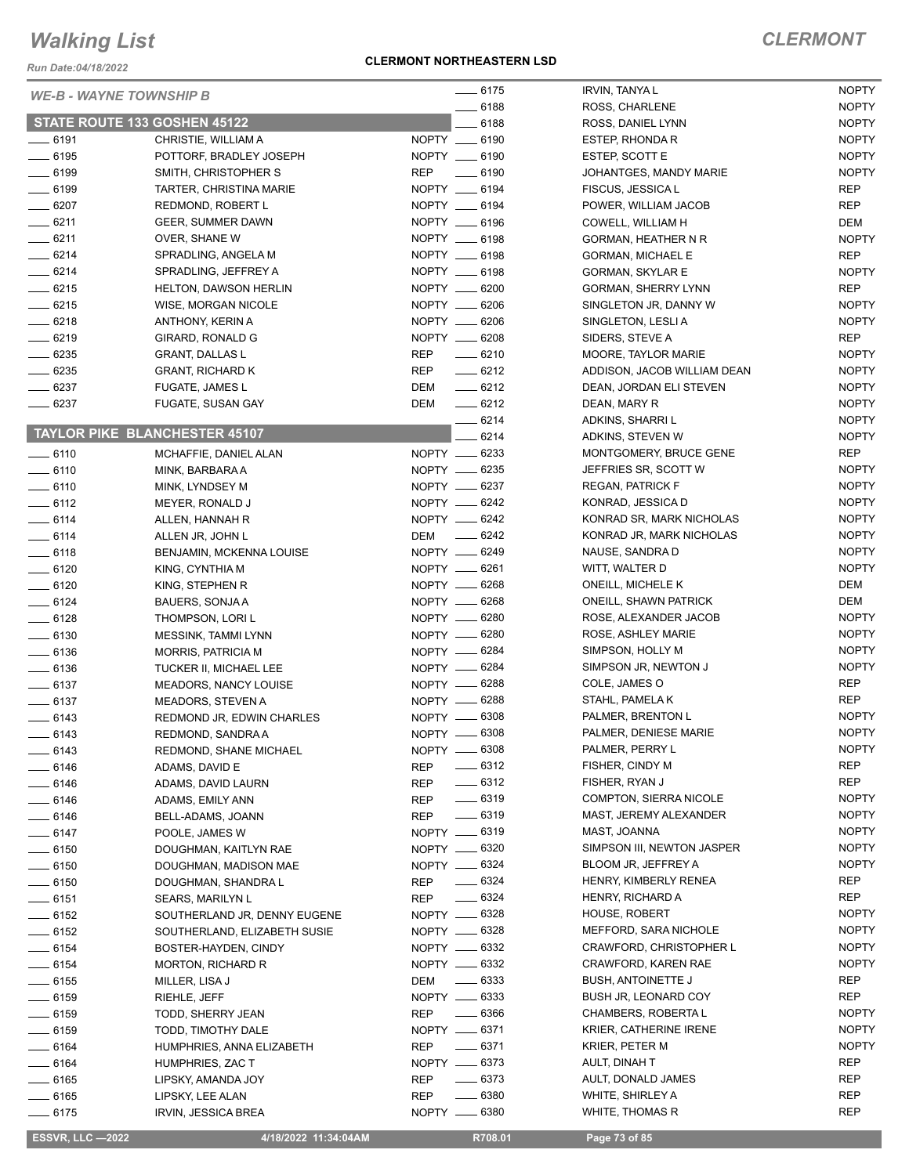*Run Date:04/18/2022*

### **CLERMONT NORTHEASTERN LSD**

| <b>WE-B - WAYNE TOWNSHIP B</b> |                                      |               | $-6175$            | <b>IRVIN, TANYA L</b>         | <b>NOPTY</b> |
|--------------------------------|--------------------------------------|---------------|--------------------|-------------------------------|--------------|
|                                |                                      |               | $- 6188$           | ROSS, CHARLENE                | <b>NOPTY</b> |
|                                | STATE ROUTE 133 GOSHEN 45122         |               | $-6188$            | ROSS, DANIEL LYNN             | <b>NOPTY</b> |
| $- 6191$                       | CHRISTIE, WILLIAM A                  | NOPTY __ 6190 |                    | ESTEP, RHONDA R               | <b>NOPTY</b> |
| $- 6195$                       | POTTORF, BRADLEY JOSEPH              | NOPTY __ 6190 |                    | ESTEP, SCOTT E                | <b>NOPTY</b> |
| $- 6199$                       | SMITH, CHRISTOPHER S                 | REP           | $-6190$            | JOHANTGES, MANDY MARIE        | <b>NOPTY</b> |
| $- 6199$                       | TARTER, CHRISTINA MARIE              | NOPTY __ 6194 |                    | FISCUS, JESSICA L             | <b>REP</b>   |
| $- 6207$                       | REDMOND, ROBERT L                    | NOPTY __ 6194 |                    | POWER, WILLIAM JACOB          | <b>REP</b>   |
| $-6211$                        | GEER, SUMMER DAWN                    | NOPTY __ 6196 |                    | COWELL, WILLIAM H             | DEM          |
| $-6211$                        | OVER, SHANE W                        | NOPTY __ 6198 |                    | GORMAN, HEATHER N R           | <b>NOPTY</b> |
| $-6214$                        | SPRADLING, ANGELA M                  | NOPTY __ 6198 |                    | <b>GORMAN, MICHAEL E</b>      | <b>REP</b>   |
| $-6214$                        | SPRADLING, JEFFREY A                 | NOPTY __ 6198 |                    | <b>GORMAN, SKYLAR E</b>       | <b>NOPTY</b> |
| $-6215$                        | <b>HELTON, DAWSON HERLIN</b>         | NOPTY __ 6200 |                    | <b>GORMAN, SHERRY LYNN</b>    | <b>REP</b>   |
| $- 6215$                       | <b>WISE, MORGAN NICOLE</b>           | NOPTY __ 6206 |                    | SINGLETON JR, DANNY W         | <b>NOPTY</b> |
| $-6218$                        | ANTHONY, KERIN A                     | NOPTY __ 6206 |                    | SINGLETON, LESLIA             | <b>NOPTY</b> |
| $-6219$                        | GIRARD, RONALD G                     | NOPTY __ 6208 |                    | SIDERS, STEVE A               | <b>REP</b>   |
| $- 6235$                       | <b>GRANT, DALLAS L</b>               | <b>REP</b>    | $-6210$            | MOORE, TAYLOR MARIE           | <b>NOPTY</b> |
| $- 6235$                       | <b>GRANT, RICHARD K</b>              | REP           | $-6212$            | ADDISON, JACOB WILLIAM DEAN   | <b>NOPTY</b> |
| $- 6237$                       | <b>FUGATE, JAMES L</b>               | DEM           | $-6212$            | DEAN, JORDAN ELI STEVEN       | <b>NOPTY</b> |
| $- 6237$                       | FUGATE, SUSAN GAY                    | DEM           | $-6212$            |                               | <b>NOPTY</b> |
|                                |                                      |               | $-6214$            | DEAN, MARY R                  |              |
|                                | <b>TAYLOR PIKE BLANCHESTER 45107</b> |               |                    | ADKINS, SHARRI L              | <b>NOPTY</b> |
|                                |                                      |               | $-6214$            | ADKINS, STEVEN W              | <b>NOPTY</b> |
| $- 6110$                       | MCHAFFIE, DANIEL ALAN                | NOPTY __ 6233 |                    | MONTGOMERY, BRUCE GENE        | <b>REP</b>   |
| $-6110$                        | MINK, BARBARA A                      | NOPTY __ 6235 |                    | JEFFRIES SR, SCOTT W          | <b>NOPTY</b> |
| $- 6110$                       | MINK, LYNDSEY M                      | NOPTY -6237   |                    | <b>REGAN, PATRICK F</b>       | <b>NOPTY</b> |
| $-6112$                        | MEYER, RONALD J                      | NOPTY -6242   |                    | KONRAD, JESSICA D             | <b>NOPTY</b> |
| $-6114$                        | ALLEN, HANNAH R                      | NOPTY -6242   |                    | KONRAD SR, MARK NICHOLAS      | <b>NOPTY</b> |
| $-6114$                        | ALLEN JR, JOHN L                     | DEM __ 6242   |                    | KONRAD JR, MARK NICHOLAS      | <b>NOPTY</b> |
| $-6118$                        | BENJAMIN, MCKENNA LOUISE             | NOPTY -6249   |                    | NAUSE, SANDRA D               | <b>NOPTY</b> |
| $-6120$                        | KING, CYNTHIA M                      | NOPTY -6261   |                    | WITT, WALTER D                | <b>NOPTY</b> |
| $- 6120$                       | KING, STEPHEN R                      | NOPTY __ 6268 |                    | ONEILL, MICHELE K             | DEM          |
| $- 6124$                       | BAUERS, SONJA A                      | NOPTY -6268   |                    | <b>ONEILL, SHAWN PATRICK</b>  | DEM          |
| $- 6128$                       | THOMPSON, LORI L                     | NOPTY __ 6280 |                    | ROSE, ALEXANDER JACOB         | <b>NOPTY</b> |
| $- 6130$                       | MESSINK, TAMMI LYNN                  | NOPTY -6280   |                    | ROSE, ASHLEY MARIE            | <b>NOPTY</b> |
| $\frac{1}{2}$ 6136             | <b>MORRIS, PATRICIA M</b>            | NOPTY -6284   |                    | SIMPSON, HOLLY M              | <b>NOPTY</b> |
| $-6136$                        | TUCKER II, MICHAEL LEE               | NOPTY -6284   |                    | SIMPSON JR, NEWTON J          | <b>NOPTY</b> |
| $- 6137$                       | MEADORS, NANCY LOUISE                | NOPTY -6288   |                    | COLE, JAMES O                 | <b>REP</b>   |
| $- 6137$                       | MEADORS, STEVEN A                    | NOPTY __ 6288 |                    | STAHL, PAMELA K               | <b>REP</b>   |
| $- 6143$                       | REDMOND JR, EDWIN CHARLES            | NOPTY -6308   |                    | PALMER, BRENTON L             | <b>NOPTY</b> |
| $- 6143$                       | REDMOND, SANDRA A                    | NOPTY -6308   |                    | PALMER, DENIESE MARIE         | <b>NOPTY</b> |
| $-6143$                        | REDMOND, SHANE MICHAEL               | NOPTY -6308   |                    | PALMER, PERRY L               | <b>NOPTY</b> |
|                                |                                      |               | $-6312$            | FISHER, CINDY M               | <b>REP</b>   |
| $-6146$                        | ADAMS, DAVID E                       | REP           | $-6312$            | FISHER, RYAN J                | REP          |
| $-6146$                        | ADAMS, DAVID LAURN                   | <b>REP</b>    |                    |                               |              |
| $- 6146$                       | ADAMS, EMILY ANN                     | REP           | $\frac{1}{2}$ 6319 | <b>COMPTON, SIERRA NICOLE</b> | <b>NOPTY</b> |
| $- 6146$                       | BELL-ADAMS, JOANN                    | REP           | $- 6319$           | MAST, JEREMY ALEXANDER        | <b>NOPTY</b> |
| $- 6147$                       | POOLE, JAMES W                       | NOPTY __ 6319 |                    | MAST, JOANNA                  | <b>NOPTY</b> |
| $- 6150$                       | DOUGHMAN, KAITLYN RAE                | NOPTY -6320   |                    | SIMPSON III, NEWTON JASPER    | <b>NOPTY</b> |
| $- 6150$                       | DOUGHMAN, MADISON MAE                | NOPTY __ 6324 |                    | BLOOM JR, JEFFREY A           | <b>NOPTY</b> |
| $- 6150$                       | DOUGHMAN, SHANDRA L                  | REP           | $- 6324$           | HENRY, KIMBERLY RENEA         | REP          |
| $- 6151$                       | <b>SEARS, MARILYN L</b>              | <b>REP</b>    | $- 6324$           | HENRY, RICHARD A              | REP          |
| $- 6152$                       | SOUTHERLAND JR, DENNY EUGENE         | NOPTY __ 6328 |                    | HOUSE, ROBERT                 | <b>NOPTY</b> |
| $- 6152$                       | SOUTHERLAND, ELIZABETH SUSIE         | NOPTY -6328   |                    | MEFFORD, SARA NICHOLE         | <b>NOPTY</b> |
| $- 6154$                       | BOSTER-HAYDEN, CINDY                 | NOPTY __ 6332 |                    | CRAWFORD, CHRISTOPHER L       | <b>NOPTY</b> |
| $- 6154$                       | <b>MORTON, RICHARD R</b>             | NOPTY -6332   |                    | CRAWFORD, KAREN RAE           | <b>NOPTY</b> |
| $\frac{1}{2}$ 6155             | MILLER, LISA J                       | DEM -6333     |                    | <b>BUSH, ANTOINETTE J</b>     | <b>REP</b>   |
| $- 6159$                       | RIEHLE, JEFF                         | NOPTY __ 6333 |                    | BUSH JR, LEONARD COY          | REP          |
| $- 6159$                       | TODD, SHERRY JEAN                    | REP           | $- 6366$           | CHAMBERS, ROBERTA L           | <b>NOPTY</b> |
| $- 6159$                       | TODD, TIMOTHY DALE                   | NOPTY __ 6371 |                    | KRIER, CATHERINE IRENE        | <b>NOPTY</b> |
| $- 6164$                       | HUMPHRIES, ANNA ELIZABETH            | REP           | $- 6371$           | KRIER, PETER M                | <b>NOPTY</b> |
| $- 6164$                       | HUMPHRIES, ZAC T                     | NOPTY -6373   |                    | AULT, DINAH T                 | <b>REP</b>   |
| $- 6165$                       | LIPSKY, AMANDA JOY                   | REP           | $- 6373$           | AULT, DONALD JAMES            | REP          |
| $- 6165$                       | LIPSKY, LEE ALAN                     | <b>REP</b>    | $- 6380$           | WHITE, SHIRLEY A              | <b>REP</b>   |
| $-6175$                        | IRVIN, JESSICA BREA                  | NOPTY __ 6380 |                    | WHITE, THOMAS R               | <b>REP</b>   |
|                                |                                      |               |                    |                               |              |

 **ESSVR, LLC —2022 4/18/2022 11:34:04AM R708.01 Page 73 of 85**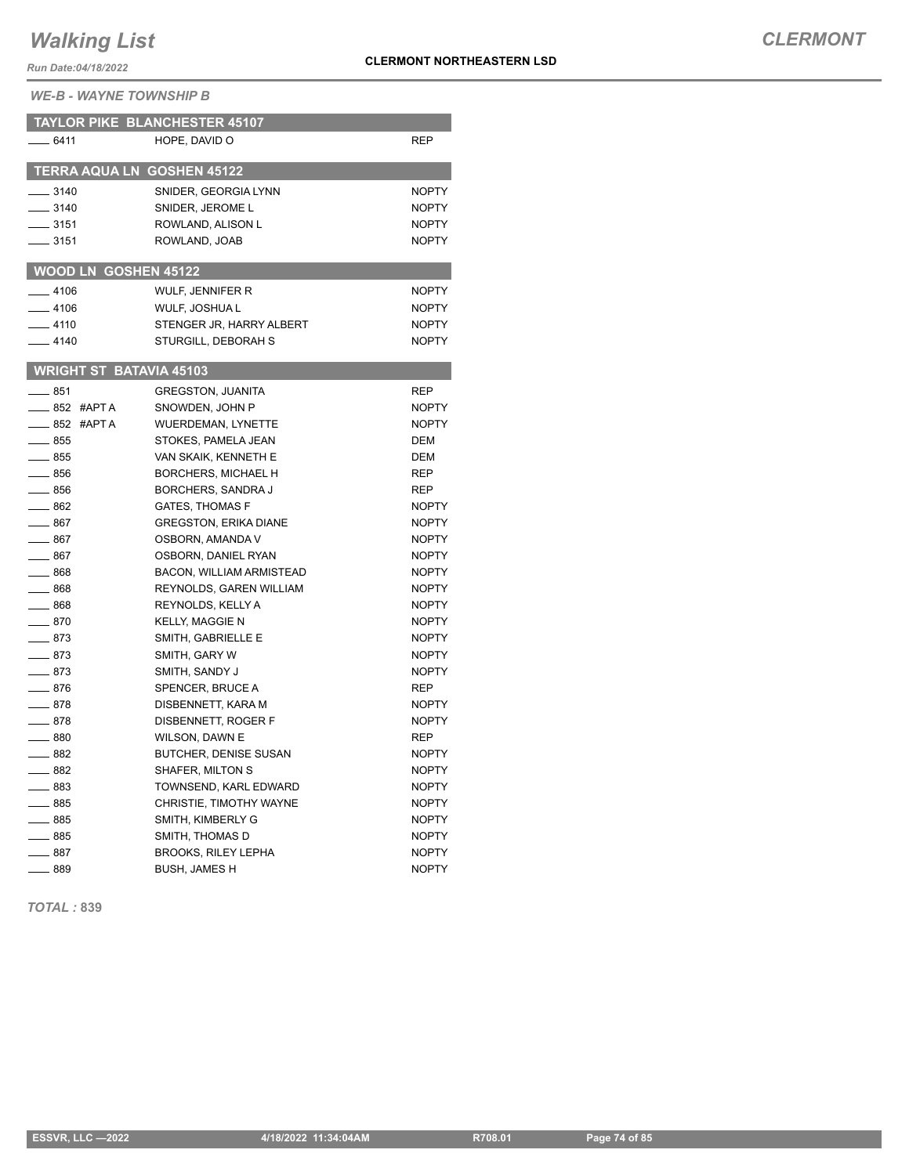*Run Date:04/18/2022*

*WE-B - WAYNE TOWNSHIP B*

| <b>TAYLOR PIKE BLANCHESTER 45107</b> |                                 |              |
|--------------------------------------|---------------------------------|--------------|
| __ 6411                              | HOPE, DAVID O                   | REP          |
|                                      |                                 |              |
| <b>TERRA AQUA LN GOSHEN 45122</b>    |                                 |              |
| $- 3140$                             | SNIDER, GEORGIA LYNN            | <b>NOPTY</b> |
| $-3140$                              | SNIDER, JEROME L                | <b>NOPTY</b> |
| $\frac{1}{2}$ 3151                   | ROWLAND, ALISON L               | <b>NOPTY</b> |
| ___ 3151                             | ROWLAND, JOAB                   | <b>NOPTY</b> |
| <b>WOOD LN GOSHEN 45122</b>          |                                 |              |
| $-4106$                              | WULF, JENNIFER R                | <b>NOPTY</b> |
| $-4106$                              | WULF, JOSHUA L                  | <b>NOPTY</b> |
| $-4110$                              | STENGER JR, HARRY ALBERT        | <b>NOPTY</b> |
| $-4140$                              | STURGILL, DEBORAH S             | <b>NOPTY</b> |
|                                      |                                 |              |
| <b>WRIGHT ST BATAVIA 45103</b>       |                                 |              |
| ___ 851                              | <b>GREGSTON, JUANITA</b>        | <b>REP</b>   |
| __ 852 #APT A                        | SNOWDEN, JOHN P                 | <b>NOPTY</b> |
| $-852$ #APTA                         | <b>WUERDEMAN, LYNETTE</b>       | <b>NOPTY</b> |
| $-855$                               | STOKES, PAMELA JEAN             | <b>DEM</b>   |
| $\equiv$ 855                         | VAN SKAIK, KENNETH E            | <b>DEM</b>   |
| $\equiv$ 856                         | <b>BORCHERS, MICHAEL H</b>      | <b>REP</b>   |
| $=$ 856                              | <b>BORCHERS, SANDRA J</b>       | REP          |
| $-862$                               | <b>GATES, THOMAS F</b>          | <b>NOPTY</b> |
| $-867$                               | <b>GREGSTON, ERIKA DIANE</b>    | <b>NOPTY</b> |
| ___ 867                              | OSBORN, AMANDA V                | <b>NOPTY</b> |
| $-867$                               | OSBORN, DANIEL RYAN             | <b>NOPTY</b> |
| $\frac{1}{2}$ 868                    | <b>BACON, WILLIAM ARMISTEAD</b> | <b>NOPTY</b> |
| $-868$                               | REYNOLDS, GAREN WILLIAM         | <b>NOPTY</b> |
| $-868$                               | REYNOLDS, KELLY A               | <b>NOPTY</b> |
| $-870$                               | <b>KELLY, MAGGIE N</b>          | <b>NOPTY</b> |
| $=$ 873                              | SMITH, GABRIELLE E              | <b>NOPTY</b> |
| ____ 873                             | SMITH, GARY W                   | <b>NOPTY</b> |
| —— 873                               | SMITH, SANDY J                  | <b>NOPTY</b> |
| $-876$                               | SPENCER, BRUCE A                | <b>REP</b>   |
| $\equiv$ 878                         | DISBENNETT, KARA M              | <b>NOPTY</b> |
| $-878$                               | DISBENNETT, ROGER F             | <b>NOPTY</b> |
| $\_\_ 880$                           | WILSON, DAWN E                  | <b>REP</b>   |
| $-882$                               | <b>BUTCHER, DENISE SUSAN</b>    | <b>NOPTY</b> |
| $-882$                               | SHAFER, MILTON S                | <b>NOPTY</b> |
| $\equiv$ 883                         | TOWNSEND, KARL EDWARD           | <b>NOPTY</b> |
| $-885$                               | CHRISTIE, TIMOTHY WAYNE         | <b>NOPTY</b> |
| $\frac{1}{2}$ 885                    | SMITH, KIMBERLY G               | <b>NOPTY</b> |
| _ 885                                | SMITH, THOMAS D                 | <b>NOPTY</b> |
| $\frac{1}{2}$ 887                    | <b>BROOKS, RILEY LEPHA</b>      | <b>NOPTY</b> |
| $-889$                               | <b>BUSH, JAMES H</b>            | <b>NOPTY</b> |

*TOTAL :* **839**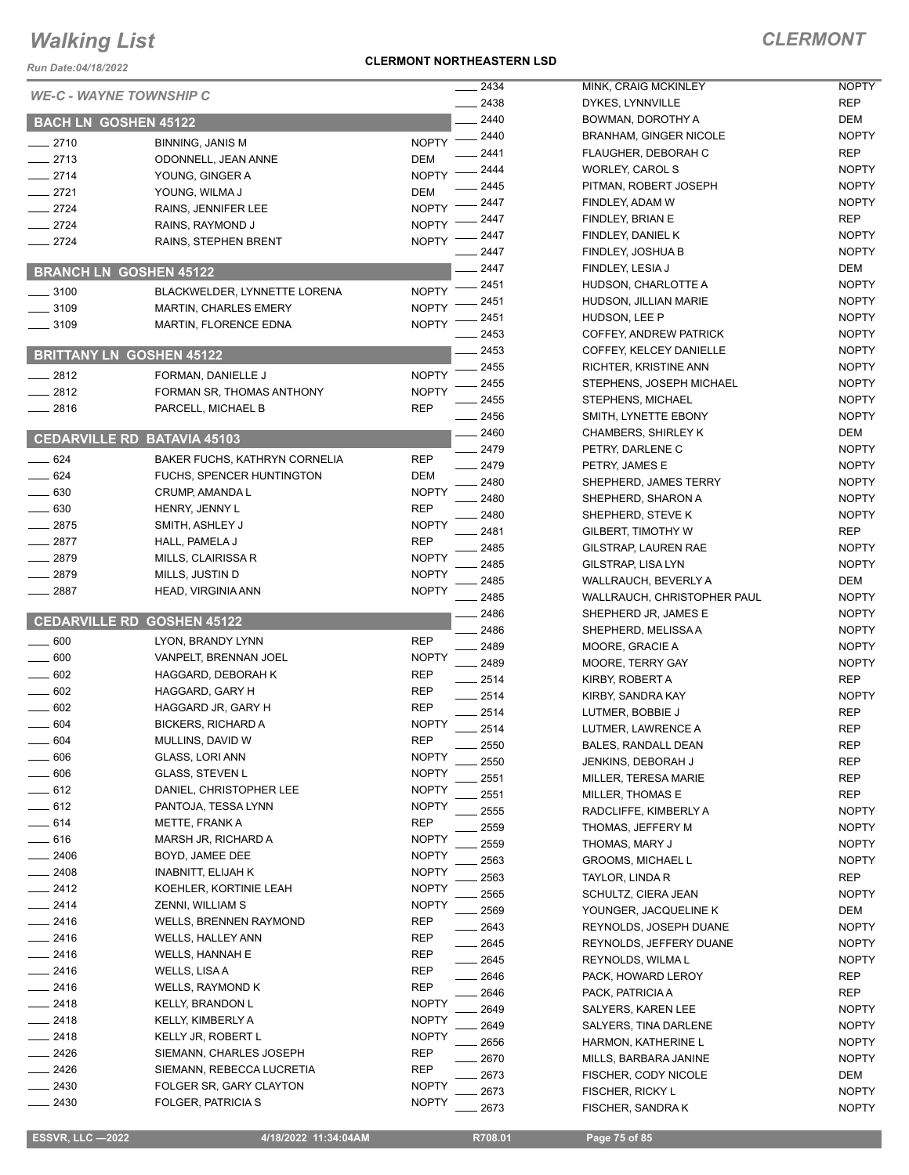*Run Date:04/18/2022*

#### **CLERMONT NORTHEASTERN LSD**

| <b>Run Date:04/18/2022</b>  |                                       |                          |              |                                             |
|-----------------------------|---------------------------------------|--------------------------|--------------|---------------------------------------------|
|                             | <b>WE-C - WAYNE TOWNSHIP C</b>        |                          | 2434         | MINK, CRAIG MCKIN                           |
|                             |                                       |                          | 2438<br>2440 | DYKES, LYNNVILLE                            |
| <b>BACH LN GOSHEN 45122</b> |                                       |                          | 2440         | BOWMAN, DOROTHY<br><b>BRANHAM, GINGER</b>   |
| $-2710$                     | <b>BINNING, JANIS M</b>               | <b>NOPTY</b>             | 2441         | FLAUGHER, DEBOR/                            |
| $-2713$                     | ODONNELL, JEAN ANNE                   | DEM                      | 2444         | WORLEY, CAROL S                             |
| $-2714$                     | YOUNG, GINGER A                       | <b>NOPTY</b>             | 2445         | PITMAN, ROBERT JC                           |
| $-2721$                     | YOUNG, WILMA J                        | DEM                      | 2447         | FINDLEY, ADAM W                             |
| $-2724$                     | RAINS, JENNIFER LEE                   | <b>NOPTY</b>             | 2447         | FINDLEY, BRIAN E                            |
| $-2724$<br>$-2724$          | RAINS, RAYMOND J                      | <b>NOPTY</b>             | 2447         | FINDLEY, DANIEL K                           |
|                             | RAINS, STEPHEN BRENT                  | <b>NOPTY</b>             | 2447         | FINDLEY, JOSHUA B                           |
|                             | <b>BRANCH LN GOSHEN 45122</b>         |                          | - 2447       | FINDLEY, LESIA J                            |
| $- 3100$                    | BLACKWELDER, LYNNETTE LORENA          | <b>NOPTY</b>             | 2451         | HUDSON, CHARLOT                             |
| $-3109$                     | <b>MARTIN, CHARLES EMERY</b>          | <b>NOPTY</b>             | 2451         | HUDSON, JILLIAN M/                          |
| $-3109$                     | MARTIN, FLORENCE EDNA                 | <b>NOPTY</b>             | 2451         | HUDSON, LEE P                               |
|                             |                                       |                          | 2453         | COFFEY, ANDREW P                            |
|                             | <b>BRITTANY LN GOSHEN 45122</b>       |                          | 2453         | COFFEY, KELCEY DA                           |
| $-2812$                     | FORMAN, DANIELLE J                    | <b>NOPTY</b>             | 2455         | RICHTER, KRISTINE                           |
| $-2812$                     | FORMAN SR, THOMAS ANTHONY             | <b>NOPTY</b>             | 2455         | STEPHENS, JOSEPH                            |
| $-2816$                     | PARCELL, MICHAEL B                    | <b>REP</b>               | 2455         | <b>STEPHENS, MICHAE</b>                     |
|                             |                                       |                          | 2456<br>2460 | SMITH, LYNETTE EB                           |
|                             | <b>CEDARVILLE RD BATAVIA 45103</b>    |                          | 2479         | <b>CHAMBERS, SHIRLE</b><br>PETRY, DARLENE C |
| $-624$                      | BAKER FUCHS, KATHRYN CORNELIA         | <b>REP</b>               | 2479         | PETRY, JAMES E                              |
| $-624$                      | FUCHS, SPENCER HUNTINGTON             | DEM                      | 2480         | SHEPHERD, JAMES                             |
| $-630$                      | CRUMP, AMANDA L                       | <b>NOPTY</b>             | 2480         | SHEPHERD, SHARO                             |
| $\sim$ 630                  | HENRY, JENNY L                        | <b>REP</b>               | 2480         | SHEPHERD, STEVE                             |
| $-2875$                     | SMITH, ASHLEY J                       | <b>NOPTY</b>             | 2481         | <b>GILBERT, TIMOTHY \</b>                   |
| $-2877$                     | HALL, PAMELA J                        | <b>REP</b>               | 2485         | GILSTRAP, LAUREN                            |
| $-2879$                     | MILLS, CLAIRISSA R                    | <b>NOPTY</b>             | 2485         | GILSTRAP, LISA LYN                          |
| $-2879$                     | MILLS, JUSTIN D                       | <b>NOPTY</b>             | 2485         | WALLRAUCH, BEVER                            |
| $-2887$                     | HEAD, VIRGINIA ANN                    | <b>NOPTY</b>             | 2485         | <b>WALLRAUCH, CHRIS</b>                     |
|                             | <b>CEDARVILLE RD GOSHEN 45122</b>     |                          | 2486         | SHEPHERD JR, JAMI                           |
|                             |                                       |                          | 2486         | SHEPHERD, MELISS                            |
| $-600$                      | LYON, BRANDY LYNN                     | <b>REP</b>               | 2489         | MOORE, GRACIE A                             |
| 600                         | VANPELT, BRENNAN JOEL                 | <b>NOPTY</b>             | 2489         | MOORE, TERRY GAY                            |
| 602<br>$= 602$              | HAGGARD, DEBORAH K<br>HAGGARD, GARY H | REP                      | 2514         | KIRBY, ROBERT A                             |
| 602                         | HAGGARD JR, GARY H                    | <b>REP</b><br><b>REP</b> | 2514         | KIRBY, SANDRA KAY                           |
| .604                        | <b>BICKERS, RICHARD A</b>             | <b>NOPTY</b>             | 2514         | LUTMER, BOBBIE J                            |
| 604                         | MULLINS, DAVID W                      | <b>REP</b>               | 2514         | LUTMER, LAWRENCI                            |
| 606                         | GLASS, LORI ANN                       | <b>NOPTY</b>             | 2550         | BALES, RANDALL DE                           |
| - 606                       | <b>GLASS, STEVEN L</b>                | <b>NOPTY</b>             | 2550         | <b>JENKINS, DEBORAH</b>                     |
| $-612$                      | DANIEL, CHRISTOPHER LEE               | <b>NOPTY</b>             | 2551         | MILLER, TERESA MA                           |
| $-612$                      | PANTOJA, TESSA LYNN                   | NOPTY                    | 2551         | MILLER, THOMAS E                            |
| $-614$                      | METTE, FRANK A                        | <b>REP</b>               | 2555         | RADCLIFFE, KIMBER                           |
| __ 616                      | MARSH JR, RICHARD A                   | <b>NOPTY</b>             | 2559<br>2559 | <b>THOMAS, JEFFERY</b><br>THOMAS, MARY J    |
| $-2406$                     | BOYD, JAMEE DEE                       | NOPTY                    | 2563         | <b>GROOMS, MICHAEL</b>                      |
| $-2408$                     | <b>INABNITT, ELIJAH K</b>             | <b>NOPTY</b>             | 2563         | TAYLOR, LINDA R                             |
| $-2412$                     | KOEHLER, KORTINIE LEAH                | <b>NOPTY</b>             | 2565         | SCHULTZ, CIERA JE/                          |
| _ 2414                      | ZENNI, WILLIAM S                      | <b>NOPTY</b>             | 2569         | YOUNGER, JACQUEI                            |
| __ 2416                     | WELLS, BRENNEN RAYMOND                | <b>REP</b>               | 2643         | REYNOLDS, JOSEPH                            |
| $-2416$                     | WELLS, HALLEY ANN                     | REP                      | 2645         | REYNOLDS, JEFFER                            |
| $-2416$                     | <b>WELLS, HANNAH E</b>                | REP                      | 2645         | REYNOLDS, WILMA I                           |
| $-2416$                     | WELLS, LISA A                         | <b>REP</b>               | 2646         | PACK, HOWARD LER                            |
| - 2416                      | WELLS, RAYMOND K                      | <b>REP</b>               | 2646         | PACK, PATRICIA A                            |
| 2418                        | KELLY, BRANDON L                      | <b>NOPTY</b>             | 2649         | <b>SALYERS, KAREN LE</b>                    |
| $-2418$                     | KELLY, KIMBERLY A                     | <b>NOPTY</b>             | 2649         | SALYERS, TINA DAR                           |
| _ 2418                      | KELLY JR, ROBERT L                    | <b>NOPTY</b>             | 2656         | HARMON, KATHERIN                            |
| . 2426                      | SIEMANN, CHARLES JOSEPH               | REP                      | 2670         | MILLS, BARBARA JAI                          |
| . 2426                      | SIEMANN, REBECCA LUCRETIA             | REP                      | 2673         | FISCHER, CODY NIC                           |
| - 2430                      | FOLGER SR, GARY CLAYTON               | <b>NOPTY</b>             | 2673         | FISCHER, RICKY L                            |
| $-2430$                     | FOLGER, PATRICIA S                    | <b>NOPTY</b>             | 2673         | <b>FISCHER, SANDRAK</b>                     |

| __ 2434   | MINK, CRAIG MCKINLEY          | NOPTY        |
|-----------|-------------------------------|--------------|
| $-2438$   | DYKES, LYNNVILLE              | <b>REP</b>   |
| $-2440$   | BOWMAN, DOROTHY A             | DEM          |
| $-2440$   | <b>BRANHAM, GINGER NICOLE</b> | <b>NOPTY</b> |
| $-2441$   | FLAUGHER, DEBORAH C           | REP          |
| $-2444$   | WORLEY, CAROL S               | <b>NOPTY</b> |
| $-2445$   | PITMAN, ROBERT JOSEPH         | <b>NOPTY</b> |
|           |                               |              |
| $-2447$   | FINDLEY, ADAM W               | <b>NOPTY</b> |
| $-2447$   | FINDLEY, BRIAN E              | REP          |
| $-2447$   | FINDLEY, DANIEL K             | <b>NOPTY</b> |
| __ 2447   | FINDLEY, JOSHUA B             | <b>NOPTY</b> |
| $-2447$   | FINDLEY, LESIA J              | DEM          |
| __ 2451   | HUDSON, CHARLOTTE A           | <b>NOPTY</b> |
| $-2451$   | HUDSON, JILLIAN MARIE         | <b>NOPTY</b> |
| __ 2451   | HUDSON, LEE P                 | <b>NOPTY</b> |
| $-2453$   | COFFEY, ANDREW PATRICK        | <b>NOPTY</b> |
| $= 2453$  | COFFEY, KELCEY DANIELLE       | <b>NOPTY</b> |
| $-2455$   | RICHTER, KRISTINE ANN         | <b>NOPTY</b> |
| $-2455$   | STEPHENS, JOSEPH MICHAEL      | <b>NOPTY</b> |
| $-2455$   | STEPHENS, MICHAEL             | <b>NOPTY</b> |
| __ 2456   | SMITH, LYNETTE EBONY          | <b>NOPTY</b> |
| $-2460$   | <b>CHAMBERS, SHIRLEY K</b>    | DEM          |
|           |                               | <b>NOPTY</b> |
| __ 2479   | PETRY, DARLENE C              |              |
| $-2479$   | PETRY, JAMES E                | <b>NOPTY</b> |
| $-2480$   | SHEPHERD, JAMES TERRY         | <b>NOPTY</b> |
| __ 2480   | SHEPHERD, SHARON A            | <b>NOPTY</b> |
| __ 2480   | SHEPHERD, STEVE K             | <b>NOPTY</b> |
| $-2481$   | GILBERT, TIMOTHY W            | REP          |
| $-2485$   | GILSTRAP, LAUREN RAE          | <b>NOPTY</b> |
| $=$ 2485  | <b>GILSTRAP, LISA LYN</b>     | <b>NOPTY</b> |
| __ 2485   | WALLRAUCH, BEVERLY A          | DEM          |
| $-2485$   | WALLRAUCH, CHRISTOPHER PAUL   | <b>NOPTY</b> |
| __ 2486   | SHEPHERD JR, JAMES E          | <b>NOPTY</b> |
| $-2486$   | SHEPHERD, MELISSA A           | <b>NOPTY</b> |
| __ 2489   | MOORE, GRACIE A               | <b>NOPTY</b> |
| __ 2489   | MOORE, TERRY GAY              | <b>NOPTY</b> |
| $-2514$   | KIRBY, ROBERT A               | <b>REP</b>   |
| $-2514$   | KIRBY, SANDRA KAY             | <b>NOPTY</b> |
| $-2514$   | LUTMER, BOBBIE J              | REP          |
| $-2514$   | LUTMER. LAWRENCE A            | <b>REP</b>   |
|           |                               |              |
| $-2550$   | BALES, RANDALL DEAN           | REP          |
| $=2550$   | JENKINS, DEBORAH J            | REP          |
| $-2551$   | MILLER, TERESA MARIE          | <b>REP</b>   |
| $=2551$   | <b>MILLER, THOMAS E</b>       | <b>REP</b>   |
| $=$ 2555  | RADCLIFFE, KIMBERLY A         | <b>NOPTY</b> |
| $-2559$   | THOMAS, JEFFERY M             | <b>NOPTY</b> |
| $-2559$   | THOMAS, MARY J                | NOPTY        |
| __ 2563   | <b>GROOMS, MICHAEL L</b>      | <b>NOPTY</b> |
| __ 2563   | TAYLOR, LINDA R               | REP          |
| $= 2565$  | SCHULTZ, CIERA JEAN           | <b>NOPTY</b> |
| __ 2569   | YOUNGER, JACQUELINE K         | DEM          |
| $=2643$   | REYNOLDS, JOSEPH DUANE        | <b>NOPTY</b> |
| __ 2645   | REYNOLDS, JEFFERY DUANE       | <b>NOPTY</b> |
| $\_$ 2645 | REYNOLDS, WILMA L             | <b>NOPTY</b> |
| _ 2646    | PACK, HOWARD LEROY            | REP          |
| _ 2646    | PACK, PATRICIA A              | REP          |
|           |                               |              |
| - 2649    | SALYERS, KAREN LEE            | <b>NOPTY</b> |
| __ 2649   | SALYERS, TINA DARLENE         | <b>NOPTY</b> |
| __ 2656   | HARMON, KATHERINE L           | <b>NOPTY</b> |
| $=$ 2670  | MILLS, BARBARA JANINE         | <b>NOPTY</b> |
| __ 2673   | FISCHER, CODY NICOLE          | DEM          |
| 2673      | FISCHER, RICKY L              | NOPTY        |
| 2673      | FISCHER, SANDRA K             | <b>NOPTY</b> |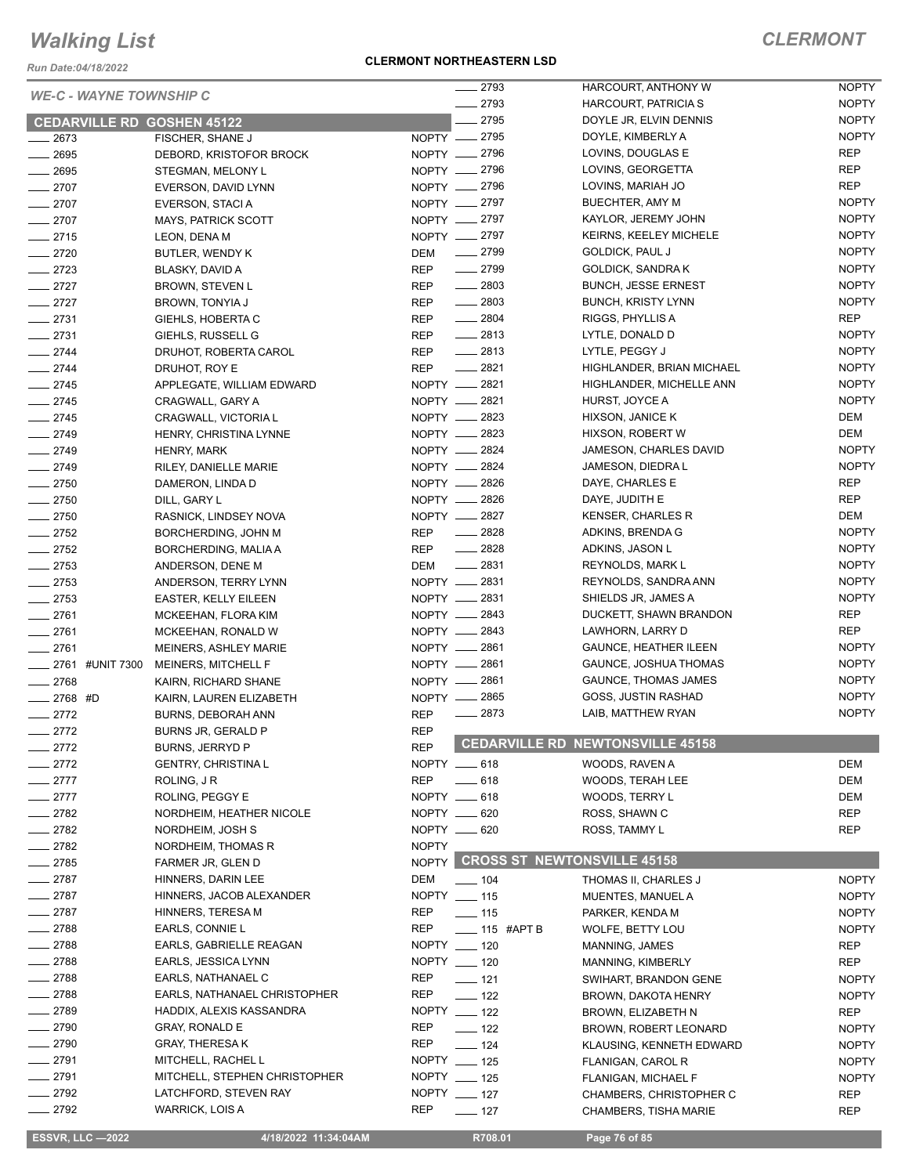*Run Date:04/18/2022*

### **CLERMONT NORTHEASTERN LSD**

| <b>WE-C - WAYNE TOWNSHIP C</b>    |                                         |              | $-2793$                           | HARCOURT, ANTHONY W              | <b>NOPTY</b> |
|-----------------------------------|-----------------------------------------|--------------|-----------------------------------|----------------------------------|--------------|
|                                   |                                         |              | $-2793$                           | HARCOURT, PATRICIA S             | <b>NOPTY</b> |
| <b>CEDARVILLE RD GOSHEN 45122</b> |                                         |              | 2795                              | DOYLE JR, ELVIN DENNIS           | <b>NOPTY</b> |
| $-2673$                           | FISCHER, SHANE J                        |              | NOPTY __ 2795                     | DOYLE, KIMBERLY A                | <b>NOPTY</b> |
| $-2695$                           | DEBORD, KRISTOFOR BROCK                 |              | NOPTY -2796                       | LOVINS, DOUGLAS E                | <b>REP</b>   |
| $-2695$                           | STEGMAN, MELONY L                       |              | NOPTY __ 2796                     | LOVINS, GEORGETTA                | <b>REP</b>   |
| $-2707$                           | EVERSON, DAVID LYNN                     |              | NOPTY __ 2796                     | LOVINS, MARIAH JO                | <b>REP</b>   |
| $-2707$                           | EVERSON, STACI A                        |              | NOPTY -2797                       | BUECHTER, AMY M                  | <b>NOPTY</b> |
| $-2707$                           | <b>MAYS, PATRICK SCOTT</b>              |              | NOPTY __ 2797                     | KAYLOR, JEREMY JOHN              | <b>NOPTY</b> |
| $-2715$                           | LEON, DENA M                            |              | NOPTY __ 2797                     | <b>KEIRNS, KEELEY MICHELE</b>    | <b>NOPTY</b> |
| $-2720$                           | BUTLER, WENDY K                         | DEM          | $\frac{1}{2799}$                  | <b>GOLDICK, PAUL J</b>           | <b>NOPTY</b> |
| $-2723$                           | BLASKY, DAVID A                         | <b>REP</b>   | $-2799$                           | <b>GOLDICK, SANDRAK</b>          | <b>NOPTY</b> |
| $-2727$                           | <b>BROWN, STEVEN L</b>                  | <b>REP</b>   | $-2803$                           | <b>BUNCH, JESSE ERNEST</b>       | <b>NOPTY</b> |
| $-2727$                           | BROWN, TONYIA J                         | <b>REP</b>   | $-2803$                           | <b>BUNCH, KRISTY LYNN</b>        | <b>NOPTY</b> |
| $-2731$                           | GIEHLS, HOBERTA C                       | <b>REP</b>   | $- 2804$                          | RIGGS, PHYLLIS A                 | <b>REP</b>   |
| $-2731$                           | GIEHLS, RUSSELL G                       | <b>REP</b>   | $\frac{2813}{2}$                  | LYTLE, DONALD D                  | <b>NOPTY</b> |
| $-2744$                           | DRUHOT, ROBERTA CAROL                   | <b>REP</b>   | $\frac{1}{2813}$                  | LYTLE, PEGGY J                   | <b>NOPTY</b> |
| $-2744$                           | DRUHOT, ROY E                           | <b>REP</b>   | $\frac{2821}{256}$                | HIGHLANDER, BRIAN MICHAEL        | <b>NOPTY</b> |
| $-2745$                           | APPLEGATE, WILLIAM EDWARD               |              | NOPTY __ 2821                     | HIGHLANDER, MICHELLE ANN         | <b>NOPTY</b> |
| $-2745$                           | CRAGWALL, GARY A                        |              | NOPTY __ 2821                     | HURST, JOYCE A                   | <b>NOPTY</b> |
| $-2745$                           | CRAGWALL, VICTORIA L                    |              | NOPTY __ 2823                     | HIXSON, JANICE K                 | DEM          |
| $-2749$                           | HENRY, CHRISTINA LYNNE                  |              | NOPTY - 2823                      | HIXSON, ROBERT W                 | <b>DEM</b>   |
| $-2749$                           | HENRY, MARK                             |              | NOPTY -2824                       | JAMESON, CHARLES DAVID           | <b>NOPTY</b> |
| $-2749$                           | RILEY, DANIELLE MARIE                   |              | NOPTY __ 2824                     | JAMESON, DIEDRA L                | <b>NOPTY</b> |
| $-2750$                           | DAMERON, LINDA D                        |              | NOPTY - 2826                      | DAYE, CHARLES E                  | <b>REP</b>   |
| $-2750$                           | DILL, GARY L                            |              | NOPTY __ 2826                     | DAYE, JUDITH E                   | <b>REP</b>   |
|                                   |                                         |              | NOPTY - 2827                      | <b>KENSER, CHARLES R</b>         | <b>DEM</b>   |
| $-2750$                           | RASNICK, LINDSEY NOVA                   |              | $\frac{2828}{256}$                | ADKINS, BRENDA G                 | <b>NOPTY</b> |
| $-2752$                           | BORCHERDING, JOHN M                     | <b>REP</b>   | $-2828$                           |                                  | <b>NOPTY</b> |
| $\frac{2752}{2}$                  | BORCHERDING, MALIA A                    | REP          | $\frac{2831}{200}$                | ADKINS, JASON L                  |              |
| $-2753$                           | ANDERSON, DENE M                        | <b>DEM</b>   |                                   | REYNOLDS, MARK L                 | <b>NOPTY</b> |
| $-2753$                           | ANDERSON, TERRY LYNN                    |              | NOPTY __ 2831                     | REYNOLDS, SANDRA ANN             | <b>NOPTY</b> |
| $-2753$                           | <b>EASTER, KELLY EILEEN</b>             |              | NOPTY -2831                       | SHIELDS JR, JAMES A              | <b>NOPTY</b> |
| $-2761$                           | MCKEEHAN, FLORA KIM                     |              | NOPTY __ 2843                     | DUCKETT, SHAWN BRANDON           | REP          |
| $-2761$                           | MCKEEHAN, RONALD W                      |              | NOPTY __ 2843                     | LAWHORN, LARRY D                 | <b>REP</b>   |
| $-2761$                           | <b>MEINERS, ASHLEY MARIE</b>            |              | NOPTY -2861                       | <b>GAUNCE, HEATHER ILEEN</b>     | <b>NOPTY</b> |
|                                   | ___ 2761 #UNIT 7300 MEINERS, MITCHELL F |              | NOPTY __ 2861                     | GAUNCE, JOSHUA THOMAS            | <b>NOPTY</b> |
| $-2768$                           | KAIRN, RICHARD SHANE                    |              | NOPTY -2861                       | <b>GAUNCE, THOMAS JAMES</b>      | <b>NOPTY</b> |
| $-2768$ #D                        | KAIRN, LAUREN ELIZABETH                 |              | NOPTY __ 2865                     | GOSS, JUSTIN RASHAD              | <b>NOPTY</b> |
| $-2772$                           | BURNS, DEBORAH ANN                      | <b>REP</b>   | $-2873$                           | LAIB, MATTHEW RYAN               | <b>NOPTY</b> |
| $-2772$                           | BURNS JR, GERALD P                      | <b>REP</b>   |                                   |                                  |              |
| $-2772$                           | BURNS, JERRYD P                         | <b>REP</b>   |                                   | CEDARVILLE RD NEWTONSVILLE 45158 |              |
| $-2772$                           | <b>GENTRY, CHRISTINA L</b>              |              | NOPTY __ 618                      | WOODS, RAVEN A                   | <b>DEM</b>   |
| $-2777$                           | ROLING, J R                             | <b>REP</b>   | $\frac{1}{2}$ 618                 | WOODS, TERAH LEE                 | <b>DEM</b>   |
| $-2777$                           | ROLING, PEGGY E                         |              | NOPTY __ 618                      | WOODS, TERRY L                   | DEM          |
| $-2782$                           | NORDHEIM, HEATHER NICOLE                |              | NOPTY __ 620                      | ROSS, SHAWN C                    | <b>REP</b>   |
| 2782                              | NORDHEIM, JOSH S                        |              | NOPTY __ 620                      | ROSS, TAMMY L                    | REP          |
| $-2782$                           | NORDHEIM, THOMAS R                      | <b>NOPTY</b> |                                   |                                  |              |
| 2785                              | FARMER JR, GLEN D                       |              | NOPTY CROSS ST NEWTONSVILLE 45158 |                                  |              |
| $-2787$                           | HINNERS, DARIN LEE                      | <b>DEM</b>   | $\frac{1}{2}$ 104                 | THOMAS II, CHARLES J             | <b>NOPTY</b> |
| $-2787$                           | HINNERS, JACOB ALEXANDER                |              | NOPTY __ 115                      | MUENTES, MANUEL A                | <b>NOPTY</b> |
| 2787                              | HINNERS, TERESA M                       | REP          | $\frac{1}{15}$                    | PARKER, KENDA M                  | <b>NOPTY</b> |
| $-2788$                           | EARLS, CONNIE L                         | REP          | $\frac{1}{2}$ 115 #APT B          | WOLFE, BETTY LOU                 | <b>NOPTY</b> |
| $-2788$                           | EARLS, GABRIELLE REAGAN                 |              | NOPTY __ 120                      | MANNING, JAMES                   | REP          |
| $-2788$                           | EARLS, JESSICA LYNN                     |              | NOPTY __ 120                      | MANNING, KIMBERLY                | <b>REP</b>   |
| $-2788$                           | EARLS, NATHANAEL C                      | <b>REP</b>   | $-121$                            | SWIHART, BRANDON GENE            | <b>NOPTY</b> |
| $-2788$                           | EARLS, NATHANAEL CHRISTOPHER            | <b>REP</b>   | $\frac{1}{2}$ 122                 | BROWN, DAKOTA HENRY              | <b>NOPTY</b> |
| $-2789$                           | HADDIX, ALEXIS KASSANDRA                |              | NOPTY __ 122                      | BROWN, ELIZABETH N               | <b>REP</b>   |
| $-2790$                           | <b>GRAY, RONALD E</b>                   | REP          | $\frac{1}{2}$ 122                 | BROWN, ROBERT LEONARD            | <b>NOPTY</b> |
| $-2790$                           | <b>GRAY, THERESA K</b>                  | REP          | $\frac{1}{2}$ 124                 | KLAUSING, KENNETH EDWARD         | <b>NOPTY</b> |
| $-2791$                           | MITCHELL, RACHEL L                      |              | NOPTY __ 125                      | FLANIGAN, CAROL R                | <b>NOPTY</b> |
| 2791                              | MITCHELL, STEPHEN CHRISTOPHER           |              | NOPTY __ 125                      | FLANIGAN, MICHAEL F              | <b>NOPTY</b> |
| $-2792$                           | LATCHFORD, STEVEN RAY                   |              | NOPTY __ 127                      |                                  | <b>REP</b>   |
| $-2792$                           | <b>WARRICK, LOIS A</b>                  | <b>REP</b>   |                                   | CHAMBERS, CHRISTOPHER C          |              |
|                                   |                                         |              | $- 127$                           | <b>CHAMBERS, TISHA MARIE</b>     | <b>REP</b>   |
| <b>ESSVR, LLC -2022</b>           | 4/18/2022 11:34:04AM                    |              | R708.01                           | Page 76 of 85                    |              |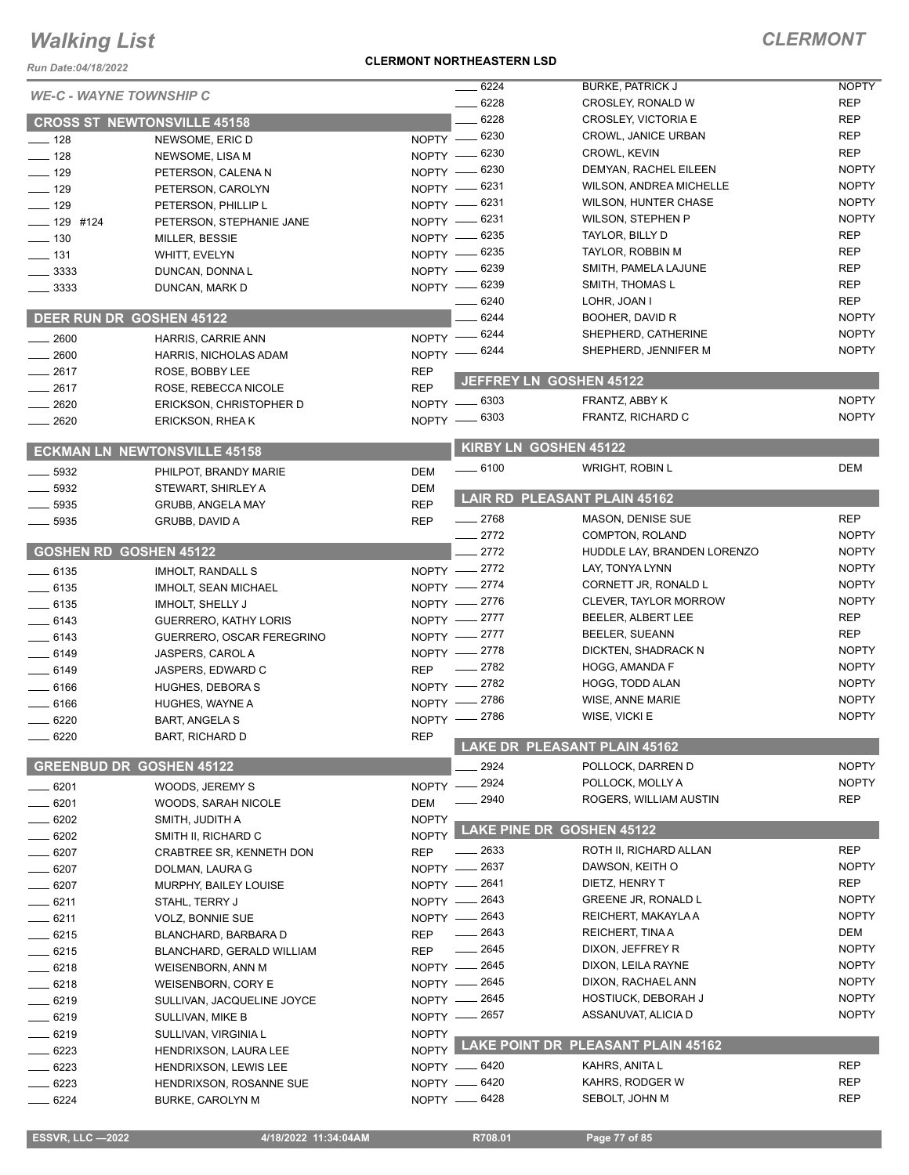#### *Run Date:04/18/2022*

#### **CLERMONT NORTHEASTERN LSD**

| <b>Run Date:04/18/2022</b>     |                                     |              |                           |                                          |                            |
|--------------------------------|-------------------------------------|--------------|---------------------------|------------------------------------------|----------------------------|
| <b>WE-C - WAYNE TOWNSHIP C</b> |                                     |              | 6224                      | <b>BURKE, PATRICK J</b>                  | <b>NOPTY</b>               |
|                                |                                     |              | 6228                      | CROSLEY, RONALD W                        | REP                        |
|                                | <b>CROSS ST NEWTONSVILLE 45158</b>  |              | 6228                      | CROSLEY, VICTORIA E                      | <b>REP</b>                 |
| $- 128$                        | NEWSOME, ERIC D                     |              | NOPTY -8230               | CROWL, JANICE URBAN                      | <b>REP</b>                 |
| $-$ 128                        | NEWSOME, LISA M                     |              | NOPTY -8230               | CROWL, KEVIN                             | <b>REP</b><br><b>NOPTY</b> |
| $- 129$                        | PETERSON, CALENA N                  | $NOPTY$ —    | 6230                      | DEMYAN, RACHEL EILEEN                    | <b>NOPTY</b>               |
| $\equiv$ 129                   | PETERSON, CAROLYN                   |              | NOPTY -8231               | WILSON, ANDREA MICHELLE                  | <b>NOPTY</b>               |
| $\frac{1}{2}$ 129              | PETERSON, PHILLIP L                 | $NOPTY$ —    | 6231                      | <b>WILSON, HUNTER CHASE</b>              | <b>NOPTY</b>               |
| $- 129$ #124                   | PETERSON, STEPHANIE JANE            | NOPTY -      | 6231                      | <b>WILSON, STEPHEN P</b>                 |                            |
| $- 130$                        | MILLER, BESSIE                      | NOPTY -      | 6235                      | TAYLOR, BILLY D                          | <b>REP</b>                 |
| $- 131$                        | WHITT, EVELYN                       | NOPTY -      | 6235                      | TAYLOR, ROBBIN M                         | <b>REP</b>                 |
| $\frac{1}{2}$ 3333             | DUNCAN, DONNA L                     | NOPTY -      | 6239                      | SMITH, PAMELA LAJUNE                     | <b>REP</b>                 |
| 3333                           | DUNCAN, MARK D                      | $NOPTY -$    | 6239                      | SMITH, THOMAS L                          | <b>REP</b>                 |
|                                |                                     |              | 6240                      | LOHR, JOAN I                             | <b>REP</b>                 |
|                                | DEER RUN DR GOSHEN 45122            |              | 6244                      | BOOHER, DAVID R                          | <b>NOPTY</b>               |
| 2600                           | <b>HARRIS, CARRIE ANN</b>           | <b>NOPTY</b> | 6244                      | SHEPHERD, CATHERINE                      | <b>NOPTY</b>               |
| 2600                           | HARRIS, NICHOLAS ADAM               | NOPTY -      | 6244                      | SHEPHERD, JENNIFER M                     | <b>NOPTY</b>               |
| $-2617$                        | ROSE, BOBBY LEE                     | <b>REP</b>   |                           | JEFFREY LN GOSHEN 45122                  |                            |
| $-2617$                        | ROSE, REBECCA NICOLE                | <b>REP</b>   |                           |                                          |                            |
| $-2620$                        | ERICKSON, CHRISTOPHER D             |              | NOPTY - 6303              | FRANTZ, ABBY K                           | <b>NOPTY</b>               |
| 2620                           | ERICKSON, RHEAK                     |              | NOPTY - 6303              | FRANTZ, RICHARD C                        | <b>NOPTY</b>               |
|                                | <b>ECKMAN LN NEWTONSVILLE 45158</b> |              |                           | KIRBY LN GOSHEN 45122                    |                            |
| $\equiv$ 5932                  | PHILPOT, BRANDY MARIE               | <b>DEM</b>   | $\rule{1em}{0.15mm}$ 6100 | <b>WRIGHT, ROBIN L</b>                   | <b>DEM</b>                 |
| $-5932$                        | STEWART, SHIRLEY A                  | <b>DEM</b>   |                           |                                          |                            |
| $-5935$                        | <b>GRUBB, ANGELA MAY</b>            | <b>REP</b>   |                           | <b>LAIR RD PLEASANT PLAIN 45162</b>      |                            |
| 5935                           | GRUBB, DAVID A                      | <b>REP</b>   | $-2768$                   | MASON, DENISE SUE                        | <b>REP</b>                 |
|                                |                                     |              | $-2772$                   | COMPTON, ROLAND                          | <b>NOPTY</b>               |
| <b>GOSHEN RD GOSHEN 45122</b>  |                                     |              | 2772                      | HUDDLE LAY, BRANDEN LORENZO              | <b>NOPTY</b>               |
| $-6135$                        | <b>IMHOLT, RANDALL S</b>            |              | NOPTY -2772               | LAY, TONYA LYNN                          | <b>NOPTY</b>               |
| $-6135$                        | IMHOLT, SEAN MICHAEL                |              | NOPTY -2774               | CORNETT JR, RONALD L                     | <b>NOPTY</b>               |
| $-6135$                        | IMHOLT, SHELLY J                    |              | NOPTY -2776               | <b>CLEVER, TAYLOR MORROW</b>             | <b>NOPTY</b>               |
| $-6143$                        |                                     |              | NOPTY -2777               | BEELER, ALBERT LEE                       | <b>REP</b>                 |
|                                | <b>GUERRERO, KATHY LORIS</b>        |              | NOPTY -2777               | BEELER, SUEANN                           | <b>REP</b>                 |
| $= 6143$                       | GUERRERO, OSCAR FEREGRINO           |              | NOPTY -2778               | DICKTEN, SHADRACK N                      | <b>NOPTY</b>               |
| $-6149$<br>$-6149$             | JASPERS, CAROL A                    | <b>REP</b>   | $-2782$                   | <b>HOGG, AMANDA F</b>                    | <b>NOPTY</b>               |
|                                | JASPERS, EDWARD C                   |              | NOPTY -2782               | HOGG, TODD ALAN                          | <b>NOPTY</b>               |
| $-6166$                        | <b>HUGHES, DEBORA S</b>             | $NOPTY$ -    | 2786                      | WISE, ANNE MARIE                         | <b>NOPTY</b>               |
| $-6166$                        | HUGHES, WAYNE A                     |              | NOPTY -2786               | WISE, VICKI E                            | <b>NOPTY</b>               |
| $-6220$                        | <b>BART, ANGELA S</b>               |              |                           |                                          |                            |
| $- 6220$                       | <b>BART, RICHARD D</b>              | <b>REP</b>   |                           | LAKE DR PLEASANT PLAIN 45162             |                            |
|                                | <b>GREENBUD DR GOSHEN 45122</b>     |              | 2924                      | POLLOCK, DARREN D                        | <b>NOPTY</b>               |
| 6201                           | WOODS, JEREMY S                     | $N$ OPTY $-$ | 2924                      | POLLOCK, MOLLY A                         | <b>NOPTY</b>               |
| 6201                           | WOODS, SARAH NICOLE                 | <b>DEM</b>   | 2940                      | ROGERS, WILLIAM AUSTIN                   | REP                        |
| $-6202$                        | SMITH, JUDITH A                     | <b>NOPTY</b> |                           |                                          |                            |
| $-6202$                        | SMITH II, RICHARD C                 | <b>NOPTY</b> |                           | <b>LAKE PINE DR GOSHEN 45122</b>         |                            |
| $-6207$                        | CRABTREE SR, KENNETH DON            | <b>REP</b>   | $-2633$                   | ROTH II, RICHARD ALLAN                   | <b>REP</b>                 |
| $-6207$                        | DOLMAN, LAURA G                     | NOPTY -      | $=2637$                   | DAWSON, KEITH O                          | <b>NOPTY</b>               |
| 6207                           | MURPHY, BAILEY LOUISE               |              | NOPTY - 2641              | DIETZ, HENRY T                           | <b>REP</b>                 |
| 6211                           | STAHL, TERRY J                      | NOPTY -      | 2643                      | GREENE JR, RONALD L                      | <b>NOPTY</b>               |
| $-6211$                        | VOLZ, BONNIE SUE                    |              | NOPTY - 2643              | REICHERT, MAKAYLA A                      | <b>NOPTY</b>               |
| $-6215$                        | BLANCHARD, BARBARA D                | <b>REP</b>   | 2643                      | REICHERT, TINA A                         | DEM                        |
| $-6215$                        | BLANCHARD, GERALD WILLIAM           | <b>REP</b>   | 2645                      | DIXON, JEFFREY R                         | <b>NOPTY</b>               |
| $-6218$                        | WEISENBORN, ANN M                   |              | NOPTY -2645               | DIXON, LEILA RAYNE                       | <b>NOPTY</b>               |
| — 6218                         | WEISENBORN, CORY E                  | $NOPTY$ -    | $-2645$                   | DIXON, RACHAEL ANN                       | <b>NOPTY</b>               |
| $-6219$                        | SULLIVAN, JACQUELINE JOYCE          |              | NOPTY - 2645              | HOSTIUCK, DEBORAH J                      | <b>NOPTY</b>               |
| $-6219$                        | SULLIVAN, MIKE B                    |              | NOPTY - 2657              | ASSANUVAT, ALICIA D                      | <b>NOPTY</b>               |
| $-6219$                        | SULLIVAN, VIRGINIA L                | <b>NOPTY</b> |                           |                                          |                            |
| 6223                           | HENDRIXSON, LAURA LEE               |              |                           | NOPTY LAKE POINT DR PLEASANT PLAIN 45162 |                            |
| 6223                           | HENDRIXSON, LEWIS LEE               |              | NOPTY __ 6420             | KAHRS, ANITA L                           | <b>REP</b>                 |
| 6223                           | HENDRIXSON, ROSANNE SUE             |              | NOPTY -6420               | KAHRS, RODGER W                          | <b>REP</b>                 |
| 6224                           | BURKE, CAROLYN M                    |              | NOPTY -6428               | SEBOLT, JOHN M                           | <b>REP</b>                 |
|                                |                                     |              |                           |                                          |                            |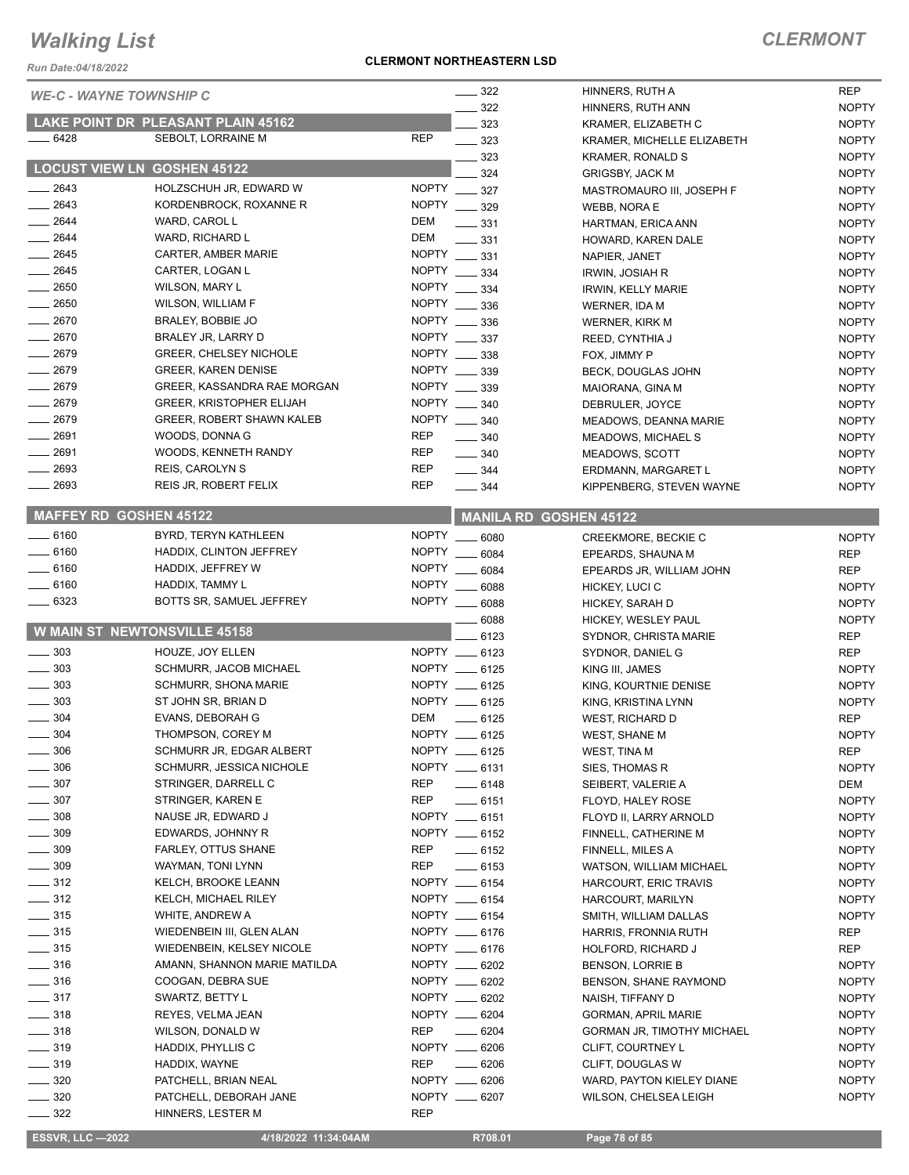*Run Date:04/18/2022*

|                   | <b>WE-C - WAYNE TOWNSHIP C</b>      | $\frac{1}{2}$ 322               | HINNERS, RUTH A                   | <b>REP</b>   |
|-------------------|-------------------------------------|---------------------------------|-----------------------------------|--------------|
|                   |                                     | 322                             | HINNERS, RUTH ANN                 | <b>NOPTY</b> |
|                   | LAKE POINT DR PLEASANT PLAIN 45162  | 323                             | KRAMER. ELIZABETH C               | <b>NOPTY</b> |
| $-6428$           | SEBOLT, LORRAINE M                  | <b>REP</b><br>$\frac{1}{2}$ 323 | KRAMER, MICHELLE ELIZABETH        | <b>NOPTY</b> |
|                   |                                     | 323                             | KRAMER, RONALD S                  | <b>NOPTY</b> |
|                   | <b>LOCUST VIEW LN GOSHEN 45122</b>  | 324                             | <b>GRIGSBY, JACK M</b>            | <b>NOPTY</b> |
| $-2643$           | HOLZSCHUH JR, EDWARD W              | NOPTY _____ 327                 | MASTROMAURO III, JOSEPH F         | <b>NOPTY</b> |
| $-2643$           | KORDENBROCK, ROXANNE R              | NOPTY __ 329                    | <b>WEBB, NORA E</b>               | <b>NOPTY</b> |
| 2644              | WARD, CAROL L                       | DEM<br>$\frac{1}{2}$ 331        | HARTMAN, ERICA ANN                | <b>NOPTY</b> |
| 2644              | WARD, RICHARD L                     | DEM<br>$\frac{1}{2}$ 331        | HOWARD, KAREN DALE                | <b>NOPTY</b> |
| $-2645$           | CARTER, AMBER MARIE                 | NOPTY ____ 331                  | NAPIER, JANET                     | <b>NOPTY</b> |
| $-2645$           | CARTER, LOGAN L                     | NOPTY __ 334                    | <b>IRWIN, JOSIAH R</b>            | <b>NOPTY</b> |
| $- 2650$          | <b>WILSON, MARY L</b>               | NOPTY __ 334                    | IRWIN, KELLY MARIE                | <b>NOPTY</b> |
| $-2650$           | WILSON, WILLIAM F                   | NOPTY _____ 336                 | WERNER, IDA M                     | <b>NOPTY</b> |
| $-2670$           | BRALEY, BOBBIE JO                   | NOPTY ____ 336                  | WERNER, KIRK M                    | <b>NOPTY</b> |
| $-2670$           | BRALEY JR, LARRY D                  | NOPTY __ 337                    | REED, CYNTHIA J                   | <b>NOPTY</b> |
| 2679              | <b>GREER, CHELSEY NICHOLE</b>       | NOPTY __ 338                    | FOX, JIMMY P                      | <b>NOPTY</b> |
| $-2679$           | <b>GREER, KAREN DENISE</b>          | NOPTY __ 339                    | BECK, DOUGLAS JOHN                | <b>NOPTY</b> |
| 2679              | GREER, KASSANDRA RAE MORGAN         | <b>NOPTY</b><br>339             | MAIORANA, GINA M                  | <b>NOPTY</b> |
| $-2679$           | <b>GREER, KRISTOPHER ELIJAH</b>     | NOPTY __ 340                    | DEBRULER, JOYCE                   | <b>NOPTY</b> |
| $-2679$           | <b>GREER, ROBERT SHAWN KALEB</b>    | NOPTY __ 340                    | MEADOWS, DEANNA MARIE             | <b>NOPTY</b> |
| 2691              | WOODS, DONNA G                      | <b>REP</b><br>$\frac{1}{2}$ 340 | <b>MEADOWS, MICHAEL S</b>         | <b>NOPTY</b> |
| 2691              | WOODS, KENNETH RANDY                | REP<br>$\frac{1}{2}$ 340        | <b>MEADOWS, SCOTT</b>             | <b>NOPTY</b> |
| 2693              | <b>REIS, CAROLYN S</b>              | <b>REP</b><br>$\frac{1}{2}$ 344 | ERDMANN, MARGARET L               | <b>NOPTY</b> |
| 2693              | REIS JR, ROBERT FELIX               | <b>REP</b><br>$\frac{1}{2}$ 344 | KIPPENBERG, STEVEN WAYNE          | <b>NOPTY</b> |
|                   | <b>MAFFEY RD GOSHEN 45122</b>       |                                 | <b>MANILA RD GOSHEN 45122</b>     |              |
| $-6160$           | BYRD, TERYN KATHLEEN                | NOPTY __ 6080                   | CREEKMORE, BECKIE C               | <b>NOPTY</b> |
| $-6160$           | HADDIX, CLINTON JEFFREY             | NOPTY __ 6084                   | EPEARDS, SHAUNA M                 | <b>REP</b>   |
| $-6160$           | HADDIX, JEFFREY W                   | NOPTY __<br>6084                | EPEARDS JR, WILLIAM JOHN          | <b>REP</b>   |
| $-6160$           | HADDIX, TAMMY L                     | NOPTY __ 6088                   | HICKEY, LUCI C                    | <b>NOPTY</b> |
| 6323              | BOTTS SR, SAMUEL JEFFREY            | NOPTY __ 6088                   | HICKEY, SARAH D                   | <b>NOPTY</b> |
|                   |                                     | 6088                            | HICKEY, WESLEY PAUL               | <b>NOPTY</b> |
|                   | <b>W MAIN ST NEWTONSVILLE 45158</b> | 6123                            | SYDNOR, CHRISTA MARIE             | <b>REP</b>   |
| 303               | HOUZE, JOY ELLEN                    | NOPTY __ 6123                   | SYDNOR, DANIEL G                  | <b>REP</b>   |
| 303               | SCHMURR, JACOB MICHAEL              | NOPTY __ 6125                   | KING III, JAMES                   | <b>NOPTY</b> |
| $\frac{1}{2}$ 303 | <b>SCHMURR, SHONA MARIE</b>         | NOPTY __ 6125                   | KING, KOURTNIE DENISE             | <b>NOPTY</b> |
| 303               | ST JOHN SR, BRIAN D                 | NOPTY __ 6125                   | KING, KRISTINA LYNN               | <b>NOPTY</b> |
| 304               | EVANS, DEBORAH G                    | DEM<br>$-6125$                  | WEST, RICHARD D                   | <b>REP</b>   |
| $-304$            | THOMPSON, COREY M                   | NOPTY __ 6125                   | WEST, SHANE M                     | <b>NOPTY</b> |
| 306               | SCHMURR JR, EDGAR ALBERT            | NOPTY __ 6125                   | WEST, TINA M                      | REP          |
| 306               | SCHMURR, JESSICA NICHOLE            | NOPTY __ 6131                   | SIES, THOMAS R                    | <b>NOPTY</b> |
| 307               | STRINGER, DARRELL C                 | REP<br>$-6148$                  | SEIBERT, VALERIE A                | DEM          |
| 307               | STRINGER, KAREN E                   | REP<br>$-6151$                  | FLOYD, HALEY ROSE                 | <b>NOPTY</b> |
| $\frac{1}{2}$ 308 | NAUSE JR, EDWARD J                  | NOPTY __ 6151                   | FLOYD II, LARRY ARNOLD            | <b>NOPTY</b> |
| $\frac{1}{2}$ 309 | EDWARDS, JOHNNY R                   | NOPTY __ 6152                   | FINNELL, CATHERINE M              | <b>NOPTY</b> |
| $\frac{1}{2}$ 309 | FARLEY, OTTUS SHANE                 | REP<br>$-6152$                  | FINNELL, MILES A                  | <b>NOPTY</b> |
| $\frac{1}{2}$ 309 | WAYMAN, TONI LYNN                   | REP<br>$\frac{1}{2}$ 6153       | <b>WATSON, WILLIAM MICHAEL</b>    | <b>NOPTY</b> |
| $-312$            | KELCH, BROOKE LEANN                 | NOPTY __ 6154                   | HARCOURT, ERIC TRAVIS             | <b>NOPTY</b> |
| $\frac{312}{2}$   | KELCH, MICHAEL RILEY                | NOPTY __ 6154                   | HARCOURT, MARILYN                 | <b>NOPTY</b> |
| $\frac{1}{2}$ 315 | WHITE, ANDREW A                     | NOPTY __ 6154                   | SMITH, WILLIAM DALLAS             | <b>NOPTY</b> |
| $\frac{1}{2}$ 315 | WIEDENBEIN III, GLEN ALAN           | NOPTY __ 6176                   | HARRIS, FRONNIA RUTH              | REP          |
| $\frac{1}{2}$ 315 | WIEDENBEIN, KELSEY NICOLE           | NOPTY __ 6176                   | HOLFORD, RICHARD J                | REP          |
| $-316$            | AMANN, SHANNON MARIE MATILDA        | NOPTY __ 6202                   | <b>BENSON, LORRIE B</b>           | <b>NOPTY</b> |
| $\frac{1}{2}$ 316 | COOGAN, DEBRA SUE                   | NOPTY __ 6202                   | BENSON, SHANE RAYMOND             | <b>NOPTY</b> |
| $- 317$           | SWARTZ, BETTY L                     | NOPTY __ 6202                   | NAISH, TIFFANY D                  | <b>NOPTY</b> |
| $\frac{1}{2}$ 318 | REYES, VELMA JEAN                   | NOPTY __ 6204                   | <b>GORMAN, APRIL MARIE</b>        | <b>NOPTY</b> |
| $\frac{1}{2}$ 318 | WILSON, DONALD W                    | REP<br>$- 6204$                 | <b>GORMAN JR, TIMOTHY MICHAEL</b> | <b>NOPTY</b> |
| $\frac{1}{2}$ 319 | HADDIX, PHYLLIS C                   | NOPTY __ 6206                   | CLIFT, COURTNEY L                 | <b>NOPTY</b> |
| $\frac{1}{2}$ 319 | HADDIX, WAYNE                       | <b>REP</b><br>$- 6206$          | CLIFT, DOUGLAS W                  | <b>NOPTY</b> |
| $-320$            | PATCHELL, BRIAN NEAL                | NOPTY __ 6206                   | WARD, PAYTON KIELEY DIANE         | <b>NOPTY</b> |
| $\frac{1}{2}$ 320 | PATCHELL, DEBORAH JANE              | NOPTY __ 6207                   | WILSON, CHELSEA LEIGH             | <b>NOPTY</b> |
| $\sim$ 322        | HINNERS, LESTER M                   | <b>REP</b>                      |                                   |              |

 **ESSVR, LLC —2022 4/18/2022 11:34:04AM R708.01 Page 78 of 85**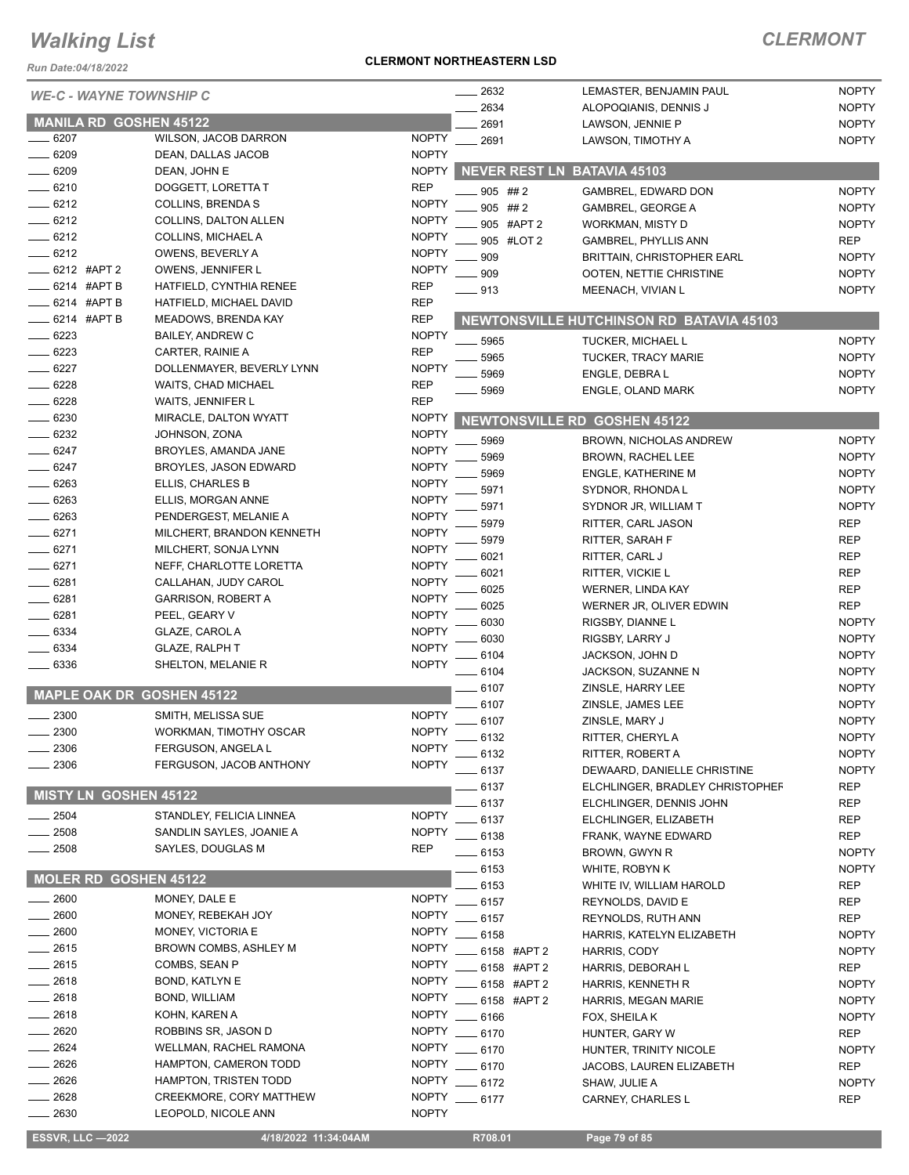*Run Date:04/18/2022*

### **CLERMONT NORTHEASTERN LSD**

| <b>WE-C - WAYNE TOWNSHIP C</b>   |                              |                            | 2632                                | LEMASTER, BENJAMIN PAUL                       | <b>NOPTY</b>             |
|----------------------------------|------------------------------|----------------------------|-------------------------------------|-----------------------------------------------|--------------------------|
|                                  |                              |                            | 2634                                | ALOPOQIANIS, DENNIS J                         | <b>NOPTY</b>             |
| <b>MANILA RD GOSHEN 45122</b>    |                              |                            | 2691                                | LAWSON, JENNIE P                              | <b>NOPTY</b>             |
| 6207                             | WILSON, JACOB DARRON         | <b>NOPTY</b>               | 2691                                | LAWSON, TIMOTHY A                             | <b>NOPTY</b>             |
| $-6209$                          | DEAN, DALLAS JACOB           | <b>NOPTY</b>               |                                     |                                               |                          |
| $-6209$                          | DEAN, JOHN E                 | <b>NOPTY</b>               | <b>NEVER REST LN BATAVIA 45103</b>  |                                               |                          |
| $- 6210$                         | DOGGETT, LORETTA T           | <b>REP</b>                 | $905$ ## 2                          | GAMBREL, EDWARD DON                           | <b>NOPTY</b>             |
| $-6212$                          | <b>COLLINS, BRENDA S</b>     | <b>NOPTY</b>               | $905$ ## 2                          | <b>GAMBREL, GEORGE A</b>                      | <b>NOPTY</b>             |
| $-6212$                          | COLLINS, DALTON ALLEN        | <b>NOPTY</b>               | 905 #APT 2                          | WORKMAN, MISTY D                              | <b>NOPTY</b>             |
| $- 6212$                         | COLLINS, MICHAEL A           | <b>NOPTY</b>               | 905 #LOT 2                          | <b>GAMBREL, PHYLLIS ANN</b>                   | <b>REP</b>               |
| $-6212$                          | OWENS, BEVERLY A             | <b>NOPTY</b>               | 909                                 | <b>BRITTAIN, CHRISTOPHER EARL</b>             | <b>NOPTY</b>             |
| _ 6212 #APT 2                    | OWENS, JENNIFER L            | <b>NOPTY</b>               | 909                                 | OOTEN, NETTIE CHRISTINE                       | <b>NOPTY</b>             |
| _ 6214 #APT B                    | HATFIELD, CYNTHIA RENEE      | <b>REP</b>                 | $=913$                              | MEENACH, VIVIAN L                             | <b>NOPTY</b>             |
| $-6214$ #APT B                   | HATFIELD, MICHAEL DAVID      | <b>REP</b>                 |                                     |                                               |                          |
| $\equiv$ 6214 #APT B             | <b>MEADOWS, BRENDA KAY</b>   | <b>REP</b>                 |                                     | NEWTONSVILLE HUTCHINSON RD BATAVIA 45103      |                          |
| $-6223$                          | BAILEY, ANDREW C             | <b>NOPTY</b>               | 5965                                | <b>TUCKER, MICHAEL L</b>                      | <b>NOPTY</b>             |
| $- 6223$                         | CARTER, RAINIE A             | <b>REP</b>                 | 5965                                | <b>TUCKER, TRACY MARIE</b>                    | <b>NOPTY</b>             |
| $-6227$                          | DOLLENMAYER, BEVERLY LYNN    | <b>NOPTY</b>               | 5969                                | ENGLE, DEBRA L                                | <b>NOPTY</b>             |
| $-6228$                          | <b>WAITS, CHAD MICHAEL</b>   | REP                        | 5969                                | ENGLE, OLAND MARK                             | <b>NOPTY</b>             |
| $-6228$                          | WAITS, JENNIFER L            | <b>REP</b>                 |                                     |                                               |                          |
| $-6230$                          | MIRACLE, DALTON WYATT        | <b>NOPTY</b>               | <b>NEWTONSVILLE RD GOSHEN 45122</b> |                                               |                          |
| $-6232$                          | JOHNSON, ZONA                | <b>NOPTY</b>               | 5969                                | BROWN, NICHOLAS ANDREW                        | <b>NOPTY</b>             |
| $-6247$                          | BROYLES, AMANDA JANE         | <b>NOPTY</b>               | 5969                                | BROWN, RACHEL LEE                             | <b>NOPTY</b>             |
| _ 6247                           | <b>BROYLES, JASON EDWARD</b> | <b>NOPTY</b>               | 5969                                |                                               | <b>NOPTY</b>             |
| $-6263$                          | ELLIS, CHARLES B             | <b>NOPTY</b>               | 5971                                | <b>ENGLE, KATHERINE M</b><br>SYDNOR, RHONDA L | <b>NOPTY</b>             |
| $-6263$                          | ELLIS, MORGAN ANNE           | <b>NOPTY</b>               |                                     |                                               | <b>NOPTY</b>             |
| $- 6263$                         | PENDERGEST, MELANIE A        | <b>NOPTY</b>               | 5971                                | SYDNOR JR, WILLIAM T                          |                          |
| $-6271$                          | MILCHERT, BRANDON KENNETH    | <b>NOPTY</b>               | 5979                                | RITTER, CARL JASON                            | <b>REP</b><br><b>REP</b> |
| $-6271$                          | MILCHERT, SONJA LYNN         | <b>NOPTY</b>               | 5979                                | RITTER, SARAH F                               |                          |
| $-6271$                          | NEFF, CHARLOTTE LORETTA      | <b>NOPTY</b>               | 6021                                | RITTER, CARL J                                | <b>REP</b>               |
| 6281                             | CALLAHAN, JUDY CAROL         | <b>NOPTY</b>               | 6021                                | RITTER, VICKIE L                              | <b>REP</b>               |
| _ 6281                           | <b>GARRISON, ROBERT A</b>    | <b>NOPTY</b>               | 6025                                | <b>WERNER, LINDA KAY</b>                      | <b>REP</b>               |
| $-6281$                          | PEEL, GEARY V                | <b>NOPTY</b>               | 6025                                | WERNER JR, OLIVER EDWIN                       | <b>REP</b>               |
| $-6334$                          | GLAZE, CAROL A               | <b>NOPTY</b>               | 6030                                | RIGSBY, DIANNE L                              | <b>NOPTY</b>             |
| $-6334$                          | <b>GLAZE, RALPH T</b>        | <b>NOPTY</b>               | 6030                                | RIGSBY, LARRY J                               | <b>NOPTY</b>             |
| $-6336$                          | SHELTON, MELANIE R           | <b>NOPTY</b>               | 6104                                | JACKSON, JOHN D                               | <b>NOPTY</b>             |
|                                  |                              |                            | 6104                                | JACKSON, SUZANNE N                            | <b>NOPTY</b>             |
| <b>MAPLE OAK DR GOSHEN 45122</b> |                              |                            | 6107                                | ZINSLE, HARRY LEE                             | <b>NOPTY</b>             |
| 2300                             | SMITH, MELISSA SUE           | <b>NOPTY</b>               | 6107                                | ZINSLE, JAMES LEE                             | <b>NOPTY</b>             |
| 2300                             | WORKMAN, TIMOTHY OSCAR       | <b>NOPTY</b>               | 6107                                | ZINSLE, MARY J                                | <b>NOPTY</b>             |
| 2306                             | FERGUSON, ANGELA L           | <b>NOPTY</b>               | 6132                                | RITTER, CHERYL A                              | <b>NOPTY</b>             |
| 2306                             | FERGUSON, JACOB ANTHONY      | <b>NOPTY</b>               | - 6132                              | RITTER, ROBERT A                              | <b>NOPTY</b>             |
|                                  |                              |                            | . 6137                              | DEWAARD, DANIELLE CHRISTINE                   | <b>NOPTY</b>             |
| MISTY LN GOSHEN 45122            |                              |                            | 6137                                | ELCHLINGER, BRADLEY CHRISTOPHEF               | REP                      |
| $-2504$                          | STANDLEY, FELICIA LINNEA     | <b>NOPTY</b>               | 6137                                | ELCHLINGER, DENNIS JOHN                       | <b>REP</b>               |
|                                  | SANDLIN SAYLES, JOANIE A     |                            | 6137                                | ELCHLINGER, ELIZABETH                         | <b>REP</b>               |
| 2508<br>$-2508$                  | SAYLES, DOUGLAS M            | <b>NOPTY</b><br><b>REP</b> | 6138                                | FRANK, WAYNE EDWARD                           | <b>REP</b>               |
|                                  |                              |                            | $-6153$                             | BROWN, GWYN R                                 | <b>NOPTY</b>             |
| MOLER RD GOSHEN 45122            |                              |                            | $-6153$                             | WHITE, ROBYN K                                | <b>NOPTY</b>             |
|                                  |                              |                            | 6153                                | WHITE IV, WILLIAM HAROLD                      | REP                      |
| $\frac{1}{2600}$                 | MONEY, DALE E                | <b>NOPTY</b>               | 6157                                | REYNOLDS, DAVID E                             | <b>REP</b>               |
| $-2600$                          | MONEY, REBEKAH JOY           | <b>NOPTY</b>               | 6157                                | REYNOLDS, RUTH ANN                            | REP                      |
| $-2600$                          | MONEY, VICTORIA E            | <b>NOPTY</b>               | 6158                                | HARRIS, KATELYN ELIZABETH                     | <b>NOPTY</b>             |
| $-2615$                          | BROWN COMBS, ASHLEY M        | <b>NOPTY</b>               | 6158 #APT 2                         | HARRIS, CODY                                  | <b>NOPTY</b>             |
| $-2615$                          | COMBS, SEAN P                | <b>NOPTY</b>               | 6158 #APT 2                         | HARRIS, DEBORAH L                             | REP                      |
| $-2618$                          | <b>BOND, KATLYN E</b>        | <b>NOPTY</b>               | 6158 #APT 2                         | HARRIS, KENNETH R                             | <b>NOPTY</b>             |
| $-2618$                          | BOND, WILLIAM                | <b>NOPTY</b>               | 6158 #APT 2                         | HARRIS, MEGAN MARIE                           | <b>NOPTY</b>             |
| $-2618$                          | KOHN, KAREN A                | <b>NOPTY</b>               | 6166                                | FOX, SHEILA K                                 | <b>NOPTY</b>             |
| $= 2620$                         | ROBBINS SR, JASON D          | <b>NOPTY</b>               | $-6170$                             | HUNTER, GARY W                                | REP                      |
| $-2624$                          | WELLMAN, RACHEL RAMONA       | <b>NOPTY</b>               | - 6170                              | HUNTER, TRINITY NICOLE                        | <b>NOPTY</b>             |
| _ 2626                           | HAMPTON, CAMERON TODD        | <b>NOPTY</b>               | 6170                                | JACOBS, LAUREN ELIZABETH                      | <b>REP</b>               |
| - 2626                           | HAMPTON, TRISTEN TODD        | <b>NOPTY</b>               | $-6172$                             | SHAW, JULIE A                                 | <b>NOPTY</b>             |
| $-2628$                          | CREEKMORE, CORY MATTHEW      | <b>NOPTY</b>               | $-6177$                             | CARNEY, CHARLES L                             | <b>REP</b>               |
| $= 2630$                         | LEOPOLD, NICOLE ANN          | <b>NOPTY</b>               |                                     |                                               |                          |
| <b>ESSVR, LLC —2022</b>          | 4/18/2022 11:34:04AM         |                            | R708.01                             | Page 79 of 85                                 |                          |
|                                  |                              |                            |                                     |                                               |                          |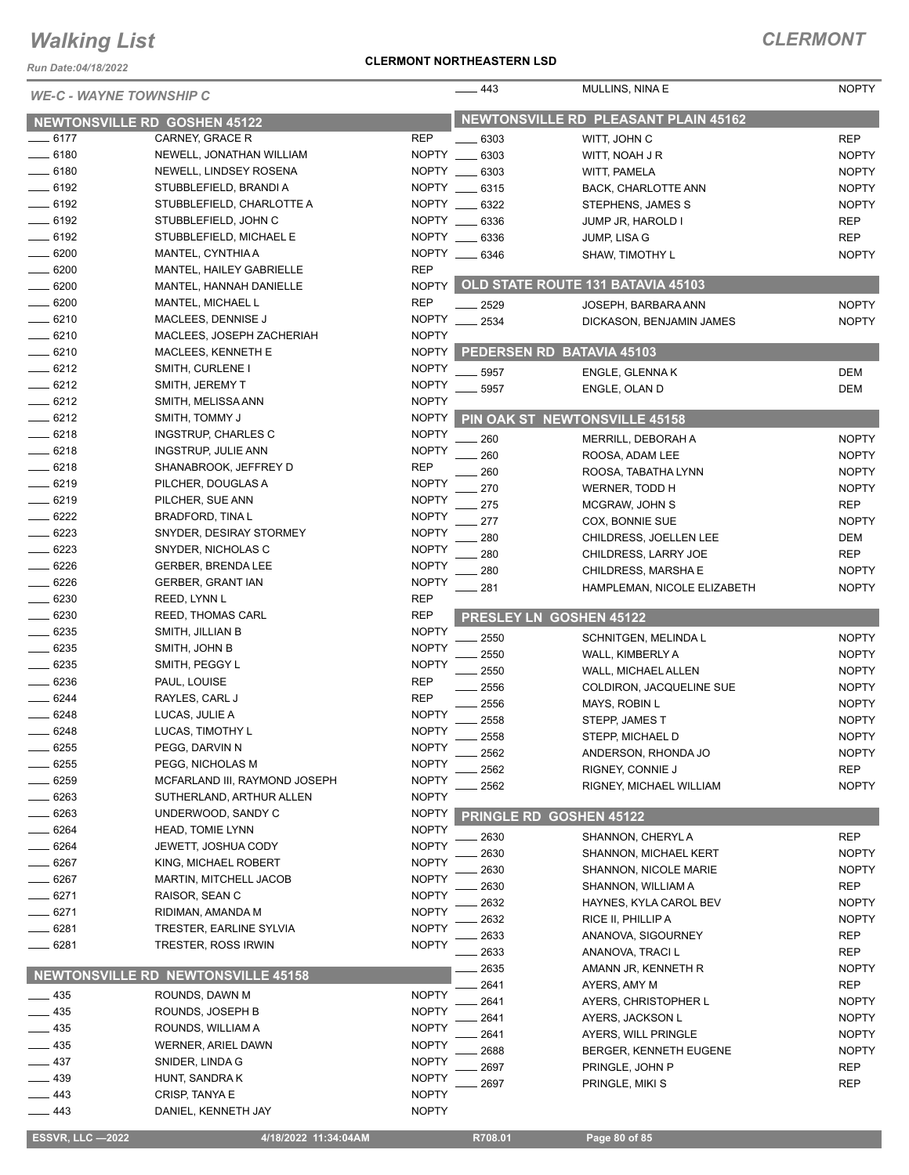*Run Date:04/18/2022*

#### **CLERMONT NORTHEASTERN LSD**

| <b>WE-C - WAYNE TOWNSHIP C</b>      |                                       |                              | 443               | MULLINS, NINA E                             | <b>NOPTY</b>               |
|-------------------------------------|---------------------------------------|------------------------------|-------------------|---------------------------------------------|----------------------------|
| <b>NEWTONSVILLE RD GOSHEN 45122</b> |                                       |                              |                   | <b>NEWTONSVILLE RD PLEASANT PLAIN 45162</b> |                            |
| $-6177$                             | CARNEY, GRACE R                       | <b>REP</b>                   | 6303              | WITT, JOHN C                                | <b>REP</b>                 |
| $- 6180$                            | NEWELL, JONATHAN WILLIAM              | NOPTY __                     | 6303              | WITT, NOAH J R                              | <b>NOPTY</b>               |
| $- 6180$                            | NEWELL, LINDSEY ROSENA                | <b>NOPTY</b>                 | 6303              | WITT, PAMELA                                | <b>NOPTY</b>               |
| $-6192$                             | STUBBLEFIELD, BRANDI A                | NOPTY __                     | 6315              | BACK, CHARLOTTE ANN                         | <b>NOPTY</b>               |
| $- 6192$                            | STUBBLEFIELD, CHARLOTTE A             | NOPTY __                     | 6322              | STEPHENS, JAMES S                           | <b>NOPTY</b>               |
| $-6192$                             | STUBBLEFIELD, JOHN C                  | NOPTY                        | 6336              | JUMP JR, HAROLD I                           | <b>REP</b>                 |
| $- 6192$                            | STUBBLEFIELD, MICHAEL E               | NOPTY ___                    | 6336              | JUMP, LISA G                                | <b>REP</b>                 |
| 6200                                | MANTEL, CYNTHIA A                     | NOPTY __                     | 6346              | SHAW, TIMOTHY L                             | <b>NOPTY</b>               |
| $-6200$                             | MANTEL, HAILEY GABRIELLE              | <b>REP</b>                   |                   |                                             |                            |
| $- 6200$                            | MANTEL. HANNAH DANIELLE               | <b>NOPTY</b>                 |                   | OLD STATE ROUTE 131 BATAVIA 45103           |                            |
| 6200                                | MANTEL, MICHAEL L                     | <b>REP</b>                   | 2529              | JOSEPH, BARBARA ANN                         | <b>NOPTY</b>               |
| $- 6210$                            | MACLEES, DENNISE J                    | <b>NOPTY</b>                 | 2534              | DICKASON, BENJAMIN JAMES                    | <b>NOPTY</b>               |
| $- 6210$                            | MACLEES, JOSEPH ZACHERIAH             | <b>NOPTY</b>                 |                   |                                             |                            |
| $- 6210$                            | MACLEES, KENNETH E                    | <b>NOPTY</b>                 |                   | PEDERSEN RD BATAVIA 45103                   |                            |
| $-6212$                             | SMITH, CURLENE I                      | <b>NOPTY</b>                 | 5957              | ENGLE, GLENNAK                              | <b>DEM</b>                 |
| $-6212$                             | SMITH, JEREMY T                       | <b>NOPTY</b>                 | 5957              | ENGLE, OLAN D                               | <b>DEM</b>                 |
| $-6212$                             | SMITH, MELISSA ANN                    | <b>NOPTY</b>                 |                   |                                             |                            |
| $-6212$                             | SMITH, TOMMY J                        | <b>NOPTY</b>                 |                   | PIN OAK ST NEWTONSVILLE 45158               |                            |
| $-6218$                             | INGSTRUP, CHARLES C                   | <b>NOPTY</b>                 | 260               | MERRILL, DEBORAH A                          | <b>NOPTY</b>               |
| $-6218$                             | <b>INGSTRUP, JULIE ANN</b>            | <b>NOPTY</b>                 | 260               | ROOSA, ADAM LEE                             | <b>NOPTY</b>               |
| $-6218$                             | SHANABROOK, JEFFREY D                 | <b>REP</b>                   | 260               | ROOSA, TABATHA LYNN                         | <b>NOPTY</b>               |
| $-6219$                             | PILCHER, DOUGLAS A                    | <b>NOPTY</b>                 | 270               | WERNER, TODD H                              | <b>NOPTY</b>               |
| $-6219$                             | PILCHER, SUE ANN                      | <b>NOPTY</b>                 | 275               | MCGRAW, JOHN S                              | <b>REP</b>                 |
| $-6222$                             | <b>BRADFORD, TINA L</b>               | <b>NOPTY</b>                 | 277               | COX, BONNIE SUE                             | <b>NOPTY</b>               |
| $- 6223$                            | SNYDER, DESIRAY STORMEY               | <b>NOPTY</b>                 | 280               | CHILDRESS, JOELLEN LEE                      | DEM                        |
| 6223                                | SNYDER, NICHOLAS C                    | <b>NOPTY</b>                 | 280               | CHILDRESS, LARRY JOE                        | <b>REP</b>                 |
| $- 6226$                            | <b>GERBER, BRENDA LEE</b>             | <b>NOPTY</b>                 | 280               | CHILDRESS, MARSHA E                         | <b>NOPTY</b>               |
| 6226                                | GERBER, GRANT IAN                     | <b>NOPTY</b>                 | 281               | HAMPLEMAN, NICOLE ELIZABETH                 | <b>NOPTY</b>               |
| $-6230$                             | REED, LYNN L                          | <b>REP</b>                   |                   |                                             |                            |
|                                     |                                       |                              |                   |                                             |                            |
| $- 6230$                            | <b>REED, THOMAS CARL</b>              | <b>REP</b>                   |                   | <b>PRESLEY LN GOSHEN 45122</b>              |                            |
| 6235                                | SMITH, JILLIAN B                      | <b>NOPTY</b>                 |                   |                                             |                            |
| $- 6235$                            | SMITH, JOHN B                         | <b>NOPTY</b>                 | 2550              | SCHNITGEN, MELINDA L                        | <b>NOPTY</b>               |
| 6235                                | SMITH, PEGGY L                        | <b>NOPTY</b>                 | 2550              | WALL, KIMBERLY A                            | <b>NOPTY</b>               |
| $- 6236$                            | PAUL, LOUISE                          | <b>REP</b>                   | 2550              | WALL, MICHAEL ALLEN                         | <b>NOPTY</b>               |
| $- 6244$                            | RAYLES, CARL J                        | <b>REP</b>                   | 2556              | COLDIRON, JACQUELINE SUE                    | <b>NOPTY</b>               |
| 6248                                | LUCAS, JULIE A                        | <b>NOPTY</b>                 | 2556              | MAYS, ROBIN L                               | <b>NOPTY</b>               |
| $-6248$                             | LUCAS, TIMOTHY L                      | <b>NOPTY</b>                 | 2558              | STEPP, JAMES T                              | <b>NOPTY</b>               |
| 6255                                | PEGG, DARVIN N                        | <b>NOPTY</b>                 | 2558              | STEPP, MICHAEL D                            | <b>NOPTY</b>               |
| 6255                                | PEGG, NICHOLAS M                      | <b>NOPTY</b>                 | 2562              | ANDERSON, RHONDA JO                         | <b>NOPTY</b>               |
| 6259                                | MCFARLAND III, RAYMOND JOSEPH         | <b>NOPTY</b>                 | 2562              | RIGNEY, CONNIE J                            | <b>REP</b>                 |
| 6263                                | SUTHERLAND, ARTHUR ALLEN              | <b>NOPTY</b>                 | 2562              | RIGNEY, MICHAEL WILLIAM                     | <b>NOPTY</b>               |
| 6263                                | UNDERWOOD, SANDY C                    | <b>NOPTY</b>                 | <b>PRINGLE RD</b> | <b>GOSHEN 45122</b>                         |                            |
| 6264                                | HEAD, TOMIE LYNN                      | <b>NOPTY</b>                 |                   |                                             |                            |
| 6264                                | JEWETT, JOSHUA CODY                   | <b>NOPTY</b>                 | 2630              | SHANNON, CHERYL A                           | <b>REP</b>                 |
| 6267                                | KING, MICHAEL ROBERT                  | <b>NOPTY</b>                 | 2630              | SHANNON, MICHAEL KERT                       | <b>NOPTY</b>               |
| 6267                                | MARTIN, MITCHELL JACOB                | <b>NOPTY</b>                 | 2630              | <b>SHANNON, NICOLE MARIE</b>                | <b>NOPTY</b>               |
| 6271                                | RAISOR, SEAN C                        | <b>NOPTY</b>                 | 2630              | SHANNON, WILLIAM A                          | REP                        |
| 6271                                | RIDIMAN, AMANDA M                     | <b>NOPTY</b>                 | 2632              | HAYNES, KYLA CAROL BEV                      | <b>NOPTY</b>               |
| 6281                                | TRESTER, EARLINE SYLVIA               | <b>NOPTY</b>                 | 2632              | RICE II, PHILLIP A                          | <b>NOPTY</b>               |
| $-6281$                             | TRESTER, ROSS IRWIN                   | <b>NOPTY</b>                 | 2633              | ANANOVA, SIGOURNEY                          | <b>REP</b>                 |
|                                     |                                       |                              | 2633              | ANANOVA, TRACI L                            | <b>REP</b>                 |
|                                     | NEWTONSVILLE RD NEWTONSVILLE 45158    |                              | 2635<br>2641      | AMANN JR, KENNETH R<br>AYERS, AMY M         | <b>NOPTY</b><br><b>REP</b> |
| $-435$                              | ROUNDS, DAWN M                        | <b>NOPTY</b>                 |                   |                                             | <b>NOPTY</b>               |
| $-435$                              | ROUNDS, JOSEPH B                      | <b>NOPTY</b>                 | 2641              | AYERS, CHRISTOPHER L<br>AYERS, JACKSON L    | <b>NOPTY</b>               |
| 435                                 | ROUNDS, WILLIAM A                     | <b>NOPTY</b>                 | 2641<br>2641      | AYERS, WILL PRINGLE                         | <b>NOPTY</b>               |
| 435                                 | WERNER, ARIEL DAWN                    | <b>NOPTY</b>                 | 2688              | BERGER, KENNETH EUGENE                      | <b>NOPTY</b>               |
| 437                                 | SNIDER, LINDA G                       | <b>NOPTY</b>                 | 2697              | PRINGLE, JOHN P                             | <b>REP</b>                 |
| 439                                 | HUNT, SANDRA K                        | <b>NOPTY</b>                 | 2697              | PRINGLE, MIKI S                             | <b>REP</b>                 |
| 443<br>443                          | CRISP, TANYA E<br>DANIEL, KENNETH JAY | <b>NOPTY</b><br><b>NOPTY</b> |                   |                                             |                            |

**ESSVR, LLC -2022** 4/18/2022 11:34:04AM R708.01 Page 80 of 85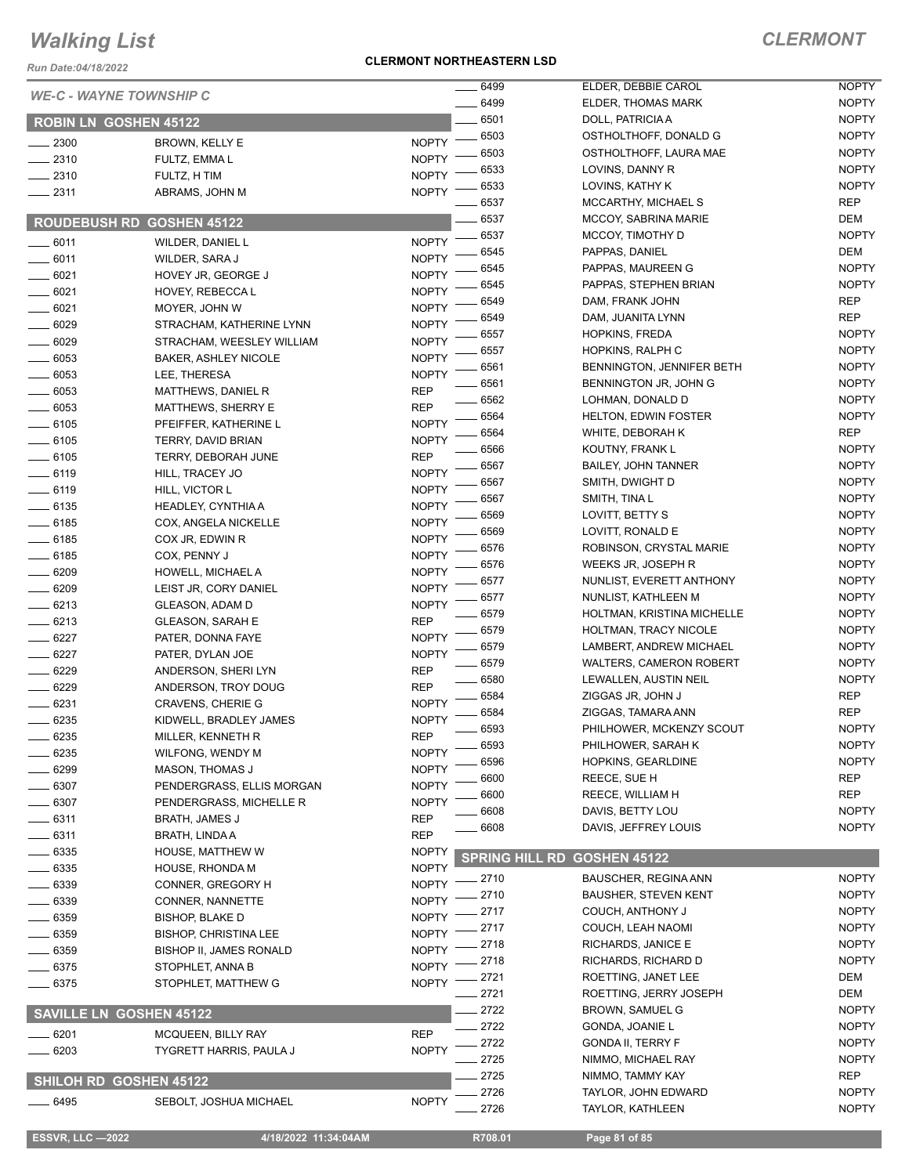*Run Date:04/18/2022*

#### **CLERMONT NORTHEASTERN LSD**

|                                |                                             |                              | 6499                  | ELDER, DEBBIE CAROL                 | <b>NOPTY</b>                 |
|--------------------------------|---------------------------------------------|------------------------------|-----------------------|-------------------------------------|------------------------------|
| <b>WE-C - WAYNE TOWNSHIP C</b> |                                             |                              | 6499                  | ELDER, THOMAS MARK                  | <b>NOPTY</b>                 |
| <b>ROBIN LN GOSHEN 45122</b>   |                                             |                              | 6501                  | DOLL, PATRICIA A                    | <b>NOPTY</b>                 |
| 2300                           | BROWN, KELLY E                              | <b>NOPTY</b>                 | 6503                  | OSTHOLTHOFF, DONALD G               | <b>NOPTY</b>                 |
| $-2310$                        | FULTZ, EMMA L                               | <b>NOPTY</b>                 | 6503                  | OSTHOLTHOFF, LAURA MAE              | <b>NOPTY</b>                 |
| $-2310$                        | FULTZ, H TIM                                | <b>NOPTY</b>                 | 6533                  | LOVINS, DANNY R                     | <b>NOPTY</b>                 |
| $-2311$                        | ABRAMS, JOHN M                              | <b>NOPTY</b>                 | 6533                  | LOVINS, KATHY K                     | <b>NOPTY</b>                 |
|                                |                                             |                              | 6537                  | MCCARTHY, MICHAEL S                 | <b>REP</b>                   |
| <b>ROUDEBUSH RD</b>            | <b>GOSHEN 45122</b>                         |                              | 6537                  | <b>MCCOY, SABRINA MARIE</b>         | DEM                          |
| $-6011$                        | WILDER, DANIEL L                            | <b>NOPTY</b>                 | 6537                  | MCCOY, TIMOTHY D                    | <b>NOPTY</b>                 |
| $-6011$                        | WILDER, SARA J                              | <b>NOPTY</b>                 | 6545                  | PAPPAS, DANIEL                      | <b>DEM</b>                   |
| $-6021$                        | HOVEY JR, GEORGE J                          | <b>NOPTY</b>                 | 6545                  | PAPPAS, MAUREEN G                   | <b>NOPTY</b>                 |
| $-6021$                        | HOVEY, REBECCA L                            | <b>NOPTY</b>                 | 6545                  | PAPPAS, STEPHEN BRIAN               | <b>NOPTY</b>                 |
| $- 6021$                       | MOYER, JOHN W                               | <b>NOPTY</b>                 | 6549                  | DAM, FRANK JOHN                     | <b>REP</b>                   |
| 6029                           | STRACHAM, KATHERINE LYNN                    | <b>NOPTY</b>                 | 6549                  | DAM, JUANITA LYNN                   | <b>REP</b>                   |
| $-6029$                        | STRACHAM, WEESLEY WILLIAM                   | <b>NOPTY</b>                 | 6557                  | <b>HOPKINS, FREDA</b>               | <b>NOPTY</b>                 |
| $-6053$                        | <b>BAKER, ASHLEY NICOLE</b>                 | <b>NOPTY</b>                 | 6557                  | HOPKINS, RALPH C                    | <b>NOPTY</b>                 |
| $-6053$                        | LEE, THERESA                                | <b>NOPTY</b>                 | 6561                  | BENNINGTON, JENNIFER BETH           | <b>NOPTY</b>                 |
| $-6053$                        | MATTHEWS, DANIEL R                          | <b>REP</b>                   | 6561                  | BENNINGTON JR, JOHN G               | <b>NOPTY</b>                 |
| 6053                           | MATTHEWS, SHERRY E                          | <b>REP</b>                   | 6562                  | LOHMAN. DONALD D                    | <b>NOPTY</b>                 |
| $-6105$                        | PFEIFFER, KATHERINE L                       | <b>NOPTY</b>                 | 6564                  | <b>HELTON, EDWIN FOSTER</b>         | <b>NOPTY</b>                 |
| $-6105$                        | TERRY, DAVID BRIAN                          | <b>NOPTY</b>                 | 6564                  | WHITE, DEBORAH K                    | <b>REP</b>                   |
| $-6105$                        | TERRY, DEBORAH JUNE                         | <b>REP</b>                   | 6566                  | KOUTNY, FRANK L                     | <b>NOPTY</b>                 |
| $-6119$                        | HILL, TRACEY JO                             | <b>NOPTY</b>                 | 6567                  | <b>BAILEY, JOHN TANNER</b>          | <b>NOPTY</b>                 |
| $-6119$                        | HILL, VICTOR L                              | <b>NOPTY</b>                 | 6567<br>6567          | SMITH, DWIGHT D                     | <b>NOPTY</b><br><b>NOPTY</b> |
| $-6135$                        | HEADLEY, CYNTHIA A                          | <b>NOPTY</b>                 | 6569                  | SMITH, TINA L                       | <b>NOPTY</b>                 |
| $-6185$                        | COX, ANGELA NICKELLE                        | <b>NOPTY</b>                 | 6569                  | LOVITT, BETTY S<br>LOVITT, RONALD E | <b>NOPTY</b>                 |
| $-6185$                        | COX JR, EDWIN R                             | <b>NOPTY</b>                 | 6576                  | ROBINSON, CRYSTAL MARIE             | <b>NOPTY</b>                 |
| $- 6185$                       | COX, PENNY J                                | <b>NOPTY</b>                 | 6576                  | WEEKS JR, JOSEPH R                  | <b>NOPTY</b>                 |
| .6209                          | HOWELL, MICHAEL A                           | <b>NOPTY</b>                 | 6577                  | NUNLIST, EVERETT ANTHONY            | <b>NOPTY</b>                 |
| $-6209$                        | LEIST JR, CORY DANIEL                       | <b>NOPTY</b>                 | 6577                  | NUNLIST, KATHLEEN M                 | <b>NOPTY</b>                 |
| $-6213$                        | GLEASON, ADAM D                             | <b>NOPTY</b>                 | 6579                  | HOLTMAN, KRISTINA MICHELLE          | <b>NOPTY</b>                 |
| $-6213$                        | <b>GLEASON, SARAH E</b>                     | <b>REP</b>                   | 6579                  | HOLTMAN, TRACY NICOLE               | <b>NOPTY</b>                 |
| $- 6227$                       | PATER, DONNA FAYE                           | <b>NOPTY</b>                 | 6579                  | LAMBERT, ANDREW MICHAEL             | <b>NOPTY</b>                 |
| 6227                           | PATER, DYLAN JOE                            | <b>NOPTY</b>                 | 6579                  | <b>WALTERS, CAMERON ROBERT</b>      | <b>NOPTY</b>                 |
| 6229                           | ANDERSON, SHERI LYN                         | <b>REP</b>                   | 6580                  | LEWALLEN, AUSTIN NEIL               | <b>NOPTY</b>                 |
| 6229                           | ANDERSON, TROY DOUG                         | <b>REP</b>                   | 6584                  | ZIGGAS JR, JOHN J                   | <b>REP</b>                   |
| 6231                           | <b>CRAVENS, CHERIE G</b>                    | <b>NOPTY</b>                 | 6584                  | ZIGGAS, TAMARA ANN                  | <b>REP</b>                   |
| 6235                           | KIDWELL, BRADLEY JAMES                      | <b>NOPTY</b>                 | 6593                  | PHILHOWER, MCKENZY SCOUT            | <b>NOPTY</b>                 |
| 6235                           | MILLER, KENNETH R                           | <b>REP</b>                   | 6593                  | PHILHOWER, SARAH K                  | <b>NOPTY</b>                 |
| 6235                           | WILFONG, WENDY M                            | <b>NOPTY</b>                 | 6596                  | HOPKINS, GEARLDINE                  | <b>NOPTY</b>                 |
| 6299                           | <b>MASON, THOMAS J</b>                      | <b>NOPTY</b>                 | 6600                  | REECE, SUE H                        | <b>REP</b>                   |
| 6307                           | PENDERGRASS, ELLIS MORGAN                   | <b>NOPTY</b>                 | 6600                  | REECE, WILLIAM H                    | <b>REP</b>                   |
| 6307                           | PENDERGRASS, MICHELLE R                     | <b>NOPTY</b>                 | 6608                  | DAVIS, BETTY LOU                    | <b>NOPTY</b>                 |
| 6311                           | <b>BRATH, JAMES J</b>                       | <b>REP</b>                   | 6608                  | DAVIS, JEFFREY LOUIS                | <b>NOPTY</b>                 |
| - 6311                         | <b>BRATH, LINDA A</b>                       | <b>REP</b>                   |                       |                                     |                              |
| 6335                           | HOUSE, MATTHEW W                            | <b>NOPTY</b>                 | <b>SPRING HILL RD</b> | <b>GOSHEN 45122</b>                 |                              |
| $-6335$                        | HOUSE, RHONDA M                             | <b>NOPTY</b><br><b>NOPTY</b> | $-2710$               | <b>BAUSCHER, REGINA ANN</b>         | <b>NOPTY</b>                 |
| - 6339<br>. 6339               | CONNER, GREGORY H                           | <b>NOPTY</b>                 | 2710                  | <b>BAUSHER, STEVEN KENT</b>         | <b>NOPTY</b>                 |
| $-6359$                        | CONNER, NANNETTE<br><b>BISHOP, BLAKE D</b>  | <b>NOPTY</b>                 | 2717                  | COUCH, ANTHONY J                    | <b>NOPTY</b>                 |
|                                |                                             | <b>NOPTY</b>                 | 2717                  | COUCH, LEAH NAOMI                   | <b>NOPTY</b>                 |
| - 6359<br>- 6359               | <b>BISHOP, CHRISTINA LEE</b>                | <b>NOPTY</b>                 | 2718                  | RICHARDS, JANICE E                  | <b>NOPTY</b>                 |
| $-6375$                        | BISHOP II, JAMES RONALD<br>STOPHLET, ANNA B | <b>NOPTY</b>                 | 2718                  | RICHARDS, RICHARD D                 | <b>NOPTY</b>                 |
| 6375                           |                                             | <b>NOPTY</b>                 | 2721                  | ROETTING, JANET LEE                 | DEM                          |
|                                | STOPHLET, MATTHEW G                         |                              | 2721                  | ROETTING, JERRY JOSEPH              | DEM                          |
| <b>SAVILLE LN GOSHEN 45122</b> |                                             |                              | 2722                  | <b>BROWN, SAMUEL G</b>              | <b>NOPTY</b>                 |
| 6201                           | MCQUEEN, BILLY RAY                          | <b>REP</b>                   | 2722                  | GONDA, JOANIE L                     | <b>NOPTY</b>                 |
| 6203                           | TYGRETT HARRIS, PAULA J                     | <b>NOPTY</b>                 | 2722                  | <b>GONDA II, TERRY F</b>            | <b>NOPTY</b>                 |
|                                |                                             |                              | 2725                  | NIMMO, MICHAEL RAY                  | <b>NOPTY</b>                 |
| <b>SHILOH RD GOSHEN 45122</b>  |                                             |                              | 2725                  | NIMMO, TAMMY KAY                    | <b>REP</b>                   |
| __ 6495                        | SEBOLT, JOSHUA MICHAEL                      | <b>NOPTY</b>                 | 2726                  | TAYLOR, JOHN EDWARD                 | <b>NOPTY</b>                 |
|                                |                                             |                              | 2726                  | <b>TAYLOR, KATHLEEN</b>             | <b>NOPTY</b>                 |
| <b>ESSVR, LLC -2022</b>        | 4/18/2022 11:34:04AM                        |                              | R708.01               | Page 81 of 85                       |                              |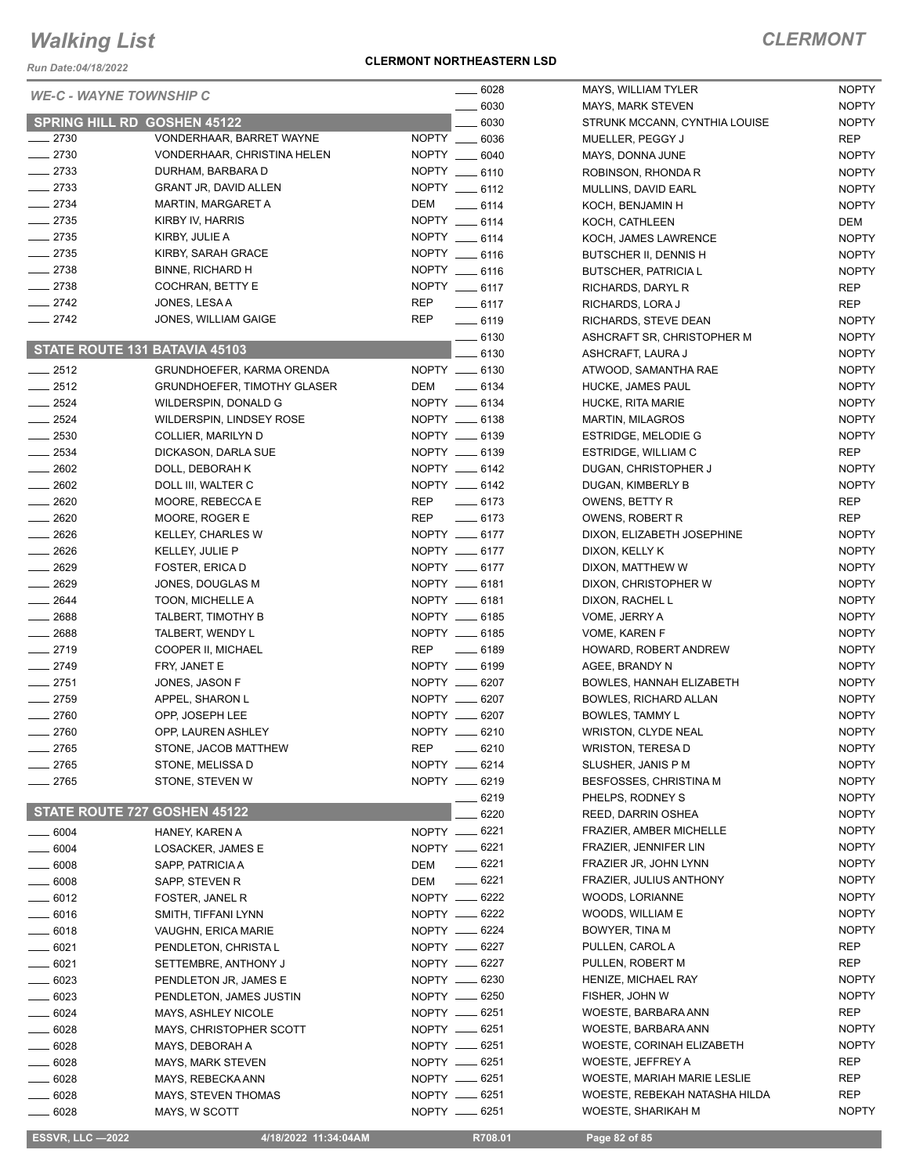*Run Date:04/18/2022*

#### **CLERMONT NORTHEASTERN LSD**

### *CLERMONT*

|                    | <b>WE-C - WAYNE TOWNSHIP C</b>                   | $- 6028$                       | MAYS, WILLIAM TYLER            | <b>NOPTY</b>      |
|--------------------|--------------------------------------------------|--------------------------------|--------------------------------|-------------------|
|                    |                                                  | 6030                           | <b>MAYS, MARK STEVEN</b>       | <b>NOPTY</b>      |
| $-2730$            | <b>SPRING HILL RD GOSHEN 45122</b>               | 6030                           | STRUNK MCCANN, CYNTHIA LOUISE  | <b>NOPTY</b>      |
|                    | VONDERHAAR, BARRET WAYNE                         | NOPTY __ 6036<br>NOPTY __ 6040 | MUELLER, PEGGY J               | <b>REP</b>        |
| $-2730$<br>$-2733$ | VONDERHAAR, CHRISTINA HELEN<br>DURHAM, BARBARA D |                                | MAYS, DONNA JUNE               | <b>NOPTY</b>      |
| $-2733$            | <b>GRANT JR, DAVID ALLEN</b>                     | NOPTY __ 6110                  | ROBINSON, RHONDA R             | <b>NOPTY</b>      |
| $\frac{2734}{ }$   |                                                  | NOPTY __ 6112<br>DEM           | MULLINS, DAVID EARL            | <b>NOPTY</b>      |
| $\frac{1}{2735}$   | <b>MARTIN, MARGARET A</b>                        | $-6114$<br>NOPTY __ 6114       | KOCH, BENJAMIN H               | <b>NOPTY</b>      |
|                    | KIRBY IV, HARRIS                                 | NOPTY __ 6114                  | KOCH, CATHLEEN                 | DEM               |
| $-2735$            | KIRBY, JULIE A                                   |                                | KOCH, JAMES LAWRENCE           | <b>NOPTY</b>      |
| $-2735$            | KIRBY, SARAH GRACE                               | NOPTY __ 6116                  | BUTSCHER II, DENNIS H          | <b>NOPTY</b>      |
| $-2738$            | <b>BINNE, RICHARD H</b>                          | NOPTY __ 6116                  | <b>BUTSCHER, PATRICIA L</b>    | <b>NOPTY</b>      |
| $-2738$            | COCHRAN, BETTY E                                 | NOPTY __ 6117                  | RICHARDS, DARYL R              | <b>REP</b>        |
| $\frac{2742}{27}$  | JONES, LESA A                                    | <b>REP</b><br>$-6117$          | RICHARDS, LORA J               | <b>REP</b>        |
| $\frac{2742}{ }$   | JONES, WILLIAM GAIGE                             | <b>REP</b><br>$-6119$          | RICHARDS, STEVE DEAN           | <b>NOPTY</b>      |
|                    | STATE ROUTE 131 BATAVIA 45103                    | $-6130$                        | ASHCRAFT SR, CHRISTOPHER M     | <b>NOPTY</b>      |
|                    |                                                  | 6130                           | ASHCRAFT, LAURA J              | <b>NOPTY</b>      |
| $-2512$            | GRUNDHOEFER, KARMA ORENDA                        | NOPTY __ 6130                  | ATWOOD, SAMANTHA RAE           | <b>NOPTY</b>      |
| $\frac{2512}{25}$  | <b>GRUNDHOEFER, TIMOTHY GLASER</b>               | DEM _______ 6134               | HUCKE, JAMES PAUL              | <b>NOPTY</b>      |
| $\frac{2524}{ }$   | WILDERSPIN, DONALD G                             | NOPTY __ 6134                  | HUCKE, RITA MARIE              | <b>NOPTY</b>      |
| $-2524$            | WILDERSPIN, LINDSEY ROSE                         | NOPTY __ 6138                  | <b>MARTIN, MILAGROS</b>        | <b>NOPTY</b>      |
| $\frac{1}{2530}$   | COLLIER, MARILYN D                               | NOPTY __ 6139                  | ESTRIDGE, MELODIE G            | <b>NOPTY</b>      |
| $-2534$            | DICKASON, DARLA SUE                              | NOPTY __ 6139                  | ESTRIDGE, WILLIAM C            | <b>REP</b>        |
| $\frac{1}{2602}$   | DOLL, DEBORAH K                                  | NOPTY __ 6142                  | DUGAN, CHRISTOPHER J           | <b>NOPTY</b>      |
| $-2602$            | DOLL III, WALTER C                               | NOPTY __ 6142                  | DUGAN, KIMBERLY B              | <b>NOPTY</b>      |
| $-2620$            | MOORE, REBECCA E                                 | REP __ 6173                    | OWENS, BETTY R                 | REP               |
| $-2620$            | MOORE, ROGER E                                   | REP __ 6173                    | OWENS, ROBERT R                | <b>REP</b>        |
| $-2626$            | KELLEY, CHARLES W                                | NOPTY __ 6177                  | DIXON, ELIZABETH JOSEPHINE     | <b>NOPTY</b>      |
| $\frac{1}{2626}$   | KELLEY, JULIE P                                  | NOPTY __ 6177                  | DIXON, KELLY K                 | <b>NOPTY</b>      |
| $-2629$            | FOSTER, ERICA D                                  | NOPTY __ 6177                  | DIXON, MATTHEW W               | <b>NOPTY</b>      |
| $-2629$            | JONES, DOUGLAS M                                 | NOPTY __ 6181                  | DIXON, CHRISTOPHER W           | <b>NOPTY</b>      |
| $-2644$            | TOON, MICHELLE A                                 | NOPTY __ 6181                  | DIXON, RACHEL L                | <b>NOPTY</b>      |
| $- 2688$           | TALBERT, TIMOTHY B                               | NOPTY __ 6185                  | VOME, JERRY A                  | <b>NOPTY</b>      |
| $\frac{1}{2688}$   | TALBERT, WENDY L                                 | NOPTY __ 6185                  | VOME, KAREN F                  | <b>NOPTY</b>      |
| $-2719$            | COOPER II, MICHAEL                               | <b>REP</b><br>$-6189$          | HOWARD, ROBERT ANDREW          | <b>NOPTY</b>      |
| $-2749$            | FRY, JANET E                                     | NOPTY __ 6199                  | AGEE, BRANDY N                 | <b>NOPTY</b>      |
| $-2751$            | JONES, JASON F                                   | NOPTY __ 6207                  | BOWLES, HANNAH ELIZABETH       | <b>NOPTY</b>      |
| $-2759$            | APPEL, SHARON L                                  | NOPTY __ 6207                  | <b>BOWLES, RICHARD ALLAN</b>   | <b>NOPTY</b>      |
| $-2760$            | OPP, JOSEPH LEE                                  | NOPTY __ 6207                  | <b>BOWLES, TAMMY L</b>         | <b>NOPTY</b>      |
| $-2760$            | OPP, LAUREN ASHLEY                               | NOPTY __ 6210                  | <b>WRISTON, CLYDE NEAL</b>     | <b>NOPTY</b>      |
| _ 2765             | STONE, JACOB MATTHEW                             | REP<br>$- 6210$                | <b>WRISTON, TERESA D</b>       | <b>NOPTY</b>      |
| $-2765$            | STONE, MELISSA D                                 | NOPTY __ 6214                  | SLUSHER, JANIS P M             | <b>NOPTY</b>      |
| $-2765$            | STONE, STEVEN W                                  | NOPTY __ 6219                  | <b>BESFOSSES, CHRISTINA M</b>  | <b>NOPTY</b>      |
|                    |                                                  | $-6219$                        | PHELPS, RODNEY S               | <b>NOPTY</b>      |
|                    | STATE ROUTE 727 GOSHEN 45122                     | 6220                           | REED, DARRIN OSHEA             | <b>NOPTY</b>      |
| $- 6004$           | HANEY, KAREN A                                   | NOPTY -6221                    | <b>FRAZIER, AMBER MICHELLE</b> | <b>NOPTY</b>      |
| $- 6004$           | LOSACKER, JAMES E                                | NOPTY __ 6221                  | FRAZIER, JENNIFER LIN          | <b>NOPTY</b>      |
| $\frac{1}{2}$ 6008 | SAPP, PATRICIA A                                 | $-6221$<br>DEM                 | FRAZIER JR, JOHN LYNN          | <b>NOPTY</b>      |
| $- 6008$           | SAPP, STEVEN R                                   | $-6221$<br>DEM                 | FRAZIER, JULIUS ANTHONY        | <b>NOPTY</b>      |
| $-6012$            | FOSTER, JANEL R                                  | NOPTY __ 6222                  | WOODS, LORIANNE                | <b>NOPTY</b>      |
| $\frac{1}{2}$ 6016 | SMITH, TIFFANI LYNN                              | NOPTY -6222                    | WOODS, WILLIAM E               | <b>NOPTY</b>      |
| $\frac{1}{2}$ 6018 | VAUGHN, ERICA MARIE                              | NOPTY __ 6224                  | BOWYER, TINA M                 | <b>NOPTY</b>      |
| $- 6021$           | PENDLETON, CHRISTA L                             | NOPTY __ 6227                  | PULLEN, CAROL A                | REP               |
| $- 6021$           | SETTEMBRE, ANTHONY J                             | NOPTY -6227                    | PULLEN, ROBERT M               | <b>REP</b>        |
| $\frac{6023}{2}$   | PENDLETON JR, JAMES E                            | NOPTY __ 6230                  | HENIZE, MICHAEL RAY            | <b>NOPTY</b>      |
| $-6023$            | PENDLETON, JAMES JUSTIN                          | NOPTY -6250                    | FISHER, JOHN W                 | <b>NOPTY</b>      |
| $-6024$            |                                                  | NOPTY __ 6251                  | WOESTE, BARBARA ANN            | <b>REP</b>        |
|                    | MAYS, ASHLEY NICOLE                              | NOPTY __ 6251                  | WOESTE, BARBARA ANN            | <b>NOPTY</b>      |
| $- 6028$           | MAYS, CHRISTOPHER SCOTT                          | NOPTY -6251                    | WOESTE, CORINAH ELIZABETH      | <b>NOPTY</b>      |
| $- 6028$           | MAYS, DEBORAH A                                  | NOPTY __ 6251                  |                                | REP               |
| $\frac{1}{2}$ 6028 | MAYS, MARK STEVEN                                |                                | WOESTE, JEFFREY A              |                   |
| $- 6028$           | MAYS, REBECKA ANN                                | NOPTY -6251                    | WOESTE, MARIAH MARIE LESLIE    | REP<br><b>REP</b> |
| $=6028$            | MAYS, STEVEN THOMAS                              | NOPTY __ 6251                  | WOESTE, REBEKAH NATASHA HILDA  |                   |
| _____ 6028         | MAYS, W SCOTT                                    | NOPTY __ 6251                  | WOESTE, SHARIKAH M             | <b>NOPTY</b>      |

 **ESSVR, LLC —2022 4/18/2022 11:34:04AM R708.01 Page 82 of 85**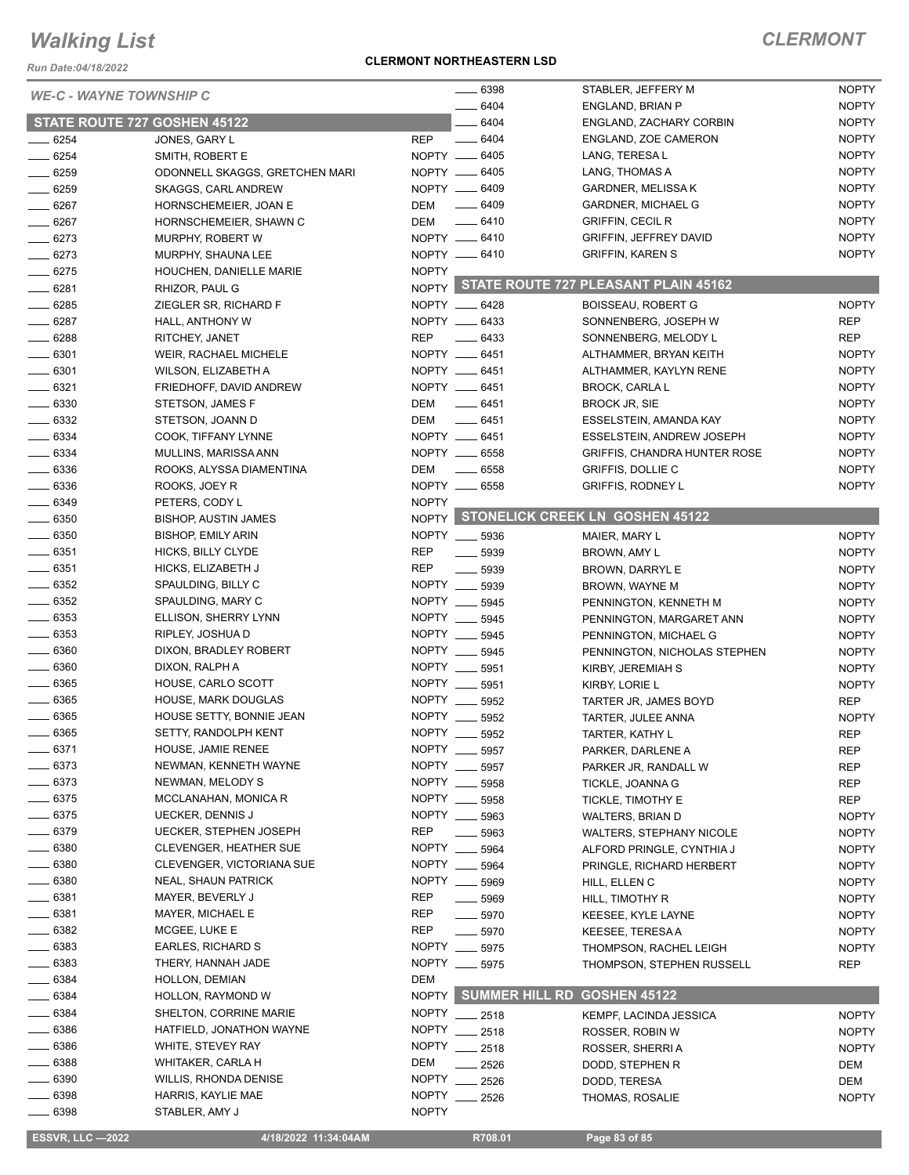*Run Date:04/18/2022*

#### *WE-*

#### **CLERMONT NORTHEASTERN LSD**

|                    | <b>WE-C - WAYNE TOWNSHIP C</b>      | $- 6398$                         | STABLER, JEFFERY M                         | <b>NOPTY</b> |
|--------------------|-------------------------------------|----------------------------------|--------------------------------------------|--------------|
|                    |                                     | 6404                             | ENGLAND, BRIAN P                           | <b>NOPTY</b> |
|                    | <b>STATE ROUTE 727 GOSHEN 45122</b> | 6404                             | ENGLAND, ZACHARY CORBIN                    | <b>NOPTY</b> |
| $- 6254$           | JONES, GARY L                       | $- 6404$<br><b>REP</b>           | ENGLAND, ZOE CAMERON                       | <b>NOPTY</b> |
| $-6254$            | SMITH, ROBERT E                     | NOPTY __ 6405                    | LANG, TERESA L                             | <b>NOPTY</b> |
| __ 6259            | ODONNELL SKAGGS, GRETCHEN MARI      | NOPTY __ 6405                    | LANG, THOMAS A                             | <b>NOPTY</b> |
| $- 6259$           | SKAGGS, CARL ANDREW                 | NOPTY __ 6409                    | <b>GARDNER, MELISSA K</b>                  | <b>NOPTY</b> |
| $- 6267$           | HORNSCHEMEIER, JOAN E               | $- 6409$<br>DEM                  | <b>GARDNER, MICHAEL G</b>                  | <b>NOPTY</b> |
| $- 6267$           | HORNSCHEMEIER, SHAWN C              | DEM<br>$-6410$                   | <b>GRIFFIN, CECIL R</b>                    | <b>NOPTY</b> |
| $-6273$            | MURPHY, ROBERT W                    | NOPTY __ 6410                    | GRIFFIN, JEFFREY DAVID                     | <b>NOPTY</b> |
| $-6273$            | MURPHY, SHAUNA LEE                  | NOPTY -6410                      | <b>GRIFFIN, KAREN S</b>                    | <b>NOPTY</b> |
| $- 6275$           | HOUCHEN, DANIELLE MARIE             | <b>NOPTY</b>                     |                                            |              |
| $-6281$            | RHIZOR, PAUL G                      |                                  | NOPTY STATE ROUTE 727 PLEASANT PLAIN 45162 |              |
| $- 6285$           | ZIEGLER SR, RICHARD F               | NOPTY __ 6428                    | <b>BOISSEAU, ROBERT G</b>                  | <b>NOPTY</b> |
| $- 6287$           | HALL, ANTHONY W                     | NOPTY __ 6433                    | SONNENBERG, JOSEPH W                       | <b>REP</b>   |
| $- 6288$           | RITCHEY, JANET                      | REP<br>$\frac{1}{2}$ 6433        | SONNENBERG, MELODY L                       | <b>REP</b>   |
| $- 6301$           | WEIR, RACHAEL MICHELE               | NOPTY __ 6451                    | ALTHAMMER, BRYAN KEITH                     | <b>NOPTY</b> |
| $\frac{1}{2}$ 6301 | WILSON, ELIZABETH A                 | NOPTY __ 6451                    | ALTHAMMER, KAYLYN RENE                     | <b>NOPTY</b> |
| $- 6321$           | FRIEDHOFF, DAVID ANDREW             | NOPTY __ 6451                    | <b>BROCK, CARLA L</b>                      | <b>NOPTY</b> |
| $\equiv$ 6330      | STETSON, JAMES F                    | DEM<br>$-6451$                   | <b>BROCK JR, SIE</b>                       | <b>NOPTY</b> |
| $\frac{1}{2}$ 6332 | STETSON, JOANN D                    | DEM<br>$-6451$                   |                                            | <b>NOPTY</b> |
|                    |                                     | NOPTY __ 6451                    | ESSELSTEIN, AMANDA KAY                     | <b>NOPTY</b> |
| $- 6334$           | COOK, TIFFANY LYNNE                 |                                  | <b>ESSELSTEIN, ANDREW JOSEPH</b>           |              |
| $- 6334$           | MULLINS, MARISSA ANN                | NOPTY __ 6558                    | <b>GRIFFIS, CHANDRA HUNTER ROSE</b>        | <b>NOPTY</b> |
| $\frac{1}{2}$ 6336 | ROOKS, ALYSSA DIAMENTINA            | DEM<br>$\frac{1}{2}$ 6558        | <b>GRIFFIS, DOLLIE C</b>                   | <b>NOPTY</b> |
| $\frac{1}{2}$ 6336 | ROOKS, JOEY R                       | NOPTY __ 6558                    | <b>GRIFFIS, RODNEY L</b>                   | <b>NOPTY</b> |
| $-6349$            | PETERS, CODY L                      | <b>NOPTY</b>                     | NOPTY STONELICK CREEK LN GOSHEN 45122      |              |
| $- 6350$           | <b>BISHOP, AUSTIN JAMES</b>         |                                  |                                            |              |
| $\frac{1}{2}$ 6350 | <b>BISHOP, EMILY ARIN</b>           | NOPTY __ 5936                    | MAIER, MARY L                              | <b>NOPTY</b> |
| $- 6351$           | <b>HICKS, BILLY CLYDE</b>           | <b>REP</b><br>5939               | BROWN, AMY L                               | <b>NOPTY</b> |
| $\frac{1}{2}$ 6351 | HICKS, ELIZABETH J                  | <b>REP</b><br>$\frac{1}{2}$ 5939 | BROWN, DARRYL E                            | <b>NOPTY</b> |
| $\frac{1}{2}$ 6352 | SPAULDING, BILLY C                  | NOPTY __ 5939                    | BROWN, WAYNE M                             | <b>NOPTY</b> |
| $\frac{1}{2}$ 6352 | SPAULDING, MARY C                   | NOPTY __ 5945                    | PENNINGTON, KENNETH M                      | <b>NOPTY</b> |
| $- 6353$           | ELLISON, SHERRY LYNN                | NOPTY __ 5945                    | PENNINGTON, MARGARET ANN                   | <b>NOPTY</b> |
| $- 6353$           | RIPLEY, JOSHUA D                    | NOPTY __ 5945                    | PENNINGTON, MICHAEL G                      | <b>NOPTY</b> |
| $\frac{1}{2}$ 6360 | DIXON, BRADLEY ROBERT               | NOPTY __ 5945                    | PENNINGTON, NICHOLAS STEPHEN               | <b>NOPTY</b> |
| $\frac{1}{2}$ 6360 | DIXON, RALPH A                      | NOPTY __ 5951                    | KIRBY, JEREMIAH S                          | <b>NOPTY</b> |
| $- 6365$           | HOUSE, CARLO SCOTT                  | NOPTY __ 5951                    | KIRBY, LORIE L                             | <b>NOPTY</b> |
| $\frac{1}{2}$ 6365 | <b>HOUSE, MARK DOUGLAS</b>          | NOPTY __ 5952                    | TARTER JR, JAMES BOYD                      | <b>REP</b>   |
| $- 6365$           | HOUSE SETTY, BONNIE JEAN            | NOPTY ___<br>5952                | TARTER, JULEE ANNA                         | <b>NOPTY</b> |
| $-6365$            | SETTY, RANDOLPH KENT                | NOPTY _<br>5952                  | TARTER, KATHY L                            | <b>REP</b>   |
| _ 6371             | HOUSE, JAMIE RENEE                  | NOPTY __ 5957                    | PARKER, DARLENE A                          | <b>REP</b>   |
| $-6373$            | NEWMAN, KENNETH WAYNE               | NOPTY __ 5957                    | PARKER JR, RANDALL W                       | <b>REP</b>   |
| $- 6373$           | NEWMAN, MELODY S                    | NOPTY __ 5958                    | TICKLE, JOANNA G                           | REP          |
| $- 6375$           | MCCLANAHAN, MONICA R                | NOPTY __ 5958                    | TICKLE, TIMOTHY E                          | REP          |
| $-6375$            | <b>UECKER, DENNIS J</b>             | NOPTY __ 5963                    | <b>WALTERS, BRIAN D</b>                    | <b>NOPTY</b> |
| __ 6379            | <b>UECKER, STEPHEN JOSEPH</b>       | <b>REP</b><br>5963               | WALTERS, STEPHANY NICOLE                   | <b>NOPTY</b> |
| $- 6380$           | CLEVENGER, HEATHER SUE              | <b>NOPTY</b><br>__ 5964          | ALFORD PRINGLE, CYNTHIA J                  | <b>NOPTY</b> |
| $\frac{1}{2}$ 6380 | CLEVENGER, VICTORIANA SUE           | NOPTY __<br>5964                 | PRINGLE, RICHARD HERBERT                   | <b>NOPTY</b> |
| $- 6380$           | <b>NEAL, SHAUN PATRICK</b>          | NOPTY __<br>5969                 | HILL, ELLEN C                              | <b>NOPTY</b> |
| $\frac{1}{2}$ 6381 | MAYER, BEVERLY J                    | REP<br>$- 5969$                  | HILL, TIMOTHY R                            | <b>NOPTY</b> |
| ____ 6381          | MAYER, MICHAEL E                    | REP<br>$-5970$                   | KEESEE, KYLE LAYNE                         | <b>NOPTY</b> |
| $-6382$            | MCGEE, LUKE E                       | REP<br>_ 5970                    | <b>KEESEE, TERESA A</b>                    | <b>NOPTY</b> |
| _ 6383             | EARLES, RICHARD S                   | NOPTY __ 5975                    | THOMPSON, RACHEL LEIGH                     | <b>NOPTY</b> |
| $- 6383$           | THERY, HANNAH JADE                  | NOPTY __ 5975                    | THOMPSON, STEPHEN RUSSELL                  | REP          |
| $- 6384$           | HOLLON, DEMIAN                      | DEM                              |                                            |              |
| $\frac{1}{2}$ 6384 | HOLLON, RAYMOND W                   |                                  | NOPTY SUMMER HILL RD GOSHEN 45122          |              |
| $- 6384$           | SHELTON, CORRINE MARIE              | NOPTY __ 2518                    |                                            |              |
| 6386               | HATFIELD, JONATHON WAYNE            | <b>NOPTY</b>                     | KEMPF, LACINDA JESSICA                     | <b>NOPTY</b> |
| _ 6386             | WHITE, STEVEY RAY                   | $-2518$<br><b>NOPTY</b>          | ROSSER, ROBIN W                            | <b>NOPTY</b> |
| $- 6388$           | WHITAKER, CARLA H                   | $-2518$<br><b>DEM</b>            | ROSSER, SHERRI A                           | <b>NOPTY</b> |
| $\frac{1}{2}$ 6390 | WILLIS, RHONDA DENISE               | 2526<br><b>NOPTY</b>             | DODD, STEPHEN R                            | DEM          |
| $- 6398$           |                                     | 2526<br><b>NOPTY</b>             | DODD, TERESA                               | DEM          |
|                    | HARRIS, KAYLIE MAE                  | 2526                             | THOMAS, ROSALIE                            | <b>NOPTY</b> |
| __ 6398            | STABLER, AMY J                      | <b>NOPTY</b>                     |                                            |              |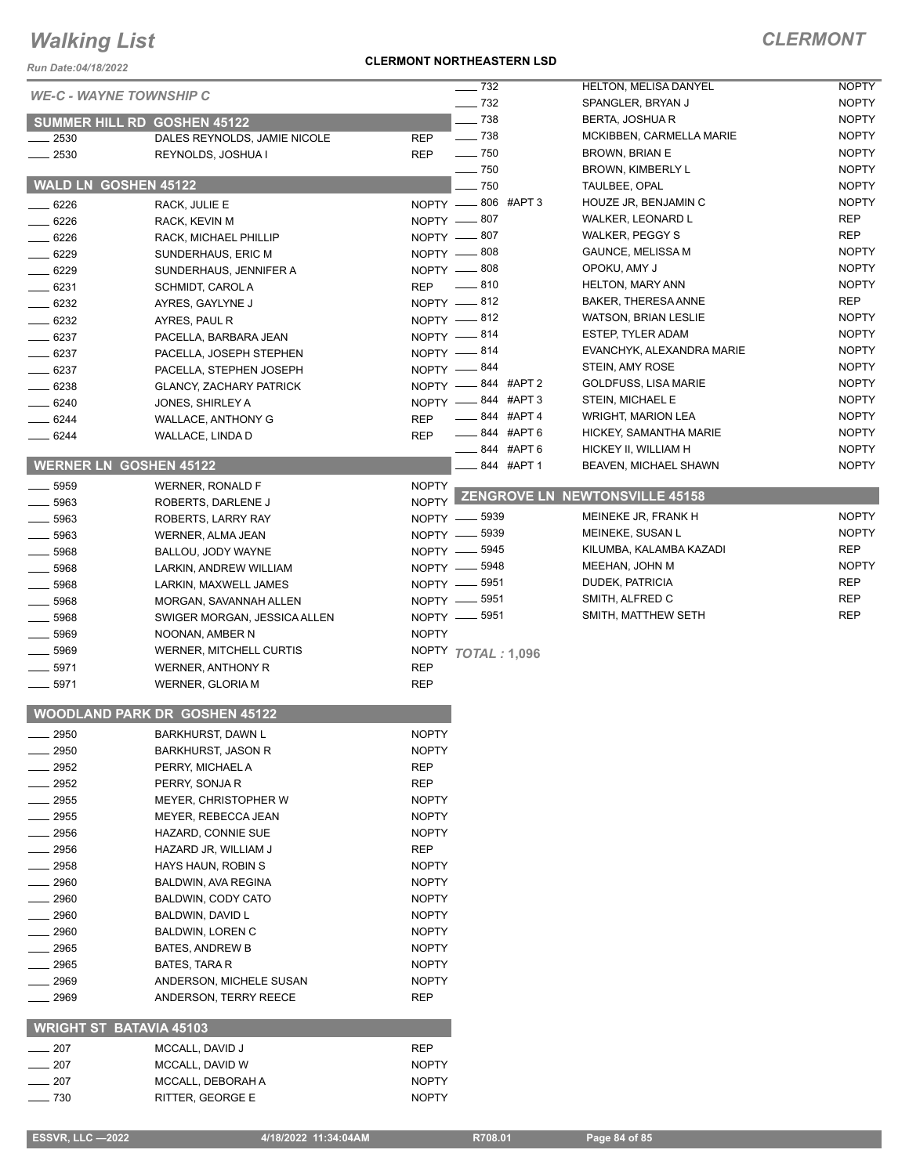*Run Date:04/18/2022*

### **CLERMONT NORTHEASTERN LSD**

|          |                                      |              | $\frac{1}{2}$ 732  | <b>HELTON, MELISA DANYEL</b>          | <b>NOPTY</b> |
|----------|--------------------------------------|--------------|--------------------|---------------------------------------|--------------|
|          | <b>WE-C - WAYNE TOWNSHIP C</b>       |              | $\frac{1}{2}$ 732  | SPANGLER, BRYAN J                     | <b>NOPTY</b> |
|          | SUMMER HILL RD GOSHEN 45122          |              | $-738$             | BERTA, JOSHUA R                       | <b>NOPTY</b> |
| 2530     | DALES REYNOLDS, JAMIE NICOLE         | <b>REP</b>   | $\frac{1}{2}$ 738  | MCKIBBEN, CARMELLA MARIE              | <b>NOPTY</b> |
| $-2530$  | REYNOLDS, JOSHUA I                   | <b>REP</b>   | $\frac{1}{2}$ 750  | <b>BROWN, BRIAN E</b>                 | <b>NOPTY</b> |
|          |                                      |              | $\sim$ 750         | <b>BROWN, KIMBERLY L</b>              | <b>NOPTY</b> |
|          | <b>WALD LN GOSHEN 45122</b>          |              | $-750$             | TAULBEE, OPAL                         | <b>NOPTY</b> |
| $-6226$  | RACK, JULIE E                        |              | NOPTY -806 #APT 3  | HOUZE JR, BENJAMIN C                  | <b>NOPTY</b> |
| .6226    | RACK, KEVIN M                        |              | NOPTY -807         | WALKER, LEONARD L                     | <b>REP</b>   |
| $-6226$  | RACK, MICHAEL PHILLIP                |              | NOPTY -807         | WALKER, PEGGY S                       | <b>REP</b>   |
| $-6229$  | SUNDERHAUS, ERIC M                   |              | NOPTY -808         | <b>GAUNCE, MELISSA M</b>              | <b>NOPTY</b> |
| $-6229$  | SUNDERHAUS, JENNIFER A               |              | NOPTY -808         | OPOKU, AMY J                          | <b>NOPTY</b> |
| $- 6231$ | SCHMIDT, CAROL A                     | <b>REP</b>   | $-810$             | <b>HELTON, MARY ANN</b>               | <b>NOPTY</b> |
| $-6232$  | AYRES, GAYLYNE J                     |              | NOPTY -812         | <b>BAKER, THERESA ANNE</b>            | <b>REP</b>   |
| $- 6232$ | AYRES, PAUL R                        |              | NOPTY -812         | <b>WATSON, BRIAN LESLIE</b>           | <b>NOPTY</b> |
| $- 6237$ | PACELLA, BARBARA JEAN                |              | NOPTY -814         | <b>ESTEP, TYLER ADAM</b>              | <b>NOPTY</b> |
| $-6237$  | PACELLA, JOSEPH STEPHEN              |              | NOPTY -814         | EVANCHYK, ALEXANDRA MARIE             | <b>NOPTY</b> |
| $- 6237$ | PACELLA, STEPHEN JOSEPH              |              | NOPTY -844         | STEIN, AMY ROSE                       | <b>NOPTY</b> |
| $- 6238$ | <b>GLANCY, ZACHARY PATRICK</b>       |              | NOPTY -844 #APT 2  | <b>GOLDFUSS, LISA MARIE</b>           | <b>NOPTY</b> |
| $-6240$  | JONES, SHIRLEY A                     |              | NOPTY -844 #APT 3  | STEIN, MICHAEL E                      | <b>NOPTY</b> |
| 6244     | <b>WALLACE, ANTHONY G</b>            | <b>REP</b>   | _____ 844 #APT 4   | <b>WRIGHT, MARION LEA</b>             | <b>NOPTY</b> |
| 6244     | WALLACE, LINDA D                     | <b>REP</b>   | ____ 844 #APT 6    | HICKEY, SAMANTHA MARIE                | <b>NOPTY</b> |
|          |                                      |              | 844 #APT 6         | HICKEY II, WILLIAM H                  | <b>NOPTY</b> |
|          | <b>WERNER LN GOSHEN 45122</b>        |              | 844 #APT 1         | BEAVEN, MICHAEL SHAWN                 | <b>NOPTY</b> |
| 5959     | <b>WERNER, RONALD F</b>              | <b>NOPTY</b> |                    |                                       |              |
| 5963     | ROBERTS, DARLENE J                   | <b>NOPTY</b> |                    | <b>ZENGROVE LN NEWTONSVILLE 45158</b> |              |
| 5963     | ROBERTS, LARRY RAY                   |              | NOPTY -8939        | MEINEKE JR, FRANK H                   | <b>NOPTY</b> |
| 5963     | WERNER, ALMA JEAN                    |              | NOPTY -8939        | MEINEKE, SUSAN L                      | <b>NOPTY</b> |
| $-5968$  | BALLOU, JODY WAYNE                   |              | NOPTY -8945        | KILUMBA, KALAMBA KAZADI               | <b>REP</b>   |
| $- 5968$ | LARKIN, ANDREW WILLIAM               |              | NOPTY -8948        | MEEHAN, JOHN M                        | <b>NOPTY</b> |
| $-5968$  | LARKIN, MAXWELL JAMES                |              | NOPTY -8951        | DUDEK, PATRICIA                       | <b>REP</b>   |
| $-5968$  | MORGAN, SAVANNAH ALLEN               |              | NOPTY -8951        | SMITH, ALFRED C                       | <b>REP</b>   |
| 5968     | SWIGER MORGAN, JESSICA ALLEN         |              | NOPTY -8951        | SMITH, MATTHEW SETH                   | <b>REP</b>   |
| 5969     | NOONAN, AMBER N                      | <b>NOPTY</b> |                    |                                       |              |
| 5969     | WERNER, MITCHELL CURTIS              |              | NOPTY TOTAL: 1,096 |                                       |              |
| 5971     | WERNER, ANTHONY R                    | <b>REP</b>   |                    |                                       |              |
| 5971     | WERNER, GLORIA M                     | <b>REP</b>   |                    |                                       |              |
|          |                                      |              |                    |                                       |              |
|          | <b>WOODLAND PARK DR GOSHEN 45122</b> |              |                    |                                       |              |
| 2950     | <b>BARKHURST, DAWN L</b>             | <b>NOPTY</b> |                    |                                       |              |
| 2950     | <b>BARKHURST, JASON R</b>            | <b>NOPTY</b> |                    |                                       |              |
| 2952     | PERRY, MICHAEL A                     | REP          |                    |                                       |              |
| 2952     | PERRY, SONJA R                       | <b>REP</b>   |                    |                                       |              |
| 2955     | MEYER, CHRISTOPHER W                 | <b>NOPTY</b> |                    |                                       |              |
| 2955     | MEYER, REBECCA JEAN                  | <b>NOPTY</b> |                    |                                       |              |
| 2956     | HAZARD, CONNIE SUE                   | <b>NOPTY</b> |                    |                                       |              |
| 2956     | HAZARD JR, WILLIAM J                 | REP          |                    |                                       |              |
| 2958     | HAYS HAUN, ROBIN S                   | <b>NOPTY</b> |                    |                                       |              |
| 2960     | BALDWIN, AVA REGINA                  | <b>NOPTY</b> |                    |                                       |              |
| 2960     | BALDWIN, CODY CATO                   | <b>NOPTY</b> |                    |                                       |              |
| 2960     | BALDWIN, DAVID L                     | <b>NOPTY</b> |                    |                                       |              |
| 2960     | BALDWIN, LOREN C                     | <b>NOPTY</b> |                    |                                       |              |
| 2965     | BATES, ANDREW B                      | <b>NOPTY</b> |                    |                                       |              |
| 2965     | BATES, TARA R                        | <b>NOPTY</b> |                    |                                       |              |
| 2969     | ANDERSON, MICHELE SUSAN              | <b>NOPTY</b> |                    |                                       |              |
| 2969     | ANDERSON, TERRY REECE                | <b>REP</b>   |                    |                                       |              |
|          |                                      |              |                    |                                       |              |
|          | <b>WRIGHT ST BATAVIA 45103</b>       |              |                    |                                       |              |
| 207      | MCCALL, DAVID J                      | <b>REP</b>   |                    |                                       |              |
| 207      | MCCALL, DAVID W                      | <b>NOPTY</b> |                    |                                       |              |
| 207      | MCCALL, DEBORAH A                    | <b>NOPTY</b> |                    |                                       |              |
| 730      | RITTER. GEORGE E                     | <b>NOPTY</b> |                    |                                       |              |